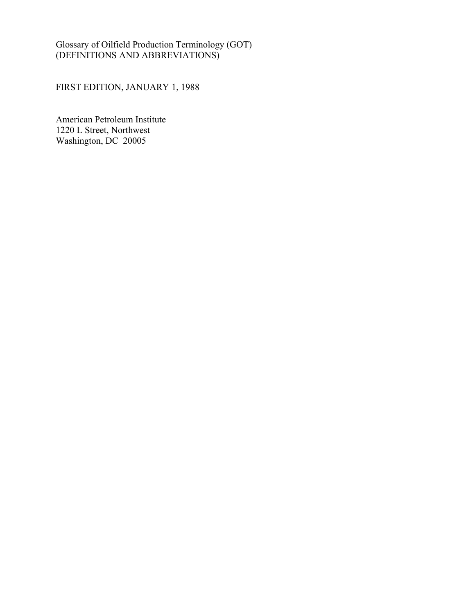Glossary of Oilfield Production Terminology (GOT) (DEFINITIONS AND ABBREVIATIONS)

FIRST EDITION, JANUARY 1, 1988

American Petroleum Institute 1220 L Street, Northwest Washington, DC 20005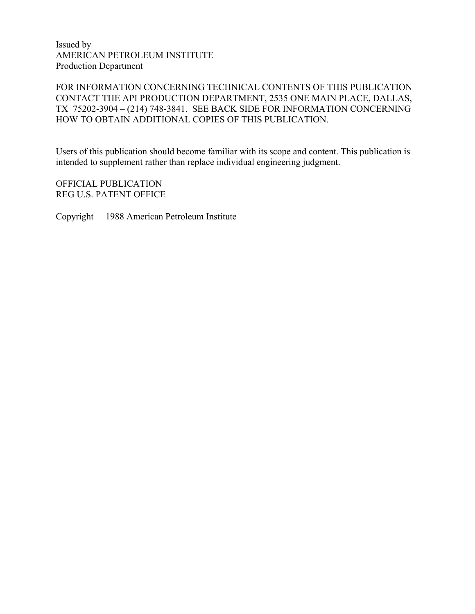Issued by AMERICAN PETROLEUM INSTITUTE Production Department

FOR INFORMATION CONCERNING TECHNICAL CONTENTS OF THIS PUBLICATION CONTACT THE API PRODUCTION DEPARTMENT, 2535 ONE MAIN PLACE, DALLAS, TX 75202-3904 – (214) 748-3841. SEE BACK SIDE FOR INFORMATION CONCERNING HOW TO OBTAIN ADDITIONAL COPIES OF THIS PUBLICATION.

Users of this publication should become familiar with its scope and content. This publication is intended to supplement rather than replace individual engineering judgment.

OFFICIAL PUBLICATION REG U.S. PATENT OFFICE

Copyright © 1988 American Petroleum Institute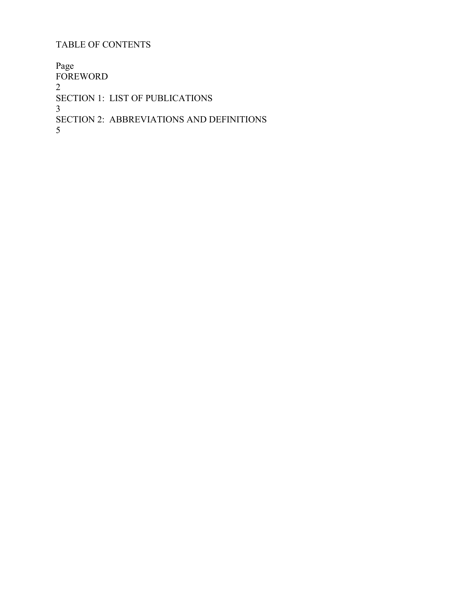## TABLE OF CONTENTS

Page FOREWORD 2 SECTION 1: LIST OF PUBLICATIONS 3 SECTION 2: ABBREVIATIONS AND DEFINITIONS 5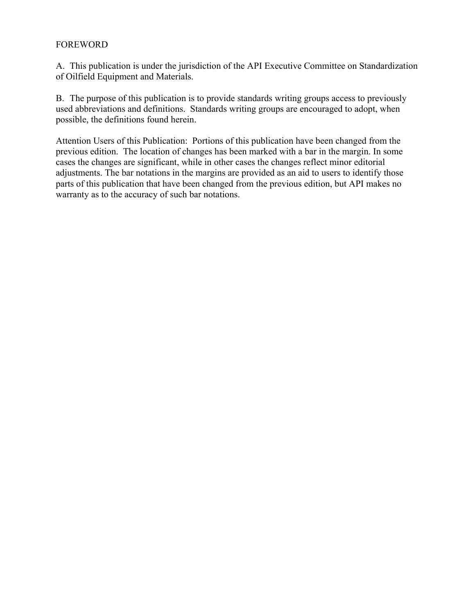## FOREWORD

A. This publication is under the jurisdiction of the API Executive Committee on Standardization of Oilfield Equipment and Materials.

B. The purpose of this publication is to provide standards writing groups access to previously used abbreviations and definitions. Standards writing groups are encouraged to adopt, when possible, the definitions found herein.

Attention Users of this Publication: Portions of this publication have been changed from the previous edition. The location of changes has been marked with a bar in the margin. In some cases the changes are significant, while in other cases the changes reflect minor editorial adjustments. The bar notations in the margins are provided as an aid to users to identify those parts of this publication that have been changed from the previous edition, but API makes no warranty as to the accuracy of such bar notations.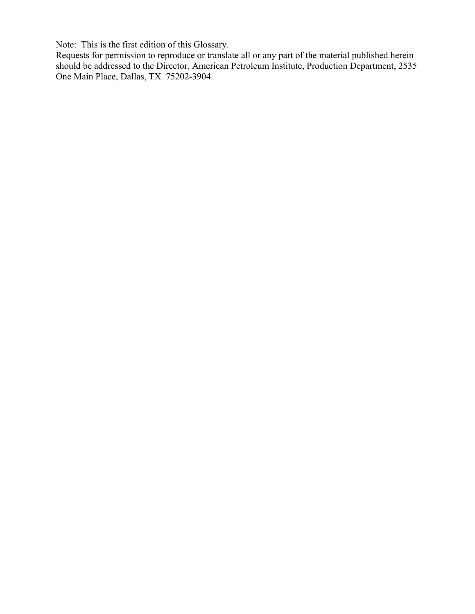Note: This is the first edition of this Glossary.

Requests for permission to reproduce or translate all or any part of the material published herein should be addressed to the Director, American Petroleum Institute, Production Department, 2535 One Main Place, Dallas, TX 75202-3904.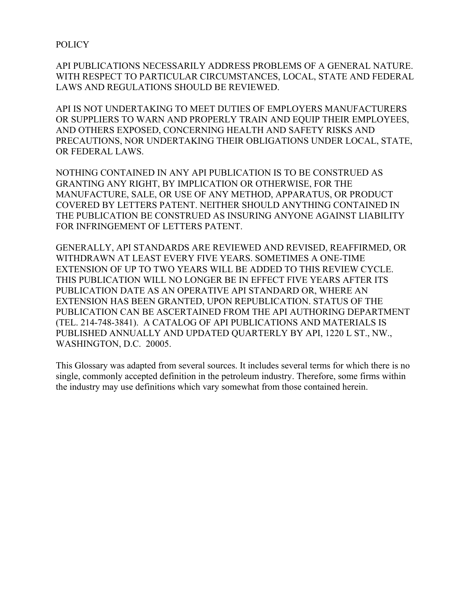## POLICY

API PUBLICATIONS NECESSARILY ADDRESS PROBLEMS OF A GENERAL NATURE. WITH RESPECT TO PARTICULAR CIRCUMSTANCES, LOCAL, STATE AND FEDERAL LAWS AND REGULATIONS SHOULD BE REVIEWED.

API IS NOT UNDERTAKING TO MEET DUTIES OF EMPLOYERS MANUFACTURERS OR SUPPLIERS TO WARN AND PROPERLY TRAIN AND EQUIP THEIR EMPLOYEES, AND OTHERS EXPOSED, CONCERNING HEALTH AND SAFETY RISKS AND PRECAUTIONS, NOR UNDERTAKING THEIR OBLIGATIONS UNDER LOCAL, STATE, OR FEDERAL LAWS.

NOTHING CONTAINED IN ANY API PUBLICATION IS TO BE CONSTRUED AS GRANTING ANY RIGHT, BY IMPLICATION OR OTHERWISE, FOR THE MANUFACTURE, SALE, OR USE OF ANY METHOD, APPARATUS, OR PRODUCT COVERED BY LETTERS PATENT. NEITHER SHOULD ANYTHING CONTAINED IN THE PUBLICATION BE CONSTRUED AS INSURING ANYONE AGAINST LIABILITY FOR INFRINGEMENT OF LETTERS PATENT.

GENERALLY, API STANDARDS ARE REVIEWED AND REVISED, REAFFIRMED, OR WITHDRAWN AT LEAST EVERY FIVE YEARS. SOMETIMES A ONE-TIME EXTENSION OF UP TO TWO YEARS WILL BE ADDED TO THIS REVIEW CYCLE. THIS PUBLICATION WILL NO LONGER BE IN EFFECT FIVE YEARS AFTER ITS PUBLICATION DATE AS AN OPERATIVE API STANDARD OR, WHERE AN EXTENSION HAS BEEN GRANTED, UPON REPUBLICATION. STATUS OF THE PUBLICATION CAN BE ASCERTAINED FROM THE API AUTHORING DEPARTMENT (TEL. 214-748-3841). A CATALOG OF API PUBLICATIONS AND MATERIALS IS PUBLISHED ANNUALLY AND UPDATED QUARTERLY BY API, 1220 L ST., NW., WASHINGTON, D.C. 20005.

This Glossary was adapted from several sources. It includes several terms for which there is no single, commonly accepted definition in the petroleum industry. Therefore, some firms within the industry may use definitions which vary somewhat from those contained herein.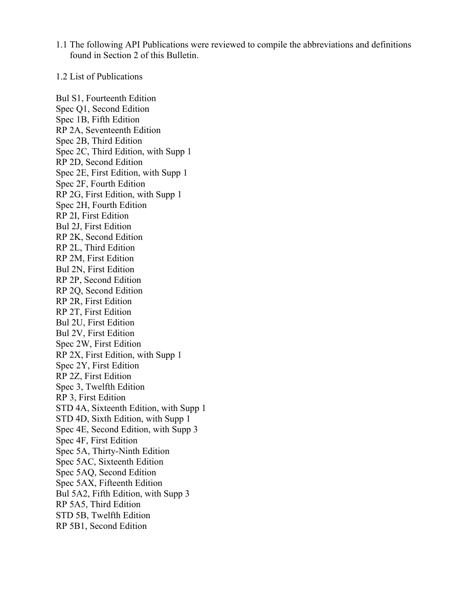- 1.1 The following API Publications were reviewed to compile the abbreviations and definitions found in Section 2 of this Bulletin.
- 1.2 List of Publications

Bul S1, Fourteenth Edition Spec Q1, Second Edition Spec 1B, Fifth Edition RP 2A, Seventeenth Edition Spec 2B, Third Edition Spec 2C, Third Edition, with Supp 1 RP 2D, Second Edition Spec 2E, First Edition, with Supp 1 Spec 2F, Fourth Edition RP 2G, First Edition, with Supp 1 Spec 2H, Fourth Edition RP 2I, First Edition Bul 2J, First Edition RP 2K, Second Edition RP 2L, Third Edition RP 2M, First Edition Bul 2N, First Edition RP 2P, Second Edition RP 2Q, Second Edition RP 2R, First Edition RP 2T, First Edition Bul 2U, First Edition Bul 2V, First Edition Spec 2W, First Edition RP 2X, First Edition, with Supp 1 Spec 2Y, First Edition RP 2Z, First Edition Spec 3, Twelfth Edition RP 3, First Edition STD 4A, Sixteenth Edition, with Supp 1 STD 4D, Sixth Edition, with Supp 1 Spec 4E, Second Edition, with Supp 3 Spec 4F, First Edition Spec 5A, Thirty-Ninth Edition Spec 5AC, Sixteenth Edition Spec 5AQ, Second Edition Spec 5AX, Fifteenth Edition Bul 5A2, Fifth Edition, with Supp 3 RP 5A5, Third Edition STD 5B, Twelfth Edition RP 5B1, Second Edition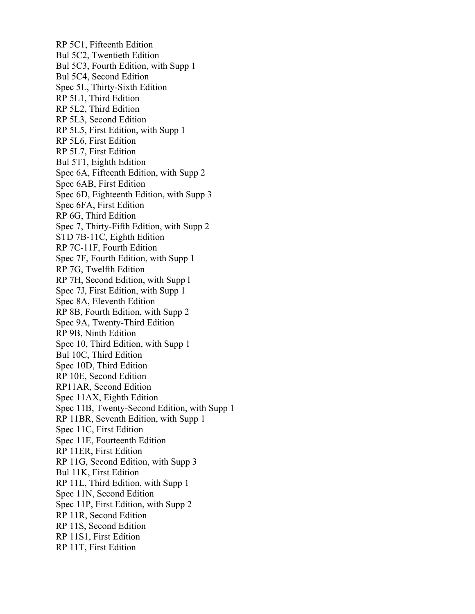RP 5C1, Fifteenth Edition Bul 5C2, Twentieth Edition Bul 5C3, Fourth Edition, with Supp 1 Bul 5C4, Second Edition Spec 5L, Thirty-Sixth Edition RP 5L1, Third Edition RP 5L2, Third Edition RP 5L3, Second Edition RP 5L5, First Edition, with Supp 1 RP 5L6, First Edition RP 5L7, First Edition Bul 5T1, Eighth Edition Spec 6A, Fifteenth Edition, with Supp 2 Spec 6AB, First Edition Spec 6D, Eighteenth Edition, with Supp 3 Spec 6FA, First Edition RP 6G, Third Edition Spec 7, Thirty-Fifth Edition, with Supp 2 STD 7B-11C, Eighth Edition RP 7C-11F, Fourth Edition Spec 7F, Fourth Edition, with Supp 1 RP 7G, Twelfth Edition RP 7H, Second Edition, with Supp l Spec 7J, First Edition, with Supp 1 Spec 8A, Eleventh Edition RP 8B, Fourth Edition, with Supp 2 Spec 9A, Twenty-Third Edition RP 9B, Ninth Edition Spec 10, Third Edition, with Supp 1 Bul 10C, Third Edition Spec 10D, Third Edition RP 10E, Second Edition RP11AR, Second Edition Spec 11AX, Eighth Edition Spec 11B, Twenty-Second Edition, with Supp 1 RP 11BR, Seventh Edition, with Supp 1 Spec 11C, First Edition Spec 11E, Fourteenth Edition RP 11ER, First Edition RP 11G, Second Edition, with Supp 3 Bul 11K, First Edition RP 11L, Third Edition, with Supp 1 Spec 11N, Second Edition Spec 11P, First Edition, with Supp 2 RP 11R, Second Edition RP 11S, Second Edition RP 11S1, First Edition RP 11T, First Edition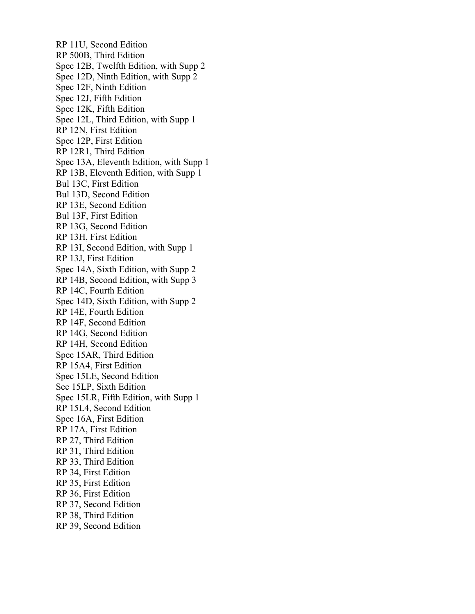RP 11U, Second Edition RP 500B, Third Edition Spec 12B, Twelfth Edition, with Supp 2 Spec 12D, Ninth Edition, with Supp 2 Spec 12F, Ninth Edition Spec 12J, Fifth Edition Spec 12K, Fifth Edition Spec 12L, Third Edition, with Supp 1 RP 12N, First Edition Spec 12P, First Edition RP 12R1, Third Edition Spec 13A, Eleventh Edition, with Supp 1 RP 13B, Eleventh Edition, with Supp 1 Bul 13C, First Edition Bul 13D, Second Edition RP 13E, Second Edition Bul 13F, First Edition RP 13G, Second Edition RP 13H, First Edition RP 13I, Second Edition, with Supp 1 RP 13J, First Edition Spec 14A, Sixth Edition, with Supp 2 RP 14B, Second Edition, with Supp 3 RP 14C, Fourth Edition Spec 14D, Sixth Edition, with Supp 2 RP 14E, Fourth Edition RP 14F, Second Edition RP 14G, Second Edition RP 14H, Second Edition Spec 15AR, Third Edition RP 15A4, First Edition Spec 15LE, Second Edition Sec 15LP, Sixth Edition Spec 15LR, Fifth Edition, with Supp 1 RP 15L4, Second Edition Spec 16A, First Edition RP 17A, First Edition RP 27, Third Edition RP 31, Third Edition RP 33, Third Edition RP 34, First Edition RP 35, First Edition RP 36, First Edition RP 37, Second Edition RP 38, Third Edition RP 39, Second Edition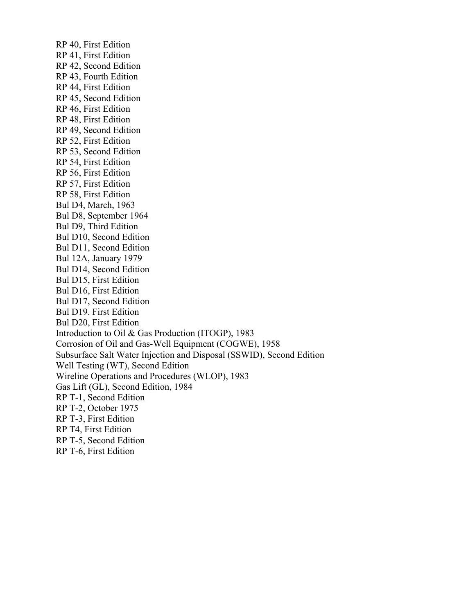RP 40, First Edition RP 41, First Edition RP 42, Second Edition RP 43, Fourth Edition RP 44, First Edition RP 45, Second Edition RP 46, First Edition RP 48, First Edition RP 49, Second Edition RP 52, First Edition RP 53, Second Edition RP 54, First Edition RP 56, First Edition RP 57, First Edition RP 58, First Edition Bul D4, March, 1963 Bul D8, September 1964 Bul D9, Third Edition Bul D10, Second Edition Bul D11, Second Edition Bul 12A, January 1979 Bul D14, Second Edition Bul D15, First Edition Bul D16, First Edition Bul D17, Second Edition Bul D19. First Edition Bul D20, First Edition Introduction to Oil & Gas Production (ITOGP), 1983 Corrosion of Oil and Gas-Well Equipment (COGWE), 1958 Subsurface Salt Water Injection and Disposal (SSWID), Second Edition Well Testing (WT), Second Edition Wireline Operations and Procedures (WLOP), 1983 Gas Lift (GL), Second Edition, 1984 RP T-1, Second Edition RP T-2, October 1975 RP T-3, First Edition RP T4, First Edition RP T-5, Second Edition RP T-6, First Edition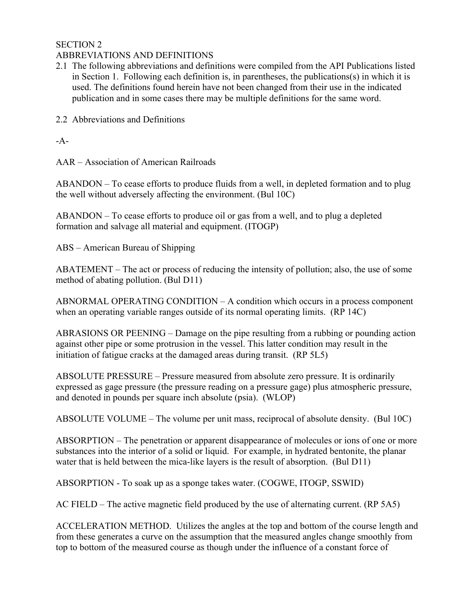## SECTION 2 ABBREVIATIONS AND DEFINITIONS

2.1 The following abbreviations and definitions were compiled from the API Publications listed in Section 1. Following each definition is, in parentheses, the publications(s) in which it is used. The definitions found herein have not been changed from their use in the indicated publication and in some cases there may be multiple definitions for the same word.

2.2 Abbreviations and Definitions

-A-

AAR – Association of American Railroads

ABANDON – To cease efforts to produce fluids from a well, in depleted formation and to plug the well without adversely affecting the environment. (Bul 10C)

ABANDON – To cease efforts to produce oil or gas from a well, and to plug a depleted formation and salvage all material and equipment. (ITOGP)

ABS – American Bureau of Shipping

ABATEMENT – The act or process of reducing the intensity of pollution; also, the use of some method of abating pollution. (Bul D11)

ABNORMAL OPERATING CONDITION – A condition which occurs in a process component when an operating variable ranges outside of its normal operating limits. (RP 14C)

ABRASIONS OR PEENING – Damage on the pipe resulting from a rubbing or pounding action against other pipe or some protrusion in the vessel. This latter condition may result in the initiation of fatigue cracks at the damaged areas during transit. (RP 5L5)

ABSOLUTE PRESSURE – Pressure measured from absolute zero pressure. It is ordinarily expressed as gage pressure (the pressure reading on a pressure gage) plus atmospheric pressure, and denoted in pounds per square inch absolute (psia). (WLOP)

ABSOLUTE VOLUME – The volume per unit mass, reciprocal of absolute density. (Bul 10C)

ABSORPTION – The penetration or apparent disappearance of molecules or ions of one or more substances into the interior of a solid or liquid. For example, in hydrated bentonite, the planar water that is held between the mica-like layers is the result of absorption. (Bul D11)

ABSORPTION - To soak up as a sponge takes water. (COGWE, ITOGP, SSWID)

AC FIELD – The active magnetic field produced by the use of alternating current. (RP 5A5)

ACCELERATION METHOD. Utilizes the angles at the top and bottom of the course length and from these generates a curve on the assumption that the measured angles change smoothly from top to bottom of the measured course as though under the influence of a constant force of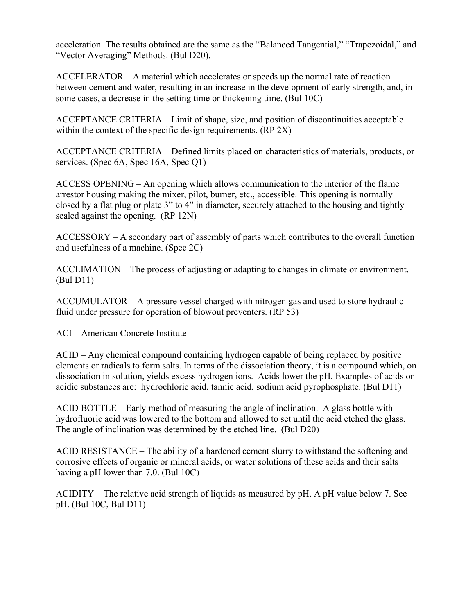acceleration. The results obtained are the same as the "Balanced Tangential," "Trapezoidal," and "Vector Averaging" Methods. (Bul D20).

ACCELERATOR – A material which accelerates or speeds up the normal rate of reaction between cement and water, resulting in an increase in the development of early strength, and, in some cases, a decrease in the setting time or thickening time. (Bul 10C)

ACCEPTANCE CRITERIA – Limit of shape, size, and position of discontinuities acceptable within the context of the specific design requirements. (RP 2X)

ACCEPTANCE CRITERIA – Defined limits placed on characteristics of materials, products, or services. (Spec 6A, Spec 16A, Spec Q1)

ACCESS OPENING – An opening which allows communication to the interior of the flame arrestor housing making the mixer, pilot, burner, etc., accessible. This opening is normally closed by a flat plug or plate 3" to 4" in diameter, securely attached to the housing and tightly sealed against the opening. (RP 12N)

ACCESSORY – A secondary part of assembly of parts which contributes to the overall function and usefulness of a machine. (Spec 2C)

ACCLIMATION – The process of adjusting or adapting to changes in climate or environment. (Bul D11)

ACCUMULATOR – A pressure vessel charged with nitrogen gas and used to store hydraulic fluid under pressure for operation of blowout preventers. (RP 53)

ACI – American Concrete Institute

ACID – Any chemical compound containing hydrogen capable of being replaced by positive elements or radicals to form salts. In terms of the dissociation theory, it is a compound which, on dissociation in solution, yields excess hydrogen ions. Acids lower the pH. Examples of acids or acidic substances are: hydrochloric acid, tannic acid, sodium acid pyrophosphate. (Bul D11)

ACID BOTTLE – Early method of measuring the angle of inclination. A glass bottle with hydrofluoric acid was lowered to the bottom and allowed to set until the acid etched the glass. The angle of inclination was determined by the etched line. (Bul D20)

ACID RESISTANCE – The ability of a hardened cement slurry to withstand the softening and corrosive effects of organic or mineral acids, or water solutions of these acids and their salts having a pH lower than 7.0. (Bul 10C)

ACIDITY – The relative acid strength of liquids as measured by pH. A pH value below 7. See pH. (Bul 10C, Bul D11)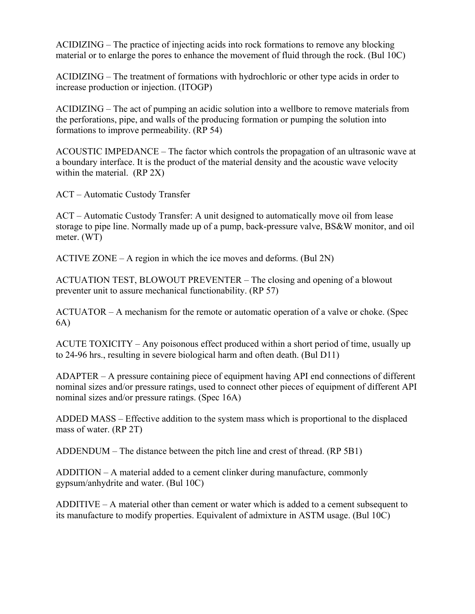ACIDIZING – The practice of injecting acids into rock formations to remove any blocking material or to enlarge the pores to enhance the movement of fluid through the rock. (Bul 10C)

ACIDIZING – The treatment of formations with hydrochloric or other type acids in order to increase production or injection. (ITOGP)

ACIDIZING – The act of pumping an acidic solution into a wellbore to remove materials from the perforations, pipe, and walls of the producing formation or pumping the solution into formations to improve permeability. (RP 54)

ACOUSTIC IMPEDANCE – The factor which controls the propagation of an ultrasonic wave at a boundary interface. It is the product of the material density and the acoustic wave velocity within the material. (RP 2X)

ACT – Automatic Custody Transfer

ACT – Automatic Custody Transfer: A unit designed to automatically move oil from lease storage to pipe line. Normally made up of a pump, back-pressure valve, BS&W monitor, and oil meter. (WT)

ACTIVE ZONE – A region in which the ice moves and deforms. (Bul 2N)

ACTUATION TEST, BLOWOUT PREVENTER – The closing and opening of a blowout preventer unit to assure mechanical functionability. (RP 57)

ACTUATOR – A mechanism for the remote or automatic operation of a valve or choke. (Spec 6A)

ACUTE TOXICITY – Any poisonous effect produced within a short period of time, usually up to 24-96 hrs., resulting in severe biological harm and often death. (Bul D11)

ADAPTER – A pressure containing piece of equipment having API end connections of different nominal sizes and/or pressure ratings, used to connect other pieces of equipment of different API nominal sizes and/or pressure ratings. (Spec 16A)

ADDED MASS – Effective addition to the system mass which is proportional to the displaced mass of water. (RP 2T)

ADDENDUM – The distance between the pitch line and crest of thread. (RP 5B1)

ADDITION – A material added to a cement clinker during manufacture, commonly gypsum/anhydrite and water. (Bul 10C)

ADDITIVE – A material other than cement or water which is added to a cement subsequent to its manufacture to modify properties. Equivalent of admixture in ASTM usage. (Bul 10C)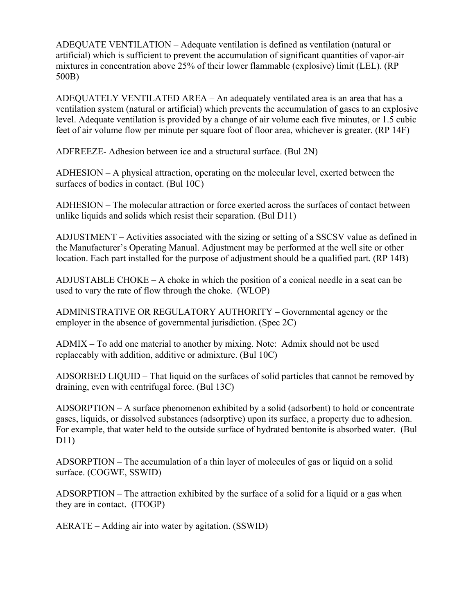ADEQUATE VENTILATION – Adequate ventilation is defined as ventilation (natural or artificial) which is sufficient to prevent the accumulation of significant quantities of vapor-air mixtures in concentration above 25% of their lower flammable (explosive) limit (LEL). (RP 500B)

ADEQUATELY VENTILATED AREA – An adequately ventilated area is an area that has a ventilation system (natural or artificial) which prevents the accumulation of gases to an explosive level. Adequate ventilation is provided by a change of air volume each five minutes, or 1.5 cubic feet of air volume flow per minute per square foot of floor area, whichever is greater. (RP 14F)

ADFREEZE- Adhesion between ice and a structural surface. (Bul 2N)

ADHESION – A physical attraction, operating on the molecular level, exerted between the surfaces of bodies in contact. (Bul 10C)

ADHESION – The molecular attraction or force exerted across the surfaces of contact between unlike liquids and solids which resist their separation. (Bul D11)

ADJUSTMENT – Activities associated with the sizing or setting of a SSCSV value as defined in the Manufacturer's Operating Manual. Adjustment may be performed at the well site or other location. Each part installed for the purpose of adjustment should be a qualified part. (RP 14B)

ADJUSTABLE CHOKE – A choke in which the position of a conical needle in a seat can be used to vary the rate of flow through the choke. (WLOP)

ADMINISTRATIVE OR REGULATORY AUTHORITY – Governmental agency or the employer in the absence of governmental jurisdiction. (Spec 2C)

ADMIX – To add one material to another by mixing. Note: Admix should not be used replaceably with addition, additive or admixture. (Bul 10C)

ADSORBED LIQUID – That liquid on the surfaces of solid particles that cannot be removed by draining, even with centrifugal force. (Bul 13C)

ADSORPTION – A surface phenomenon exhibited by a solid (adsorbent) to hold or concentrate gases, liquids, or dissolved substances (adsorptive) upon its surface, a property due to adhesion. For example, that water held to the outside surface of hydrated bentonite is absorbed water. (Bul D11)

ADSORPTION – The accumulation of a thin layer of molecules of gas or liquid on a solid surface. (COGWE, SSWID)

ADSORPTION – The attraction exhibited by the surface of a solid for a liquid or a gas when they are in contact. (ITOGP)

AERATE – Adding air into water by agitation. (SSWID)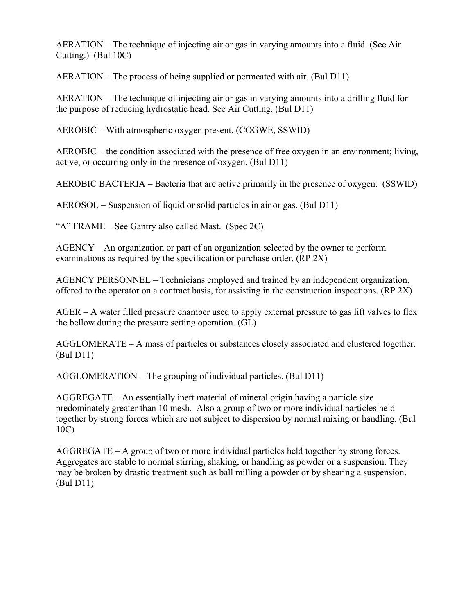AERATION – The technique of injecting air or gas in varying amounts into a fluid. (See Air Cutting.) (Bul 10C)

AERATION – The process of being supplied or permeated with air. (Bul D11)

AERATION – The technique of injecting air or gas in varying amounts into a drilling fluid for the purpose of reducing hydrostatic head. See Air Cutting. (Bul D11)

AEROBIC – With atmospheric oxygen present. (COGWE, SSWID)

AEROBIC – the condition associated with the presence of free oxygen in an environment; living, active, or occurring only in the presence of oxygen. (Bul D11)

AEROBIC BACTERIA – Bacteria that are active primarily in the presence of oxygen. (SSWID)

AEROSOL – Suspension of liquid or solid particles in air or gas. (Bul D11)

"A" FRAME – See Gantry also called Mast. (Spec 2C)

AGENCY – An organization or part of an organization selected by the owner to perform examinations as required by the specification or purchase order. (RP 2X)

AGENCY PERSONNEL – Technicians employed and trained by an independent organization, offered to the operator on a contract basis, for assisting in the construction inspections. (RP 2X)

AGER – A water filled pressure chamber used to apply external pressure to gas lift valves to flex the bellow during the pressure setting operation. (GL)

AGGLOMERATE – A mass of particles or substances closely associated and clustered together. (Bul D11)

AGGLOMERATION – The grouping of individual particles. (Bul D11)

AGGREGATE – An essentially inert material of mineral origin having a particle size predominately greater than 10 mesh. Also a group of two or more individual particles held together by strong forces which are not subject to dispersion by normal mixing or handling. (Bul 10C)

AGGREGATE – A group of two or more individual particles held together by strong forces. Aggregates are stable to normal stirring, shaking, or handling as powder or a suspension. They may be broken by drastic treatment such as ball milling a powder or by shearing a suspension. (Bul D11)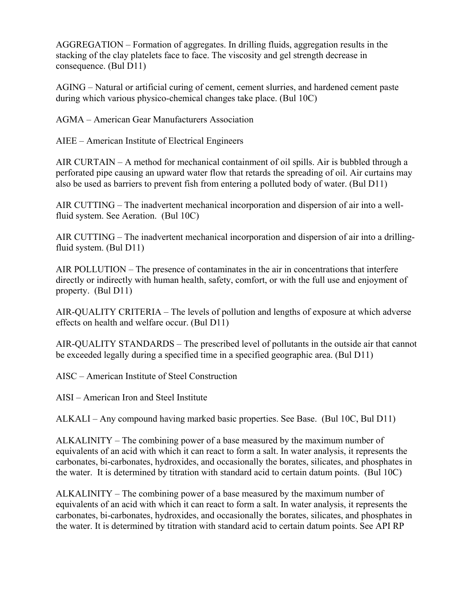AGGREGATION – Formation of aggregates. In drilling fluids, aggregation results in the stacking of the clay platelets face to face. The viscosity and gel strength decrease in consequence. (Bul D11)

AGING – Natural or artificial curing of cement, cement slurries, and hardened cement paste during which various physico-chemical changes take place. (Bul 10C)

AGMA – American Gear Manufacturers Association

AIEE – American Institute of Electrical Engineers

AIR CURTAIN – A method for mechanical containment of oil spills. Air is bubbled through a perforated pipe causing an upward water flow that retards the spreading of oil. Air curtains may also be used as barriers to prevent fish from entering a polluted body of water. (Bul D11)

AIR CUTTING – The inadvertent mechanical incorporation and dispersion of air into a wellfluid system. See Aeration. (Bul 10C)

AIR CUTTING – The inadvertent mechanical incorporation and dispersion of air into a drillingfluid system. (Bul D11)

AIR POLLUTION – The presence of contaminates in the air in concentrations that interfere directly or indirectly with human health, safety, comfort, or with the full use and enjoyment of property. (Bul D11)

AIR-QUALITY CRITERIA – The levels of pollution and lengths of exposure at which adverse effects on health and welfare occur. (Bul D11)

AIR-QUALITY STANDARDS – The prescribed level of pollutants in the outside air that cannot be exceeded legally during a specified time in a specified geographic area. (Bul D11)

AISC – American Institute of Steel Construction

AISI – American Iron and Steel Institute

ALKALI – Any compound having marked basic properties. See Base. (Bul 10C, Bul D11)

ALKALINITY – The combining power of a base measured by the maximum number of equivalents of an acid with which it can react to form a salt. In water analysis, it represents the carbonates, bi-carbonates, hydroxides, and occasionally the borates, silicates, and phosphates in the water. It is determined by titration with standard acid to certain datum points. (Bul 10C)

ALKALINITY – The combining power of a base measured by the maximum number of equivalents of an acid with which it can react to form a salt. In water analysis, it represents the carbonates, bi-carbonates, hydroxides, and occasionally the borates, silicates, and phosphates in the water. It is determined by titration with standard acid to certain datum points. See API RP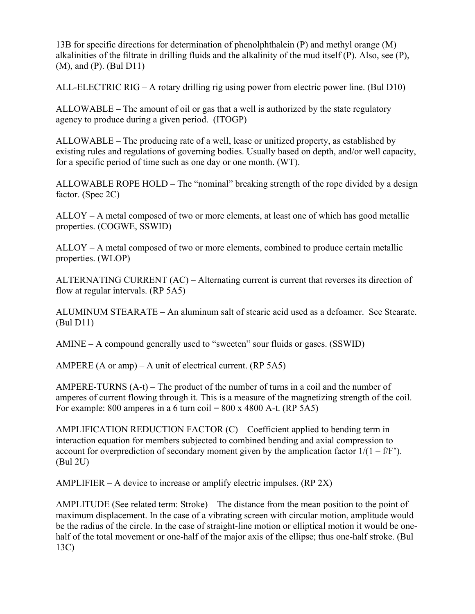13B for specific directions for determination of phenolphthalein (P) and methyl orange (M) alkalinities of the filtrate in drilling fluids and the alkalinity of the mud itself (P). Also, see (P), (M), and (P). (Bul D11)

ALL-ELECTRIC RIG – A rotary drilling rig using power from electric power line. (Bul D10)

ALLOWABLE – The amount of oil or gas that a well is authorized by the state regulatory agency to produce during a given period. (ITOGP)

ALLOWABLE – The producing rate of a well, lease or unitized property, as established by existing rules and regulations of governing bodies. Usually based on depth, and/or well capacity, for a specific period of time such as one day or one month. (WT).

ALLOWABLE ROPE HOLD – The "nominal" breaking strength of the rope divided by a design factor. (Spec 2C)

ALLOY – A metal composed of two or more elements, at least one of which has good metallic properties. (COGWE, SSWID)

ALLOY – A metal composed of two or more elements, combined to produce certain metallic properties. (WLOP)

ALTERNATING CURRENT (AC) – Alternating current is current that reverses its direction of flow at regular intervals. (RP 5A5)

ALUMINUM STEARATE – An aluminum salt of stearic acid used as a defoamer. See Stearate. (Bul D11)

AMINE – A compound generally used to "sweeten" sour fluids or gases. (SSWID)

AMPERE  $(A \text{ or amp}) - A$  unit of electrical current.  $(RP 5A5)$ 

AMPERE-TURNS  $(A-t)$  – The product of the number of turns in a coil and the number of amperes of current flowing through it. This is a measure of the magnetizing strength of the coil. For example: 800 amperes in a 6 turn coil = 800 x 4800 A-t. (RP 5A5)

AMPLIFICATION REDUCTION FACTOR (C) – Coefficient applied to bending term in interaction equation for members subjected to combined bending and axial compression to account for overprediction of secondary moment given by the amplication factor  $1/(1 - f/F')$ . (Bul 2U)

AMPLIFIER – A device to increase or amplify electric impulses. (RP 2X)

AMPLITUDE (See related term: Stroke) – The distance from the mean position to the point of maximum displacement. In the case of a vibrating screen with circular motion, amplitude would be the radius of the circle. In the case of straight-line motion or elliptical motion it would be onehalf of the total movement or one-half of the major axis of the ellipse; thus one-half stroke. (Bul 13C)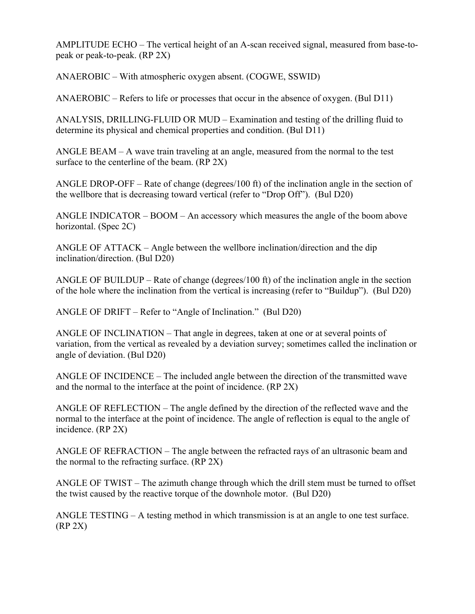AMPLITUDE ECHO – The vertical height of an A-scan received signal, measured from base-topeak or peak-to-peak. (RP 2X)

ANAEROBIC – With atmospheric oxygen absent. (COGWE, SSWID)

ANAEROBIC – Refers to life or processes that occur in the absence of oxygen. (Bul D11)

ANALYSIS, DRILLING-FLUID OR MUD – Examination and testing of the drilling fluid to determine its physical and chemical properties and condition. (Bul D11)

ANGLE BEAM – A wave train traveling at an angle, measured from the normal to the test surface to the centerline of the beam. (RP 2X)

ANGLE DROP-OFF – Rate of change (degrees/100 ft) of the inclination angle in the section of the wellbore that is decreasing toward vertical (refer to "Drop Off"). (Bul D20)

ANGLE INDICATOR – BOOM – An accessory which measures the angle of the boom above horizontal. (Spec 2C)

ANGLE OF ATTACK – Angle between the wellbore inclination/direction and the dip inclination/direction. (Bul D20)

ANGLE OF BUILDUP – Rate of change (degrees/100 ft) of the inclination angle in the section of the hole where the inclination from the vertical is increasing (refer to "Buildup"). (Bul D20)

ANGLE OF DRIFT – Refer to "Angle of Inclination." (Bul D20)

ANGLE OF INCLINATION – That angle in degrees, taken at one or at several points of variation, from the vertical as revealed by a deviation survey; sometimes called the inclination or angle of deviation. (Bul D20)

ANGLE OF INCIDENCE – The included angle between the direction of the transmitted wave and the normal to the interface at the point of incidence. (RP 2X)

ANGLE OF REFLECTION – The angle defined by the direction of the reflected wave and the normal to the interface at the point of incidence. The angle of reflection is equal to the angle of incidence. (RP 2X)

ANGLE OF REFRACTION – The angle between the refracted rays of an ultrasonic beam and the normal to the refracting surface. (RP 2X)

ANGLE OF TWIST – The azimuth change through which the drill stem must be turned to offset the twist caused by the reactive torque of the downhole motor. (Bul D20)

ANGLE TESTING – A testing method in which transmission is at an angle to one test surface. (RP 2X)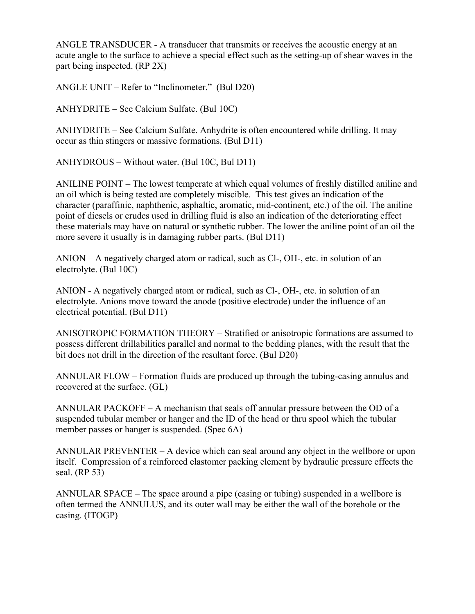ANGLE TRANSDUCER - A transducer that transmits or receives the acoustic energy at an acute angle to the surface to achieve a special effect such as the setting-up of shear waves in the part being inspected. (RP 2X)

ANGLE UNIT – Refer to "Inclinometer." (Bul D20)

ANHYDRITE – See Calcium Sulfate. (Bul 10C)

ANHYDRITE – See Calcium Sulfate. Anhydrite is often encountered while drilling. It may occur as thin stingers or massive formations. (Bul D11)

ANHYDROUS – Without water. (Bul 10C, Bul D11)

ANILINE POINT – The lowest temperate at which equal volumes of freshly distilled aniline and an oil which is being tested are completely miscible. This test gives an indication of the character (paraffinic, naphthenic, asphaltic, aromatic, mid-continent, etc.) of the oil. The aniline point of diesels or crudes used in drilling fluid is also an indication of the deteriorating effect these materials may have on natural or synthetic rubber. The lower the aniline point of an oil the more severe it usually is in damaging rubber parts. (Bul D11)

ANION – A negatively charged atom or radical, such as Cl-, OH-, etc. in solution of an electrolyte. (Bul 10C)

ANION - A negatively charged atom or radical, such as Cl-, OH-, etc. in solution of an electrolyte. Anions move toward the anode (positive electrode) under the influence of an electrical potential. (Bul D11)

ANISOTROPIC FORMATION THEORY – Stratified or anisotropic formations are assumed to possess different drillabilities parallel and normal to the bedding planes, with the result that the bit does not drill in the direction of the resultant force. (Bul D20)

ANNULAR FLOW – Formation fluids are produced up through the tubing-casing annulus and recovered at the surface. (GL)

ANNULAR PACKOFF – A mechanism that seals off annular pressure between the OD of a suspended tubular member or hanger and the ID of the head or thru spool which the tubular member passes or hanger is suspended. (Spec 6A)

ANNULAR PREVENTER – A device which can seal around any object in the wellbore or upon itself. Compression of a reinforced elastomer packing element by hydraulic pressure effects the seal. (RP 53)

ANNULAR SPACE – The space around a pipe (casing or tubing) suspended in a wellbore is often termed the ANNULUS, and its outer wall may be either the wall of the borehole or the casing. (ITOGP)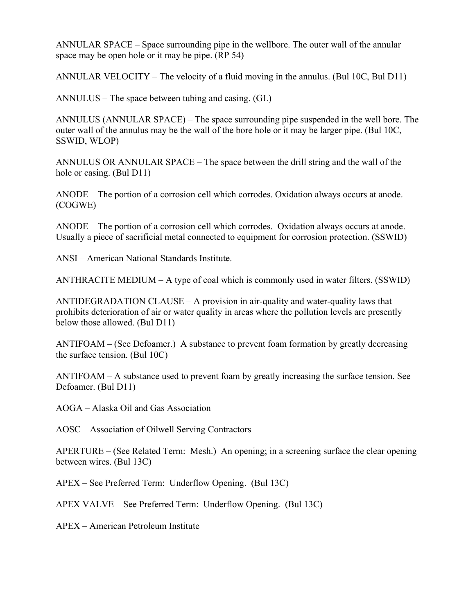ANNULAR SPACE – Space surrounding pipe in the wellbore. The outer wall of the annular space may be open hole or it may be pipe. (RP 54)

ANNULAR VELOCITY – The velocity of a fluid moving in the annulus. (Bul 10C, Bul D11)

ANNULUS – The space between tubing and casing. (GL)

ANNULUS (ANNULAR SPACE) – The space surrounding pipe suspended in the well bore. The outer wall of the annulus may be the wall of the bore hole or it may be larger pipe. (Bul 10C, SSWID, WLOP)

ANNULUS OR ANNULAR SPACE – The space between the drill string and the wall of the hole or casing. (Bul D11)

ANODE – The portion of a corrosion cell which corrodes. Oxidation always occurs at anode. (COGWE)

ANODE – The portion of a corrosion cell which corrodes. Oxidation always occurs at anode. Usually a piece of sacrificial metal connected to equipment for corrosion protection. (SSWID)

ANSI – American National Standards Institute.

ANTHRACITE MEDIUM – A type of coal which is commonly used in water filters. (SSWID)

ANTIDEGRADATION CLAUSE – A provision in air-quality and water-quality laws that prohibits deterioration of air or water quality in areas where the pollution levels are presently below those allowed. (Bul D11)

ANTIFOAM – (See Defoamer.) A substance to prevent foam formation by greatly decreasing the surface tension. (Bul 10C)

ANTIFOAM – A substance used to prevent foam by greatly increasing the surface tension. See Defoamer. (Bul D11)

AOGA – Alaska Oil and Gas Association

AOSC – Association of Oilwell Serving Contractors

APERTURE – (See Related Term: Mesh.) An opening; in a screening surface the clear opening between wires. (Bul 13C)

APEX – See Preferred Term: Underflow Opening. (Bul 13C)

APEX VALVE – See Preferred Term: Underflow Opening. (Bul 13C)

APEX – American Petroleum Institute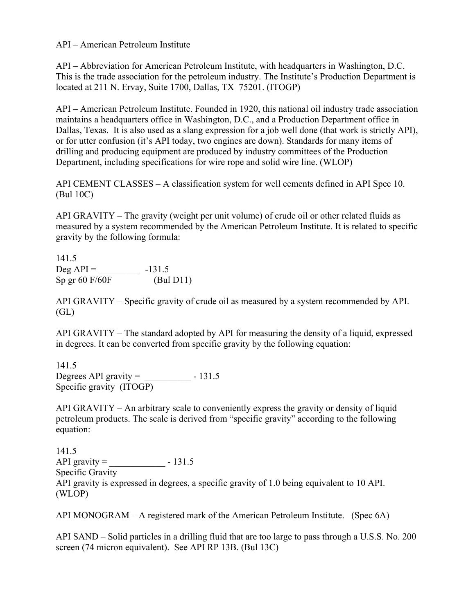API – American Petroleum Institute

API – Abbreviation for American Petroleum Institute, with headquarters in Washington, D.C. This is the trade association for the petroleum industry. The Institute's Production Department is located at 211 N. Ervay, Suite 1700, Dallas, TX 75201. (ITOGP)

API – American Petroleum Institute. Founded in 1920, this national oil industry trade association maintains a headquarters office in Washington, D.C., and a Production Department office in Dallas, Texas. It is also used as a slang expression for a job well done (that work is strictly API), or for utter confusion (it's API today, two engines are down). Standards for many items of drilling and producing equipment are produced by industry committees of the Production Department, including specifications for wire rope and solid wire line. (WLOP)

API CEMENT CLASSES – A classification system for well cements defined in API Spec 10. (Bul 10C)

API GRAVITY – The gravity (weight per unit volume) of crude oil or other related fluids as measured by a system recommended by the American Petroleum Institute. It is related to specific gravity by the following formula:

141.5  $Deg API =$  -131.5 Sp gr 60 F/60F (Bul D11)

API GRAVITY – Specific gravity of crude oil as measured by a system recommended by API. (GL)

API GRAVITY – The standard adopted by API for measuring the density of a liquid, expressed in degrees. It can be converted from specific gravity by the following equation:

141.5 Degrees API gravity = \_\_\_\_\_\_\_\_\_\_ - 131.5 Specific gravity (ITOGP)

API GRAVITY – An arbitrary scale to conveniently express the gravity or density of liquid petroleum products. The scale is derived from "specific gravity" according to the following equation:

141.5 API gravity =  $-131.5$ Specific Gravity API gravity is expressed in degrees, a specific gravity of 1.0 being equivalent to 10 API. (WLOP)

API MONOGRAM – A registered mark of the American Petroleum Institute. (Spec 6A)

API SAND – Solid particles in a drilling fluid that are too large to pass through a U.S.S. No. 200 screen (74 micron equivalent). See API RP 13B. (Bul 13C)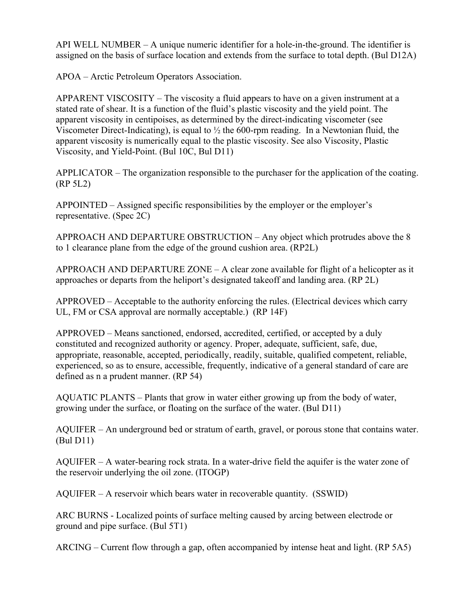API WELL NUMBER – A unique numeric identifier for a hole-in-the-ground. The identifier is assigned on the basis of surface location and extends from the surface to total depth. (Bul D12A)

APOA – Arctic Petroleum Operators Association.

APPARENT VISCOSITY – The viscosity a fluid appears to have on a given instrument at a stated rate of shear. It is a function of the fluid's plastic viscosity and the yield point. The apparent viscosity in centipoises, as determined by the direct-indicating viscometer (see Viscometer Direct-Indicating), is equal to  $\frac{1}{2}$  the 600-rpm reading. In a Newtonian fluid, the apparent viscosity is numerically equal to the plastic viscosity. See also Viscosity, Plastic Viscosity, and Yield-Point. (Bul 10C, Bul D11)

APPLICATOR – The organization responsible to the purchaser for the application of the coating. (RP 5L2)

APPOINTED – Assigned specific responsibilities by the employer or the employer's representative. (Spec 2C)

APPROACH AND DEPARTURE OBSTRUCTION – Any object which protrudes above the 8 to 1 clearance plane from the edge of the ground cushion area. (RP2L)

APPROACH AND DEPARTURE ZONE – A clear zone available for flight of a helicopter as it approaches or departs from the heliport's designated takeoff and landing area. (RP 2L)

APPROVED – Acceptable to the authority enforcing the rules. (Electrical devices which carry UL, FM or CSA approval are normally acceptable.) (RP 14F)

APPROVED – Means sanctioned, endorsed, accredited, certified, or accepted by a duly constituted and recognized authority or agency. Proper, adequate, sufficient, safe, due, appropriate, reasonable, accepted, periodically, readily, suitable, qualified competent, reliable, experienced, so as to ensure, accessible, frequently, indicative of a general standard of care are defined as n a prudent manner. (RP 54)

AQUATIC PLANTS – Plants that grow in water either growing up from the body of water, growing under the surface, or floating on the surface of the water. (Bul D11)

AQUIFER – An underground bed or stratum of earth, gravel, or porous stone that contains water. (Bul D11)

AQUIFER – A water-bearing rock strata. In a water-drive field the aquifer is the water zone of the reservoir underlying the oil zone. (ITOGP)

AQUIFER – A reservoir which bears water in recoverable quantity. (SSWID)

ARC BURNS - Localized points of surface melting caused by arcing between electrode or ground and pipe surface. (Bul 5T1)

ARCING – Current flow through a gap, often accompanied by intense heat and light. (RP 5A5)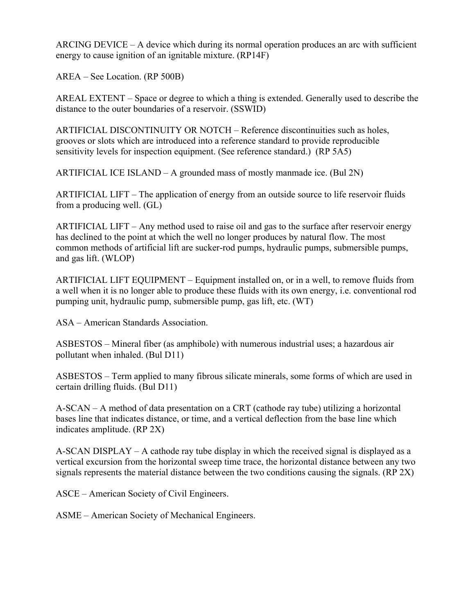ARCING DEVICE – A device which during its normal operation produces an arc with sufficient energy to cause ignition of an ignitable mixture. (RP14F)

AREA – See Location. (RP 500B)

AREAL EXTENT – Space or degree to which a thing is extended. Generally used to describe the distance to the outer boundaries of a reservoir. (SSWID)

ARTIFICIAL DISCONTINUITY OR NOTCH – Reference discontinuities such as holes, grooves or slots which are introduced into a reference standard to provide reproducible sensitivity levels for inspection equipment. (See reference standard.) (RP 5A5)

ARTIFICIAL ICE ISLAND – A grounded mass of mostly manmade ice. (Bul 2N)

ARTIFICIAL LIFT – The application of energy from an outside source to life reservoir fluids from a producing well. (GL)

ARTIFICIAL LIFT – Any method used to raise oil and gas to the surface after reservoir energy has declined to the point at which the well no longer produces by natural flow. The most common methods of artificial lift are sucker-rod pumps, hydraulic pumps, submersible pumps, and gas lift. (WLOP)

ARTIFICIAL LIFT EQUIPMENT – Equipment installed on, or in a well, to remove fluids from a well when it is no longer able to produce these fluids with its own energy, i.e. conventional rod pumping unit, hydraulic pump, submersible pump, gas lift, etc. (WT)

ASA – American Standards Association.

ASBESTOS – Mineral fiber (as amphibole) with numerous industrial uses; a hazardous air pollutant when inhaled. (Bul D11)

ASBESTOS – Term applied to many fibrous silicate minerals, some forms of which are used in certain drilling fluids. (Bul D11)

A-SCAN – A method of data presentation on a CRT (cathode ray tube) utilizing a horizontal bases line that indicates distance, or time, and a vertical deflection from the base line which indicates amplitude. (RP 2X)

A-SCAN DISPLAY – A cathode ray tube display in which the received signal is displayed as a vertical excursion from the horizontal sweep time trace, the horizontal distance between any two signals represents the material distance between the two conditions causing the signals. (RP 2X)

ASCE – American Society of Civil Engineers.

ASME – American Society of Mechanical Engineers.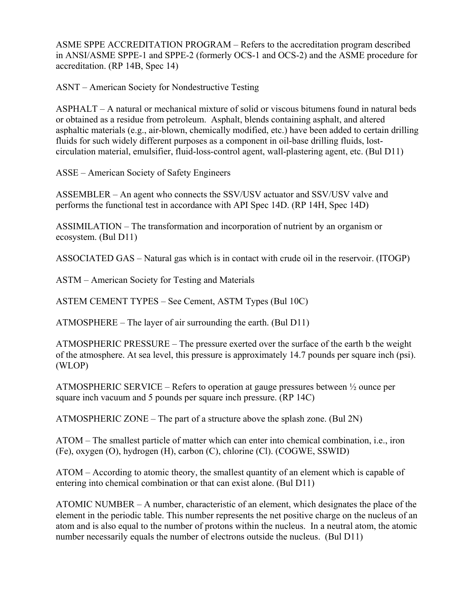ASME SPPE ACCREDITATION PROGRAM – Refers to the accreditation program described in ANSI/ASME SPPE-1 and SPPE-2 (formerly OCS-1 and OCS-2) and the ASME procedure for accreditation. (RP 14B, Spec 14)

ASNT – American Society for Nondestructive Testing

ASPHALT – A natural or mechanical mixture of solid or viscous bitumens found in natural beds or obtained as a residue from petroleum. Asphalt, blends containing asphalt, and altered asphaltic materials (e.g., air-blown, chemically modified, etc.) have been added to certain drilling fluids for such widely different purposes as a component in oil-base drilling fluids, lostcirculation material, emulsifier, fluid-loss-control agent, wall-plastering agent, etc. (Bul D11)

ASSE – American Society of Safety Engineers

ASSEMBLER – An agent who connects the SSV/USV actuator and SSV/USV valve and performs the functional test in accordance with API Spec 14D. (RP 14H, Spec 14D)

ASSIMILATION – The transformation and incorporation of nutrient by an organism or ecosystem. (Bul D11)

ASSOCIATED GAS – Natural gas which is in contact with crude oil in the reservoir. (ITOGP)

ASTM – American Society for Testing and Materials

ASTEM CEMENT TYPES – See Cement, ASTM Types (Bul 10C)

ATMOSPHERE – The layer of air surrounding the earth. (Bul D11)

ATMOSPHERIC PRESSURE – The pressure exerted over the surface of the earth b the weight of the atmosphere. At sea level, this pressure is approximately 14.7 pounds per square inch (psi). (WLOP)

ATMOSPHERIC SERVICE – Refers to operation at gauge pressures between  $\frac{1}{2}$  ounce per square inch vacuum and 5 pounds per square inch pressure. (RP 14C)

ATMOSPHERIC ZONE – The part of a structure above the splash zone. (Bul 2N)

ATOM – The smallest particle of matter which can enter into chemical combination, i.e., iron (Fe), oxygen (O), hydrogen (H), carbon (C), chlorine (Cl). (COGWE, SSWID)

ATOM – According to atomic theory, the smallest quantity of an element which is capable of entering into chemical combination or that can exist alone. (Bul D11)

ATOMIC NUMBER – A number, characteristic of an element, which designates the place of the element in the periodic table. This number represents the net positive charge on the nucleus of an atom and is also equal to the number of protons within the nucleus. In a neutral atom, the atomic number necessarily equals the number of electrons outside the nucleus. (Bul D11)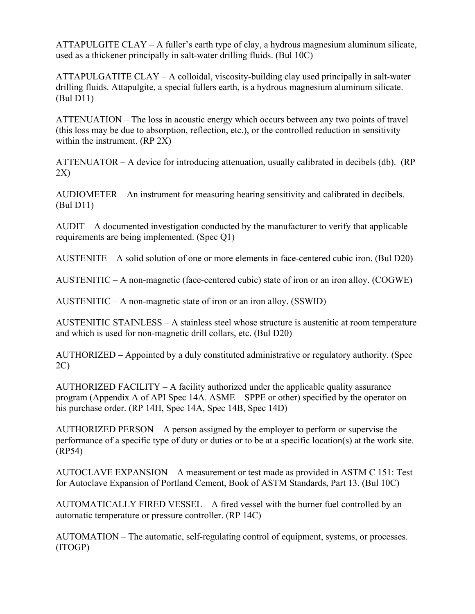ATTAPULGITE CLAY – A fuller's earth type of clay, a hydrous magnesium aluminum silicate, used as a thickener principally in salt-water drilling fluids. (Bul 10C)

ATTAPULGATITE CLAY – A colloidal, viscosity-building clay used principally in salt-water drilling fluids. Attapulgite, a special fullers earth, is a hydrous magnesium aluminum silicate. (Bul D11)

ATTENUATION – The loss in acoustic energy which occurs between any two points of travel (this loss may be due to absorption, reflection, etc.), or the controlled reduction in sensitivity within the instrument. (RP 2X)

ATTENUATOR – A device for introducing attenuation, usually calibrated in decibels (db). (RP 2X)

AUDIOMETER – An instrument for measuring hearing sensitivity and calibrated in decibels. (Bul D11)

AUDIT – A documented investigation conducted by the manufacturer to verify that applicable requirements are being implemented. (Spec Q1)

AUSTENITE – A solid solution of one or more elements in face-centered cubic iron. (Bul D20)

AUSTENITIC – A non-magnetic (face-centered cubic) state of iron or an iron alloy. (COGWE)

AUSTENITIC – A non-magnetic state of iron or an iron alloy. (SSWID)

AUSTENITIC STAINLESS – A stainless steel whose structure is austenitic at room temperature and which is used for non-magnetic drill collars, etc. (Bul D20)

AUTHORIZED – Appointed by a duly constituted administrative or regulatory authority. (Spec 2C)

AUTHORIZED FACILITY – A facility authorized under the applicable quality assurance program (Appendix A of API Spec 14A. ASME – SPPE or other) specified by the operator on his purchase order. (RP 14H, Spec 14A, Spec 14B, Spec 14D)

AUTHORIZED PERSON – A person assigned by the employer to perform or supervise the performance of a specific type of duty or duties or to be at a specific location(s) at the work site. (RP54)

AUTOCLAVE EXPANSION – A measurement or test made as provided in ASTM C 151: Test for Autoclave Expansion of Portland Cement, Book of ASTM Standards, Part 13. (Bul 10C)

AUTOMATICALLY FIRED VESSEL – A fired vessel with the burner fuel controlled by an automatic temperature or pressure controller. (RP 14C)

AUTOMATION – The automatic, self-regulating control of equipment, systems, or processes. (ITOGP)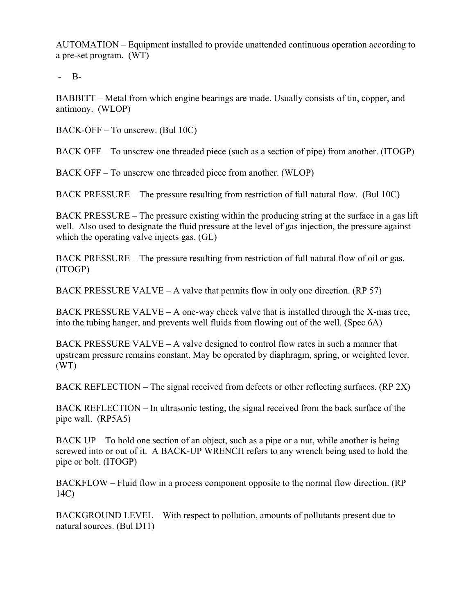AUTOMATION – Equipment installed to provide unattended continuous operation according to a pre-set program. (WT)

- B-

BABBITT – Metal from which engine bearings are made. Usually consists of tin, copper, and antimony. (WLOP)

BACK-OFF – To unscrew. (Bul 10C)

BACK OFF – To unscrew one threaded piece (such as a section of pipe) from another. (ITOGP)

BACK OFF – To unscrew one threaded piece from another. (WLOP)

BACK PRESSURE – The pressure resulting from restriction of full natural flow. (Bul 10C)

BACK PRESSURE – The pressure existing within the producing string at the surface in a gas lift well. Also used to designate the fluid pressure at the level of gas injection, the pressure against which the operating valve injects gas. (GL)

BACK PRESSURE – The pressure resulting from restriction of full natural flow of oil or gas. (ITOGP)

BACK PRESSURE VALVE – A valve that permits flow in only one direction. (RP 57)

BACK PRESSURE VALVE – A one-way check valve that is installed through the X-mas tree, into the tubing hanger, and prevents well fluids from flowing out of the well. (Spec 6A)

BACK PRESSURE VALVE – A valve designed to control flow rates in such a manner that upstream pressure remains constant. May be operated by diaphragm, spring, or weighted lever. (WT)

BACK REFLECTION – The signal received from defects or other reflecting surfaces. (RP 2X)

BACK REFLECTION – In ultrasonic testing, the signal received from the back surface of the pipe wall. (RP5A5)

BACK UP – To hold one section of an object, such as a pipe or a nut, while another is being screwed into or out of it. A BACK-UP WRENCH refers to any wrench being used to hold the pipe or bolt. (ITOGP)

BACKFLOW – Fluid flow in a process component opposite to the normal flow direction. (RP 14C)

BACKGROUND LEVEL – With respect to pollution, amounts of pollutants present due to natural sources. (Bul D11)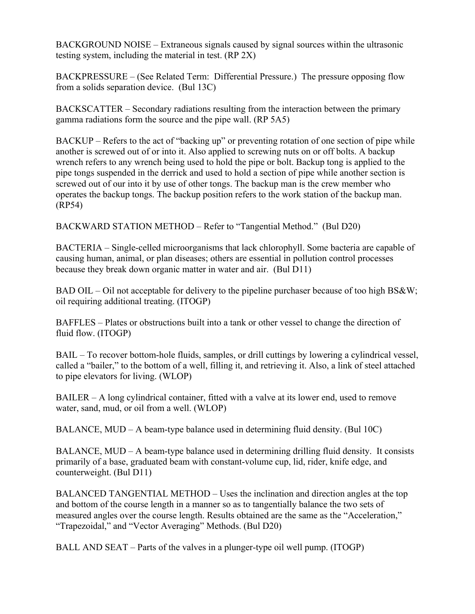BACKGROUND NOISE – Extraneous signals caused by signal sources within the ultrasonic testing system, including the material in test. (RP 2X)

BACKPRESSURE – (See Related Term: Differential Pressure.) The pressure opposing flow from a solids separation device. (Bul 13C)

BACKSCATTER – Secondary radiations resulting from the interaction between the primary gamma radiations form the source and the pipe wall. (RP 5A5)

BACKUP – Refers to the act of "backing up" or preventing rotation of one section of pipe while another is screwed out of or into it. Also applied to screwing nuts on or off bolts. A backup wrench refers to any wrench being used to hold the pipe or bolt. Backup tong is applied to the pipe tongs suspended in the derrick and used to hold a section of pipe while another section is screwed out of our into it by use of other tongs. The backup man is the crew member who operates the backup tongs. The backup position refers to the work station of the backup man. (RP54)

BACKWARD STATION METHOD – Refer to "Tangential Method." (Bul D20)

BACTERIA – Single-celled microorganisms that lack chlorophyll. Some bacteria are capable of causing human, animal, or plan diseases; others are essential in pollution control processes because they break down organic matter in water and air. (Bul D11)

BAD OIL – Oil not acceptable for delivery to the pipeline purchaser because of too high BS&W; oil requiring additional treating. (ITOGP)

BAFFLES – Plates or obstructions built into a tank or other vessel to change the direction of fluid flow. (ITOGP)

BAIL – To recover bottom-hole fluids, samples, or drill cuttings by lowering a cylindrical vessel, called a "bailer," to the bottom of a well, filling it, and retrieving it. Also, a link of steel attached to pipe elevators for living. (WLOP)

BAILER – A long cylindrical container, fitted with a valve at its lower end, used to remove water, sand, mud, or oil from a well. (WLOP)

BALANCE, MUD – A beam-type balance used in determining fluid density. (Bul 10C)

BALANCE, MUD – A beam-type balance used in determining drilling fluid density. It consists primarily of a base, graduated beam with constant-volume cup, lid, rider, knife edge, and counterweight. (Bul D11)

BALANCED TANGENTIAL METHOD – Uses the inclination and direction angles at the top and bottom of the course length in a manner so as to tangentially balance the two sets of measured angles over the course length. Results obtained are the same as the "Acceleration," "Trapezoidal," and "Vector Averaging" Methods. (Bul D20)

BALL AND SEAT – Parts of the valves in a plunger-type oil well pump. (ITOGP)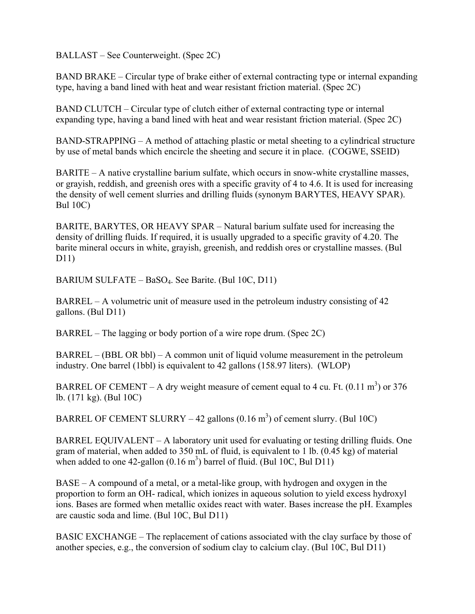BALLAST – See Counterweight. (Spec 2C)

BAND BRAKE – Circular type of brake either of external contracting type or internal expanding type, having a band lined with heat and wear resistant friction material. (Spec 2C)

BAND CLUTCH – Circular type of clutch either of external contracting type or internal expanding type, having a band lined with heat and wear resistant friction material. (Spec 2C)

BAND-STRAPPING – A method of attaching plastic or metal sheeting to a cylindrical structure by use of metal bands which encircle the sheeting and secure it in place. (COGWE, SSEID)

BARITE – A native crystalline barium sulfate, which occurs in snow-white crystalline masses, or grayish, reddish, and greenish ores with a specific gravity of 4 to 4.6. It is used for increasing the density of well cement slurries and drilling fluids (synonym BARYTES, HEAVY SPAR). Bul 10C)

BARITE, BARYTES, OR HEAVY SPAR – Natural barium sulfate used for increasing the density of drilling fluids. If required, it is usually upgraded to a specific gravity of 4.20. The barite mineral occurs in white, grayish, greenish, and reddish ores or crystalline masses. (Bul D11)

BARIUM SULFATE – BaSO4. See Barite. (Bul 10C, D11)

BARREL – A volumetric unit of measure used in the petroleum industry consisting of 42 gallons. (Bul D11)

BARREL – The lagging or body portion of a wire rope drum. (Spec 2C)

BARREL – (BBL OR bbl) – A common unit of liquid volume measurement in the petroleum industry. One barrel (1bbl) is equivalent to 42 gallons (158.97 liters). (WLOP)

BARREL OF CEMENT – A dry weight measure of cement equal to 4 cu. Ft.  $(0.11 \text{ m}^3)$  or 376 lb. (171 kg). (Bul 10C)

BARREL OF CEMENT SLURRY  $-42$  gallons (0.16 m<sup>3</sup>) of cement slurry. (Bul 10C)

BARREL EQUIVALENT – A laboratory unit used for evaluating or testing drilling fluids. One gram of material, when added to 350 mL of fluid, is equivalent to 1 lb. (0.45 kg) of material when added to one 42-gallon  $(0.16 \text{ m}^3)$  barrel of fluid. (Bul 10C, Bul D11)

BASE – A compound of a metal, or a metal-like group, with hydrogen and oxygen in the proportion to form an OH- radical, which ionizes in aqueous solution to yield excess hydroxyl ions. Bases are formed when metallic oxides react with water. Bases increase the pH. Examples are caustic soda and lime. (Bul 10C, Bul D11)

BASIC EXCHANGE – The replacement of cations associated with the clay surface by those of another species, e.g., the conversion of sodium clay to calcium clay. (Bul 10C, Bul D11)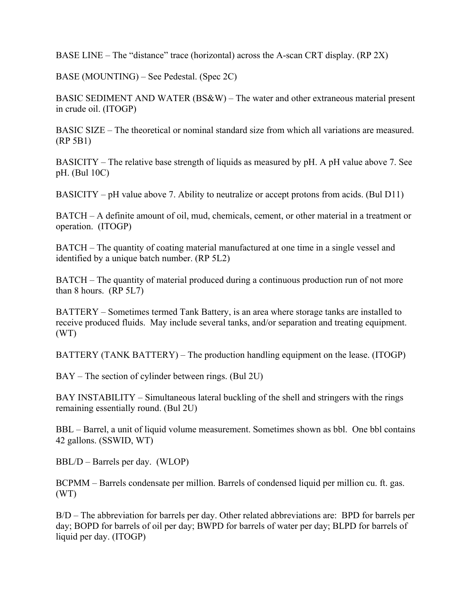BASE LINE – The "distance" trace (horizontal) across the A-scan CRT display. (RP 2X)

BASE (MOUNTING) – See Pedestal. (Spec 2C)

BASIC SEDIMENT AND WATER (BS&W) – The water and other extraneous material present in crude oil. (ITOGP)

BASIC SIZE – The theoretical or nominal standard size from which all variations are measured. (RP 5B1)

BASICITY – The relative base strength of liquids as measured by pH. A pH value above 7. See pH. (Bul 10C)

BASICITY – pH value above 7. Ability to neutralize or accept protons from acids. (Bul D11)

BATCH – A definite amount of oil, mud, chemicals, cement, or other material in a treatment or operation. (ITOGP)

BATCH – The quantity of coating material manufactured at one time in a single vessel and identified by a unique batch number. (RP 5L2)

BATCH – The quantity of material produced during a continuous production run of not more than 8 hours. (RP 5L7)

BATTERY – Sometimes termed Tank Battery, is an area where storage tanks are installed to receive produced fluids. May include several tanks, and/or separation and treating equipment. (WT)

BATTERY (TANK BATTERY) – The production handling equipment on the lease. (ITOGP)

BAY – The section of cylinder between rings. (Bul 2U)

BAY INSTABILITY – Simultaneous lateral buckling of the shell and stringers with the rings remaining essentially round. (Bul 2U)

BBL – Barrel, a unit of liquid volume measurement. Sometimes shown as bbl. One bbl contains 42 gallons. (SSWID, WT)

BBL/D – Barrels per day. (WLOP)

BCPMM – Barrels condensate per million. Barrels of condensed liquid per million cu. ft. gas. (WT)

B/D – The abbreviation for barrels per day. Other related abbreviations are: BPD for barrels per day; BOPD for barrels of oil per day; BWPD for barrels of water per day; BLPD for barrels of liquid per day. (ITOGP)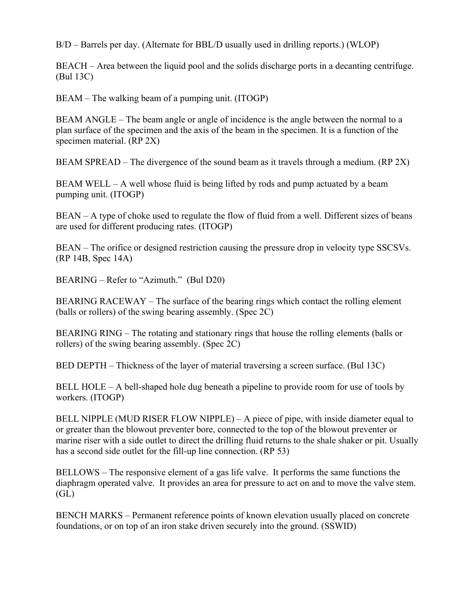B/D – Barrels per day. (Alternate for BBL/D usually used in drilling reports.) (WLOP)

BEACH – Area between the liquid pool and the solids discharge ports in a decanting centrifuge. (Bul 13C)

BEAM – The walking beam of a pumping unit. (ITOGP)

BEAM ANGLE – The beam angle or angle of incidence is the angle between the normal to a plan surface of the specimen and the axis of the beam in the specimen. It is a function of the specimen material. (RP 2X)

BEAM SPREAD – The divergence of the sound beam as it travels through a medium. (RP 2X)

BEAM WELL – A well whose fluid is being lifted by rods and pump actuated by a beam pumping unit. (ITOGP)

BEAN – A type of choke used to regulate the flow of fluid from a well. Different sizes of beans are used for different producing rates. (ITOGP)

BEAN – The orifice or designed restriction causing the pressure drop in velocity type SSCSVs. (RP 14B, Spec 14A)

BEARING – Refer to "Azimuth." (Bul D20)

BEARING RACEWAY – The surface of the bearing rings which contact the rolling element (balls or rollers) of the swing bearing assembly. (Spec 2C)

BEARING RING – The rotating and stationary rings that house the rolling elements (balls or rollers) of the swing bearing assembly. (Spec 2C)

BED DEPTH – Thickness of the layer of material traversing a screen surface. (Bul 13C)

BELL HOLE – A bell-shaped hole dug beneath a pipeline to provide room for use of tools by workers. (ITOGP)

BELL NIPPLE (MUD RISER FLOW NIPPLE) – A piece of pipe, with inside diameter equal to or greater than the blowout preventer bore, connected to the top of the blowout preventer or marine riser with a side outlet to direct the drilling fluid returns to the shale shaker or pit. Usually has a second side outlet for the fill-up line connection. (RP 53)

BELLOWS – The responsive element of a gas life valve. It performs the same functions the diaphragm operated valve. It provides an area for pressure to act on and to move the valve stem. (GL)

BENCH MARKS – Permanent reference points of known elevation usually placed on concrete foundations, or on top of an iron stake driven securely into the ground. (SSWID)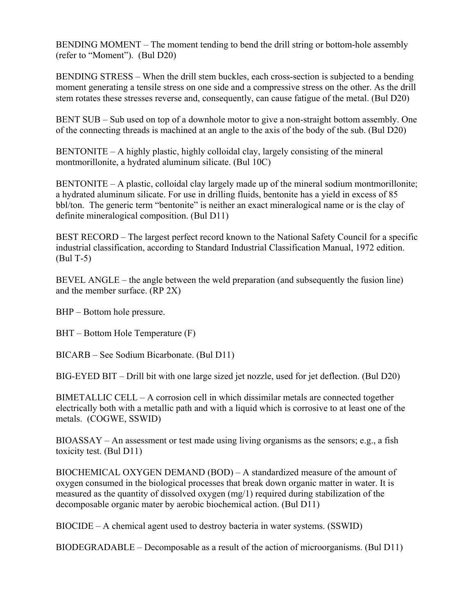BENDING MOMENT – The moment tending to bend the drill string or bottom-hole assembly (refer to "Moment"). (Bul D20)

BENDING STRESS – When the drill stem buckles, each cross-section is subjected to a bending moment generating a tensile stress on one side and a compressive stress on the other. As the drill stem rotates these stresses reverse and, consequently, can cause fatigue of the metal. (Bul D20)

BENT SUB – Sub used on top of a downhole motor to give a non-straight bottom assembly. One of the connecting threads is machined at an angle to the axis of the body of the sub. (Bul D20)

 $BENTONITE - A$  highly plastic, highly colloidal clay, largely consisting of the mineral montmorillonite, a hydrated aluminum silicate. (Bul 10C)

BENTONITE – A plastic, colloidal clay largely made up of the mineral sodium montmorillonite; a hydrated aluminum silicate. For use in drilling fluids, bentonite has a yield in excess of 85 bbl/ton. The generic term "bentonite" is neither an exact mineralogical name or is the clay of definite mineralogical composition. (Bul D11)

BEST RECORD – The largest perfect record known to the National Safety Council for a specific industrial classification, according to Standard Industrial Classification Manual, 1972 edition. (Bul T-5)

BEVEL ANGLE – the angle between the weld preparation (and subsequently the fusion line) and the member surface. (RP 2X)

BHP – Bottom hole pressure.

BHT – Bottom Hole Temperature (F)

BICARB – See Sodium Bicarbonate. (Bul D11)

BIG-EYED BIT – Drill bit with one large sized jet nozzle, used for jet deflection. (Bul D20)

BIMETALLIC CELL – A corrosion cell in which dissimilar metals are connected together electrically both with a metallic path and with a liquid which is corrosive to at least one of the metals. (COGWE, SSWID)

 $BIOASSAY - An assessment or test made using living organisms as the sensors; e.g., a fish$ toxicity test. (Bul D11)

BIOCHEMICAL OXYGEN DEMAND (BOD) – A standardized measure of the amount of oxygen consumed in the biological processes that break down organic matter in water. It is measured as the quantity of dissolved oxygen (mg/1) required during stabilization of the decomposable organic mater by aerobic biochemical action. (Bul D11)

BIOCIDE – A chemical agent used to destroy bacteria in water systems. (SSWID)

BIODEGRADABLE – Decomposable as a result of the action of microorganisms. (Bul D11)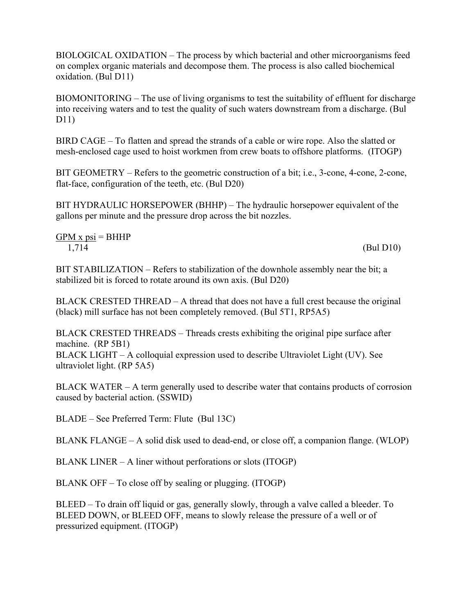BIOLOGICAL OXIDATION – The process by which bacterial and other microorganisms feed on complex organic materials and decompose them. The process is also called biochemical oxidation. (Bul D11)

BIOMONITORING – The use of living organisms to test the suitability of effluent for discharge into receiving waters and to test the quality of such waters downstream from a discharge. (Bul D11)

BIRD CAGE – To flatten and spread the strands of a cable or wire rope. Also the slatted or mesh-enclosed cage used to hoist workmen from crew boats to offshore platforms. (ITOGP)

BIT GEOMETRY – Refers to the geometric construction of a bit; i.e., 3-cone, 4-cone, 2-cone, flat-face, configuration of the teeth, etc. (Bul D20)

BIT HYDRAULIC HORSEPOWER (BHHP) – The hydraulic horsepower equivalent of the gallons per minute and the pressure drop across the bit nozzles.

 $GPM x \psi$  = BHHP 1,714 (Bul D10)

BIT STABILIZATION – Refers to stabilization of the downhole assembly near the bit; a stabilized bit is forced to rotate around its own axis. (Bul D20)

BLACK CRESTED THREAD – A thread that does not have a full crest because the original (black) mill surface has not been completely removed. (Bul 5T1, RP5A5)

BLACK CRESTED THREADS – Threads crests exhibiting the original pipe surface after machine. (RP 5B1) BLACK LIGHT – A colloquial expression used to describe Ultraviolet Light (UV). See ultraviolet light. (RP 5A5)

BLACK WATER – A term generally used to describe water that contains products of corrosion caused by bacterial action. (SSWID)

BLADE – See Preferred Term: Flute (Bul 13C)

BLANK FLANGE – A solid disk used to dead-end, or close off, a companion flange. (WLOP)

BLANK LINER – A liner without perforations or slots (ITOGP)

BLANK OFF – To close off by sealing or plugging. (ITOGP)

BLEED – To drain off liquid or gas, generally slowly, through a valve called a bleeder. To BLEED DOWN, or BLEED OFF, means to slowly release the pressure of a well or of pressurized equipment. (ITOGP)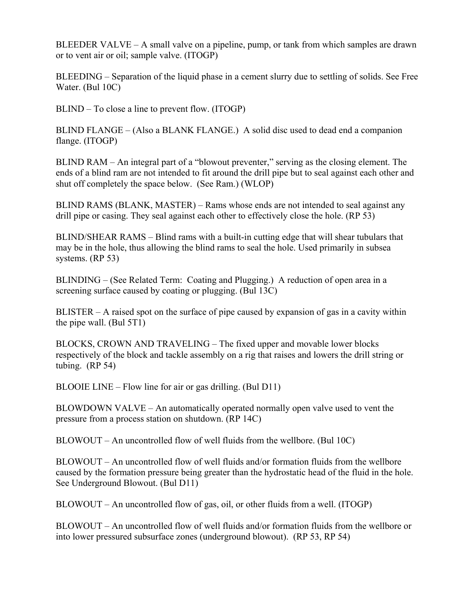BLEEDER VALVE – A small valve on a pipeline, pump, or tank from which samples are drawn or to vent air or oil; sample valve. (ITOGP)

BLEEDING – Separation of the liquid phase in a cement slurry due to settling of solids. See Free Water. (Bul 10C)

BLIND – To close a line to prevent flow. (ITOGP)

BLIND FLANGE – (Also a BLANK FLANGE.) A solid disc used to dead end a companion flange. (ITOGP)

BLIND RAM – An integral part of a "blowout preventer," serving as the closing element. The ends of a blind ram are not intended to fit around the drill pipe but to seal against each other and shut off completely the space below. (See Ram.) (WLOP)

BLIND RAMS (BLANK, MASTER) – Rams whose ends are not intended to seal against any drill pipe or casing. They seal against each other to effectively close the hole. (RP 53)

BLIND/SHEAR RAMS – Blind rams with a built-in cutting edge that will shear tubulars that may be in the hole, thus allowing the blind rams to seal the hole. Used primarily in subsea systems. (RP 53)

BLINDING – (See Related Term: Coating and Plugging.) A reduction of open area in a screening surface caused by coating or plugging. (Bul 13C)

BLISTER – A raised spot on the surface of pipe caused by expansion of gas in a cavity within the pipe wall. (Bul 5T1)

BLOCKS, CROWN AND TRAVELING – The fixed upper and movable lower blocks respectively of the block and tackle assembly on a rig that raises and lowers the drill string or tubing. (RP 54)

BLOOIE LINE – Flow line for air or gas drilling. (Bul D11)

BLOWDOWN VALVE – An automatically operated normally open valve used to vent the pressure from a process station on shutdown. (RP 14C)

BLOWOUT – An uncontrolled flow of well fluids from the wellbore. (Bul 10C)

BLOWOUT – An uncontrolled flow of well fluids and/or formation fluids from the wellbore caused by the formation pressure being greater than the hydrostatic head of the fluid in the hole. See Underground Blowout. (Bul D11)

BLOWOUT – An uncontrolled flow of gas, oil, or other fluids from a well. (ITOGP)

BLOWOUT – An uncontrolled flow of well fluids and/or formation fluids from the wellbore or into lower pressured subsurface zones (underground blowout). (RP 53, RP 54)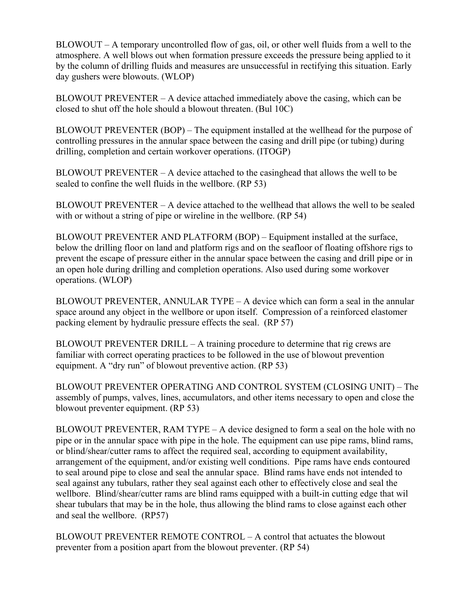BLOWOUT – A temporary uncontrolled flow of gas, oil, or other well fluids from a well to the atmosphere. A well blows out when formation pressure exceeds the pressure being applied to it by the column of drilling fluids and measures are unsuccessful in rectifying this situation. Early day gushers were blowouts. (WLOP)

BLOWOUT PREVENTER – A device attached immediately above the casing, which can be closed to shut off the hole should a blowout threaten. (Bul 10C)

BLOWOUT PREVENTER (BOP) – The equipment installed at the wellhead for the purpose of controlling pressures in the annular space between the casing and drill pipe (or tubing) during drilling, completion and certain workover operations. (ITOGP)

BLOWOUT PREVENTER – A device attached to the casinghead that allows the well to be sealed to confine the well fluids in the wellbore. (RP 53)

BLOWOUT PREVENTER – A device attached to the wellhead that allows the well to be sealed with or without a string of pipe or wireline in the wellbore. (RP 54)

BLOWOUT PREVENTER AND PLATFORM (BOP) – Equipment installed at the surface, below the drilling floor on land and platform rigs and on the seafloor of floating offshore rigs to prevent the escape of pressure either in the annular space between the casing and drill pipe or in an open hole during drilling and completion operations. Also used during some workover operations. (WLOP)

BLOWOUT PREVENTER, ANNULAR TYPE – A device which can form a seal in the annular space around any object in the wellbore or upon itself. Compression of a reinforced elastomer packing element by hydraulic pressure effects the seal. (RP 57)

BLOWOUT PREVENTER DRILL – A training procedure to determine that rig crews are familiar with correct operating practices to be followed in the use of blowout prevention equipment. A "dry run" of blowout preventive action. (RP 53)

BLOWOUT PREVENTER OPERATING AND CONTROL SYSTEM (CLOSING UNIT) – The assembly of pumps, valves, lines, accumulators, and other items necessary to open and close the blowout preventer equipment. (RP 53)

BLOWOUT PREVENTER, RAM TYPE – A device designed to form a seal on the hole with no pipe or in the annular space with pipe in the hole. The equipment can use pipe rams, blind rams, or blind/shear/cutter rams to affect the required seal, according to equipment availability, arrangement of the equipment, and/or existing well conditions. Pipe rams have ends contoured to seal around pipe to close and seal the annular space. Blind rams have ends not intended to seal against any tubulars, rather they seal against each other to effectively close and seal the wellbore. Blind/shear/cutter rams are blind rams equipped with a built-in cutting edge that wil shear tubulars that may be in the hole, thus allowing the blind rams to close against each other and seal the wellbore. (RP57)

BLOWOUT PREVENTER REMOTE CONTROL – A control that actuates the blowout preventer from a position apart from the blowout preventer. (RP 54)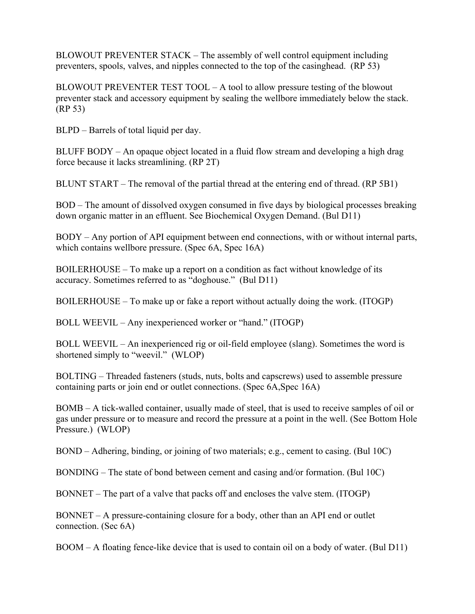BLOWOUT PREVENTER STACK – The assembly of well control equipment including preventers, spools, valves, and nipples connected to the top of the casinghead. (RP 53)

BLOWOUT PREVENTER TEST TOOL – A tool to allow pressure testing of the blowout preventer stack and accessory equipment by sealing the wellbore immediately below the stack. (RP 53)

BLPD – Barrels of total liquid per day.

BLUFF BODY – An opaque object located in a fluid flow stream and developing a high drag force because it lacks streamlining. (RP 2T)

BLUNT START – The removal of the partial thread at the entering end of thread. (RP 5B1)

BOD – The amount of dissolved oxygen consumed in five days by biological processes breaking down organic matter in an effluent. See Biochemical Oxygen Demand. (Bul D11)

BODY – Any portion of API equipment between end connections, with or without internal parts, which contains wellbore pressure. (Spec 6A, Spec 16A)

BOILERHOUSE – To make up a report on a condition as fact without knowledge of its accuracy. Sometimes referred to as "doghouse." (Bul D11)

BOILERHOUSE – To make up or fake a report without actually doing the work. (ITOGP)

BOLL WEEVIL – Any inexperienced worker or "hand." (ITOGP)

BOLL WEEVIL – An inexperienced rig or oil-field employee (slang). Sometimes the word is shortened simply to "weevil." (WLOP)

BOLTING – Threaded fasteners (studs, nuts, bolts and capscrews) used to assemble pressure containing parts or join end or outlet connections. (Spec 6A,Spec 16A)

BOMB – A tick-walled container, usually made of steel, that is used to receive samples of oil or gas under pressure or to measure and record the pressure at a point in the well. (See Bottom Hole Pressure.) (WLOP)

BOND – Adhering, binding, or joining of two materials; e.g., cement to casing. (Bul 10C)

BONDING – The state of bond between cement and casing and/or formation. (Bul 10C)

BONNET – The part of a valve that packs off and encloses the valve stem. (ITOGP)

BONNET – A pressure-containing closure for a body, other than an API end or outlet connection. (Sec 6A)

BOOM – A floating fence-like device that is used to contain oil on a body of water. (Bul D11)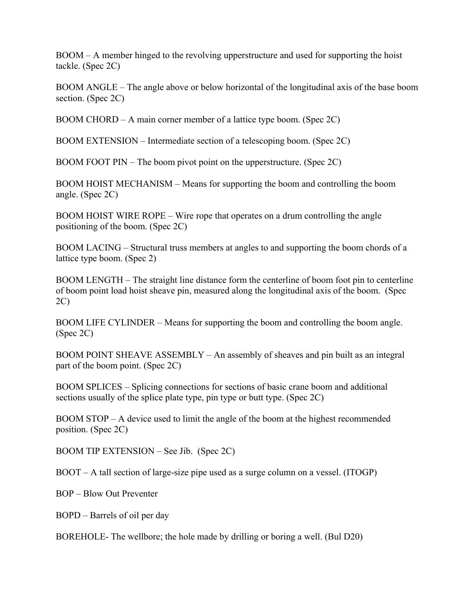BOOM – A member hinged to the revolving upperstructure and used for supporting the hoist tackle. (Spec 2C)

BOOM ANGLE – The angle above or below horizontal of the longitudinal axis of the base boom section. (Spec 2C)

BOOM CHORD – A main corner member of a lattice type boom. (Spec 2C)

BOOM EXTENSION – Intermediate section of a telescoping boom. (Spec 2C)

BOOM FOOT PIN – The boom pivot point on the upperstructure. (Spec 2C)

BOOM HOIST MECHANISM – Means for supporting the boom and controlling the boom angle. (Spec 2C)

BOOM HOIST WIRE ROPE – Wire rope that operates on a drum controlling the angle positioning of the boom. (Spec 2C)

BOOM LACING – Structural truss members at angles to and supporting the boom chords of a lattice type boom. (Spec 2)

BOOM LENGTH – The straight line distance form the centerline of boom foot pin to centerline of boom point load hoist sheave pin, measured along the longitudinal axis of the boom. (Spec 2C)

BOOM LIFE CYLINDER – Means for supporting the boom and controlling the boom angle. (Spec 2C)

BOOM POINT SHEAVE ASSEMBLY – An assembly of sheaves and pin built as an integral part of the boom point. (Spec 2C)

BOOM SPLICES – Splicing connections for sections of basic crane boom and additional sections usually of the splice plate type, pin type or butt type. (Spec 2C)

BOOM STOP – A device used to limit the angle of the boom at the highest recommended position. (Spec 2C)

BOOM TIP EXTENSION – See Jib. (Spec 2C)

BOOT – A tall section of large-size pipe used as a surge column on a vessel. (ITOGP)

BOP – Blow Out Preventer

BOPD – Barrels of oil per day

BOREHOLE- The wellbore; the hole made by drilling or boring a well. (Bul D20)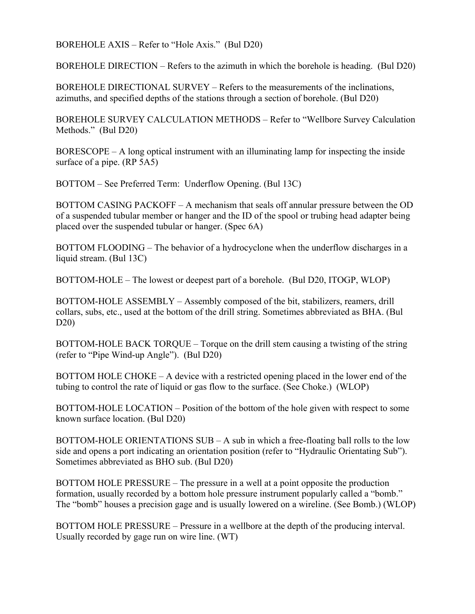BOREHOLE AXIS – Refer to "Hole Axis." (Bul D20)

BOREHOLE DIRECTION – Refers to the azimuth in which the borehole is heading. (Bul D20)

BOREHOLE DIRECTIONAL SURVEY – Refers to the measurements of the inclinations, azimuths, and specified depths of the stations through a section of borehole. (Bul D20)

BOREHOLE SURVEY CALCULATION METHODS – Refer to "Wellbore Survey Calculation Methods." (Bul D20)

 $BORESCOPE - A long optical instrument with an illuminating lamp for inspecting the inside$ surface of a pipe. (RP 5A5)

BOTTOM – See Preferred Term: Underflow Opening. (Bul 13C)

BOTTOM CASING PACKOFF – A mechanism that seals off annular pressure between the OD of a suspended tubular member or hanger and the ID of the spool or trubing head adapter being placed over the suspended tubular or hanger. (Spec 6A)

BOTTOM FLOODING – The behavior of a hydrocyclone when the underflow discharges in a liquid stream. (Bul 13C)

BOTTOM-HOLE – The lowest or deepest part of a borehole. (Bul D20, ITOGP, WLOP)

BOTTOM-HOLE ASSEMBLY – Assembly composed of the bit, stabilizers, reamers, drill collars, subs, etc., used at the bottom of the drill string. Sometimes abbreviated as BHA. (Bul D20)

BOTTOM-HOLE BACK TORQUE – Torque on the drill stem causing a twisting of the string (refer to "Pipe Wind-up Angle"). (Bul D20)

BOTTOM HOLE CHOKE – A device with a restricted opening placed in the lower end of the tubing to control the rate of liquid or gas flow to the surface. (See Choke.) (WLOP)

BOTTOM-HOLE LOCATION – Position of the bottom of the hole given with respect to some known surface location. (Bul D20)

BOTTOM-HOLE ORIENTATIONS SUB – A sub in which a free-floating ball rolls to the low side and opens a port indicating an orientation position (refer to "Hydraulic Orientating Sub"). Sometimes abbreviated as BHO sub. (Bul D20)

BOTTOM HOLE PRESSURE – The pressure in a well at a point opposite the production formation, usually recorded by a bottom hole pressure instrument popularly called a "bomb." The "bomb" houses a precision gage and is usually lowered on a wireline. (See Bomb.) (WLOP)

BOTTOM HOLE PRESSURE – Pressure in a wellbore at the depth of the producing interval. Usually recorded by gage run on wire line. (WT)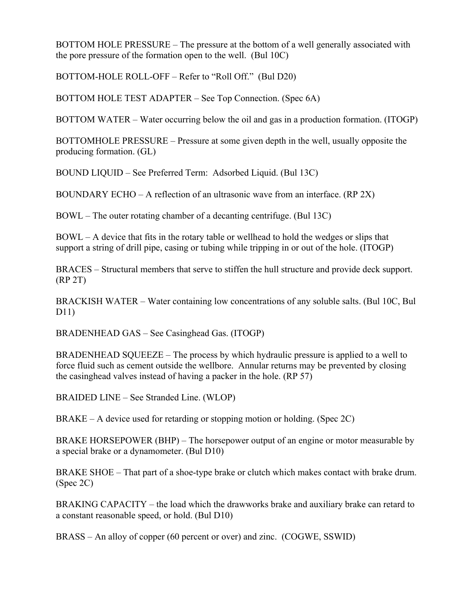BOTTOM HOLE PRESSURE – The pressure at the bottom of a well generally associated with the pore pressure of the formation open to the well. (Bul 10C)

BOTTOM-HOLE ROLL-OFF – Refer to "Roll Off." (Bul D20)

BOTTOM HOLE TEST ADAPTER – See Top Connection. (Spec 6A)

BOTTOM WATER – Water occurring below the oil and gas in a production formation. (ITOGP)

BOTTOMHOLE PRESSURE – Pressure at some given depth in the well, usually opposite the producing formation. (GL)

BOUND LIQUID – See Preferred Term: Adsorbed Liquid. (Bul 13C)

BOUNDARY ECHO – A reflection of an ultrasonic wave from an interface. (RP 2X)

BOWL – The outer rotating chamber of a decanting centrifuge. (Bul 13C)

BOWL – A device that fits in the rotary table or wellhead to hold the wedges or slips that support a string of drill pipe, casing or tubing while tripping in or out of the hole. (ITOGP)

BRACES – Structural members that serve to stiffen the hull structure and provide deck support. (RP 2T)

BRACKISH WATER – Water containing low concentrations of any soluble salts. (Bul 10C, Bul D11)

BRADENHEAD GAS – See Casinghead Gas. (ITOGP)

BRADENHEAD SQUEEZE – The process by which hydraulic pressure is applied to a well to force fluid such as cement outside the wellbore. Annular returns may be prevented by closing the casinghead valves instead of having a packer in the hole. (RP 57)

BRAIDED LINE – See Stranded Line. (WLOP)

BRAKE – A device used for retarding or stopping motion or holding. (Spec 2C)

BRAKE HORSEPOWER (BHP) – The horsepower output of an engine or motor measurable by a special brake or a dynamometer. (Bul D10)

BRAKE SHOE – That part of a shoe-type brake or clutch which makes contact with brake drum. (Spec 2C)

BRAKING CAPACITY – the load which the drawworks brake and auxiliary brake can retard to a constant reasonable speed, or hold. (Bul D10)

BRASS – An alloy of copper (60 percent or over) and zinc. (COGWE, SSWID)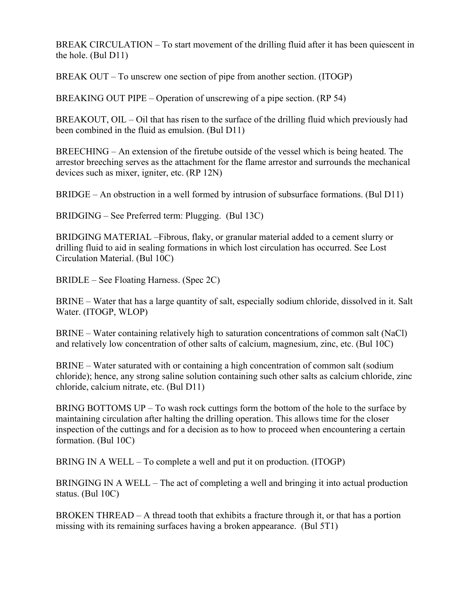BREAK CIRCULATION – To start movement of the drilling fluid after it has been quiescent in the hole. (Bul D11)

BREAK OUT – To unscrew one section of pipe from another section. (ITOGP)

BREAKING OUT PIPE – Operation of unscrewing of a pipe section. (RP 54)

BREAKOUT, OIL – Oil that has risen to the surface of the drilling fluid which previously had been combined in the fluid as emulsion. (Bul D11)

BREECHING – An extension of the firetube outside of the vessel which is being heated. The arrestor breeching serves as the attachment for the flame arrestor and surrounds the mechanical devices such as mixer, igniter, etc. (RP 12N)

BRIDGE – An obstruction in a well formed by intrusion of subsurface formations. (Bul D11)

BRIDGING – See Preferred term: Plugging. (Bul 13C)

BRIDGING MATERIAL –Fibrous, flaky, or granular material added to a cement slurry or drilling fluid to aid in sealing formations in which lost circulation has occurred. See Lost Circulation Material. (Bul 10C)

BRIDLE – See Floating Harness. (Spec 2C)

BRINE – Water that has a large quantity of salt, especially sodium chloride, dissolved in it. Salt Water. (ITOGP, WLOP)

BRINE – Water containing relatively high to saturation concentrations of common salt (NaCl) and relatively low concentration of other salts of calcium, magnesium, zinc, etc. (Bul 10C)

BRINE – Water saturated with or containing a high concentration of common salt (sodium chloride); hence, any strong saline solution containing such other salts as calcium chloride, zinc chloride, calcium nitrate, etc. (Bul D11)

BRING BOTTOMS UP – To wash rock cuttings form the bottom of the hole to the surface by maintaining circulation after halting the drilling operation. This allows time for the closer inspection of the cuttings and for a decision as to how to proceed when encountering a certain formation. (Bul 10C)

BRING IN A WELL – To complete a well and put it on production. (ITOGP)

BRINGING IN A WELL – The act of completing a well and bringing it into actual production status. (Bul 10C)

BROKEN THREAD – A thread tooth that exhibits a fracture through it, or that has a portion missing with its remaining surfaces having a broken appearance. (Bul 5T1)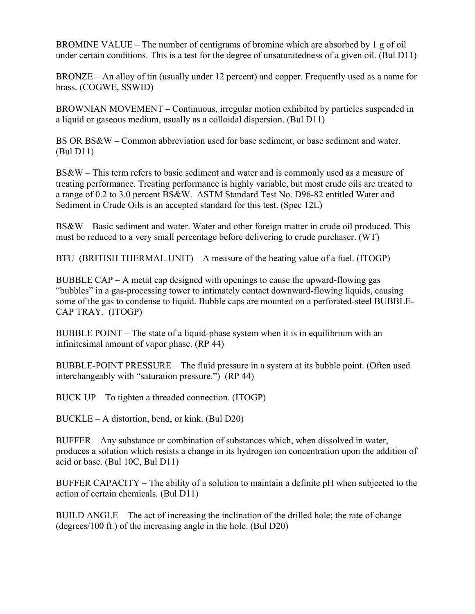BROMINE VALUE – The number of centigrams of bromine which are absorbed by 1 g of oil under certain conditions. This is a test for the degree of unsaturatedness of a given oil. (Bul D11)

BRONZE – An alloy of tin (usually under 12 percent) and copper. Frequently used as a name for brass. (COGWE, SSWID)

BROWNIAN MOVEMENT – Continuous, irregular motion exhibited by particles suspended in a liquid or gaseous medium, usually as a colloidal dispersion. (Bul D11)

BS OR BS&W – Common abbreviation used for base sediment, or base sediment and water. (Bul D11)

BS&W – This term refers to basic sediment and water and is commonly used as a measure of treating performance. Treating performance is highly variable, but most crude oils are treated to a range of 0.2 to 3.0 percent BS&W. ASTM Standard Test No. D96-82 entitled Water and Sediment in Crude Oils is an accepted standard for this test. (Spec 12L)

BS&W – Basic sediment and water. Water and other foreign matter in crude oil produced. This must be reduced to a very small percentage before delivering to crude purchaser. (WT)

BTU (BRITISH THERMAL UNIT) – A measure of the heating value of a fuel. (ITOGP)

BUBBLE CAP – A metal cap designed with openings to cause the upward-flowing gas "bubbles" in a gas-processing tower to intimately contact downward-flowing liquids, causing some of the gas to condense to liquid. Bubble caps are mounted on a perforated-steel BUBBLE-CAP TRAY. (ITOGP)

BUBBLE POINT – The state of a liquid-phase system when it is in equilibrium with an infinitesimal amount of vapor phase. (RP 44)

BUBBLE-POINT PRESSURE – The fluid pressure in a system at its bubble point. (Often used interchangeably with "saturation pressure.") (RP 44)

BUCK UP – To tighten a threaded connection. (ITOGP)

BUCKLE – A distortion, bend, or kink. (Bul D20)

BUFFER – Any substance or combination of substances which, when dissolved in water, produces a solution which resists a change in its hydrogen ion concentration upon the addition of acid or base. (Bul 10C, Bul D11)

BUFFER CAPACITY – The ability of a solution to maintain a definite pH when subjected to the action of certain chemicals. (Bul D11)

BUILD ANGLE – The act of increasing the inclination of the drilled hole; the rate of change (degrees/100 ft.) of the increasing angle in the hole. (Bul D20)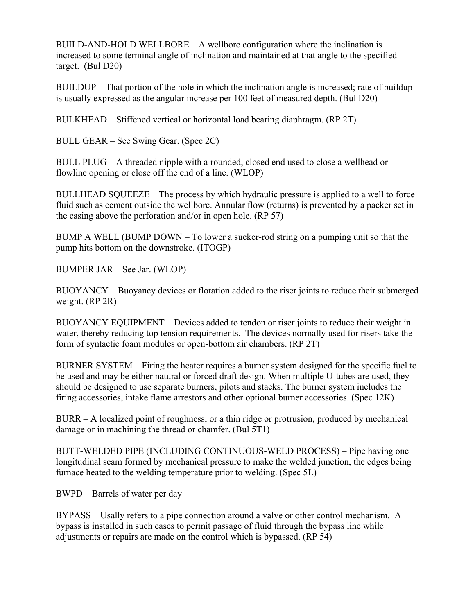BUILD-AND-HOLD WELLBORE – A wellbore configuration where the inclination is increased to some terminal angle of inclination and maintained at that angle to the specified target. (Bul D20)

BUILDUP – That portion of the hole in which the inclination angle is increased; rate of buildup is usually expressed as the angular increase per 100 feet of measured depth. (Bul D20)

BULKHEAD – Stiffened vertical or horizontal load bearing diaphragm. (RP 2T)

BULL GEAR – See Swing Gear. (Spec 2C)

BULL PLUG – A threaded nipple with a rounded, closed end used to close a wellhead or flowline opening or close off the end of a line. (WLOP)

BULLHEAD SQUEEZE – The process by which hydraulic pressure is applied to a well to force fluid such as cement outside the wellbore. Annular flow (returns) is prevented by a packer set in the casing above the perforation and/or in open hole. (RP 57)

BUMP A WELL (BUMP DOWN – To lower a sucker-rod string on a pumping unit so that the pump hits bottom on the downstroke. (ITOGP)

BUMPER JAR – See Jar. (WLOP)

BUOYANCY – Buoyancy devices or flotation added to the riser joints to reduce their submerged weight. (RP 2R)

BUOYANCY EQUIPMENT – Devices added to tendon or riser joints to reduce their weight in water, thereby reducing top tension requirements. The devices normally used for risers take the form of syntactic foam modules or open-bottom air chambers. (RP 2T)

BURNER SYSTEM – Firing the heater requires a burner system designed for the specific fuel to be used and may be either natural or forced draft design. When multiple U-tubes are used, they should be designed to use separate burners, pilots and stacks. The burner system includes the firing accessories, intake flame arrestors and other optional burner accessories. (Spec 12K)

BURR – A localized point of roughness, or a thin ridge or protrusion, produced by mechanical damage or in machining the thread or chamfer. (Bul 5T1)

BUTT-WELDED PIPE (INCLUDING CONTINUOUS-WELD PROCESS) – Pipe having one longitudinal seam formed by mechanical pressure to make the welded junction, the edges being furnace heated to the welding temperature prior to welding. (Spec 5L)

BWPD – Barrels of water per day

BYPASS – Usally refers to a pipe connection around a valve or other control mechanism. A bypass is installed in such cases to permit passage of fluid through the bypass line while adjustments or repairs are made on the control which is bypassed. (RP 54)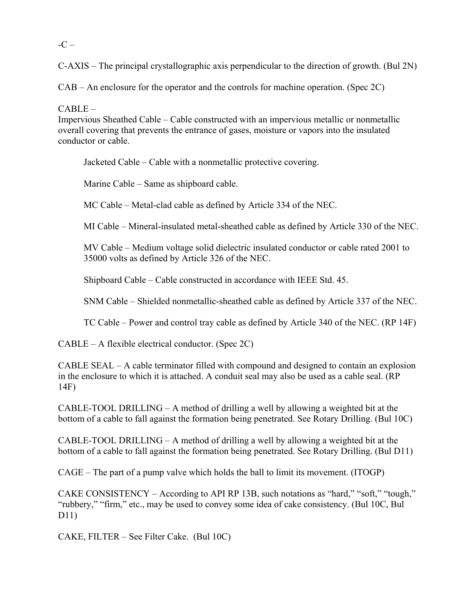$-C -$ 

C-AXIS – The principal crystallographic axis perpendicular to the direction of growth. (Bul 2N)

CAB – An enclosure for the operator and the controls for machine operation. (Spec 2C)

 $CABLE -$ 

Impervious Sheathed Cable – Cable constructed with an impervious metallic or nonmetallic overall covering that prevents the entrance of gases, moisture or vapors into the insulated conductor or cable.

Jacketed Cable – Cable with a nonmetallic protective covering.

Marine Cable – Same as shipboard cable.

MC Cable – Metal-clad cable as defined by Article 334 of the NEC.

MI Cable – Mineral-insulated metal-sheathed cable as defined by Article 330 of the NEC.

MV Cable – Medium voltage solid dielectric insulated conductor or cable rated 2001 to 35000 volts as defined by Article 326 of the NEC.

Shipboard Cable – Cable constructed in accordance with IEEE Std. 45.

SNM Cable – Shielded nonmetallic-sheathed cable as defined by Article 337 of the NEC.

TC Cable – Power and control tray cable as defined by Article 340 of the NEC. (RP 14F)

CABLE – A flexible electrical conductor. (Spec 2C)

CABLE SEAL – A cable terminator filled with compound and designed to contain an explosion in the enclosure to which it is attached. A conduit seal may also be used as a cable seal. (RP 14F)

CABLE-TOOL DRILLING – A method of drilling a well by allowing a weighted bit at the bottom of a cable to fall against the formation being penetrated. See Rotary Drilling. (Bul 10C)

CABLE-TOOL DRILLING – A method of drilling a well by allowing a weighted bit at the bottom of a cable to fall against the formation being penetrated. See Rotary Drilling. (Bul D11)

CAGE – The part of a pump valve which holds the ball to limit its movement. (ITOGP)

CAKE CONSISTENCY – According to API RP 13B, such notations as "hard," "soft," "tough," "rubbery," "firm," etc., may be used to convey some idea of cake consistency. (Bul 10C, Bul D11)

CAKE, FILTER – See Filter Cake. (Bul 10C)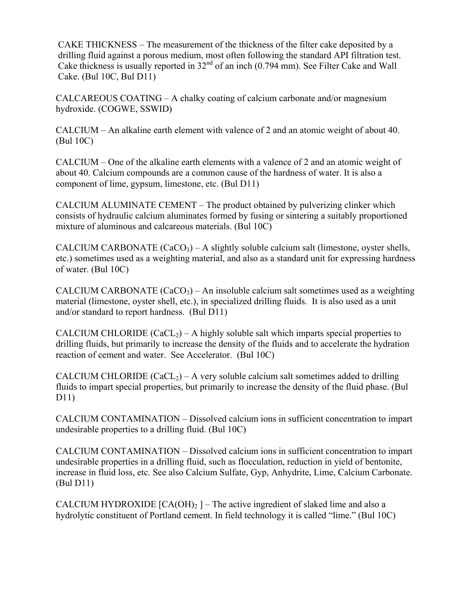CAKE THICKNESS – The measurement of the thickness of the filter cake deposited by a drilling fluid against a porous medium, most often following the standard API filtration test. Cake thickness is usually reported in  $32<sup>nd</sup>$  of an inch (0.794 mm). See Filter Cake and Wall Cake. (Bul 10C, Bul D11)

CALCAREOUS COATING – A chalky coating of calcium carbonate and/or magnesium hydroxide. (COGWE, SSWID)

CALCIUM – An alkaline earth element with valence of 2 and an atomic weight of about 40. (Bul 10C)

CALCIUM – One of the alkaline earth elements with a valence of 2 and an atomic weight of about 40. Calcium compounds are a common cause of the hardness of water. It is also a component of lime, gypsum, limestone, etc. (Bul D11)

CALCIUM ALUMINATE CEMENT – The product obtained by pulverizing clinker which consists of hydraulic calcium aluminates formed by fusing or sintering a suitably proportioned mixture of aluminous and calcareous materials. (Bul 10C)

CALCIUM CARBONATE  $(CaCO<sub>3</sub>) - A$  slightly soluble calcium salt (limestone, oyster shells, etc.) sometimes used as a weighting material, and also as a standard unit for expressing hardness of water. (Bul 10C)

CALCIUM CARBONATE  $(CaCO<sub>3</sub>)$  – An insoluble calcium salt sometimes used as a weighting material (limestone, oyster shell, etc.), in specialized drilling fluids. It is also used as a unit and/or standard to report hardness. (Bul D11)

CALCIUM CHLORIDE  $(CaCL<sub>2</sub>) - A$  highly soluble salt which imparts special properties to drilling fluids, but primarily to increase the density of the fluids and to accelerate the hydration reaction of cement and water. See Accelerator. (Bul 10C)

CALCIUM CHLORIDE  $(CaCL<sub>2</sub>) - A$  very soluble calcium salt sometimes added to drilling fluids to impart special properties, but primarily to increase the density of the fluid phase. (Bul D11)

CALCIUM CONTAMINATION – Dissolved calcium ions in sufficient concentration to impart undesirable properties to a drilling fluid. (Bul 10C)

CALCIUM CONTAMINATION – Dissolved calcium ions in sufficient concentration to impart undesirable properties in a drilling fluid, such as flocculation, reduction in yield of bentonite, increase in fluid loss, etc. See also Calcium Sulfate, Gyp, Anhydrite, Lime, Calcium Carbonate. (Bul D11)

CALCIUM HYDROXIDE  $[CA(OH)_2]$  – The active ingredient of slaked lime and also a hydrolytic constituent of Portland cement. In field technology it is called "lime." (Bul 10C)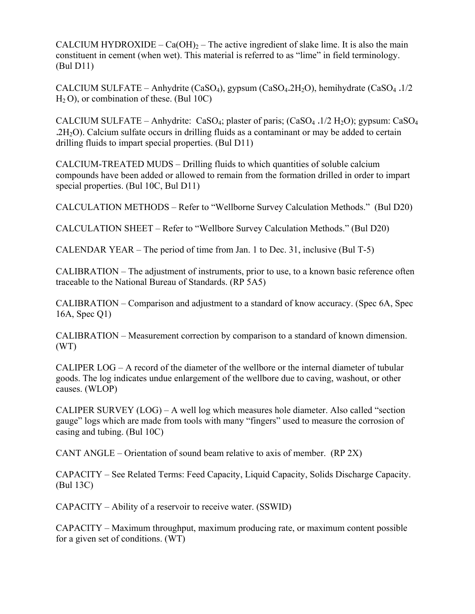CALCIUM HYDROXIDE – Ca(OH)<sub>2</sub> – The active ingredient of slake lime. It is also the main constituent in cement (when wet). This material is referred to as "lime" in field terminology. (Bul D11)

CALCIUM SULFATE – Anhydrite (CaSO<sub>4</sub>), gypsum (CaSO<sub>4</sub>.2H<sub>2</sub>O), hemihydrate (CaSO<sub>4</sub>.1/2  $H<sub>2</sub>$  O), or combination of these. (Bul 10C)

CALCIUM SULFATE – Anhydrite: CaSO<sub>4</sub>; plaster of paris; (CaSO<sub>4</sub> .1/2 H<sub>2</sub>O); gypsum: CaSO<sub>4</sub>  $2H<sub>2</sub>O$ ). Calcium sulfate occurs in drilling fluids as a contaminant or may be added to certain drilling fluids to impart special properties. (Bul D11)

CALCIUM-TREATED MUDS – Drilling fluids to which quantities of soluble calcium compounds have been added or allowed to remain from the formation drilled in order to impart special properties. (Bul 10C, Bul D11)

CALCULATION METHODS – Refer to "Wellborne Survey Calculation Methods." (Bul D20)

CALCULATION SHEET – Refer to "Wellbore Survey Calculation Methods." (Bul D20)

CALENDAR YEAR – The period of time from Jan. 1 to Dec. 31, inclusive (Bul T-5)

CALIBRATION – The adjustment of instruments, prior to use, to a known basic reference often traceable to the National Bureau of Standards. (RP 5A5)

CALIBRATION – Comparison and adjustment to a standard of know accuracy. (Spec 6A, Spec 16A, Spec Q1)

CALIBRATION – Measurement correction by comparison to a standard of known dimension. (WT)

CALIPER LOG – A record of the diameter of the wellbore or the internal diameter of tubular goods. The log indicates undue enlargement of the wellbore due to caving, washout, or other causes. (WLOP)

CALIPER SURVEY (LOG) – A well log which measures hole diameter. Also called "section gauge" logs which are made from tools with many "fingers" used to measure the corrosion of casing and tubing. (Bul 10C)

CANT ANGLE – Orientation of sound beam relative to axis of member. (RP 2X)

CAPACITY – See Related Terms: Feed Capacity, Liquid Capacity, Solids Discharge Capacity. (Bul 13C)

CAPACITY – Ability of a reservoir to receive water. (SSWID)

CAPACITY – Maximum throughput, maximum producing rate, or maximum content possible for a given set of conditions. (WT)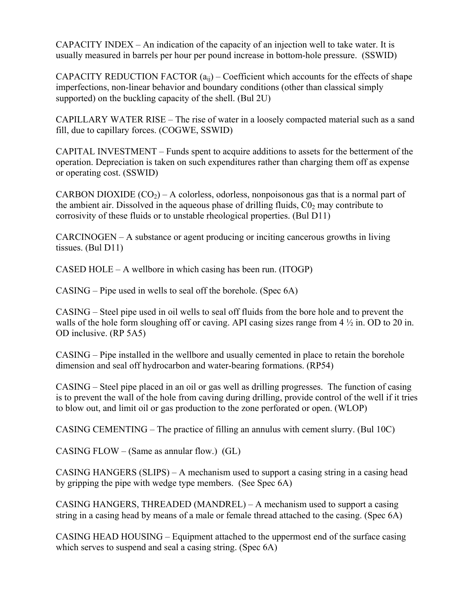CAPACITY INDEX – An indication of the capacity of an injection well to take water. It is usually measured in barrels per hour per pound increase in bottom-hole pressure. (SSWID)

CAPACITY REDUCTION FACTOR  $(a_{ii})$  – Coefficient which accounts for the effects of shape imperfections, non-linear behavior and boundary conditions (other than classical simply supported) on the buckling capacity of the shell. (Bul 2U)

CAPILLARY WATER RISE – The rise of water in a loosely compacted material such as a sand fill, due to capillary forces. (COGWE, SSWID)

CAPITAL INVESTMENT – Funds spent to acquire additions to assets for the betterment of the operation. Depreciation is taken on such expenditures rather than charging them off as expense or operating cost. (SSWID)

CARBON DIOXIDE  $(CO<sub>2</sub>)$  – A colorless, odorless, nonpoisonous gas that is a normal part of the ambient air. Dissolved in the aqueous phase of drilling fluids,  $C_2$  may contribute to corrosivity of these fluids or to unstable rheological properties. (Bul D11)

CARCINOGEN – A substance or agent producing or inciting cancerous growths in living tissues. (Bul D11)

CASED HOLE – A wellbore in which casing has been run. (ITOGP)

CASING – Pipe used in wells to seal off the borehole. (Spec 6A)

CASING – Steel pipe used in oil wells to seal off fluids from the bore hole and to prevent the walls of the hole form sloughing off or caving. API casing sizes range from 4  $\frac{1}{2}$  in. OD to 20 in. OD inclusive. (RP 5A5)

CASING – Pipe installed in the wellbore and usually cemented in place to retain the borehole dimension and seal off hydrocarbon and water-bearing formations. (RP54)

CASING – Steel pipe placed in an oil or gas well as drilling progresses. The function of casing is to prevent the wall of the hole from caving during drilling, provide control of the well if it tries to blow out, and limit oil or gas production to the zone perforated or open. (WLOP)

CASING CEMENTING – The practice of filling an annulus with cement slurry. (Bul 10C)

CASING FLOW – (Same as annular flow.)  $(GL)$ 

CASING HANGERS (SLIPS) – A mechanism used to support a casing string in a casing head by gripping the pipe with wedge type members. (See Spec 6A)

CASING HANGERS, THREADED (MANDREL) – A mechanism used to support a casing string in a casing head by means of a male or female thread attached to the casing. (Spec 6A)

CASING HEAD HOUSING – Equipment attached to the uppermost end of the surface casing which serves to suspend and seal a casing string. (Spec 6A)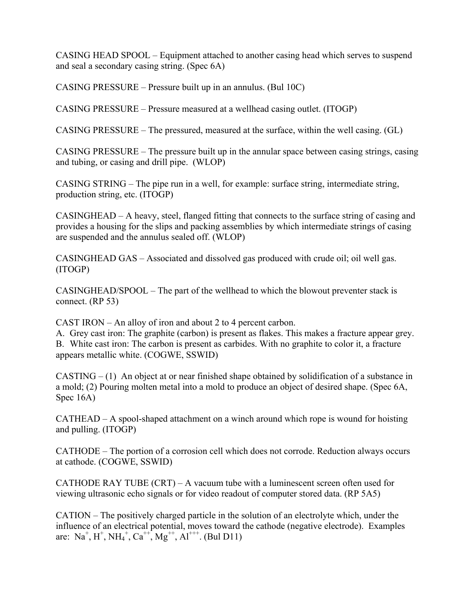CASING HEAD SPOOL – Equipment attached to another casing head which serves to suspend and seal a secondary casing string. (Spec 6A)

CASING PRESSURE – Pressure built up in an annulus. (Bul 10C)

CASING PRESSURE – Pressure measured at a wellhead casing outlet. (ITOGP)

CASING PRESSURE – The pressured, measured at the surface, within the well casing. (GL)

CASING PRESSURE – The pressure built up in the annular space between casing strings, casing and tubing, or casing and drill pipe. (WLOP)

CASING STRING – The pipe run in a well, for example: surface string, intermediate string, production string, etc. (ITOGP)

CASINGHEAD – A heavy, steel, flanged fitting that connects to the surface string of casing and provides a housing for the slips and packing assemblies by which intermediate strings of casing are suspended and the annulus sealed off. (WLOP)

CASINGHEAD GAS – Associated and dissolved gas produced with crude oil; oil well gas. (ITOGP)

CASINGHEAD/SPOOL – The part of the wellhead to which the blowout preventer stack is connect. (RP 53)

CAST IRON – An alloy of iron and about 2 to 4 percent carbon.

A. Grey cast iron: The graphite (carbon) is present as flakes. This makes a fracture appear grey. B. White cast iron: The carbon is present as carbides. With no graphite to color it, a fracture appears metallic white. (COGWE, SSWID)

 $CASTING - (1)$  An object at or near finished shape obtained by solidification of a substance in a mold; (2) Pouring molten metal into a mold to produce an object of desired shape. (Spec 6A, Spec 16A)

CATHEAD – A spool-shaped attachment on a winch around which rope is wound for hoisting and pulling. (ITOGP)

CATHODE – The portion of a corrosion cell which does not corrode. Reduction always occurs at cathode. (COGWE, SSWID)

CATHODE RAY TUBE  $(CRT) - A$  vacuum tube with a luminescent screen often used for viewing ultrasonic echo signals or for video readout of computer stored data. (RP 5A5)

CATION – The positively charged particle in the solution of an electrolyte which, under the influence of an electrical potential, moves toward the cathode (negative electrode). Examples are: Na<sup>+</sup>, H<sup>+</sup>, NH<sub>4</sub><sup>+</sup>, Ca<sup>++</sup>, Mg<sup>++</sup>, Al<sup>+++</sup>. (Bul D11)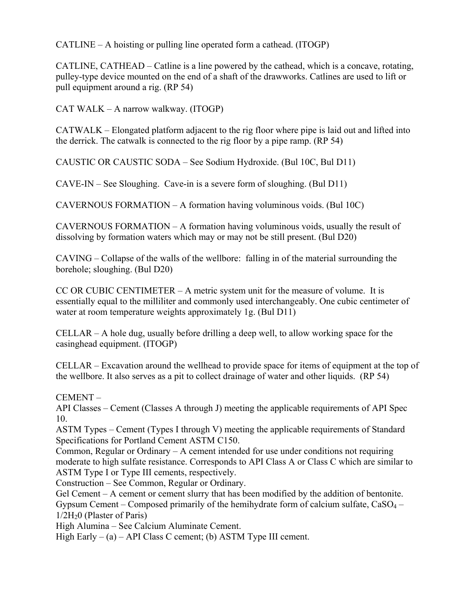CATLINE – A hoisting or pulling line operated form a cathead. (ITOGP)

CATLINE, CATHEAD – Catline is a line powered by the cathead, which is a concave, rotating, pulley-type device mounted on the end of a shaft of the drawworks. Catlines are used to lift or pull equipment around a rig. (RP 54)

CAT WALK – A narrow walkway. (ITOGP)

CATWALK – Elongated platform adjacent to the rig floor where pipe is laid out and lifted into the derrick. The catwalk is connected to the rig floor by a pipe ramp. (RP 54)

CAUSTIC OR CAUSTIC SODA – See Sodium Hydroxide. (Bul 10C, Bul D11)

CAVE-IN – See Sloughing. Cave-in is a severe form of sloughing. (Bul D11)

CAVERNOUS FORMATION – A formation having voluminous voids. (Bul 10C)

CAVERNOUS FORMATION – A formation having voluminous voids, usually the result of dissolving by formation waters which may or may not be still present. (Bul D20)

CAVING – Collapse of the walls of the wellbore: falling in of the material surrounding the borehole; sloughing. (Bul D20)

CC OR CUBIC CENTIMETER – A metric system unit for the measure of volume. It is essentially equal to the milliliter and commonly used interchangeably. One cubic centimeter of water at room temperature weights approximately 1g. (Bul D11)

CELLAR – A hole dug, usually before drilling a deep well, to allow working space for the casinghead equipment. (ITOGP)

CELLAR – Excavation around the wellhead to provide space for items of equipment at the top of the wellbore. It also serves as a pit to collect drainage of water and other liquids. (RP 54)

## CEMENT –

API Classes – Cement (Classes A through J) meeting the applicable requirements of API Spec 10.

ASTM Types – Cement (Types I through V) meeting the applicable requirements of Standard Specifications for Portland Cement ASTM C150.

Common, Regular or Ordinary  $-A$  cement intended for use under conditions not requiring moderate to high sulfate resistance. Corresponds to API Class A or Class C which are similar to ASTM Type I or Type III cements, respectively.

Construction – See Common, Regular or Ordinary.

Gel Cement – A cement or cement slurry that has been modified by the addition of bentonite. Gypsum Cement – Composed primarily of the hemihydrate form of calcium sulfate,  $CaSO<sub>4</sub>$  –  $1/2H<sub>2</sub>0$  (Plaster of Paris)

High Alumina – See Calcium Aluminate Cement.

High Early  $- (a) - API Class C cement$ ; (b) ASTM Type III cement.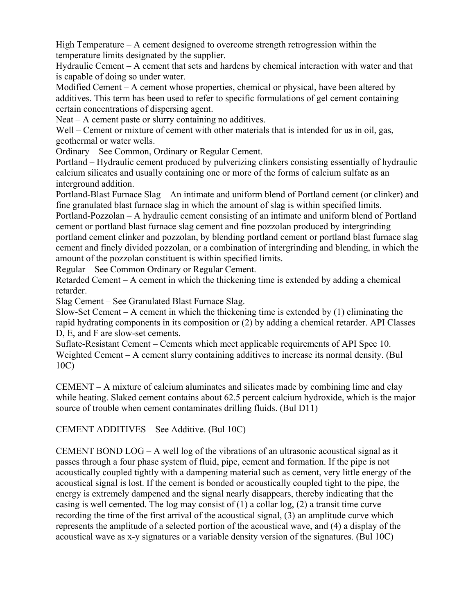High Temperature – A cement designed to overcome strength retrogression within the temperature limits designated by the supplier.

Hydraulic Cement – A cement that sets and hardens by chemical interaction with water and that is capable of doing so under water.

Modified Cement – A cement whose properties, chemical or physical, have been altered by additives. This term has been used to refer to specific formulations of gel cement containing certain concentrations of dispersing agent.

Neat – A cement paste or slurry containing no additives.

Well – Cement or mixture of cement with other materials that is intended for us in oil, gas, geothermal or water wells.

Ordinary – See Common, Ordinary or Regular Cement.

Portland – Hydraulic cement produced by pulverizing clinkers consisting essentially of hydraulic calcium silicates and usually containing one or more of the forms of calcium sulfate as an interground addition.

Portland-Blast Furnace Slag – An intimate and uniform blend of Portland cement (or clinker) and fine granulated blast furnace slag in which the amount of slag is within specified limits.

Portland-Pozzolan – A hydraulic cement consisting of an intimate and uniform blend of Portland cement or portland blast furnace slag cement and fine pozzolan produced by intergrinding portland cement clinker and pozzolan, by blending portland cement or portland blast furnace slag cement and finely divided pozzolan, or a combination of intergrinding and blending, in which the amount of the pozzolan constituent is within specified limits.

Regular – See Common Ordinary or Regular Cement.

Retarded Cement – A cement in which the thickening time is extended by adding a chemical retarder.

Slag Cement – See Granulated Blast Furnace Slag.

Slow-Set Cement – A cement in which the thickening time is extended by (1) eliminating the rapid hydrating components in its composition or (2) by adding a chemical retarder. API Classes D, E, and F are slow-set cements.

Suflate-Resistant Cement – Cements which meet applicable requirements of API Spec 10. Weighted Cement – A cement slurry containing additives to increase its normal density. (Bul 10C)

CEMENT – A mixture of calcium aluminates and silicates made by combining lime and clay while heating. Slaked cement contains about 62.5 percent calcium hydroxide, which is the major source of trouble when cement contaminates drilling fluids. (Bul D11)

CEMENT ADDITIVES – See Additive. (Bul 10C)

CEMENT BOND LOG – A well log of the vibrations of an ultrasonic acoustical signal as it passes through a four phase system of fluid, pipe, cement and formation. If the pipe is not acoustically coupled tightly with a dampening material such as cement, very little energy of the acoustical signal is lost. If the cement is bonded or acoustically coupled tight to the pipe, the energy is extremely dampened and the signal nearly disappears, thereby indicating that the casing is well cemented. The log may consist of  $(1)$  a collar log,  $(2)$  a transit time curve recording the time of the first arrival of the acoustical signal, (3) an amplitude curve which represents the amplitude of a selected portion of the acoustical wave, and (4) a display of the acoustical wave as x-y signatures or a variable density version of the signatures. (Bul 10C)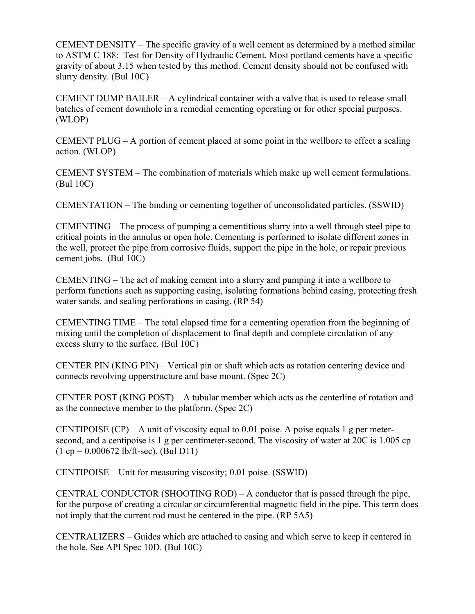CEMENT DENSITY – The specific gravity of a well cement as determined by a method similar to ASTM C 188: Test for Density of Hydraulic Cement. Most portland cements have a specific gravity of about 3.15 when tested by this method. Cement density should not be confused with slurry density. (Bul 10C)

CEMENT DUMP BAILER – A cylindrical container with a valve that is used to release small batches of cement downhole in a remedial cementing operating or for other special purposes. (WLOP)

CEMENT PLUG – A portion of cement placed at some point in the wellbore to effect a sealing action. (WLOP)

CEMENT SYSTEM – The combination of materials which make up well cement formulations. (Bul 10C)

CEMENTATION – The binding or cementing together of unconsolidated particles. (SSWID)

CEMENTING – The process of pumping a cementitious slurry into a well through steel pipe to critical points in the annulus or open hole. Cementing is performed to isolate different zones in the well, protect the pipe from corrosive fluids, support the pipe in the hole, or repair previous cement jobs. (Bul 10C)

CEMENTING – The act of making cement into a slurry and pumping it into a wellbore to perform functions such as supporting casing, isolating formations behind casing, protecting fresh water sands, and sealing perforations in casing. (RP 54)

CEMENTING TIME – The total elapsed time for a cementing operation from the beginning of mixing until the completion of displacement to final depth and complete circulation of any excess slurry to the surface. (Bul 10C)

CENTER PIN (KING PIN) – Vertical pin or shaft which acts as rotation centering device and connects revolving upperstructure and base mount. (Spec 2C)

CENTER POST (KING POST) – A tubular member which acts as the centerline of rotation and as the connective member to the platform. (Spec 2C)

CENTIPOISE  $(CP)$  – A unit of viscosity equal to 0.01 poise. A poise equals 1 g per metersecond, and a centipoise is 1 g per centimeter-second. The viscosity of water at 20C is 1.005 cp  $(1 \text{ cp} = 0.000672 \text{ lb/ft-sec})$ . (Bul D11)

CENTIPOISE – Unit for measuring viscosity; 0.01 poise. (SSWID)

CENTRAL CONDUCTOR (SHOOTING ROD) – A conductor that is passed through the pipe, for the purpose of creating a circular or circumferential magnetic field in the pipe. This term does not imply that the current rod must be centered in the pipe. (RP 5A5)

CENTRALIZERS – Guides which are attached to casing and which serve to keep it centered in the hole. See API Spec 10D. (Bul 10C)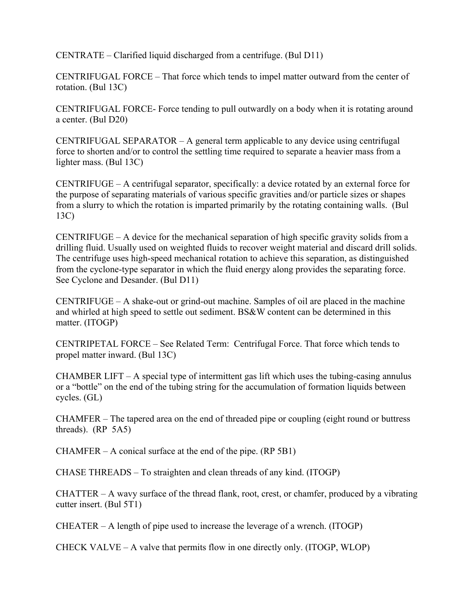CENTRATE – Clarified liquid discharged from a centrifuge. (Bul D11)

CENTRIFUGAL FORCE – That force which tends to impel matter outward from the center of rotation. (Bul 13C)

CENTRIFUGAL FORCE- Force tending to pull outwardly on a body when it is rotating around a center. (Bul D20)

CENTRIFUGAL SEPARATOR – A general term applicable to any device using centrifugal force to shorten and/or to control the settling time required to separate a heavier mass from a lighter mass. (Bul 13C)

CENTRIFUGE – A centrifugal separator, specifically: a device rotated by an external force for the purpose of separating materials of various specific gravities and/or particle sizes or shapes from a slurry to which the rotation is imparted primarily by the rotating containing walls. (Bul 13C)

CENTRIFUGE – A device for the mechanical separation of high specific gravity solids from a drilling fluid. Usually used on weighted fluids to recover weight material and discard drill solids. The centrifuge uses high-speed mechanical rotation to achieve this separation, as distinguished from the cyclone-type separator in which the fluid energy along provides the separating force. See Cyclone and Desander. (Bul D11)

CENTRIFUGE – A shake-out or grind-out machine. Samples of oil are placed in the machine and whirled at high speed to settle out sediment. BS&W content can be determined in this matter. (ITOGP)

CENTRIPETAL FORCE – See Related Term: Centrifugal Force. That force which tends to propel matter inward. (Bul 13C)

CHAMBER LIFT – A special type of intermittent gas lift which uses the tubing-casing annulus or a "bottle" on the end of the tubing string for the accumulation of formation liquids between cycles. (GL)

CHAMFER – The tapered area on the end of threaded pipe or coupling (eight round or buttress threads). (RP 5A5)

CHAMFER – A conical surface at the end of the pipe. (RP 5B1)

CHASE THREADS – To straighten and clean threads of any kind. (ITOGP)

CHATTER – A wavy surface of the thread flank, root, crest, or chamfer, produced by a vibrating cutter insert. (Bul 5T1)

CHEATER – A length of pipe used to increase the leverage of a wrench. (ITOGP)

CHECK VALVE – A valve that permits flow in one directly only. (ITOGP, WLOP)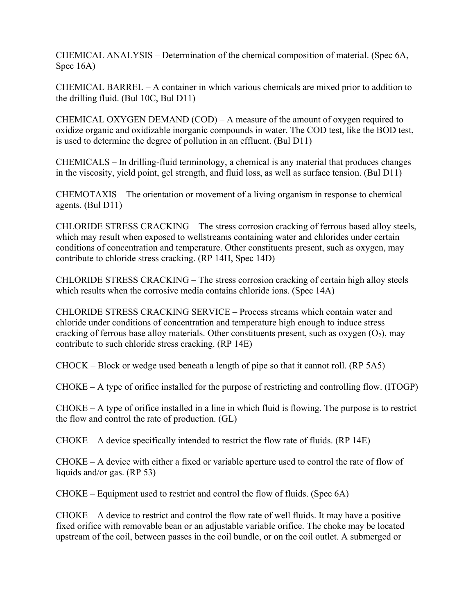CHEMICAL ANALYSIS – Determination of the chemical composition of material. (Spec 6A, Spec 16A)

CHEMICAL BARREL – A container in which various chemicals are mixed prior to addition to the drilling fluid. (Bul 10C, Bul D11)

CHEMICAL OXYGEN DEMAND (COD) – A measure of the amount of oxygen required to oxidize organic and oxidizable inorganic compounds in water. The COD test, like the BOD test, is used to determine the degree of pollution in an effluent. (Bul D11)

CHEMICALS – In drilling-fluid terminology, a chemical is any material that produces changes in the viscosity, yield point, gel strength, and fluid loss, as well as surface tension. (Bul D11)

CHEMOTAXIS – The orientation or movement of a living organism in response to chemical agents. (Bul D11)

CHLORIDE STRESS CRACKING – The stress corrosion cracking of ferrous based alloy steels, which may result when exposed to wellstreams containing water and chlorides under certain conditions of concentration and temperature. Other constituents present, such as oxygen, may contribute to chloride stress cracking. (RP 14H, Spec 14D)

CHLORIDE STRESS CRACKING – The stress corrosion cracking of certain high alloy steels which results when the corrosive media contains chloride ions. (Spec 14A)

CHLORIDE STRESS CRACKING SERVICE – Process streams which contain water and chloride under conditions of concentration and temperature high enough to induce stress cracking of ferrous base alloy materials. Other constituents present, such as oxygen  $(O_2)$ , may contribute to such chloride stress cracking. (RP 14E)

CHOCK – Block or wedge used beneath a length of pipe so that it cannot roll. (RP 5A5)

CHOKE – A type of orifice installed for the purpose of restricting and controlling flow. (ITOGP)

CHOKE – A type of orifice installed in a line in which fluid is flowing. The purpose is to restrict the flow and control the rate of production. (GL)

CHOKE – A device specifically intended to restrict the flow rate of fluids. (RP 14E)

CHOKE – A device with either a fixed or variable aperture used to control the rate of flow of liquids and/or gas. (RP 53)

CHOKE – Equipment used to restrict and control the flow of fluids. (Spec 6A)

CHOKE – A device to restrict and control the flow rate of well fluids. It may have a positive fixed orifice with removable bean or an adjustable variable orifice. The choke may be located upstream of the coil, between passes in the coil bundle, or on the coil outlet. A submerged or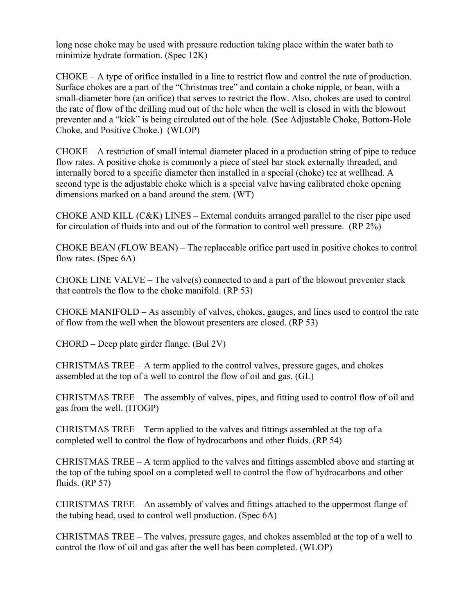long nose choke may be used with pressure reduction taking place within the water bath to minimize hydrate formation. (Spec 12K)

CHOKE – A type of orifice installed in a line to restrict flow and control the rate of production. Surface chokes are a part of the "Christmas tree" and contain a choke nipple, or bean, with a small-diameter bore (an orifice) that serves to restrict the flow. Also, chokes are used to control the rate of flow of the drilling mud out of the hole when the well is closed in with the blowout preventer and a "kick" is being circulated out of the hole. (See Adjustable Choke, Bottom-Hole Choke, and Positive Choke.) (WLOP)

CHOKE – A restriction of small internal diameter placed in a production string of pipe to reduce flow rates. A positive choke is commonly a piece of steel bar stock externally threaded, and internally bored to a specific diameter then installed in a special (choke) tee at wellhead. A second type is the adjustable choke which is a special valve having calibrated choke opening dimensions marked on a band around the stem. (WT)

CHOKE AND KILL (C&K) LINES – External conduits arranged parallel to the riser pipe used for circulation of fluids into and out of the formation to control well pressure. (RP 2%)

CHOKE BEAN (FLOW BEAN) – The replaceable orifice part used in positive chokes to control flow rates. (Spec 6A)

CHOKE LINE VALVE – The valve(s) connected to and a part of the blowout preventer stack that controls the flow to the choke manifold. (RP 53)

CHOKE MANIFOLD – As assembly of valves, chokes, gauges, and lines used to control the rate of flow from the well when the blowout presenters are closed. (RP 53)

CHORD – Deep plate girder flange. (Bul 2V)

CHRISTMAS TREE – A term applied to the control valves, pressure gages, and chokes assembled at the top of a well to control the flow of oil and gas. (GL)

CHRISTMAS TREE – The assembly of valves, pipes, and fitting used to control flow of oil and gas from the well. (ITOGP)

CHRISTMAS TREE – Term applied to the valves and fittings assembled at the top of a completed well to control the flow of hydrocarbons and other fluids. (RP 54)

CHRISTMAS TREE – A term applied to the valves and fittings assembled above and starting at the top of the tubing spool on a completed well to control the flow of hydrocarbons and other fluids. (RP 57)

CHRISTMAS TREE – An assembly of valves and fittings attached to the uppermost flange of the tubing head, used to control well production. (Spec 6A)

CHRISTMAS TREE – The valves, pressure gages, and chokes assembled at the top of a well to control the flow of oil and gas after the well has been completed. (WLOP)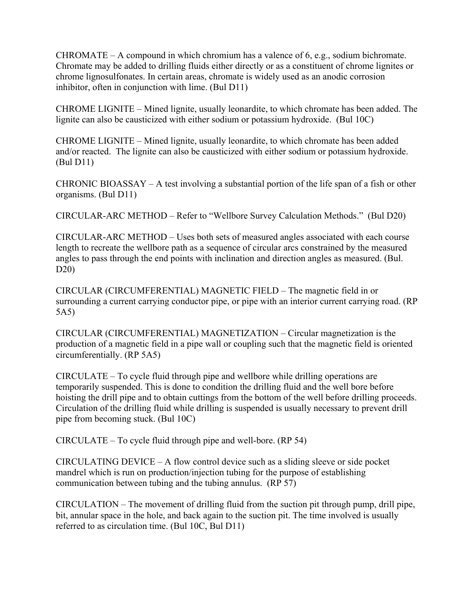CHROMATE – A compound in which chromium has a valence of 6, e.g., sodium bichromate. Chromate may be added to drilling fluids either directly or as a constituent of chrome lignites or chrome lignosulfonates. In certain areas, chromate is widely used as an anodic corrosion inhibitor, often in conjunction with lime. (Bul D11)

CHROME LIGNITE – Mined lignite, usually leonardite, to which chromate has been added. The lignite can also be causticized with either sodium or potassium hydroxide. (Bul 10C)

CHROME LIGNITE – Mined lignite, usually leonardite, to which chromate has been added and/or reacted. The lignite can also be causticized with either sodium or potassium hydroxide. (Bul D11)

CHRONIC BIOASSAY – A test involving a substantial portion of the life span of a fish or other organisms. (Bul D11)

CIRCULAR-ARC METHOD – Refer to "Wellbore Survey Calculation Methods." (Bul D20)

CIRCULAR-ARC METHOD – Uses both sets of measured angles associated with each course length to recreate the wellbore path as a sequence of circular arcs constrained by the measured angles to pass through the end points with inclination and direction angles as measured. (Bul. D20)

CIRCULAR (CIRCUMFERENTIAL) MAGNETIC FIELD – The magnetic field in or surrounding a current carrying conductor pipe, or pipe with an interior current carrying road. (RP 5A5)

CIRCULAR (CIRCUMFERENTIAL) MAGNETIZATION – Circular magnetization is the production of a magnetic field in a pipe wall or coupling such that the magnetic field is oriented circumferentially. (RP 5A5)

CIRCULATE – To cycle fluid through pipe and wellbore while drilling operations are temporarily suspended. This is done to condition the drilling fluid and the well bore before hoisting the drill pipe and to obtain cuttings from the bottom of the well before drilling proceeds. Circulation of the drilling fluid while drilling is suspended is usually necessary to prevent drill pipe from becoming stuck. (Bul 10C)

CIRCULATE – To cycle fluid through pipe and well-bore. (RP 54)

CIRCULATING DEVICE – A flow control device such as a sliding sleeve or side pocket mandrel which is run on production/injection tubing for the purpose of establishing communication between tubing and the tubing annulus. (RP 57)

CIRCULATION – The movement of drilling fluid from the suction pit through pump, drill pipe, bit, annular space in the hole, and back again to the suction pit. The time involved is usually referred to as circulation time. (Bul 10C, Bul D11)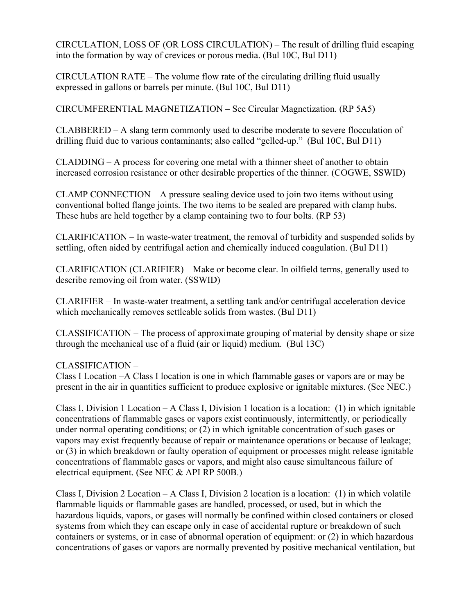CIRCULATION, LOSS OF (OR LOSS CIRCULATION) – The result of drilling fluid escaping into the formation by way of crevices or porous media. (Bul 10C, Bul D11)

CIRCULATION RATE – The volume flow rate of the circulating drilling fluid usually expressed in gallons or barrels per minute. (Bul 10C, Bul D11)

CIRCUMFERENTIAL MAGNETIZATION – See Circular Magnetization. (RP 5A5)

CLABBERED – A slang term commonly used to describe moderate to severe flocculation of drilling fluid due to various contaminants; also called "gelled-up." (Bul 10C, Bul D11)

CLADDING – A process for covering one metal with a thinner sheet of another to obtain increased corrosion resistance or other desirable properties of the thinner. (COGWE, SSWID)

 $CLAMP CONNECTION – A pressure scaling device used to join two items without using$ conventional bolted flange joints. The two items to be sealed are prepared with clamp hubs. These hubs are held together by a clamp containing two to four bolts. (RP 53)

CLARIFICATION – In waste-water treatment, the removal of turbidity and suspended solids by settling, often aided by centrifugal action and chemically induced coagulation. (Bul D11)

CLARIFICATION (CLARIFIER) – Make or become clear. In oilfield terms, generally used to describe removing oil from water. (SSWID)

CLARIFIER – In waste-water treatment, a settling tank and/or centrifugal acceleration device which mechanically removes settleable solids from wastes. (Bul D11)

CLASSIFICATION – The process of approximate grouping of material by density shape or size through the mechanical use of a fluid (air or liquid) medium. (Bul 13C)

## CLASSIFICATION –

Class I Location –A Class I location is one in which flammable gases or vapors are or may be present in the air in quantities sufficient to produce explosive or ignitable mixtures. (See NEC.)

Class I, Division 1 Location – A Class I, Division 1 location is a location: (1) in which ignitable concentrations of flammable gases or vapors exist continuously, intermittently, or periodically under normal operating conditions; or (2) in which ignitable concentration of such gases or vapors may exist frequently because of repair or maintenance operations or because of leakage; or (3) in which breakdown or faulty operation of equipment or processes might release ignitable concentrations of flammable gases or vapors, and might also cause simultaneous failure of electrical equipment. (See NEC & API RP 500B.)

Class I, Division 2 Location – A Class I, Division 2 location is a location: (1) in which volatile flammable liquids or flammable gases are handled, processed, or used, but in which the hazardous liquids, vapors, or gases will normally be confined within closed containers or closed systems from which they can escape only in case of accidental rupture or breakdown of such containers or systems, or in case of abnormal operation of equipment: or (2) in which hazardous concentrations of gases or vapors are normally prevented by positive mechanical ventilation, but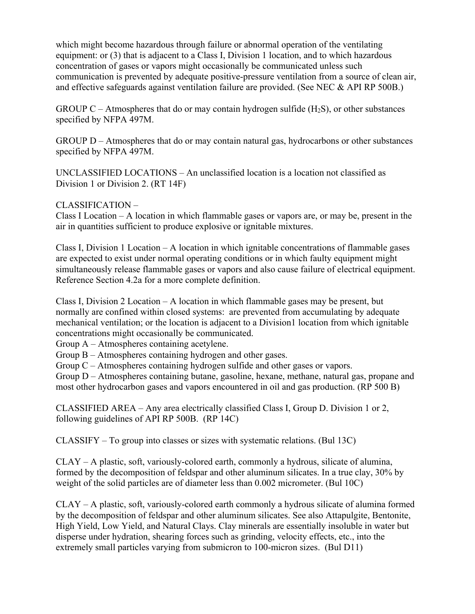which might become hazardous through failure or abnormal operation of the ventilating equipment: or (3) that is adjacent to a Class I, Division 1 location, and to which hazardous concentration of gases or vapors might occasionally be communicated unless such communication is prevented by adequate positive-pressure ventilation from a source of clean air, and effective safeguards against ventilation failure are provided. (See NEC & API RP 500B.)

GROUP C – Atmospheres that do or may contain hydrogen sulfide  $(H<sub>2</sub>S)$ , or other substances specified by NFPA 497M.

GROUP D – Atmospheres that do or may contain natural gas, hydrocarbons or other substances specified by NFPA 497M.

UNCLASSIFIED LOCATIONS – An unclassified location is a location not classified as Division 1 or Division 2. (RT 14F)

CLASSIFICATION –

Class I Location – A location in which flammable gases or vapors are, or may be, present in the air in quantities sufficient to produce explosive or ignitable mixtures.

Class I, Division 1 Location – A location in which ignitable concentrations of flammable gases are expected to exist under normal operating conditions or in which faulty equipment might simultaneously release flammable gases or vapors and also cause failure of electrical equipment. Reference Section 4.2a for a more complete definition.

Class I, Division 2 Location – A location in which flammable gases may be present, but normally are confined within closed systems: are prevented from accumulating by adequate mechanical ventilation; or the location is adjacent to a Division1 location from which ignitable concentrations might occasionally be communicated.

Group A – Atmospheres containing acetylene.

Group B – Atmospheres containing hydrogen and other gases.

Group C – Atmospheres containing hydrogen sulfide and other gases or vapors.

Group D – Atmospheres containing butane, gasoline, hexane, methane, natural gas, propane and most other hydrocarbon gases and vapors encountered in oil and gas production. (RP 500 B)

CLASSIFIED AREA – Any area electrically classified Class I, Group D. Division 1 or 2, following guidelines of API RP 500B. (RP 14C)

CLASSIFY – To group into classes or sizes with systematic relations. (Bul 13C)

CLAY – A plastic, soft, variously-colored earth, commonly a hydrous, silicate of alumina, formed by the decomposition of feldspar and other aluminum silicates. In a true clay, 30% by weight of the solid particles are of diameter less than 0.002 micrometer. (Bul 10C)

CLAY – A plastic, soft, variously-colored earth commonly a hydrous silicate of alumina formed by the decomposition of feldspar and other aluminum silicates. See also Attapulgite, Bentonite, High Yield, Low Yield, and Natural Clays. Clay minerals are essentially insoluble in water but disperse under hydration, shearing forces such as grinding, velocity effects, etc., into the extremely small particles varying from submicron to 100-micron sizes. (Bul D11)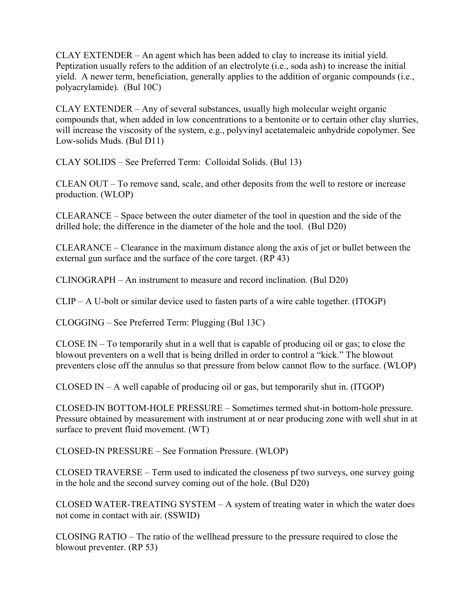CLAY EXTENDER – An agent which has been added to clay to increase its initial yield. Peptization usually refers to the addition of an electrolyte (i.e., soda ash) to increase the initial yield. A newer term, beneficiation, generally applies to the addition of organic compounds (i.e., polyacrylamide). (Bul 10C)

CLAY EXTENDER – Any of several substances, usually high molecular weight organic compounds that, when added in low concentrations to a bentonite or to certain other clay slurries, will increase the viscosity of the system, e.g., polyvinyl acetatemaleic anhydride copolymer. See Low-solids Muds. (Bul D11)

CLAY SOLIDS – See Preferred Term: Colloidal Solids. (Bul 13)

CLEAN OUT – To remove sand, scale, and other deposits from the well to restore or increase production. (WLOP)

CLEARANCE – Space between the outer diameter of the tool in question and the side of the drilled hole; the difference in the diameter of the hole and the tool. (Bul D20)

CLEARANCE – Clearance in the maximum distance along the axis of jet or bullet between the external gun surface and the surface of the core target. (RP 43)

CLINOGRAPH – An instrument to measure and record inclination. (Bul D20)

CLIP – A U-bolt or similar device used to fasten parts of a wire cable together. (ITOGP)

CLOGGING – See Preferred Term: Plugging (Bul 13C)

CLOSE IN – To temporarily shut in a well that is capable of producing oil or gas; to close the blowout preventers on a well that is being drilled in order to control a "kick." The blowout preventers close off the annulus so that pressure from below cannot flow to the surface. (WLOP)

CLOSED IN – A well capable of producing oil or gas, but temporarily shut in. (ITGOP)

CLOSED-IN BOTTOM-HOLE PRESSURE – Sometimes termed shut-in bottom-hole pressure. Pressure obtained by measurement with instrument at or near producing zone with well shut in at surface to prevent fluid movement. (WT)

CLOSED-IN PRESSURE – See Formation Pressure. (WLOP)

CLOSED TRAVERSE – Term used to indicated the closeness pf two surveys, one survey going in the hole and the second survey coming out of the hole. (Bul D20)

CLOSED WATER-TREATING SYSTEM – A system of treating water in which the water does not come in contact with air. (SSWID)

CLOSING RATIO – The ratio of the wellhead pressure to the pressure required to close the blowout preventer. (RP 53)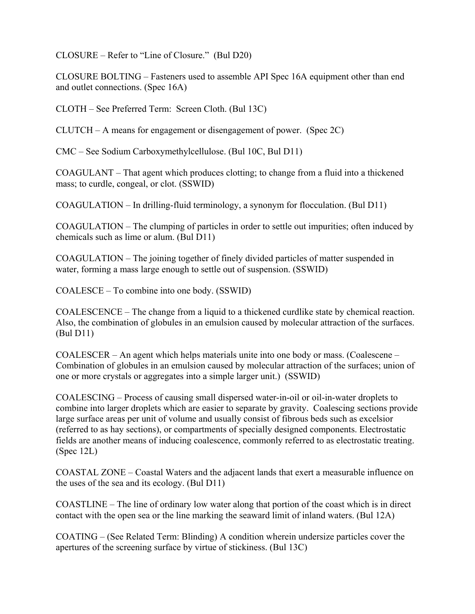CLOSURE – Refer to "Line of Closure." (Bul D20)

CLOSURE BOLTING – Fasteners used to assemble API Spec 16A equipment other than end and outlet connections. (Spec 16A)

CLOTH – See Preferred Term: Screen Cloth. (Bul 13C)

CLUTCH – A means for engagement or disengagement of power. (Spec 2C)

CMC – See Sodium Carboxymethylcellulose. (Bul 10C, Bul D11)

COAGULANT – That agent which produces clotting; to change from a fluid into a thickened mass; to curdle, congeal, or clot. (SSWID)

COAGULATION – In drilling-fluid terminology, a synonym for flocculation. (Bul D11)

COAGULATION – The clumping of particles in order to settle out impurities; often induced by chemicals such as lime or alum. (Bul D11)

COAGULATION – The joining together of finely divided particles of matter suspended in water, forming a mass large enough to settle out of suspension. (SSWID)

COALESCE – To combine into one body. (SSWID)

COALESCENCE – The change from a liquid to a thickened curdlike state by chemical reaction. Also, the combination of globules in an emulsion caused by molecular attraction of the surfaces. (Bul D11)

COALESCER – An agent which helps materials unite into one body or mass. (Coalescene – Combination of globules in an emulsion caused by molecular attraction of the surfaces; union of one or more crystals or aggregates into a simple larger unit.) (SSWID)

COALESCING – Process of causing small dispersed water-in-oil or oil-in-water droplets to combine into larger droplets which are easier to separate by gravity. Coalescing sections provide large surface areas per unit of volume and usually consist of fibrous beds such as excelsior (referred to as hay sections), or compartments of specially designed components. Electrostatic fields are another means of inducing coalescence, commonly referred to as electrostatic treating. (Spec 12L)

COASTAL ZONE – Coastal Waters and the adjacent lands that exert a measurable influence on the uses of the sea and its ecology. (Bul D11)

COASTLINE – The line of ordinary low water along that portion of the coast which is in direct contact with the open sea or the line marking the seaward limit of inland waters. (Bul 12A)

COATING – (See Related Term: Blinding) A condition wherein undersize particles cover the apertures of the screening surface by virtue of stickiness. (Bul 13C)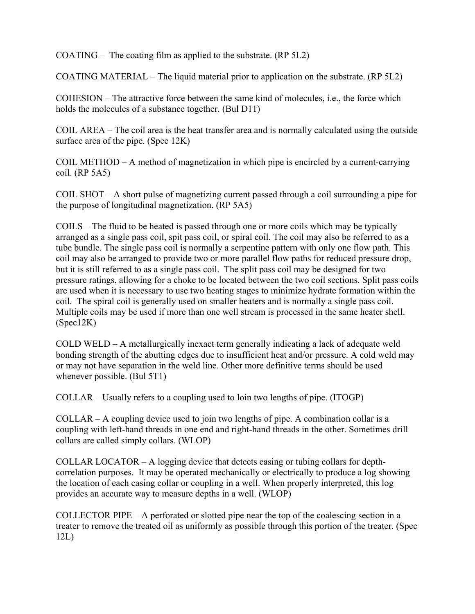COATING – The coating film as applied to the substrate. (RP 5L2)

COATING MATERIAL – The liquid material prior to application on the substrate. (RP 5L2)

COHESION – The attractive force between the same kind of molecules, i.e., the force which holds the molecules of a substance together. (Bul D11)

COIL AREA – The coil area is the heat transfer area and is normally calculated using the outside surface area of the pipe. (Spec 12K)

COIL METHOD – A method of magnetization in which pipe is encircled by a current-carrying coil. (RP 5A5)

COIL SHOT – A short pulse of magnetizing current passed through a coil surrounding a pipe for the purpose of longitudinal magnetization. (RP 5A5)

COILS – The fluid to be heated is passed through one or more coils which may be typically arranged as a single pass coil, spit pass coil, or spiral coil. The coil may also be referred to as a tube bundle. The single pass coil is normally a serpentine pattern with only one flow path. This coil may also be arranged to provide two or more parallel flow paths for reduced pressure drop, but it is still referred to as a single pass coil. The split pass coil may be designed for two pressure ratings, allowing for a choke to be located between the two coil sections. Split pass coils are used when it is necessary to use two heating stages to minimize hydrate formation within the coil. The spiral coil is generally used on smaller heaters and is normally a single pass coil. Multiple coils may be used if more than one well stream is processed in the same heater shell. (Spec12K)

COLD WELD – A metallurgically inexact term generally indicating a lack of adequate weld bonding strength of the abutting edges due to insufficient heat and/or pressure. A cold weld may or may not have separation in the weld line. Other more definitive terms should be used whenever possible. (Bul 5T1)

COLLAR – Usually refers to a coupling used to loin two lengths of pipe. (ITOGP)

COLLAR – A coupling device used to join two lengths of pipe. A combination collar is a coupling with left-hand threads in one end and right-hand threads in the other. Sometimes drill collars are called simply collars. (WLOP)

COLLAR LOCATOR – A logging device that detects casing or tubing collars for depthcorrelation purposes. It may be operated mechanically or electrically to produce a log showing the location of each casing collar or coupling in a well. When properly interpreted, this log provides an accurate way to measure depths in a well. (WLOP)

COLLECTOR PIPE – A perforated or slotted pipe near the top of the coalescing section in a treater to remove the treated oil as uniformly as possible through this portion of the treater. (Spec 12L)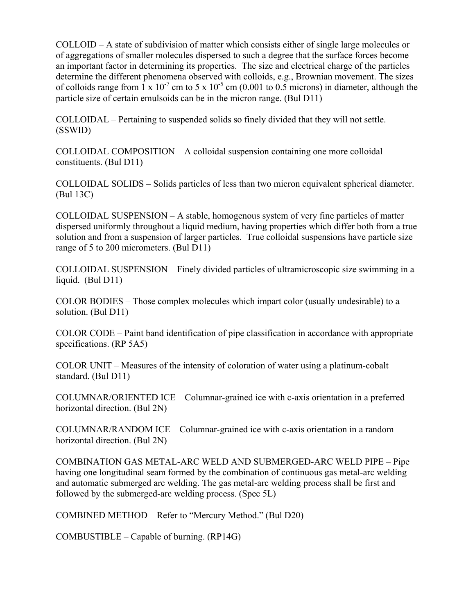COLLOID – A state of subdivision of matter which consists either of single large molecules or of aggregations of smaller molecules dispersed to such a degree that the surface forces become an important factor in determining its properties. The size and electrical charge of the particles determine the different phenomena observed with colloids, e.g., Brownian movement. The sizes of colloids range from  $1 \times 10^{-7}$  cm to 5 x 10<sup>-5</sup> cm (0.001 to 0.5 microns) in diameter, although the particle size of certain emulsoids can be in the micron range. (Bul D11)

COLLOIDAL – Pertaining to suspended solids so finely divided that they will not settle. (SSWID)

COLLOIDAL COMPOSITION – A colloidal suspension containing one more colloidal constituents. (Bul D11)

COLLOIDAL SOLIDS – Solids particles of less than two micron equivalent spherical diameter. (Bul 13C)

COLLOIDAL SUSPENSION – A stable, homogenous system of very fine particles of matter dispersed uniformly throughout a liquid medium, having properties which differ both from a true solution and from a suspension of larger particles. True colloidal suspensions have particle size range of 5 to 200 micrometers. (Bul D11)

COLLOIDAL SUSPENSION – Finely divided particles of ultramicroscopic size swimming in a liquid. (Bul D11)

COLOR BODIES – Those complex molecules which impart color (usually undesirable) to a solution. (Bul D11)

COLOR CODE – Paint band identification of pipe classification in accordance with appropriate specifications. (RP 5A5)

COLOR UNIT – Measures of the intensity of coloration of water using a platinum-cobalt standard. (Bul D11)

COLUMNAR/ORIENTED ICE – Columnar-grained ice with c-axis orientation in a preferred horizontal direction. (Bul 2N)

COLUMNAR/RANDOM ICE – Columnar-grained ice with c-axis orientation in a random horizontal direction. (Bul 2N)

COMBINATION GAS METAL-ARC WELD AND SUBMERGED-ARC WELD PIPE – Pipe having one longitudinal seam formed by the combination of continuous gas metal-arc welding and automatic submerged arc welding. The gas metal-arc welding process shall be first and followed by the submerged-arc welding process. (Spec 5L)

COMBINED METHOD – Refer to "Mercury Method." (Bul D20)

COMBUSTIBLE – Capable of burning. (RP14G)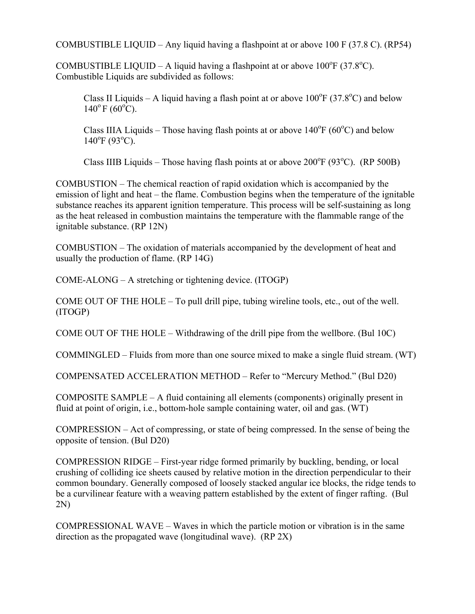COMBUSTIBLE LIQUID – Any liquid having a flashpoint at or above 100 F (37.8 C). (RP54)

COMBUSTIBLE LIQUID – A liquid having a flashpoint at or above  $100^{\circ}F(37.8^{\circ}C)$ . Combustible Liquids are subdivided as follows:

Class II Liquids – A liquid having a flash point at or above  $100^{\circ}F(37.8^{\circ}C)$  and below  $140^{\circ}$  F (60 $^{\circ}$ C).

Class IIIA Liquids – Those having flash points at or above  $140^{\circ}F (60^{\circ}C)$  and below  $140^{\circ}$ F (93 $^{\circ}$ C).

Class IIIB Liquids – Those having flash points at or above  $200^{\circ}F(93^{\circ}C)$ . (RP 500B)

COMBUSTION – The chemical reaction of rapid oxidation which is accompanied by the emission of light and heat – the flame. Combustion begins when the temperature of the ignitable substance reaches its apparent ignition temperature. This process will be self-sustaining as long as the heat released in combustion maintains the temperature with the flammable range of the ignitable substance. (RP 12N)

COMBUSTION – The oxidation of materials accompanied by the development of heat and usually the production of flame. (RP 14G)

COME-ALONG – A stretching or tightening device. (ITOGP)

COME OUT OF THE HOLE – To pull drill pipe, tubing wireline tools, etc., out of the well. (ITOGP)

COME OUT OF THE HOLE – Withdrawing of the drill pipe from the wellbore. (Bul 10C)

COMMINGLED – Fluids from more than one source mixed to make a single fluid stream. (WT)

COMPENSATED ACCELERATION METHOD – Refer to "Mercury Method." (Bul D20)

COMPOSITE SAMPLE – A fluid containing all elements (components) originally present in fluid at point of origin, i.e., bottom-hole sample containing water, oil and gas. (WT)

COMPRESSION – Act of compressing, or state of being compressed. In the sense of being the opposite of tension. (Bul D20)

COMPRESSION RIDGE – First-year ridge formed primarily by buckling, bending, or local crushing of colliding ice sheets caused by relative motion in the direction perpendicular to their common boundary. Generally composed of loosely stacked angular ice blocks, the ridge tends to be a curvilinear feature with a weaving pattern established by the extent of finger rafting. (Bul 2N)

COMPRESSIONAL WAVE – Waves in which the particle motion or vibration is in the same direction as the propagated wave (longitudinal wave). (RP 2X)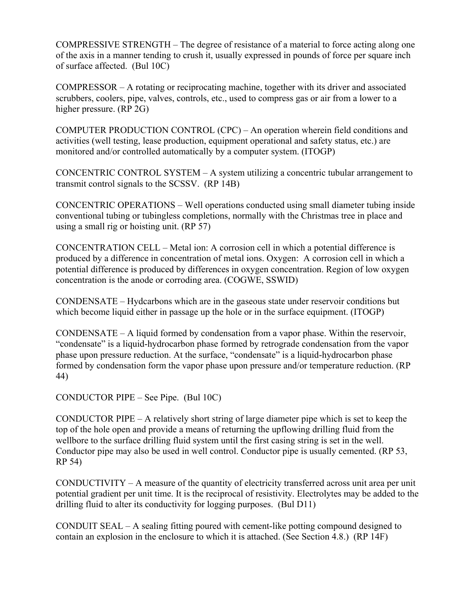COMPRESSIVE STRENGTH – The degree of resistance of a material to force acting along one of the axis in a manner tending to crush it, usually expressed in pounds of force per square inch of surface affected. (Bul 10C)

COMPRESSOR – A rotating or reciprocating machine, together with its driver and associated scrubbers, coolers, pipe, valves, controls, etc., used to compress gas or air from a lower to a higher pressure. (RP 2G)

COMPUTER PRODUCTION CONTROL (CPC) – An operation wherein field conditions and activities (well testing, lease production, equipment operational and safety status, etc.) are monitored and/or controlled automatically by a computer system. (ITOGP)

CONCENTRIC CONTROL SYSTEM – A system utilizing a concentric tubular arrangement to transmit control signals to the SCSSV. (RP 14B)

CONCENTRIC OPERATIONS – Well operations conducted using small diameter tubing inside conventional tubing or tubingless completions, normally with the Christmas tree in place and using a small rig or hoisting unit. (RP 57)

CONCENTRATION CELL – Metal ion: A corrosion cell in which a potential difference is produced by a difference in concentration of metal ions. Oxygen: A corrosion cell in which a potential difference is produced by differences in oxygen concentration. Region of low oxygen concentration is the anode or corroding area. (COGWE, SSWID)

CONDENSATE – Hydcarbons which are in the gaseous state under reservoir conditions but which become liquid either in passage up the hole or in the surface equipment. (ITOGP)

CONDENSATE  $-$  A liquid formed by condensation from a vapor phase. Within the reservoir, "condensate" is a liquid-hydrocarbon phase formed by retrograde condensation from the vapor phase upon pressure reduction. At the surface, "condensate" is a liquid-hydrocarbon phase formed by condensation form the vapor phase upon pressure and/or temperature reduction. (RP 44)

CONDUCTOR PIPE – See Pipe. (Bul 10C)

CONDUCTOR PIPE – A relatively short string of large diameter pipe which is set to keep the top of the hole open and provide a means of returning the upflowing drilling fluid from the wellbore to the surface drilling fluid system until the first casing string is set in the well. Conductor pipe may also be used in well control. Conductor pipe is usually cemented. (RP 53, RP 54)

CONDUCTIVITY – A measure of the quantity of electricity transferred across unit area per unit potential gradient per unit time. It is the reciprocal of resistivity. Electrolytes may be added to the drilling fluid to alter its conductivity for logging purposes. (Bul D11)

CONDUIT SEAL – A sealing fitting poured with cement-like potting compound designed to contain an explosion in the enclosure to which it is attached. (See Section 4.8.) (RP 14F)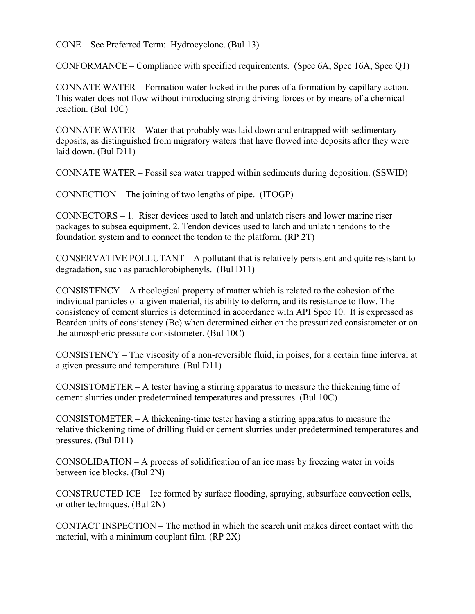CONE – See Preferred Term: Hydrocyclone. (Bul 13)

CONFORMANCE – Compliance with specified requirements. (Spec 6A, Spec 16A, Spec Q1)

CONNATE WATER – Formation water locked in the pores of a formation by capillary action. This water does not flow without introducing strong driving forces or by means of a chemical reaction. (Bul 10C)

CONNATE WATER – Water that probably was laid down and entrapped with sedimentary deposits, as distinguished from migratory waters that have flowed into deposits after they were laid down. (Bul D11)

CONNATE WATER – Fossil sea water trapped within sediments during deposition. (SSWID)

CONNECTION – The joining of two lengths of pipe. (ITOGP)

CONNECTORS – 1. Riser devices used to latch and unlatch risers and lower marine riser packages to subsea equipment. 2. Tendon devices used to latch and unlatch tendons to the foundation system and to connect the tendon to the platform. (RP 2T)

CONSERVATIVE POLLUTANT – A pollutant that is relatively persistent and quite resistant to degradation, such as parachlorobiphenyls. (Bul D11)

CONSISTENCY – A rheological property of matter which is related to the cohesion of the individual particles of a given material, its ability to deform, and its resistance to flow. The consistency of cement slurries is determined in accordance with API Spec 10. It is expressed as Bearden units of consistency (Bc) when determined either on the pressurized consistometer or on the atmospheric pressure consistometer. (Bul 10C)

CONSISTENCY – The viscosity of a non-reversible fluid, in poises, for a certain time interval at a given pressure and temperature. (Bul D11)

CONSISTOMETER – A tester having a stirring apparatus to measure the thickening time of cement slurries under predetermined temperatures and pressures. (Bul 10C)

CONSISTOMETER – A thickening-time tester having a stirring apparatus to measure the relative thickening time of drilling fluid or cement slurries under predetermined temperatures and pressures. (Bul D11)

CONSOLIDATION – A process of solidification of an ice mass by freezing water in voids between ice blocks. (Bul 2N)

CONSTRUCTED ICE – Ice formed by surface flooding, spraying, subsurface convection cells, or other techniques. (Bul 2N)

CONTACT INSPECTION – The method in which the search unit makes direct contact with the material, with a minimum couplant film. (RP 2X)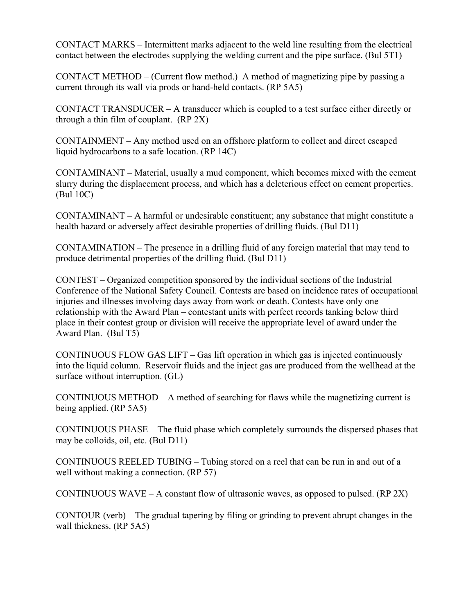CONTACT MARKS – Intermittent marks adjacent to the weld line resulting from the electrical contact between the electrodes supplying the welding current and the pipe surface. (Bul 5T1)

CONTACT METHOD – (Current flow method.) A method of magnetizing pipe by passing a current through its wall via prods or hand-held contacts. (RP 5A5)

CONTACT TRANSDUCER – A transducer which is coupled to a test surface either directly or through a thin film of couplant. (RP 2X)

CONTAINMENT – Any method used on an offshore platform to collect and direct escaped liquid hydrocarbons to a safe location. (RP 14C)

CONTAMINANT – Material, usually a mud component, which becomes mixed with the cement slurry during the displacement process, and which has a deleterious effect on cement properties. (Bul 10C)

CONTAMINANT – A harmful or undesirable constituent; any substance that might constitute a health hazard or adversely affect desirable properties of drilling fluids. (Bul D11)

CONTAMINATION – The presence in a drilling fluid of any foreign material that may tend to produce detrimental properties of the drilling fluid. (Bul D11)

CONTEST – Organized competition sponsored by the individual sections of the Industrial Conference of the National Safety Council. Contests are based on incidence rates of occupational injuries and illnesses involving days away from work or death. Contests have only one relationship with the Award Plan – contestant units with perfect records tanking below third place in their contest group or division will receive the appropriate level of award under the Award Plan. (Bul T5)

CONTINUOUS FLOW GAS LIFT – Gas lift operation in which gas is injected continuously into the liquid column. Reservoir fluids and the inject gas are produced from the wellhead at the surface without interruption. (GL)

CONTINUOUS METHOD – A method of searching for flaws while the magnetizing current is being applied. (RP 5A5)

CONTINUOUS PHASE – The fluid phase which completely surrounds the dispersed phases that may be colloids, oil, etc. (Bul D11)

CONTINUOUS REELED TUBING – Tubing stored on a reel that can be run in and out of a well without making a connection. (RP 57)

CONTINUOUS WAVE – A constant flow of ultrasonic waves, as opposed to pulsed. (RP  $2X$ )

CONTOUR (verb) – The gradual tapering by filing or grinding to prevent abrupt changes in the wall thickness. (RP 5A5)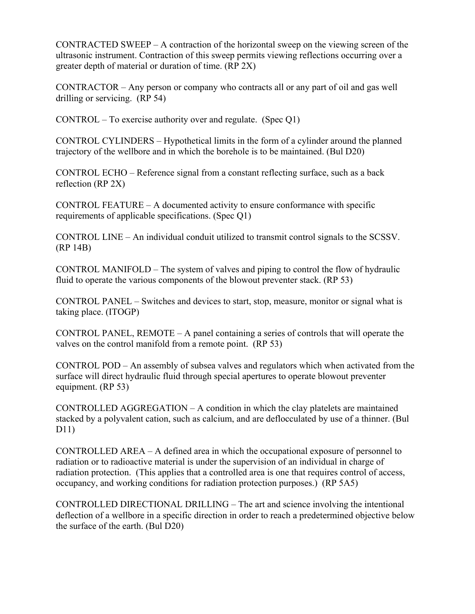CONTRACTED SWEEP – A contraction of the horizontal sweep on the viewing screen of the ultrasonic instrument. Contraction of this sweep permits viewing reflections occurring over a greater depth of material or duration of time. (RP 2X)

CONTRACTOR – Any person or company who contracts all or any part of oil and gas well drilling or servicing. (RP 54)

CONTROL – To exercise authority over and regulate. (Spec Q1)

CONTROL CYLINDERS – Hypothetical limits in the form of a cylinder around the planned trajectory of the wellbore and in which the borehole is to be maintained. (Bul D20)

CONTROL ECHO – Reference signal from a constant reflecting surface, such as a back reflection (RP 2X)

CONTROL FEATURE – A documented activity to ensure conformance with specific requirements of applicable specifications. (Spec Q1)

CONTROL LINE – An individual conduit utilized to transmit control signals to the SCSSV. (RP 14B)

CONTROL MANIFOLD – The system of valves and piping to control the flow of hydraulic fluid to operate the various components of the blowout preventer stack. (RP 53)

CONTROL PANEL – Switches and devices to start, stop, measure, monitor or signal what is taking place. (ITOGP)

CONTROL PANEL, REMOTE – A panel containing a series of controls that will operate the valves on the control manifold from a remote point. (RP 53)

CONTROL POD – An assembly of subsea valves and regulators which when activated from the surface will direct hydraulic fluid through special apertures to operate blowout preventer equipment. (RP 53)

CONTROLLED AGGREGATION – A condition in which the clay platelets are maintained stacked by a polyvalent cation, such as calcium, and are deflocculated by use of a thinner. (Bul D11)

CONTROLLED AREA – A defined area in which the occupational exposure of personnel to radiation or to radioactive material is under the supervision of an individual in charge of radiation protection. (This applies that a controlled area is one that requires control of access, occupancy, and working conditions for radiation protection purposes.) (RP 5A5)

CONTROLLED DIRECTIONAL DRILLING – The art and science involving the intentional deflection of a wellbore in a specific direction in order to reach a predetermined objective below the surface of the earth. (Bul D20)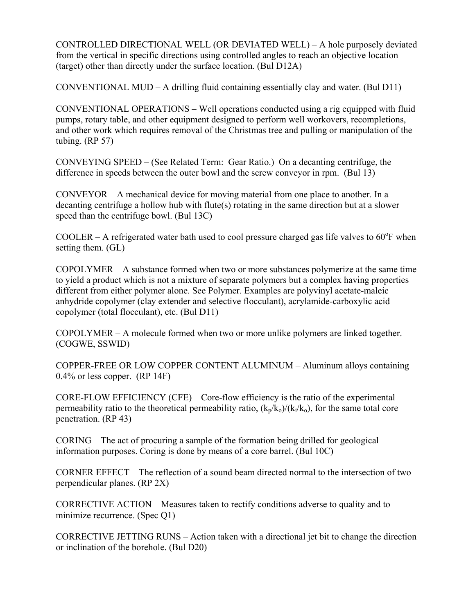CONTROLLED DIRECTIONAL WELL (OR DEVIATED WELL) – A hole purposely deviated from the vertical in specific directions using controlled angles to reach an objective location (target) other than directly under the surface location. (Bul D12A)

CONVENTIONAL MUD – A drilling fluid containing essentially clay and water. (Bul D11)

CONVENTIONAL OPERATIONS – Well operations conducted using a rig equipped with fluid pumps, rotary table, and other equipment designed to perform well workovers, recompletions, and other work which requires removal of the Christmas tree and pulling or manipulation of the tubing. (RP 57)

CONVEYING SPEED – (See Related Term: Gear Ratio.) On a decanting centrifuge, the difference in speeds between the outer bowl and the screw conveyor in rpm. (Bul 13)

CONVEYOR – A mechanical device for moving material from one place to another. In a decanting centrifuge a hollow hub with flute(s) rotating in the same direction but at a slower speed than the centrifuge bowl. (Bul 13C)

COOLER – A refrigerated water bath used to cool pressure charged gas life valves to  $60^{\circ}$ F when setting them. (GL)

COPOLYMER – A substance formed when two or more substances polymerize at the same time to yield a product which is not a mixture of separate polymers but a complex having properties different from either polymer alone. See Polymer. Examples are polyvinyl acetate-maleic anhydride copolymer (clay extender and selective flocculant), acrylamide-carboxylic acid copolymer (total flocculant), etc. (Bul D11)

COPOLYMER – A molecule formed when two or more unlike polymers are linked together. (COGWE, SSWID)

COPPER-FREE OR LOW COPPER CONTENT ALUMINUM – Aluminum alloys containing 0.4% or less copper. (RP 14F)

CORE-FLOW EFFICIENCY (CFE) – Core-flow efficiency is the ratio of the experimental permeability ratio to the theoretical permeability ratio,  $(k_p/k_o)/(k_i/k_o)$ , for the same total core penetration. (RP 43)

CORING – The act of procuring a sample of the formation being drilled for geological information purposes. Coring is done by means of a core barrel. (Bul 10C)

CORNER EFFECT – The reflection of a sound beam directed normal to the intersection of two perpendicular planes. (RP 2X)

CORRECTIVE ACTION – Measures taken to rectify conditions adverse to quality and to minimize recurrence. (Spec Q1)

CORRECTIVE JETTING RUNS – Action taken with a directional jet bit to change the direction or inclination of the borehole. (Bul D20)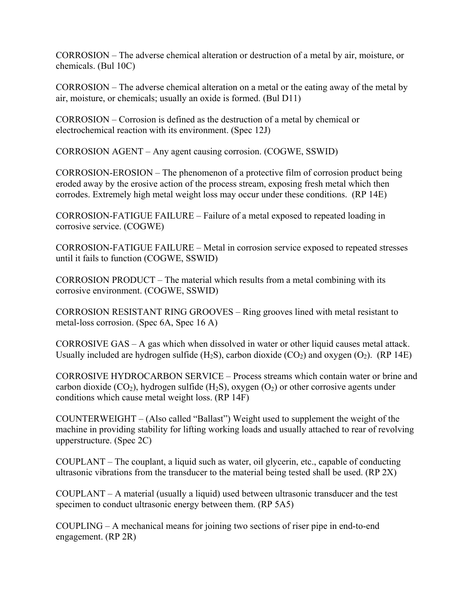CORROSION – The adverse chemical alteration or destruction of a metal by air, moisture, or chemicals. (Bul 10C)

CORROSION – The adverse chemical alteration on a metal or the eating away of the metal by air, moisture, or chemicals; usually an oxide is formed. (Bul D11)

CORROSION – Corrosion is defined as the destruction of a metal by chemical or electrochemical reaction with its environment. (Spec 12J)

CORROSION AGENT – Any agent causing corrosion. (COGWE, SSWID)

CORROSION-EROSION – The phenomenon of a protective film of corrosion product being eroded away by the erosive action of the process stream, exposing fresh metal which then corrodes. Extremely high metal weight loss may occur under these conditions. (RP 14E)

CORROSION-FATIGUE FAILURE – Failure of a metal exposed to repeated loading in corrosive service. (COGWE)

CORROSION-FATIGUE FAILURE – Metal in corrosion service exposed to repeated stresses until it fails to function (COGWE, SSWID)

CORROSION PRODUCT – The material which results from a metal combining with its corrosive environment. (COGWE, SSWID)

CORROSION RESISTANT RING GROOVES – Ring grooves lined with metal resistant to metal-loss corrosion. (Spec 6A, Spec 16 A)

CORROSIVE GAS – A gas which when dissolved in water or other liquid causes metal attack. Usually included are hydrogen sulfide  $(H<sub>2</sub>S)$ , carbon dioxide  $(CO<sub>2</sub>)$  and oxygen  $(O<sub>2</sub>)$ . (RP 14E)

CORROSIVE HYDROCARBON SERVICE – Process streams which contain water or brine and carbon dioxide (CO<sub>2</sub>), hydrogen sulfide (H<sub>2</sub>S), oxygen (O<sub>2</sub>) or other corrosive agents under conditions which cause metal weight loss. (RP 14F)

COUNTERWEIGHT – (Also called "Ballast") Weight used to supplement the weight of the machine in providing stability for lifting working loads and usually attached to rear of revolving upperstructure. (Spec 2C)

COUPLANT – The couplant, a liquid such as water, oil glycerin, etc., capable of conducting ultrasonic vibrations from the transducer to the material being tested shall be used. (RP 2X)

COUPLANT – A material (usually a liquid) used between ultrasonic transducer and the test specimen to conduct ultrasonic energy between them. (RP 5A5)

COUPLING – A mechanical means for joining two sections of riser pipe in end-to-end engagement. (RP 2R)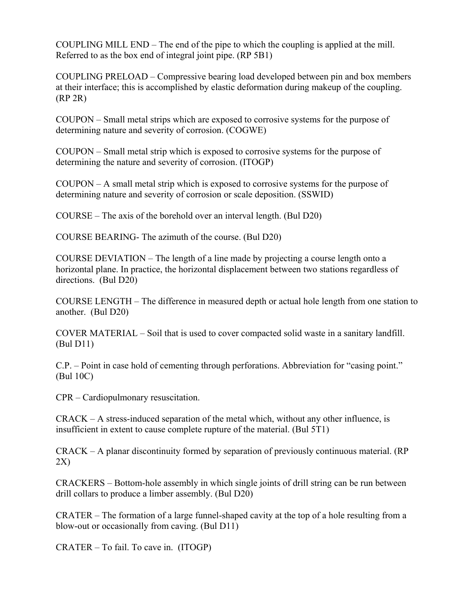COUPLING MILL END – The end of the pipe to which the coupling is applied at the mill. Referred to as the box end of integral joint pipe. (RP 5B1)

COUPLING PRELOAD – Compressive bearing load developed between pin and box members at their interface; this is accomplished by elastic deformation during makeup of the coupling. (RP 2R)

COUPON – Small metal strips which are exposed to corrosive systems for the purpose of determining nature and severity of corrosion. (COGWE)

COUPON – Small metal strip which is exposed to corrosive systems for the purpose of determining the nature and severity of corrosion. (ITOGP)

COUPON – A small metal strip which is exposed to corrosive systems for the purpose of determining nature and severity of corrosion or scale deposition. (SSWID)

COURSE – The axis of the borehold over an interval length. (Bul D20)

COURSE BEARING- The azimuth of the course. (Bul D20)

COURSE DEVIATION – The length of a line made by projecting a course length onto a horizontal plane. In practice, the horizontal displacement between two stations regardless of directions. (Bul D20)

COURSE LENGTH – The difference in measured depth or actual hole length from one station to another. (Bul D20)

COVER MATERIAL – Soil that is used to cover compacted solid waste in a sanitary landfill. (Bul D11)

C.P. – Point in case hold of cementing through perforations. Abbreviation for "casing point." (Bul 10C)

CPR – Cardiopulmonary resuscitation.

CRACK – A stress-induced separation of the metal which, without any other influence, is insufficient in extent to cause complete rupture of the material. (Bul 5T1)

CRACK – A planar discontinuity formed by separation of previously continuous material. (RP 2X)

CRACKERS – Bottom-hole assembly in which single joints of drill string can be run between drill collars to produce a limber assembly. (Bul D20)

CRATER – The formation of a large funnel-shaped cavity at the top of a hole resulting from a blow-out or occasionally from caving. (Bul D11)

CRATER – To fail. To cave in. (ITOGP)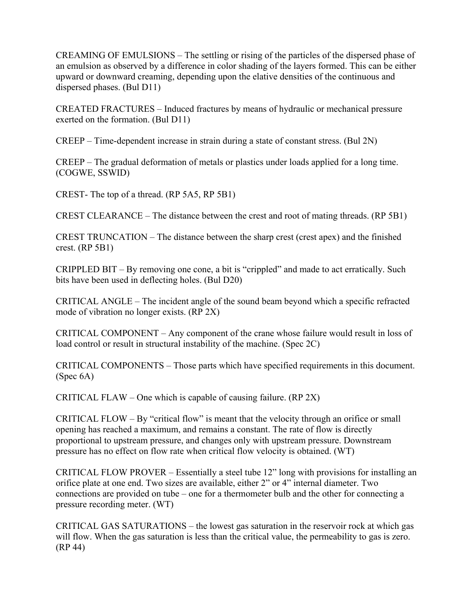CREAMING OF EMULSIONS – The settling or rising of the particles of the dispersed phase of an emulsion as observed by a difference in color shading of the layers formed. This can be either upward or downward creaming, depending upon the elative densities of the continuous and dispersed phases. (Bul D11)

CREATED FRACTURES – Induced fractures by means of hydraulic or mechanical pressure exerted on the formation. (Bul D11)

CREEP – Time-dependent increase in strain during a state of constant stress. (Bul 2N)

CREEP – The gradual deformation of metals or plastics under loads applied for a long time. (COGWE, SSWID)

CREST- The top of a thread. (RP 5A5, RP 5B1)

CREST CLEARANCE – The distance between the crest and root of mating threads. (RP 5B1)

CREST TRUNCATION – The distance between the sharp crest (crest apex) and the finished crest. (RP 5B1)

CRIPPLED BIT – By removing one cone, a bit is "crippled" and made to act erratically. Such bits have been used in deflecting holes. (Bul D20)

CRITICAL ANGLE – The incident angle of the sound beam beyond which a specific refracted mode of vibration no longer exists. (RP 2X)

CRITICAL COMPONENT – Any component of the crane whose failure would result in loss of load control or result in structural instability of the machine. (Spec 2C)

CRITICAL COMPONENTS – Those parts which have specified requirements in this document. (Spec 6A)

CRITICAL FLAW – One which is capable of causing failure. (RP 2X)

CRITICAL FLOW – By "critical flow" is meant that the velocity through an orifice or small opening has reached a maximum, and remains a constant. The rate of flow is directly proportional to upstream pressure, and changes only with upstream pressure. Downstream pressure has no effect on flow rate when critical flow velocity is obtained. (WT)

CRITICAL FLOW PROVER – Essentially a steel tube 12" long with provisions for installing an orifice plate at one end. Two sizes are available, either 2" or 4" internal diameter. Two connections are provided on tube – one for a thermometer bulb and the other for connecting a pressure recording meter. (WT)

CRITICAL GAS SATURATIONS – the lowest gas saturation in the reservoir rock at which gas will flow. When the gas saturation is less than the critical value, the permeability to gas is zero. (RP 44)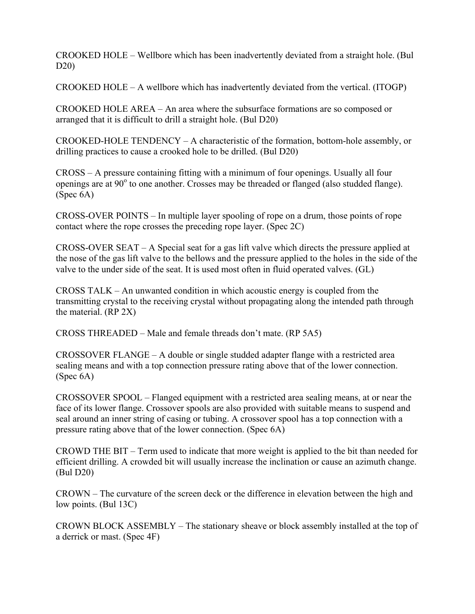CROOKED HOLE – Wellbore which has been inadvertently deviated from a straight hole. (Bul D20)

CROOKED HOLE – A wellbore which has inadvertently deviated from the vertical. (ITOGP)

CROOKED HOLE AREA – An area where the subsurface formations are so composed or arranged that it is difficult to drill a straight hole. (Bul D20)

CROOKED-HOLE TENDENCY – A characteristic of the formation, bottom-hole assembly, or drilling practices to cause a crooked hole to be drilled. (Bul D20)

CROSS – A pressure containing fitting with a minimum of four openings. Usually all four openings are at 90° to one another. Crosses may be threaded or flanged (also studded flange). (Spec 6A)

CROSS-OVER POINTS – In multiple layer spooling of rope on a drum, those points of rope contact where the rope crosses the preceding rope layer. (Spec 2C)

CROSS-OVER SEAT – A Special seat for a gas lift valve which directs the pressure applied at the nose of the gas lift valve to the bellows and the pressure applied to the holes in the side of the valve to the under side of the seat. It is used most often in fluid operated valves. (GL)

CROSS TALK – An unwanted condition in which acoustic energy is coupled from the transmitting crystal to the receiving crystal without propagating along the intended path through the material. (RP 2X)

CROSS THREADED – Male and female threads don't mate. (RP 5A5)

CROSSOVER FLANGE – A double or single studded adapter flange with a restricted area sealing means and with a top connection pressure rating above that of the lower connection. (Spec 6A)

CROSSOVER SPOOL – Flanged equipment with a restricted area sealing means, at or near the face of its lower flange. Crossover spools are also provided with suitable means to suspend and seal around an inner string of casing or tubing. A crossover spool has a top connection with a pressure rating above that of the lower connection. (Spec 6A)

CROWD THE BIT – Term used to indicate that more weight is applied to the bit than needed for efficient drilling. A crowded bit will usually increase the inclination or cause an azimuth change. (Bul D20)

CROWN – The curvature of the screen deck or the difference in elevation between the high and low points. (Bul 13C)

CROWN BLOCK ASSEMBLY – The stationary sheave or block assembly installed at the top of a derrick or mast. (Spec 4F)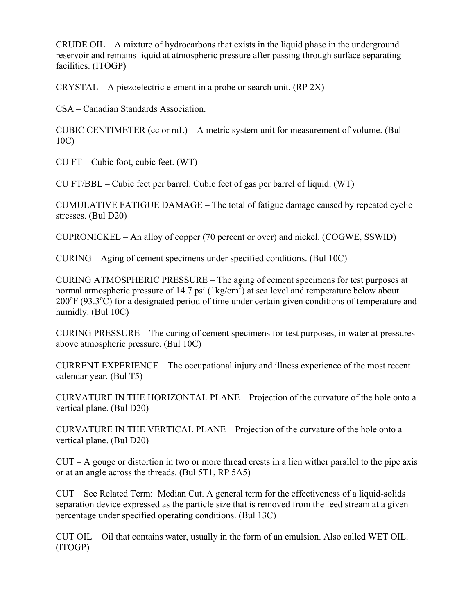CRUDE OIL – A mixture of hydrocarbons that exists in the liquid phase in the underground reservoir and remains liquid at atmospheric pressure after passing through surface separating facilities. (ITOGP)

CRYSTAL – A piezoelectric element in a probe or search unit. (RP 2X)

CSA – Canadian Standards Association.

CUBIC CENTIMETER (cc or  $mL$ ) – A metric system unit for measurement of volume. (Bul 10C)

CU FT – Cubic foot, cubic feet. (WT)

CU FT/BBL – Cubic feet per barrel. Cubic feet of gas per barrel of liquid. (WT)

CUMULATIVE FATIGUE DAMAGE – The total of fatigue damage caused by repeated cyclic stresses. (Bul D20)

CUPRONICKEL – An alloy of copper (70 percent or over) and nickel. (COGWE, SSWID)

CURING – Aging of cement specimens under specified conditions. (Bul 10C)

CURING ATMOSPHERIC PRESSURE – The aging of cement specimens for test purposes at normal atmospheric pressure of 14.7 psi ( $1 \text{kg/cm}^2$ ) at sea level and temperature below about 200°F (93.3°C) for a designated period of time under certain given conditions of temperature and humidly. (Bul 10C)

CURING PRESSURE – The curing of cement specimens for test purposes, in water at pressures above atmospheric pressure. (Bul 10C)

CURRENT EXPERIENCE – The occupational injury and illness experience of the most recent calendar year. (Bul T5)

CURVATURE IN THE HORIZONTAL PLANE – Projection of the curvature of the hole onto a vertical plane. (Bul D20)

CURVATURE IN THE VERTICAL PLANE – Projection of the curvature of the hole onto a vertical plane. (Bul D20)

CUT – A gouge or distortion in two or more thread crests in a lien wither parallel to the pipe axis or at an angle across the threads. (Bul 5T1, RP 5A5)

CUT – See Related Term: Median Cut. A general term for the effectiveness of a liquid-solids separation device expressed as the particle size that is removed from the feed stream at a given percentage under specified operating conditions. (Bul 13C)

CUT OIL – Oil that contains water, usually in the form of an emulsion. Also called WET OIL. (ITOGP)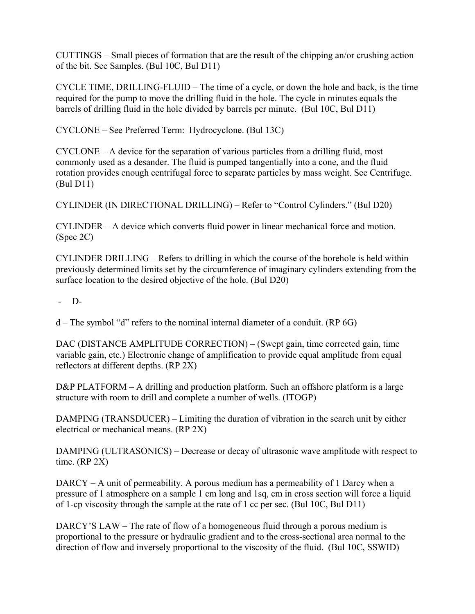CUTTINGS – Small pieces of formation that are the result of the chipping an/or crushing action of the bit. See Samples. (Bul 10C, Bul D11)

CYCLE TIME, DRILLING-FLUID – The time of a cycle, or down the hole and back, is the time required for the pump to move the drilling fluid in the hole. The cycle in minutes equals the barrels of drilling fluid in the hole divided by barrels per minute. (Bul 10C, Bul D11)

CYCLONE – See Preferred Term: Hydrocyclone. (Bul 13C)

CYCLONE – A device for the separation of various particles from a drilling fluid, most commonly used as a desander. The fluid is pumped tangentially into a cone, and the fluid rotation provides enough centrifugal force to separate particles by mass weight. See Centrifuge. (Bul D11)

CYLINDER (IN DIRECTIONAL DRILLING) – Refer to "Control Cylinders." (Bul D20)

CYLINDER – A device which converts fluid power in linear mechanical force and motion. (Spec 2C)

CYLINDER DRILLING – Refers to drilling in which the course of the borehole is held within previously determined limits set by the circumference of imaginary cylinders extending from the surface location to the desired objective of the hole. (Bul D20)

- D-

 $d$  – The symbol "d" refers to the nominal internal diameter of a conduit. (RP  $6G$ )

DAC (DISTANCE AMPLITUDE CORRECTION) – (Swept gain, time corrected gain, time variable gain, etc.) Electronic change of amplification to provide equal amplitude from equal reflectors at different depths. (RP 2X)

D&P PLATFORM – A drilling and production platform. Such an offshore platform is a large structure with room to drill and complete a number of wells. (ITOGP)

DAMPING (TRANSDUCER) – Limiting the duration of vibration in the search unit by either electrical or mechanical means. (RP 2X)

DAMPING (ULTRASONICS) – Decrease or decay of ultrasonic wave amplitude with respect to time. (RP 2X)

DARCY – A unit of permeability. A porous medium has a permeability of 1 Darcy when a pressure of 1 atmosphere on a sample 1 cm long and 1sq, cm in cross section will force a liquid of 1-cp viscosity through the sample at the rate of 1 cc per sec. (Bul 10C, Bul D11)

DARCY'S LAW – The rate of flow of a homogeneous fluid through a porous medium is proportional to the pressure or hydraulic gradient and to the cross-sectional area normal to the direction of flow and inversely proportional to the viscosity of the fluid. (Bul 10C, SSWID)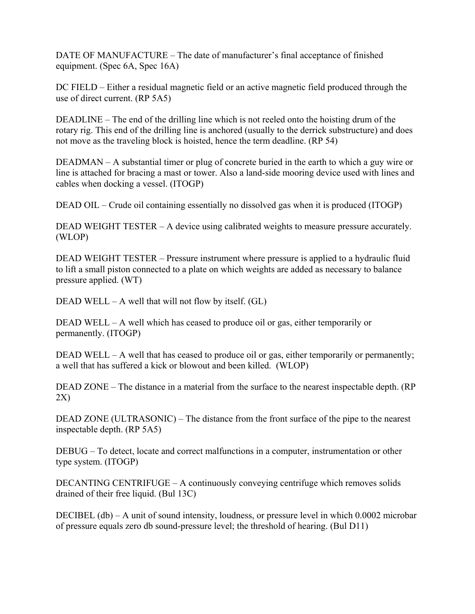DATE OF MANUFACTURE – The date of manufacturer's final acceptance of finished equipment. (Spec 6A, Spec 16A)

DC FIELD – Either a residual magnetic field or an active magnetic field produced through the use of direct current. (RP 5A5)

DEADLINE – The end of the drilling line which is not reeled onto the hoisting drum of the rotary rig. This end of the drilling line is anchored (usually to the derrick substructure) and does not move as the traveling block is hoisted, hence the term deadline. (RP 54)

DEADMAN – A substantial timer or plug of concrete buried in the earth to which a guy wire or line is attached for bracing a mast or tower. Also a land-side mooring device used with lines and cables when docking a vessel. (ITOGP)

DEAD OIL – Crude oil containing essentially no dissolved gas when it is produced (ITOGP)

DEAD WEIGHT TESTER – A device using calibrated weights to measure pressure accurately. (WLOP)

DEAD WEIGHT TESTER – Pressure instrument where pressure is applied to a hydraulic fluid to lift a small piston connected to a plate on which weights are added as necessary to balance pressure applied. (WT)

DEAD WELL – A well that will not flow by itself.  $(GL)$ 

DEAD WELL – A well which has ceased to produce oil or gas, either temporarily or permanently. (ITOGP)

DEAD WELL – A well that has ceased to produce oil or gas, either temporarily or permanently; a well that has suffered a kick or blowout and been killed. (WLOP)

DEAD ZONE – The distance in a material from the surface to the nearest inspectable depth. (RP 2X)

DEAD ZONE (ULTRASONIC) – The distance from the front surface of the pipe to the nearest inspectable depth. (RP 5A5)

DEBUG – To detect, locate and correct malfunctions in a computer, instrumentation or other type system. (ITOGP)

DECANTING CENTRIFUGE – A continuously conveying centrifuge which removes solids drained of their free liquid. (Bul 13C)

DECIBEL (db) – A unit of sound intensity, loudness, or pressure level in which 0.0002 microbar of pressure equals zero db sound-pressure level; the threshold of hearing. (Bul D11)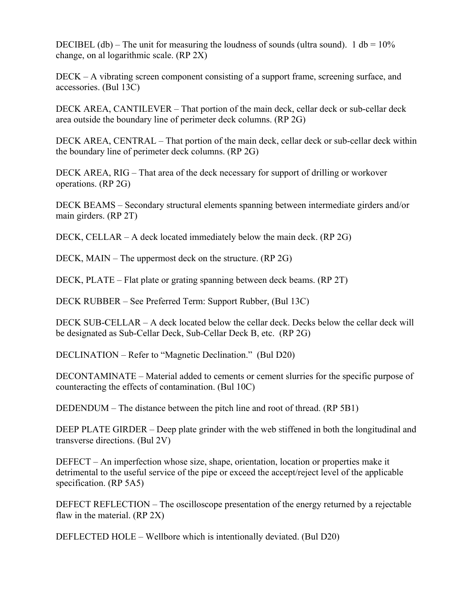DECIBEL (db) – The unit for measuring the loudness of sounds (ultra sound). 1 db =  $10\%$ change, on al logarithmic scale. (RP 2X)

DECK – A vibrating screen component consisting of a support frame, screening surface, and accessories. (Bul 13C)

DECK AREA, CANTILEVER – That portion of the main deck, cellar deck or sub-cellar deck area outside the boundary line of perimeter deck columns. (RP 2G)

DECK AREA, CENTRAL – That portion of the main deck, cellar deck or sub-cellar deck within the boundary line of perimeter deck columns. (RP 2G)

DECK AREA, RIG – That area of the deck necessary for support of drilling or workover operations. (RP 2G)

DECK BEAMS – Secondary structural elements spanning between intermediate girders and/or main girders. (RP 2T)

DECK, CELLAR – A deck located immediately below the main deck.  $(RP 2G)$ 

DECK, MAIN – The uppermost deck on the structure. (RP 2G)

DECK, PLATE – Flat plate or grating spanning between deck beams. (RP 2T)

DECK RUBBER – See Preferred Term: Support Rubber, (Bul 13C)

DECK SUB-CELLAR – A deck located below the cellar deck. Decks below the cellar deck will be designated as Sub-Cellar Deck, Sub-Cellar Deck B, etc. (RP 2G)

DECLINATION – Refer to "Magnetic Declination." (Bul D20)

DECONTAMINATE – Material added to cements or cement slurries for the specific purpose of counteracting the effects of contamination. (Bul 10C)

DEDENDUM – The distance between the pitch line and root of thread. (RP 5B1)

DEEP PLATE GIRDER – Deep plate grinder with the web stiffened in both the longitudinal and transverse directions. (Bul 2V)

DEFECT – An imperfection whose size, shape, orientation, location or properties make it detrimental to the useful service of the pipe or exceed the accept/reject level of the applicable specification. (RP 5A5)

DEFECT REFLECTION – The oscilloscope presentation of the energy returned by a rejectable flaw in the material. (RP 2X)

DEFLECTED HOLE – Wellbore which is intentionally deviated. (Bul D20)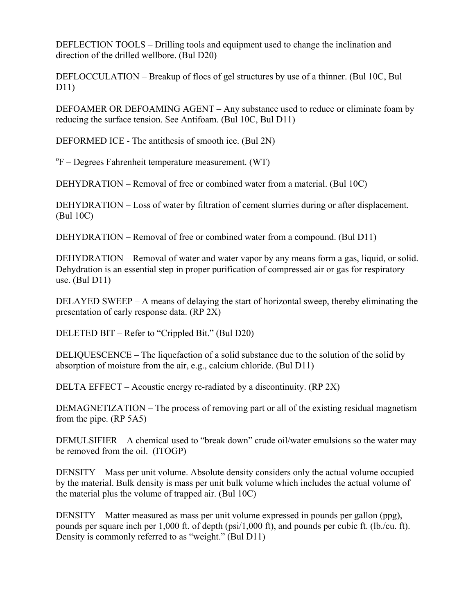DEFLECTION TOOLS – Drilling tools and equipment used to change the inclination and direction of the drilled wellbore. (Bul D20)

DEFLOCCULATION – Breakup of flocs of gel structures by use of a thinner. (Bul 10C, Bul D11)

DEFOAMER OR DEFOAMING AGENT – Any substance used to reduce or eliminate foam by reducing the surface tension. See Antifoam. (Bul 10C, Bul D11)

DEFORMED ICE - The antithesis of smooth ice. (Bul 2N)

 ${}^{0}$ F – Degrees Fahrenheit temperature measurement. (WT)

DEHYDRATION – Removal of free or combined water from a material. (Bul 10C)

DEHYDRATION – Loss of water by filtration of cement slurries during or after displacement. (Bul 10C)

DEHYDRATION – Removal of free or combined water from a compound. (Bul D11)

DEHYDRATION – Removal of water and water vapor by any means form a gas, liquid, or solid. Dehydration is an essential step in proper purification of compressed air or gas for respiratory use. (Bul D11)

DELAYED SWEEP – A means of delaying the start of horizontal sweep, thereby eliminating the presentation of early response data. (RP 2X)

DELETED BIT – Refer to "Crippled Bit." (Bul D20)

DELIQUESCENCE – The liquefaction of a solid substance due to the solution of the solid by absorption of moisture from the air, e.g., calcium chloride. (Bul D11)

DELTA EFFECT – Acoustic energy re-radiated by a discontinuity. (RP 2X)

DEMAGNETIZATION – The process of removing part or all of the existing residual magnetism from the pipe. (RP 5A5)

DEMULSIFIER – A chemical used to "break down" crude oil/water emulsions so the water may be removed from the oil. (ITOGP)

DENSITY – Mass per unit volume. Absolute density considers only the actual volume occupied by the material. Bulk density is mass per unit bulk volume which includes the actual volume of the material plus the volume of trapped air. (Bul 10C)

DENSITY – Matter measured as mass per unit volume expressed in pounds per gallon (ppg), pounds per square inch per 1,000 ft. of depth (psi/1,000 ft), and pounds per cubic ft. (lb./cu. ft). Density is commonly referred to as "weight." (Bul D11)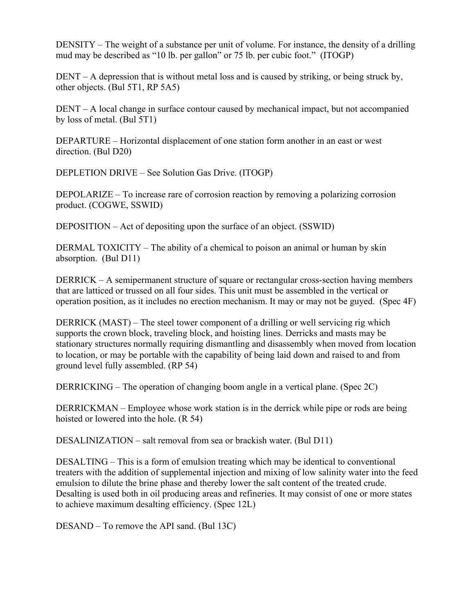DENSITY – The weight of a substance per unit of volume. For instance, the density of a drilling mud may be described as "10 lb. per gallon" or 75 lb. per cubic foot." (ITOGP)

DENT – A depression that is without metal loss and is caused by striking, or being struck by, other objects. (Bul 5T1, RP 5A5)

DENT – A local change in surface contour caused by mechanical impact, but not accompanied by loss of metal. (Bul 5T1)

DEPARTURE – Horizontal displacement of one station form another in an east or west direction. (Bul D20)

DEPLETION DRIVE – See Solution Gas Drive. (ITOGP)

DEPOLARIZE – To increase rare of corrosion reaction by removing a polarizing corrosion product. (COGWE, SSWID)

DEPOSITION – Act of depositing upon the surface of an object. (SSWID)

DERMAL TOXICITY – The ability of a chemical to poison an animal or human by skin absorption. (Bul D11)

DERRICK – A semipermanent structure of square or rectangular cross-section having members that are latticed or trussed on all four sides. This unit must be assembled in the vertical or operation position, as it includes no erection mechanism. It may or may not be guyed. (Spec 4F)

DERRICK (MAST) – The steel tower component of a drilling or well servicing rig which supports the crown block, traveling block, and hoisting lines. Derricks and masts may be stationary structures normally requiring dismantling and disassembly when moved from location to location, or may be portable with the capability of being laid down and raised to and from ground level fully assembled. (RP 54)

DERRICKING – The operation of changing boom angle in a vertical plane. (Spec 2C)

DERRICKMAN – Employee whose work station is in the derrick while pipe or rods are being hoisted or lowered into the hole. (R 54)

DESALINIZATION – salt removal from sea or brackish water. (Bul D11)

DESALTING – This is a form of emulsion treating which may be identical to conventional treaters with the addition of supplemental injection and mixing of low salinity water into the feed emulsion to dilute the brine phase and thereby lower the salt content of the treated crude. Desalting is used both in oil producing areas and refineries. It may consist of one or more states to achieve maximum desalting efficiency. (Spec 12L)

DESAND – To remove the API sand. (Bul 13C)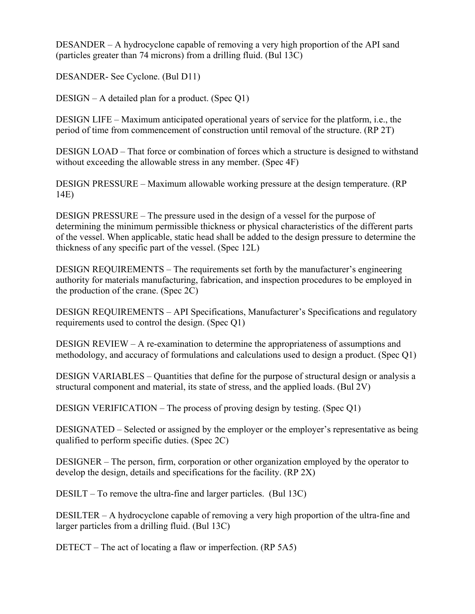DESANDER – A hydrocyclone capable of removing a very high proportion of the API sand (particles greater than 74 microns) from a drilling fluid. (Bul 13C)

DESANDER- See Cyclone. (Bul D11)

DESIGN – A detailed plan for a product. (Spec Q1)

DESIGN LIFE – Maximum anticipated operational years of service for the platform, i.e., the period of time from commencement of construction until removal of the structure. (RP 2T)

DESIGN LOAD – That force or combination of forces which a structure is designed to withstand without exceeding the allowable stress in any member. (Spec 4F)

DESIGN PRESSURE – Maximum allowable working pressure at the design temperature. (RP 14E)

DESIGN PRESSURE – The pressure used in the design of a vessel for the purpose of determining the minimum permissible thickness or physical characteristics of the different parts of the vessel. When applicable, static head shall be added to the design pressure to determine the thickness of any specific part of the vessel. (Spec 12L)

DESIGN REQUIREMENTS – The requirements set forth by the manufacturer's engineering authority for materials manufacturing, fabrication, and inspection procedures to be employed in the production of the crane. (Spec 2C)

DESIGN REQUIREMENTS – API Specifications, Manufacturer's Specifications and regulatory requirements used to control the design. (Spec Q1)

DESIGN REVIEW – A re-examination to determine the appropriateness of assumptions and methodology, and accuracy of formulations and calculations used to design a product. (Spec Q1)

DESIGN VARIABLES – Quantities that define for the purpose of structural design or analysis a structural component and material, its state of stress, and the applied loads. (Bul 2V)

DESIGN VERIFICATION – The process of proving design by testing. (Spec Q1)

DESIGNATED – Selected or assigned by the employer or the employer's representative as being qualified to perform specific duties. (Spec 2C)

DESIGNER – The person, firm, corporation or other organization employed by the operator to develop the design, details and specifications for the facility. (RP 2X)

DESILT – To remove the ultra-fine and larger particles. (Bul 13C)

DESILTER – A hydrocyclone capable of removing a very high proportion of the ultra-fine and larger particles from a drilling fluid. (Bul 13C)

DETECT – The act of locating a flaw or imperfection. (RP 5A5)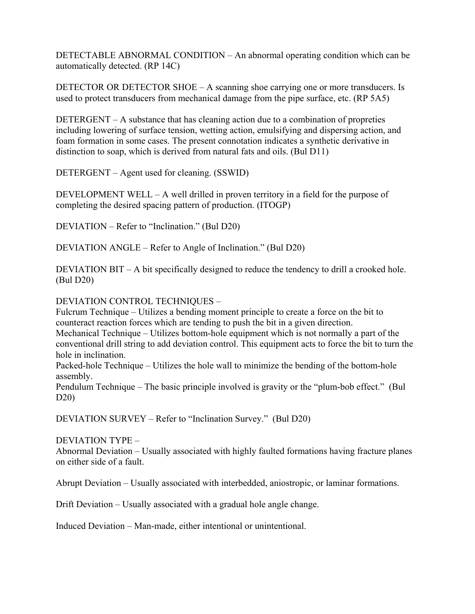DETECTABLE ABNORMAL CONDITION – An abnormal operating condition which can be automatically detected. (RP 14C)

DETECTOR OR DETECTOR SHOE – A scanning shoe carrying one or more transducers. Is used to protect transducers from mechanical damage from the pipe surface, etc. (RP 5A5)

DETERGENT – A substance that has cleaning action due to a combination of propreties including lowering of surface tension, wetting action, emulsifying and dispersing action, and foam formation in some cases. The present connotation indicates a synthetic derivative in distinction to soap, which is derived from natural fats and oils. (Bul D11)

DETERGENT – Agent used for cleaning. (SSWID)

DEVELOPMENT WELL – A well drilled in proven territory in a field for the purpose of completing the desired spacing pattern of production. (ITOGP)

DEVIATION – Refer to "Inclination." (Bul D20)

DEVIATION ANGLE – Refer to Angle of Inclination." (Bul D20)

DEVIATION BIT – A bit specifically designed to reduce the tendency to drill a crooked hole. (Bul D20)

## DEVIATION CONTROL TECHNIQUES –

Fulcrum Technique – Utilizes a bending moment principle to create a force on the bit to counteract reaction forces which are tending to push the bit in a given direction.

Mechanical Technique – Utilizes bottom-hole equipment which is not normally a part of the conventional drill string to add deviation control. This equipment acts to force the bit to turn the hole in inclination.

Packed-hole Technique – Utilizes the hole wall to minimize the bending of the bottom-hole assembly.

Pendulum Technique – The basic principle involved is gravity or the "plum-bob effect." (Bul D20)

DEVIATION SURVEY – Refer to "Inclination Survey." (Bul D20)

## DEVIATION TYPE –

Abnormal Deviation – Usually associated with highly faulted formations having fracture planes on either side of a fault.

Abrupt Deviation – Usually associated with interbedded, aniostropic, or laminar formations.

Drift Deviation – Usually associated with a gradual hole angle change.

Induced Deviation – Man-made, either intentional or unintentional.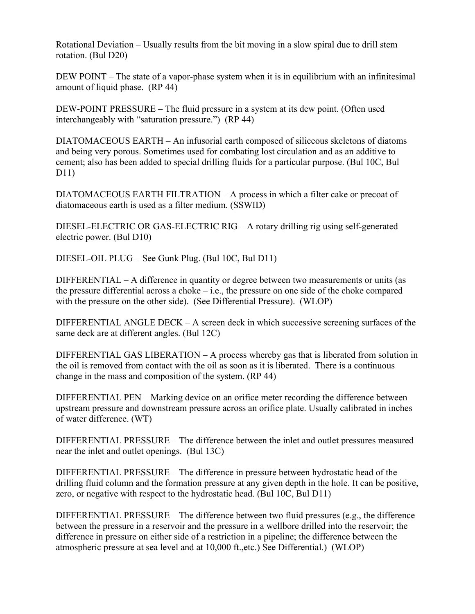Rotational Deviation – Usually results from the bit moving in a slow spiral due to drill stem rotation. (Bul D20)

DEW POINT – The state of a vapor-phase system when it is in equilibrium with an infinitesimal amount of liquid phase. (RP 44)

DEW-POINT PRESSURE – The fluid pressure in a system at its dew point. (Often used interchangeably with "saturation pressure.") (RP 44)

DIATOMACEOUS EARTH – An infusorial earth composed of siliceous skeletons of diatoms and being very porous. Sometimes used for combating lost circulation and as an additive to cement; also has been added to special drilling fluids for a particular purpose. (Bul 10C, Bul D11)

DIATOMACEOUS EARTH FILTRATION – A process in which a filter cake or precoat of diatomaceous earth is used as a filter medium. (SSWID)

DIESEL-ELECTRIC OR GAS-ELECTRIC RIG – A rotary drilling rig using self-generated electric power. (Bul D10)

DIESEL-OIL PLUG – See Gunk Plug. (Bul 10C, Bul D11)

DIFFERENTIAL – A difference in quantity or degree between two measurements or units (as the pressure differential across a choke – i.e., the pressure on one side of the choke compared with the pressure on the other side). (See Differential Pressure). (WLOP)

DIFFERENTIAL ANGLE DECK  $- A$  screen deck in which successive screening surfaces of the same deck are at different angles. (Bul 12C)

DIFFERENTIAL GAS LIBERATION – A process whereby gas that is liberated from solution in the oil is removed from contact with the oil as soon as it is liberated. There is a continuous change in the mass and composition of the system. (RP 44)

DIFFERENTIAL PEN – Marking device on an orifice meter recording the difference between upstream pressure and downstream pressure across an orifice plate. Usually calibrated in inches of water difference. (WT)

DIFFERENTIAL PRESSURE – The difference between the inlet and outlet pressures measured near the inlet and outlet openings. (Bul 13C)

DIFFERENTIAL PRESSURE – The difference in pressure between hydrostatic head of the drilling fluid column and the formation pressure at any given depth in the hole. It can be positive, zero, or negative with respect to the hydrostatic head. (Bul 10C, Bul D11)

DIFFERENTIAL PRESSURE – The difference between two fluid pressures (e.g., the difference between the pressure in a reservoir and the pressure in a wellbore drilled into the reservoir; the difference in pressure on either side of a restriction in a pipeline; the difference between the atmospheric pressure at sea level and at 10,000 ft.,etc.) See Differential.) (WLOP)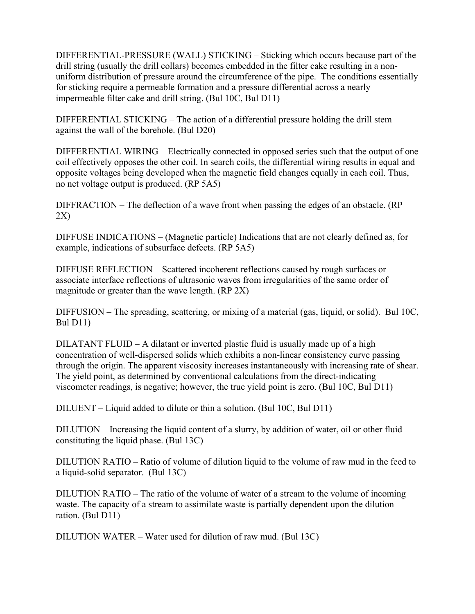DIFFERENTIAL-PRESSURE (WALL) STICKING – Sticking which occurs because part of the drill string (usually the drill collars) becomes embedded in the filter cake resulting in a nonuniform distribution of pressure around the circumference of the pipe. The conditions essentially for sticking require a permeable formation and a pressure differential across a nearly impermeable filter cake and drill string. (Bul 10C, Bul D11)

DIFFERENTIAL STICKING – The action of a differential pressure holding the drill stem against the wall of the borehole. (Bul D20)

DIFFERENTIAL WIRING – Electrically connected in opposed series such that the output of one coil effectively opposes the other coil. In search coils, the differential wiring results in equal and opposite voltages being developed when the magnetic field changes equally in each coil. Thus, no net voltage output is produced. (RP 5A5)

DIFFRACTION – The deflection of a wave front when passing the edges of an obstacle. (RP 2X)

DIFFUSE INDICATIONS – (Magnetic particle) Indications that are not clearly defined as, for example, indications of subsurface defects. (RP 5A5)

DIFFUSE REFLECTION – Scattered incoherent reflections caused by rough surfaces or associate interface reflections of ultrasonic waves from irregularities of the same order of magnitude or greater than the wave length. (RP 2X)

DIFFUSION – The spreading, scattering, or mixing of a material (gas, liquid, or solid). Bul 10C, Bul D11)

 $DILATANT FLUID - A dilatant$  or inverted plastic fluid is usually made up of a high concentration of well-dispersed solids which exhibits a non-linear consistency curve passing through the origin. The apparent viscosity increases instantaneously with increasing rate of shear. The yield point, as determined by conventional calculations from the direct-indicating viscometer readings, is negative; however, the true yield point is zero. (Bul 10C, Bul D11)

DILUENT – Liquid added to dilute or thin a solution. (Bul 10C, Bul D11)

DILUTION – Increasing the liquid content of a slurry, by addition of water, oil or other fluid constituting the liquid phase. (Bul 13C)

DILUTION RATIO – Ratio of volume of dilution liquid to the volume of raw mud in the feed to a liquid-solid separator. (Bul 13C)

DILUTION RATIO – The ratio of the volume of water of a stream to the volume of incoming waste. The capacity of a stream to assimilate waste is partially dependent upon the dilution ration. (Bul D11)

DILUTION WATER – Water used for dilution of raw mud. (Bul 13C)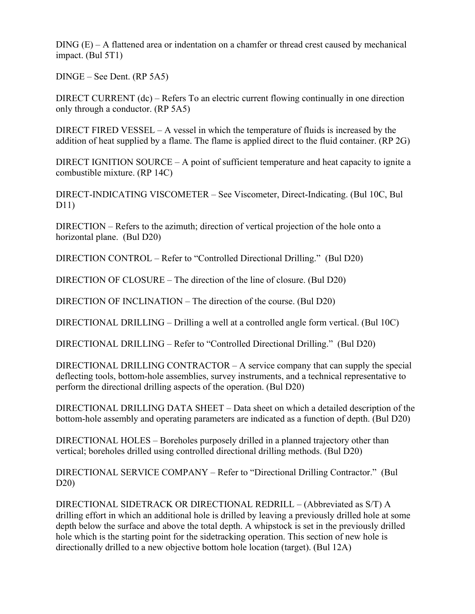$DING (E) - A$  flattened area or indentation on a chamfer or thread crest caused by mechanical impact. (Bul 5T1)

DINGE – See Dent. (RP 5A5)

DIRECT CURRENT (dc) – Refers To an electric current flowing continually in one direction only through a conductor. (RP 5A5)

DIRECT FIRED VESSEL  $-$  A vessel in which the temperature of fluids is increased by the addition of heat supplied by a flame. The flame is applied direct to the fluid container. (RP 2G)

DIRECT IGNITION SOURCE – A point of sufficient temperature and heat capacity to ignite a combustible mixture. (RP 14C)

DIRECT-INDICATING VISCOMETER – See Viscometer, Direct-Indicating. (Bul 10C, Bul D11)

DIRECTION – Refers to the azimuth; direction of vertical projection of the hole onto a horizontal plane. (Bul D20)

DIRECTION CONTROL – Refer to "Controlled Directional Drilling." (Bul D20)

DIRECTION OF CLOSURE – The direction of the line of closure. (Bul D20)

DIRECTION OF INCLINATION – The direction of the course. (Bul D20)

DIRECTIONAL DRILLING – Drilling a well at a controlled angle form vertical. (Bul 10C)

DIRECTIONAL DRILLING – Refer to "Controlled Directional Drilling." (Bul D20)

DIRECTIONAL DRILLING CONTRACTOR – A service company that can supply the special deflecting tools, bottom-hole assemblies, survey instruments, and a technical representative to perform the directional drilling aspects of the operation. (Bul D20)

DIRECTIONAL DRILLING DATA SHEET – Data sheet on which a detailed description of the bottom-hole assembly and operating parameters are indicated as a function of depth. (Bul D20)

DIRECTIONAL HOLES – Boreholes purposely drilled in a planned trajectory other than vertical; boreholes drilled using controlled directional drilling methods. (Bul D20)

DIRECTIONAL SERVICE COMPANY – Refer to "Directional Drilling Contractor." (Bul D20)

DIRECTIONAL SIDETRACK OR DIRECTIONAL REDRILL – (Abbreviated as S/T) A drilling effort in which an additional hole is drilled by leaving a previously drilled hole at some depth below the surface and above the total depth. A whipstock is set in the previously drilled hole which is the starting point for the sidetracking operation. This section of new hole is directionally drilled to a new objective bottom hole location (target). (Bul 12A)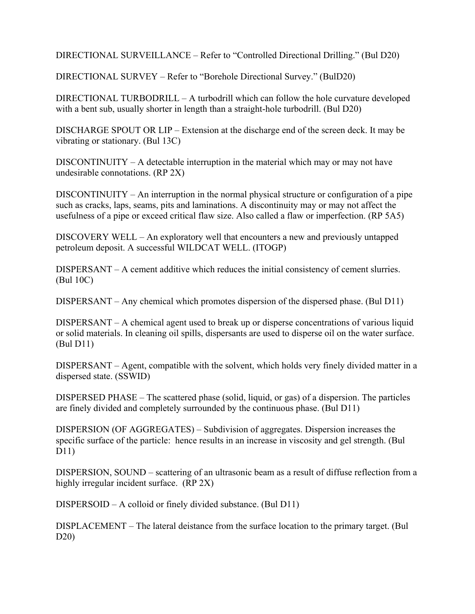DIRECTIONAL SURVEILLANCE – Refer to "Controlled Directional Drilling." (Bul D20)

DIRECTIONAL SURVEY – Refer to "Borehole Directional Survey." (BulD20)

DIRECTIONAL TURBODRILL – A turbodrill which can follow the hole curvature developed with a bent sub, usually shorter in length than a straight-hole turbodrill. (Bul D20)

DISCHARGE SPOUT OR LIP – Extension at the discharge end of the screen deck. It may be vibrating or stationary. (Bul 13C)

DISCONTINUITY – A detectable interruption in the material which may or may not have undesirable connotations. (RP 2X)

DISCONTINUITY – An interruption in the normal physical structure or configuration of a pipe such as cracks, laps, seams, pits and laminations. A discontinuity may or may not affect the usefulness of a pipe or exceed critical flaw size. Also called a flaw or imperfection. (RP 5A5)

DISCOVERY WELL – An exploratory well that encounters a new and previously untapped petroleum deposit. A successful WILDCAT WELL. (ITOGP)

DISPERSANT – A cement additive which reduces the initial consistency of cement slurries. (Bul 10C)

DISPERSANT – Any chemical which promotes dispersion of the dispersed phase. (Bul D11)

DISPERSANT – A chemical agent used to break up or disperse concentrations of various liquid or solid materials. In cleaning oil spills, dispersants are used to disperse oil on the water surface. (Bul D11)

DISPERSANT – Agent, compatible with the solvent, which holds very finely divided matter in a dispersed state. (SSWID)

DISPERSED PHASE – The scattered phase (solid, liquid, or gas) of a dispersion. The particles are finely divided and completely surrounded by the continuous phase. (Bul D11)

DISPERSION (OF AGGREGATES) – Subdivision of aggregates. Dispersion increases the specific surface of the particle: hence results in an increase in viscosity and gel strength. (Bul D11)

DISPERSION, SOUND – scattering of an ultrasonic beam as a result of diffuse reflection from a highly irregular incident surface. (RP 2X)

DISPERSOID – A colloid or finely divided substance. (Bul D11)

DISPLACEMENT – The lateral deistance from the surface location to the primary target. (Bul D20)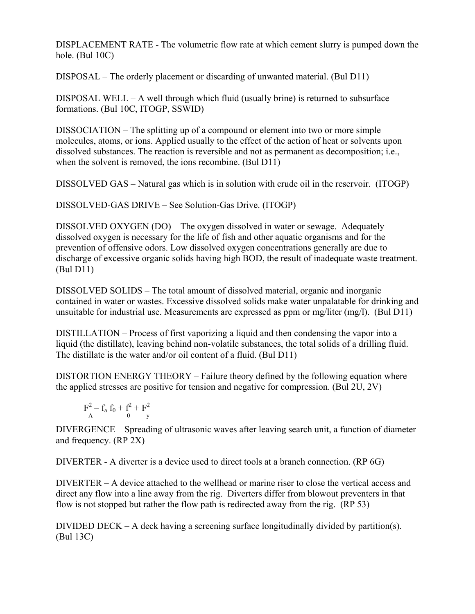DISPLACEMENT RATE - The volumetric flow rate at which cement slurry is pumped down the hole. (Bul 10C)

DISPOSAL – The orderly placement or discarding of unwanted material. (Bul D11)

DISPOSAL WELL – A well through which fluid (usually brine) is returned to subsurface formations. (Bul 10C, ITOGP, SSWID)

DISSOCIATION – The splitting up of a compound or element into two or more simple molecules, atoms, or ions. Applied usually to the effect of the action of heat or solvents upon dissolved substances. The reaction is reversible and not as permanent as decomposition; i.e., when the solvent is removed, the ions recombine. (Bul D11)

DISSOLVED GAS – Natural gas which is in solution with crude oil in the reservoir. (ITOGP)

DISSOLVED-GAS DRIVE – See Solution-Gas Drive. (ITOGP)

DISSOLVED OXYGEN (DO) – The oxygen dissolved in water or sewage. Adequately dissolved oxygen is necessary for the life of fish and other aquatic organisms and for the prevention of offensive odors. Low dissolved oxygen concentrations generally are due to discharge of excessive organic solids having high BOD, the result of inadequate waste treatment. (Bul D11)

DISSOLVED SOLIDS – The total amount of dissolved material, organic and inorganic contained in water or wastes. Excessive dissolved solids make water unpalatable for drinking and unsuitable for industrial use. Measurements are expressed as ppm or mg/liter (mg/l). (Bul D11)

DISTILLATION – Process of first vaporizing a liquid and then condensing the vapor into a liquid (the distillate), leaving behind non-volatile substances, the total solids of a drilling fluid. The distillate is the water and/or oil content of a fluid. (Bul D11)

DISTORTION ENERGY THEORY – Failure theory defined by the following equation where the applied stresses are positive for tension and negative for compression. (Bul 2U, 2V)

$$
F_{\rm A}^2-f_a\;f_0+f^2_{\rm 0}+F_{\rm y}^2
$$

DIVERGENCE – Spreading of ultrasonic waves after leaving search unit, a function of diameter and frequency. (RP 2X)

DIVERTER - A diverter is a device used to direct tools at a branch connection. (RP 6G)

DIVERTER – A device attached to the wellhead or marine riser to close the vertical access and direct any flow into a line away from the rig. Diverters differ from blowout preventers in that flow is not stopped but rather the flow path is redirected away from the rig. (RP 53)

DIVIDED DECK – A deck having a screening surface longitudinally divided by partition(s). (Bul 13C)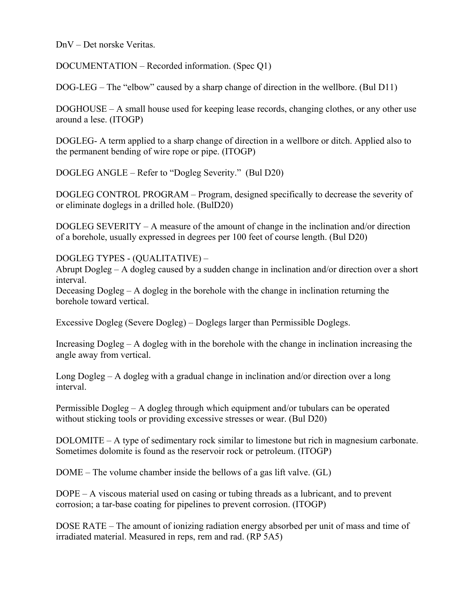DnV – Det norske Veritas.

DOCUMENTATION – Recorded information. (Spec Q1)

DOG-LEG – The "elbow" caused by a sharp change of direction in the wellbore. (Bul D11)

DOGHOUSE – A small house used for keeping lease records, changing clothes, or any other use around a lese. (ITOGP)

DOGLEG- A term applied to a sharp change of direction in a wellbore or ditch. Applied also to the permanent bending of wire rope or pipe. (ITOGP)

DOGLEG ANGLE – Refer to "Dogleg Severity." (Bul D20)

DOGLEG CONTROL PROGRAM – Program, designed specifically to decrease the severity of or eliminate doglegs in a drilled hole. (BulD20)

DOGLEG SEVERITY – A measure of the amount of change in the inclination and/or direction of a borehole, usually expressed in degrees per 100 feet of course length. (Bul D20)

DOGLEG TYPES - (QUALITATIVE) –

Abrupt Dogleg – A dogleg caused by a sudden change in inclination and/or direction over a short interval.

Deceasing Dogleg – A dogleg in the borehole with the change in inclination returning the borehole toward vertical.

Excessive Dogleg (Severe Dogleg) – Doglegs larger than Permissible Doglegs.

Increasing Dogleg – A dogleg with in the borehole with the change in inclination increasing the angle away from vertical.

Long Dogleg – A dogleg with a gradual change in inclination and/or direction over a long interval.

Permissible Dogleg – A dogleg through which equipment and/or tubulars can be operated without sticking tools or providing excessive stresses or wear. (Bul D20)

DOLOMITE – A type of sedimentary rock similar to limestone but rich in magnesium carbonate. Sometimes dolomite is found as the reservoir rock or petroleum. (ITOGP)

DOME – The volume chamber inside the bellows of a gas lift valve. (GL)

DOPE – A viscous material used on casing or tubing threads as a lubricant, and to prevent corrosion; a tar-base coating for pipelines to prevent corrosion. (ITOGP)

DOSE RATE – The amount of ionizing radiation energy absorbed per unit of mass and time of irradiated material. Measured in reps, rem and rad. (RP 5A5)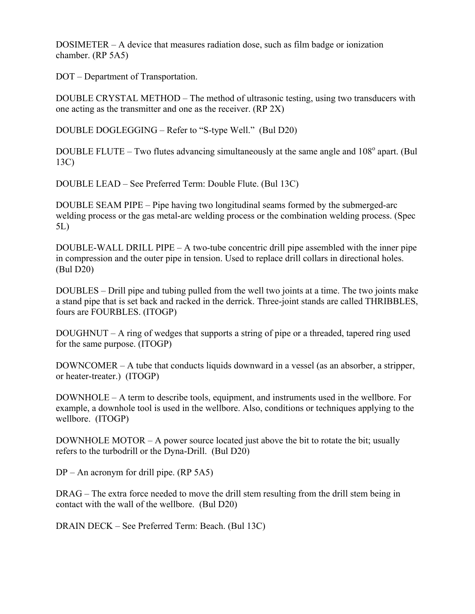DOSIMETER – A device that measures radiation dose, such as film badge or ionization chamber. (RP 5A5)

DOT – Department of Transportation.

DOUBLE CRYSTAL METHOD – The method of ultrasonic testing, using two transducers with one acting as the transmitter and one as the receiver. (RP 2X)

DOUBLE DOGLEGGING – Refer to "S-type Well." (Bul D20)

DOUBLE FLUTE – Two flutes advancing simultaneously at the same angle and 108<sup>°</sup> apart. (Bul 13C)

DOUBLE LEAD – See Preferred Term: Double Flute. (Bul 13C)

DOUBLE SEAM PIPE – Pipe having two longitudinal seams formed by the submerged-arc welding process or the gas metal-arc welding process or the combination welding process. (Spec 5L)

DOUBLE-WALL DRILL PIPE – A two-tube concentric drill pipe assembled with the inner pipe in compression and the outer pipe in tension. Used to replace drill collars in directional holes. (Bul D20)

DOUBLES – Drill pipe and tubing pulled from the well two joints at a time. The two joints make a stand pipe that is set back and racked in the derrick. Three-joint stands are called THRIBBLES, fours are FOURBLES. (ITOGP)

DOUGHNUT – A ring of wedges that supports a string of pipe or a threaded, tapered ring used for the same purpose. (ITOGP)

DOWNCOMER – A tube that conducts liquids downward in a vessel (as an absorber, a stripper, or heater-treater.) (ITOGP)

DOWNHOLE – A term to describe tools, equipment, and instruments used in the wellbore. For example, a downhole tool is used in the wellbore. Also, conditions or techniques applying to the wellbore. (ITOGP)

DOWNHOLE MOTOR – A power source located just above the bit to rotate the bit; usually refers to the turbodrill or the Dyna-Drill. (Bul D20)

DP – An acronym for drill pipe. (RP 5A5)

DRAG – The extra force needed to move the drill stem resulting from the drill stem being in contact with the wall of the wellbore. (Bul D20)

DRAIN DECK – See Preferred Term: Beach. (Bul 13C)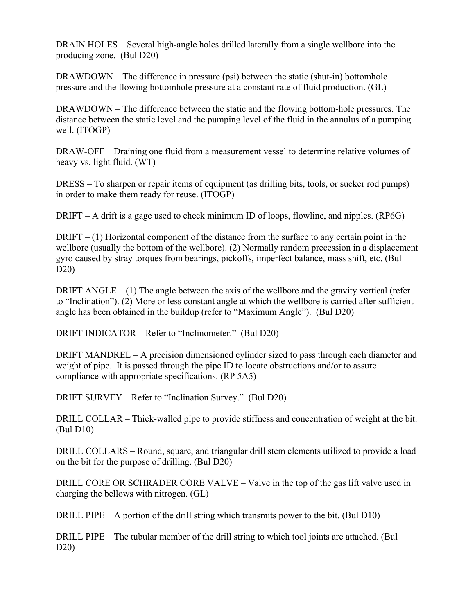DRAIN HOLES – Several high-angle holes drilled laterally from a single wellbore into the producing zone. (Bul D20)

DRAWDOWN – The difference in pressure (psi) between the static (shut-in) bottomhole pressure and the flowing bottomhole pressure at a constant rate of fluid production. (GL)

DRAWDOWN – The difference between the static and the flowing bottom-hole pressures. The distance between the static level and the pumping level of the fluid in the annulus of a pumping well. (ITOGP)

DRAW-OFF – Draining one fluid from a measurement vessel to determine relative volumes of heavy vs. light fluid. (WT)

DRESS – To sharpen or repair items of equipment (as drilling bits, tools, or sucker rod pumps) in order to make them ready for reuse. (ITOGP)

DRIFT – A drift is a gage used to check minimum ID of loops, flowline, and nipples. (RP6G)

 $DRIFT - (1)$  Horizontal component of the distance from the surface to any certain point in the wellbore (usually the bottom of the wellbore). (2) Normally random precession in a displacement gyro caused by stray torques from bearings, pickoffs, imperfect balance, mass shift, etc. (Bul D20)

DRIFT ANGLE  $- (1)$  The angle between the axis of the wellbore and the gravity vertical (refer to "Inclination"). (2) More or less constant angle at which the wellbore is carried after sufficient angle has been obtained in the buildup (refer to "Maximum Angle"). (Bul D20)

DRIFT INDICATOR – Refer to "Inclinometer." (Bul D20)

DRIFT MANDREL – A precision dimensioned cylinder sized to pass through each diameter and weight of pipe. It is passed through the pipe ID to locate obstructions and/or to assure compliance with appropriate specifications. (RP 5A5)

DRIFT SURVEY – Refer to "Inclination Survey." (Bul D20)

DRILL COLLAR – Thick-walled pipe to provide stiffness and concentration of weight at the bit. (Bul D10)

DRILL COLLARS – Round, square, and triangular drill stem elements utilized to provide a load on the bit for the purpose of drilling. (Bul D20)

DRILL CORE OR SCHRADER CORE VALVE – Valve in the top of the gas lift valve used in charging the bellows with nitrogen. (GL)

DRILL PIPE – A portion of the drill string which transmits power to the bit. (Bul D10)

DRILL PIPE – The tubular member of the drill string to which tool joints are attached. (Bul D20)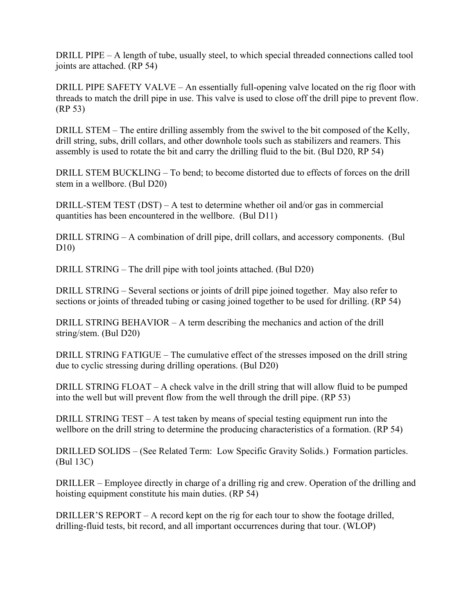DRILL PIPE – A length of tube, usually steel, to which special threaded connections called tool joints are attached. (RP 54)

DRILL PIPE SAFETY VALVE – An essentially full-opening valve located on the rig floor with threads to match the drill pipe in use. This valve is used to close off the drill pipe to prevent flow. (RP 53)

DRILL STEM – The entire drilling assembly from the swivel to the bit composed of the Kelly, drill string, subs, drill collars, and other downhole tools such as stabilizers and reamers. This assembly is used to rotate the bit and carry the drilling fluid to the bit. (Bul D20, RP 54)

DRILL STEM BUCKLING – To bend; to become distorted due to effects of forces on the drill stem in a wellbore. (Bul D20)

DRILL-STEM TEST (DST) – A test to determine whether oil and/or gas in commercial quantities has been encountered in the wellbore. (Bul D11)

DRILL STRING – A combination of drill pipe, drill collars, and accessory components. (Bul D10)

DRILL STRING – The drill pipe with tool joints attached. (Bul D20)

DRILL STRING – Several sections or joints of drill pipe joined together. May also refer to sections or joints of threaded tubing or casing joined together to be used for drilling. (RP 54)

DRILL STRING BEHAVIOR – A term describing the mechanics and action of the drill string/stem. (Bul D20)

DRILL STRING FATIGUE – The cumulative effect of the stresses imposed on the drill string due to cyclic stressing during drilling operations. (Bul D20)

DRILL STRING FLOAT – A check valve in the drill string that will allow fluid to be pumped into the well but will prevent flow from the well through the drill pipe. (RP 53)

DRILL STRING TEST – A test taken by means of special testing equipment run into the wellbore on the drill string to determine the producing characteristics of a formation. (RP 54)

DRILLED SOLIDS – (See Related Term: Low Specific Gravity Solids.) Formation particles. (Bul 13C)

DRILLER – Employee directly in charge of a drilling rig and crew. Operation of the drilling and hoisting equipment constitute his main duties. (RP 54)

DRILLER'S REPORT – A record kept on the rig for each tour to show the footage drilled, drilling-fluid tests, bit record, and all important occurrences during that tour. (WLOP)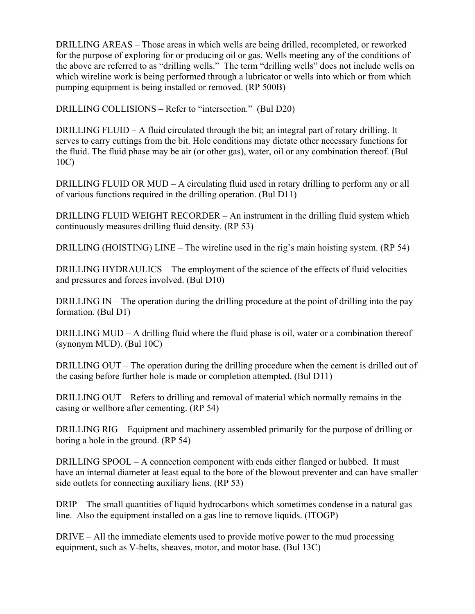DRILLING AREAS – Those areas in which wells are being drilled, recompleted, or reworked for the purpose of exploring for or producing oil or gas. Wells meeting any of the conditions of the above are referred to as "drilling wells." The term "drilling wells" does not include wells on which wireline work is being performed through a lubricator or wells into which or from which pumping equipment is being installed or removed. (RP 500B)

DRILLING COLLISIONS – Refer to "intersection." (Bul D20)

DRILLING FLUID – A fluid circulated through the bit; an integral part of rotary drilling. It serves to carry cuttings from the bit. Hole conditions may dictate other necessary functions for the fluid. The fluid phase may be air (or other gas), water, oil or any combination thereof. (Bul 10C)

DRILLING FLUID OR MUD – A circulating fluid used in rotary drilling to perform any or all of various functions required in the drilling operation. (Bul D11)

DRILLING FLUID WEIGHT RECORDER – An instrument in the drilling fluid system which continuously measures drilling fluid density. (RP 53)

DRILLING (HOISTING) LINE – The wireline used in the rig's main hoisting system. (RP 54)

DRILLING HYDRAULICS – The employment of the science of the effects of fluid velocities and pressures and forces involved. (Bul D10)

DRILLING IN – The operation during the drilling procedure at the point of drilling into the pay formation. (Bul D1)

DRILLING MUD – A drilling fluid where the fluid phase is oil, water or a combination thereof (synonym MUD). (Bul 10C)

DRILLING OUT – The operation during the drilling procedure when the cement is drilled out of the casing before further hole is made or completion attempted. (Bul D11)

DRILLING OUT – Refers to drilling and removal of material which normally remains in the casing or wellbore after cementing. (RP 54)

DRILLING RIG – Equipment and machinery assembled primarily for the purpose of drilling or boring a hole in the ground. (RP 54)

DRILLING SPOOL – A connection component with ends either flanged or hubbed. It must have an internal diameter at least equal to the bore of the blowout preventer and can have smaller side outlets for connecting auxiliary liens. (RP 53)

DRIP – The small quantities of liquid hydrocarbons which sometimes condense in a natural gas line. Also the equipment installed on a gas line to remove liquids. (ITOGP)

DRIVE – All the immediate elements used to provide motive power to the mud processing equipment, such as V-belts, sheaves, motor, and motor base. (Bul 13C)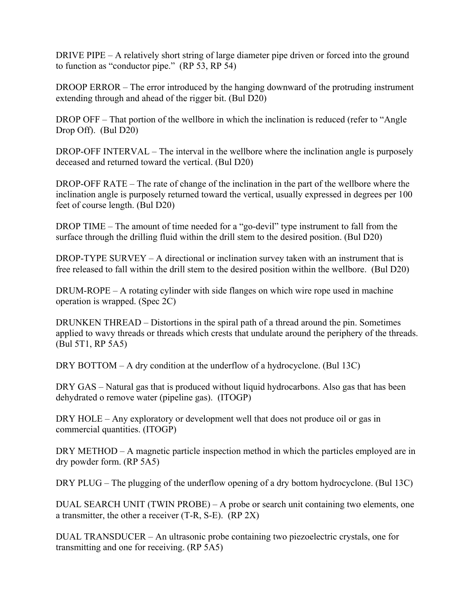DRIVE PIPE – A relatively short string of large diameter pipe driven or forced into the ground to function as "conductor pipe." (RP 53, RP 54)

DROOP ERROR – The error introduced by the hanging downward of the protruding instrument extending through and ahead of the rigger bit. (Bul D20)

DROP OFF – That portion of the wellbore in which the inclination is reduced (refer to "Angle Drop Off). (Bul D20)

DROP-OFF INTERVAL – The interval in the wellbore where the inclination angle is purposely deceased and returned toward the vertical. (Bul D20)

DROP-OFF RATE – The rate of change of the inclination in the part of the wellbore where the inclination angle is purposely returned toward the vertical, usually expressed in degrees per 100 feet of course length. (Bul D20)

DROP TIME – The amount of time needed for a "go-devil" type instrument to fall from the surface through the drilling fluid within the drill stem to the desired position. (Bul D20)

DROP-TYPE SURVEY – A directional or inclination survey taken with an instrument that is free released to fall within the drill stem to the desired position within the wellbore. (Bul D20)

DRUM-ROPE – A rotating cylinder with side flanges on which wire rope used in machine operation is wrapped. (Spec 2C)

DRUNKEN THREAD – Distortions in the spiral path of a thread around the pin. Sometimes applied to wavy threads or threads which crests that undulate around the periphery of the threads. (Bul 5T1, RP 5A5)

DRY BOTTOM – A dry condition at the underflow of a hydrocyclone. (Bul 13C)

DRY GAS – Natural gas that is produced without liquid hydrocarbons. Also gas that has been dehydrated o remove water (pipeline gas). (ITOGP)

DRY HOLE – Any exploratory or development well that does not produce oil or gas in commercial quantities. (ITOGP)

DRY METHOD – A magnetic particle inspection method in which the particles employed are in dry powder form. (RP 5A5)

DRY PLUG – The plugging of the underflow opening of a dry bottom hydrocyclone. (Bul 13C)

DUAL SEARCH UNIT (TWIN PROBE) – A probe or search unit containing two elements, one a transmitter, the other a receiver (T-R, S-E). (RP 2X)

DUAL TRANSDUCER – An ultrasonic probe containing two piezoelectric crystals, one for transmitting and one for receiving. (RP 5A5)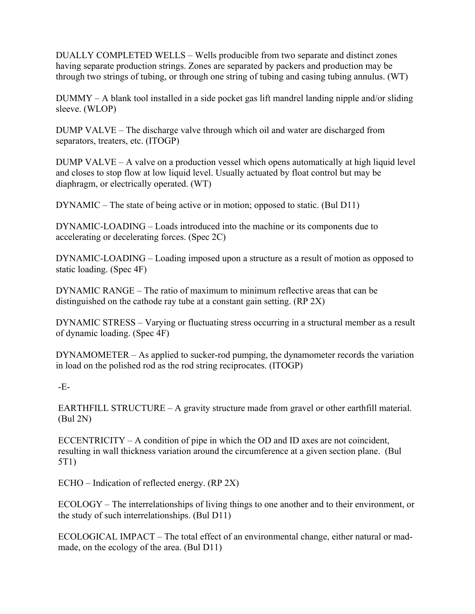DUALLY COMPLETED WELLS – Wells producible from two separate and distinct zones having separate production strings. Zones are separated by packers and production may be through two strings of tubing, or through one string of tubing and casing tubing annulus. (WT)

DUMMY – A blank tool installed in a side pocket gas lift mandrel landing nipple and/or sliding sleeve. (WLOP)

DUMP VALVE – The discharge valve through which oil and water are discharged from separators, treaters, etc. (ITOGP)

DUMP VALVE – A valve on a production vessel which opens automatically at high liquid level and closes to stop flow at low liquid level. Usually actuated by float control but may be diaphragm, or electrically operated. (WT)

DYNAMIC – The state of being active or in motion; opposed to static. (Bul D11)

DYNAMIC-LOADING – Loads introduced into the machine or its components due to accelerating or decelerating forces. (Spec 2C)

DYNAMIC-LOADING – Loading imposed upon a structure as a result of motion as opposed to static loading. (Spec 4F)

DYNAMIC RANGE – The ratio of maximum to minimum reflective areas that can be distinguished on the cathode ray tube at a constant gain setting. (RP 2X)

DYNAMIC STRESS – Varying or fluctuating stress occurring in a structural member as a result of dynamic loading. (Spec 4F)

DYNAMOMETER – As applied to sucker-rod pumping, the dynamometer records the variation in load on the polished rod as the rod string reciprocates. (ITOGP)

## -E-

EARTHFILL STRUCTURE – A gravity structure made from gravel or other earthfill material. (Bul 2N)

ECCENTRICITY – A condition of pipe in which the OD and ID axes are not coincident, resulting in wall thickness variation around the circumference at a given section plane. (Bul 5T1)

ECHO – Indication of reflected energy. (RP 2X)

ECOLOGY – The interrelationships of living things to one another and to their environment, or the study of such interrelationships. (Bul D11)

ECOLOGICAL IMPACT – The total effect of an environmental change, either natural or madmade, on the ecology of the area. (Bul D11)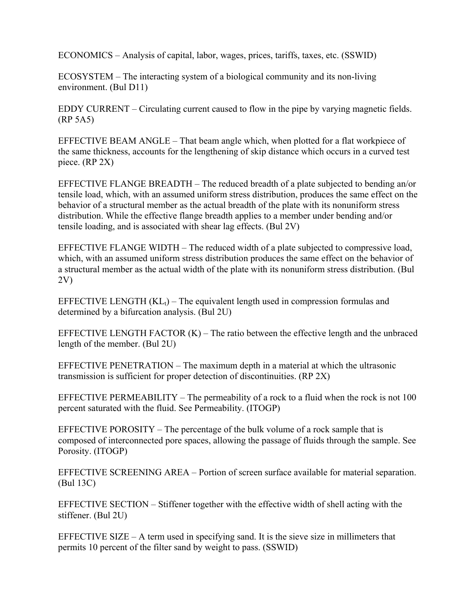ECONOMICS – Analysis of capital, labor, wages, prices, tariffs, taxes, etc. (SSWID)

ECOSYSTEM – The interacting system of a biological community and its non-living environment. (Bul D11)

EDDY CURRENT – Circulating current caused to flow in the pipe by varying magnetic fields. (RP 5A5)

EFFECTIVE BEAM ANGLE – That beam angle which, when plotted for a flat workpiece of the same thickness, accounts for the lengthening of skip distance which occurs in a curved test piece. (RP 2X)

EFFECTIVE FLANGE BREADTH – The reduced breadth of a plate subjected to bending an/or tensile load, which, with an assumed uniform stress distribution, produces the same effect on the behavior of a structural member as the actual breadth of the plate with its nonuniform stress distribution. While the effective flange breadth applies to a member under bending and/or tensile loading, and is associated with shear lag effects. (Bul 2V)

EFFECTIVE FLANGE WIDTH – The reduced width of a plate subjected to compressive load, which, with an assumed uniform stress distribution produces the same effect on the behavior of a structural member as the actual width of the plate with its nonuniform stress distribution. (Bul 2V)

EFFECTIVE LENGTH  $(KL_t)$  – The equivalent length used in compression formulas and determined by a bifurcation analysis. (Bul 2U)

EFFECTIVE LENGTH FACTOR  $(K)$  – The ratio between the effective length and the unbraced length of the member. (Bul 2U)

EFFECTIVE PENETRATION – The maximum depth in a material at which the ultrasonic transmission is sufficient for proper detection of discontinuities. (RP 2X)

EFFECTIVE PERMEABILITY – The permeability of a rock to a fluid when the rock is not 100 percent saturated with the fluid. See Permeability. (ITOGP)

EFFECTIVE POROSITY – The percentage of the bulk volume of a rock sample that is composed of interconnected pore spaces, allowing the passage of fluids through the sample. See Porosity. (ITOGP)

EFFECTIVE SCREENING AREA – Portion of screen surface available for material separation. (Bul 13C)

EFFECTIVE SECTION – Stiffener together with the effective width of shell acting with the stiffener. (Bul 2U)

EFFECTIVE SIZE – A term used in specifying sand. It is the sieve size in millimeters that permits 10 percent of the filter sand by weight to pass. (SSWID)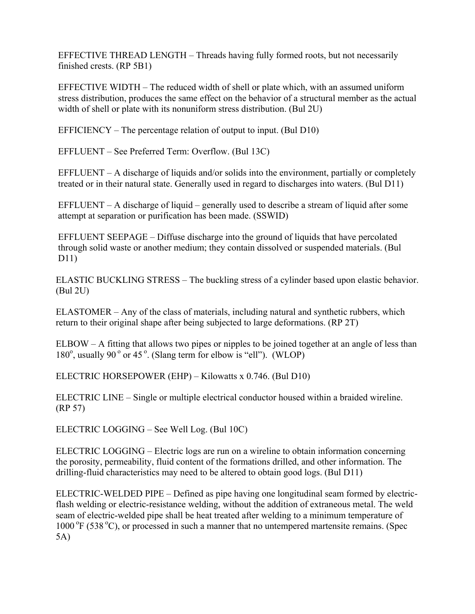EFFECTIVE THREAD LENGTH – Threads having fully formed roots, but not necessarily finished crests. (RP 5B1)

EFFECTIVE WIDTH – The reduced width of shell or plate which, with an assumed uniform stress distribution, produces the same effect on the behavior of a structural member as the actual width of shell or plate with its nonuniform stress distribution. (Bul 2U)

EFFICIENCY – The percentage relation of output to input. (Bul D10)

EFFLUENT – See Preferred Term: Overflow. (Bul 13C)

EFFLUENT – A discharge of liquids and/or solids into the environment, partially or completely treated or in their natural state. Generally used in regard to discharges into waters. (Bul D11)

EFFLUENT – A discharge of liquid – generally used to describe a stream of liquid after some attempt at separation or purification has been made. (SSWID)

EFFLUENT SEEPAGE – Diffuse discharge into the ground of liquids that have percolated through solid waste or another medium; they contain dissolved or suspended materials. (Bul D11)

ELASTIC BUCKLING STRESS – The buckling stress of a cylinder based upon elastic behavior. (Bul 2U)

ELASTOMER – Any of the class of materials, including natural and synthetic rubbers, which return to their original shape after being subjected to large deformations. (RP 2T)

ELBOW – A fitting that allows two pipes or nipples to be joined together at an angle of less than 180 $^{\circ}$ , usually 90 $^{\circ}$  or 45 $^{\circ}$ . (Slang term for elbow is "ell"). (WLOP)

ELECTRIC HORSEPOWER (EHP) – Kilowatts x 0.746. (Bul D10)

ELECTRIC LINE – Single or multiple electrical conductor housed within a braided wireline. (RP 57)

ELECTRIC LOGGING – See Well Log. (Bul 10C)

ELECTRIC LOGGING – Electric logs are run on a wireline to obtain information concerning the porosity, permeability, fluid content of the formations drilled, and other information. The drilling-fluid characteristics may need to be altered to obtain good logs. (Bul D11)

ELECTRIC-WELDED PIPE – Defined as pipe having one longitudinal seam formed by electricflash welding or electric-resistance welding, without the addition of extraneous metal. The weld seam of electric-welded pipe shall be heat treated after welding to a minimum temperature of  $1000 \text{°F}$  (538 °C), or processed in such a manner that no untempered martensite remains. (Spec 5A)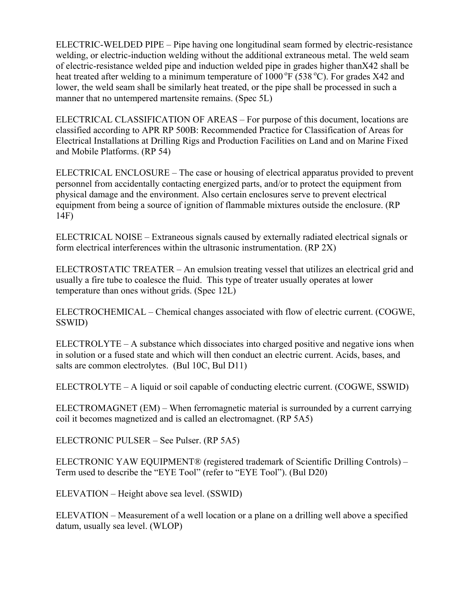ELECTRIC-WELDED PIPE – Pipe having one longitudinal seam formed by electric-resistance welding, or electric-induction welding without the additional extraneous metal. The weld seam of electric-resistance welded pipe and induction welded pipe in grades higher thanX42 shall be heat treated after welding to a minimum temperature of  $1000\text{°F}$  (538 °C). For grades X42 and lower, the weld seam shall be similarly heat treated, or the pipe shall be processed in such a manner that no untempered martensite remains. (Spec 5L)

ELECTRICAL CLASSIFICATION OF AREAS – For purpose of this document, locations are classified according to APR RP 500B: Recommended Practice for Classification of Areas for Electrical Installations at Drilling Rigs and Production Facilities on Land and on Marine Fixed and Mobile Platforms. (RP 54)

ELECTRICAL ENCLOSURE – The case or housing of electrical apparatus provided to prevent personnel from accidentally contacting energized parts, and/or to protect the equipment from physical damage and the environment. Also certain enclosures serve to prevent electrical equipment from being a source of ignition of flammable mixtures outside the enclosure. (RP 14F)

ELECTRICAL NOISE – Extraneous signals caused by externally radiated electrical signals or form electrical interferences within the ultrasonic instrumentation. (RP 2X)

ELECTROSTATIC TREATER – An emulsion treating vessel that utilizes an electrical grid and usually a fire tube to coalesce the fluid. This type of treater usually operates at lower temperature than ones without grids. (Spec 12L)

ELECTROCHEMICAL – Chemical changes associated with flow of electric current. (COGWE, SSWID)

 $ELECTROLYTE - A$  substance which dissociates into charged positive and negative ions when in solution or a fused state and which will then conduct an electric current. Acids, bases, and salts are common electrolytes. (Bul 10C, Bul D11)

ELECTROLYTE – A liquid or soil capable of conducting electric current. (COGWE, SSWID)

ELECTROMAGNET (EM) – When ferromagnetic material is surrounded by a current carrying coil it becomes magnetized and is called an electromagnet. (RP 5A5)

ELECTRONIC PULSER – See Pulser. (RP 5A5)

ELECTRONIC YAW EQUIPMENT® (registered trademark of Scientific Drilling Controls) – Term used to describe the "EYE Tool" (refer to "EYE Tool"). (Bul D20)

ELEVATION – Height above sea level. (SSWID)

ELEVATION – Measurement of a well location or a plane on a drilling well above a specified datum, usually sea level. (WLOP)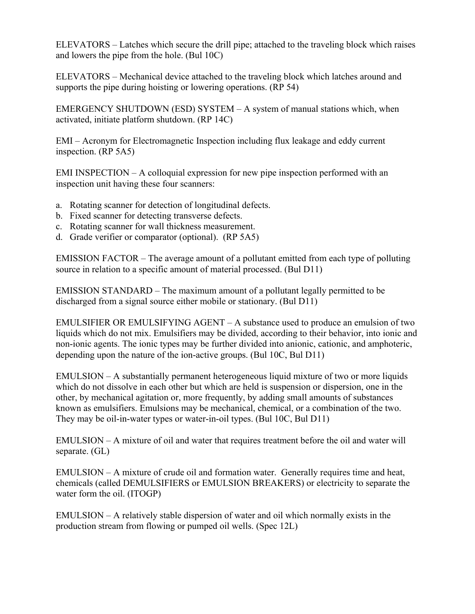ELEVATORS – Latches which secure the drill pipe; attached to the traveling block which raises and lowers the pipe from the hole. (Bul 10C)

ELEVATORS – Mechanical device attached to the traveling block which latches around and supports the pipe during hoisting or lowering operations. (RP 54)

EMERGENCY SHUTDOWN (ESD) SYSTEM – A system of manual stations which, when activated, initiate platform shutdown. (RP 14C)

EMI – Acronym for Electromagnetic Inspection including flux leakage and eddy current inspection. (RP 5A5)

EMI INSPECTION – A colloquial expression for new pipe inspection performed with an inspection unit having these four scanners:

- a. Rotating scanner for detection of longitudinal defects.
- b. Fixed scanner for detecting transverse defects.
- c. Rotating scanner for wall thickness measurement.
- d. Grade verifier or comparator (optional). (RP 5A5)

EMISSION FACTOR – The average amount of a pollutant emitted from each type of polluting source in relation to a specific amount of material processed. (Bul D11)

EMISSION STANDARD – The maximum amount of a pollutant legally permitted to be discharged from a signal source either mobile or stationary. (Bul D11)

EMULSIFIER OR EMULSIFYING AGENT – A substance used to produce an emulsion of two liquids which do not mix. Emulsifiers may be divided, according to their behavior, into ionic and non-ionic agents. The ionic types may be further divided into anionic, cationic, and amphoteric, depending upon the nature of the ion-active groups. (Bul 10C, Bul D11)

EMULSION – A substantially permanent heterogeneous liquid mixture of two or more liquids which do not dissolve in each other but which are held is suspension or dispersion, one in the other, by mechanical agitation or, more frequently, by adding small amounts of substances known as emulsifiers. Emulsions may be mechanical, chemical, or a combination of the two. They may be oil-in-water types or water-in-oil types. (Bul 10C, Bul D11)

EMULSION – A mixture of oil and water that requires treatment before the oil and water will separate. (GL)

EMULSION – A mixture of crude oil and formation water. Generally requires time and heat, chemicals (called DEMULSIFIERS or EMULSION BREAKERS) or electricity to separate the water form the oil. (ITOGP)

EMULSION – A relatively stable dispersion of water and oil which normally exists in the production stream from flowing or pumped oil wells. (Spec 12L)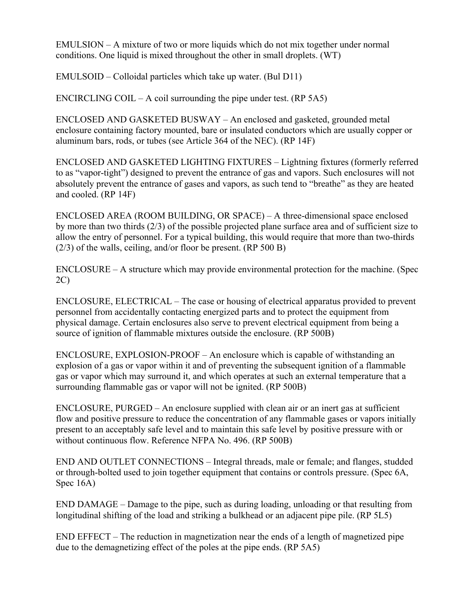EMULSION – A mixture of two or more liquids which do not mix together under normal conditions. One liquid is mixed throughout the other in small droplets. (WT)

EMULSOID – Colloidal particles which take up water. (Bul D11)

ENCIRCLING COIL – A coil surrounding the pipe under test.  $(RP 5A5)$ 

ENCLOSED AND GASKETED BUSWAY – An enclosed and gasketed, grounded metal enclosure containing factory mounted, bare or insulated conductors which are usually copper or aluminum bars, rods, or tubes (see Article 364 of the NEC). (RP 14F)

ENCLOSED AND GASKETED LIGHTING FIXTURES – Lightning fixtures (formerly referred to as "vapor-tight") designed to prevent the entrance of gas and vapors. Such enclosures will not absolutely prevent the entrance of gases and vapors, as such tend to "breathe" as they are heated and cooled. (RP 14F)

ENCLOSED AREA (ROOM BUILDING, OR SPACE) – A three-dimensional space enclosed by more than two thirds (2/3) of the possible projected plane surface area and of sufficient size to allow the entry of personnel. For a typical building, this would require that more than two-thirds (2/3) of the walls, ceiling, and/or floor be present. (RP 500 B)

ENCLOSURE – A structure which may provide environmental protection for the machine. (Spec 2C)

ENCLOSURE, ELECTRICAL – The case or housing of electrical apparatus provided to prevent personnel from accidentally contacting energized parts and to protect the equipment from physical damage. Certain enclosures also serve to prevent electrical equipment from being a source of ignition of flammable mixtures outside the enclosure. (RP 500B)

ENCLOSURE, EXPLOSION-PROOF – An enclosure which is capable of withstanding an explosion of a gas or vapor within it and of preventing the subsequent ignition of a flammable gas or vapor which may surround it, and which operates at such an external temperature that a surrounding flammable gas or vapor will not be ignited. (RP 500B)

ENCLOSURE, PURGED – An enclosure supplied with clean air or an inert gas at sufficient flow and positive pressure to reduce the concentration of any flammable gases or vapors initially present to an acceptably safe level and to maintain this safe level by positive pressure with or without continuous flow. Reference NFPA No. 496. (RP 500B)

END AND OUTLET CONNECTIONS – Integral threads, male or female; and flanges, studded or through-bolted used to join together equipment that contains or controls pressure. (Spec 6A, Spec 16A)

END DAMAGE – Damage to the pipe, such as during loading, unloading or that resulting from longitudinal shifting of the load and striking a bulkhead or an adjacent pipe pile. (RP 5L5)

END EFFECT – The reduction in magnetization near the ends of a length of magnetized pipe due to the demagnetizing effect of the poles at the pipe ends. (RP 5A5)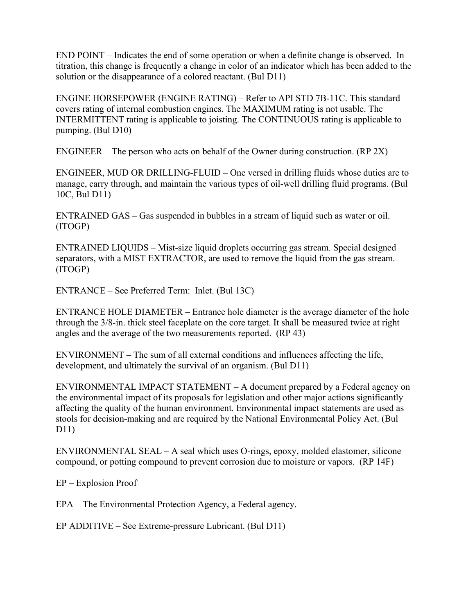END POINT – Indicates the end of some operation or when a definite change is observed. In titration, this change is frequently a change in color of an indicator which has been added to the solution or the disappearance of a colored reactant. (Bul D11)

ENGINE HORSEPOWER (ENGINE RATING) – Refer to API STD 7B-11C. This standard covers rating of internal combustion engines. The MAXIMUM rating is not usable. The INTERMITTENT rating is applicable to joisting. The CONTINUOUS rating is applicable to pumping. (Bul D10)

ENGINEER – The person who acts on behalf of the Owner during construction. (RP  $2X$ )

ENGINEER, MUD OR DRILLING-FLUID – One versed in drilling fluids whose duties are to manage, carry through, and maintain the various types of oil-well drilling fluid programs. (Bul 10C, Bul D11)

ENTRAINED GAS – Gas suspended in bubbles in a stream of liquid such as water or oil. (ITOGP)

ENTRAINED LIQUIDS – Mist-size liquid droplets occurring gas stream. Special designed separators, with a MIST EXTRACTOR, are used to remove the liquid from the gas stream. (ITOGP)

ENTRANCE – See Preferred Term: Inlet. (Bul 13C)

ENTRANCE HOLE DIAMETER – Entrance hole diameter is the average diameter of the hole through the 3/8-in. thick steel faceplate on the core target. It shall be measured twice at right angles and the average of the two measurements reported. (RP 43)

ENVIRONMENT – The sum of all external conditions and influences affecting the life, development, and ultimately the survival of an organism. (Bul D11)

ENVIRONMENTAL IMPACT STATEMENT – A document prepared by a Federal agency on the environmental impact of its proposals for legislation and other major actions significantly affecting the quality of the human environment. Environmental impact statements are used as stools for decision-making and are required by the National Environmental Policy Act. (Bul D11)

ENVIRONMENTAL SEAL – A seal which uses O-rings, epoxy, molded elastomer, silicone compound, or potting compound to prevent corrosion due to moisture or vapors. (RP 14F)

EP – Explosion Proof

EPA – The Environmental Protection Agency, a Federal agency.

EP ADDITIVE – See Extreme-pressure Lubricant. (Bul D11)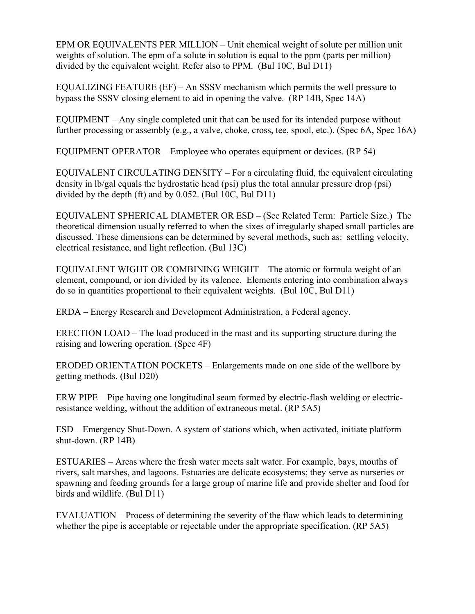EPM OR EQUIVALENTS PER MILLION – Unit chemical weight of solute per million unit weights of solution. The epm of a solute in solution is equal to the ppm (parts per million) divided by the equivalent weight. Refer also to PPM. (Bul 10C, Bul D11)

EQUALIZING FEATURE (EF) – An SSSV mechanism which permits the well pressure to bypass the SSSV closing element to aid in opening the valve. (RP 14B, Spec 14A)

EQUIPMENT – Any single completed unit that can be used for its intended purpose without further processing or assembly (e.g., a valve, choke, cross, tee, spool, etc.). (Spec 6A, Spec 16A)

EQUIPMENT OPERATOR – Employee who operates equipment or devices. (RP 54)

EQUIVALENT CIRCULATING DENSITY – For a circulating fluid, the equivalent circulating density in lb/gal equals the hydrostatic head (psi) plus the total annular pressure drop (psi) divided by the depth (ft) and by 0.052. (Bul 10C, Bul D11)

EQUIVALENT SPHERICAL DIAMETER OR ESD – (See Related Term: Particle Size.) The theoretical dimension usually referred to when the sixes of irregularly shaped small particles are discussed. These dimensions can be determined by several methods, such as: settling velocity, electrical resistance, and light reflection. (Bul 13C)

EQUIVALENT WIGHT OR COMBINING WEIGHT – The atomic or formula weight of an element, compound, or ion divided by its valence. Elements entering into combination always do so in quantities proportional to their equivalent weights. (Bul 10C, Bul D11)

ERDA – Energy Research and Development Administration, a Federal agency.

ERECTION LOAD – The load produced in the mast and its supporting structure during the raising and lowering operation. (Spec 4F)

ERODED ORIENTATION POCKETS – Enlargements made on one side of the wellbore by getting methods. (Bul D20)

ERW PIPE – Pipe having one longitudinal seam formed by electric-flash welding or electricresistance welding, without the addition of extraneous metal. (RP 5A5)

ESD – Emergency Shut-Down. A system of stations which, when activated, initiate platform shut-down. (RP 14B)

ESTUARIES – Areas where the fresh water meets salt water. For example, bays, mouths of rivers, salt marshes, and lagoons. Estuaries are delicate ecosystems; they serve as nurseries or spawning and feeding grounds for a large group of marine life and provide shelter and food for birds and wildlife. (Bul D11)

EVALUATION – Process of determining the severity of the flaw which leads to determining whether the pipe is acceptable or rejectable under the appropriate specification. (RP 5A5)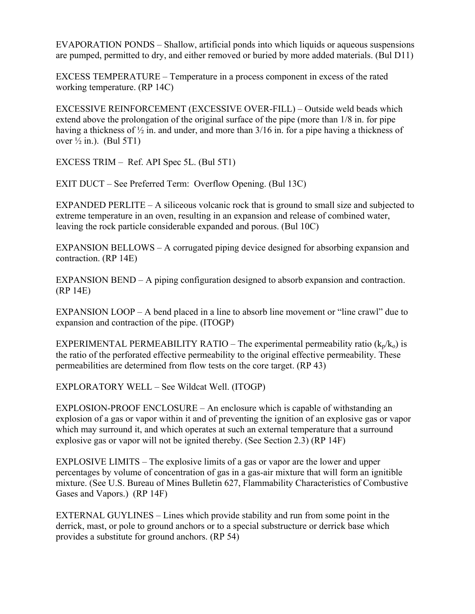EVAPORATION PONDS – Shallow, artificial ponds into which liquids or aqueous suspensions are pumped, permitted to dry, and either removed or buried by more added materials. (Bul D11)

EXCESS TEMPERATURE – Temperature in a process component in excess of the rated working temperature. (RP 14C)

EXCESSIVE REINFORCEMENT (EXCESSIVE OVER-FILL) – Outside weld beads which extend above the prolongation of the original surface of the pipe (more than 1/8 in. for pipe having a thickness of ½ in. and under, and more than 3/16 in. for a pipe having a thickness of over  $\frac{1}{2}$  in.). (Bul 5T1)

EXCESS TRIM – Ref. API Spec 5L. (Bul 5T1)

EXIT DUCT – See Preferred Term: Overflow Opening. (Bul 13C)

EXPANDED PERLITE – A siliceous volcanic rock that is ground to small size and subjected to extreme temperature in an oven, resulting in an expansion and release of combined water, leaving the rock particle considerable expanded and porous. (Bul 10C)

EXPANSION BELLOWS – A corrugated piping device designed for absorbing expansion and contraction. (RP 14E)

EXPANSION BEND – A piping configuration designed to absorb expansion and contraction. (RP 14E)

EXPANSION LOOP – A bend placed in a line to absorb line movement or "line crawl" due to expansion and contraction of the pipe. (ITOGP)

EXPERIMENTAL PERMEABILITY RATIO – The experimental permeability ratio  $(k_p/k_0)$  is the ratio of the perforated effective permeability to the original effective permeability. These permeabilities are determined from flow tests on the core target. (RP 43)

EXPLORATORY WELL – See Wildcat Well. (ITOGP)

EXPLOSION-PROOF ENCLOSURE – An enclosure which is capable of withstanding an explosion of a gas or vapor within it and of preventing the ignition of an explosive gas or vapor which may surround it, and which operates at such an external temperature that a surround explosive gas or vapor will not be ignited thereby. (See Section 2.3) (RP 14F)

EXPLOSIVE LIMITS – The explosive limits of a gas or vapor are the lower and upper percentages by volume of concentration of gas in a gas-air mixture that will form an ignitible mixture. (See U.S. Bureau of Mines Bulletin 627, Flammability Characteristics of Combustive Gases and Vapors.) (RP 14F)

EXTERNAL GUYLINES – Lines which provide stability and run from some point in the derrick, mast, or pole to ground anchors or to a special substructure or derrick base which provides a substitute for ground anchors. (RP 54)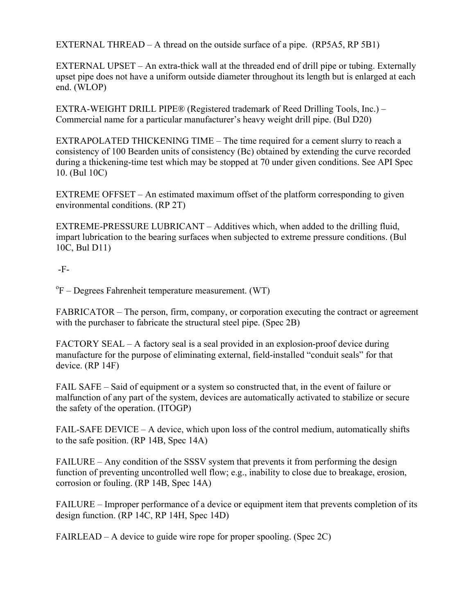EXTERNAL THREAD – A thread on the outside surface of a pipe. (RP5A5, RP 5B1)

EXTERNAL UPSET – An extra-thick wall at the threaded end of drill pipe or tubing. Externally upset pipe does not have a uniform outside diameter throughout its length but is enlarged at each end. (WLOP)

EXTRA-WEIGHT DRILL PIPE® (Registered trademark of Reed Drilling Tools, Inc.) – Commercial name for a particular manufacturer's heavy weight drill pipe. (Bul D20)

EXTRAPOLATED THICKENING TIME – The time required for a cement slurry to reach a consistency of 100 Bearden units of consistency (Bc) obtained by extending the curve recorded during a thickening-time test which may be stopped at 70 under given conditions. See API Spec 10. (Bul 10C)

EXTREME OFFSET – An estimated maximum offset of the platform corresponding to given environmental conditions. (RP 2T)

EXTREME-PRESSURE LUBRICANT – Additives which, when added to the drilling fluid, impart lubrication to the bearing surfaces when subjected to extreme pressure conditions. (Bul 10C, Bul D11)

-F-

<sup>o</sup>F – Degrees Fahrenheit temperature measurement. (WT)

FABRICATOR – The person, firm, company, or corporation executing the contract or agreement with the purchaser to fabricate the structural steel pipe. (Spec 2B)

FACTORY SEAL – A factory seal is a seal provided in an explosion-proof device during manufacture for the purpose of eliminating external, field-installed "conduit seals" for that device. (RP 14F)

FAIL SAFE – Said of equipment or a system so constructed that, in the event of failure or malfunction of any part of the system, devices are automatically activated to stabilize or secure the safety of the operation. (ITOGP)

FAIL-SAFE DEVICE – A device, which upon loss of the control medium, automatically shifts to the safe position. (RP 14B, Spec 14A)

FAILURE – Any condition of the SSSV system that prevents it from performing the design function of preventing uncontrolled well flow; e.g., inability to close due to breakage, erosion, corrosion or fouling. (RP 14B, Spec 14A)

FAILURE – Improper performance of a device or equipment item that prevents completion of its design function. (RP 14C, RP 14H, Spec 14D)

FAIRLEAD – A device to guide wire rope for proper spooling. (Spec 2C)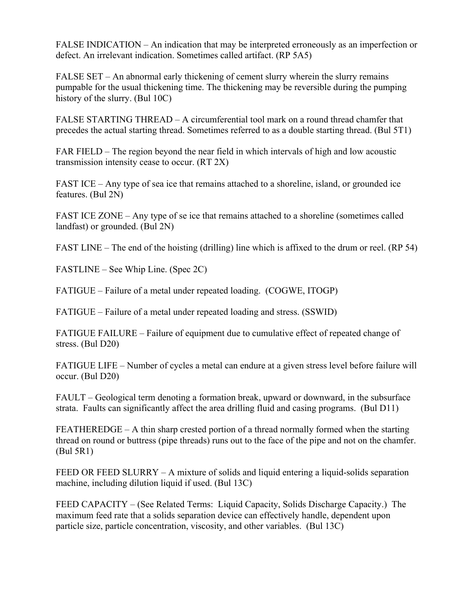FALSE INDICATION – An indication that may be interpreted erroneously as an imperfection or defect. An irrelevant indication. Sometimes called artifact. (RP 5A5)

FALSE SET – An abnormal early thickening of cement slurry wherein the slurry remains pumpable for the usual thickening time. The thickening may be reversible during the pumping history of the slurry. (Bul 10C)

FALSE STARTING THREAD – A circumferential tool mark on a round thread chamfer that precedes the actual starting thread. Sometimes referred to as a double starting thread. (Bul 5T1)

FAR FIELD – The region beyond the near field in which intervals of high and low acoustic transmission intensity cease to occur. (RT 2X)

FAST ICE – Any type of sea ice that remains attached to a shoreline, island, or grounded ice features. (Bul 2N)

FAST ICE ZONE – Any type of se ice that remains attached to a shoreline (sometimes called landfast) or grounded. (Bul 2N)

FAST LINE – The end of the hoisting (drilling) line which is affixed to the drum or reel. (RP 54)

FASTLINE – See Whip Line. (Spec 2C)

FATIGUE – Failure of a metal under repeated loading. (COGWE, ITOGP)

FATIGUE – Failure of a metal under repeated loading and stress. (SSWID)

FATIGUE FAILURE – Failure of equipment due to cumulative effect of repeated change of stress. (Bul D20)

FATIGUE LIFE – Number of cycles a metal can endure at a given stress level before failure will occur. (Bul D20)

FAULT – Geological term denoting a formation break, upward or downward, in the subsurface strata. Faults can significantly affect the area drilling fluid and casing programs. (Bul D11)

FEATHEREDGE – A thin sharp crested portion of a thread normally formed when the starting thread on round or buttress (pipe threads) runs out to the face of the pipe and not on the chamfer. (Bul 5R1)

FEED OR FEED SLURRY – A mixture of solids and liquid entering a liquid-solids separation machine, including dilution liquid if used. (Bul 13C)

FEED CAPACITY – (See Related Terms: Liquid Capacity, Solids Discharge Capacity.) The maximum feed rate that a solids separation device can effectively handle, dependent upon particle size, particle concentration, viscosity, and other variables. (Bul 13C)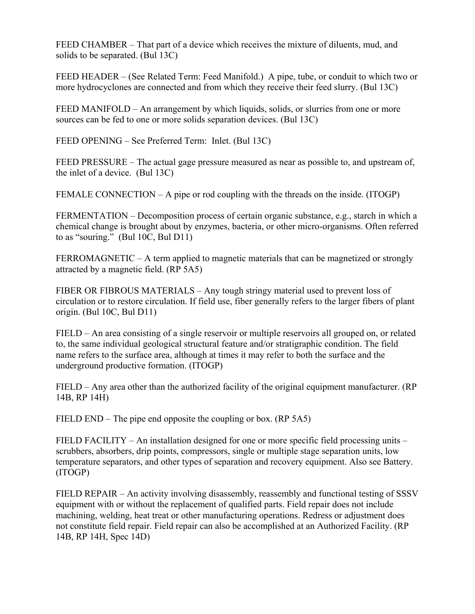FEED CHAMBER – That part of a device which receives the mixture of diluents, mud, and solids to be separated. (Bul 13C)

FEED HEADER – (See Related Term: Feed Manifold.) A pipe, tube, or conduit to which two or more hydrocyclones are connected and from which they receive their feed slurry. (Bul 13C)

FEED MANIFOLD – An arrangement by which liquids, solids, or slurries from one or more sources can be fed to one or more solids separation devices. (Bul 13C)

FEED OPENING – See Preferred Term: Inlet. (Bul 13C)

FEED PRESSURE – The actual gage pressure measured as near as possible to, and upstream of, the inlet of a device. (Bul 13C)

FEMALE CONNECTION – A pipe or rod coupling with the threads on the inside. (ITOGP)

FERMENTATION – Decomposition process of certain organic substance, e.g., starch in which a chemical change is brought about by enzymes, bacteria, or other micro-organisms. Often referred to as "souring." (Bul 10C, Bul D11)

FERROMAGNETIC – A term applied to magnetic materials that can be magnetized or strongly attracted by a magnetic field. (RP 5A5)

FIBER OR FIBROUS MATERIALS – Any tough stringy material used to prevent loss of circulation or to restore circulation. If field use, fiber generally refers to the larger fibers of plant origin. (Bul 10C, Bul D11)

FIELD – An area consisting of a single reservoir or multiple reservoirs all grouped on, or related to, the same individual geological structural feature and/or stratigraphic condition. The field name refers to the surface area, although at times it may refer to both the surface and the underground productive formation. (ITOGP)

FIELD – Any area other than the authorized facility of the original equipment manufacturer. (RP 14B, RP 14H)

FIELD END – The pipe end opposite the coupling or box. (RP 5A5)

FIELD FACILITY – An installation designed for one or more specific field processing units – scrubbers, absorbers, drip points, compressors, single or multiple stage separation units, low temperature separators, and other types of separation and recovery equipment. Also see Battery. (ITOGP)

FIELD REPAIR – An activity involving disassembly, reassembly and functional testing of SSSV equipment with or without the replacement of qualified parts. Field repair does not include machining, welding, heat treat or other manufacturing operations. Redress or adjustment does not constitute field repair. Field repair can also be accomplished at an Authorized Facility. (RP 14B, RP 14H, Spec 14D)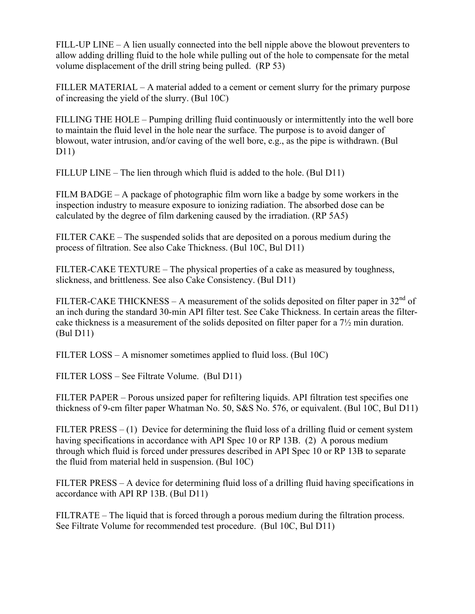FILL-UP LINE – A lien usually connected into the bell nipple above the blowout preventers to allow adding drilling fluid to the hole while pulling out of the hole to compensate for the metal volume displacement of the drill string being pulled. (RP 53)

FILLER MATERIAL – A material added to a cement or cement slurry for the primary purpose of increasing the yield of the slurry. (Bul 10C)

FILLING THE HOLE – Pumping drilling fluid continuously or intermittently into the well bore to maintain the fluid level in the hole near the surface. The purpose is to avoid danger of blowout, water intrusion, and/or caving of the well bore, e.g., as the pipe is withdrawn. (Bul D11)

FILLUP LINE – The lien through which fluid is added to the hole. (Bul D11)

FILM BADGE – A package of photographic film worn like a badge by some workers in the inspection industry to measure exposure to ionizing radiation. The absorbed dose can be calculated by the degree of film darkening caused by the irradiation. (RP 5A5)

FILTER CAKE – The suspended solids that are deposited on a porous medium during the process of filtration. See also Cake Thickness. (Bul 10C, Bul D11)

FILTER-CAKE TEXTURE – The physical properties of a cake as measured by toughness, slickness, and brittleness. See also Cake Consistency. (Bul D11)

FILTER-CAKE THICKNESS – A measurement of the solids deposited on filter paper in  $32<sup>nd</sup>$  of an inch during the standard 30-min API filter test. See Cake Thickness. In certain areas the filtercake thickness is a measurement of the solids deposited on filter paper for a 7½ min duration. (Bul D11)

FILTER LOSS – A misnomer sometimes applied to fluid loss. (Bul 10C)

FILTER LOSS – See Filtrate Volume. (Bul D11)

FILTER PAPER – Porous unsized paper for refiltering liquids. API filtration test specifies one thickness of 9-cm filter paper Whatman No. 50, S&S No. 576, or equivalent. (Bul 10C, Bul D11)

FILTER PRESS  $- (1)$  Device for determining the fluid loss of a drilling fluid or cement system having specifications in accordance with API Spec 10 or RP 13B. (2) A porous medium through which fluid is forced under pressures described in API Spec 10 or RP 13B to separate the fluid from material held in suspension. (Bul 10C)

FILTER PRESS – A device for determining fluid loss of a drilling fluid having specifications in accordance with API RP 13B. (Bul D11)

FILTRATE – The liquid that is forced through a porous medium during the filtration process. See Filtrate Volume for recommended test procedure. (Bul 10C, Bul D11)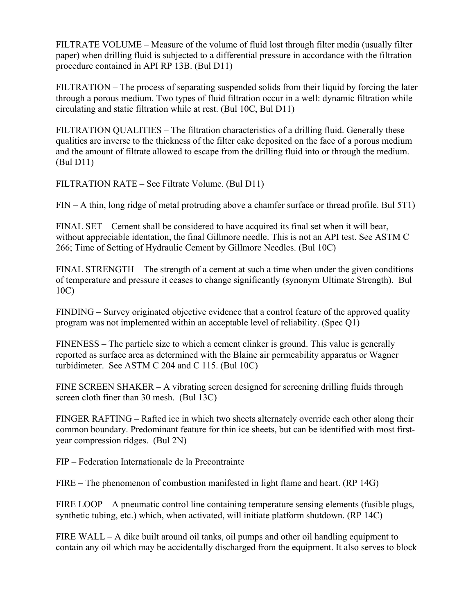FILTRATE VOLUME – Measure of the volume of fluid lost through filter media (usually filter paper) when drilling fluid is subjected to a differential pressure in accordance with the filtration procedure contained in API RP 13B. (Bul D11)

FILTRATION – The process of separating suspended solids from their liquid by forcing the later through a porous medium. Two types of fluid filtration occur in a well: dynamic filtration while circulating and static filtration while at rest. (Bul 10C, Bul D11)

FILTRATION QUALITIES – The filtration characteristics of a drilling fluid. Generally these qualities are inverse to the thickness of the filter cake deposited on the face of a porous medium and the amount of filtrate allowed to escape from the drilling fluid into or through the medium. (Bul D11)

FILTRATION RATE – See Filtrate Volume. (Bul D11)

FIN – A thin, long ridge of metal protruding above a chamfer surface or thread profile. Bul 5T1)

FINAL SET – Cement shall be considered to have acquired its final set when it will bear, without appreciable identation, the final Gillmore needle. This is not an API test. See ASTM C 266; Time of Setting of Hydraulic Cement by Gillmore Needles. (Bul 10C)

FINAL STRENGTH – The strength of a cement at such a time when under the given conditions of temperature and pressure it ceases to change significantly (synonym Ultimate Strength). Bul 10C)

FINDING – Survey originated objective evidence that a control feature of the approved quality program was not implemented within an acceptable level of reliability. (Spec Q1)

FINENESS – The particle size to which a cement clinker is ground. This value is generally reported as surface area as determined with the Blaine air permeability apparatus or Wagner turbidimeter. See ASTM C 204 and C 115. (Bul 10C)

FINE SCREEN SHAKER – A vibrating screen designed for screening drilling fluids through screen cloth finer than 30 mesh. (Bul 13C)

FINGER RAFTING – Rafted ice in which two sheets alternately override each other along their common boundary. Predominant feature for thin ice sheets, but can be identified with most firstyear compression ridges. (Bul 2N)

FIP – Federation Internationale de la Precontrainte

FIRE – The phenomenon of combustion manifested in light flame and heart. (RP 14G)

FIRE LOOP – A pneumatic control line containing temperature sensing elements (fusible plugs, synthetic tubing, etc.) which, when activated, will initiate platform shutdown. (RP 14C)

FIRE WALL – A dike built around oil tanks, oil pumps and other oil handling equipment to contain any oil which may be accidentally discharged from the equipment. It also serves to block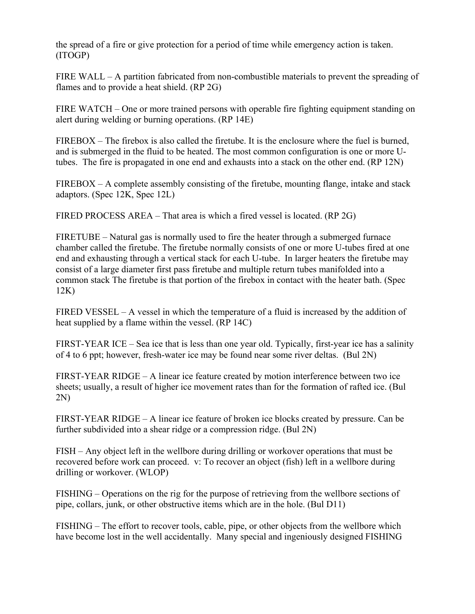the spread of a fire or give protection for a period of time while emergency action is taken. (ITOGP)

FIRE WALL – A partition fabricated from non-combustible materials to prevent the spreading of flames and to provide a heat shield. (RP 2G)

FIRE WATCH – One or more trained persons with operable fire fighting equipment standing on alert during welding or burning operations. (RP 14E)

FIREBOX – The firebox is also called the firetube. It is the enclosure where the fuel is burned, and is submerged in the fluid to be heated. The most common configuration is one or more Utubes. The fire is propagated in one end and exhausts into a stack on the other end. (RP 12N)

FIREBOX – A complete assembly consisting of the firetube, mounting flange, intake and stack adaptors. (Spec 12K, Spec 12L)

FIRED PROCESS AREA – That area is which a fired vessel is located. (RP 2G)

FIRETUBE – Natural gas is normally used to fire the heater through a submerged furnace chamber called the firetube. The firetube normally consists of one or more U-tubes fired at one end and exhausting through a vertical stack for each U-tube. In larger heaters the firetube may consist of a large diameter first pass firetube and multiple return tubes manifolded into a common stack The firetube is that portion of the firebox in contact with the heater bath. (Spec 12K)

FIRED VESSEL – A vessel in which the temperature of a fluid is increased by the addition of heat supplied by a flame within the vessel. (RP 14C)

FIRST-YEAR ICE – Sea ice that is less than one year old. Typically, first-year ice has a salinity of 4 to 6 ppt; however, fresh-water ice may be found near some river deltas. (Bul 2N)

FIRST-YEAR RIDGE – A linear ice feature created by motion interference between two ice sheets; usually, a result of higher ice movement rates than for the formation of rafted ice. (Bul 2N)

FIRST-YEAR RIDGE – A linear ice feature of broken ice blocks created by pressure. Can be further subdivided into a shear ridge or a compression ridge. (Bul 2N)

FISH – Any object left in the wellbore during drilling or workover operations that must be recovered before work can proceed. v: To recover an object (fish) left in a wellbore during drilling or workover. (WLOP)

FISHING – Operations on the rig for the purpose of retrieving from the wellbore sections of pipe, collars, junk, or other obstructive items which are in the hole. (Bul D11)

FISHING – The effort to recover tools, cable, pipe, or other objects from the wellbore which have become lost in the well accidentally. Many special and ingeniously designed FISHING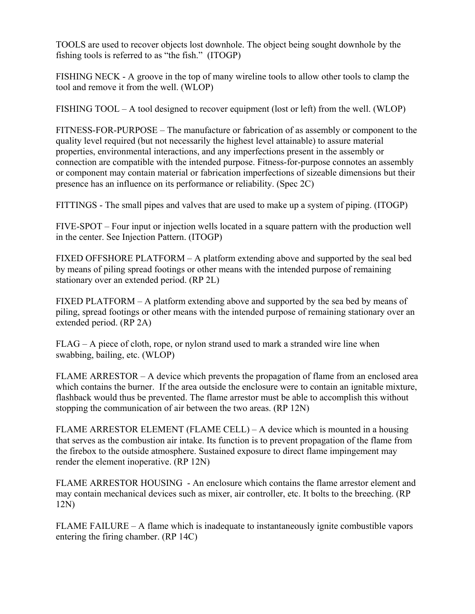TOOLS are used to recover objects lost downhole. The object being sought downhole by the fishing tools is referred to as "the fish." (ITOGP)

FISHING NECK - A groove in the top of many wireline tools to allow other tools to clamp the tool and remove it from the well. (WLOP)

FISHING TOOL – A tool designed to recover equipment (lost or left) from the well. (WLOP)

FITNESS-FOR-PURPOSE – The manufacture or fabrication of as assembly or component to the quality level required (but not necessarily the highest level attainable) to assure material properties, environmental interactions, and any imperfections present in the assembly or connection are compatible with the intended purpose. Fitness-for-purpose connotes an assembly or component may contain material or fabrication imperfections of sizeable dimensions but their presence has an influence on its performance or reliability. (Spec 2C)

FITTINGS - The small pipes and valves that are used to make up a system of piping. (ITOGP)

FIVE-SPOT – Four input or injection wells located in a square pattern with the production well in the center. See Injection Pattern. (ITOGP)

FIXED OFFSHORE PLATFORM – A platform extending above and supported by the seal bed by means of piling spread footings or other means with the intended purpose of remaining stationary over an extended period. (RP 2L)

FIXED PLATFORM – A platform extending above and supported by the sea bed by means of piling, spread footings or other means with the intended purpose of remaining stationary over an extended period. (RP 2A)

FLAG – A piece of cloth, rope, or nylon strand used to mark a stranded wire line when swabbing, bailing, etc. (WLOP)

FLAME ARRESTOR – A device which prevents the propagation of flame from an enclosed area which contains the burner. If the area outside the enclosure were to contain an ignitable mixture, flashback would thus be prevented. The flame arrestor must be able to accomplish this without stopping the communication of air between the two areas. (RP 12N)

FLAME ARRESTOR ELEMENT (FLAME CELL) – A device which is mounted in a housing that serves as the combustion air intake. Its function is to prevent propagation of the flame from the firebox to the outside atmosphere. Sustained exposure to direct flame impingement may render the element inoperative. (RP 12N)

FLAME ARRESTOR HOUSING - An enclosure which contains the flame arrestor element and may contain mechanical devices such as mixer, air controller, etc. It bolts to the breeching. (RP 12N)

FLAME FAILURE – A flame which is inadequate to instantaneously ignite combustible vapors entering the firing chamber. (RP 14C)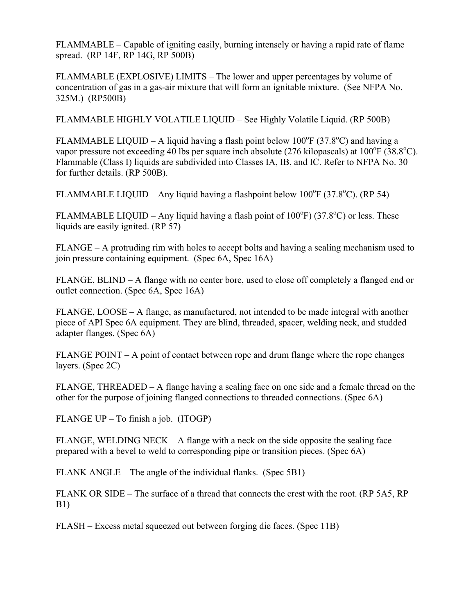FLAMMABLE – Capable of igniting easily, burning intensely or having a rapid rate of flame spread. (RP 14F, RP 14G, RP 500B)

FLAMMABLE (EXPLOSIVE) LIMITS – The lower and upper percentages by volume of concentration of gas in a gas-air mixture that will form an ignitable mixture. (See NFPA No. 325M.) (RP500B)

FLAMMABLE HIGHLY VOLATILE LIQUID – See Highly Volatile Liquid. (RP 500B)

FLAMMABLE LIQUID – A liquid having a flash point below  $100^{\circ}F(37.8^{\circ}C)$  and having a vapor pressure not exceeding 40 lbs per square inch absolute (276 kilopascals) at  $100^{\circ}F$  (38.8 $^{\circ}C$ ). Flammable (Class I) liquids are subdivided into Classes IA, IB, and IC. Refer to NFPA No. 30 for further details. (RP 500B).

FLAMMABLE LIQUID – Any liquid having a flashpoint below  $100^{\circ}F(37.8^{\circ}C)$ . (RP 54)

FLAMMABLE LIQUID – Any liquid having a flash point of  $100^{\circ}$ F) (37.8°C) or less. These liquids are easily ignited. (RP 57)

FLANGE – A protruding rim with holes to accept bolts and having a sealing mechanism used to join pressure containing equipment. (Spec 6A, Spec 16A)

FLANGE, BLIND – A flange with no center bore, used to close off completely a flanged end or outlet connection. (Spec 6A, Spec 16A)

FLANGE, LOOSE – A flange, as manufactured, not intended to be made integral with another piece of API Spec 6A equipment. They are blind, threaded, spacer, welding neck, and studded adapter flanges. (Spec 6A)

FLANGE POINT – A point of contact between rope and drum flange where the rope changes layers. (Spec 2C)

FLANGE, THREADED – A flange having a sealing face on one side and a female thread on the other for the purpose of joining flanged connections to threaded connections. (Spec 6A)

FLANGE UP – To finish a job. (ITOGP)

FLANGE, WELDING NECK – A flange with a neck on the side opposite the sealing face prepared with a bevel to weld to corresponding pipe or transition pieces. (Spec 6A)

FLANK ANGLE – The angle of the individual flanks. (Spec 5B1)

FLANK OR SIDE – The surface of a thread that connects the crest with the root. (RP 5A5, RP B1)

FLASH – Excess metal squeezed out between forging die faces. (Spec 11B)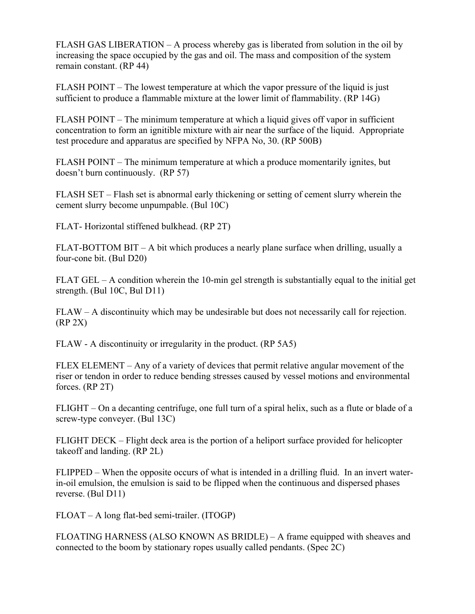FLASH GAS LIBERATION – A process whereby gas is liberated from solution in the oil by increasing the space occupied by the gas and oil. The mass and composition of the system remain constant. (RP 44)

FLASH POINT – The lowest temperature at which the vapor pressure of the liquid is just sufficient to produce a flammable mixture at the lower limit of flammability. (RP 14G)

FLASH POINT – The minimum temperature at which a liquid gives off vapor in sufficient concentration to form an ignitible mixture with air near the surface of the liquid. Appropriate test procedure and apparatus are specified by NFPA No, 30. (RP 500B)

FLASH POINT – The minimum temperature at which a produce momentarily ignites, but doesn't burn continuously. (RP 57)

FLASH SET – Flash set is abnormal early thickening or setting of cement slurry wherein the cement slurry become unpumpable. (Bul 10C)

FLAT- Horizontal stiffened bulkhead. (RP 2T)

FLAT-BOTTOM BIT – A bit which produces a nearly plane surface when drilling, usually a four-cone bit. (Bul D20)

FLAT GEL – A condition wherein the 10-min gel strength is substantially equal to the initial get strength. (Bul 10C, Bul D11)

FLAW – A discontinuity which may be undesirable but does not necessarily call for rejection. (RP 2X)

FLAW - A discontinuity or irregularity in the product. (RP 5A5)

FLEX ELEMENT – Any of a variety of devices that permit relative angular movement of the riser or tendon in order to reduce bending stresses caused by vessel motions and environmental forces. (RP 2T)

FLIGHT – On a decanting centrifuge, one full turn of a spiral helix, such as a flute or blade of a screw-type conveyer. (Bul 13C)

FLIGHT DECK – Flight deck area is the portion of a heliport surface provided for helicopter takeoff and landing. (RP 2L)

FLIPPED – When the opposite occurs of what is intended in a drilling fluid. In an invert waterin-oil emulsion, the emulsion is said to be flipped when the continuous and dispersed phases reverse. (Bul D11)

FLOAT – A long flat-bed semi-trailer. (ITOGP)

FLOATING HARNESS (ALSO KNOWN AS BRIDLE) – A frame equipped with sheaves and connected to the boom by stationary ropes usually called pendants. (Spec 2C)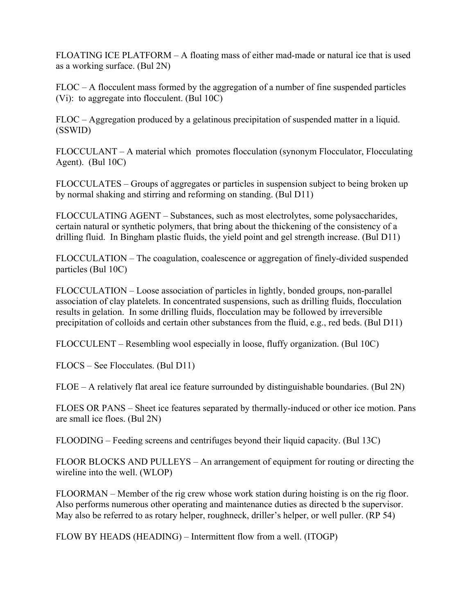FLOATING ICE PLATFORM – A floating mass of either mad-made or natural ice that is used as a working surface. (Bul 2N)

FLOC – A flocculent mass formed by the aggregation of a number of fine suspended particles (Vi): to aggregate into flocculent. (Bul 10C)

FLOC – Aggregation produced by a gelatinous precipitation of suspended matter in a liquid. (SSWID)

FLOCCULANT – A material which promotes flocculation (synonym Flocculator, Flocculating Agent). (Bul 10C)

FLOCCULATES – Groups of aggregates or particles in suspension subject to being broken up by normal shaking and stirring and reforming on standing. (Bul D11)

FLOCCULATING AGENT – Substances, such as most electrolytes, some polysaccharides, certain natural or synthetic polymers, that bring about the thickening of the consistency of a drilling fluid. In Bingham plastic fluids, the yield point and gel strength increase. (Bul D11)

FLOCCULATION – The coagulation, coalescence or aggregation of finely-divided suspended particles (Bul 10C)

FLOCCULATION – Loose association of particles in lightly, bonded groups, non-parallel association of clay platelets. In concentrated suspensions, such as drilling fluids, flocculation results in gelation. In some drilling fluids, flocculation may be followed by irreversible precipitation of colloids and certain other substances from the fluid, e.g., red beds. (Bul D11)

FLOCCULENT – Resembling wool especially in loose, fluffy organization. (Bul 10C)

FLOCS – See Flocculates. (Bul D11)

FLOE – A relatively flat areal ice feature surrounded by distinguishable boundaries. (Bul 2N)

FLOES OR PANS – Sheet ice features separated by thermally-induced or other ice motion. Pans are small ice floes. (Bul 2N)

FLOODING – Feeding screens and centrifuges beyond their liquid capacity. (Bul 13C)

FLOOR BLOCKS AND PULLEYS – An arrangement of equipment for routing or directing the wireline into the well. (WLOP)

FLOORMAN – Member of the rig crew whose work station during hoisting is on the rig floor. Also performs numerous other operating and maintenance duties as directed b the supervisor. May also be referred to as rotary helper, roughneck, driller's helper, or well puller. (RP 54)

FLOW BY HEADS (HEADING) – Intermittent flow from a well. (ITOGP)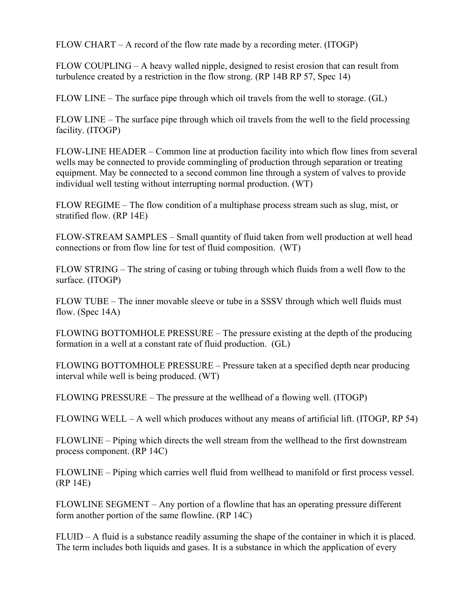FLOW CHART – A record of the flow rate made by a recording meter. (ITOGP)

FLOW COUPLING – A heavy walled nipple, designed to resist erosion that can result from turbulence created by a restriction in the flow strong. (RP 14B RP 57, Spec 14)

FLOW LINE – The surface pipe through which oil travels from the well to storage. (GL)

FLOW LINE – The surface pipe through which oil travels from the well to the field processing facility. (ITOGP)

FLOW-LINE HEADER – Common line at production facility into which flow lines from several wells may be connected to provide commingling of production through separation or treating equipment. May be connected to a second common line through a system of valves to provide individual well testing without interrupting normal production. (WT)

FLOW REGIME – The flow condition of a multiphase process stream such as slug, mist, or stratified flow. (RP 14E)

FLOW-STREAM SAMPLES – Small quantity of fluid taken from well production at well head connections or from flow line for test of fluid composition. (WT)

FLOW STRING – The string of casing or tubing through which fluids from a well flow to the surface. (ITOGP)

FLOW TUBE – The inner movable sleeve or tube in a SSSV through which well fluids must flow. (Spec 14A)

FLOWING BOTTOMHOLE PRESSURE – The pressure existing at the depth of the producing formation in a well at a constant rate of fluid production. (GL)

FLOWING BOTTOMHOLE PRESSURE – Pressure taken at a specified depth near producing interval while well is being produced. (WT)

FLOWING PRESSURE – The pressure at the wellhead of a flowing well. (ITOGP)

FLOWING WELL – A well which produces without any means of artificial lift. (ITOGP, RP 54)

FLOWLINE – Piping which directs the well stream from the wellhead to the first downstream process component. (RP 14C)

FLOWLINE – Piping which carries well fluid from wellhead to manifold or first process vessel. (RP 14E)

FLOWLINE SEGMENT – Any portion of a flowline that has an operating pressure different form another portion of the same flowline. (RP 14C)

FLUID – A fluid is a substance readily assuming the shape of the container in which it is placed. The term includes both liquids and gases. It is a substance in which the application of every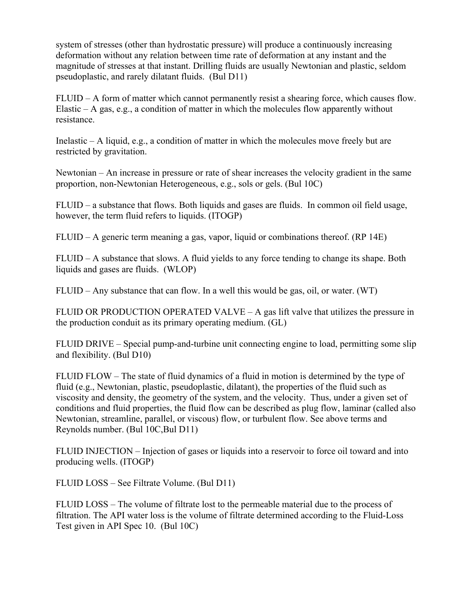system of stresses (other than hydrostatic pressure) will produce a continuously increasing deformation without any relation between time rate of deformation at any instant and the magnitude of stresses at that instant. Drilling fluids are usually Newtonian and plastic, seldom pseudoplastic, and rarely dilatant fluids. (Bul D11)

FLUID – A form of matter which cannot permanently resist a shearing force, which causes flow. Elastic – A gas, e.g., a condition of matter in which the molecules flow apparently without resistance.

Inelastic  $-A$  liquid, e.g., a condition of matter in which the molecules move freely but are restricted by gravitation.

Newtonian – An increase in pressure or rate of shear increases the velocity gradient in the same proportion, non-Newtonian Heterogeneous, e.g., sols or gels. (Bul 10C)

FLUID – a substance that flows. Both liquids and gases are fluids. In common oil field usage, however, the term fluid refers to liquids. (ITOGP)

FLUID – A generic term meaning a gas, vapor, liquid or combinations thereof. (RP 14E)

FLUID – A substance that slows. A fluid yields to any force tending to change its shape. Both liquids and gases are fluids. (WLOP)

FLUID – Any substance that can flow. In a well this would be gas, oil, or water. (WT)

FLUID OR PRODUCTION OPERATED VALVE – A gas lift valve that utilizes the pressure in the production conduit as its primary operating medium. (GL)

FLUID DRIVE – Special pump-and-turbine unit connecting engine to load, permitting some slip and flexibility. (Bul D10)

FLUID FLOW – The state of fluid dynamics of a fluid in motion is determined by the type of fluid (e.g., Newtonian, plastic, pseudoplastic, dilatant), the properties of the fluid such as viscosity and density, the geometry of the system, and the velocity. Thus, under a given set of conditions and fluid properties, the fluid flow can be described as plug flow, laminar (called also Newtonian, streamline, parallel, or viscous) flow, or turbulent flow. See above terms and Reynolds number. (Bul 10C,Bul D11)

FLUID INJECTION – Injection of gases or liquids into a reservoir to force oil toward and into producing wells. (ITOGP)

FLUID LOSS – See Filtrate Volume. (Bul D11)

FLUID LOSS – The volume of filtrate lost to the permeable material due to the process of filtration. The API water loss is the volume of filtrate determined according to the Fluid-Loss Test given in API Spec 10. (Bul 10C)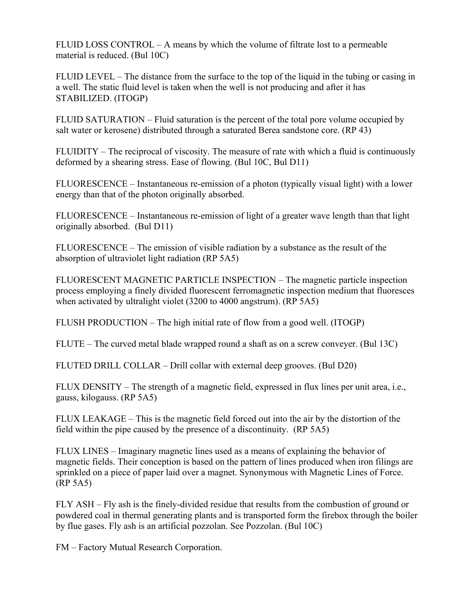FLUID LOSS CONTROL – A means by which the volume of filtrate lost to a permeable material is reduced. (Bul 10C)

FLUID LEVEL – The distance from the surface to the top of the liquid in the tubing or casing in a well. The static fluid level is taken when the well is not producing and after it has STABILIZED. (ITOGP)

FLUID SATURATION – Fluid saturation is the percent of the total pore volume occupied by salt water or kerosene) distributed through a saturated Berea sandstone core. (RP 43)

FLUIDITY – The reciprocal of viscosity. The measure of rate with which a fluid is continuously deformed by a shearing stress. Ease of flowing. (Bul 10C, Bul D11)

FLUORESCENCE – Instantaneous re-emission of a photon (typically visual light) with a lower energy than that of the photon originally absorbed.

FLUORESCENCE – Instantaneous re-emission of light of a greater wave length than that light originally absorbed. (Bul D11)

FLUORESCENCE – The emission of visible radiation by a substance as the result of the absorption of ultraviolet light radiation (RP 5A5)

FLUORESCENT MAGNETIC PARTICLE INSPECTION – The magnetic particle inspection process employing a finely divided fluorescent ferromagnetic inspection medium that fluoresces when activated by ultralight violet (3200 to 4000 angstrum). (RP 5A5)

FLUSH PRODUCTION – The high initial rate of flow from a good well. (ITOGP)

FLUTE – The curved metal blade wrapped round a shaft as on a screw conveyer. (Bul 13C)

FLUTED DRILL COLLAR – Drill collar with external deep grooves. (Bul D20)

FLUX DENSITY – The strength of a magnetic field, expressed in flux lines per unit area, i.e., gauss, kilogauss. (RP 5A5)

FLUX LEAKAGE – This is the magnetic field forced out into the air by the distortion of the field within the pipe caused by the presence of a discontinuity. (RP 5A5)

FLUX LINES – Imaginary magnetic lines used as a means of explaining the behavior of magnetic fields. Their conception is based on the pattern of lines produced when iron filings are sprinkled on a piece of paper laid over a magnet. Synonymous with Magnetic Lines of Force. (RP 5A5)

FLY ASH – Fly ash is the finely-divided residue that results from the combustion of ground or powdered coal in thermal generating plants and is transported form the firebox through the boiler by flue gases. Fly ash is an artificial pozzolan. See Pozzolan. (Bul 10C)

FM – Factory Mutual Research Corporation.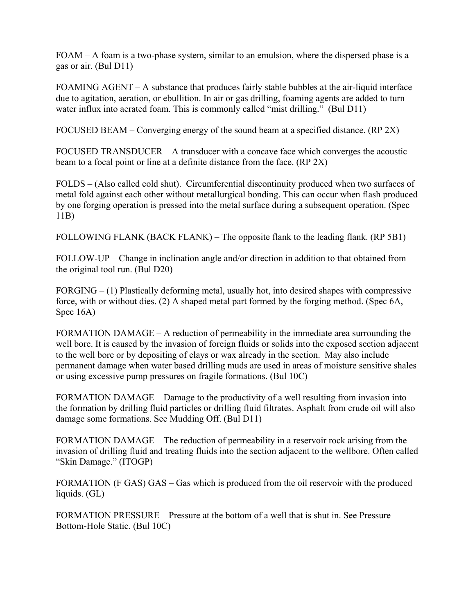FOAM – A foam is a two-phase system, similar to an emulsion, where the dispersed phase is a gas or air. (Bul D11)

FOAMING AGENT – A substance that produces fairly stable bubbles at the air-liquid interface due to agitation, aeration, or ebullition. In air or gas drilling, foaming agents are added to turn water influx into aerated foam. This is commonly called "mist drilling." (Bul D11)

FOCUSED BEAM – Converging energy of the sound beam at a specified distance. (RP 2X)

FOCUSED TRANSDUCER – A transducer with a concave face which converges the acoustic beam to a focal point or line at a definite distance from the face. (RP 2X)

FOLDS – (Also called cold shut). Circumferential discontinuity produced when two surfaces of metal fold against each other without metallurgical bonding. This can occur when flash produced by one forging operation is pressed into the metal surface during a subsequent operation. (Spec 11B)

FOLLOWING FLANK (BACK FLANK) – The opposite flank to the leading flank. (RP 5B1)

FOLLOW-UP – Change in inclination angle and/or direction in addition to that obtained from the original tool run. (Bul D20)

FORGING – (1) Plastically deforming metal, usually hot, into desired shapes with compressive force, with or without dies. (2) A shaped metal part formed by the forging method. (Spec 6A, Spec 16A)

FORMATION DAMAGE – A reduction of permeability in the immediate area surrounding the well bore. It is caused by the invasion of foreign fluids or solids into the exposed section adjacent to the well bore or by depositing of clays or wax already in the section. May also include permanent damage when water based drilling muds are used in areas of moisture sensitive shales or using excessive pump pressures on fragile formations. (Bul 10C)

FORMATION DAMAGE – Damage to the productivity of a well resulting from invasion into the formation by drilling fluid particles or drilling fluid filtrates. Asphalt from crude oil will also damage some formations. See Mudding Off. (Bul D11)

FORMATION DAMAGE – The reduction of permeability in a reservoir rock arising from the invasion of drilling fluid and treating fluids into the section adjacent to the wellbore. Often called "Skin Damage." (ITOGP)

FORMATION (F GAS) GAS – Gas which is produced from the oil reservoir with the produced liquids. (GL)

FORMATION PRESSURE – Pressure at the bottom of a well that is shut in. See Pressure Bottom-Hole Static. (Bul 10C)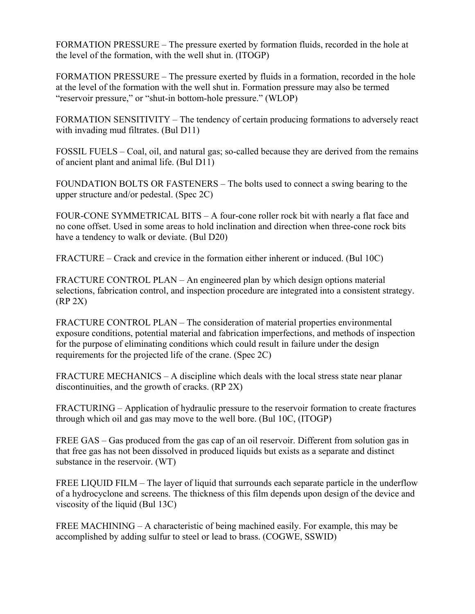FORMATION PRESSURE – The pressure exerted by formation fluids, recorded in the hole at the level of the formation, with the well shut in. (ITOGP)

FORMATION PRESSURE – The pressure exerted by fluids in a formation, recorded in the hole at the level of the formation with the well shut in. Formation pressure may also be termed "reservoir pressure," or "shut-in bottom-hole pressure." (WLOP)

FORMATION SENSITIVITY – The tendency of certain producing formations to adversely react with invading mud filtrates. (Bul D11)

FOSSIL FUELS – Coal, oil, and natural gas; so-called because they are derived from the remains of ancient plant and animal life. (Bul D11)

FOUNDATION BOLTS OR FASTENERS – The bolts used to connect a swing bearing to the upper structure and/or pedestal. (Spec 2C)

FOUR-CONE SYMMETRICAL BITS – A four-cone roller rock bit with nearly a flat face and no cone offset. Used in some areas to hold inclination and direction when three-cone rock bits have a tendency to walk or deviate. (Bul D20)

FRACTURE – Crack and crevice in the formation either inherent or induced. (Bul 10C)

FRACTURE CONTROL PLAN – An engineered plan by which design options material selections, fabrication control, and inspection procedure are integrated into a consistent strategy. (RP 2X)

FRACTURE CONTROL PLAN – The consideration of material properties environmental exposure conditions, potential material and fabrication imperfections, and methods of inspection for the purpose of eliminating conditions which could result in failure under the design requirements for the projected life of the crane. (Spec 2C)

FRACTURE MECHANICS – A discipline which deals with the local stress state near planar discontinuities, and the growth of cracks. (RP 2X)

FRACTURING – Application of hydraulic pressure to the reservoir formation to create fractures through which oil and gas may move to the well bore. (Bul 10C, (ITOGP)

FREE GAS – Gas produced from the gas cap of an oil reservoir. Different from solution gas in that free gas has not been dissolved in produced liquids but exists as a separate and distinct substance in the reservoir. (WT)

FREE LIQUID FILM – The layer of liquid that surrounds each separate particle in the underflow of a hydrocyclone and screens. The thickness of this film depends upon design of the device and viscosity of the liquid (Bul 13C)

FREE MACHINING – A characteristic of being machined easily. For example, this may be accomplished by adding sulfur to steel or lead to brass. (COGWE, SSWID)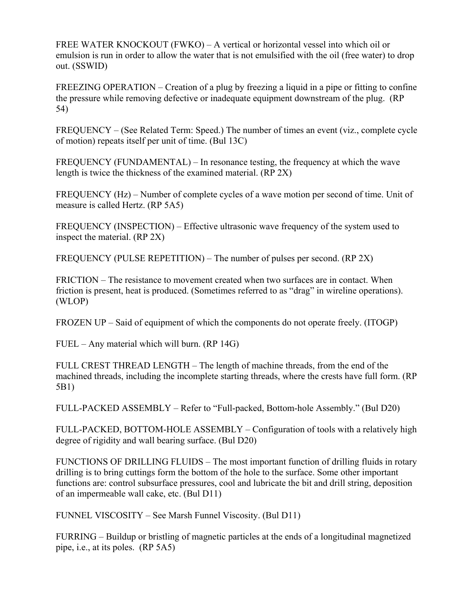FREE WATER KNOCKOUT (FWKO) – A vertical or horizontal vessel into which oil or emulsion is run in order to allow the water that is not emulsified with the oil (free water) to drop out. (SSWID)

FREEZING OPERATION – Creation of a plug by freezing a liquid in a pipe or fitting to confine the pressure while removing defective or inadequate equipment downstream of the plug. (RP 54)

FREQUENCY – (See Related Term: Speed.) The number of times an event (viz., complete cycle of motion) repeats itself per unit of time. (Bul 13C)

FREQUENCY (FUNDAMENTAL) – In resonance testing, the frequency at which the wave length is twice the thickness of the examined material. (RP 2X)

FREQUENCY (Hz) – Number of complete cycles of a wave motion per second of time. Unit of measure is called Hertz. (RP 5A5)

FREQUENCY (INSPECTION) – Effective ultrasonic wave frequency of the system used to inspect the material. (RP 2X)

FREQUENCY (PULSE REPETITION) – The number of pulses per second. (RP 2X)

FRICTION – The resistance to movement created when two surfaces are in contact. When friction is present, heat is produced. (Sometimes referred to as "drag" in wireline operations). (WLOP)

FROZEN UP – Said of equipment of which the components do not operate freely. (ITOGP)

FUEL – Any material which will burn. (RP 14G)

FULL CREST THREAD LENGTH – The length of machine threads, from the end of the machined threads, including the incomplete starting threads, where the crests have full form. (RP 5B1)

FULL-PACKED ASSEMBLY – Refer to "Full-packed, Bottom-hole Assembly." (Bul D20)

FULL-PACKED, BOTTOM-HOLE ASSEMBLY – Configuration of tools with a relatively high degree of rigidity and wall bearing surface. (Bul D20)

FUNCTIONS OF DRILLING FLUIDS – The most important function of drilling fluids in rotary drilling is to bring cuttings form the bottom of the hole to the surface. Some other important functions are: control subsurface pressures, cool and lubricate the bit and drill string, deposition of an impermeable wall cake, etc. (Bul D11)

FUNNEL VISCOSITY – See Marsh Funnel Viscosity. (Bul D11)

FURRING – Buildup or bristling of magnetic particles at the ends of a longitudinal magnetized pipe, i.e., at its poles. (RP 5A5)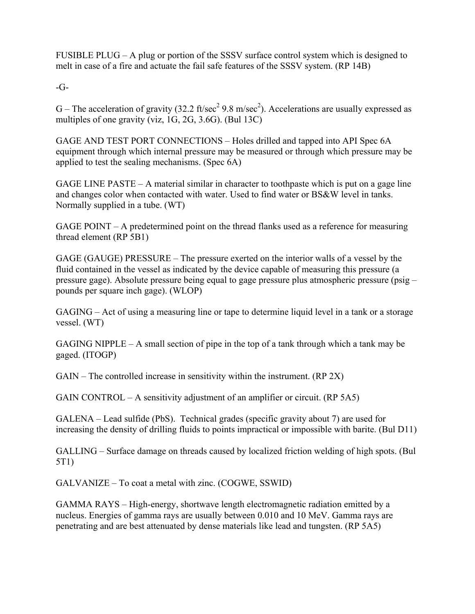FUSIBLE PLUG – A plug or portion of the SSSV surface control system which is designed to melt in case of a fire and actuate the fail safe features of the SSSV system. (RP 14B)

 $-G-$ 

G – The acceleration of gravity (32.2 ft/sec<sup>2</sup> 9.8 m/sec<sup>2</sup>). Accelerations are usually expressed as multiples of one gravity (viz, 1G, 2G, 3.6G). (Bul 13C)

GAGE AND TEST PORT CONNECTIONS – Holes drilled and tapped into API Spec 6A equipment through which internal pressure may be measured or through which pressure may be applied to test the sealing mechanisms. (Spec 6A)

GAGE LINE PASTE – A material similar in character to toothpaste which is put on a gage line and changes color when contacted with water. Used to find water or BS&W level in tanks. Normally supplied in a tube. (WT)

GAGE POINT – A predetermined point on the thread flanks used as a reference for measuring thread element (RP 5B1)

GAGE (GAUGE) PRESSURE – The pressure exerted on the interior walls of a vessel by the fluid contained in the vessel as indicated by the device capable of measuring this pressure (a pressure gage). Absolute pressure being equal to gage pressure plus atmospheric pressure (psig – pounds per square inch gage). (WLOP)

GAGING – Act of using a measuring line or tape to determine liquid level in a tank or a storage vessel. (WT)

GAGING NIPPLE – A small section of pipe in the top of a tank through which a tank may be gaged. (ITOGP)

GAIN – The controlled increase in sensitivity within the instrument. (RP 2X)

GAIN CONTROL – A sensitivity adjustment of an amplifier or circuit. (RP 5A5)

GALENA – Lead sulfide (PbS). Technical grades (specific gravity about 7) are used for increasing the density of drilling fluids to points impractical or impossible with barite. (Bul D11)

GALLING – Surface damage on threads caused by localized friction welding of high spots. (Bul 5T1)

GALVANIZE – To coat a metal with zinc. (COGWE, SSWID)

GAMMA RAYS – High-energy, shortwave length electromagnetic radiation emitted by a nucleus. Energies of gamma rays are usually between 0.010 and 10 MeV. Gamma rays are penetrating and are best attenuated by dense materials like lead and tungsten. (RP 5A5)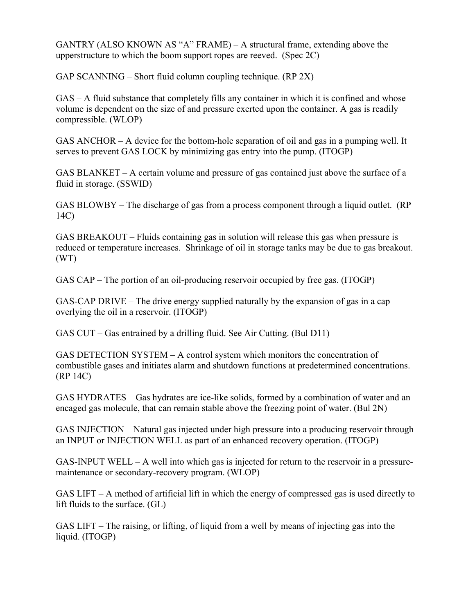GANTRY (ALSO KNOWN AS "A" FRAME) – A structural frame, extending above the upperstructure to which the boom support ropes are reeved. (Spec 2C)

GAP SCANNING – Short fluid column coupling technique. (RP 2X)

GAS – A fluid substance that completely fills any container in which it is confined and whose volume is dependent on the size of and pressure exerted upon the container. A gas is readily compressible. (WLOP)

GAS ANCHOR – A device for the bottom-hole separation of oil and gas in a pumping well. It serves to prevent GAS LOCK by minimizing gas entry into the pump. (ITOGP)

GAS BLANKET – A certain volume and pressure of gas contained just above the surface of a fluid in storage. (SSWID)

GAS BLOWBY – The discharge of gas from a process component through a liquid outlet. (RP 14C)

GAS BREAKOUT – Fluids containing gas in solution will release this gas when pressure is reduced or temperature increases. Shrinkage of oil in storage tanks may be due to gas breakout. (WT)

GAS CAP – The portion of an oil-producing reservoir occupied by free gas. (ITOGP)

GAS-CAP DRIVE – The drive energy supplied naturally by the expansion of gas in a cap overlying the oil in a reservoir. (ITOGP)

GAS CUT – Gas entrained by a drilling fluid. See Air Cutting. (Bul D11)

GAS DETECTION SYSTEM – A control system which monitors the concentration of combustible gases and initiates alarm and shutdown functions at predetermined concentrations. (RP 14C)

GAS HYDRATES – Gas hydrates are ice-like solids, formed by a combination of water and an encaged gas molecule, that can remain stable above the freezing point of water. (Bul 2N)

GAS INJECTION – Natural gas injected under high pressure into a producing reservoir through an INPUT or INJECTION WELL as part of an enhanced recovery operation. (ITOGP)

GAS-INPUT WELL – A well into which gas is injected for return to the reservoir in a pressuremaintenance or secondary-recovery program. (WLOP)

GAS LIFT – A method of artificial lift in which the energy of compressed gas is used directly to lift fluids to the surface. (GL)

GAS LIFT – The raising, or lifting, of liquid from a well by means of injecting gas into the liquid. (ITOGP)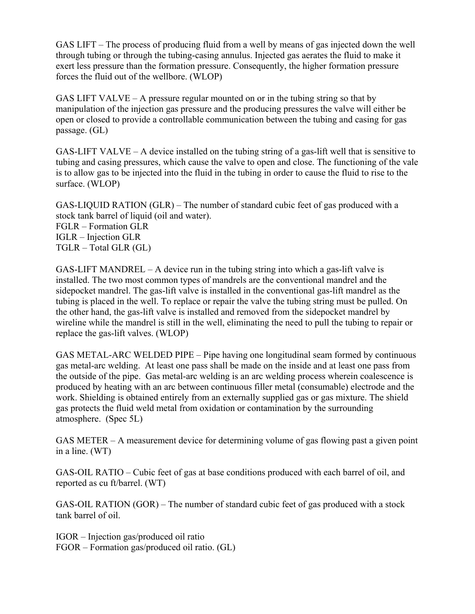GAS LIFT – The process of producing fluid from a well by means of gas injected down the well through tubing or through the tubing-casing annulus. Injected gas aerates the fluid to make it exert less pressure than the formation pressure. Consequently, the higher formation pressure forces the fluid out of the wellbore. (WLOP)

GAS LIFT VALVE – A pressure regular mounted on or in the tubing string so that by manipulation of the injection gas pressure and the producing pressures the valve will either be open or closed to provide a controllable communication between the tubing and casing for gas passage. (GL)

GAS-LIFT VALVE – A device installed on the tubing string of a gas-lift well that is sensitive to tubing and casing pressures, which cause the valve to open and close. The functioning of the vale is to allow gas to be injected into the fluid in the tubing in order to cause the fluid to rise to the surface. (WLOP)

GAS-LIQUID RATION (GLR) – The number of standard cubic feet of gas produced with a stock tank barrel of liquid (oil and water). FGLR – Formation GLR IGLR – Injection GLR TGLR – Total GLR (GL)

GAS-LIFT MANDREL – A device run in the tubing string into which a gas-lift valve is installed. The two most common types of mandrels are the conventional mandrel and the sidepocket mandrel. The gas-lift valve is installed in the conventional gas-lift mandrel as the tubing is placed in the well. To replace or repair the valve the tubing string must be pulled. On the other hand, the gas-lift valve is installed and removed from the sidepocket mandrel by wireline while the mandrel is still in the well, eliminating the need to pull the tubing to repair or replace the gas-lift valves. (WLOP)

GAS METAL-ARC WELDED PIPE – Pipe having one longitudinal seam formed by continuous gas metal-arc welding. At least one pass shall be made on the inside and at least one pass from the outside of the pipe. Gas metal-arc welding is an arc welding process wherein coalescence is produced by heating with an arc between continuous filler metal (consumable) electrode and the work. Shielding is obtained entirely from an externally supplied gas or gas mixture. The shield gas protects the fluid weld metal from oxidation or contamination by the surrounding atmosphere. (Spec 5L)

GAS METER – A measurement device for determining volume of gas flowing past a given point in a line. (WT)

GAS-OIL RATIO – Cubic feet of gas at base conditions produced with each barrel of oil, and reported as cu ft/barrel. (WT)

GAS-OIL RATION (GOR) – The number of standard cubic feet of gas produced with a stock tank barrel of oil.

IGOR – Injection gas/produced oil ratio FGOR – Formation gas/produced oil ratio. (GL)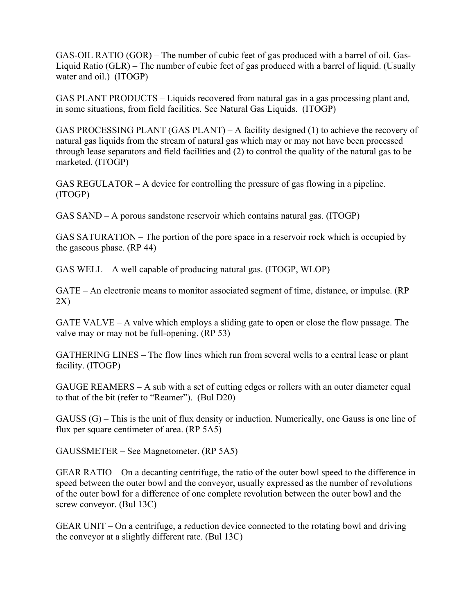GAS-OIL RATIO (GOR) – The number of cubic feet of gas produced with a barrel of oil. Gas-Liquid Ratio (GLR) – The number of cubic feet of gas produced with a barrel of liquid. (Usually water and oil.) (ITOGP)

GAS PLANT PRODUCTS – Liquids recovered from natural gas in a gas processing plant and, in some situations, from field facilities. See Natural Gas Liquids. (ITOGP)

GAS PROCESSING PLANT (GAS PLANT) – A facility designed (1) to achieve the recovery of natural gas liquids from the stream of natural gas which may or may not have been processed through lease separators and field facilities and (2) to control the quality of the natural gas to be marketed. (ITOGP)

GAS REGULATOR – A device for controlling the pressure of gas flowing in a pipeline. (ITOGP)

GAS SAND – A porous sandstone reservoir which contains natural gas. (ITOGP)

GAS SATURATION – The portion of the pore space in a reservoir rock which is occupied by the gaseous phase. (RP 44)

GAS WELL – A well capable of producing natural gas. (ITOGP, WLOP)

GATE – An electronic means to monitor associated segment of time, distance, or impulse. (RP 2X)

GATE VALVE – A valve which employs a sliding gate to open or close the flow passage. The valve may or may not be full-opening. (RP 53)

GATHERING LINES – The flow lines which run from several wells to a central lease or plant facility. (ITOGP)

GAUGE REAMERS – A sub with a set of cutting edges or rollers with an outer diameter equal to that of the bit (refer to "Reamer"). (Bul D20)

GAUSS (G) – This is the unit of flux density or induction. Numerically, one Gauss is one line of flux per square centimeter of area. (RP 5A5)

GAUSSMETER – See Magnetometer. (RP 5A5)

GEAR RATIO – On a decanting centrifuge, the ratio of the outer bowl speed to the difference in speed between the outer bowl and the conveyor, usually expressed as the number of revolutions of the outer bowl for a difference of one complete revolution between the outer bowl and the screw conveyor. (Bul 13C)

GEAR UNIT – On a centrifuge, a reduction device connected to the rotating bowl and driving the conveyor at a slightly different rate. (Bul 13C)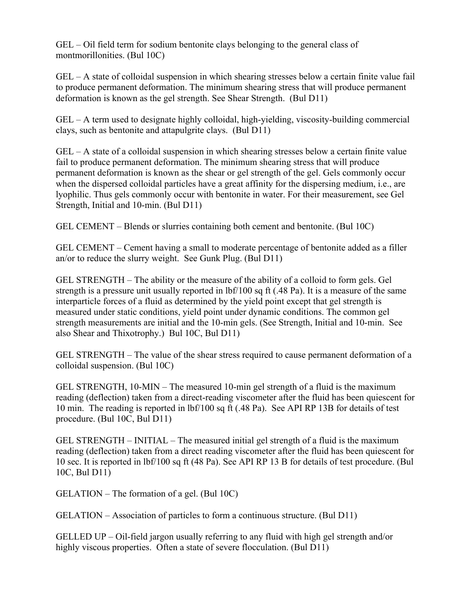GEL – Oil field term for sodium bentonite clays belonging to the general class of montmorillonities. (Bul 10C)

GEL – A state of colloidal suspension in which shearing stresses below a certain finite value fail to produce permanent deformation. The minimum shearing stress that will produce permanent deformation is known as the gel strength. See Shear Strength. (Bul D11)

GEL – A term used to designate highly colloidal, high-yielding, viscosity-building commercial clays, such as bentonite and attapulgrite clays. (Bul D11)

GEL – A state of a colloidal suspension in which shearing stresses below a certain finite value fail to produce permanent deformation. The minimum shearing stress that will produce permanent deformation is known as the shear or gel strength of the gel. Gels commonly occur when the dispersed colloidal particles have a great affinity for the dispersing medium, i.e., are lyophilic. Thus gels commonly occur with bentonite in water. For their measurement, see Gel Strength, Initial and 10-min. (Bul D11)

GEL CEMENT – Blends or slurries containing both cement and bentonite. (Bul 10C)

GEL CEMENT – Cement having a small to moderate percentage of bentonite added as a filler an/or to reduce the slurry weight. See Gunk Plug. (Bul D11)

GEL STRENGTH – The ability or the measure of the ability of a colloid to form gels. Gel strength is a pressure unit usually reported in lbf/100 sq ft (.48 Pa). It is a measure of the same interparticle forces of a fluid as determined by the yield point except that gel strength is measured under static conditions, yield point under dynamic conditions. The common gel strength measurements are initial and the 10-min gels. (See Strength, Initial and 10-min. See also Shear and Thixotrophy.) Bul 10C, Bul D11)

GEL STRENGTH – The value of the shear stress required to cause permanent deformation of a colloidal suspension. (Bul 10C)

GEL STRENGTH, 10-MIN – The measured 10-min gel strength of a fluid is the maximum reading (deflection) taken from a direct-reading viscometer after the fluid has been quiescent for 10 min. The reading is reported in lbf/100 sq ft (.48 Pa). See API RP 13B for details of test procedure. (Bul 10C, Bul D11)

GEL STRENGTH – INITIAL – The measured initial gel strength of a fluid is the maximum reading (deflection) taken from a direct reading viscometer after the fluid has been quiescent for 10 sec. It is reported in lbf/100 sq ft (48 Pa). See API RP 13 B for details of test procedure. (Bul 10C, Bul D11)

GELATION – The formation of a gel. (Bul 10C)

GELATION – Association of particles to form a continuous structure. (Bul D11)

GELLED UP – Oil-field jargon usually referring to any fluid with high gel strength and/or highly viscous properties. Often a state of severe flocculation. (Bul D11)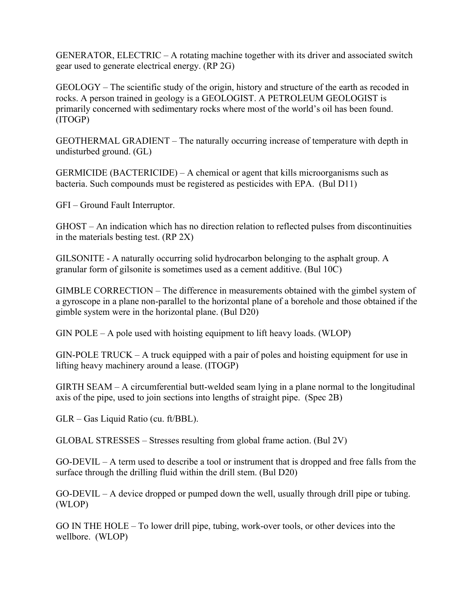GENERATOR, ELECTRIC – A rotating machine together with its driver and associated switch gear used to generate electrical energy. (RP 2G)

GEOLOGY – The scientific study of the origin, history and structure of the earth as recoded in rocks. A person trained in geology is a GEOLOGIST. A PETROLEUM GEOLOGIST is primarily concerned with sedimentary rocks where most of the world's oil has been found. (ITOGP)

GEOTHERMAL GRADIENT – The naturally occurring increase of temperature with depth in undisturbed ground. (GL)

GERMICIDE (BACTERICIDE) – A chemical or agent that kills microorganisms such as bacteria. Such compounds must be registered as pesticides with EPA. (Bul D11)

GFI – Ground Fault Interruptor.

GHOST – An indication which has no direction relation to reflected pulses from discontinuities in the materials besting test. (RP 2X)

GILSONITE - A naturally occurring solid hydrocarbon belonging to the asphalt group. A granular form of gilsonite is sometimes used as a cement additive. (Bul 10C)

GIMBLE CORRECTION – The difference in measurements obtained with the gimbel system of a gyroscope in a plane non-parallel to the horizontal plane of a borehole and those obtained if the gimble system were in the horizontal plane. (Bul D20)

GIN POLE – A pole used with hoisting equipment to lift heavy loads. (WLOP)

GIN-POLE TRUCK – A truck equipped with a pair of poles and hoisting equipment for use in lifting heavy machinery around a lease. (ITOGP)

GIRTH SEAM – A circumferential butt-welded seam lying in a plane normal to the longitudinal axis of the pipe, used to join sections into lengths of straight pipe. (Spec 2B)

GLR – Gas Liquid Ratio (cu. ft/BBL).

GLOBAL STRESSES – Stresses resulting from global frame action. (Bul 2V)

GO-DEVIL – A term used to describe a tool or instrument that is dropped and free falls from the surface through the drilling fluid within the drill stem. (Bul D20)

GO-DEVIL – A device dropped or pumped down the well, usually through drill pipe or tubing. (WLOP)

GO IN THE HOLE – To lower drill pipe, tubing, work-over tools, or other devices into the wellbore. (WLOP)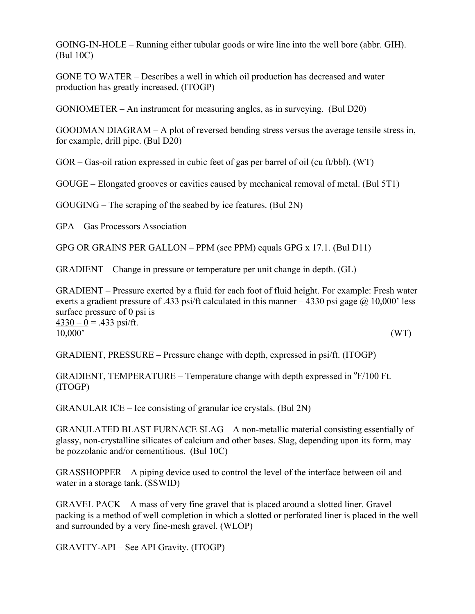GOING-IN-HOLE – Running either tubular goods or wire line into the well bore (abbr. GIH). (Bul 10C)

GONE TO WATER – Describes a well in which oil production has decreased and water production has greatly increased. (ITOGP)

GONIOMETER – An instrument for measuring angles, as in surveying. (Bul D20)

GOODMAN DIAGRAM – A plot of reversed bending stress versus the average tensile stress in, for example, drill pipe. (Bul D20)

GOR – Gas-oil ration expressed in cubic feet of gas per barrel of oil (cu ft/bbl). (WT)

GOUGE – Elongated grooves or cavities caused by mechanical removal of metal. (Bul 5T1)

GOUGING – The scraping of the seabed by ice features. (Bul 2N)

GPA – Gas Processors Association

GPG OR GRAINS PER GALLON – PPM (see PPM) equals GPG x 17.1. (Bul D11)

GRADIENT – Change in pressure or temperature per unit change in depth. (GL)

GRADIENT – Pressure exerted by a fluid for each foot of fluid height. For example: Fresh water exerts a gradient pressure of .433 psi/ft calculated in this manner – 4330 psi gage  $\omega$  10,000' less surface pressure of 0 psi is  $4330 - 0 = .433 \text{ psi/ft.}$ 10,000' (WT)

GRADIENT, PRESSURE – Pressure change with depth, expressed in psi/ft. (ITOGP)

GRADIENT, TEMPERATURE – Temperature change with depth expressed in  ${}^{\circ}$ F/100 Ft. (ITOGP)

GRANULAR ICE – Ice consisting of granular ice crystals. (Bul 2N)

GRANULATED BLAST FURNACE SLAG – A non-metallic material consisting essentially of glassy, non-crystalline silicates of calcium and other bases. Slag, depending upon its form, may be pozzolanic and/or cementitious. (Bul 10C)

GRASSHOPPER – A piping device used to control the level of the interface between oil and water in a storage tank. (SSWID)

GRAVEL PACK – A mass of very fine gravel that is placed around a slotted liner. Gravel packing is a method of well completion in which a slotted or perforated liner is placed in the well and surrounded by a very fine-mesh gravel. (WLOP)

GRAVITY-API – See API Gravity. (ITOGP)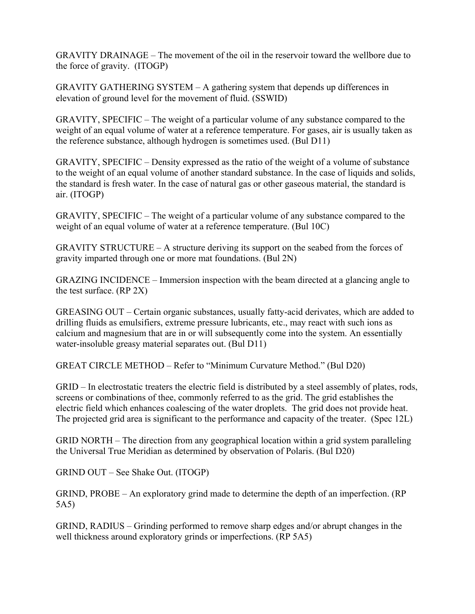GRAVITY DRAINAGE – The movement of the oil in the reservoir toward the wellbore due to the force of gravity. (ITOGP)

GRAVITY GATHERING SYSTEM – A gathering system that depends up differences in elevation of ground level for the movement of fluid. (SSWID)

GRAVITY, SPECIFIC – The weight of a particular volume of any substance compared to the weight of an equal volume of water at a reference temperature. For gases, air is usually taken as the reference substance, although hydrogen is sometimes used. (Bul D11)

GRAVITY, SPECIFIC – Density expressed as the ratio of the weight of a volume of substance to the weight of an equal volume of another standard substance. In the case of liquids and solids, the standard is fresh water. In the case of natural gas or other gaseous material, the standard is air. (ITOGP)

GRAVITY, SPECIFIC – The weight of a particular volume of any substance compared to the weight of an equal volume of water at a reference temperature. (Bul 10C)

GRAVITY STRUCTURE – A structure deriving its support on the seabed from the forces of gravity imparted through one or more mat foundations. (Bul 2N)

GRAZING INCIDENCE – Immersion inspection with the beam directed at a glancing angle to the test surface. (RP 2X)

GREASING OUT – Certain organic substances, usually fatty-acid derivates, which are added to drilling fluids as emulsifiers, extreme pressure lubricants, etc., may react with such ions as calcium and magnesium that are in or will subsequently come into the system. An essentially water-insoluble greasy material separates out. (Bul D11)

GREAT CIRCLE METHOD – Refer to "Minimum Curvature Method." (Bul D20)

GRID – In electrostatic treaters the electric field is distributed by a steel assembly of plates, rods, screens or combinations of thee, commonly referred to as the grid. The grid establishes the electric field which enhances coalescing of the water droplets. The grid does not provide heat. The projected grid area is significant to the performance and capacity of the treater. (Spec 12L)

GRID NORTH – The direction from any geographical location within a grid system paralleling the Universal True Meridian as determined by observation of Polaris. (Bul D20)

GRIND OUT – See Shake Out. (ITOGP)

GRIND, PROBE – An exploratory grind made to determine the depth of an imperfection. (RP 5A5)

GRIND, RADIUS – Grinding performed to remove sharp edges and/or abrupt changes in the well thickness around exploratory grinds or imperfections. (RP 5A5)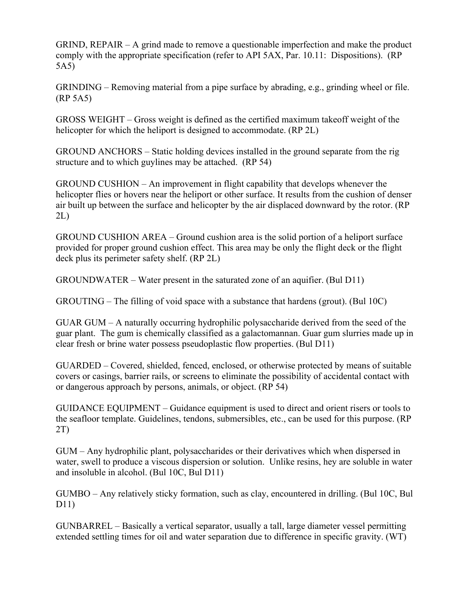GRIND, REPAIR – A grind made to remove a questionable imperfection and make the product comply with the appropriate specification (refer to API 5AX, Par. 10.11: Dispositions). (RP 5A5)

GRINDING – Removing material from a pipe surface by abrading, e.g., grinding wheel or file. (RP 5A5)

GROSS WEIGHT – Gross weight is defined as the certified maximum takeoff weight of the helicopter for which the heliport is designed to accommodate. (RP 2L)

GROUND ANCHORS – Static holding devices installed in the ground separate from the rig structure and to which guylines may be attached. (RP 54)

GROUND CUSHION – An improvement in flight capability that develops whenever the helicopter flies or hovers near the heliport or other surface. It results from the cushion of denser air built up between the surface and helicopter by the air displaced downward by the rotor. (RP 2L)

GROUND CUSHION AREA – Ground cushion area is the solid portion of a heliport surface provided for proper ground cushion effect. This area may be only the flight deck or the flight deck plus its perimeter safety shelf. (RP 2L)

GROUNDWATER – Water present in the saturated zone of an aquifier. (Bul D11)

GROUTING – The filling of void space with a substance that hardens (grout). (Bul 10C)

GUAR GUM – A naturally occurring hydrophilic polysaccharide derived from the seed of the guar plant. The gum is chemically classified as a galactomannan. Guar gum slurries made up in clear fresh or brine water possess pseudoplastic flow properties. (Bul D11)

GUARDED – Covered, shielded, fenced, enclosed, or otherwise protected by means of suitable covers or casings, barrier rails, or screens to eliminate the possibility of accidental contact with or dangerous approach by persons, animals, or object. (RP 54)

GUIDANCE EQUIPMENT – Guidance equipment is used to direct and orient risers or tools to the seafloor template. Guidelines, tendons, submersibles, etc., can be used for this purpose. (RP 2T)

GUM – Any hydrophilic plant, polysaccharides or their derivatives which when dispersed in water, swell to produce a viscous dispersion or solution. Unlike resins, hey are soluble in water and insoluble in alcohol. (Bul 10C, Bul D11)

GUMBO – Any relatively sticky formation, such as clay, encountered in drilling. (Bul 10C, Bul D11)

GUNBARREL – Basically a vertical separator, usually a tall, large diameter vessel permitting extended settling times for oil and water separation due to difference in specific gravity. (WT)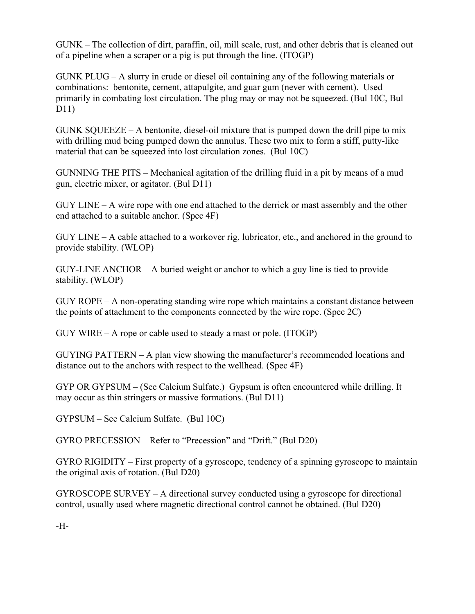GUNK – The collection of dirt, paraffin, oil, mill scale, rust, and other debris that is cleaned out of a pipeline when a scraper or a pig is put through the line. (ITOGP)

GUNK PLUG – A slurry in crude or diesel oil containing any of the following materials or combinations: bentonite, cement, attapulgite, and guar gum (never with cement). Used primarily in combating lost circulation. The plug may or may not be squeezed. (Bul 10C, Bul D11)

GUNK SQUEEZE – A bentonite, diesel-oil mixture that is pumped down the drill pipe to mix with drilling mud being pumped down the annulus. These two mix to form a stiff, putty-like material that can be squeezed into lost circulation zones. (Bul 10C)

GUNNING THE PITS – Mechanical agitation of the drilling fluid in a pit by means of a mud gun, electric mixer, or agitator. (Bul D11)

GUY LINE – A wire rope with one end attached to the derrick or mast assembly and the other end attached to a suitable anchor. (Spec 4F)

GUY LINE – A cable attached to a workover rig, lubricator, etc., and anchored in the ground to provide stability. (WLOP)

GUY-LINE ANCHOR – A buried weight or anchor to which a guy line is tied to provide stability. (WLOP)

GUY ROPE – A non-operating standing wire rope which maintains a constant distance between the points of attachment to the components connected by the wire rope. (Spec 2C)

GUY WIRE – A rope or cable used to steady a mast or pole. (ITOGP)

GUYING PATTERN – A plan view showing the manufacturer's recommended locations and distance out to the anchors with respect to the wellhead. (Spec 4F)

GYP OR GYPSUM – (See Calcium Sulfate.) Gypsum is often encountered while drilling. It may occur as thin stringers or massive formations. (Bul D11)

GYPSUM – See Calcium Sulfate. (Bul 10C)

GYRO PRECESSION – Refer to "Precession" and "Drift." (Bul D20)

GYRO RIGIDITY – First property of a gyroscope, tendency of a spinning gyroscope to maintain the original axis of rotation. (Bul D20)

GYROSCOPE SURVEY – A directional survey conducted using a gyroscope for directional control, usually used where magnetic directional control cannot be obtained. (Bul D20)

-H-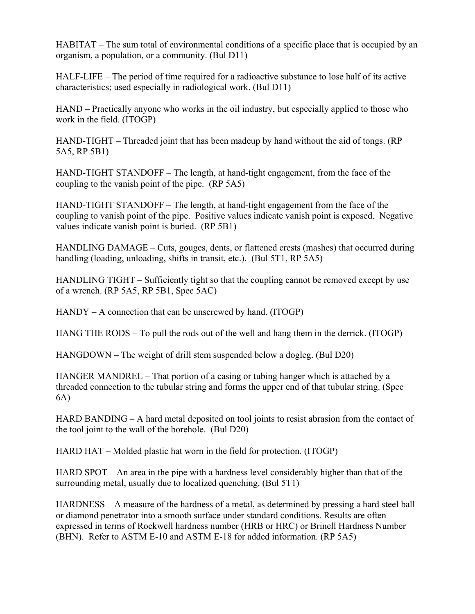HABITAT – The sum total of environmental conditions of a specific place that is occupied by an organism, a population, or a community. (Bul D11)

HALF-LIFE – The period of time required for a radioactive substance to lose half of its active characteristics; used especially in radiological work. (Bul D11)

HAND – Practically anyone who works in the oil industry, but especially applied to those who work in the field. (ITOGP)

HAND-TIGHT – Threaded joint that has been madeup by hand without the aid of tongs. (RP 5A5, RP 5B1)

HAND-TIGHT STANDOFF – The length, at hand-tight engagement, from the face of the coupling to the vanish point of the pipe. (RP 5A5)

HAND-TIGHT STANDOFF – The length, at hand-tight engagement from the face of the coupling to vanish point of the pipe. Positive values indicate vanish point is exposed. Negative values indicate vanish point is buried. (RP 5B1)

HANDLING DAMAGE – Cuts, gouges, dents, or flattened crests (mashes) that occurred during handling (loading, unloading, shifts in transit, etc.). (Bul 5T1, RP 5A5)

HANDLING TIGHT – Sufficiently tight so that the coupling cannot be removed except by use of a wrench. (RP 5A5, RP 5B1, Spec 5AC)

HANDY – A connection that can be unscrewed by hand. (ITOGP)

HANG THE RODS – To pull the rods out of the well and hang them in the derrick. (ITOGP)

HANGDOWN – The weight of drill stem suspended below a dogleg. (Bul D20)

HANGER MANDREL – That portion of a casing or tubing hanger which is attached by a threaded connection to the tubular string and forms the upper end of that tubular string. (Spec 6A)

HARD BANDING – A hard metal deposited on tool joints to resist abrasion from the contact of the tool joint to the wall of the borehole. (Bul D20)

HARD HAT – Molded plastic hat worn in the field for protection. (ITOGP)

HARD SPOT – An area in the pipe with a hardness level considerably higher than that of the surrounding metal, usually due to localized quenching. (Bul 5T1)

HARDNESS – A measure of the hardness of a metal, as determined by pressing a hard steel ball or diamond penetrator into a smooth surface under standard conditions. Results are often expressed in terms of Rockwell hardness number (HRB or HRC) or Brinell Hardness Number (BHN). Refer to ASTM E-10 and ASTM E-18 for added information. (RP 5A5)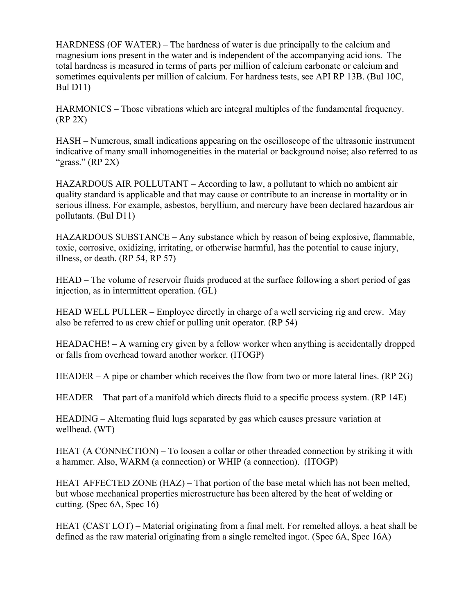HARDNESS (OF WATER) – The hardness of water is due principally to the calcium and magnesium ions present in the water and is independent of the accompanying acid ions. The total hardness is measured in terms of parts per million of calcium carbonate or calcium and sometimes equivalents per million of calcium. For hardness tests, see API RP 13B. (Bul 10C, Bul D11)

HARMONICS – Those vibrations which are integral multiples of the fundamental frequency. (RP 2X)

HASH – Numerous, small indications appearing on the oscilloscope of the ultrasonic instrument indicative of many small inhomogeneities in the material or background noise; also referred to as "grass."  $(RP 2X)$ 

HAZARDOUS AIR POLLUTANT – According to law, a pollutant to which no ambient air quality standard is applicable and that may cause or contribute to an increase in mortality or in serious illness. For example, asbestos, beryllium, and mercury have been declared hazardous air pollutants. (Bul D11)

HAZARDOUS SUBSTANCE – Any substance which by reason of being explosive, flammable, toxic, corrosive, oxidizing, irritating, or otherwise harmful, has the potential to cause injury, illness, or death. (RP 54, RP 57)

HEAD – The volume of reservoir fluids produced at the surface following a short period of gas injection, as in intermittent operation. (GL)

HEAD WELL PULLER – Employee directly in charge of a well servicing rig and crew. May also be referred to as crew chief or pulling unit operator. (RP 54)

HEADACHE! – A warning cry given by a fellow worker when anything is accidentally dropped or falls from overhead toward another worker. (ITOGP)

HEADER – A pipe or chamber which receives the flow from two or more lateral lines. (RP 2G)

HEADER – That part of a manifold which directs fluid to a specific process system. (RP 14E)

HEADING – Alternating fluid lugs separated by gas which causes pressure variation at wellhead. (WT)

HEAT (A CONNECTION) – To loosen a collar or other threaded connection by striking it with a hammer. Also, WARM (a connection) or WHIP (a connection). (ITOGP)

HEAT AFFECTED ZONE (HAZ) – That portion of the base metal which has not been melted, but whose mechanical properties microstructure has been altered by the heat of welding or cutting. (Spec 6A, Spec 16)

HEAT (CAST LOT) – Material originating from a final melt. For remelted alloys, a heat shall be defined as the raw material originating from a single remelted ingot. (Spec 6A, Spec 16A)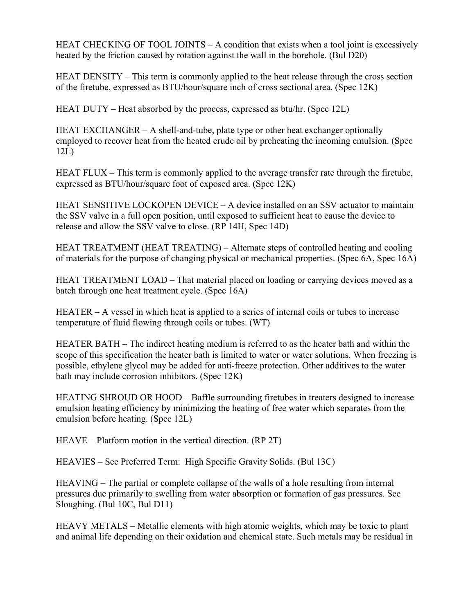HEAT CHECKING OF TOOL JOINTS – A condition that exists when a tool joint is excessively heated by the friction caused by rotation against the wall in the borehole. (Bul D20)

HEAT DENSITY – This term is commonly applied to the heat release through the cross section of the firetube, expressed as BTU/hour/square inch of cross sectional area. (Spec 12K)

HEAT DUTY – Heat absorbed by the process, expressed as btu/hr. (Spec 12L)

HEAT EXCHANGER – A shell-and-tube, plate type or other heat exchanger optionally employed to recover heat from the heated crude oil by preheating the incoming emulsion. (Spec 12L)

HEAT FLUX – This term is commonly applied to the average transfer rate through the firetube, expressed as BTU/hour/square foot of exposed area. (Spec 12K)

HEAT SENSITIVE LOCKOPEN DEVICE – A device installed on an SSV actuator to maintain the SSV valve in a full open position, until exposed to sufficient heat to cause the device to release and allow the SSV valve to close. (RP 14H, Spec 14D)

HEAT TREATMENT (HEAT TREATING) – Alternate steps of controlled heating and cooling of materials for the purpose of changing physical or mechanical properties. (Spec 6A, Spec 16A)

HEAT TREATMENT LOAD – That material placed on loading or carrying devices moved as a batch through one heat treatment cycle. (Spec 16A)

HEATER – A vessel in which heat is applied to a series of internal coils or tubes to increase temperature of fluid flowing through coils or tubes. (WT)

HEATER BATH – The indirect heating medium is referred to as the heater bath and within the scope of this specification the heater bath is limited to water or water solutions. When freezing is possible, ethylene glycol may be added for anti-freeze protection. Other additives to the water bath may include corrosion inhibitors. (Spec 12K)

HEATING SHROUD OR HOOD – Baffle surrounding firetubes in treaters designed to increase emulsion heating efficiency by minimizing the heating of free water which separates from the emulsion before heating. (Spec 12L)

HEAVE – Platform motion in the vertical direction. (RP 2T)

HEAVIES – See Preferred Term: High Specific Gravity Solids. (Bul 13C)

HEAVING – The partial or complete collapse of the walls of a hole resulting from internal pressures due primarily to swelling from water absorption or formation of gas pressures. See Sloughing. (Bul 10C, Bul D11)

HEAVY METALS – Metallic elements with high atomic weights, which may be toxic to plant and animal life depending on their oxidation and chemical state. Such metals may be residual in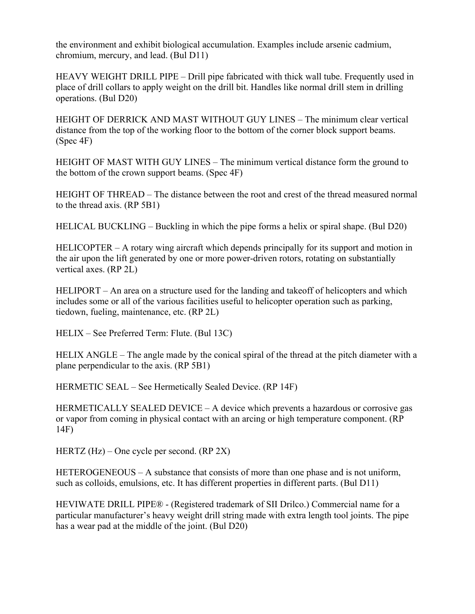the environment and exhibit biological accumulation. Examples include arsenic cadmium, chromium, mercury, and lead. (Bul D11)

HEAVY WEIGHT DRILL PIPE – Drill pipe fabricated with thick wall tube. Frequently used in place of drill collars to apply weight on the drill bit. Handles like normal drill stem in drilling operations. (Bul D20)

HEIGHT OF DERRICK AND MAST WITHOUT GUY LINES – The minimum clear vertical distance from the top of the working floor to the bottom of the corner block support beams. (Spec 4F)

HEIGHT OF MAST WITH GUY LINES – The minimum vertical distance form the ground to the bottom of the crown support beams. (Spec 4F)

HEIGHT OF THREAD – The distance between the root and crest of the thread measured normal to the thread axis. (RP 5B1)

HELICAL BUCKLING – Buckling in which the pipe forms a helix or spiral shape. (Bul D20)

HELICOPTER – A rotary wing aircraft which depends principally for its support and motion in the air upon the lift generated by one or more power-driven rotors, rotating on substantially vertical axes. (RP 2L)

HELIPORT – An area on a structure used for the landing and takeoff of helicopters and which includes some or all of the various facilities useful to helicopter operation such as parking, tiedown, fueling, maintenance, etc. (RP 2L)

HELIX – See Preferred Term: Flute. (Bul 13C)

HELIX ANGLE – The angle made by the conical spiral of the thread at the pitch diameter with a plane perpendicular to the axis. (RP 5B1)

HERMETIC SEAL – See Hermetically Sealed Device. (RP 14F)

HERMETICALLY SEALED DEVICE – A device which prevents a hazardous or corrosive gas or vapor from coming in physical contact with an arcing or high temperature component. (RP 14F)

HERTZ (Hz) – One cycle per second. (RP 2X)

HETEROGENEOUS – A substance that consists of more than one phase and is not uniform, such as colloids, emulsions, etc. It has different properties in different parts. (Bul D11)

HEVIWATE DRILL PIPE® - (Registered trademark of SII Drilco.) Commercial name for a particular manufacturer's heavy weight drill string made with extra length tool joints. The pipe has a wear pad at the middle of the joint. (Bul D20)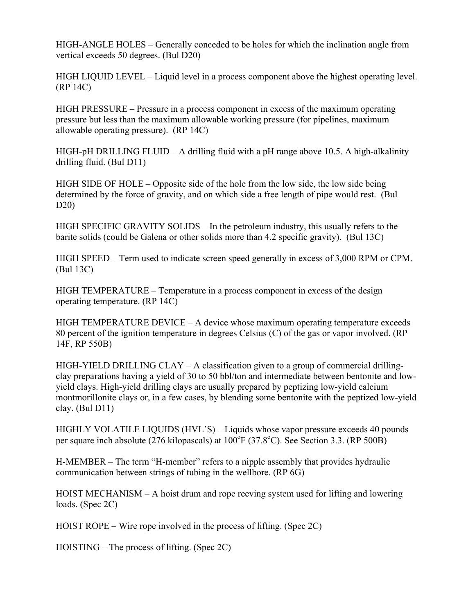HIGH-ANGLE HOLES – Generally conceded to be holes for which the inclination angle from vertical exceeds 50 degrees. (Bul D20)

HIGH LIQUID LEVEL – Liquid level in a process component above the highest operating level. (RP 14C)

HIGH PRESSURE – Pressure in a process component in excess of the maximum operating pressure but less than the maximum allowable working pressure (for pipelines, maximum allowable operating pressure). (RP 14C)

HIGH-pH DRILLING FLUID – A drilling fluid with a pH range above 10.5. A high-alkalinity drilling fluid. (Bul D11)

HIGH SIDE OF HOLE – Opposite side of the hole from the low side, the low side being determined by the force of gravity, and on which side a free length of pipe would rest. (Bul D20)

HIGH SPECIFIC GRAVITY SOLIDS – In the petroleum industry, this usually refers to the barite solids (could be Galena or other solids more than 4.2 specific gravity). (Bul 13C)

HIGH SPEED – Term used to indicate screen speed generally in excess of 3,000 RPM or CPM. (Bul 13C)

HIGH TEMPERATURE – Temperature in a process component in excess of the design operating temperature. (RP 14C)

HIGH TEMPERATURE DEVICE – A device whose maximum operating temperature exceeds 80 percent of the ignition temperature in degrees Celsius (C) of the gas or vapor involved. (RP 14F, RP 550B)

HIGH-YIELD DRILLING CLAY – A classification given to a group of commercial drillingclay preparations having a yield of 30 to 50 bbl/ton and intermediate between bentonite and lowyield clays. High-yield drilling clays are usually prepared by peptizing low-yield calcium montmorillonite clays or, in a few cases, by blending some bentonite with the peptized low-yield clay. (Bul D11)

HIGHLY VOLATILE LIQUIDS (HVL'S) – Liquids whose vapor pressure exceeds 40 pounds per square inch absolute  $(276 \text{ kilopascals})$  at  $100^{\circ}$ F  $(37.8^{\circ}$ C). See Section 3.3. (RP 500B)

H-MEMBER – The term "H-member" refers to a nipple assembly that provides hydraulic communication between strings of tubing in the wellbore. (RP 6G)

HOIST MECHANISM – A hoist drum and rope reeving system used for lifting and lowering loads. (Spec 2C)

HOIST ROPE – Wire rope involved in the process of lifting. (Spec 2C)

HOISTING – The process of lifting. (Spec 2C)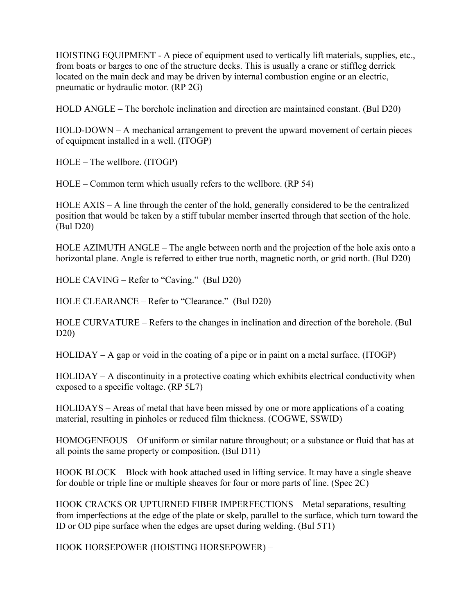HOISTING EQUIPMENT - A piece of equipment used to vertically lift materials, supplies, etc., from boats or barges to one of the structure decks. This is usually a crane or stiffleg derrick located on the main deck and may be driven by internal combustion engine or an electric, pneumatic or hydraulic motor. (RP 2G)

HOLD ANGLE – The borehole inclination and direction are maintained constant. (Bul D20)

HOLD-DOWN – A mechanical arrangement to prevent the upward movement of certain pieces of equipment installed in a well. (ITOGP)

HOLE – The wellbore. (ITOGP)

HOLE – Common term which usually refers to the wellbore. (RP 54)

HOLE AXIS – A line through the center of the hold, generally considered to be the centralized position that would be taken by a stiff tubular member inserted through that section of the hole. (Bul D20)

HOLE AZIMUTH ANGLE – The angle between north and the projection of the hole axis onto a horizontal plane. Angle is referred to either true north, magnetic north, or grid north. (Bul D20)

HOLE CAVING – Refer to "Caving." (Bul D20)

HOLE CLEARANCE – Refer to "Clearance." (Bul D20)

HOLE CURVATURE – Refers to the changes in inclination and direction of the borehole. (Bul D20)

 $HOLIDAY - A$  gap or void in the coating of a pipe or in paint on a metal surface. (ITOGP)

HOLIDAY – A discontinuity in a protective coating which exhibits electrical conductivity when exposed to a specific voltage. (RP 5L7)

HOLIDAYS – Areas of metal that have been missed by one or more applications of a coating material, resulting in pinholes or reduced film thickness. (COGWE, SSWID)

HOMOGENEOUS – Of uniform or similar nature throughout; or a substance or fluid that has at all points the same property or composition. (Bul D11)

HOOK BLOCK – Block with hook attached used in lifting service. It may have a single sheave for double or triple line or multiple sheaves for four or more parts of line. (Spec 2C)

HOOK CRACKS OR UPTURNED FIBER IMPERFECTIONS – Metal separations, resulting from imperfections at the edge of the plate or skelp, parallel to the surface, which turn toward the ID or OD pipe surface when the edges are upset during welding. (Bul 5T1)

HOOK HORSEPOWER (HOISTING HORSEPOWER) –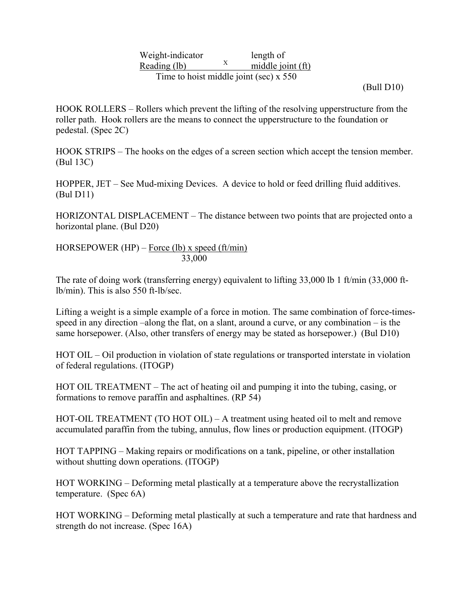Weight-indicator length of Reading (lb)  $X$  middle joint (ft) Time to hoist middle joint (sec) x 550

(Bull D10)

HOOK ROLLERS – Rollers which prevent the lifting of the resolving upperstructure from the roller path. Hook rollers are the means to connect the upperstructure to the foundation or pedestal. (Spec 2C)

HOOK STRIPS – The hooks on the edges of a screen section which accept the tension member. (Bul 13C)

HOPPER, JET – See Mud-mixing Devices. A device to hold or feed drilling fluid additives. (Bul D11)

HORIZONTAL DISPLACEMENT – The distance between two points that are projected onto a horizontal plane. (Bul D20)

HORSEPOWER (HP) – Force (lb) x speed (ft/min) 33,000

The rate of doing work (transferring energy) equivalent to lifting  $33,000$  lb 1 ft/min (33,000 ftlb/min). This is also 550 ft-lb/sec.

Lifting a weight is a simple example of a force in motion. The same combination of force-timesspeed in any direction  $-\text{along the flat}$ , on a slant, around a curve, or any combination  $-\text{ is the}$ same horsepower. (Also, other transfers of energy may be stated as horsepower.) (Bul D10)

HOT OIL – Oil production in violation of state regulations or transported interstate in violation of federal regulations. (ITOGP)

HOT OIL TREATMENT – The act of heating oil and pumping it into the tubing, casing, or formations to remove paraffin and asphaltines. (RP 54)

HOT-OIL TREATMENT (TO HOT OIL) – A treatment using heated oil to melt and remove accumulated paraffin from the tubing, annulus, flow lines or production equipment. (ITOGP)

HOT TAPPING – Making repairs or modifications on a tank, pipeline, or other installation without shutting down operations. (ITOGP)

HOT WORKING – Deforming metal plastically at a temperature above the recrystallization temperature. (Spec 6A)

HOT WORKING – Deforming metal plastically at such a temperature and rate that hardness and strength do not increase. (Spec 16A)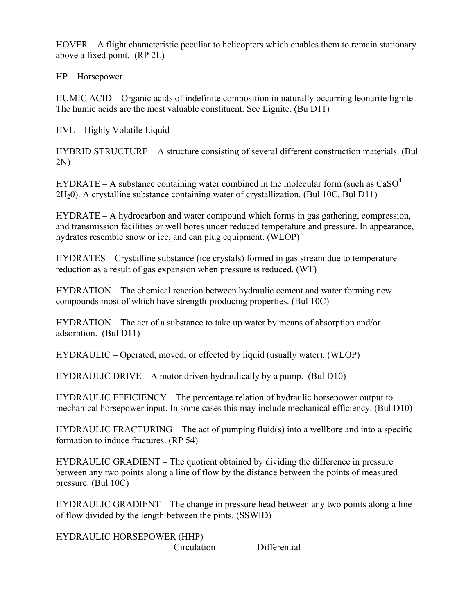HOVER – A flight characteristic peculiar to helicopters which enables them to remain stationary above a fixed point. (RP 2L)

HP – Horsepower

HUMIC ACID – Organic acids of indefinite composition in naturally occurring leonarite lignite. The humic acids are the most valuable constituent. See Lignite. (Bu D11)

HVL – Highly Volatile Liquid

HYBRID STRUCTURE – A structure consisting of several different construction materials. (Bul 2N)

HYDRATE – A substance containing water combined in the molecular form (such as  $CaSO<sup>4</sup>$  $2H<sub>2</sub>0$ ). A crystalline substance containing water of crystallization. (Bul 10C, Bul D11)

HYDRATE – A hydrocarbon and water compound which forms in gas gathering, compression, and transmission facilities or well bores under reduced temperature and pressure. In appearance, hydrates resemble snow or ice, and can plug equipment. (WLOP)

HYDRATES – Crystalline substance (ice crystals) formed in gas stream due to temperature reduction as a result of gas expansion when pressure is reduced. (WT)

HYDRATION – The chemical reaction between hydraulic cement and water forming new compounds most of which have strength-producing properties. (Bul 10C)

HYDRATION – The act of a substance to take up water by means of absorption and/or adsorption. (Bul D11)

HYDRAULIC – Operated, moved, or effected by liquid (usually water). (WLOP)

HYDRAULIC DRIVE – A motor driven hydraulically by a pump. (Bul D10)

HYDRAULIC EFFICIENCY – The percentage relation of hydraulic horsepower output to mechanical horsepower input. In some cases this may include mechanical efficiency. (Bul D10)

HYDRAULIC FRACTURING – The act of pumping fluid(s) into a wellbore and into a specific formation to induce fractures. (RP 54)

HYDRAULIC GRADIENT – The quotient obtained by dividing the difference in pressure between any two points along a line of flow by the distance between the points of measured pressure. (Bul 10C)

HYDRAULIC GRADIENT – The change in pressure head between any two points along a line of flow divided by the length between the pints. (SSWID)

HYDRAULIC HORSEPOWER (HHP) –

Circulation Differential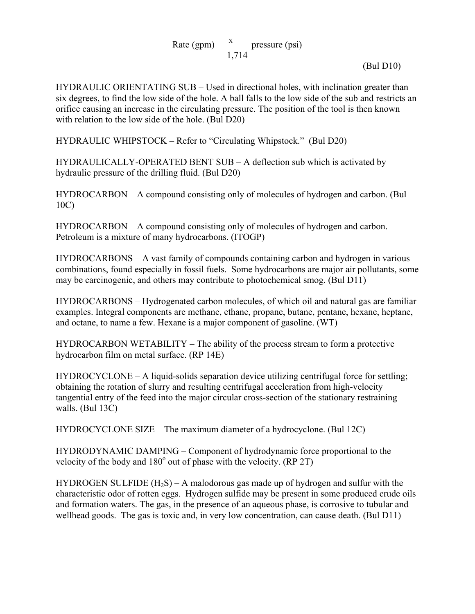| Rate (gpm) |       | pressure (psi) |
|------------|-------|----------------|
|            | 1,714 |                |

(Bul D10)

HYDRAULIC ORIENTATING SUB – Used in directional holes, with inclination greater than six degrees, to find the low side of the hole. A ball falls to the low side of the sub and restricts an orifice causing an increase in the circulating pressure. The position of the tool is then known with relation to the low side of the hole. (Bul D20)

HYDRAULIC WHIPSTOCK – Refer to "Circulating Whipstock." (Bul D20)

HYDRAULICALLY-OPERATED BENT SUB – A deflection sub which is activated by hydraulic pressure of the drilling fluid. (Bul D20)

HYDROCARBON – A compound consisting only of molecules of hydrogen and carbon. (Bul 10C)

HYDROCARBON – A compound consisting only of molecules of hydrogen and carbon. Petroleum is a mixture of many hydrocarbons. (ITOGP)

HYDROCARBONS – A vast family of compounds containing carbon and hydrogen in various combinations, found especially in fossil fuels. Some hydrocarbons are major air pollutants, some may be carcinogenic, and others may contribute to photochemical smog. (Bul D11)

HYDROCARBONS – Hydrogenated carbon molecules, of which oil and natural gas are familiar examples. Integral components are methane, ethane, propane, butane, pentane, hexane, heptane, and octane, to name a few. Hexane is a major component of gasoline. (WT)

HYDROCARBON WETABILITY – The ability of the process stream to form a protective hydrocarbon film on metal surface. (RP 14E)

HYDROCYCLONE – A liquid-solids separation device utilizing centrifugal force for settling; obtaining the rotation of slurry and resulting centrifugal acceleration from high-velocity tangential entry of the feed into the major circular cross-section of the stationary restraining walls. (Bul 13C)

HYDROCYCLONE SIZE – The maximum diameter of a hydrocyclone. (Bul 12C)

HYDRODYNAMIC DAMPING – Component of hydrodynamic force proportional to the velocity of the body and  $180^\circ$  out of phase with the velocity. (RP 2T)

HYDROGEN SULFIDE  $(H_2S) - A$  malodorous gas made up of hydrogen and sulfur with the characteristic odor of rotten eggs. Hydrogen sulfide may be present in some produced crude oils and formation waters. The gas, in the presence of an aqueous phase, is corrosive to tubular and wellhead goods. The gas is toxic and, in very low concentration, can cause death. (Bul D11)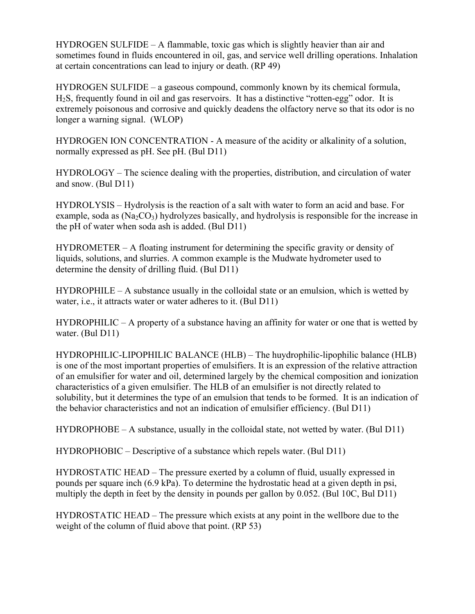HYDROGEN SULFIDE – A flammable, toxic gas which is slightly heavier than air and sometimes found in fluids encountered in oil, gas, and service well drilling operations. Inhalation at certain concentrations can lead to injury or death. (RP 49)

HYDROGEN SULFIDE – a gaseous compound, commonly known by its chemical formula, H2S, frequently found in oil and gas reservoirs. It has a distinctive "rotten-egg" odor. It is extremely poisonous and corrosive and quickly deadens the olfactory nerve so that its odor is no longer a warning signal. (WLOP)

HYDROGEN ION CONCENTRATION - A measure of the acidity or alkalinity of a solution, normally expressed as pH. See pH. (Bul D11)

HYDROLOGY – The science dealing with the properties, distribution, and circulation of water and snow. (Bul D11)

HYDROLYSIS – Hydrolysis is the reaction of a salt with water to form an acid and base. For example, soda as  $(Na<sub>2</sub>CO<sub>3</sub>)$  hydrolyzes basically, and hydrolysis is responsible for the increase in the pH of water when soda ash is added. (Bul D11)

HYDROMETER – A floating instrument for determining the specific gravity or density of liquids, solutions, and slurries. A common example is the Mudwate hydrometer used to determine the density of drilling fluid. (Bul D11)

HYDROPHILE – A substance usually in the colloidal state or an emulsion, which is wetted by water, i.e., it attracts water or water adheres to it. (Bul D11)

 $HYDROPHILIC - A property of a substance having an affinity for water or one that is wetted by$ water. (Bul D11)

HYDROPHILIC-LIPOPHILIC BALANCE (HLB) – The huydrophilic-lipophilic balance (HLB) is one of the most important properties of emulsifiers. It is an expression of the relative attraction of an emulsifier for water and oil, determined largely by the chemical composition and ionization characteristics of a given emulsifier. The HLB of an emulsifier is not directly related to solubility, but it determines the type of an emulsion that tends to be formed. It is an indication of the behavior characteristics and not an indication of emulsifier efficiency. (Bul D11)

HYDROPHOBE – A substance, usually in the colloidal state, not wetted by water. (Bul D11)

HYDROPHOBIC – Descriptive of a substance which repels water. (Bul D11)

HYDROSTATIC HEAD – The pressure exerted by a column of fluid, usually expressed in pounds per square inch (6.9 kPa). To determine the hydrostatic head at a given depth in psi, multiply the depth in feet by the density in pounds per gallon by 0.052. (Bul 10C, Bul D11)

HYDROSTATIC HEAD – The pressure which exists at any point in the wellbore due to the weight of the column of fluid above that point. (RP 53)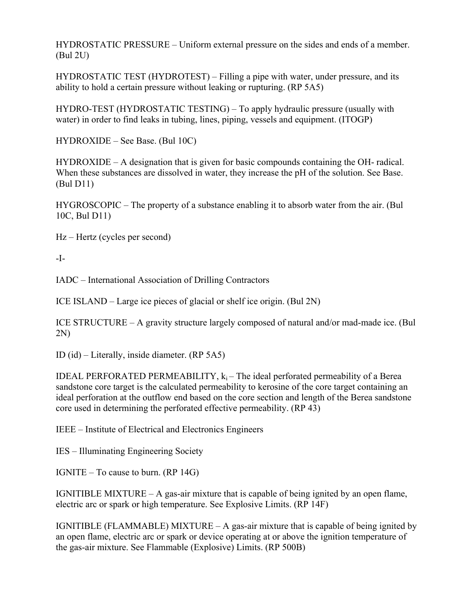HYDROSTATIC PRESSURE – Uniform external pressure on the sides and ends of a member. (Bul 2U)

HYDROSTATIC TEST (HYDROTEST) – Filling a pipe with water, under pressure, and its ability to hold a certain pressure without leaking or rupturing. (RP 5A5)

HYDRO-TEST (HYDROSTATIC TESTING) – To apply hydraulic pressure (usually with water) in order to find leaks in tubing, lines, piping, vessels and equipment. (ITOGP)

HYDROXIDE – See Base. (Bul 10C)

HYDROXIDE – A designation that is given for basic compounds containing the OH- radical. When these substances are dissolved in water, they increase the pH of the solution. See Base. (Bul D11)

HYGROSCOPIC – The property of a substance enabling it to absorb water from the air. (Bul 10C, Bul D11)

Hz – Hertz (cycles per second)

-I-

IADC – International Association of Drilling Contractors

ICE ISLAND – Large ice pieces of glacial or shelf ice origin. (Bul 2N)

ICE STRUCTURE – A gravity structure largely composed of natural and/or mad-made ice. (Bul 2N)

ID (id) – Literally, inside diameter. (RP 5A5)

IDEAL PERFORATED PERMEABILITY,  $k_i$  – The ideal perforated permeability of a Berea sandstone core target is the calculated permeability to kerosine of the core target containing an ideal perforation at the outflow end based on the core section and length of the Berea sandstone core used in determining the perforated effective permeability. (RP 43)

IEEE – Institute of Electrical and Electronics Engineers

IES – Illuminating Engineering Society

IGNITE – To cause to burn.  $(RP 14G)$ 

IGNITIBLE MIXTURE – A gas-air mixture that is capable of being ignited by an open flame, electric arc or spark or high temperature. See Explosive Limits. (RP 14F)

IGNITIBLE (FLAMMABLE) MIXTURE – A gas-air mixture that is capable of being ignited by an open flame, electric arc or spark or device operating at or above the ignition temperature of the gas-air mixture. See Flammable (Explosive) Limits. (RP 500B)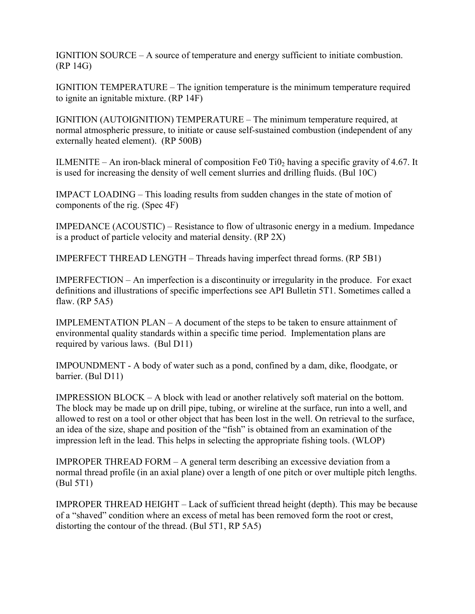IGNITION SOURCE – A source of temperature and energy sufficient to initiate combustion. (RP 14G)

IGNITION TEMPERATURE – The ignition temperature is the minimum temperature required to ignite an ignitable mixture. (RP 14F)

IGNITION (AUTOIGNITION) TEMPERATURE – The minimum temperature required, at normal atmospheric pressure, to initiate or cause self-sustained combustion (independent of any externally heated element). (RP 500B)

ILMENITE – An iron-black mineral of composition Fe0 Ti0<sub>2</sub> having a specific gravity of 4.67. It is used for increasing the density of well cement slurries and drilling fluids. (Bul 10C)

IMPACT LOADING – This loading results from sudden changes in the state of motion of components of the rig. (Spec 4F)

IMPEDANCE (ACOUSTIC) – Resistance to flow of ultrasonic energy in a medium. Impedance is a product of particle velocity and material density. (RP 2X)

IMPERFECT THREAD LENGTH – Threads having imperfect thread forms. (RP 5B1)

IMPERFECTION – An imperfection is a discontinuity or irregularity in the produce. For exact definitions and illustrations of specific imperfections see API Bulletin 5T1. Sometimes called a flaw. (RP 5A5)

IMPLEMENTATION PLAN – A document of the steps to be taken to ensure attainment of environmental quality standards within a specific time period. Implementation plans are required by various laws. (Bul D11)

IMPOUNDMENT - A body of water such as a pond, confined by a dam, dike, floodgate, or barrier. (Bul D11)

IMPRESSION BLOCK – A block with lead or another relatively soft material on the bottom. The block may be made up on drill pipe, tubing, or wireline at the surface, run into a well, and allowed to rest on a tool or other object that has been lost in the well. On retrieval to the surface, an idea of the size, shape and position of the "fish" is obtained from an examination of the impression left in the lead. This helps in selecting the appropriate fishing tools. (WLOP)

IMPROPER THREAD FORM – A general term describing an excessive deviation from a normal thread profile (in an axial plane) over a length of one pitch or over multiple pitch lengths. (Bul 5T1)

IMPROPER THREAD HEIGHT – Lack of sufficient thread height (depth). This may be because of a "shaved" condition where an excess of metal has been removed form the root or crest, distorting the contour of the thread. (Bul 5T1, RP 5A5)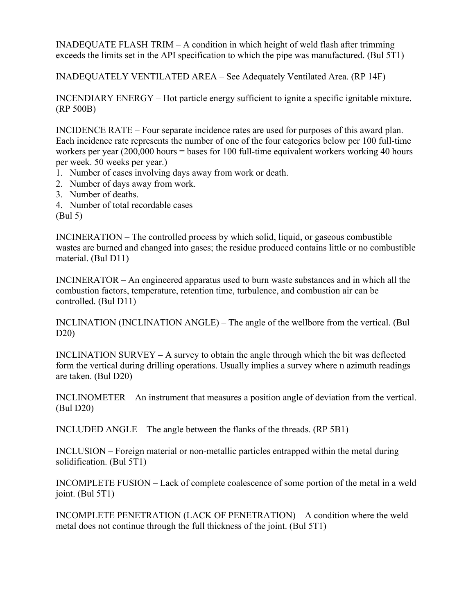INADEQUATE FLASH TRIM – A condition in which height of weld flash after trimming exceeds the limits set in the API specification to which the pipe was manufactured. (Bul 5T1)

INADEQUATELY VENTILATED AREA – See Adequately Ventilated Area. (RP 14F)

INCENDIARY ENERGY – Hot particle energy sufficient to ignite a specific ignitable mixture. (RP 500B)

INCIDENCE RATE – Four separate incidence rates are used for purposes of this award plan. Each incidence rate represents the number of one of the four categories below per 100 full-time workers per year (200,000 hours = bases for 100 full-time equivalent workers working 40 hours per week. 50 weeks per year.)

- 1. Number of cases involving days away from work or death.
- 2. Number of days away from work.
- 3. Number of deaths.
- 4. Number of total recordable cases

(Bul 5)

INCINERATION – The controlled process by which solid, liquid, or gaseous combustible wastes are burned and changed into gases; the residue produced contains little or no combustible material. (Bul D11)

INCINERATOR – An engineered apparatus used to burn waste substances and in which all the combustion factors, temperature, retention time, turbulence, and combustion air can be controlled. (Bul D11)

INCLINATION (INCLINATION ANGLE) – The angle of the wellbore from the vertical. (Bul D20)

INCLINATION SURVEY – A survey to obtain the angle through which the bit was deflected form the vertical during drilling operations. Usually implies a survey where n azimuth readings are taken. (Bul D20)

INCLINOMETER – An instrument that measures a position angle of deviation from the vertical. (Bul D20)

INCLUDED ANGLE – The angle between the flanks of the threads. (RP 5B1)

INCLUSION – Foreign material or non-metallic particles entrapped within the metal during solidification. (Bul 5T1)

INCOMPLETE FUSION – Lack of complete coalescence of some portion of the metal in a weld joint. (Bul 5T1)

INCOMPLETE PENETRATION (LACK OF PENETRATION) – A condition where the weld metal does not continue through the full thickness of the joint. (Bul 5T1)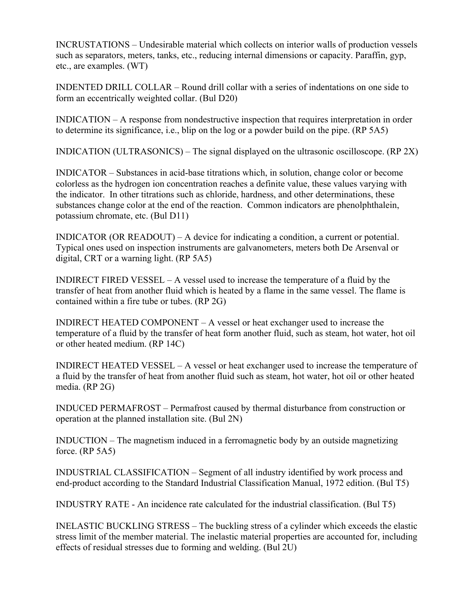INCRUSTATIONS – Undesirable material which collects on interior walls of production vessels such as separators, meters, tanks, etc., reducing internal dimensions or capacity. Paraffin, gyp, etc., are examples. (WT)

INDENTED DRILL COLLAR – Round drill collar with a series of indentations on one side to form an eccentrically weighted collar. (Bul D20)

INDICATION – A response from nondestructive inspection that requires interpretation in order to determine its significance, i.e., blip on the log or a powder build on the pipe. (RP 5A5)

INDICATION (ULTRASONICS) – The signal displayed on the ultrasonic oscilloscope. (RP  $2X$ )

INDICATOR – Substances in acid-base titrations which, in solution, change color or become colorless as the hydrogen ion concentration reaches a definite value, these values varying with the indicator. In other titrations such as chloride, hardness, and other determinations, these substances change color at the end of the reaction. Common indicators are phenolphthalein, potassium chromate, etc. (Bul D11)

INDICATOR (OR READOUT) – A device for indicating a condition, a current or potential. Typical ones used on inspection instruments are galvanometers, meters both De Arsenval or digital, CRT or a warning light. (RP 5A5)

INDIRECT FIRED VESSEL – A vessel used to increase the temperature of a fluid by the transfer of heat from another fluid which is heated by a flame in the same vessel. The flame is contained within a fire tube or tubes. (RP 2G)

INDIRECT HEATED COMPONENT – A vessel or heat exchanger used to increase the temperature of a fluid by the transfer of heat form another fluid, such as steam, hot water, hot oil or other heated medium. (RP 14C)

INDIRECT HEATED VESSEL – A vessel or heat exchanger used to increase the temperature of a fluid by the transfer of heat from another fluid such as steam, hot water, hot oil or other heated media. (RP 2G)

INDUCED PERMAFROST – Permafrost caused by thermal disturbance from construction or operation at the planned installation site. (Bul 2N)

INDUCTION – The magnetism induced in a ferromagnetic body by an outside magnetizing force. (RP 5A5)

INDUSTRIAL CLASSIFICATION – Segment of all industry identified by work process and end-product according to the Standard Industrial Classification Manual, 1972 edition. (Bul T5)

INDUSTRY RATE - An incidence rate calculated for the industrial classification. (Bul T5)

INELASTIC BUCKLING STRESS – The buckling stress of a cylinder which exceeds the elastic stress limit of the member material. The inelastic material properties are accounted for, including effects of residual stresses due to forming and welding. (Bul 2U)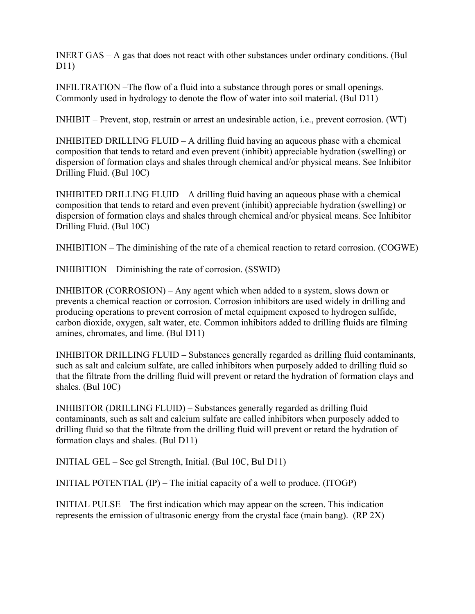INERT GAS – A gas that does not react with other substances under ordinary conditions. (Bul D11)

INFILTRATION –The flow of a fluid into a substance through pores or small openings. Commonly used in hydrology to denote the flow of water into soil material. (Bul D11)

INHIBIT – Prevent, stop, restrain or arrest an undesirable action, i.e., prevent corrosion. (WT)

INHIBITED DRILLING FLUID – A drilling fluid having an aqueous phase with a chemical composition that tends to retard and even prevent (inhibit) appreciable hydration (swelling) or dispersion of formation clays and shales through chemical and/or physical means. See Inhibitor Drilling Fluid. (Bul 10C)

INHIBITED DRILLING FLUID – A drilling fluid having an aqueous phase with a chemical composition that tends to retard and even prevent (inhibit) appreciable hydration (swelling) or dispersion of formation clays and shales through chemical and/or physical means. See Inhibitor Drilling Fluid. (Bul 10C)

INHIBITION – The diminishing of the rate of a chemical reaction to retard corrosion. (COGWE)

INHIBITION – Diminishing the rate of corrosion. (SSWID)

INHIBITOR (CORROSION) – Any agent which when added to a system, slows down or prevents a chemical reaction or corrosion. Corrosion inhibitors are used widely in drilling and producing operations to prevent corrosion of metal equipment exposed to hydrogen sulfide, carbon dioxide, oxygen, salt water, etc. Common inhibitors added to drilling fluids are filming amines, chromates, and lime. (Bul D11)

INHIBITOR DRILLING FLUID – Substances generally regarded as drilling fluid contaminants, such as salt and calcium sulfate, are called inhibitors when purposely added to drilling fluid so that the filtrate from the drilling fluid will prevent or retard the hydration of formation clays and shales. (Bul 10C)

INHIBITOR (DRILLING FLUID) – Substances generally regarded as drilling fluid contaminants, such as salt and calcium sulfate are called inhibitors when purposely added to drilling fluid so that the filtrate from the drilling fluid will prevent or retard the hydration of formation clays and shales. (Bul D11)

INITIAL GEL – See gel Strength, Initial. (Bul 10C, Bul D11)

INITIAL POTENTIAL (IP) – The initial capacity of a well to produce. (ITOGP)

INITIAL PULSE – The first indication which may appear on the screen. This indication represents the emission of ultrasonic energy from the crystal face (main bang). (RP 2X)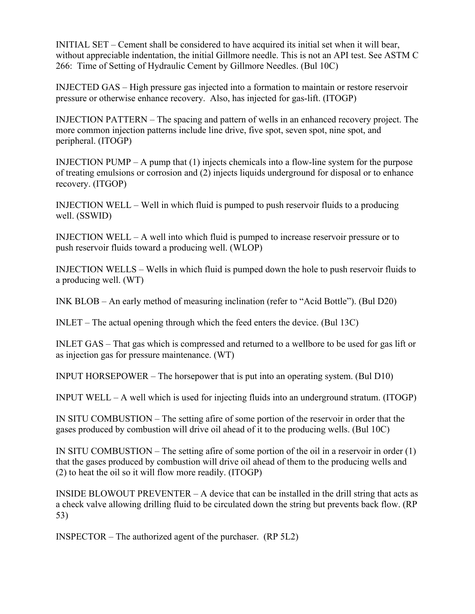INITIAL SET – Cement shall be considered to have acquired its initial set when it will bear, without appreciable indentation, the initial Gillmore needle. This is not an API test. See ASTM C 266: Time of Setting of Hydraulic Cement by Gillmore Needles. (Bul 10C)

INJECTED GAS – High pressure gas injected into a formation to maintain or restore reservoir pressure or otherwise enhance recovery. Also, has injected for gas-lift. (ITOGP)

INJECTION PATTERN – The spacing and pattern of wells in an enhanced recovery project. The more common injection patterns include line drive, five spot, seven spot, nine spot, and peripheral. (ITOGP)

INJECTION PUMP – A pump that (1) injects chemicals into a flow-line system for the purpose of treating emulsions or corrosion and (2) injects liquids underground for disposal or to enhance recovery. (ITGOP)

INJECTION WELL – Well in which fluid is pumped to push reservoir fluids to a producing well. (SSWID)

INJECTION WELL – A well into which fluid is pumped to increase reservoir pressure or to push reservoir fluids toward a producing well. (WLOP)

INJECTION WELLS – Wells in which fluid is pumped down the hole to push reservoir fluids to a producing well. (WT)

INK BLOB – An early method of measuring inclination (refer to "Acid Bottle"). (Bul D20)

INLET – The actual opening through which the feed enters the device. (Bul 13C)

INLET GAS – That gas which is compressed and returned to a wellbore to be used for gas lift or as injection gas for pressure maintenance. (WT)

INPUT HORSEPOWER – The horsepower that is put into an operating system. (Bul D10)

INPUT WELL – A well which is used for injecting fluids into an underground stratum. (ITOGP)

IN SITU COMBUSTION – The setting afire of some portion of the reservoir in order that the gases produced by combustion will drive oil ahead of it to the producing wells. (Bul 10C)

IN SITU COMBUSTION – The setting afire of some portion of the oil in a reservoir in order (1) that the gases produced by combustion will drive oil ahead of them to the producing wells and (2) to heat the oil so it will flow more readily. (ITOGP)

INSIDE BLOWOUT PREVENTER – A device that can be installed in the drill string that acts as a check valve allowing drilling fluid to be circulated down the string but prevents back flow. (RP 53)

INSPECTOR – The authorized agent of the purchaser. (RP 5L2)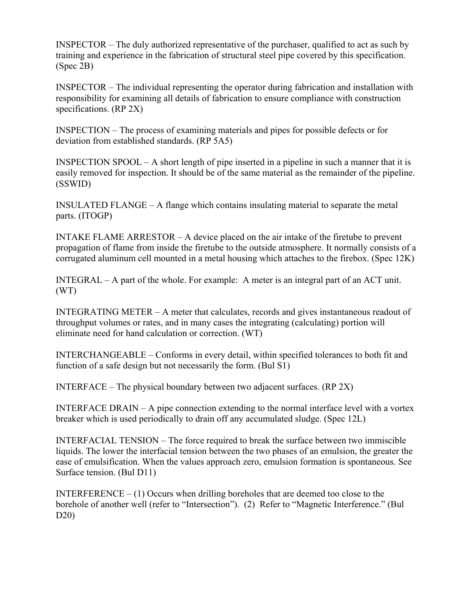INSPECTOR – The duly authorized representative of the purchaser, qualified to act as such by training and experience in the fabrication of structural steel pipe covered by this specification. (Spec 2B)

INSPECTOR – The individual representing the operator during fabrication and installation with responsibility for examining all details of fabrication to ensure compliance with construction specifications. (RP 2X)

INSPECTION – The process of examining materials and pipes for possible defects or for deviation from established standards. (RP 5A5)

INSPECTION SPOOL – A short length of pipe inserted in a pipeline in such a manner that it is easily removed for inspection. It should be of the same material as the remainder of the pipeline. (SSWID)

INSULATED FLANGE – A flange which contains insulating material to separate the metal parts. (ITOGP)

INTAKE FLAME ARRESTOR – A device placed on the air intake of the firetube to prevent propagation of flame from inside the firetube to the outside atmosphere. It normally consists of a corrugated aluminum cell mounted in a metal housing which attaches to the firebox. (Spec 12K)

INTEGRAL – A part of the whole. For example: A meter is an integral part of an ACT unit. (WT)

INTEGRATING METER – A meter that calculates, records and gives instantaneous readout of throughput volumes or rates, and in many cases the integrating (calculating) portion will eliminate need for hand calculation or correction. (WT)

INTERCHANGEABLE – Conforms in every detail, within specified tolerances to both fit and function of a safe design but not necessarily the form. (Bul S1)

INTERFACE – The physical boundary between two adjacent surfaces.  $(RP 2X)$ 

INTERFACE DRAIN – A pipe connection extending to the normal interface level with a vortex breaker which is used periodically to drain off any accumulated sludge. (Spec 12L)

INTERFACIAL TENSION – The force required to break the surface between two immiscible liquids. The lower the interfacial tension between the two phases of an emulsion, the greater the ease of emulsification. When the values approach zero, emulsion formation is spontaneous. See Surface tension. (Bul D11)

INTERFERENCE  $- (1)$  Occurs when drilling boreholes that are deemed too close to the borehole of another well (refer to "Intersection"). (2) Refer to "Magnetic Interference." (Bul D20)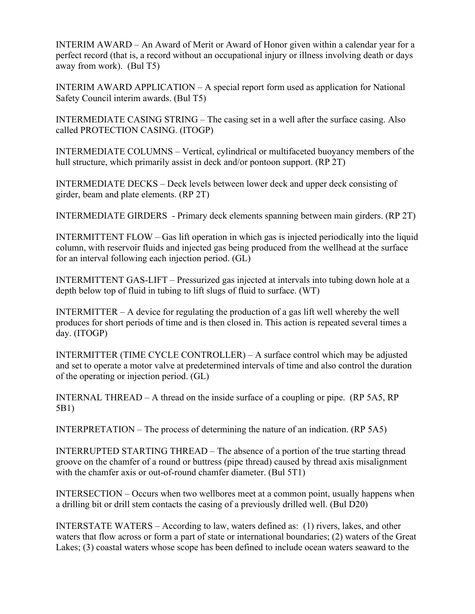INTERIM AWARD – An Award of Merit or Award of Honor given within a calendar year for a perfect record (that is, a record without an occupational injury or illness involving death or days away from work). (Bul T5)

INTERIM AWARD APPLICATION – A special report form used as application for National Safety Council interim awards. (Bul T5)

INTERMEDIATE CASING STRING – The casing set in a well after the surface casing. Also called PROTECTION CASING. (ITOGP)

INTERMEDIATE COLUMNS – Vertical, cylindrical or multifaceted buoyancy members of the hull structure, which primarily assist in deck and/or pontoon support. (RP 2T)

INTERMEDIATE DECKS – Deck levels between lower deck and upper deck consisting of girder, beam and plate elements. (RP 2T)

INTERMEDIATE GIRDERS - Primary deck elements spanning between main girders. (RP 2T)

INTERMITTENT FLOW – Gas lift operation in which gas is injected periodically into the liquid column, with reservoir fluids and injected gas being produced from the wellhead at the surface for an interval following each injection period. (GL)

INTERMITTENT GAS-LIFT – Pressurized gas injected at intervals into tubing down hole at a depth below top of fluid in tubing to lift slugs of fluid to surface. (WT)

INTERMITTER – A device for regulating the production of a gas lift well whereby the well produces for short periods of time and is then closed in. This action is repeated several times a day. (ITOGP)

INTERMITTER (TIME CYCLE CONTROLLER) – A surface control which may be adjusted and set to operate a motor valve at predetermined intervals of time and also control the duration of the operating or injection period. (GL)

INTERNAL THREAD – A thread on the inside surface of a coupling or pipe. (RP 5A5, RP 5B1)

INTERPRETATION – The process of determining the nature of an indication. (RP 5A5)

INTERRUPTED STARTING THREAD – The absence of a portion of the true starting thread groove on the chamfer of a round or buttress (pipe thread) caused by thread axis misalignment with the chamfer axis or out-of-round chamfer diameter. (Bul 5T1)

INTERSECTION – Occurs when two wellbores meet at a common point, usually happens when a drilling bit or drill stem contacts the casing of a previously drilled well. (Bul D20)

INTERSTATE WATERS – According to law, waters defined as: (1) rivers, lakes, and other waters that flow across or form a part of state or international boundaries; (2) waters of the Great Lakes; (3) coastal waters whose scope has been defined to include ocean waters seaward to the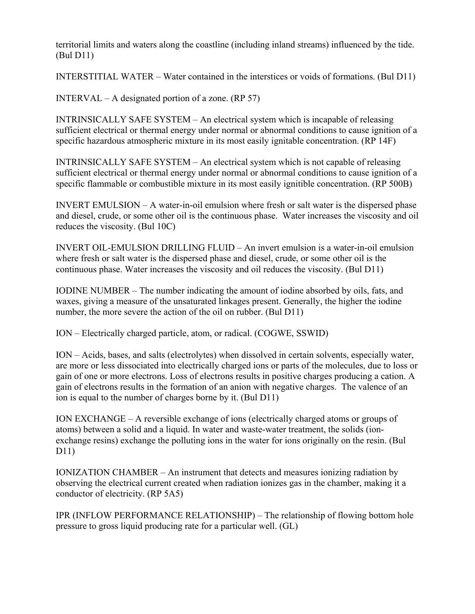territorial limits and waters along the coastline (including inland streams) influenced by the tide. (Bul D11)

INTERSTITIAL WATER – Water contained in the interstices or voids of formations. (Bul D11)

INTERVAL – A designated portion of a zone. (RP 57)

INTRINSICALLY SAFE SYSTEM – An electrical system which is incapable of releasing sufficient electrical or thermal energy under normal or abnormal conditions to cause ignition of a specific hazardous atmospheric mixture in its most easily ignitable concentration. (RP 14F)

INTRINSICALLY SAFE SYSTEM – An electrical system which is not capable of releasing sufficient electrical or thermal energy under normal or abnormal conditions to cause ignition of a specific flammable or combustible mixture in its most easily ignitible concentration. (RP 500B)

INVERT EMULSION – A water-in-oil emulsion where fresh or salt water is the dispersed phase and diesel, crude, or some other oil is the continuous phase. Water increases the viscosity and oil reduces the viscosity. (Bul 10C)

INVERT OIL-EMULSION DRILLING FLUID – An invert emulsion is a water-in-oil emulsion where fresh or salt water is the dispersed phase and diesel, crude, or some other oil is the continuous phase. Water increases the viscosity and oil reduces the viscosity. (Bul D11)

IODINE NUMBER – The number indicating the amount of iodine absorbed by oils, fats, and waxes, giving a measure of the unsaturated linkages present. Generally, the higher the iodine number, the more severe the action of the oil on rubber. (Bul D11)

ION – Electrically charged particle, atom, or radical. (COGWE, SSWID)

ION – Acids, bases, and salts (electrolytes) when dissolved in certain solvents, especially water, are more or less dissociated into electrically charged ions or parts of the molecules, due to loss or gain of one or more electrons. Loss of electrons results in positive charges producing a cation. A gain of electrons results in the formation of an anion with negative charges. The valence of an ion is equal to the number of charges borne by it. (Bul D11)

ION EXCHANGE – A reversible exchange of ions (electrically charged atoms or groups of atoms) between a solid and a liquid. In water and waste-water treatment, the solids (ionexchange resins) exchange the polluting ions in the water for ions originally on the resin. (Bul D11)

IONIZATION CHAMBER – An instrument that detects and measures ionizing radiation by observing the electrical current created when radiation ionizes gas in the chamber, making it a conductor of electricity. (RP 5A5)

IPR (INFLOW PERFORMANCE RELATIONSHIP) – The relationship of flowing bottom hole pressure to gross liquid producing rate for a particular well. (GL)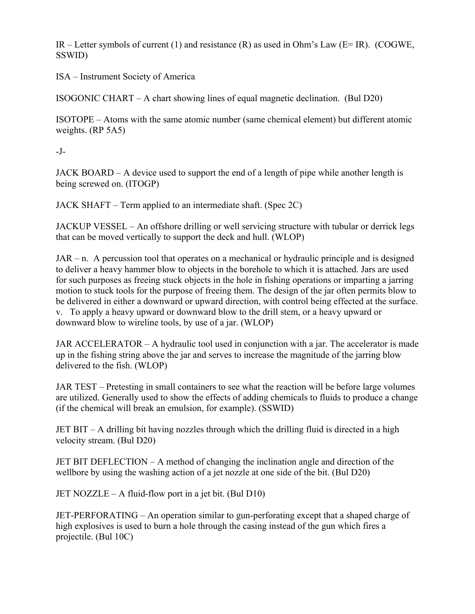IR – Letter symbols of current (1) and resistance (R) as used in Ohm's Law (E= IR). (COGWE, SSWID)

ISA – Instrument Society of America

ISOGONIC CHART – A chart showing lines of equal magnetic declination. (Bul D20)

ISOTOPE – Atoms with the same atomic number (same chemical element) but different atomic weights. (RP 5A5)

-J-

JACK BOARD – A device used to support the end of a length of pipe while another length is being screwed on. (ITOGP)

JACK SHAFT – Term applied to an intermediate shaft. (Spec 2C)

JACKUP VESSEL – An offshore drilling or well servicing structure with tubular or derrick legs that can be moved vertically to support the deck and hull. (WLOP)

JAR – n. A percussion tool that operates on a mechanical or hydraulic principle and is designed to deliver a heavy hammer blow to objects in the borehole to which it is attached. Jars are used for such purposes as freeing stuck objects in the hole in fishing operations or imparting a jarring motion to stuck tools for the purpose of freeing them. The design of the jar often permits blow to be delivered in either a downward or upward direction, with control being effected at the surface. v. To apply a heavy upward or downward blow to the drill stem, or a heavy upward or downward blow to wireline tools, by use of a jar. (WLOP)

JAR ACCELERATOR – A hydraulic tool used in conjunction with a jar. The accelerator is made up in the fishing string above the jar and serves to increase the magnitude of the jarring blow delivered to the fish. (WLOP)

JAR TEST – Pretesting in small containers to see what the reaction will be before large volumes are utilized. Generally used to show the effects of adding chemicals to fluids to produce a change (if the chemical will break an emulsion, for example). (SSWID)

JET BIT – A drilling bit having nozzles through which the drilling fluid is directed in a high velocity stream. (Bul D20)

JET BIT DEFLECTION – A method of changing the inclination angle and direction of the wellbore by using the washing action of a jet nozzle at one side of the bit. (Bul D20)

JET NOZZLE – A fluid-flow port in a jet bit. (Bul D10)

JET-PERFORATING – An operation similar to gun-perforating except that a shaped charge of high explosives is used to burn a hole through the casing instead of the gun which fires a projectile. (Bul 10C)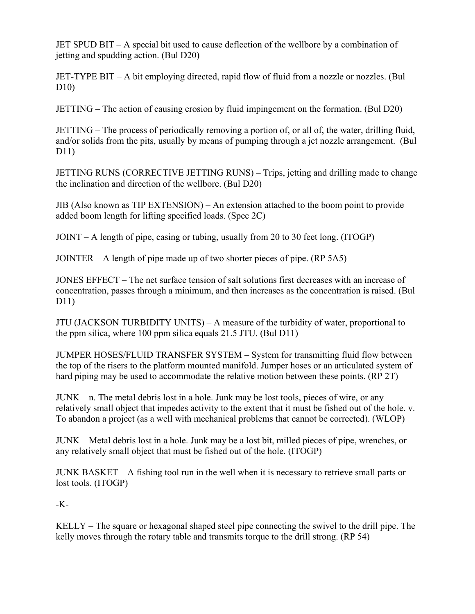JET SPUD BIT – A special bit used to cause deflection of the wellbore by a combination of jetting and spudding action. (Bul D20)

JET-TYPE BIT – A bit employing directed, rapid flow of fluid from a nozzle or nozzles. (Bul D10)

JETTING – The action of causing erosion by fluid impingement on the formation. (Bul D20)

JETTING – The process of periodically removing a portion of, or all of, the water, drilling fluid, and/or solids from the pits, usually by means of pumping through a jet nozzle arrangement. (Bul D11)

JETTING RUNS (CORRECTIVE JETTING RUNS) – Trips, jetting and drilling made to change the inclination and direction of the wellbore. (Bul D20)

JIB (Also known as TIP EXTENSION) – An extension attached to the boom point to provide added boom length for lifting specified loads. (Spec 2C)

JOINT – A length of pipe, casing or tubing, usually from 20 to 30 feet long. (ITOGP)

JOINTER – A length of pipe made up of two shorter pieces of pipe. (RP 5A5)

JONES EFFECT – The net surface tension of salt solutions first decreases with an increase of concentration, passes through a minimum, and then increases as the concentration is raised. (Bul D11)

JTU (JACKSON TURBIDITY UNITS) – A measure of the turbidity of water, proportional to the ppm silica, where 100 ppm silica equals 21.5 JTU. (Bul D11)

JUMPER HOSES/FLUID TRANSFER SYSTEM – System for transmitting fluid flow between the top of the risers to the platform mounted manifold. Jumper hoses or an articulated system of hard piping may be used to accommodate the relative motion between these points. (RP 2T)

JUNK – n. The metal debris lost in a hole. Junk may be lost tools, pieces of wire, or any relatively small object that impedes activity to the extent that it must be fished out of the hole. v. To abandon a project (as a well with mechanical problems that cannot be corrected). (WLOP)

JUNK – Metal debris lost in a hole. Junk may be a lost bit, milled pieces of pipe, wrenches, or any relatively small object that must be fished out of the hole. (ITOGP)

JUNK BASKET – A fishing tool run in the well when it is necessary to retrieve small parts or lost tools. (ITOGP)

## -K-

KELLY – The square or hexagonal shaped steel pipe connecting the swivel to the drill pipe. The kelly moves through the rotary table and transmits torque to the drill strong. (RP 54)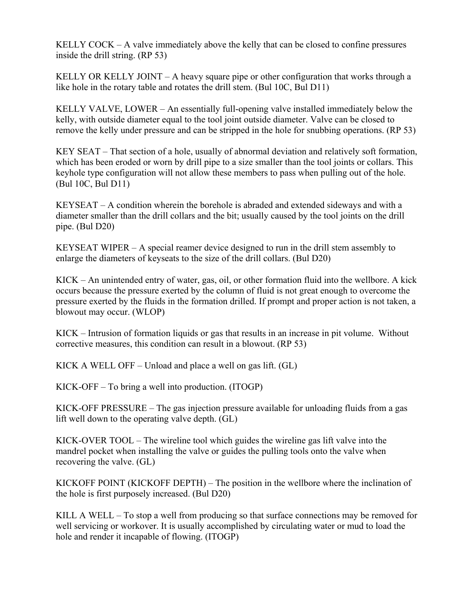KELLY COCK – A valve immediately above the kelly that can be closed to confine pressures inside the drill string. (RP 53)

KELLY OR KELLY JOINT – A heavy square pipe or other configuration that works through a like hole in the rotary table and rotates the drill stem. (Bul 10C, Bul D11)

KELLY VALVE, LOWER – An essentially full-opening valve installed immediately below the kelly, with outside diameter equal to the tool joint outside diameter. Valve can be closed to remove the kelly under pressure and can be stripped in the hole for snubbing operations. (RP 53)

KEY SEAT – That section of a hole, usually of abnormal deviation and relatively soft formation, which has been eroded or worn by drill pipe to a size smaller than the tool joints or collars. This keyhole type configuration will not allow these members to pass when pulling out of the hole. (Bul 10C, Bul D11)

KEYSEAT – A condition wherein the borehole is abraded and extended sideways and with a diameter smaller than the drill collars and the bit; usually caused by the tool joints on the drill pipe. (Bul D20)

KEYSEAT WIPER  $- A$  special reamer device designed to run in the drill stem assembly to enlarge the diameters of keyseats to the size of the drill collars. (Bul D20)

KICK – An unintended entry of water, gas, oil, or other formation fluid into the wellbore. A kick occurs because the pressure exerted by the column of fluid is not great enough to overcome the pressure exerted by the fluids in the formation drilled. If prompt and proper action is not taken, a blowout may occur. (WLOP)

KICK – Intrusion of formation liquids or gas that results in an increase in pit volume. Without corrective measures, this condition can result in a blowout. (RP 53)

KICK A WELL OFF – Unload and place a well on gas lift. (GL)

KICK-OFF – To bring a well into production. (ITOGP)

KICK-OFF PRESSURE – The gas injection pressure available for unloading fluids from a gas lift well down to the operating valve depth. (GL)

KICK-OVER TOOL – The wireline tool which guides the wireline gas lift valve into the mandrel pocket when installing the valve or guides the pulling tools onto the valve when recovering the valve. (GL)

KICKOFF POINT (KICKOFF DEPTH) – The position in the wellbore where the inclination of the hole is first purposely increased. (Bul D20)

KILL A WELL – To stop a well from producing so that surface connections may be removed for well servicing or workover. It is usually accomplished by circulating water or mud to load the hole and render it incapable of flowing. (ITOGP)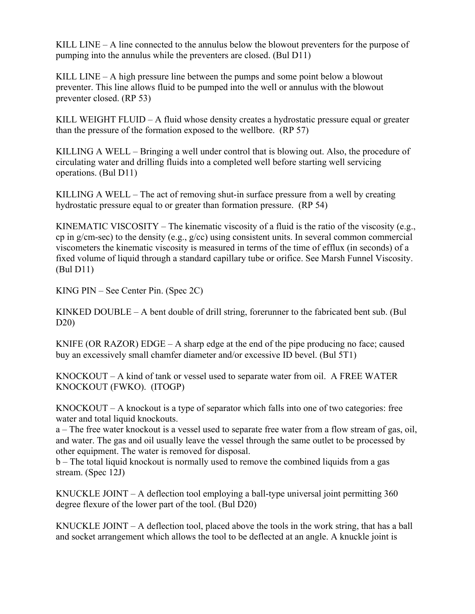KILL LINE – A line connected to the annulus below the blowout preventers for the purpose of pumping into the annulus while the preventers are closed. (Bul D11)

KILL LINE – A high pressure line between the pumps and some point below a blowout preventer. This line allows fluid to be pumped into the well or annulus with the blowout preventer closed. (RP 53)

KILL WEIGHT FLUID – A fluid whose density creates a hydrostatic pressure equal or greater than the pressure of the formation exposed to the wellbore. (RP 57)

KILLING A WELL – Bringing a well under control that is blowing out. Also, the procedure of circulating water and drilling fluids into a completed well before starting well servicing operations. (Bul D11)

KILLING A WELL – The act of removing shut-in surface pressure from a well by creating hydrostatic pressure equal to or greater than formation pressure. (RP 54)

KINEMATIC VISCOSITY – The kinematic viscosity of a fluid is the ratio of the viscosity (e.g., cp in g/cm-sec) to the density (e.g., g/cc) using consistent units. In several common commercial viscometers the kinematic viscosity is measured in terms of the time of efflux (in seconds) of a fixed volume of liquid through a standard capillary tube or orifice. See Marsh Funnel Viscosity. (Bul D11)

KING PIN – See Center Pin. (Spec 2C)

KINKED DOUBLE – A bent double of drill string, forerunner to the fabricated bent sub. (Bul D20)

KNIFE (OR RAZOR) EDGE – A sharp edge at the end of the pipe producing no face; caused buy an excessively small chamfer diameter and/or excessive ID bevel. (Bul 5T1)

KNOCKOUT – A kind of tank or vessel used to separate water from oil. A FREE WATER KNOCKOUT (FWKO). (ITOGP)

KNOCKOUT – A knockout is a type of separator which falls into one of two categories: free water and total liquid knockouts.

a – The free water knockout is a vessel used to separate free water from a flow stream of gas, oil, and water. The gas and oil usually leave the vessel through the same outlet to be processed by other equipment. The water is removed for disposal.

b – The total liquid knockout is normally used to remove the combined liquids from a gas stream. (Spec 12J)

KNUCKLE JOINT – A deflection tool employing a ball-type universal joint permitting 360 degree flexure of the lower part of the tool. (Bul D20)

KNUCKLE JOINT – A deflection tool, placed above the tools in the work string, that has a ball and socket arrangement which allows the tool to be deflected at an angle. A knuckle joint is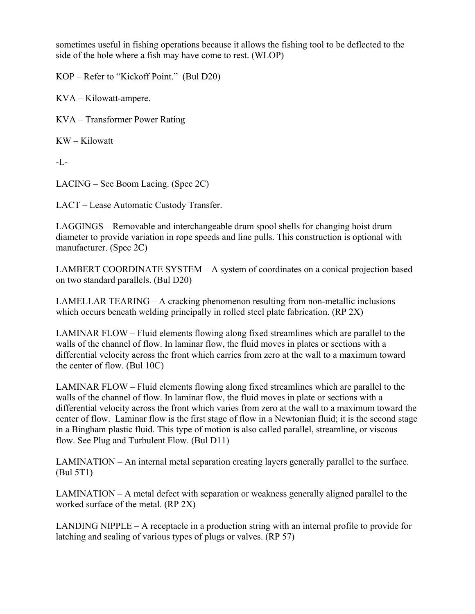sometimes useful in fishing operations because it allows the fishing tool to be deflected to the side of the hole where a fish may have come to rest. (WLOP)

KOP – Refer to "Kickoff Point." (Bul D20)

KVA – Kilowatt-ampere.

KVA – Transformer Power Rating

KW – Kilowatt

 $-I -$ 

LACING – See Boom Lacing. (Spec 2C)

LACT – Lease Automatic Custody Transfer.

LAGGINGS – Removable and interchangeable drum spool shells for changing hoist drum diameter to provide variation in rope speeds and line pulls. This construction is optional with manufacturer. (Spec 2C)

LAMBERT COORDINATE SYSTEM – A system of coordinates on a conical projection based on two standard parallels. (Bul D20)

LAMELLAR TEARING – A cracking phenomenon resulting from non-metallic inclusions which occurs beneath welding principally in rolled steel plate fabrication. (RP 2X)

LAMINAR FLOW – Fluid elements flowing along fixed streamlines which are parallel to the walls of the channel of flow. In laminar flow, the fluid moves in plates or sections with a differential velocity across the front which carries from zero at the wall to a maximum toward the center of flow. (Bul 10C)

LAMINAR FLOW – Fluid elements flowing along fixed streamlines which are parallel to the walls of the channel of flow. In laminar flow, the fluid moves in plate or sections with a differential velocity across the front which varies from zero at the wall to a maximum toward the center of flow. Laminar flow is the first stage of flow in a Newtonian fluid; it is the second stage in a Bingham plastic fluid. This type of motion is also called parallel, streamline, or viscous flow. See Plug and Turbulent Flow. (Bul D11)

LAMINATION – An internal metal separation creating layers generally parallel to the surface. (Bul 5T1)

LAMINATION – A metal defect with separation or weakness generally aligned parallel to the worked surface of the metal. (RP 2X)

LANDING NIPPLE – A receptacle in a production string with an internal profile to provide for latching and sealing of various types of plugs or valves. (RP 57)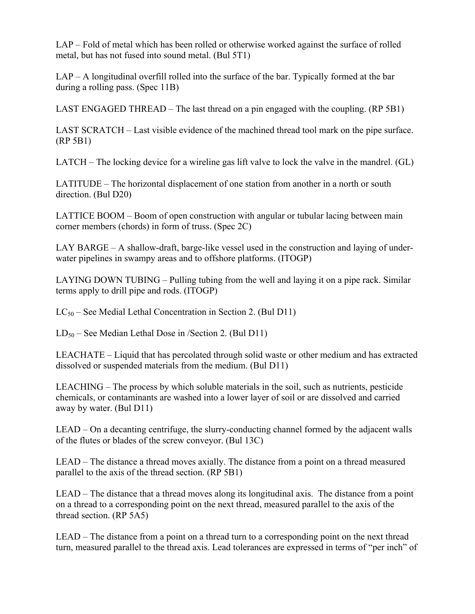LAP – Fold of metal which has been rolled or otherwise worked against the surface of rolled metal, but has not fused into sound metal. (Bul 5T1)

LAP – A longitudinal overfill rolled into the surface of the bar. Typically formed at the bar during a rolling pass. (Spec 11B)

LAST ENGAGED THREAD – The last thread on a pin engaged with the coupling. (RP 5B1)

LAST SCRATCH – Last visible evidence of the machined thread tool mark on the pipe surface. (RP 5B1)

LATCH – The locking device for a wireline gas lift valve to lock the valve in the mandrel. (GL)

LATITUDE – The horizontal displacement of one station from another in a north or south direction. (Bul D20)

LATTICE BOOM – Boom of open construction with angular or tubular lacing between main corner members (chords) in form of truss. (Spec 2C)

LAY BARGE – A shallow-draft, barge-like vessel used in the construction and laying of underwater pipelines in swampy areas and to offshore platforms. (ITOGP)

LAYING DOWN TUBING – Pulling tubing from the well and laying it on a pipe rack. Similar terms apply to drill pipe and rods. (ITOGP)

 $LC_{50}$  – See Medial Lethal Concentration in Section 2. (Bul D11)

 $LD_{50}$  – See Median Lethal Dose in /Section 2. (Bul D11)

LEACHATE – Liquid that has percolated through solid waste or other medium and has extracted dissolved or suspended materials from the medium. (Bul D11)

LEACHING – The process by which soluble materials in the soil, such as nutrients, pesticide chemicals, or contaminants are washed into a lower layer of soil or are dissolved and carried away by water. (Bul D11)

LEAD – On a decanting centrifuge, the slurry-conducting channel formed by the adjacent walls of the flutes or blades of the screw conveyor. (Bul 13C)

LEAD – The distance a thread moves axially. The distance from a point on a thread measured parallel to the axis of the thread section. (RP 5B1)

LEAD – The distance that a thread moves along its longitudinal axis. The distance from a point on a thread to a corresponding point on the next thread, measured parallel to the axis of the thread section. (RP 5A5)

LEAD – The distance from a point on a thread turn to a corresponding point on the next thread turn, measured parallel to the thread axis. Lead tolerances are expressed in terms of "per inch" of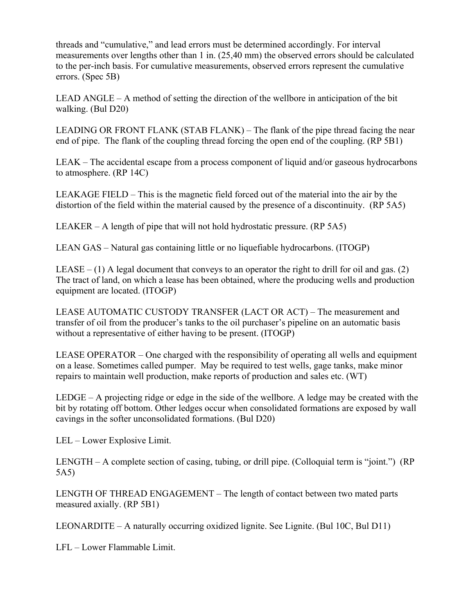threads and "cumulative," and lead errors must be determined accordingly. For interval measurements over lengths other than 1 in. (25,40 mm) the observed errors should be calculated to the per-inch basis. For cumulative measurements, observed errors represent the cumulative errors. (Spec 5B)

LEAD ANGLE – A method of setting the direction of the wellbore in anticipation of the bit walking. (Bul D20)

LEADING OR FRONT FLANK (STAB FLANK) – The flank of the pipe thread facing the near end of pipe. The flank of the coupling thread forcing the open end of the coupling. (RP 5B1)

LEAK – The accidental escape from a process component of liquid and/or gaseous hydrocarbons to atmosphere. (RP 14C)

LEAKAGE FIELD – This is the magnetic field forced out of the material into the air by the distortion of the field within the material caused by the presence of a discontinuity. (RP 5A5)

LEAKER – A length of pipe that will not hold hydrostatic pressure. (RP 5A5)

LEAN GAS – Natural gas containing little or no liquefiable hydrocarbons. (ITOGP)

LEASE – (1) A legal document that conveys to an operator the right to drill for oil and gas. (2) The tract of land, on which a lease has been obtained, where the producing wells and production equipment are located. (ITOGP)

LEASE AUTOMATIC CUSTODY TRANSFER (LACT OR ACT) – The measurement and transfer of oil from the producer's tanks to the oil purchaser's pipeline on an automatic basis without a representative of either having to be present. (ITOGP)

LEASE OPERATOR – One charged with the responsibility of operating all wells and equipment on a lease. Sometimes called pumper. May be required to test wells, gage tanks, make minor repairs to maintain well production, make reports of production and sales etc. (WT)

LEDGE – A projecting ridge or edge in the side of the wellbore. A ledge may be created with the bit by rotating off bottom. Other ledges occur when consolidated formations are exposed by wall cavings in the softer unconsolidated formations. (Bul D20)

LEL – Lower Explosive Limit.

LENGTH – A complete section of casing, tubing, or drill pipe. (Colloquial term is "joint.") (RP 5A5)

LENGTH OF THREAD ENGAGEMENT – The length of contact between two mated parts measured axially. (RP 5B1)

LEONARDITE – A naturally occurring oxidized lignite. See Lignite. (Bul 10C, Bul D11)

LFL – Lower Flammable Limit.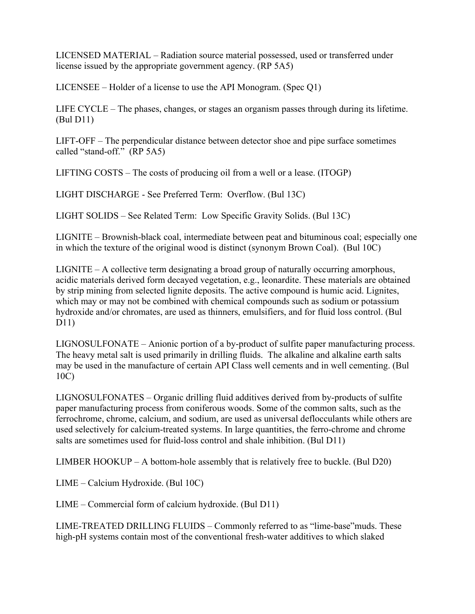LICENSED MATERIAL – Radiation source material possessed, used or transferred under license issued by the appropriate government agency. (RP 5A5)

LICENSEE – Holder of a license to use the API Monogram. (Spec Q1)

LIFE CYCLE – The phases, changes, or stages an organism passes through during its lifetime. (Bul D11)

LIFT-OFF – The perpendicular distance between detector shoe and pipe surface sometimes called "stand-off." (RP 5A5)

LIFTING COSTS – The costs of producing oil from a well or a lease. (ITOGP)

LIGHT DISCHARGE - See Preferred Term: Overflow. (Bul 13C)

LIGHT SOLIDS – See Related Term: Low Specific Gravity Solids. (Bul 13C)

LIGNITE – Brownish-black coal, intermediate between peat and bituminous coal; especially one in which the texture of the original wood is distinct (synonym Brown Coal). (Bul 10C)

LIGNITE – A collective term designating a broad group of naturally occurring amorphous, acidic materials derived form decayed vegetation, e.g., leonardite. These materials are obtained by strip mining from selected lignite deposits. The active compound is humic acid. Lignites, which may or may not be combined with chemical compounds such as sodium or potassium hydroxide and/or chromates, are used as thinners, emulsifiers, and for fluid loss control. (Bul D11)

LIGNOSULFONATE – Anionic portion of a by-product of sulfite paper manufacturing process. The heavy metal salt is used primarily in drilling fluids. The alkaline and alkaline earth salts may be used in the manufacture of certain API Class well cements and in well cementing. (Bul 10C)

LIGNOSULFONATES – Organic drilling fluid additives derived from by-products of sulfite paper manufacturing process from coniferous woods. Some of the common salts, such as the ferrochrome, chrome, calcium, and sodium, are used as universal deflocculants while others are used selectively for calcium-treated systems. In large quantities, the ferro-chrome and chrome salts are sometimes used for fluid-loss control and shale inhibition. (Bul D11)

LIMBER HOOKUP – A bottom-hole assembly that is relatively free to buckle. (Bul D20)

LIME – Calcium Hydroxide. (Bul 10C)

LIME – Commercial form of calcium hydroxide. (Bul D11)

LIME-TREATED DRILLING FLUIDS – Commonly referred to as "lime-base"muds. These high-pH systems contain most of the conventional fresh-water additives to which slaked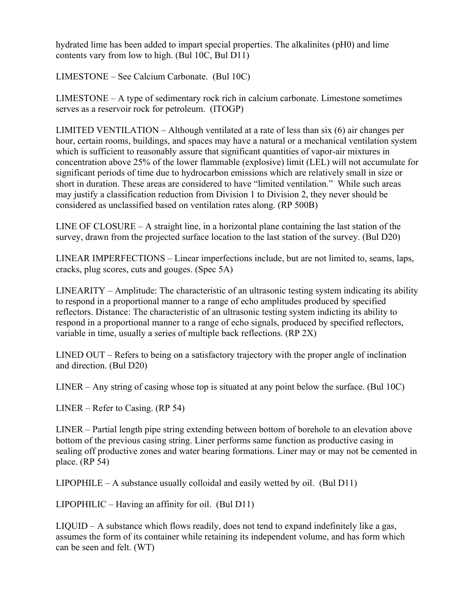hydrated lime has been added to impart special properties. The alkalinites (pH0) and lime contents vary from low to high. (Bul 10C, Bul D11)

LIMESTONE – See Calcium Carbonate. (Bul 10C)

LIMESTONE – A type of sedimentary rock rich in calcium carbonate. Limestone sometimes serves as a reservoir rock for petroleum. (ITOGP)

LIMITED VENTILATION – Although ventilated at a rate of less than six (6) air changes per hour, certain rooms, buildings, and spaces may have a natural or a mechanical ventilation system which is sufficient to reasonably assure that significant quantities of vapor-air mixtures in concentration above 25% of the lower flammable (explosive) limit (LEL) will not accumulate for significant periods of time due to hydrocarbon emissions which are relatively small in size or short in duration. These areas are considered to have "limited ventilation." While such areas may justify a classification reduction from Division 1 to Division 2, they never should be considered as unclassified based on ventilation rates along. (RP 500B)

LINE OF CLOSURE – A straight line, in a horizontal plane containing the last station of the survey, drawn from the projected surface location to the last station of the survey. (Bul D20)

LINEAR IMPERFECTIONS – Linear imperfections include, but are not limited to, seams, laps, cracks, plug scores, cuts and gouges. (Spec 5A)

LINEARITY – Amplitude: The characteristic of an ultrasonic testing system indicating its ability to respond in a proportional manner to a range of echo amplitudes produced by specified reflectors. Distance: The characteristic of an ultrasonic testing system indicting its ability to respond in a proportional manner to a range of echo signals, produced by specified reflectors, variable in time, usually a series of multiple back reflections. (RP 2X)

LINED OUT – Refers to being on a satisfactory trajectory with the proper angle of inclination and direction. (Bul D20)

LINER – Any string of casing whose top is situated at any point below the surface. (Bul 10C)

LINER – Refer to Casing. (RP 54)

LINER – Partial length pipe string extending between bottom of borehole to an elevation above bottom of the previous casing string. Liner performs same function as productive casing in sealing off productive zones and water bearing formations. Liner may or may not be cemented in place. (RP 54)

LIPOPHILE – A substance usually colloidal and easily wetted by oil. (Bul D11)

LIPOPHILIC – Having an affinity for oil. (Bul D11)

LIQUID – A substance which flows readily, does not tend to expand indefinitely like a gas, assumes the form of its container while retaining its independent volume, and has form which can be seen and felt. (WT)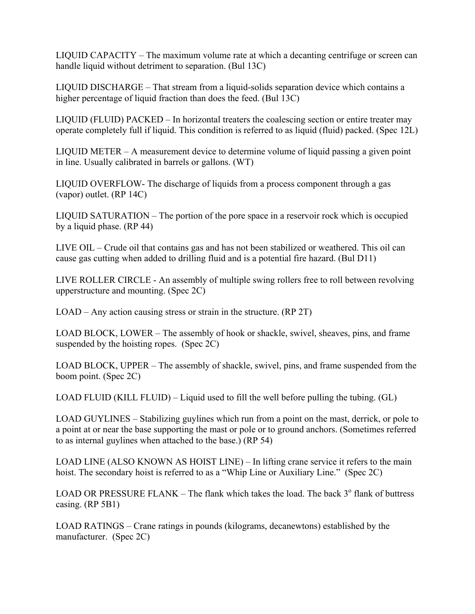LIQUID CAPACITY – The maximum volume rate at which a decanting centrifuge or screen can handle liquid without detriment to separation. (Bul 13C)

LIQUID DISCHARGE – That stream from a liquid-solids separation device which contains a higher percentage of liquid fraction than does the feed. (Bul 13C)

LIQUID (FLUID) PACKED – In horizontal treaters the coalescing section or entire treater may operate completely full if liquid. This condition is referred to as liquid (fluid) packed. (Spec 12L)

LIQUID METER – A measurement device to determine volume of liquid passing a given point in line. Usually calibrated in barrels or gallons. (WT)

LIQUID OVERFLOW- The discharge of liquids from a process component through a gas (vapor) outlet. (RP 14C)

LIQUID SATURATION – The portion of the pore space in a reservoir rock which is occupied by a liquid phase. (RP 44)

LIVE OIL – Crude oil that contains gas and has not been stabilized or weathered. This oil can cause gas cutting when added to drilling fluid and is a potential fire hazard. (Bul D11)

LIVE ROLLER CIRCLE - An assembly of multiple swing rollers free to roll between revolving upperstructure and mounting. (Spec 2C)

LOAD – Any action causing stress or strain in the structure. (RP 2T)

LOAD BLOCK, LOWER – The assembly of hook or shackle, swivel, sheaves, pins, and frame suspended by the hoisting ropes. (Spec 2C)

LOAD BLOCK, UPPER – The assembly of shackle, swivel, pins, and frame suspended from the boom point. (Spec 2C)

LOAD FLUID (KILL FLUID) – Liquid used to fill the well before pulling the tubing. (GL)

LOAD GUYLINES – Stabilizing guylines which run from a point on the mast, derrick, or pole to a point at or near the base supporting the mast or pole or to ground anchors. (Sometimes referred to as internal guylines when attached to the base.) (RP 54)

LOAD LINE (ALSO KNOWN AS HOIST LINE) – In lifting crane service it refers to the main hoist. The secondary hoist is referred to as a "Whip Line or Auxiliary Line." (Spec 2C)

LOAD OR PRESSURE FLANK – The flank which takes the load. The back  $3^\circ$  flank of buttress casing. (RP 5B1)

LOAD RATINGS – Crane ratings in pounds (kilograms, decanewtons) established by the manufacturer. (Spec 2C)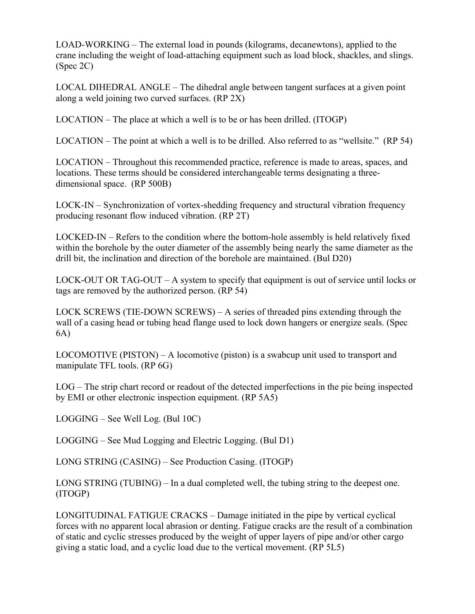LOAD-WORKING – The external load in pounds (kilograms, decanewtons), applied to the crane including the weight of load-attaching equipment such as load block, shackles, and slings. (Spec 2C)

LOCAL DIHEDRAL ANGLE – The dihedral angle between tangent surfaces at a given point along a weld joining two curved surfaces. (RP 2X)

LOCATION – The place at which a well is to be or has been drilled. (ITOGP)

LOCATION – The point at which a well is to be drilled. Also referred to as "wellsite." (RP 54)

LOCATION – Throughout this recommended practice, reference is made to areas, spaces, and locations. These terms should be considered interchangeable terms designating a threedimensional space. (RP 500B)

LOCK-IN – Synchronization of vortex-shedding frequency and structural vibration frequency producing resonant flow induced vibration. (RP 2T)

LOCKED-IN – Refers to the condition where the bottom-hole assembly is held relatively fixed within the borehole by the outer diameter of the assembly being nearly the same diameter as the drill bit, the inclination and direction of the borehole are maintained. (Bul D20)

LOCK-OUT OR TAG-OUT – A system to specify that equipment is out of service until locks or tags are removed by the authorized person. (RP 54)

LOCK SCREWS (TIE-DOWN SCREWS) – A series of threaded pins extending through the wall of a casing head or tubing head flange used to lock down hangers or energize seals. (Spec 6A)

LOCOMOTIVE (PISTON) – A locomotive (piston) is a swabcup unit used to transport and manipulate TFL tools. (RP 6G)

LOG – The strip chart record or readout of the detected imperfections in the pie being inspected by EMI or other electronic inspection equipment. (RP 5A5)

LOGGING – See Well Log. (Bul 10C)

LOGGING – See Mud Logging and Electric Logging. (Bul D1)

LONG STRING (CASING) – See Production Casing. (ITOGP)

LONG STRING (TUBING) – In a dual completed well, the tubing string to the deepest one. (ITOGP)

LONGITUDINAL FATIGUE CRACKS – Damage initiated in the pipe by vertical cyclical forces with no apparent local abrasion or denting. Fatigue cracks are the result of a combination of static and cyclic stresses produced by the weight of upper layers of pipe and/or other cargo giving a static load, and a cyclic load due to the vertical movement. (RP 5L5)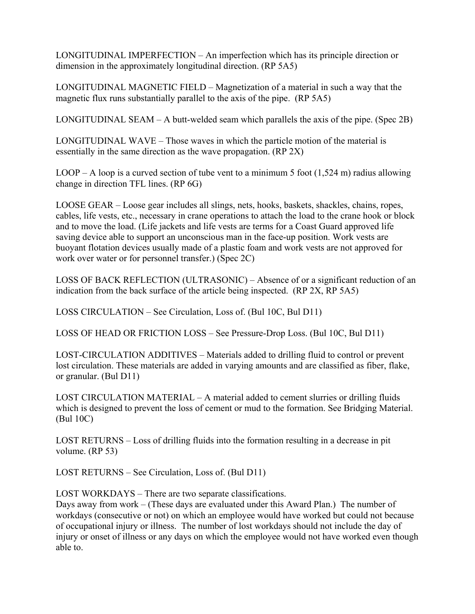LONGITUDINAL IMPERFECTION – An imperfection which has its principle direction or dimension in the approximately longitudinal direction. (RP 5A5)

LONGITUDINAL MAGNETIC FIELD – Magnetization of a material in such a way that the magnetic flux runs substantially parallel to the axis of the pipe. (RP 5A5)

LONGITUDINAL SEAM – A butt-welded seam which parallels the axis of the pipe. (Spec 2B)

LONGITUDINAL WAVE – Those waves in which the particle motion of the material is essentially in the same direction as the wave propagation. (RP 2X)

LOOP – A loop is a curved section of tube vent to a minimum 5 foot  $(1,524 \text{ m})$  radius allowing change in direction TFL lines. (RP 6G)

LOOSE GEAR – Loose gear includes all slings, nets, hooks, baskets, shackles, chains, ropes, cables, life vests, etc., necessary in crane operations to attach the load to the crane hook or block and to move the load. (Life jackets and life vests are terms for a Coast Guard approved life saving device able to support an unconscious man in the face-up position. Work vests are buoyant flotation devices usually made of a plastic foam and work vests are not approved for work over water or for personnel transfer.) (Spec 2C)

LOSS OF BACK REFLECTION (ULTRASONIC) – Absence of or a significant reduction of an indication from the back surface of the article being inspected. (RP 2X, RP 5A5)

LOSS CIRCULATION – See Circulation, Loss of. (Bul 10C, Bul D11)

LOSS OF HEAD OR FRICTION LOSS – See Pressure-Drop Loss. (Bul 10C, Bul D11)

LOST-CIRCULATION ADDITIVES – Materials added to drilling fluid to control or prevent lost circulation. These materials are added in varying amounts and are classified as fiber, flake, or granular. (Bul D11)

LOST CIRCULATION MATERIAL – A material added to cement slurries or drilling fluids which is designed to prevent the loss of cement or mud to the formation. See Bridging Material. (Bul 10C)

LOST RETURNS – Loss of drilling fluids into the formation resulting in a decrease in pit volume. (RP 53)

LOST RETURNS – See Circulation, Loss of. (Bul D11)

LOST WORKDAYS – There are two separate classifications.

Days away from work – (These days are evaluated under this Award Plan.) The number of workdays (consecutive or not) on which an employee would have worked but could not because of occupational injury or illness. The number of lost workdays should not include the day of injury or onset of illness or any days on which the employee would not have worked even though able to.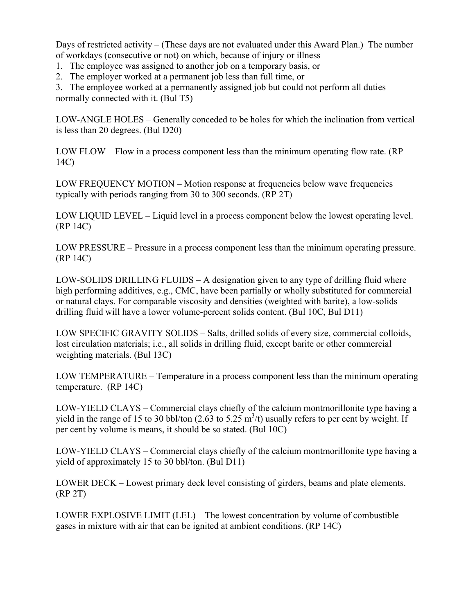Days of restricted activity – (These days are not evaluated under this Award Plan.) The number of workdays (consecutive or not) on which, because of injury or illness

- 1. The employee was assigned to another job on a temporary basis, or
- 2. The employer worked at a permanent job less than full time, or

3. The employee worked at a permanently assigned job but could not perform all duties normally connected with it. (Bul T5)

LOW-ANGLE HOLES – Generally conceded to be holes for which the inclination from vertical is less than 20 degrees. (Bul D20)

LOW FLOW – Flow in a process component less than the minimum operating flow rate. (RP 14C)

LOW FREQUENCY MOTION – Motion response at frequencies below wave frequencies typically with periods ranging from 30 to 300 seconds. (RP 2T)

LOW LIQUID LEVEL – Liquid level in a process component below the lowest operating level. (RP 14C)

LOW PRESSURE – Pressure in a process component less than the minimum operating pressure. (RP 14C)

LOW-SOLIDS DRILLING FLUIDS – A designation given to any type of drilling fluid where high performing additives, e.g., CMC, have been partially or wholly substituted for commercial or natural clays. For comparable viscosity and densities (weighted with barite), a low-solids drilling fluid will have a lower volume-percent solids content. (Bul 10C, Bul D11)

LOW SPECIFIC GRAVITY SOLIDS – Salts, drilled solids of every size, commercial colloids, lost circulation materials; i.e., all solids in drilling fluid, except barite or other commercial weighting materials. (Bul 13C)

LOW TEMPERATURE – Temperature in a process component less than the minimum operating temperature. (RP 14C)

LOW-YIELD CLAYS – Commercial clays chiefly of the calcium montmorillonite type having a yield in the range of 15 to 30 bbl/ton  $(2.63 \text{ to } 5.25 \text{ m}^3/t)$  usually refers to per cent by weight. If per cent by volume is means, it should be so stated. (Bul 10C)

LOW-YIELD CLAYS – Commercial clays chiefly of the calcium montmorillonite type having a yield of approximately 15 to 30 bbl/ton. (Bul D11)

LOWER DECK – Lowest primary deck level consisting of girders, beams and plate elements. (RP 2T)

LOWER EXPLOSIVE LIMIT (LEL) – The lowest concentration by volume of combustible gases in mixture with air that can be ignited at ambient conditions. (RP 14C)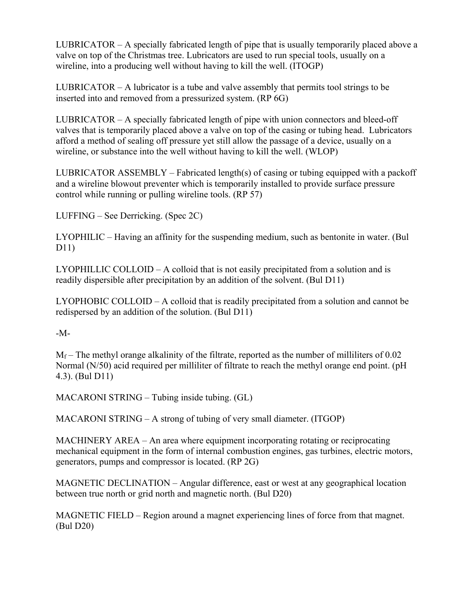LUBRICATOR – A specially fabricated length of pipe that is usually temporarily placed above a valve on top of the Christmas tree. Lubricators are used to run special tools, usually on a wireline, into a producing well without having to kill the well. (ITOGP)

LUBRICATOR – A lubricator is a tube and valve assembly that permits tool strings to be inserted into and removed from a pressurized system. (RP 6G)

LUBRICATOR – A specially fabricated length of pipe with union connectors and bleed-off valves that is temporarily placed above a valve on top of the casing or tubing head. Lubricators afford a method of sealing off pressure yet still allow the passage of a device, usually on a wireline, or substance into the well without having to kill the well. (WLOP)

LUBRICATOR ASSEMBLY – Fabricated length(s) of casing or tubing equipped with a packoff and a wireline blowout preventer which is temporarily installed to provide surface pressure control while running or pulling wireline tools. (RP 57)

LUFFING – See Derricking. (Spec 2C)

LYOPHILIC – Having an affinity for the suspending medium, such as bentonite in water. (Bul D11)

LYOPHILLIC COLLOID – A colloid that is not easily precipitated from a solution and is readily dispersible after precipitation by an addition of the solvent. (Bul D11)

LYOPHOBIC COLLOID – A colloid that is readily precipitated from a solution and cannot be redispersed by an addition of the solution. (Bul D11)

-M-

 $M_f$  – The methyl orange alkalinity of the filtrate, reported as the number of milliliters of 0.02 Normal (N/50) acid required per milliliter of filtrate to reach the methyl orange end point. (pH 4.3). (Bul D11)

MACARONI STRING – Tubing inside tubing. (GL)

MACARONI STRING – A strong of tubing of very small diameter. (ITGOP)

MACHINERY AREA – An area where equipment incorporating rotating or reciprocating mechanical equipment in the form of internal combustion engines, gas turbines, electric motors, generators, pumps and compressor is located. (RP 2G)

MAGNETIC DECLINATION – Angular difference, east or west at any geographical location between true north or grid north and magnetic north. (Bul D20)

MAGNETIC FIELD – Region around a magnet experiencing lines of force from that magnet. (Bul D20)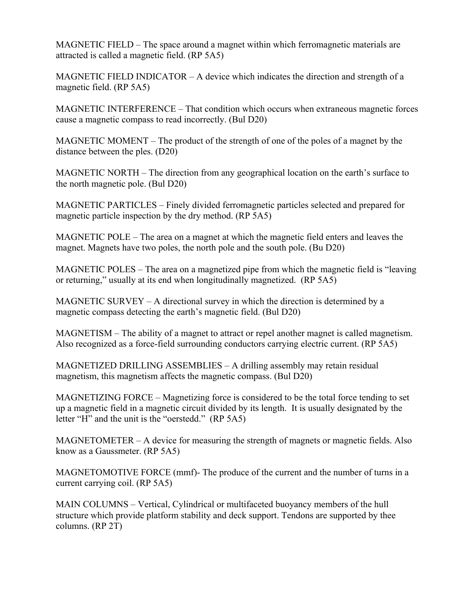MAGNETIC FIELD – The space around a magnet within which ferromagnetic materials are attracted is called a magnetic field. (RP 5A5)

MAGNETIC FIELD INDICATOR – A device which indicates the direction and strength of a magnetic field. (RP 5A5)

MAGNETIC INTERFERENCE – That condition which occurs when extraneous magnetic forces cause a magnetic compass to read incorrectly. (Bul D20)

MAGNETIC MOMENT – The product of the strength of one of the poles of a magnet by the distance between the ples. (D20)

MAGNETIC NORTH – The direction from any geographical location on the earth's surface to the north magnetic pole. (Bul D20)

MAGNETIC PARTICLES – Finely divided ferromagnetic particles selected and prepared for magnetic particle inspection by the dry method. (RP 5A5)

MAGNETIC POLE – The area on a magnet at which the magnetic field enters and leaves the magnet. Magnets have two poles, the north pole and the south pole. (Bu D20)

MAGNETIC POLES – The area on a magnetized pipe from which the magnetic field is "leaving or returning," usually at its end when longitudinally magnetized. (RP 5A5)

MAGNETIC SURVEY – A directional survey in which the direction is determined by a magnetic compass detecting the earth's magnetic field. (Bul D20)

MAGNETISM – The ability of a magnet to attract or repel another magnet is called magnetism. Also recognized as a force-field surrounding conductors carrying electric current. (RP 5A5)

MAGNETIZED DRILLING ASSEMBLIES – A drilling assembly may retain residual magnetism, this magnetism affects the magnetic compass. (Bul D20)

MAGNETIZING FORCE – Magnetizing force is considered to be the total force tending to set up a magnetic field in a magnetic circuit divided by its length. It is usually designated by the letter "H" and the unit is the "oerstedd." (RP 5A5)

MAGNETOMETER – A device for measuring the strength of magnets or magnetic fields. Also know as a Gaussmeter. (RP 5A5)

MAGNETOMOTIVE FORCE (mmf)- The produce of the current and the number of turns in a current carrying coil. (RP 5A5)

MAIN COLUMNS – Vertical, Cylindrical or multifaceted buoyancy members of the hull structure which provide platform stability and deck support. Tendons are supported by thee columns. (RP 2T)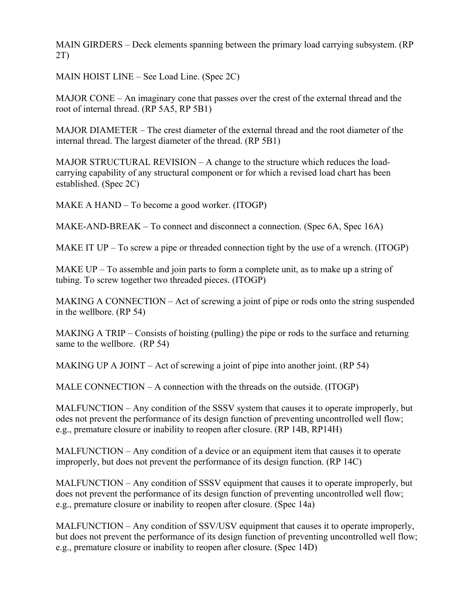MAIN GIRDERS – Deck elements spanning between the primary load carrying subsystem. (RP 2T)

MAIN HOIST LINE – See Load Line. (Spec 2C)

MAJOR CONE – An imaginary cone that passes over the crest of the external thread and the root of internal thread. (RP 5A5, RP 5B1)

MAJOR DIAMETER – The crest diameter of the external thread and the root diameter of the internal thread. The largest diameter of the thread. (RP 5B1)

MAJOR STRUCTURAL REVISION – A change to the structure which reduces the loadcarrying capability of any structural component or for which a revised load chart has been established. (Spec 2C)

MAKE A HAND – To become a good worker. (ITOGP)

MAKE-AND-BREAK – To connect and disconnect a connection. (Spec 6A, Spec 16A)

MAKE IT UP – To screw a pipe or threaded connection tight by the use of a wrench. (ITOGP)

MAKE UP – To assemble and join parts to form a complete unit, as to make up a string of tubing. To screw together two threaded pieces. (ITOGP)

MAKING A CONNECTION – Act of screwing a joint of pipe or rods onto the string suspended in the wellbore. (RP 54)

MAKING A TRIP – Consists of hoisting (pulling) the pipe or rods to the surface and returning same to the wellbore. (RP 54)

MAKING UP A JOINT – Act of screwing a joint of pipe into another joint. (RP 54)

MALE CONNECTION – A connection with the threads on the outside. (ITOGP)

MALFUNCTION – Any condition of the SSSV system that causes it to operate improperly, but odes not prevent the performance of its design function of preventing uncontrolled well flow; e.g., premature closure or inability to reopen after closure. (RP 14B, RP14H)

MALFUNCTION – Any condition of a device or an equipment item that causes it to operate improperly, but does not prevent the performance of its design function. (RP 14C)

MALFUNCTION – Any condition of SSSV equipment that causes it to operate improperly, but does not prevent the performance of its design function of preventing uncontrolled well flow; e.g., premature closure or inability to reopen after closure. (Spec 14a)

MALFUNCTION – Any condition of SSV/USV equipment that causes it to operate improperly, but does not prevent the performance of its design function of preventing uncontrolled well flow; e.g., premature closure or inability to reopen after closure. (Spec 14D)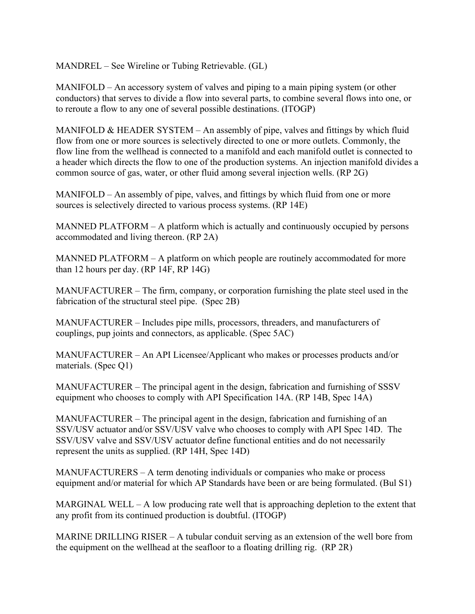MANDREL – See Wireline or Tubing Retrievable. (GL)

MANIFOLD – An accessory system of valves and piping to a main piping system (or other conductors) that serves to divide a flow into several parts, to combine several flows into one, or to reroute a flow to any one of several possible destinations. (ITOGP)

MANIFOLD & HEADER SYSTEM – An assembly of pipe, valves and fittings by which fluid flow from one or more sources is selectively directed to one or more outlets. Commonly, the flow line from the wellhead is connected to a manifold and each manifold outlet is connected to a header which directs the flow to one of the production systems. An injection manifold divides a common source of gas, water, or other fluid among several injection wells. (RP 2G)

MANIFOLD – An assembly of pipe, valves, and fittings by which fluid from one or more sources is selectively directed to various process systems. (RP 14E)

MANNED PLATFORM – A platform which is actually and continuously occupied by persons accommodated and living thereon. (RP 2A)

MANNED PLATFORM – A platform on which people are routinely accommodated for more than 12 hours per day. (RP 14F, RP 14G)

MANUFACTURER – The firm, company, or corporation furnishing the plate steel used in the fabrication of the structural steel pipe. (Spec 2B)

MANUFACTURER – Includes pipe mills, processors, threaders, and manufacturers of couplings, pup joints and connectors, as applicable. (Spec 5AC)

MANUFACTURER – An API Licensee/Applicant who makes or processes products and/or materials. (Spec Q1)

MANUFACTURER – The principal agent in the design, fabrication and furnishing of SSSV equipment who chooses to comply with API Specification 14A. (RP 14B, Spec 14A)

MANUFACTURER – The principal agent in the design, fabrication and furnishing of an SSV/USV actuator and/or SSV/USV valve who chooses to comply with API Spec 14D. The SSV/USV valve and SSV/USV actuator define functional entities and do not necessarily represent the units as supplied. (RP 14H, Spec 14D)

MANUFACTURERS – A term denoting individuals or companies who make or process equipment and/or material for which AP Standards have been or are being formulated. (Bul S1)

MARGINAL WELL – A low producing rate well that is approaching depletion to the extent that any profit from its continued production is doubtful. (ITOGP)

MARINE DRILLING RISER – A tubular conduit serving as an extension of the well bore from the equipment on the wellhead at the seafloor to a floating drilling rig. (RP 2R)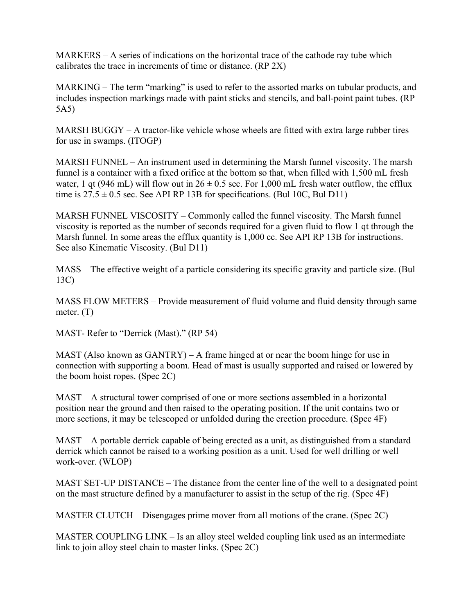MARKERS – A series of indications on the horizontal trace of the cathode ray tube which calibrates the trace in increments of time or distance. (RP 2X)

MARKING – The term "marking" is used to refer to the assorted marks on tubular products, and includes inspection markings made with paint sticks and stencils, and ball-point paint tubes. (RP 5A5)

MARSH BUGGY – A tractor-like vehicle whose wheels are fitted with extra large rubber tires for use in swamps. (ITOGP)

MARSH FUNNEL – An instrument used in determining the Marsh funnel viscosity. The marsh funnel is a container with a fixed orifice at the bottom so that, when filled with 1,500 mL fresh water, 1 qt (946 mL) will flow out in  $26 \pm 0.5$  sec. For 1,000 mL fresh water outflow, the efflux time is  $27.5 \pm 0.5$  sec. See API RP 13B for specifications. (Bul 10C, Bul D11)

MARSH FUNNEL VISCOSITY – Commonly called the funnel viscosity. The Marsh funnel viscosity is reported as the number of seconds required for a given fluid to flow 1 qt through the Marsh funnel. In some areas the efflux quantity is 1,000 cc. See API RP 13B for instructions. See also Kinematic Viscosity. (Bul D11)

MASS – The effective weight of a particle considering its specific gravity and particle size. (Bul 13C)

MASS FLOW METERS – Provide measurement of fluid volume and fluid density through same meter. (T)

MAST- Refer to "Derrick (Mast)." (RP 54)

MAST (Also known as  $GANTRY$ ) – A frame hinged at or near the boom hinge for use in connection with supporting a boom. Head of mast is usually supported and raised or lowered by the boom hoist ropes. (Spec 2C)

MAST – A structural tower comprised of one or more sections assembled in a horizontal position near the ground and then raised to the operating position. If the unit contains two or more sections, it may be telescoped or unfolded during the erection procedure. (Spec 4F)

MAST – A portable derrick capable of being erected as a unit, as distinguished from a standard derrick which cannot be raised to a working position as a unit. Used for well drilling or well work-over. (WLOP)

MAST SET-UP DISTANCE – The distance from the center line of the well to a designated point on the mast structure defined by a manufacturer to assist in the setup of the rig. (Spec 4F)

MASTER CLUTCH – Disengages prime mover from all motions of the crane. (Spec 2C)

MASTER COUPLING LINK – Is an alloy steel welded coupling link used as an intermediate link to join alloy steel chain to master links. (Spec 2C)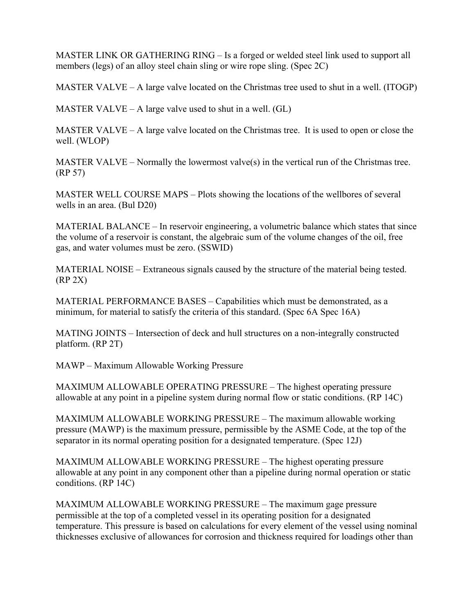MASTER LINK OR GATHERING RING – Is a forged or welded steel link used to support all members (legs) of an alloy steel chain sling or wire rope sling. (Spec 2C)

MASTER VALVE – A large valve located on the Christmas tree used to shut in a well. (ITOGP)

MASTER VALVE – A large valve used to shut in a well.  $(GL)$ 

MASTER VALVE – A large valve located on the Christmas tree. It is used to open or close the well. (WLOP)

MASTER VALVE – Normally the lowermost valve(s) in the vertical run of the Christmas tree. (RP 57)

MASTER WELL COURSE MAPS – Plots showing the locations of the wellbores of several wells in an area. (Bul D20)

MATERIAL BALANCE – In reservoir engineering, a volumetric balance which states that since the volume of a reservoir is constant, the algebraic sum of the volume changes of the oil, free gas, and water volumes must be zero. (SSWID)

MATERIAL NOISE – Extraneous signals caused by the structure of the material being tested. (RP 2X)

MATERIAL PERFORMANCE BASES – Capabilities which must be demonstrated, as a minimum, for material to satisfy the criteria of this standard. (Spec 6A Spec 16A)

MATING JOINTS – Intersection of deck and hull structures on a non-integrally constructed platform. (RP 2T)

MAWP – Maximum Allowable Working Pressure

MAXIMUM ALLOWABLE OPERATING PRESSURE – The highest operating pressure allowable at any point in a pipeline system during normal flow or static conditions. (RP 14C)

MAXIMUM ALLOWABLE WORKING PRESSURE – The maximum allowable working pressure (MAWP) is the maximum pressure, permissible by the ASME Code, at the top of the separator in its normal operating position for a designated temperature. (Spec 12J)

MAXIMUM ALLOWABLE WORKING PRESSURE – The highest operating pressure allowable at any point in any component other than a pipeline during normal operation or static conditions. (RP 14C)

MAXIMUM ALLOWABLE WORKING PRESSURE – The maximum gage pressure permissible at the top of a completed vessel in its operating position for a designated temperature. This pressure is based on calculations for every element of the vessel using nominal thicknesses exclusive of allowances for corrosion and thickness required for loadings other than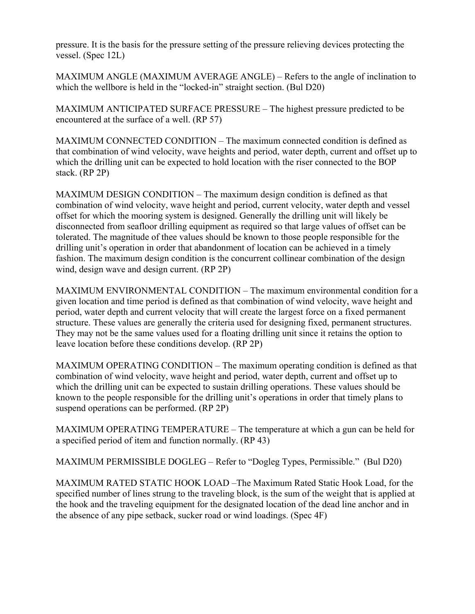pressure. It is the basis for the pressure setting of the pressure relieving devices protecting the vessel. (Spec 12L)

MAXIMUM ANGLE (MAXIMUM AVERAGE ANGLE) – Refers to the angle of inclination to which the wellbore is held in the "locked-in" straight section. (Bul D20)

MAXIMUM ANTICIPATED SURFACE PRESSURE – The highest pressure predicted to be encountered at the surface of a well. (RP 57)

MAXIMUM CONNECTED CONDITION – The maximum connected condition is defined as that combination of wind velocity, wave heights and period, water depth, current and offset up to which the drilling unit can be expected to hold location with the riser connected to the BOP stack. (RP 2P)

MAXIMUM DESIGN CONDITION – The maximum design condition is defined as that combination of wind velocity, wave height and period, current velocity, water depth and vessel offset for which the mooring system is designed. Generally the drilling unit will likely be disconnected from seafloor drilling equipment as required so that large values of offset can be tolerated. The magnitude of thee values should be known to those people responsible for the drilling unit's operation in order that abandonment of location can be achieved in a timely fashion. The maximum design condition is the concurrent collinear combination of the design wind, design wave and design current. (RP 2P)

MAXIMUM ENVIRONMENTAL CONDITION – The maximum environmental condition for a given location and time period is defined as that combination of wind velocity, wave height and period, water depth and current velocity that will create the largest force on a fixed permanent structure. These values are generally the criteria used for designing fixed, permanent structures. They may not be the same values used for a floating drilling unit since it retains the option to leave location before these conditions develop. (RP 2P)

MAXIMUM OPERATING CONDITION – The maximum operating condition is defined as that combination of wind velocity, wave height and period, water depth, current and offset up to which the drilling unit can be expected to sustain drilling operations. These values should be known to the people responsible for the drilling unit's operations in order that timely plans to suspend operations can be performed. (RP 2P)

MAXIMUM OPERATING TEMPERATURE – The temperature at which a gun can be held for a specified period of item and function normally. (RP 43)

MAXIMUM PERMISSIBLE DOGLEG – Refer to "Dogleg Types, Permissible." (Bul D20)

MAXIMUM RATED STATIC HOOK LOAD –The Maximum Rated Static Hook Load, for the specified number of lines strung to the traveling block, is the sum of the weight that is applied at the hook and the traveling equipment for the designated location of the dead line anchor and in the absence of any pipe setback, sucker road or wind loadings. (Spec 4F)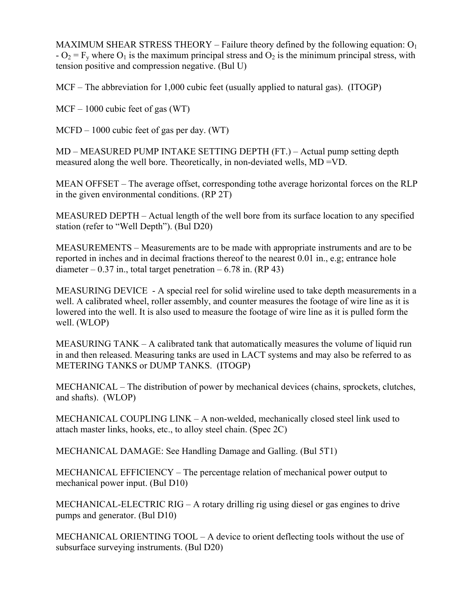MAXIMUM SHEAR STRESS THEORY – Failure theory defined by the following equation:  $O<sub>1</sub>$  $- O_2 = F_v$  where  $O_1$  is the maximum principal stress and  $O_2$  is the minimum principal stress, with tension positive and compression negative. (Bul U)

MCF – The abbreviation for 1,000 cubic feet (usually applied to natural gas). (ITOGP)

 $MCF - 1000$  cubic feet of gas (WT)

MCFD – 1000 cubic feet of gas per day. (WT)

MD – MEASURED PUMP INTAKE SETTING DEPTH (FT.) – Actual pump setting depth measured along the well bore. Theoretically, in non-deviated wells, MD =VD.

MEAN OFFSET – The average offset, corresponding tothe average horizontal forces on the RLP in the given environmental conditions. (RP 2T)

MEASURED DEPTH – Actual length of the well bore from its surface location to any specified station (refer to "Well Depth"). (Bul D20)

MEASUREMENTS – Measurements are to be made with appropriate instruments and are to be reported in inches and in decimal fractions thereof to the nearest 0.01 in., e.g; entrance hole diameter – 0.37 in., total target penetration – 6.78 in. (RP 43)

MEASURING DEVICE - A special reel for solid wireline used to take depth measurements in a well. A calibrated wheel, roller assembly, and counter measures the footage of wire line as it is lowered into the well. It is also used to measure the footage of wire line as it is pulled form the well. (WLOP)

MEASURING TANK – A calibrated tank that automatically measures the volume of liquid run in and then released. Measuring tanks are used in LACT systems and may also be referred to as METERING TANKS or DUMP TANKS. (ITOGP)

MECHANICAL – The distribution of power by mechanical devices (chains, sprockets, clutches, and shafts). (WLOP)

MECHANICAL COUPLING LINK – A non-welded, mechanically closed steel link used to attach master links, hooks, etc., to alloy steel chain. (Spec 2C)

MECHANICAL DAMAGE: See Handling Damage and Galling. (Bul 5T1)

MECHANICAL EFFICIENCY – The percentage relation of mechanical power output to mechanical power input. (Bul D10)

MECHANICAL-ELECTRIC RIG – A rotary drilling rig using diesel or gas engines to drive pumps and generator. (Bul D10)

MECHANICAL ORIENTING TOOL – A device to orient deflecting tools without the use of subsurface surveying instruments. (Bul D20)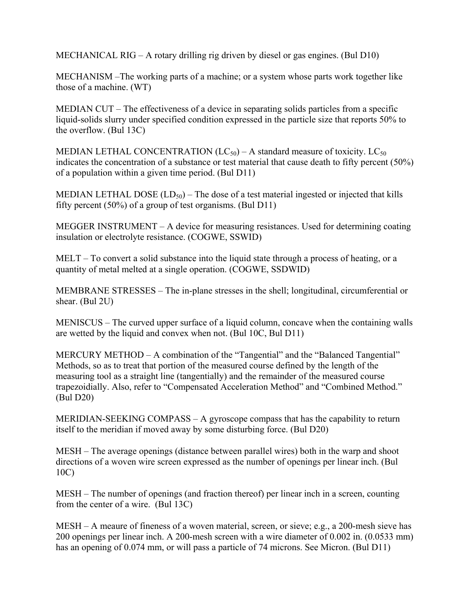MECHANICAL RIG – A rotary drilling rig driven by diesel or gas engines. (Bul D10)

MECHANISM –The working parts of a machine; or a system whose parts work together like those of a machine. (WT)

MEDIAN CUT – The effectiveness of a device in separating solids particles from a specific liquid-solids slurry under specified condition expressed in the particle size that reports 50% to the overflow. (Bul 13C)

MEDIAN LETHAL CONCENTRATION  $(LC_{50})$  – A standard measure of toxicity. LC<sub>50</sub> indicates the concentration of a substance or test material that cause death to fifty percent (50%) of a population within a given time period. (Bul D11)

MEDIAN LETHAL DOSE  $(LD_{50})$  – The dose of a test material ingested or injected that kills fifty percent (50%) of a group of test organisms. (Bul D11)

MEGGER INSTRUMENT – A device for measuring resistances. Used for determining coating insulation or electrolyte resistance. (COGWE, SSWID)

MELT – To convert a solid substance into the liquid state through a process of heating, or a quantity of metal melted at a single operation. (COGWE, SSDWID)

MEMBRANE STRESSES – The in-plane stresses in the shell; longitudinal, circumferential or shear. (Bul 2U)

MENISCUS – The curved upper surface of a liquid column, concave when the containing walls are wetted by the liquid and convex when not. (Bul 10C, Bul D11)

MERCURY METHOD – A combination of the "Tangential" and the "Balanced Tangential" Methods, so as to treat that portion of the measured course defined by the length of the measuring tool as a straight line (tangentially) and the remainder of the measured course trapezoidially. Also, refer to "Compensated Acceleration Method" and "Combined Method." (Bul D20)

MERIDIAN-SEEKING COMPASS – A gyroscope compass that has the capability to return itself to the meridian if moved away by some disturbing force. (Bul D20)

MESH – The average openings (distance between parallel wires) both in the warp and shoot directions of a woven wire screen expressed as the number of openings per linear inch. (Bul 10C)

MESH – The number of openings (and fraction thereof) per linear inch in a screen, counting from the center of a wire. (Bul 13C)

MESH – A meaure of fineness of a woven material, screen, or sieve; e.g., a 200-mesh sieve has 200 openings per linear inch. A 200-mesh screen with a wire diameter of 0.002 in. (0.0533 mm) has an opening of 0.074 mm, or will pass a particle of 74 microns. See Micron. (Bul D11)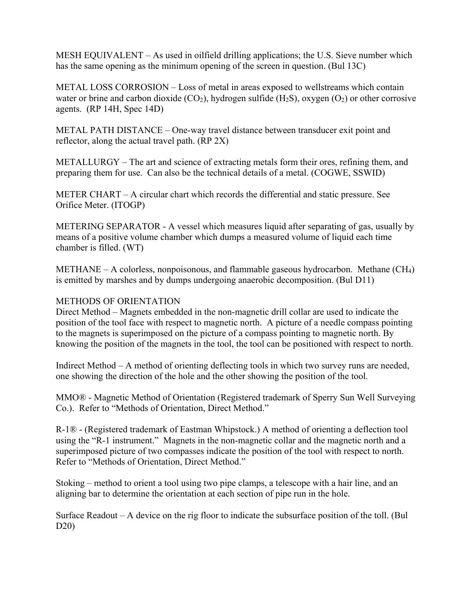MESH EQUIVALENT – As used in oilfield drilling applications; the U.S. Sieve number which has the same opening as the minimum opening of the screen in question. (Bul 13C)

METAL LOSS CORROSION – Loss of metal in areas exposed to wellstreams which contain water or brine and carbon dioxide  $(CO_2)$ , hydrogen sulfide  $(H_2S)$ , oxygen  $(O_2)$  or other corrosive agents. (RP 14H, Spec 14D)

METAL PATH DISTANCE – One-way travel distance between transducer exit point and reflector, along the actual travel path. (RP 2X)

METALLURGY – The art and science of extracting metals form their ores, refining them, and preparing them for use. Can also be the technical details of a metal. (COGWE, SSWID)

METER CHART – A circular chart which records the differential and static pressure. See Orifice Meter. (ITOGP)

METERING SEPARATOR - A vessel which measures liquid after separating of gas, usually by means of a positive volume chamber which dumps a measured volume of liquid each time chamber is filled. (WT)

METHANE – A colorless, nonpoisonous, and flammable gaseous hydrocarbon. Methane  $(CH<sub>4</sub>)$ is emitted by marshes and by dumps undergoing anaerobic decomposition. (Bul D11)

## METHODS OF ORIENTATION

Direct Method – Magnets embedded in the non-magnetic drill collar are used to indicate the position of the tool face with respect to magnetic north. A picture of a needle compass pointing to the magnets is superimposed on the picture of a compass pointing to magnetic north. By knowing the position of the magnets in the tool, the tool can be positioned with respect to north.

Indirect Method – A method of orienting deflecting tools in which two survey runs are needed, one showing the direction of the hole and the other showing the position of the tool.

MMO® - Magnetic Method of Orientation (Registered trademark of Sperry Sun Well Surveying Co.). Refer to "Methods of Orientation, Direct Method."

R-1® - (Registered trademark of Eastman Whipstock.) A method of orienting a deflection tool using the "R-1 instrument." Magnets in the non-magnetic collar and the magnetic north and a superimposed picture of two compasses indicate the position of the tool with respect to north. Refer to "Methods of Orientation, Direct Method."

Stoking – method to orient a tool using two pipe clamps, a telescope with a hair line, and an aligning bar to determine the orientation at each section of pipe run in the hole.

Surface Readout – A device on the rig floor to indicate the subsurface position of the toll. (Bul D20)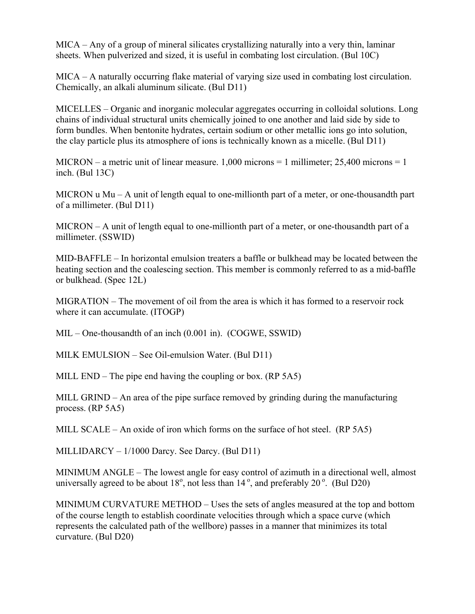MICA – Any of a group of mineral silicates crystallizing naturally into a very thin, laminar sheets. When pulverized and sized, it is useful in combating lost circulation. (Bul 10C)

MICA – A naturally occurring flake material of varying size used in combating lost circulation. Chemically, an alkali aluminum silicate. (Bul D11)

MICELLES – Organic and inorganic molecular aggregates occurring in colloidal solutions. Long chains of individual structural units chemically joined to one another and laid side by side to form bundles. When bentonite hydrates, certain sodium or other metallic ions go into solution, the clay particle plus its atmosphere of ions is technically known as a micelle. (Bul D11)

MICRON – a metric unit of linear measure.  $1,000$  microns = 1 millimeter;  $25,400$  microns = 1 inch. (Bul 13C)

MICRON u Mu – A unit of length equal to one-millionth part of a meter, or one-thousandth part of a millimeter. (Bul D11)

MICRON – A unit of length equal to one-millionth part of a meter, or one-thousandth part of a millimeter. (SSWID)

MID-BAFFLE – In horizontal emulsion treaters a baffle or bulkhead may be located between the heating section and the coalescing section. This member is commonly referred to as a mid-baffle or bulkhead. (Spec 12L)

MIGRATION – The movement of oil from the area is which it has formed to a reservoir rock where it can accumulate. (ITOGP)

MIL – One-thousandth of an inch (0.001 in). (COGWE, SSWID)

MILK EMULSION – See Oil-emulsion Water. (Bul D11)

MILL END – The pipe end having the coupling or box. (RP 5A5)

MILL GRIND – An area of the pipe surface removed by grinding during the manufacturing process. (RP 5A5)

MILL SCALE – An oxide of iron which forms on the surface of hot steel. (RP 5A5)

MILLIDARCY – 1/1000 Darcy. See Darcy. (Bul D11)

MINIMUM ANGLE – The lowest angle for easy control of azimuth in a directional well, almost universally agreed to be about  $18^\circ$ , not less than  $14^\circ$ , and preferably  $20^\circ$ . (Bul D20)

MINIMUM CURVATURE METHOD – Uses the sets of angles measured at the top and bottom of the course length to establish coordinate velocities through which a space curve (which represents the calculated path of the wellbore) passes in a manner that minimizes its total curvature. (Bul D20)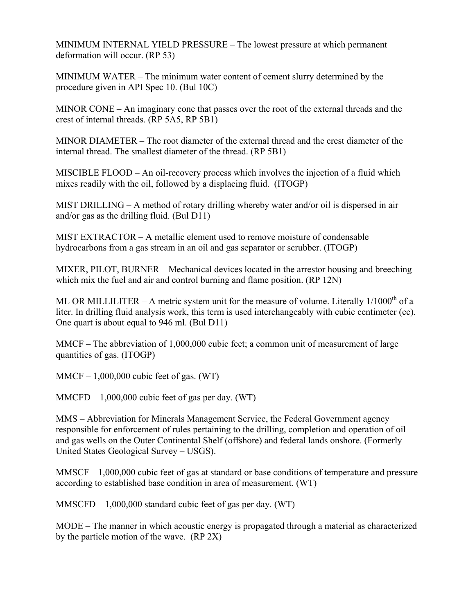MINIMUM INTERNAL YIELD PRESSURE – The lowest pressure at which permanent deformation will occur. (RP 53)

MINIMUM WATER – The minimum water content of cement slurry determined by the procedure given in API Spec 10. (Bul 10C)

MINOR CONE – An imaginary cone that passes over the root of the external threads and the crest of internal threads. (RP 5A5, RP 5B1)

MINOR DIAMETER – The root diameter of the external thread and the crest diameter of the internal thread. The smallest diameter of the thread. (RP 5B1)

MISCIBLE FLOOD – An oil-recovery process which involves the injection of a fluid which mixes readily with the oil, followed by a displacing fluid. (ITOGP)

MIST DRILLING – A method of rotary drilling whereby water and/or oil is dispersed in air and/or gas as the drilling fluid. (Bul D11)

MIST EXTRACTOR – A metallic element used to remove moisture of condensable hydrocarbons from a gas stream in an oil and gas separator or scrubber. (ITOGP)

MIXER, PILOT, BURNER – Mechanical devices located in the arrestor housing and breeching which mix the fuel and air and control burning and flame position. (RP 12N)

ML OR MILLILITER – A metric system unit for the measure of volume. Literally  $1/1000^{th}$  of a liter. In drilling fluid analysis work, this term is used interchangeably with cubic centimeter (cc). One quart is about equal to 946 ml. (Bul D11)

MMCF – The abbreviation of 1,000,000 cubic feet; a common unit of measurement of large quantities of gas. (ITOGP)

 $MMCF - 1,000,000$  cubic feet of gas. (WT)

 $MMCFD - 1,000,000$  cubic feet of gas per day. (WT)

MMS – Abbreviation for Minerals Management Service, the Federal Government agency responsible for enforcement of rules pertaining to the drilling, completion and operation of oil and gas wells on the Outer Continental Shelf (offshore) and federal lands onshore. (Formerly United States Geological Survey – USGS).

MMSCF – 1,000,000 cubic feet of gas at standard or base conditions of temperature and pressure according to established base condition in area of measurement. (WT)

MMSCFD – 1,000,000 standard cubic feet of gas per day. (WT)

MODE – The manner in which acoustic energy is propagated through a material as characterized by the particle motion of the wave. (RP 2X)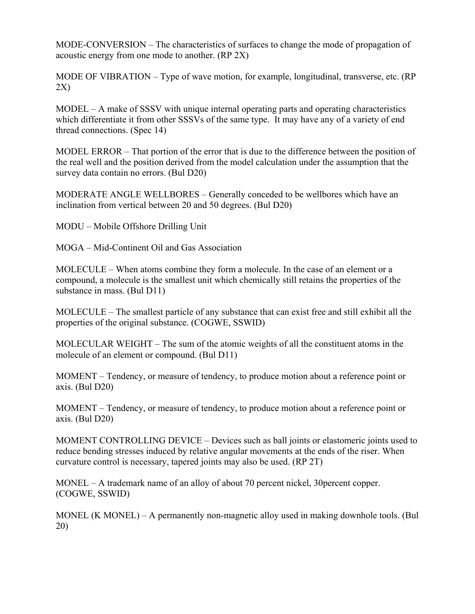MODE-CONVERSION – The characteristics of surfaces to change the mode of propagation of acoustic energy from one mode to another. (RP 2X)

MODE OF VIBRATION – Type of wave motion, for example, longitudinal, transverse, etc. (RP 2X)

MODEL – A make of SSSV with unique internal operating parts and operating characteristics which differentiate it from other SSSVs of the same type. It may have any of a variety of end thread connections. (Spec 14)

MODEL ERROR – That portion of the error that is due to the difference between the position of the real well and the position derived from the model calculation under the assumption that the survey data contain no errors. (Bul D20)

MODERATE ANGLE WELLBORES – Generally conceded to be wellbores which have an inclination from vertical between 20 and 50 degrees. (Bul D20)

MODU – Mobile Offshore Drilling Unit

MOGA – Mid-Continent Oil and Gas Association

MOLECULE – When atoms combine they form a molecule. In the case of an element or a compound, a molecule is the smallest unit which chemically still retains the properties of the substance in mass. (Bul D11)

MOLECULE – The smallest particle of any substance that can exist free and still exhibit all the properties of the original substance. (COGWE, SSWID)

MOLECULAR WEIGHT – The sum of the atomic weights of all the constituent atoms in the molecule of an element or compound. (Bul D11)

MOMENT – Tendency, or measure of tendency, to produce motion about a reference point or axis. (Bul D20)

MOMENT – Tendency, or measure of tendency, to produce motion about a reference point or axis. (Bul D20)

MOMENT CONTROLLING DEVICE – Devices such as ball joints or elastomeric joints used to reduce bending stresses induced by relative angular movements at the ends of the riser. When curvature control is necessary, tapered joints may also be used. (RP 2T)

MONEL – A trademark name of an alloy of about 70 percent nickel, 30percent copper. (COGWE, SSWID)

MONEL (K MONEL) – A permanently non-magnetic alloy used in making downhole tools. (Bul 20)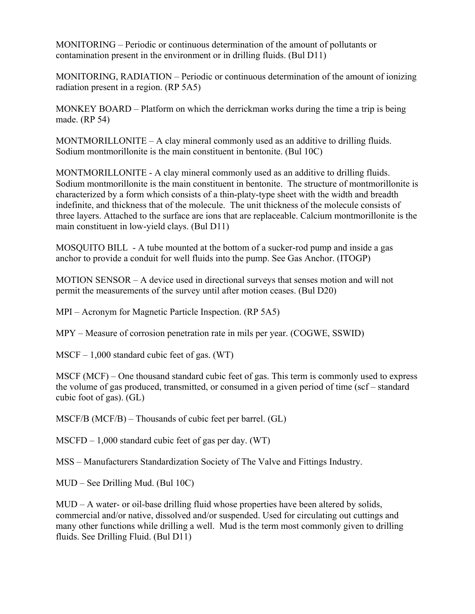MONITORING – Periodic or continuous determination of the amount of pollutants or contamination present in the environment or in drilling fluids. (Bul D11)

MONITORING, RADIATION – Periodic or continuous determination of the amount of ionizing radiation present in a region. (RP 5A5)

MONKEY BOARD – Platform on which the derrickman works during the time a trip is being made. (RP 54)

MONTMORILLONITE – A clay mineral commonly used as an additive to drilling fluids. Sodium montmorillonite is the main constituent in bentonite. (Bul 10C)

MONTMORILLONITE - A clay mineral commonly used as an additive to drilling fluids. Sodium montmorillonite is the main constituent in bentonite. The structure of montmorillonite is characterized by a form which consists of a thin-platy-type sheet with the width and breadth indefinite, and thickness that of the molecule. The unit thickness of the molecule consists of three layers. Attached to the surface are ions that are replaceable. Calcium montmorillonite is the main constituent in low-yield clays. (Bul D11)

MOSQUITO BILL - A tube mounted at the bottom of a sucker-rod pump and inside a gas anchor to provide a conduit for well fluids into the pump. See Gas Anchor. (ITOGP)

MOTION SENSOR – A device used in directional surveys that senses motion and will not permit the measurements of the survey until after motion ceases. (Bul D20)

MPI – Acronym for Magnetic Particle Inspection. (RP 5A5)

MPY – Measure of corrosion penetration rate in mils per year. (COGWE, SSWID)

MSCF – 1,000 standard cubic feet of gas. (WT)

MSCF (MCF) – One thousand standard cubic feet of gas. This term is commonly used to express the volume of gas produced, transmitted, or consumed in a given period of time (scf – standard cubic foot of gas). (GL)

MSCF/B (MCF/B) – Thousands of cubic feet per barrel. (GL)

 $MSCFD - 1,000$  standard cubic feet of gas per day. (WT)

MSS – Manufacturers Standardization Society of The Valve and Fittings Industry.

MUD – See Drilling Mud. (Bul 10C)

MUD – A water- or oil-base drilling fluid whose properties have been altered by solids, commercial and/or native, dissolved and/or suspended. Used for circulating out cuttings and many other functions while drilling a well. Mud is the term most commonly given to drilling fluids. See Drilling Fluid. (Bul D11)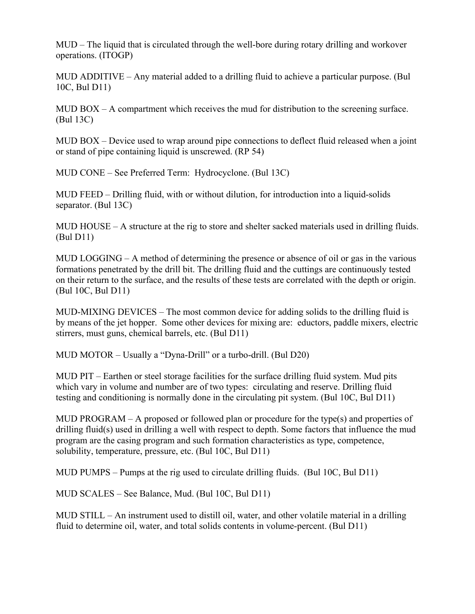MUD – The liquid that is circulated through the well-bore during rotary drilling and workover operations. (ITOGP)

MUD ADDITIVE – Any material added to a drilling fluid to achieve a particular purpose. (Bul 10C, Bul D11)

MUD BOX – A compartment which receives the mud for distribution to the screening surface. (Bul 13C)

MUD BOX – Device used to wrap around pipe connections to deflect fluid released when a joint or stand of pipe containing liquid is unscrewed. (RP 54)

MUD CONE – See Preferred Term: Hydrocyclone. (Bul 13C)

MUD FEED – Drilling fluid, with or without dilution, for introduction into a liquid-solids separator. (Bul 13C)

MUD HOUSE – A structure at the rig to store and shelter sacked materials used in drilling fluids. (Bul D11)

MUD LOGGING – A method of determining the presence or absence of oil or gas in the various formations penetrated by the drill bit. The drilling fluid and the cuttings are continuously tested on their return to the surface, and the results of these tests are correlated with the depth or origin. (Bul 10C, Bul D11)

MUD-MIXING DEVICES – The most common device for adding solids to the drilling fluid is by means of the jet hopper. Some other devices for mixing are: eductors, paddle mixers, electric stirrers, must guns, chemical barrels, etc. (Bul D11)

MUD MOTOR – Usually a "Dyna-Drill" or a turbo-drill. (Bul D20)

MUD PIT – Earthen or steel storage facilities for the surface drilling fluid system. Mud pits which vary in volume and number are of two types: circulating and reserve. Drilling fluid testing and conditioning is normally done in the circulating pit system. (Bul 10C, Bul D11)

MUD PROGRAM – A proposed or followed plan or procedure for the type(s) and properties of drilling fluid(s) used in drilling a well with respect to depth. Some factors that influence the mud program are the casing program and such formation characteristics as type, competence, solubility, temperature, pressure, etc. (Bul 10C, Bul D11)

MUD PUMPS – Pumps at the rig used to circulate drilling fluids. (Bul 10C, Bul D11)

MUD SCALES – See Balance, Mud. (Bul 10C, Bul D11)

MUD STILL – An instrument used to distill oil, water, and other volatile material in a drilling fluid to determine oil, water, and total solids contents in volume-percent. (Bul D11)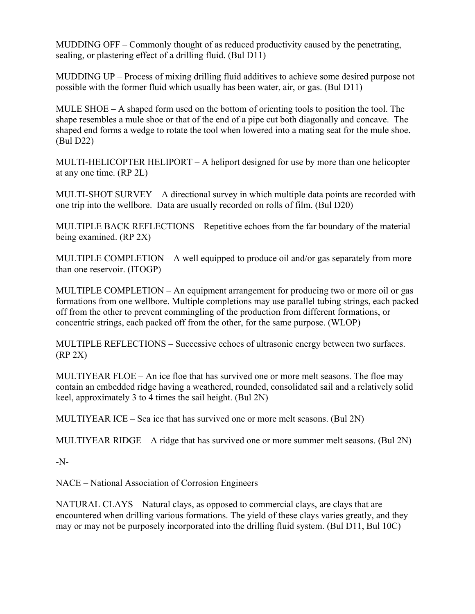MUDDING OFF – Commonly thought of as reduced productivity caused by the penetrating, sealing, or plastering effect of a drilling fluid. (Bul D11)

MUDDING UP – Process of mixing drilling fluid additives to achieve some desired purpose not possible with the former fluid which usually has been water, air, or gas. (Bul D11)

MULE SHOE – A shaped form used on the bottom of orienting tools to position the tool. The shape resembles a mule shoe or that of the end of a pipe cut both diagonally and concave. The shaped end forms a wedge to rotate the tool when lowered into a mating seat for the mule shoe. (Bul D22)

MULTI-HELICOPTER HELIPORT – A heliport designed for use by more than one helicopter at any one time. (RP 2L)

MULTI-SHOT SURVEY – A directional survey in which multiple data points are recorded with one trip into the wellbore. Data are usually recorded on rolls of film. (Bul D20)

MULTIPLE BACK REFLECTIONS – Repetitive echoes from the far boundary of the material being examined. (RP 2X)

MULTIPLE COMPLETION – A well equipped to produce oil and/or gas separately from more than one reservoir. (ITOGP)

MULTIPLE COMPLETION – An equipment arrangement for producing two or more oil or gas formations from one wellbore. Multiple completions may use parallel tubing strings, each packed off from the other to prevent commingling of the production from different formations, or concentric strings, each packed off from the other, for the same purpose. (WLOP)

MULTIPLE REFLECTIONS – Successive echoes of ultrasonic energy between two surfaces. (RP 2X)

MULTIYEAR FLOE – An ice floe that has survived one or more melt seasons. The floe may contain an embedded ridge having a weathered, rounded, consolidated sail and a relatively solid keel, approximately 3 to 4 times the sail height. (Bul 2N)

MULTIYEAR ICE – Sea ice that has survived one or more melt seasons. (Bul 2N)

MULTIYEAR RIDGE – A ridge that has survived one or more summer melt seasons. (Bul 2N)

-N-

NACE – National Association of Corrosion Engineers

NATURAL CLAYS – Natural clays, as opposed to commercial clays, are clays that are encountered when drilling various formations. The yield of these clays varies greatly, and they may or may not be purposely incorporated into the drilling fluid system. (Bul D11, Bul 10C)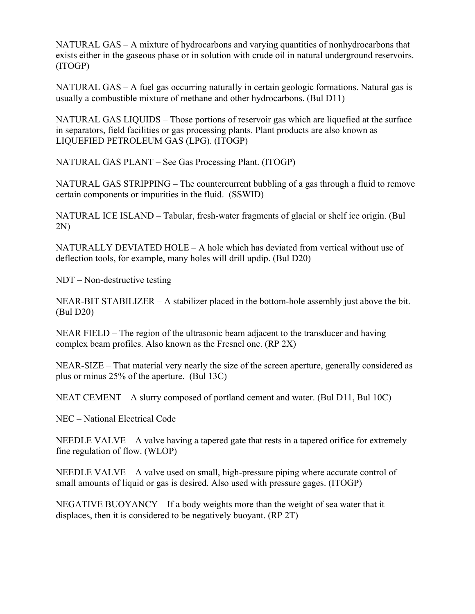NATURAL GAS – A mixture of hydrocarbons and varying quantities of nonhydrocarbons that exists either in the gaseous phase or in solution with crude oil in natural underground reservoirs. (ITOGP)

NATURAL GAS – A fuel gas occurring naturally in certain geologic formations. Natural gas is usually a combustible mixture of methane and other hydrocarbons. (Bul D11)

NATURAL GAS LIQUIDS – Those portions of reservoir gas which are liquefied at the surface in separators, field facilities or gas processing plants. Plant products are also known as LIQUEFIED PETROLEUM GAS (LPG). (ITOGP)

NATURAL GAS PLANT – See Gas Processing Plant. (ITOGP)

NATURAL GAS STRIPPING – The countercurrent bubbling of a gas through a fluid to remove certain components or impurities in the fluid. (SSWID)

NATURAL ICE ISLAND – Tabular, fresh-water fragments of glacial or shelf ice origin. (Bul 2N)

NATURALLY DEVIATED HOLE – A hole which has deviated from vertical without use of deflection tools, for example, many holes will drill updip. (Bul D20)

NDT – Non-destructive testing

NEAR-BIT STABILIZER – A stabilizer placed in the bottom-hole assembly just above the bit. (Bul D20)

NEAR FIELD – The region of the ultrasonic beam adjacent to the transducer and having complex beam profiles. Also known as the Fresnel one. (RP 2X)

NEAR-SIZE – That material very nearly the size of the screen aperture, generally considered as plus or minus 25% of the aperture. (Bul 13C)

NEAT CEMENT – A slurry composed of portland cement and water. (Bul D11, Bul 10C)

NEC – National Electrical Code

NEEDLE VALVE – A valve having a tapered gate that rests in a tapered orifice for extremely fine regulation of flow. (WLOP)

NEEDLE VALVE – A valve used on small, high-pressure piping where accurate control of small amounts of liquid or gas is desired. Also used with pressure gages. (ITOGP)

NEGATIVE BUOYANCY – If a body weights more than the weight of sea water that it displaces, then it is considered to be negatively buoyant. (RP 2T)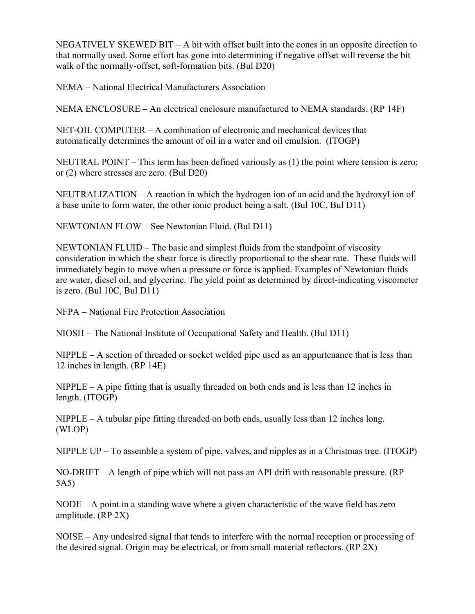NEGATIVELY SKEWED BIT – A bit with offset built into the cones in an opposite direction to that normally used. Some effort has gone into determining if negative offset will reverse the bit walk of the normally-offset, soft-formation bits. (Bul D20)

NEMA – National Electrical Manufacturers Association

NEMA ENCLOSURE – An electrical enclosure manufactured to NEMA standards. (RP 14F)

NET-OIL COMPUTER – A combination of electronic and mechanical devices that automatically determines the amount of oil in a water and oil emulsion. (ITOGP)

NEUTRAL POINT – This term has been defined variously as (1) the point where tension is zero; or (2) where stresses are zero. (Bul D20)

NEUTRALIZATION – A reaction in which the hydrogen ion of an acid and the hydroxyl ion of a base unite to form water, the other ionic product being a salt. (Bul 10C, Bul D11)

NEWTONIAN FLOW – See Newtonian Fluid. (Bul D11)

NEWTONIAN FLUID – The basic and simplest fluids from the standpoint of viscosity consideration in which the shear force is directly proportional to the shear rate. These fluids will immediately begin to move when a pressure or force is applied. Examples of Newtonian fluids are water, diesel oil, and glycerine. The yield point as determined by direct-indicating viscometer is zero. (Bul 10C, Bul D11)

NFPA – National Fire Protection Association

NIOSH – The National Institute of Occupational Safety and Health. (Bul D11)

NIPPLE – A section of threaded or socket welded pipe used as an appurtenance that is less than 12 inches in length. (RP 14E)

NIPPLE – A pipe fitting that is usually threaded on both ends and is less than 12 inches in length. (ITOGP)

NIPPLE – A tubular pipe fitting threaded on both ends, usually less than 12 inches long. (WLOP)

NIPPLE UP – To assemble a system of pipe, valves, and nipples as in a Christmas tree. (ITOGP)

NO-DRIFT – A length of pipe which will not pass an API drift with reasonable pressure. (RP 5A5)

NODE – A point in a standing wave where a given characteristic of the wave field has zero amplitude. (RP 2X)

NOISE – Any undesired signal that tends to interfere with the normal reception or processing of the desired signal. Origin may be electrical, or from small material reflectors. (RP 2X)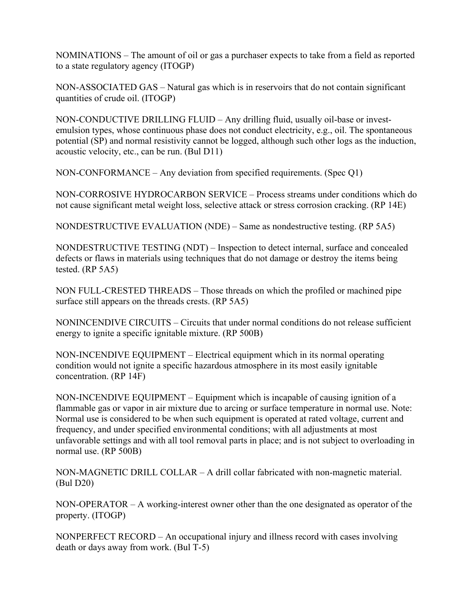NOMINATIONS – The amount of oil or gas a purchaser expects to take from a field as reported to a state regulatory agency (ITOGP)

NON-ASSOCIATED GAS – Natural gas which is in reservoirs that do not contain significant quantities of crude oil. (ITOGP)

NON-CONDUCTIVE DRILLING FLUID – Any drilling fluid, usually oil-base or investemulsion types, whose continuous phase does not conduct electricity, e.g., oil. The spontaneous potential (SP) and normal resistivity cannot be logged, although such other logs as the induction, acoustic velocity, etc., can be run. (Bul D11)

NON-CONFORMANCE – Any deviation from specified requirements. (Spec Q1)

NON-CORROSIVE HYDROCARBON SERVICE – Process streams under conditions which do not cause significant metal weight loss, selective attack or stress corrosion cracking. (RP 14E)

NONDESTRUCTIVE EVALUATION (NDE) – Same as nondestructive testing. (RP 5A5)

NONDESTRUCTIVE TESTING (NDT) – Inspection to detect internal, surface and concealed defects or flaws in materials using techniques that do not damage or destroy the items being tested. (RP 5A5)

NON FULL-CRESTED THREADS – Those threads on which the profiled or machined pipe surface still appears on the threads crests. (RP 5A5)

NONINCENDIVE CIRCUITS – Circuits that under normal conditions do not release sufficient energy to ignite a specific ignitable mixture. (RP 500B)

NON-INCENDIVE EQUIPMENT – Electrical equipment which in its normal operating condition would not ignite a specific hazardous atmosphere in its most easily ignitable concentration. (RP 14F)

NON-INCENDIVE EQUIPMENT – Equipment which is incapable of causing ignition of a flammable gas or vapor in air mixture due to arcing or surface temperature in normal use. Note: Normal use is considered to be when such equipment is operated at rated voltage, current and frequency, and under specified environmental conditions; with all adjustments at most unfavorable settings and with all tool removal parts in place; and is not subject to overloading in normal use. (RP 500B)

NON-MAGNETIC DRILL COLLAR – A drill collar fabricated with non-magnetic material. (Bul D20)

NON-OPERATOR – A working-interest owner other than the one designated as operator of the property. (ITOGP)

NONPERFECT RECORD – An occupational injury and illness record with cases involving death or days away from work. (Bul T-5)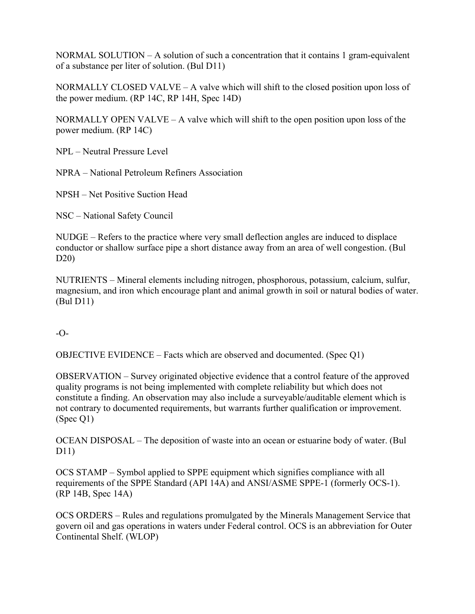NORMAL SOLUTION – A solution of such a concentration that it contains 1 gram-equivalent of a substance per liter of solution. (Bul D11)

NORMALLY CLOSED VALVE – A valve which will shift to the closed position upon loss of the power medium. (RP 14C, RP 14H, Spec 14D)

NORMALLY OPEN VALVE – A valve which will shift to the open position upon loss of the power medium. (RP 14C)

NPL – Neutral Pressure Level

NPRA – National Petroleum Refiners Association

NPSH – Net Positive Suction Head

NSC – National Safety Council

NUDGE – Refers to the practice where very small deflection angles are induced to displace conductor or shallow surface pipe a short distance away from an area of well congestion. (Bul D20)

NUTRIENTS – Mineral elements including nitrogen, phosphorous, potassium, calcium, sulfur, magnesium, and iron which encourage plant and animal growth in soil or natural bodies of water. (Bul D11)

## -O-

OBJECTIVE EVIDENCE – Facts which are observed and documented. (Spec Q1)

OBSERVATION – Survey originated objective evidence that a control feature of the approved quality programs is not being implemented with complete reliability but which does not constitute a finding. An observation may also include a surveyable/auditable element which is not contrary to documented requirements, but warrants further qualification or improvement. (Spec Q1)

OCEAN DISPOSAL – The deposition of waste into an ocean or estuarine body of water. (Bul D11)

OCS STAMP – Symbol applied to SPPE equipment which signifies compliance with all requirements of the SPPE Standard (API 14A) and ANSI/ASME SPPE-1 (formerly OCS-1). (RP 14B, Spec 14A)

OCS ORDERS – Rules and regulations promulgated by the Minerals Management Service that govern oil and gas operations in waters under Federal control. OCS is an abbreviation for Outer Continental Shelf. (WLOP)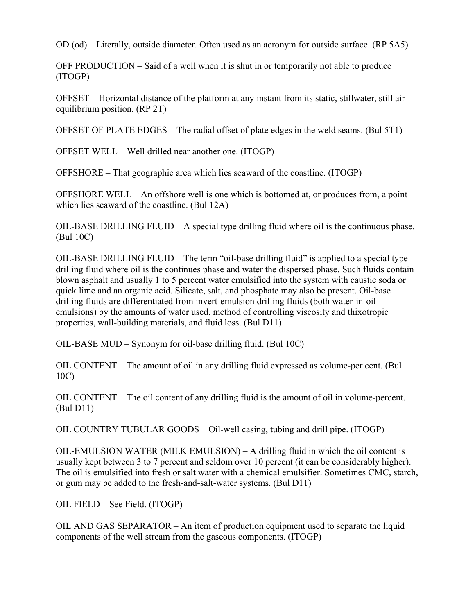OD (od) – Literally, outside diameter. Often used as an acronym for outside surface. (RP 5A5)

OFF PRODUCTION – Said of a well when it is shut in or temporarily not able to produce (ITOGP)

OFFSET – Horizontal distance of the platform at any instant from its static, stillwater, still air equilibrium position. (RP 2T)

OFFSET OF PLATE EDGES – The radial offset of plate edges in the weld seams. (Bul 5T1)

OFFSET WELL – Well drilled near another one. (ITOGP)

OFFSHORE – That geographic area which lies seaward of the coastline. (ITOGP)

OFFSHORE WELL – An offshore well is one which is bottomed at, or produces from, a point which lies seaward of the coastline. (Bul 12A)

OIL-BASE DRILLING FLUID – A special type drilling fluid where oil is the continuous phase. (Bul 10C)

OIL-BASE DRILLING FLUID – The term "oil-base drilling fluid" is applied to a special type drilling fluid where oil is the continues phase and water the dispersed phase. Such fluids contain blown asphalt and usually 1 to 5 percent water emulsified into the system with caustic soda or quick lime and an organic acid. Silicate, salt, and phosphate may also be present. Oil-base drilling fluids are differentiated from invert-emulsion drilling fluids (both water-in-oil emulsions) by the amounts of water used, method of controlling viscosity and thixotropic properties, wall-building materials, and fluid loss. (Bul D11)

OIL-BASE MUD – Synonym for oil-base drilling fluid. (Bul 10C)

OIL CONTENT – The amount of oil in any drilling fluid expressed as volume-per cent. (Bul 10C)

OIL CONTENT – The oil content of any drilling fluid is the amount of oil in volume-percent. (Bul D11)

OIL COUNTRY TUBULAR GOODS – Oil-well casing, tubing and drill pipe. (ITOGP)

OIL-EMULSION WATER (MILK EMULSION) – A drilling fluid in which the oil content is usually kept between 3 to 7 percent and seldom over 10 percent (it can be considerably higher). The oil is emulsified into fresh or salt water with a chemical emulsifier. Sometimes CMC, starch, or gum may be added to the fresh-and-salt-water systems. (Bul D11)

OIL FIELD – See Field. (ITOGP)

OIL AND GAS SEPARATOR – An item of production equipment used to separate the liquid components of the well stream from the gaseous components. (ITOGP)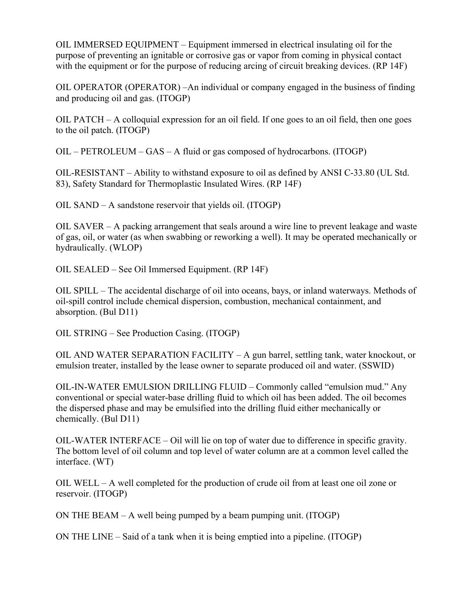OIL IMMERSED EQUIPMENT – Equipment immersed in electrical insulating oil for the purpose of preventing an ignitable or corrosive gas or vapor from coming in physical contact with the equipment or for the purpose of reducing arcing of circuit breaking devices. (RP 14F)

OIL OPERATOR (OPERATOR) –An individual or company engaged in the business of finding and producing oil and gas. (ITOGP)

OIL PATCH – A colloquial expression for an oil field. If one goes to an oil field, then one goes to the oil patch. (ITOGP)

OIL – PETROLEUM – GAS – A fluid or gas composed of hydrocarbons. (ITOGP)

OIL-RESISTANT – Ability to withstand exposure to oil as defined by ANSI C-33.80 (UL Std. 83), Safety Standard for Thermoplastic Insulated Wires. (RP 14F)

OIL SAND – A sandstone reservoir that yields oil. (ITOGP)

OIL SAVER – A packing arrangement that seals around a wire line to prevent leakage and waste of gas, oil, or water (as when swabbing or reworking a well). It may be operated mechanically or hydraulically. (WLOP)

OIL SEALED – See Oil Immersed Equipment. (RP 14F)

OIL SPILL – The accidental discharge of oil into oceans, bays, or inland waterways. Methods of oil-spill control include chemical dispersion, combustion, mechanical containment, and absorption. (Bul D11)

OIL STRING – See Production Casing. (ITOGP)

OIL AND WATER SEPARATION FACILITY – A gun barrel, settling tank, water knockout, or emulsion treater, installed by the lease owner to separate produced oil and water. (SSWID)

OIL-IN-WATER EMULSION DRILLING FLUID – Commonly called "emulsion mud." Any conventional or special water-base drilling fluid to which oil has been added. The oil becomes the dispersed phase and may be emulsified into the drilling fluid either mechanically or chemically. (Bul D11)

OIL-WATER INTERFACE – Oil will lie on top of water due to difference in specific gravity. The bottom level of oil column and top level of water column are at a common level called the interface. (WT)

OIL WELL – A well completed for the production of crude oil from at least one oil zone or reservoir. (ITOGP)

ON THE BEAM – A well being pumped by a beam pumping unit. (ITOGP)

ON THE LINE – Said of a tank when it is being emptied into a pipeline. (ITOGP)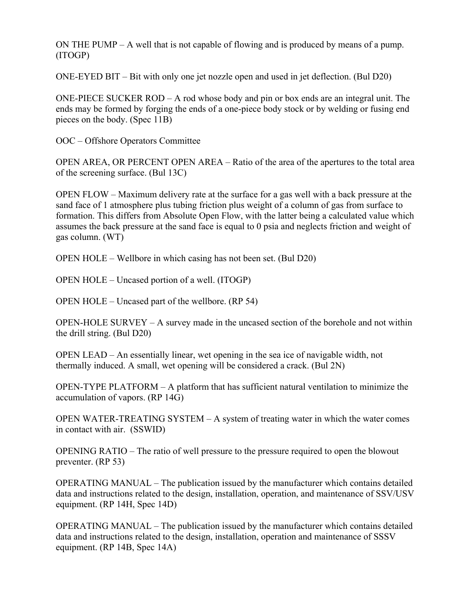ON THE PUMP – A well that is not capable of flowing and is produced by means of a pump. (ITOGP)

ONE-EYED BIT – Bit with only one jet nozzle open and used in jet deflection. (Bul D20)

ONE-PIECE SUCKER ROD – A rod whose body and pin or box ends are an integral unit. The ends may be formed by forging the ends of a one-piece body stock or by welding or fusing end pieces on the body. (Spec 11B)

OOC – Offshore Operators Committee

OPEN AREA, OR PERCENT OPEN AREA – Ratio of the area of the apertures to the total area of the screening surface. (Bul 13C)

OPEN FLOW – Maximum delivery rate at the surface for a gas well with a back pressure at the sand face of 1 atmosphere plus tubing friction plus weight of a column of gas from surface to formation. This differs from Absolute Open Flow, with the latter being a calculated value which assumes the back pressure at the sand face is equal to 0 psia and neglects friction and weight of gas column. (WT)

OPEN HOLE – Wellbore in which casing has not been set. (Bul D20)

OPEN HOLE – Uncased portion of a well. (ITOGP)

OPEN HOLE – Uncased part of the wellbore. (RP 54)

OPEN-HOLE SURVEY – A survey made in the uncased section of the borehole and not within the drill string. (Bul D20)

OPEN LEAD – An essentially linear, wet opening in the sea ice of navigable width, not thermally induced. A small, wet opening will be considered a crack. (Bul 2N)

OPEN-TYPE PLATFORM – A platform that has sufficient natural ventilation to minimize the accumulation of vapors. (RP 14G)

OPEN WATER-TREATING SYSTEM – A system of treating water in which the water comes in contact with air. (SSWID)

OPENING RATIO – The ratio of well pressure to the pressure required to open the blowout preventer. (RP 53)

OPERATING MANUAL – The publication issued by the manufacturer which contains detailed data and instructions related to the design, installation, operation, and maintenance of SSV/USV equipment. (RP 14H, Spec 14D)

OPERATING MANUAL – The publication issued by the manufacturer which contains detailed data and instructions related to the design, installation, operation and maintenance of SSSV equipment. (RP 14B, Spec 14A)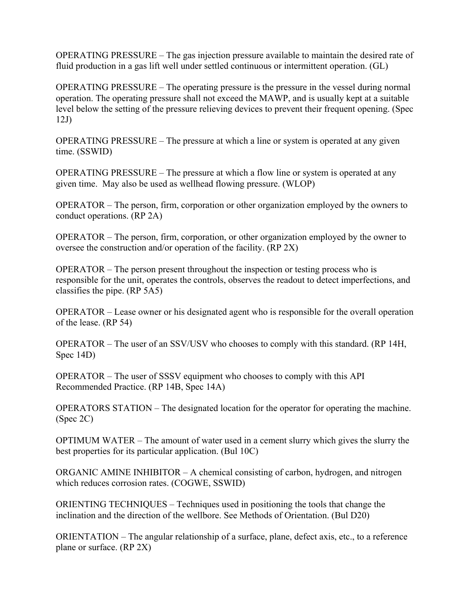OPERATING PRESSURE – The gas injection pressure available to maintain the desired rate of fluid production in a gas lift well under settled continuous or intermittent operation. (GL)

OPERATING PRESSURE – The operating pressure is the pressure in the vessel during normal operation. The operating pressure shall not exceed the MAWP, and is usually kept at a suitable level below the setting of the pressure relieving devices to prevent their frequent opening. (Spec 12J)

OPERATING PRESSURE – The pressure at which a line or system is operated at any given time. (SSWID)

OPERATING PRESSURE – The pressure at which a flow line or system is operated at any given time. May also be used as wellhead flowing pressure. (WLOP)

OPERATOR – The person, firm, corporation or other organization employed by the owners to conduct operations. (RP 2A)

OPERATOR – The person, firm, corporation, or other organization employed by the owner to oversee the construction and/or operation of the facility. (RP 2X)

OPERATOR – The person present throughout the inspection or testing process who is responsible for the unit, operates the controls, observes the readout to detect imperfections, and classifies the pipe. (RP 5A5)

OPERATOR – Lease owner or his designated agent who is responsible for the overall operation of the lease. (RP 54)

OPERATOR – The user of an SSV/USV who chooses to comply with this standard. (RP 14H, Spec 14D)

OPERATOR – The user of SSSV equipment who chooses to comply with this API Recommended Practice. (RP 14B, Spec 14A)

OPERATORS STATION – The designated location for the operator for operating the machine. (Spec 2C)

OPTIMUM WATER – The amount of water used in a cement slurry which gives the slurry the best properties for its particular application. (Bul 10C)

ORGANIC AMINE INHIBITOR – A chemical consisting of carbon, hydrogen, and nitrogen which reduces corrosion rates. (COGWE, SSWID)

ORIENTING TECHNIQUES – Techniques used in positioning the tools that change the inclination and the direction of the wellbore. See Methods of Orientation. (Bul D20)

ORIENTATION – The angular relationship of a surface, plane, defect axis, etc., to a reference plane or surface. (RP 2X)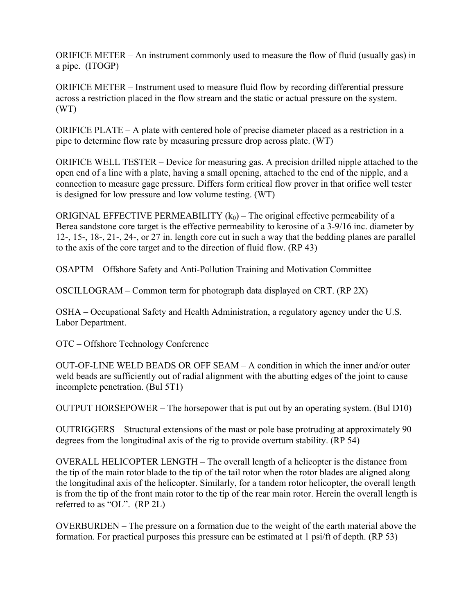ORIFICE METER – An instrument commonly used to measure the flow of fluid (usually gas) in a pipe. (ITOGP)

ORIFICE METER – Instrument used to measure fluid flow by recording differential pressure across a restriction placed in the flow stream and the static or actual pressure on the system. (WT)

ORIFICE PLATE – A plate with centered hole of precise diameter placed as a restriction in a pipe to determine flow rate by measuring pressure drop across plate. (WT)

ORIFICE WELL TESTER – Device for measuring gas. A precision drilled nipple attached to the open end of a line with a plate, having a small opening, attached to the end of the nipple, and a connection to measure gage pressure. Differs form critical flow prover in that orifice well tester is designed for low pressure and low volume testing. (WT)

ORIGINAL EFFECTIVE PERMEABILITY  $(k_0)$  – The original effective permeability of a Berea sandstone core target is the effective permeability to kerosine of a 3-9/16 inc. diameter by 12-, 15-, 18-, 21-, 24-, or 27 in. length core cut in such a way that the bedding planes are parallel to the axis of the core target and to the direction of fluid flow. (RP 43)

OSAPTM – Offshore Safety and Anti-Pollution Training and Motivation Committee

OSCILLOGRAM – Common term for photograph data displayed on CRT. (RP 2X)

OSHA – Occupational Safety and Health Administration, a regulatory agency under the U.S. Labor Department.

OTC – Offshore Technology Conference

OUT-OF-LINE WELD BEADS OR OFF SEAM – A condition in which the inner and/or outer weld beads are sufficiently out of radial alignment with the abutting edges of the joint to cause incomplete penetration. (Bul 5T1)

OUTPUT HORSEPOWER – The horsepower that is put out by an operating system. (Bul D10)

OUTRIGGERS – Structural extensions of the mast or pole base protruding at approximately 90 degrees from the longitudinal axis of the rig to provide overturn stability. (RP 54)

OVERALL HELICOPTER LENGTH – The overall length of a helicopter is the distance from the tip of the main rotor blade to the tip of the tail rotor when the rotor blades are aligned along the longitudinal axis of the helicopter. Similarly, for a tandem rotor helicopter, the overall length is from the tip of the front main rotor to the tip of the rear main rotor. Herein the overall length is referred to as "OL". (RP 2L)

OVERBURDEN – The pressure on a formation due to the weight of the earth material above the formation. For practical purposes this pressure can be estimated at 1 psi/ft of depth. (RP 53)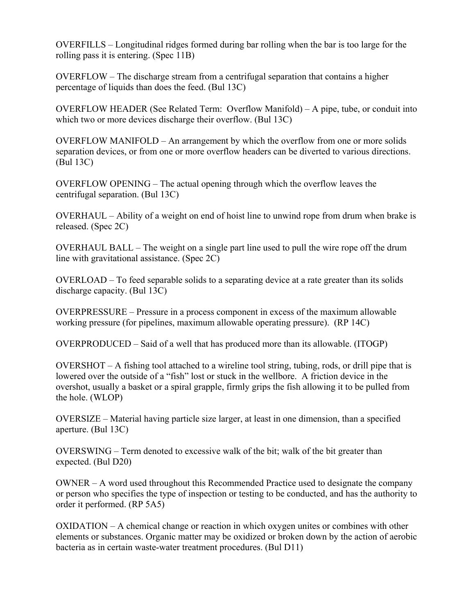OVERFILLS – Longitudinal ridges formed during bar rolling when the bar is too large for the rolling pass it is entering. (Spec 11B)

OVERFLOW – The discharge stream from a centrifugal separation that contains a higher percentage of liquids than does the feed. (Bul 13C)

OVERFLOW HEADER (See Related Term: Overflow Manifold) – A pipe, tube, or conduit into which two or more devices discharge their overflow. (Bul 13C)

OVERFLOW MANIFOLD – An arrangement by which the overflow from one or more solids separation devices, or from one or more overflow headers can be diverted to various directions. (Bul 13C)

OVERFLOW OPENING – The actual opening through which the overflow leaves the centrifugal separation. (Bul 13C)

OVERHAUL – Ability of a weight on end of hoist line to unwind rope from drum when brake is released. (Spec 2C)

OVERHAUL BALL – The weight on a single part line used to pull the wire rope off the drum line with gravitational assistance. (Spec 2C)

OVERLOAD – To feed separable solids to a separating device at a rate greater than its solids discharge capacity. (Bul 13C)

OVERPRESSURE – Pressure in a process component in excess of the maximum allowable working pressure (for pipelines, maximum allowable operating pressure). (RP 14C)

OVERPRODUCED – Said of a well that has produced more than its allowable. (ITOGP)

OVERSHOT – A fishing tool attached to a wireline tool string, tubing, rods, or drill pipe that is lowered over the outside of a "fish" lost or stuck in the wellbore. A friction device in the overshot, usually a basket or a spiral grapple, firmly grips the fish allowing it to be pulled from the hole. (WLOP)

OVERSIZE – Material having particle size larger, at least in one dimension, than a specified aperture. (Bul 13C)

OVERSWING – Term denoted to excessive walk of the bit; walk of the bit greater than expected. (Bul D20)

OWNER – A word used throughout this Recommended Practice used to designate the company or person who specifies the type of inspection or testing to be conducted, and has the authority to order it performed. (RP 5A5)

OXIDATION – A chemical change or reaction in which oxygen unites or combines with other elements or substances. Organic matter may be oxidized or broken down by the action of aerobic bacteria as in certain waste-water treatment procedures. (Bul D11)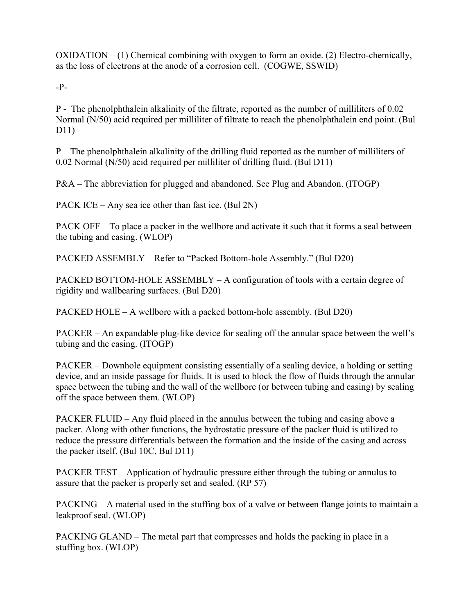OXIDATION – (1) Chemical combining with oxygen to form an oxide. (2) Electro-chemically, as the loss of electrons at the anode of a corrosion cell. (COGWE, SSWID)

-P-

P - The phenolphthalein alkalinity of the filtrate, reported as the number of milliliters of 0.02 Normal (N/50) acid required per milliliter of filtrate to reach the phenolphthalein end point. (Bul D11)

P – The phenolphthalein alkalinity of the drilling fluid reported as the number of milliliters of 0.02 Normal (N/50) acid required per milliliter of drilling fluid. (Bul D11)

P&A – The abbreviation for plugged and abandoned. See Plug and Abandon. (ITOGP)

PACK ICE – Any sea ice other than fast ice. (Bul 2N)

PACK OFF – To place a packer in the wellbore and activate it such that it forms a seal between the tubing and casing. (WLOP)

PACKED ASSEMBLY – Refer to "Packed Bottom-hole Assembly." (Bul D20)

PACKED BOTTOM-HOLE ASSEMBLY – A configuration of tools with a certain degree of rigidity and wallbearing surfaces. (Bul D20)

PACKED HOLE – A wellbore with a packed bottom-hole assembly. (Bul D20)

PACKER – An expandable plug-like device for sealing off the annular space between the well's tubing and the casing. (ITOGP)

PACKER – Downhole equipment consisting essentially of a sealing device, a holding or setting device, and an inside passage for fluids. It is used to block the flow of fluids through the annular space between the tubing and the wall of the wellbore (or between tubing and casing) by sealing off the space between them. (WLOP)

PACKER FLUID – Any fluid placed in the annulus between the tubing and casing above a packer. Along with other functions, the hydrostatic pressure of the packer fluid is utilized to reduce the pressure differentials between the formation and the inside of the casing and across the packer itself. (Bul 10C, Bul D11)

PACKER TEST – Application of hydraulic pressure either through the tubing or annulus to assure that the packer is properly set and sealed. (RP 57)

PACKING – A material used in the stuffing box of a valve or between flange joints to maintain a leakproof seal. (WLOP)

PACKING GLAND – The metal part that compresses and holds the packing in place in a stuffing box. (WLOP)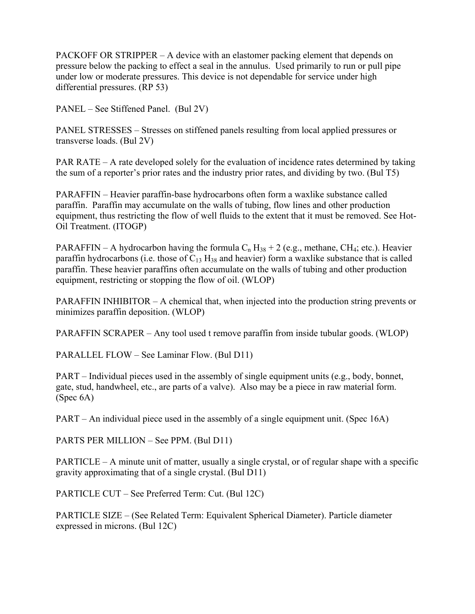PACKOFF OR STRIPPER – A device with an elastomer packing element that depends on pressure below the packing to effect a seal in the annulus. Used primarily to run or pull pipe under low or moderate pressures. This device is not dependable for service under high differential pressures. (RP 53)

PANEL – See Stiffened Panel. (Bul 2V)

PANEL STRESSES – Stresses on stiffened panels resulting from local applied pressures or transverse loads. (Bul 2V)

PAR RATE – A rate developed solely for the evaluation of incidence rates determined by taking the sum of a reporter's prior rates and the industry prior rates, and dividing by two. (Bul T5)

PARAFFIN – Heavier paraffin-base hydrocarbons often form a waxlike substance called paraffin. Paraffin may accumulate on the walls of tubing, flow lines and other production equipment, thus restricting the flow of well fluids to the extent that it must be removed. See Hot-Oil Treatment. (ITOGP)

PARAFFIN – A hydrocarbon having the formula  $C_n H_{38} + 2$  (e.g., methane, CH<sub>4</sub>; etc.). Heavier paraffin hydrocarbons (i.e. those of  $C_{13}$  H<sub>38</sub> and heavier) form a waxlike substance that is called paraffin. These heavier paraffins often accumulate on the walls of tubing and other production equipment, restricting or stopping the flow of oil. (WLOP)

PARAFFIN INHIBITOR – A chemical that, when injected into the production string prevents or minimizes paraffin deposition. (WLOP)

PARAFFIN SCRAPER – Any tool used t remove paraffin from inside tubular goods. (WLOP)

PARALLEL FLOW – See Laminar Flow. (Bul D11)

PART – Individual pieces used in the assembly of single equipment units (e.g., body, bonnet, gate, stud, handwheel, etc., are parts of a valve). Also may be a piece in raw material form. (Spec 6A)

PART – An individual piece used in the assembly of a single equipment unit. (Spec 16A)

PARTS PER MILLION – See PPM. (Bul D11)

PARTICLE – A minute unit of matter, usually a single crystal, or of regular shape with a specific gravity approximating that of a single crystal. (Bul D11)

PARTICLE CUT – See Preferred Term: Cut. (Bul 12C)

PARTICLE SIZE – (See Related Term: Equivalent Spherical Diameter). Particle diameter expressed in microns. (Bul 12C)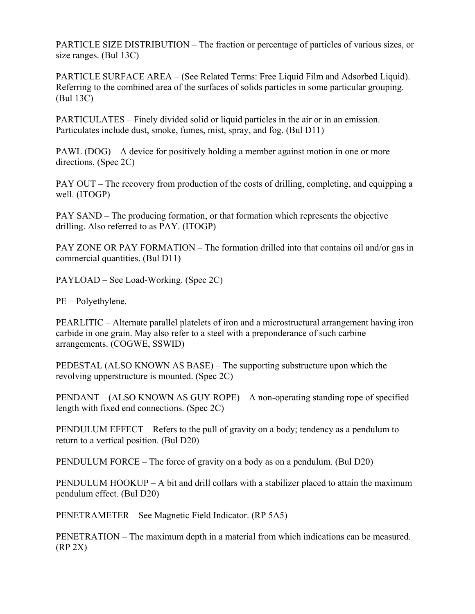PARTICLE SIZE DISTRIBUTION – The fraction or percentage of particles of various sizes, or size ranges. (Bul 13C)

PARTICLE SURFACE AREA – (See Related Terms: Free Liquid Film and Adsorbed Liquid). Referring to the combined area of the surfaces of solids particles in some particular grouping. (Bul 13C)

PARTICULATES – Finely divided solid or liquid particles in the air or in an emission. Particulates include dust, smoke, fumes, mist, spray, and fog. (Bul D11)

PAWL (DOG) – A device for positively holding a member against motion in one or more directions. (Spec 2C)

PAY OUT – The recovery from production of the costs of drilling, completing, and equipping a well. (ITOGP)

PAY SAND – The producing formation, or that formation which represents the objective drilling. Also referred to as PAY. (ITOGP)

PAY ZONE OR PAY FORMATION – The formation drilled into that contains oil and/or gas in commercial quantities. (Bul D11)

PAYLOAD – See Load-Working. (Spec 2C)

PE – Polyethylene.

PEARLITIC – Alternate parallel platelets of iron and a microstructural arrangement having iron carbide in one grain. May also refer to a steel with a preponderance of such carbine arrangements. (COGWE, SSWID)

PEDESTAL (ALSO KNOWN AS BASE) – The supporting substructure upon which the revolving upperstructure is mounted. (Spec 2C)

PENDANT – (ALSO KNOWN AS GUY ROPE) – A non-operating standing rope of specified length with fixed end connections. (Spec 2C)

PENDULUM EFFECT – Refers to the pull of gravity on a body; tendency as a pendulum to return to a vertical position. (Bul D20)

PENDULUM FORCE – The force of gravity on a body as on a pendulum. (Bul D20)

PENDULUM HOOKUP – A bit and drill collars with a stabilizer placed to attain the maximum pendulum effect. (Bul D20)

PENETRAMETER – See Magnetic Field Indicator. (RP 5A5)

PENETRATION – The maximum depth in a material from which indications can be measured. (RP 2X)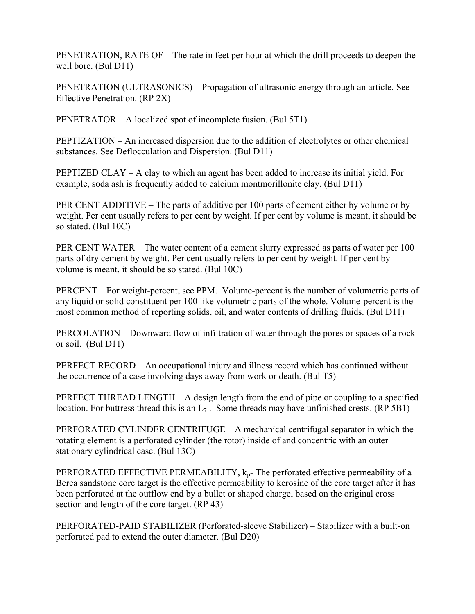PENETRATION, RATE OF – The rate in feet per hour at which the drill proceeds to deepen the well bore. (Bul D11)

PENETRATION (ULTRASONICS) – Propagation of ultrasonic energy through an article. See Effective Penetration. (RP 2X)

PENETRATOR – A localized spot of incomplete fusion. (Bul 5T1)

PEPTIZATION – An increased dispersion due to the addition of electrolytes or other chemical substances. See Deflocculation and Dispersion. (Bul D11)

PEPTIZED CLAY – A clay to which an agent has been added to increase its initial yield. For example, soda ash is frequently added to calcium montmorillonite clay. (Bul D11)

PER CENT ADDITIVE – The parts of additive per 100 parts of cement either by volume or by weight. Per cent usually refers to per cent by weight. If per cent by volume is meant, it should be so stated. (Bul 10C)

PER CENT WATER – The water content of a cement slurry expressed as parts of water per 100 parts of dry cement by weight. Per cent usually refers to per cent by weight. If per cent by volume is meant, it should be so stated. (Bul 10C)

PERCENT – For weight-percent, see PPM. Volume-percent is the number of volumetric parts of any liquid or solid constituent per 100 like volumetric parts of the whole. Volume-percent is the most common method of reporting solids, oil, and water contents of drilling fluids. (Bul D11)

PERCOLATION – Downward flow of infiltration of water through the pores or spaces of a rock or soil. (Bul D11)

PERFECT RECORD – An occupational injury and illness record which has continued without the occurrence of a case involving days away from work or death. (Bul T5)

PERFECT THREAD LENGTH – A design length from the end of pipe or coupling to a specified location. For buttress thread this is an  $L_7$ . Some threads may have unfinished crests. (RP 5B1)

PERFORATED CYLINDER CENTRIFUGE – A mechanical centrifugal separator in which the rotating element is a perforated cylinder (the rotor) inside of and concentric with an outer stationary cylindrical case. (Bul 13C)

PERFORATED EFFECTIVE PERMEABILITY,  $k_p$ - The perforated effective permeability of a Berea sandstone core target is the effective permeability to kerosine of the core target after it has been perforated at the outflow end by a bullet or shaped charge, based on the original cross section and length of the core target. (RP 43)

PERFORATED-PAID STABILIZER (Perforated-sleeve Stabilizer) – Stabilizer with a built-on perforated pad to extend the outer diameter. (Bul D20)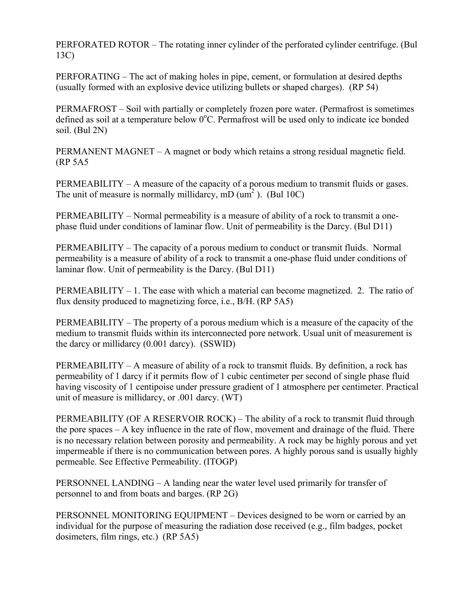PERFORATED ROTOR – The rotating inner cylinder of the perforated cylinder centrifuge. (Bul 13C)

PERFORATING – The act of making holes in pipe, cement, or formulation at desired depths (usually formed with an explosive device utilizing bullets or shaped charges). (RP 54)

PERMAFROST – Soil with partially or completely frozen pore water. (Permafrost is sometimes defined as soil at a temperature below 0°C. Permafrost will be used only to indicate ice bonded soil. (Bul 2N)

PERMANENT MAGNET – A magnet or body which retains a strong residual magnetic field. (RP 5A5

PERMEABILITY – A measure of the capacity of a porous medium to transmit fluids or gases. The unit of measure is normally millidarcy,  $mD$  ( $um<sup>2</sup>$ ). (Bul 10C)

PERMEABILITY – Normal permeability is a measure of ability of a rock to transmit a onephase fluid under conditions of laminar flow. Unit of permeability is the Darcy. (Bul D11)

PERMEABILITY – The capacity of a porous medium to conduct or transmit fluids. Normal permeability is a measure of ability of a rock to transmit a one-phase fluid under conditions of laminar flow. Unit of permeability is the Darcy. (Bul D11)

PERMEABILITY – 1. The ease with which a material can become magnetized. 2. The ratio of flux density produced to magnetizing force, i.e., B/H. (RP 5A5)

PERMEABILITY – The property of a porous medium which is a measure of the capacity of the medium to transmit fluids within its interconnected pore network. Usual unit of measurement is the darcy or millidarcy (0.001 darcy). (SSWID)

PERMEABILITY – A measure of ability of a rock to transmit fluids. By definition, a rock has permeability of 1 darcy if it permits flow of 1 cubic centimeter per second of single phase fluid having viscosity of 1 centipoise under pressure gradient of 1 atmosphere per centimeter. Practical unit of measure is millidarcy, or .001 darcy. (WT)

PERMEABILITY (OF A RESERVOIR ROCK) – The ability of a rock to transmit fluid through the pore spaces – A key influence in the rate of flow, movement and drainage of the fluid. There is no necessary relation between porosity and permeability. A rock may be highly porous and yet impermeable if there is no communication between pores. A highly porous sand is usually highly permeable. See Effective Permeability. (ITOGP)

PERSONNEL LANDING – A landing near the water level used primarily for transfer of personnel to and from boats and barges. (RP 2G)

PERSONNEL MONITORING EQUIPMENT – Devices designed to be worn or carried by an individual for the purpose of measuring the radiation dose received (e.g., film badges, pocket dosimeters, film rings, etc.) (RP 5A5)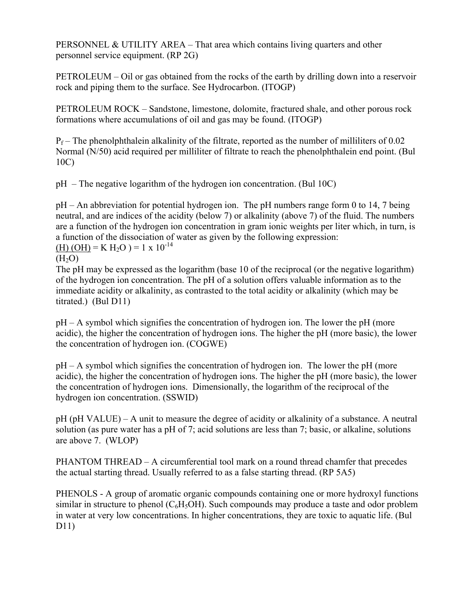PERSONNEL & UTILITY AREA – That area which contains living quarters and other personnel service equipment. (RP 2G)

PETROLEUM – Oil or gas obtained from the rocks of the earth by drilling down into a reservoir rock and piping them to the surface. See Hydrocarbon. (ITOGP)

PETROLEUM ROCK – Sandstone, limestone, dolomite, fractured shale, and other porous rock formations where accumulations of oil and gas may be found. (ITOGP)

 $P_f$  – The phenolphthalein alkalinity of the filtrate, reported as the number of milliliters of 0.02 Normal (N/50) acid required per milliliter of filtrate to reach the phenolphthalein end point. (Bul 10C)

pH – The negative logarithm of the hydrogen ion concentration. (Bul 10C)

pH – An abbreviation for potential hydrogen ion. The pH numbers range form 0 to 14, 7 being neutral, and are indices of the acidity (below 7) or alkalinity (above 7) of the fluid. The numbers are a function of the hydrogen ion concentration in gram ionic weights per liter which, in turn, is a function of the dissociation of water as given by the following expression:

(H) (OH) = K H<sub>2</sub>O) = 1 x 10<sup>-14</sup>

 $(H<sub>2</sub>O)$ 

The pH may be expressed as the logarithm (base 10 of the reciprocal (or the negative logarithm) of the hydrogen ion concentration. The pH of a solution offers valuable information as to the immediate acidity or alkalinity, as contrasted to the total acidity or alkalinity (which may be titrated.) (Bul D11)

pH – A symbol which signifies the concentration of hydrogen ion. The lower the pH (more acidic), the higher the concentration of hydrogen ions. The higher the pH (more basic), the lower the concentration of hydrogen ion. (COGWE)

pH – A symbol which signifies the concentration of hydrogen ion. The lower the pH (more acidic), the higher the concentration of hydrogen ions. The higher the pH (more basic), the lower the concentration of hydrogen ions. Dimensionally, the logarithm of the reciprocal of the hydrogen ion concentration. (SSWID)

pH (pH VALUE) – A unit to measure the degree of acidity or alkalinity of a substance. A neutral solution (as pure water has a pH of 7; acid solutions are less than 7; basic, or alkaline, solutions are above 7. (WLOP)

PHANTOM THREAD – A circumferential tool mark on a round thread chamfer that precedes the actual starting thread. Usually referred to as a false starting thread. (RP 5A5)

PHENOLS - A group of aromatic organic compounds containing one or more hydroxyl functions similar in structure to phenol ( $C_6H_5OH$ ). Such compounds may produce a taste and odor problem in water at very low concentrations. In higher concentrations, they are toxic to aquatic life. (Bul D11)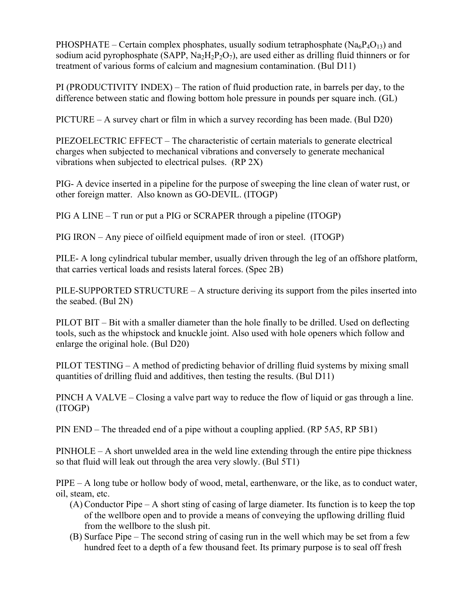PHOSPHATE – Certain complex phosphates, usually sodium tetraphosphate  $(Na_6P_4O_{13})$  and sodium acid pyrophosphate (SAPP,  $\text{Na}_2\text{H}_2\text{P}_2\text{O}_7$ ), are used either as drilling fluid thinners or for treatment of various forms of calcium and magnesium contamination. (Bul D11)

PI (PRODUCTIVITY INDEX) – The ration of fluid production rate, in barrels per day, to the difference between static and flowing bottom hole pressure in pounds per square inch. (GL)

PICTURE – A survey chart or film in which a survey recording has been made. (Bul D20)

PIEZOELECTRIC EFFECT – The characteristic of certain materials to generate electrical charges when subjected to mechanical vibrations and conversely to generate mechanical vibrations when subjected to electrical pulses. (RP 2X)

PIG- A device inserted in a pipeline for the purpose of sweeping the line clean of water rust, or other foreign matter. Also known as GO-DEVIL. (ITOGP)

PIG A LINE – T run or put a PIG or SCRAPER through a pipeline (ITOGP)

PIG IRON – Any piece of oilfield equipment made of iron or steel. (ITOGP)

PILE- A long cylindrical tubular member, usually driven through the leg of an offshore platform, that carries vertical loads and resists lateral forces. (Spec 2B)

PILE-SUPPORTED STRUCTURE – A structure deriving its support from the piles inserted into the seabed. (Bul 2N)

PILOT BIT – Bit with a smaller diameter than the hole finally to be drilled. Used on deflecting tools, such as the whipstock and knuckle joint. Also used with hole openers which follow and enlarge the original hole. (Bul D20)

PILOT TESTING – A method of predicting behavior of drilling fluid systems by mixing small quantities of drilling fluid and additives, then testing the results. (Bul D11)

PINCH A VALVE – Closing a valve part way to reduce the flow of liquid or gas through a line. (ITOGP)

PIN END – The threaded end of a pipe without a coupling applied. (RP 5A5, RP 5B1)

PINHOLE – A short unwelded area in the weld line extending through the entire pipe thickness so that fluid will leak out through the area very slowly. (Bul 5T1)

PIPE – A long tube or hollow body of wood, metal, earthenware, or the like, as to conduct water, oil, steam, etc.

- (A) Conductor Pipe A short sting of casing of large diameter. Its function is to keep the top of the wellbore open and to provide a means of conveying the upflowing drilling fluid from the wellbore to the slush pit.
- (B) Surface Pipe The second string of casing run in the well which may be set from a few hundred feet to a depth of a few thousand feet. Its primary purpose is to seal off fresh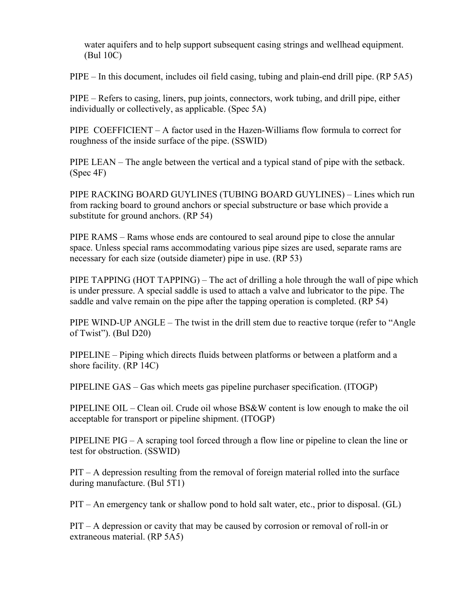water aquifers and to help support subsequent casing strings and wellhead equipment. (Bul 10C)

PIPE – In this document, includes oil field casing, tubing and plain-end drill pipe. (RP 5A5)

PIPE – Refers to casing, liners, pup joints, connectors, work tubing, and drill pipe, either individually or collectively, as applicable. (Spec 5A)

PIPE COEFFICIENT – A factor used in the Hazen-Williams flow formula to correct for roughness of the inside surface of the pipe. (SSWID)

PIPE LEAN – The angle between the vertical and a typical stand of pipe with the setback. (Spec 4F)

PIPE RACKING BOARD GUYLINES (TUBING BOARD GUYLINES) – Lines which run from racking board to ground anchors or special substructure or base which provide a substitute for ground anchors. (RP 54)

PIPE RAMS – Rams whose ends are contoured to seal around pipe to close the annular space. Unless special rams accommodating various pipe sizes are used, separate rams are necessary for each size (outside diameter) pipe in use. (RP 53)

PIPE TAPPING (HOT TAPPING) – The act of drilling a hole through the wall of pipe which is under pressure. A special saddle is used to attach a valve and lubricator to the pipe. The saddle and valve remain on the pipe after the tapping operation is completed. (RP 54)

PIPE WIND-UP ANGLE – The twist in the drill stem due to reactive torque (refer to "Angle of Twist"). (Bul D20)

PIPELINE – Piping which directs fluids between platforms or between a platform and a shore facility. (RP 14C)

PIPELINE GAS – Gas which meets gas pipeline purchaser specification. (ITOGP)

PIPELINE OIL – Clean oil. Crude oil whose BS&W content is low enough to make the oil acceptable for transport or pipeline shipment. (ITOGP)

PIPELINE PIG – A scraping tool forced through a flow line or pipeline to clean the line or test for obstruction. (SSWID)

PIT – A depression resulting from the removal of foreign material rolled into the surface during manufacture. (Bul 5T1)

PIT – An emergency tank or shallow pond to hold salt water, etc., prior to disposal. (GL)

PIT – A depression or cavity that may be caused by corrosion or removal of roll-in or extraneous material. (RP 5A5)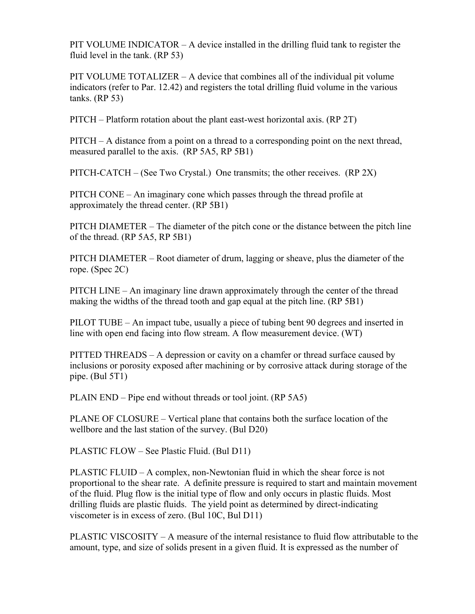PIT VOLUME INDICATOR  $- A$  device installed in the drilling fluid tank to register the fluid level in the tank. (RP 53)

PIT VOLUME TOTALIZER – A device that combines all of the individual pit volume indicators (refer to Par. 12.42) and registers the total drilling fluid volume in the various tanks. (RP 53)

PITCH – Platform rotation about the plant east-west horizontal axis. (RP 2T)

PITCH – A distance from a point on a thread to a corresponding point on the next thread, measured parallel to the axis. (RP 5A5, RP 5B1)

PITCH-CATCH – (See Two Crystal.) One transmits; the other receives. (RP  $2X$ )

PITCH CONE – An imaginary cone which passes through the thread profile at approximately the thread center. (RP 5B1)

PITCH DIAMETER – The diameter of the pitch cone or the distance between the pitch line of the thread. (RP 5A5, RP 5B1)

PITCH DIAMETER – Root diameter of drum, lagging or sheave, plus the diameter of the rope. (Spec 2C)

PITCH LINE – An imaginary line drawn approximately through the center of the thread making the widths of the thread tooth and gap equal at the pitch line. (RP 5B1)

PILOT TUBE – An impact tube, usually a piece of tubing bent 90 degrees and inserted in line with open end facing into flow stream. A flow measurement device. (WT)

PITTED THREADS – A depression or cavity on a chamfer or thread surface caused by inclusions or porosity exposed after machining or by corrosive attack during storage of the pipe. (Bul 5T1)

PLAIN END – Pipe end without threads or tool joint. (RP 5A5)

PLANE OF CLOSURE – Vertical plane that contains both the surface location of the wellbore and the last station of the survey. (Bul D20)

PLASTIC FLOW – See Plastic Fluid. (Bul D11)

PLASTIC FLUID – A complex, non-Newtonian fluid in which the shear force is not proportional to the shear rate. A definite pressure is required to start and maintain movement of the fluid. Plug flow is the initial type of flow and only occurs in plastic fluids. Most drilling fluids are plastic fluids. The yield point as determined by direct-indicating viscometer is in excess of zero. (Bul 10C, Bul D11)

PLASTIC VISCOSITY – A measure of the internal resistance to fluid flow attributable to the amount, type, and size of solids present in a given fluid. It is expressed as the number of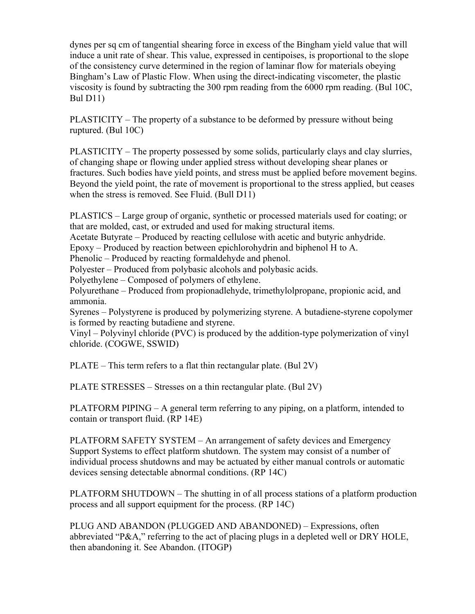dynes per sq cm of tangential shearing force in excess of the Bingham yield value that will induce a unit rate of shear. This value, expressed in centipoises, is proportional to the slope of the consistency curve determined in the region of laminar flow for materials obeying Bingham's Law of Plastic Flow. When using the direct-indicating viscometer, the plastic viscosity is found by subtracting the 300 rpm reading from the 6000 rpm reading. (Bul 10C, Bul D11)

PLASTICITY – The property of a substance to be deformed by pressure without being ruptured. (Bul 10C)

PLASTICITY – The property possessed by some solids, particularly clays and clay slurries, of changing shape or flowing under applied stress without developing shear planes or fractures. Such bodies have yield points, and stress must be applied before movement begins. Beyond the yield point, the rate of movement is proportional to the stress applied, but ceases when the stress is removed. See Fluid. (Bull D11)

PLASTICS – Large group of organic, synthetic or processed materials used for coating; or that are molded, cast, or extruded and used for making structural items.

Acetate Butyrate – Produced by reacting cellulose with acetic and butyric anhydride.

Epoxy – Produced by reaction between epichlorohydrin and biphenol H to A.

Phenolic – Produced by reacting formaldehyde and phenol.

Polyester – Produced from polybasic alcohols and polybasic acids.

Polyethylene – Composed of polymers of ethylene.

Polyurethane – Produced from propionadlehyde, trimethylolpropane, propionic acid, and ammonia.

Syrenes – Polystyrene is produced by polymerizing styrene. A butadiene-styrene copolymer is formed by reacting butadiene and styrene.

Vinyl – Polyvinyl chloride (PVC) is produced by the addition-type polymerization of vinyl chloride. (COGWE, SSWID)

PLATE – This term refers to a flat thin rectangular plate. (Bul 2V)

PLATE STRESSES – Stresses on a thin rectangular plate. (Bul 2V)

PLATFORM PIPING – A general term referring to any piping, on a platform, intended to contain or transport fluid. (RP 14E)

PLATFORM SAFETY SYSTEM – An arrangement of safety devices and Emergency Support Systems to effect platform shutdown. The system may consist of a number of individual process shutdowns and may be actuated by either manual controls or automatic devices sensing detectable abnormal conditions. (RP 14C)

PLATFORM SHUTDOWN – The shutting in of all process stations of a platform production process and all support equipment for the process. (RP 14C)

PLUG AND ABANDON (PLUGGED AND ABANDONED) – Expressions, often abbreviated "P&A," referring to the act of placing plugs in a depleted well or DRY HOLE, then abandoning it. See Abandon. (ITOGP)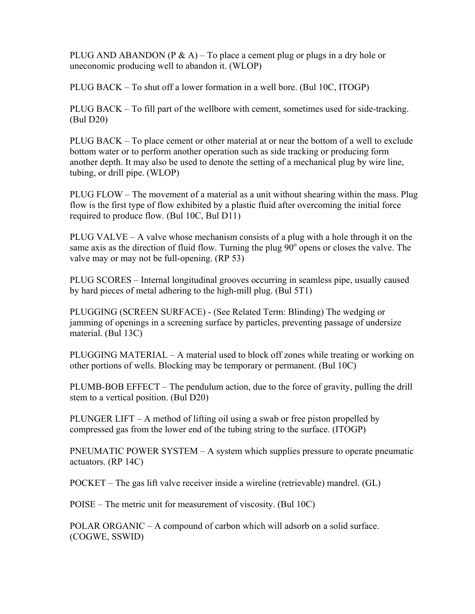PLUG AND ABANDON (P  $\&$  A) – To place a cement plug or plugs in a dry hole or uneconomic producing well to abandon it. (WLOP)

PLUG BACK – To shut off a lower formation in a well bore. (Bul 10C, ITOGP)

PLUG BACK – To fill part of the wellbore with cement, sometimes used for side-tracking. (Bul D20)

PLUG BACK – To place cement or other material at or near the bottom of a well to exclude bottom water or to perform another operation such as side tracking or producing form another depth. It may also be used to denote the setting of a mechanical plug by wire line, tubing, or drill pipe. (WLOP)

PLUG FLOW – The movement of a material as a unit without shearing within the mass. Plug flow is the first type of flow exhibited by a plastic fluid after overcoming the initial force required to produce flow. (Bul 10C, Bul D11)

PLUG VALVE – A valve whose mechanism consists of a plug with a hole through it on the same axis as the direction of fluid flow. Turning the plug  $90^\circ$  opens or closes the valve. The valve may or may not be full-opening. (RP 53)

PLUG SCORES – Internal longitudinal grooves occurring in seamless pipe, usually caused by hard pieces of metal adhering to the high-mill plug. (Bul 5T1)

PLUGGING (SCREEN SURFACE) - (See Related Term: Blinding) The wedging or jamming of openings in a screening surface by particles, preventing passage of undersize material. (Bul 13C)

PLUGGING MATERIAL – A material used to block off zones while treating or working on other portions of wells. Blocking may be temporary or permanent. (Bul 10C)

PLUMB-BOB EFFECT – The pendulum action, due to the force of gravity, pulling the drill stem to a vertical position. (Bul D20)

PLUNGER LIFT – A method of lifting oil using a swab or free piston propelled by compressed gas from the lower end of the tubing string to the surface. (ITOGP)

PNEUMATIC POWER SYSTEM – A system which supplies pressure to operate pneumatic actuators. (RP 14C)

POCKET – The gas lift valve receiver inside a wireline (retrievable) mandrel. (GL)

POISE – The metric unit for measurement of viscosity. (Bul 10C)

POLAR ORGANIC – A compound of carbon which will adsorb on a solid surface. (COGWE, SSWID)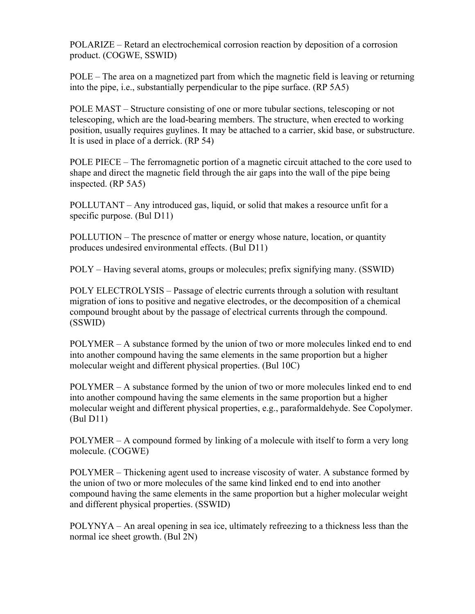POLARIZE – Retard an electrochemical corrosion reaction by deposition of a corrosion product. (COGWE, SSWID)

POLE – The area on a magnetized part from which the magnetic field is leaving or returning into the pipe, i.e., substantially perpendicular to the pipe surface. (RP 5A5)

POLE MAST – Structure consisting of one or more tubular sections, telescoping or not telescoping, which are the load-bearing members. The structure, when erected to working position, usually requires guylines. It may be attached to a carrier, skid base, or substructure. It is used in place of a derrick. (RP 54)

POLE PIECE – The ferromagnetic portion of a magnetic circuit attached to the core used to shape and direct the magnetic field through the air gaps into the wall of the pipe being inspected. (RP 5A5)

POLLUTANT – Any introduced gas, liquid, or solid that makes a resource unfit for a specific purpose. (Bul D11)

POLLUTION – The prescnce of matter or energy whose nature, location, or quantity produces undesired environmental effects. (Bul D11)

POLY – Having several atoms, groups or molecules; prefix signifying many. (SSWID)

POLY ELECTROLYSIS – Passage of electric currents through a solution with resultant migration of ions to positive and negative electrodes, or the decomposition of a chemical compound brought about by the passage of electrical currents through the compound. (SSWID)

POLYMER – A substance formed by the union of two or more molecules linked end to end into another compound having the same elements in the same proportion but a higher molecular weight and different physical properties. (Bul 10C)

POLYMER – A substance formed by the union of two or more molecules linked end to end into another compound having the same elements in the same proportion but a higher molecular weight and different physical properties, e.g., paraformaldehyde. See Copolymer. (Bul D11)

POLYMER – A compound formed by linking of a molecule with itself to form a very long molecule. (COGWE)

POLYMER – Thickening agent used to increase viscosity of water. A substance formed by the union of two or more molecules of the same kind linked end to end into another compound having the same elements in the same proportion but a higher molecular weight and different physical properties. (SSWID)

POLYNYA – An areal opening in sea ice, ultimately refreezing to a thickness less than the normal ice sheet growth. (Bul 2N)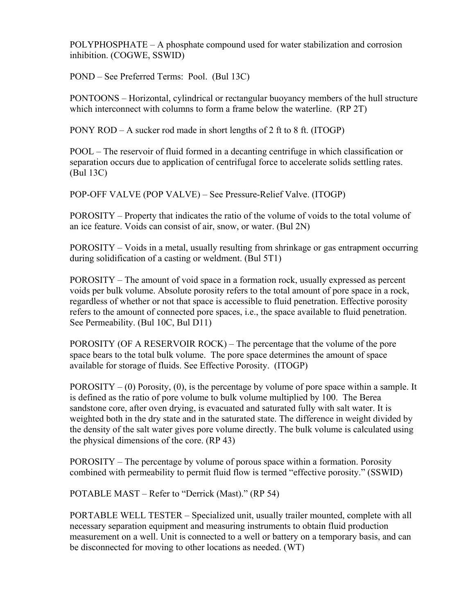POLYPHOSPHATE – A phosphate compound used for water stabilization and corrosion inhibition. (COGWE, SSWID)

POND – See Preferred Terms: Pool. (Bul 13C)

PONTOONS – Horizontal, cylindrical or rectangular buoyancy members of the hull structure which interconnect with columns to form a frame below the waterline. (RP 2T)

PONY ROD – A sucker rod made in short lengths of 2 ft to 8 ft. (ITOGP)

POOL – The reservoir of fluid formed in a decanting centrifuge in which classification or separation occurs due to application of centrifugal force to accelerate solids settling rates. (Bul 13C)

POP-OFF VALVE (POP VALVE) – See Pressure-Relief Valve. (ITOGP)

POROSITY – Property that indicates the ratio of the volume of voids to the total volume of an ice feature. Voids can consist of air, snow, or water. (Bul 2N)

POROSITY – Voids in a metal, usually resulting from shrinkage or gas entrapment occurring during solidification of a casting or weldment. (Bul 5T1)

POROSITY – The amount of void space in a formation rock, usually expressed as percent voids per bulk volume. Absolute porosity refers to the total amount of pore space in a rock, regardless of whether or not that space is accessible to fluid penetration. Effective porosity refers to the amount of connected pore spaces, i.e., the space available to fluid penetration. See Permeability. (Bul 10C, Bul D11)

POROSITY (OF A RESERVOIR ROCK) – The percentage that the volume of the pore space bears to the total bulk volume. The pore space determines the amount of space available for storage of fluids. See Effective Porosity. (ITOGP)

 $PROROSITY - (0)$  Porosity,  $(0)$ , is the percentage by volume of pore space within a sample. It is defined as the ratio of pore volume to bulk volume multiplied by 100. The Berea sandstone core, after oven drying, is evacuated and saturated fully with salt water. It is weighted both in the dry state and in the saturated state. The difference in weight divided by the density of the salt water gives pore volume directly. The bulk volume is calculated using the physical dimensions of the core. (RP 43)

POROSITY – The percentage by volume of porous space within a formation. Porosity combined with permeability to permit fluid flow is termed "effective porosity." (SSWID)

POTABLE MAST – Refer to "Derrick (Mast)." (RP 54)

PORTABLE WELL TESTER – Specialized unit, usually trailer mounted, complete with all necessary separation equipment and measuring instruments to obtain fluid production measurement on a well. Unit is connected to a well or battery on a temporary basis, and can be disconnected for moving to other locations as needed. (WT)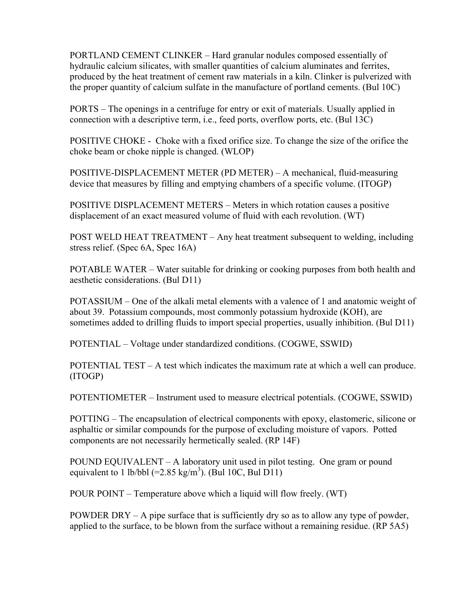PORTLAND CEMENT CLINKER – Hard granular nodules composed essentially of hydraulic calcium silicates, with smaller quantities of calcium aluminates and ferrites, produced by the heat treatment of cement raw materials in a kiln. Clinker is pulverized with the proper quantity of calcium sulfate in the manufacture of portland cements. (Bul 10C)

PORTS – The openings in a centrifuge for entry or exit of materials. Usually applied in connection with a descriptive term, i.e., feed ports, overflow ports, etc. (Bul 13C)

POSITIVE CHOKE - Choke with a fixed orifice size. To change the size of the orifice the choke beam or choke nipple is changed. (WLOP)

POSITIVE-DISPLACEMENT METER (PD METER) – A mechanical, fluid-measuring device that measures by filling and emptying chambers of a specific volume. (ITOGP)

POSITIVE DISPLACEMENT METERS – Meters in which rotation causes a positive displacement of an exact measured volume of fluid with each revolution. (WT)

POST WELD HEAT TREATMENT – Any heat treatment subsequent to welding, including stress relief. (Spec 6A, Spec 16A)

POTABLE WATER – Water suitable for drinking or cooking purposes from both health and aesthetic considerations. (Bul D11)

POTASSIUM – One of the alkali metal elements with a valence of 1 and anatomic weight of about 39. Potassium compounds, most commonly potassium hydroxide (KOH), are sometimes added to drilling fluids to import special properties, usually inhibition. (Bul D11)

POTENTIAL – Voltage under standardized conditions. (COGWE, SSWID)

POTENTIAL TEST – A test which indicates the maximum rate at which a well can produce. (ITOGP)

POTENTIOMETER – Instrument used to measure electrical potentials. (COGWE, SSWID)

POTTING – The encapsulation of electrical components with epoxy, elastomeric, silicone or asphaltic or similar compounds for the purpose of excluding moisture of vapors. Potted components are not necessarily hermetically sealed. (RP 14F)

POUND EQUIVALENT – A laboratory unit used in pilot testing. One gram or pound equivalent to 1 lb/bbl  $(=2.85 \text{ kg/m}^3)$ . (Bul 10C, Bul D11)

POUR POINT – Temperature above which a liquid will flow freely. (WT)

POWDER DRY – A pipe surface that is sufficiently dry so as to allow any type of powder, applied to the surface, to be blown from the surface without a remaining residue. (RP 5A5)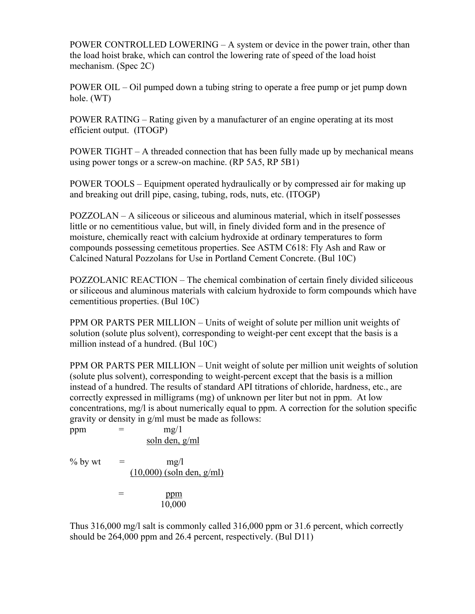POWER CONTROLLED LOWERING – A system or device in the power train, other than the load hoist brake, which can control the lowering rate of speed of the load hoist mechanism. (Spec 2C)

POWER OIL – Oil pumped down a tubing string to operate a free pump or jet pump down hole. (WT)

POWER RATING – Rating given by a manufacturer of an engine operating at its most efficient output. (ITOGP)

POWER TIGHT – A threaded connection that has been fully made up by mechanical means using power tongs or a screw-on machine. (RP 5A5, RP 5B1)

POWER TOOLS – Equipment operated hydraulically or by compressed air for making up and breaking out drill pipe, casing, tubing, rods, nuts, etc. (ITOGP)

POZZOLAN – A siliceous or siliceous and aluminous material, which in itself possesses little or no cementitious value, but will, in finely divided form and in the presence of moisture, chemically react with calcium hydroxide at ordinary temperatures to form compounds possessing cemetitous properties. See ASTM C618: Fly Ash and Raw or Calcined Natural Pozzolans for Use in Portland Cement Concrete. (Bul 10C)

POZZOLANIC REACTION – The chemical combination of certain finely divided siliceous or siliceous and aluminous materials with calcium hydroxide to form compounds which have cementitious properties. (Bul 10C)

PPM OR PARTS PER MILLION – Units of weight of solute per million unit weights of solution (solute plus solvent), corresponding to weight-per cent except that the basis is a million instead of a hundred. (Bul 10C)

PPM OR PARTS PER MILLION – Unit weight of solute per million unit weights of solution (solute plus solvent), corresponding to weight-percent except that the basis is a million instead of a hundred. The results of standard API titrations of chloride, hardness, etc., are correctly expressed in milligrams (mg) of unknown per liter but not in ppm. At low concentrations, mg/l is about numerically equal to ppm. A correction for the solution specific gravity or density in g/ml must be made as follows:

ppm  $=$  mg/1 soln den, g/ml % by wt  $=$  mg/l (10,000) (soln den, g/ml)  $=$  ppm 10,000

Thus 316,000 mg/l salt is commonly called 316,000 ppm or 31.6 percent, which correctly should be 264,000 ppm and 26.4 percent, respectively. (Bul D11)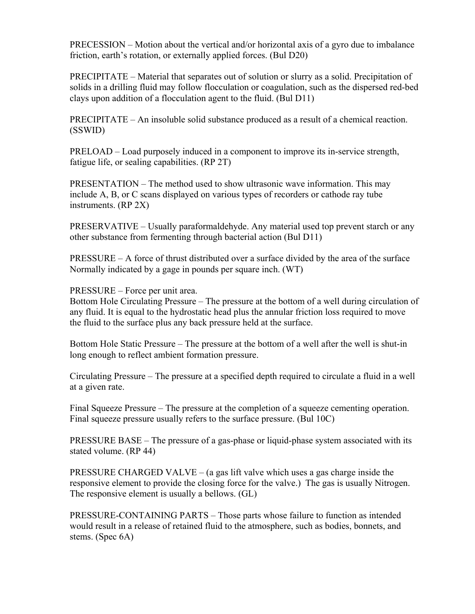PRECESSION – Motion about the vertical and/or horizontal axis of a gyro due to imbalance friction, earth's rotation, or externally applied forces. (Bul D20)

PRECIPITATE – Material that separates out of solution or slurry as a solid. Precipitation of solids in a drilling fluid may follow flocculation or coagulation, such as the dispersed red-bed clays upon addition of a flocculation agent to the fluid. (Bul D11)

PRECIPITATE – An insoluble solid substance produced as a result of a chemical reaction. (SSWID)

PRELOAD – Load purposely induced in a component to improve its in-service strength, fatigue life, or sealing capabilities. (RP 2T)

PRESENTATION – The method used to show ultrasonic wave information. This may include A, B, or C scans displayed on various types of recorders or cathode ray tube instruments. (RP 2X)

PRESERVATIVE – Usually paraformaldehyde. Any material used top prevent starch or any other substance from fermenting through bacterial action (Bul D11)

PRESSURE – A force of thrust distributed over a surface divided by the area of the surface Normally indicated by a gage in pounds per square inch. (WT)

PRESSURE – Force per unit area.

Bottom Hole Circulating Pressure – The pressure at the bottom of a well during circulation of any fluid. It is equal to the hydrostatic head plus the annular friction loss required to move the fluid to the surface plus any back pressure held at the surface.

Bottom Hole Static Pressure – The pressure at the bottom of a well after the well is shut-in long enough to reflect ambient formation pressure.

Circulating Pressure – The pressure at a specified depth required to circulate a fluid in a well at a given rate.

Final Squeeze Pressure – The pressure at the completion of a squeeze cementing operation. Final squeeze pressure usually refers to the surface pressure. (Bul 10C)

PRESSURE BASE – The pressure of a gas-phase or liquid-phase system associated with its stated volume. (RP 44)

PRESSURE CHARGED VALVE – (a gas lift valve which uses a gas charge inside the responsive element to provide the closing force for the valve.) The gas is usually Nitrogen. The responsive element is usually a bellows. (GL)

PRESSURE-CONTAINING PARTS – Those parts whose failure to function as intended would result in a release of retained fluid to the atmosphere, such as bodies, bonnets, and stems. (Spec 6A)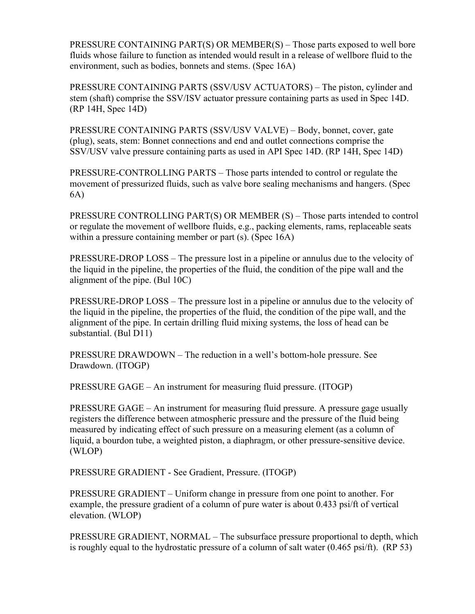PRESSURE CONTAINING PART(S) OR MEMBER(S) – Those parts exposed to well bore fluids whose failure to function as intended would result in a release of wellbore fluid to the environment, such as bodies, bonnets and stems. (Spec 16A)

PRESSURE CONTAINING PARTS (SSV/USV ACTUATORS) – The piston, cylinder and stem (shaft) comprise the SSV/ISV actuator pressure containing parts as used in Spec 14D. (RP 14H, Spec 14D)

PRESSURE CONTAINING PARTS (SSV/USV VALVE) – Body, bonnet, cover, gate (plug), seats, stem: Bonnet connections and end and outlet connections comprise the SSV/USV valve pressure containing parts as used in API Spec 14D. (RP 14H, Spec 14D)

PRESSURE-CONTROLLING PARTS – Those parts intended to control or regulate the movement of pressurized fluids, such as valve bore sealing mechanisms and hangers. (Spec 6A)

PRESSURE CONTROLLING PART(S) OR MEMBER (S) – Those parts intended to control or regulate the movement of wellbore fluids, e.g., packing elements, rams, replaceable seats within a pressure containing member or part (s). (Spec 16A)

PRESSURE-DROP LOSS – The pressure lost in a pipeline or annulus due to the velocity of the liquid in the pipeline, the properties of the fluid, the condition of the pipe wall and the alignment of the pipe. (Bul 10C)

PRESSURE-DROP LOSS – The pressure lost in a pipeline or annulus due to the velocity of the liquid in the pipeline, the properties of the fluid, the condition of the pipe wall, and the alignment of the pipe. In certain drilling fluid mixing systems, the loss of head can be substantial. (Bul D11)

PRESSURE DRAWDOWN – The reduction in a well's bottom-hole pressure. See Drawdown. (ITOGP)

PRESSURE GAGE – An instrument for measuring fluid pressure. (ITOGP)

PRESSURE GAGE – An instrument for measuring fluid pressure. A pressure gage usually registers the difference between atmospheric pressure and the pressure of the fluid being measured by indicating effect of such pressure on a measuring element (as a column of liquid, a bourdon tube, a weighted piston, a diaphragm, or other pressure-sensitive device. (WLOP)

PRESSURE GRADIENT - See Gradient, Pressure. (ITOGP)

PRESSURE GRADIENT – Uniform change in pressure from one point to another. For example, the pressure gradient of a column of pure water is about 0.433 psi/ft of vertical elevation. (WLOP)

PRESSURE GRADIENT, NORMAL – The subsurface pressure proportional to depth, which is roughly equal to the hydrostatic pressure of a column of salt water  $(0.465 \text{ psi/ft})$ . (RP 53)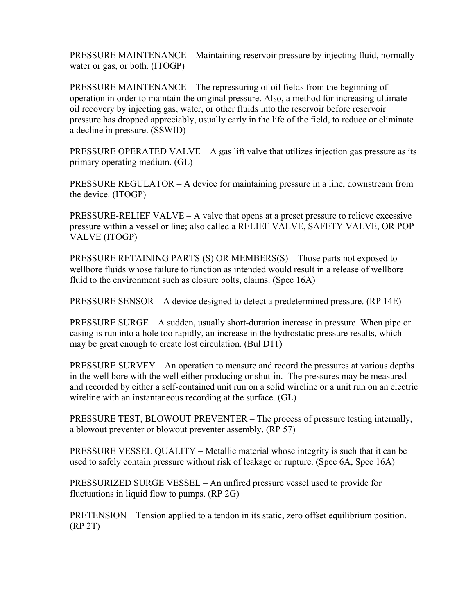PRESSURE MAINTENANCE – Maintaining reservoir pressure by injecting fluid, normally water or gas, or both. (ITOGP)

PRESSURE MAINTENANCE – The repressuring of oil fields from the beginning of operation in order to maintain the original pressure. Also, a method for increasing ultimate oil recovery by injecting gas, water, or other fluids into the reservoir before reservoir pressure has dropped appreciably, usually early in the life of the field, to reduce or eliminate a decline in pressure. (SSWID)

PRESSURE OPERATED VALVE – A gas lift valve that utilizes injection gas pressure as its primary operating medium. (GL)

PRESSURE REGULATOR – A device for maintaining pressure in a line, downstream from the device. (ITOGP)

PRESSURE-RELIEF VALVE – A valve that opens at a preset pressure to relieve excessive pressure within a vessel or line; also called a RELIEF VALVE, SAFETY VALVE, OR POP VALVE (ITOGP)

PRESSURE RETAINING PARTS (S) OR MEMBERS(S) – Those parts not exposed to wellbore fluids whose failure to function as intended would result in a release of wellbore fluid to the environment such as closure bolts, claims. (Spec 16A)

PRESSURE SENSOR – A device designed to detect a predetermined pressure. (RP 14E)

PRESSURE SURGE – A sudden, usually short-duration increase in pressure. When pipe or casing is run into a hole too rapidly, an increase in the hydrostatic pressure results, which may be great enough to create lost circulation. (Bul D11)

PRESSURE SURVEY – An operation to measure and record the pressures at various depths in the well bore with the well either producing or shut-in. The pressures may be measured and recorded by either a self-contained unit run on a solid wireline or a unit run on an electric wireline with an instantaneous recording at the surface. (GL)

PRESSURE TEST, BLOWOUT PREVENTER – The process of pressure testing internally, a blowout preventer or blowout preventer assembly. (RP 57)

PRESSURE VESSEL QUALITY – Metallic material whose integrity is such that it can be used to safely contain pressure without risk of leakage or rupture. (Spec 6A, Spec 16A)

PRESSURIZED SURGE VESSEL – An unfired pressure vessel used to provide for fluctuations in liquid flow to pumps. (RP 2G)

PRETENSION – Tension applied to a tendon in its static, zero offset equilibrium position. (RP 2T)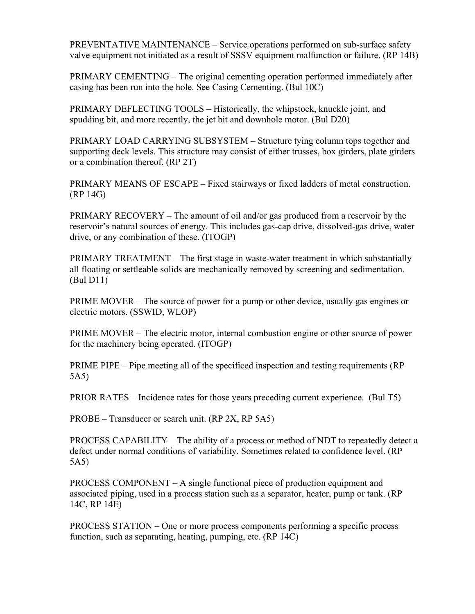PREVENTATIVE MAINTENANCE – Service operations performed on sub-surface safety valve equipment not initiated as a result of SSSV equipment malfunction or failure. (RP 14B)

PRIMARY CEMENTING – The original cementing operation performed immediately after casing has been run into the hole. See Casing Cementing. (Bul 10C)

PRIMARY DEFLECTING TOOLS – Historically, the whipstock, knuckle joint, and spudding bit, and more recently, the jet bit and downhole motor. (Bul D20)

PRIMARY LOAD CARRYING SUBSYSTEM – Structure tying column tops together and supporting deck levels. This structure may consist of either trusses, box girders, plate girders or a combination thereof. (RP 2T)

PRIMARY MEANS OF ESCAPE – Fixed stairways or fixed ladders of metal construction. (RP 14G)

PRIMARY RECOVERY – The amount of oil and/or gas produced from a reservoir by the reservoir's natural sources of energy. This includes gas-cap drive, dissolved-gas drive, water drive, or any combination of these. (ITOGP)

PRIMARY TREATMENT – The first stage in waste-water treatment in which substantially all floating or settleable solids are mechanically removed by screening and sedimentation. (Bul D11)

PRIME MOVER – The source of power for a pump or other device, usually gas engines or electric motors. (SSWID, WLOP)

PRIME MOVER – The electric motor, internal combustion engine or other source of power for the machinery being operated. (ITOGP)

PRIME PIPE – Pipe meeting all of the specificed inspection and testing requirements (RP 5A5)

PRIOR RATES – Incidence rates for those years preceding current experience. (Bul T5)

PROBE – Transducer or search unit. (RP 2X, RP 5A5)

PROCESS CAPABILITY – The ability of a process or method of NDT to repeatedly detect a defect under normal conditions of variability. Sometimes related to confidence level. (RP 5A5)

PROCESS COMPONENT – A single functional piece of production equipment and associated piping, used in a process station such as a separator, heater, pump or tank. (RP 14C, RP 14E)

PROCESS STATION – One or more process components performing a specific process function, such as separating, heating, pumping, etc. (RP 14C)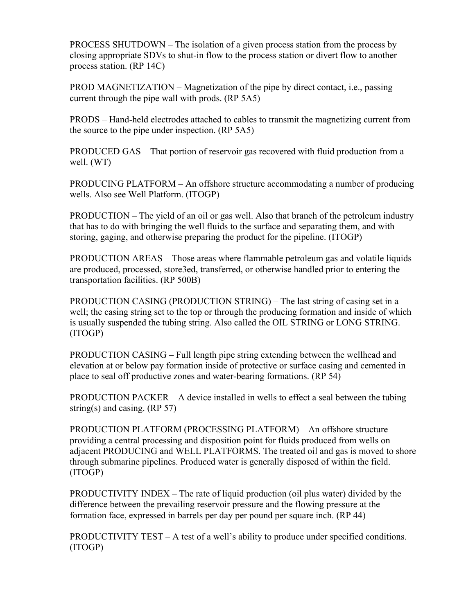PROCESS SHUTDOWN – The isolation of a given process station from the process by closing appropriate SDVs to shut-in flow to the process station or divert flow to another process station. (RP 14C)

PROD MAGNETIZATION – Magnetization of the pipe by direct contact, i.e., passing current through the pipe wall with prods. (RP 5A5)

PRODS – Hand-held electrodes attached to cables to transmit the magnetizing current from the source to the pipe under inspection. (RP 5A5)

PRODUCED GAS – That portion of reservoir gas recovered with fluid production from a well. (WT)

PRODUCING PLATFORM – An offshore structure accommodating a number of producing wells. Also see Well Platform. (ITOGP)

PRODUCTION – The yield of an oil or gas well. Also that branch of the petroleum industry that has to do with bringing the well fluids to the surface and separating them, and with storing, gaging, and otherwise preparing the product for the pipeline. (ITOGP)

PRODUCTION AREAS – Those areas where flammable petroleum gas and volatile liquids are produced, processed, store3ed, transferred, or otherwise handled prior to entering the transportation facilities. (RP 500B)

PRODUCTION CASING (PRODUCTION STRING) – The last string of casing set in a well; the casing string set to the top or through the producing formation and inside of which is usually suspended the tubing string. Also called the OIL STRING or LONG STRING. (ITOGP)

PRODUCTION CASING – Full length pipe string extending between the wellhead and elevation at or below pay formation inside of protective or surface casing and cemented in place to seal off productive zones and water-bearing formations. (RP 54)

PRODUCTION PACKER – A device installed in wells to effect a seal between the tubing string(s) and casing.  $(RP 57)$ 

PRODUCTION PLATFORM (PROCESSING PLATFORM) – An offshore structure providing a central processing and disposition point for fluids produced from wells on adjacent PRODUCING and WELL PLATFORMS. The treated oil and gas is moved to shore through submarine pipelines. Produced water is generally disposed of within the field. (ITOGP)

PRODUCTIVITY INDEX – The rate of liquid production (oil plus water) divided by the difference between the prevailing reservoir pressure and the flowing pressure at the formation face, expressed in barrels per day per pound per square inch. (RP 44)

PRODUCTIVITY TEST – A test of a well's ability to produce under specified conditions. (ITOGP)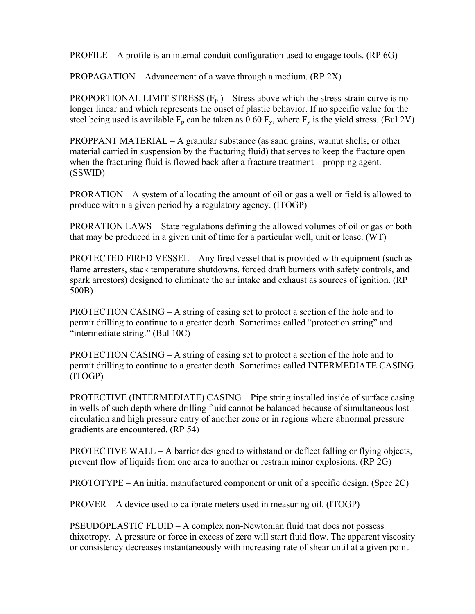PROFILE – A profile is an internal conduit configuration used to engage tools. (RP 6G)

PROPAGATION – Advancement of a wave through a medium. (RP 2X)

PROPORTIONAL LIMIT STRESS  $(F_p)$  – Stress above which the stress-strain curve is no longer linear and which represents the onset of plastic behavior. If no specific value for the steel being used is available  $F_p$  can be taken as 0.60  $F_v$ , where  $F_v$  is the yield stress. (Bul 2V)

PROPPANT MATERIAL – A granular substance (as sand grains, walnut shells, or other material carried in suspension by the fracturing fluid) that serves to keep the fracture open when the fracturing fluid is flowed back after a fracture treatment – propping agent. (SSWID)

PRORATION – A system of allocating the amount of oil or gas a well or field is allowed to produce within a given period by a regulatory agency. (ITOGP)

PRORATION LAWS – State regulations defining the allowed volumes of oil or gas or both that may be produced in a given unit of time for a particular well, unit or lease. (WT)

PROTECTED FIRED VESSEL – Any fired vessel that is provided with equipment (such as flame arresters, stack temperature shutdowns, forced draft burners with safety controls, and spark arrestors) designed to eliminate the air intake and exhaust as sources of ignition. (RP 500B)

PROTECTION CASING – A string of casing set to protect a section of the hole and to permit drilling to continue to a greater depth. Sometimes called "protection string" and "intermediate string." (Bul 10C)

PROTECTION CASING – A string of casing set to protect a section of the hole and to permit drilling to continue to a greater depth. Sometimes called INTERMEDIATE CASING. (ITOGP)

PROTECTIVE (INTERMEDIATE) CASING – Pipe string installed inside of surface casing in wells of such depth where drilling fluid cannot be balanced because of simultaneous lost circulation and high pressure entry of another zone or in regions where abnormal pressure gradients are encountered. (RP 54)

PROTECTIVE WALL – A barrier designed to withstand or deflect falling or flying objects, prevent flow of liquids from one area to another or restrain minor explosions. (RP 2G)

PROTOTYPE – An initial manufactured component or unit of a specific design. (Spec 2C)

PROVER – A device used to calibrate meters used in measuring oil. (ITOGP)

PSEUDOPLASTIC FLUID – A complex non-Newtonian fluid that does not possess thixotropy. A pressure or force in excess of zero will start fluid flow. The apparent viscosity or consistency decreases instantaneously with increasing rate of shear until at a given point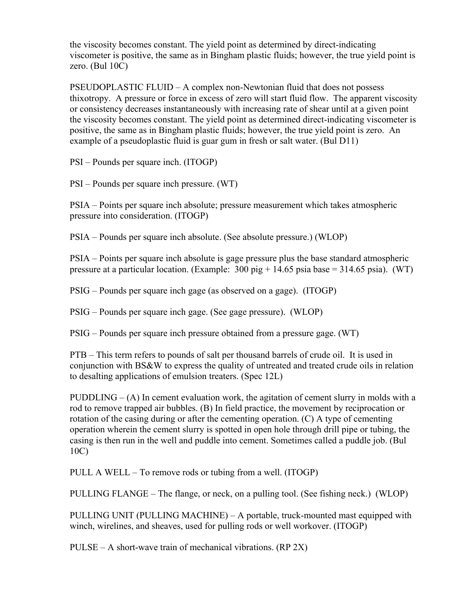the viscosity becomes constant. The yield point as determined by direct-indicating viscometer is positive, the same as in Bingham plastic fluids; however, the true yield point is zero. (Bul 10C)

PSEUDOPLASTIC FLUID – A complex non-Newtonian fluid that does not possess thixotropy. A pressure or force in excess of zero will start fluid flow. The apparent viscosity or consistency decreases instantaneously with increasing rate of shear until at a given point the viscosity becomes constant. The yield point as determined direct-indicating viscometer is positive, the same as in Bingham plastic fluids; however, the true yield point is zero. An example of a pseudoplastic fluid is guar gum in fresh or salt water. (Bul D11)

PSI – Pounds per square inch. (ITOGP)

PSI – Pounds per square inch pressure. (WT)

PSIA – Points per square inch absolute; pressure measurement which takes atmospheric pressure into consideration. (ITOGP)

PSIA – Pounds per square inch absolute. (See absolute pressure.) (WLOP)

PSIA – Points per square inch absolute is gage pressure plus the base standard atmospheric pressure at a particular location. (Example:  $300$  pig + 14.65 psia base = 314.65 psia). (WT)

PSIG – Pounds per square inch gage (as observed on a gage). (ITOGP)

PSIG – Pounds per square inch gage. (See gage pressure). (WLOP)

PSIG – Pounds per square inch pressure obtained from a pressure gage. (WT)

PTB – This term refers to pounds of salt per thousand barrels of crude oil. It is used in conjunction with BS&W to express the quality of untreated and treated crude oils in relation to desalting applications of emulsion treaters. (Spec 12L)

 $PUDDLING - (A)$  In cement evaluation work, the agitation of cement slurry in molds with a rod to remove trapped air bubbles. (B) In field practice, the movement by reciprocation or rotation of the casing during or after the cementing operation. (C) A type of cementing operation wherein the cement slurry is spotted in open hole through drill pipe or tubing, the casing is then run in the well and puddle into cement. Sometimes called a puddle job. (Bul 10C)

PULL A WELL – To remove rods or tubing from a well. (ITOGP)

PULLING FLANGE – The flange, or neck, on a pulling tool. (See fishing neck.) (WLOP)

PULLING UNIT (PULLING MACHINE) – A portable, truck-mounted mast equipped with winch, wirelines, and sheaves, used for pulling rods or well workover. (ITOGP)

PULSE – A short-wave train of mechanical vibrations. (RP 2X)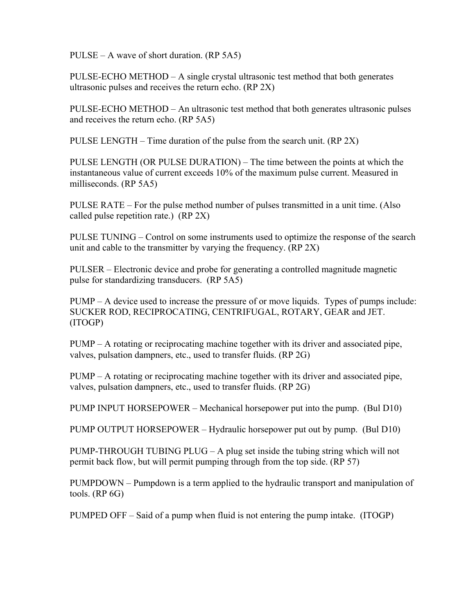PULSE – A wave of short duration. (RP 5A5)

PULSE-ECHO METHOD – A single crystal ultrasonic test method that both generates ultrasonic pulses and receives the return echo. (RP 2X)

PULSE-ECHO METHOD – An ultrasonic test method that both generates ultrasonic pulses and receives the return echo. (RP 5A5)

PULSE LENGTH – Time duration of the pulse from the search unit. (RP 2X)

PULSE LENGTH (OR PULSE DURATION) – The time between the points at which the instantaneous value of current exceeds 10% of the maximum pulse current. Measured in milliseconds. (RP 5A5)

PULSE RATE – For the pulse method number of pulses transmitted in a unit time. (Also called pulse repetition rate.) (RP 2X)

PULSE TUNING – Control on some instruments used to optimize the response of the search unit and cable to the transmitter by varying the frequency. (RP 2X)

PULSER – Electronic device and probe for generating a controlled magnitude magnetic pulse for standardizing transducers. (RP 5A5)

PUMP – A device used to increase the pressure of or move liquids. Types of pumps include: SUCKER ROD, RECIPROCATING, CENTRIFUGAL, ROTARY, GEAR and JET. (ITOGP)

PUMP – A rotating or reciprocating machine together with its driver and associated pipe, valves, pulsation dampners, etc., used to transfer fluids. (RP 2G)

PUMP – A rotating or reciprocating machine together with its driver and associated pipe, valves, pulsation dampners, etc., used to transfer fluids. (RP 2G)

PUMP INPUT HORSEPOWER – Mechanical horsepower put into the pump. (Bul D10)

PUMP OUTPUT HORSEPOWER – Hydraulic horsepower put out by pump. (Bul D10)

PUMP-THROUGH TUBING PLUG – A plug set inside the tubing string which will not permit back flow, but will permit pumping through from the top side. (RP 57)

PUMPDOWN – Pumpdown is a term applied to the hydraulic transport and manipulation of tools. (RP 6G)

PUMPED OFF – Said of a pump when fluid is not entering the pump intake. (ITOGP)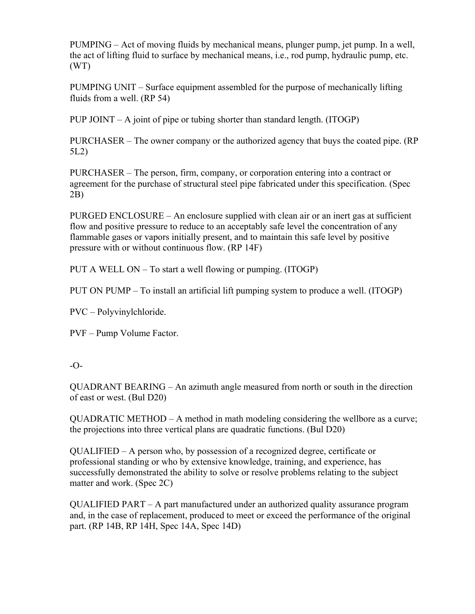PUMPING – Act of moving fluids by mechanical means, plunger pump, jet pump. In a well, the act of lifting fluid to surface by mechanical means, i.e., rod pump, hydraulic pump, etc. (WT)

PUMPING UNIT – Surface equipment assembled for the purpose of mechanically lifting fluids from a well. (RP 54)

PUP JOINT – A joint of pipe or tubing shorter than standard length. (ITOGP)

PURCHASER – The owner company or the authorized agency that buys the coated pipe. (RP 5L2)

PURCHASER – The person, firm, company, or corporation entering into a contract or agreement for the purchase of structural steel pipe fabricated under this specification. (Spec 2B)

PURGED ENCLOSURE – An enclosure supplied with clean air or an inert gas at sufficient flow and positive pressure to reduce to an acceptably safe level the concentration of any flammable gases or vapors initially present, and to maintain this safe level by positive pressure with or without continuous flow. (RP 14F)

PUT A WELL ON – To start a well flowing or pumping. (ITOGP)

PUT ON PUMP – To install an artificial lift pumping system to produce a well. (ITOGP)

PVC – Polyvinylchloride.

PVF – Pump Volume Factor.

## -O-

QUADRANT BEARING – An azimuth angle measured from north or south in the direction of east or west. (Bul D20)

QUADRATIC METHOD – A method in math modeling considering the wellbore as a curve; the projections into three vertical plans are quadratic functions. (Bul D20)

QUALIFIED – A person who, by possession of a recognized degree, certificate or professional standing or who by extensive knowledge, training, and experience, has successfully demonstrated the ability to solve or resolve problems relating to the subject matter and work. (Spec 2C)

QUALIFIED PART – A part manufactured under an authorized quality assurance program and, in the case of replacement, produced to meet or exceed the performance of the original part. (RP 14B, RP 14H, Spec 14A, Spec 14D)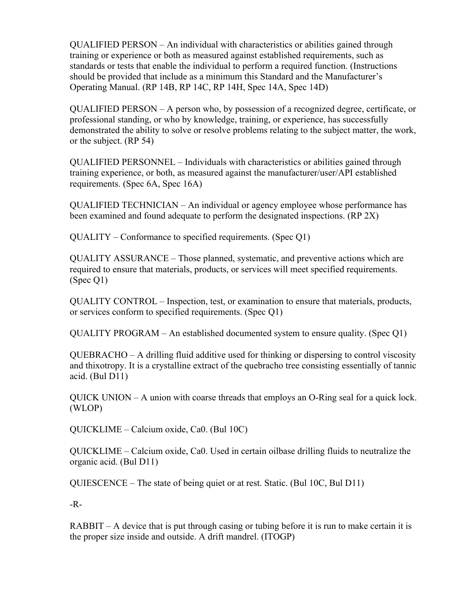QUALIFIED PERSON – An individual with characteristics or abilities gained through training or experience or both as measured against established requirements, such as standards or tests that enable the individual to perform a required function. (Instructions should be provided that include as a minimum this Standard and the Manufacturer's Operating Manual. (RP 14B, RP 14C, RP 14H, Spec 14A, Spec 14D)

QUALIFIED PERSON – A person who, by possession of a recognized degree, certificate, or professional standing, or who by knowledge, training, or experience, has successfully demonstrated the ability to solve or resolve problems relating to the subject matter, the work, or the subject. (RP 54)

QUALIFIED PERSONNEL – Individuals with characteristics or abilities gained through training experience, or both, as measured against the manufacturer/user/API established requirements. (Spec 6A, Spec 16A)

QUALIFIED TECHNICIAN – An individual or agency employee whose performance has been examined and found adequate to perform the designated inspections. (RP  $2X$ )

QUALITY – Conformance to specified requirements. (Spec Q1)

QUALITY ASSURANCE – Those planned, systematic, and preventive actions which are required to ensure that materials, products, or services will meet specified requirements. (Spec Q1)

QUALITY CONTROL – Inspection, test, or examination to ensure that materials, products, or services conform to specified requirements. (Spec Q1)

QUALITY PROGRAM – An established documented system to ensure quality. (Spec Q1)

QUEBRACHO – A drilling fluid additive used for thinking or dispersing to control viscosity and thixotropy. It is a crystalline extract of the quebracho tree consisting essentially of tannic acid. (Bul D11)

QUICK UNION – A union with coarse threads that employs an O-Ring seal for a quick lock. (WLOP)

QUICKLIME – Calcium oxide, Ca0. (Bul 10C)

QUICKLIME – Calcium oxide, Ca0. Used in certain oilbase drilling fluids to neutralize the organic acid. (Bul D11)

QUIESCENCE – The state of being quiet or at rest. Static. (Bul 10C, Bul D11)

-R-

RABBIT – A device that is put through casing or tubing before it is run to make certain it is the proper size inside and outside. A drift mandrel. (ITOGP)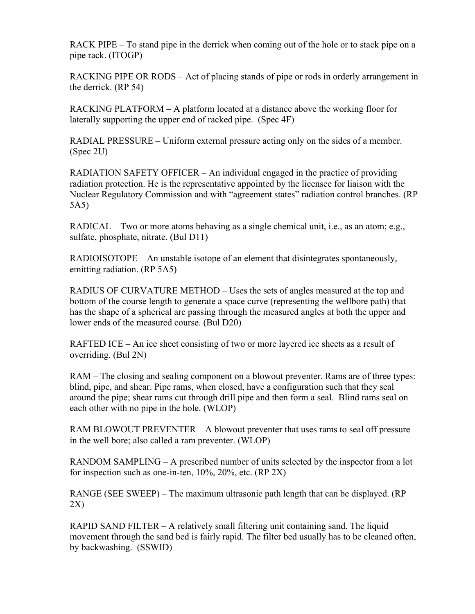RACK PIPE – To stand pipe in the derrick when coming out of the hole or to stack pipe on a pipe rack. (ITOGP)

RACKING PIPE OR RODS – Act of placing stands of pipe or rods in orderly arrangement in the derrick. (RP 54)

RACKING PLATFORM – A platform located at a distance above the working floor for laterally supporting the upper end of racked pipe. (Spec 4F)

RADIAL PRESSURE – Uniform external pressure acting only on the sides of a member. (Spec 2U)

RADIATION SAFETY OFFICER – An individual engaged in the practice of providing radiation protection. He is the representative appointed by the licensee for liaison with the Nuclear Regulatory Commission and with "agreement states" radiation control branches. (RP 5A5)

RADICAL – Two or more atoms behaving as a single chemical unit, i.e., as an atom; e.g., sulfate, phosphate, nitrate. (Bul D11)

RADIOISOTOPE – An unstable isotope of an element that disintegrates spontaneously, emitting radiation. (RP 5A5)

RADIUS OF CURVATURE METHOD – Uses the sets of angles measured at the top and bottom of the course length to generate a space curve (representing the wellbore path) that has the shape of a spherical arc passing through the measured angles at both the upper and lower ends of the measured course. (Bul D20)

RAFTED ICE – An ice sheet consisting of two or more layered ice sheets as a result of overriding. (Bul 2N)

RAM – The closing and sealing component on a blowout preventer. Rams are of three types: blind, pipe, and shear. Pipe rams, when closed, have a configuration such that they seal around the pipe; shear rams cut through drill pipe and then form a seal. Blind rams seal on each other with no pipe in the hole. (WLOP)

RAM BLOWOUT PREVENTER – A blowout preventer that uses rams to seal off pressure in the well bore; also called a ram preventer. (WLOP)

RANDOM SAMPLING – A prescribed number of units selected by the inspector from a lot for inspection such as one-in-ten, 10%, 20%, etc. (RP 2X)

RANGE (SEE SWEEP) – The maximum ultrasonic path length that can be displayed. (RP 2X)

RAPID SAND FILTER – A relatively small filtering unit containing sand. The liquid movement through the sand bed is fairly rapid. The filter bed usually has to be cleaned often, by backwashing. (SSWID)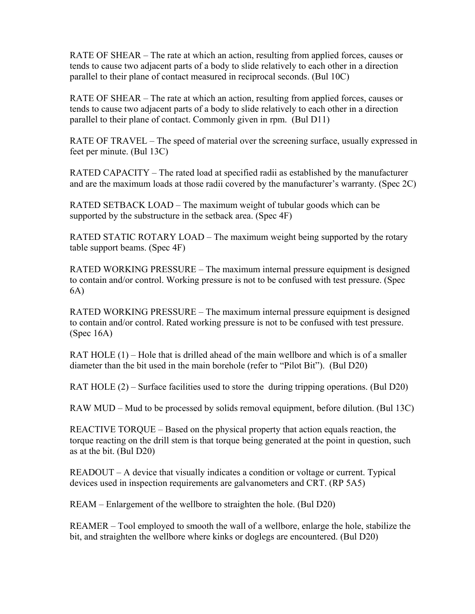RATE OF SHEAR – The rate at which an action, resulting from applied forces, causes or tends to cause two adjacent parts of a body to slide relatively to each other in a direction parallel to their plane of contact measured in reciprocal seconds. (Bul 10C)

RATE OF SHEAR – The rate at which an action, resulting from applied forces, causes or tends to cause two adjacent parts of a body to slide relatively to each other in a direction parallel to their plane of contact. Commonly given in rpm. (Bul D11)

RATE OF TRAVEL – The speed of material over the screening surface, usually expressed in feet per minute. (Bul 13C)

RATED CAPACITY – The rated load at specified radii as established by the manufacturer and are the maximum loads at those radii covered by the manufacturer's warranty. (Spec 2C)

RATED SETBACK LOAD – The maximum weight of tubular goods which can be supported by the substructure in the setback area. (Spec 4F)

RATED STATIC ROTARY LOAD – The maximum weight being supported by the rotary table support beams. (Spec 4F)

RATED WORKING PRESSURE – The maximum internal pressure equipment is designed to contain and/or control. Working pressure is not to be confused with test pressure. (Spec 6A)

RATED WORKING PRESSURE – The maximum internal pressure equipment is designed to contain and/or control. Rated working pressure is not to be confused with test pressure. (Spec 16A)

RAT HOLE (1) – Hole that is drilled ahead of the main wellbore and which is of a smaller diameter than the bit used in the main borehole (refer to "Pilot Bit"). (Bul D20)

RAT HOLE (2) – Surface facilities used to store the during tripping operations. (Bul D20)

RAW MUD – Mud to be processed by solids removal equipment, before dilution. (Bul 13C)

REACTIVE TORQUE – Based on the physical property that action equals reaction, the torque reacting on the drill stem is that torque being generated at the point in question, such as at the bit. (Bul D20)

READOUT – A device that visually indicates a condition or voltage or current. Typical devices used in inspection requirements are galvanometers and CRT. (RP 5A5)

REAM – Enlargement of the wellbore to straighten the hole. (Bul D20)

REAMER – Tool employed to smooth the wall of a wellbore, enlarge the hole, stabilize the bit, and straighten the wellbore where kinks or doglegs are encountered. (Bul D20)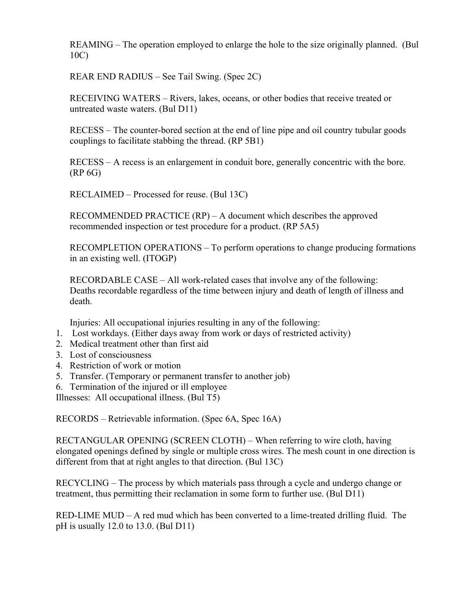REAMING – The operation employed to enlarge the hole to the size originally planned. (Bul 10C)

REAR END RADIUS – See Tail Swing. (Spec 2C)

RECEIVING WATERS – Rivers, lakes, oceans, or other bodies that receive treated or untreated waste waters. (Bul D11)

RECESS – The counter-bored section at the end of line pipe and oil country tubular goods couplings to facilitate stabbing the thread. (RP 5B1)

RECESS – A recess is an enlargement in conduit bore, generally concentric with the bore. (RP 6G)

RECLAIMED – Processed for reuse. (Bul 13C)

RECOMMENDED PRACTICE (RP) – A document which describes the approved recommended inspection or test procedure for a product. (RP 5A5)

RECOMPLETION OPERATIONS – To perform operations to change producing formations in an existing well. (ITOGP)

RECORDABLE CASE – All work-related cases that involve any of the following: Deaths recordable regardless of the time between injury and death of length of illness and death.

Injuries: All occupational injuries resulting in any of the following:

- 1. Lost workdays. (Either days away from work or days of restricted activity)
- 2. Medical treatment other than first aid
- 3. Lost of consciousness
- 4. Restriction of work or motion
- 5. Transfer. (Temporary or permanent transfer to another job)
- 6. Termination of the injured or ill employee

Illnesses: All occupational illness. (Bul T5)

RECORDS – Retrievable information. (Spec 6A, Spec 16A)

RECTANGULAR OPENING (SCREEN CLOTH) – When referring to wire cloth, having elongated openings defined by single or multiple cross wires. The mesh count in one direction is different from that at right angles to that direction. (Bul 13C)

RECYCLING – The process by which materials pass through a cycle and undergo change or treatment, thus permitting their reclamation in some form to further use. (Bul D11)

RED-LIME MUD – A red mud which has been converted to a lime-treated drilling fluid. The pH is usually 12.0 to 13.0. (Bul D11)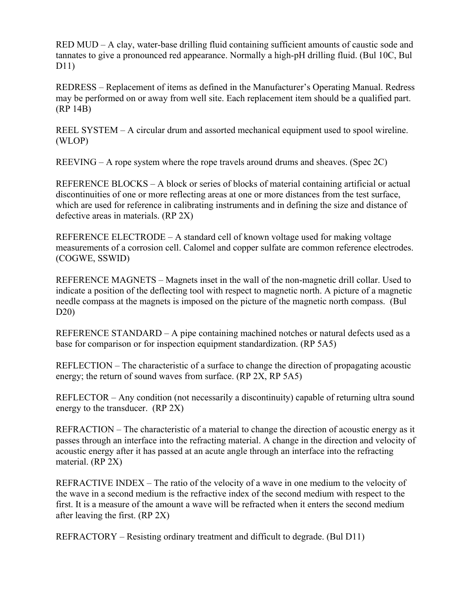RED MUD – A clay, water-base drilling fluid containing sufficient amounts of caustic sode and tannates to give a pronounced red appearance. Normally a high-pH drilling fluid. (Bul 10C, Bul D11)

REDRESS – Replacement of items as defined in the Manufacturer's Operating Manual. Redress may be performed on or away from well site. Each replacement item should be a qualified part. (RP 14B)

REEL SYSTEM – A circular drum and assorted mechanical equipment used to spool wireline. (WLOP)

REEVING – A rope system where the rope travels around drums and sheaves. (Spec 2C)

REFERENCE BLOCKS – A block or series of blocks of material containing artificial or actual discontinuities of one or more reflecting areas at one or more distances from the test surface, which are used for reference in calibrating instruments and in defining the size and distance of defective areas in materials. (RP 2X)

REFERENCE ELECTRODE – A standard cell of known voltage used for making voltage measurements of a corrosion cell. Calomel and copper sulfate are common reference electrodes. (COGWE, SSWID)

REFERENCE MAGNETS – Magnets inset in the wall of the non-magnetic drill collar. Used to indicate a position of the deflecting tool with respect to magnetic north. A picture of a magnetic needle compass at the magnets is imposed on the picture of the magnetic north compass. (Bul D20)

REFERENCE STANDARD – A pipe containing machined notches or natural defects used as a base for comparison or for inspection equipment standardization. (RP 5A5)

REFLECTION – The characteristic of a surface to change the direction of propagating acoustic energy; the return of sound waves from surface. (RP 2X, RP 5A5)

REFLECTOR – Any condition (not necessarily a discontinuity) capable of returning ultra sound energy to the transducer. (RP 2X)

REFRACTION – The characteristic of a material to change the direction of acoustic energy as it passes through an interface into the refracting material. A change in the direction and velocity of acoustic energy after it has passed at an acute angle through an interface into the refracting material. (RP 2X)

REFRACTIVE INDEX – The ratio of the velocity of a wave in one medium to the velocity of the wave in a second medium is the refractive index of the second medium with respect to the first. It is a measure of the amount a wave will be refracted when it enters the second medium after leaving the first. (RP 2X)

REFRACTORY – Resisting ordinary treatment and difficult to degrade. (Bul D11)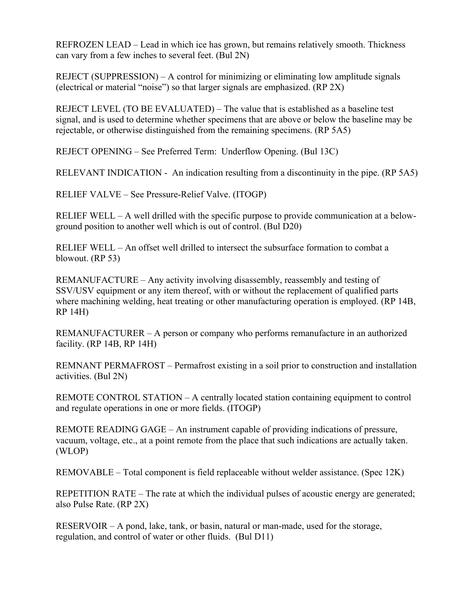REFROZEN LEAD – Lead in which ice has grown, but remains relatively smooth. Thickness can vary from a few inches to several feet. (Bul 2N)

REJECT (SUPPRESSION) – A control for minimizing or eliminating low amplitude signals (electrical or material "noise") so that larger signals are emphasized. (RP 2X)

REJECT LEVEL (TO BE EVALUATED) – The value that is established as a baseline test signal, and is used to determine whether specimens that are above or below the baseline may be rejectable, or otherwise distinguished from the remaining specimens. (RP 5A5)

REJECT OPENING – See Preferred Term: Underflow Opening. (Bul 13C)

RELEVANT INDICATION - An indication resulting from a discontinuity in the pipe. (RP 5A5)

RELIEF VALVE – See Pressure-Relief Valve. (ITOGP)

RELIEF WELL – A well drilled with the specific purpose to provide communication at a belowground position to another well which is out of control. (Bul D20)

RELIEF WELL – An offset well drilled to intersect the subsurface formation to combat a blowout. (RP 53)

REMANUFACTURE – Any activity involving disassembly, reassembly and testing of SSV/USV equipment or any item thereof, with or without the replacement of qualified parts where machining welding, heat treating or other manufacturing operation is employed. (RP 14B, RP 14H)

REMANUFACTURER – A person or company who performs remanufacture in an authorized facility. (RP 14B, RP 14H)

REMNANT PERMAFROST – Permafrost existing in a soil prior to construction and installation activities. (Bul 2N)

REMOTE CONTROL STATION – A centrally located station containing equipment to control and regulate operations in one or more fields. (ITOGP)

REMOTE READING GAGE – An instrument capable of providing indications of pressure, vacuum, voltage, etc., at a point remote from the place that such indications are actually taken. (WLOP)

REMOVABLE – Total component is field replaceable without welder assistance. (Spec 12K)

REPETITION RATE – The rate at which the individual pulses of acoustic energy are generated; also Pulse Rate. (RP 2X)

RESERVOIR – A pond, lake, tank, or basin, natural or man-made, used for the storage, regulation, and control of water or other fluids. (Bul D11)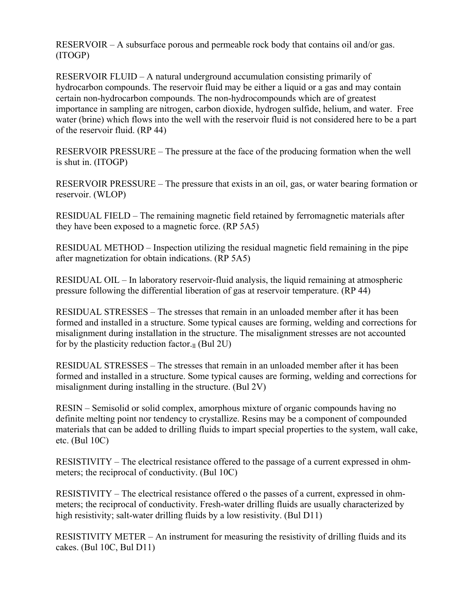RESERVOIR – A subsurface porous and permeable rock body that contains oil and/or gas. (ITOGP)

RESERVOIR FLUID – A natural underground accumulation consisting primarily of hydrocarbon compounds. The reservoir fluid may be either a liquid or a gas and may contain certain non-hydrocarbon compounds. The non-hydrocompounds which are of greatest importance in sampling are nitrogen, carbon dioxide, hydrogen sulfide, helium, and water. Free water (brine) which flows into the well with the reservoir fluid is not considered here to be a part of the reservoir fluid. (RP 44)

RESERVOIR PRESSURE – The pressure at the face of the producing formation when the well is shut in. (ITOGP)

RESERVOIR PRESSURE – The pressure that exists in an oil, gas, or water bearing formation or reservoir. (WLOP)

RESIDUAL FIELD – The remaining magnetic field retained by ferromagnetic materials after they have been exposed to a magnetic force. (RP 5A5)

RESIDUAL METHOD – Inspection utilizing the residual magnetic field remaining in the pipe after magnetization for obtain indications. (RP 5A5)

RESIDUAL OIL – In laboratory reservoir-fluid analysis, the liquid remaining at atmospheric pressure following the differential liberation of gas at reservoir temperature. (RP 44)

RESIDUAL STRESSES – The stresses that remain in an unloaded member after it has been formed and installed in a structure. Some typical causes are forming, welding and corrections for misalignment during installation in the structure. The misalignment stresses are not accounted for by the plasticity reduction factor. $\mathbf{u}$  (Bul 2U)

RESIDUAL STRESSES – The stresses that remain in an unloaded member after it has been formed and installed in a structure. Some typical causes are forming, welding and corrections for misalignment during installing in the structure. (Bul 2V)

RESIN – Semisolid or solid complex, amorphous mixture of organic compounds having no definite melting point nor tendency to crystallize. Resins may be a component of compounded materials that can be added to drilling fluids to impart special properties to the system, wall cake, etc. (Bul 10C)

RESISTIVITY – The electrical resistance offered to the passage of a current expressed in ohmmeters; the reciprocal of conductivity. (Bul 10C)

RESISTIVITY – The electrical resistance offered o the passes of a current, expressed in ohmmeters; the reciprocal of conductivity. Fresh-water drilling fluids are usually characterized by high resistivity; salt-water drilling fluids by a low resistivity. (Bul D11)

RESISTIVITY METER – An instrument for measuring the resistivity of drilling fluids and its cakes. (Bul 10C, Bul D11)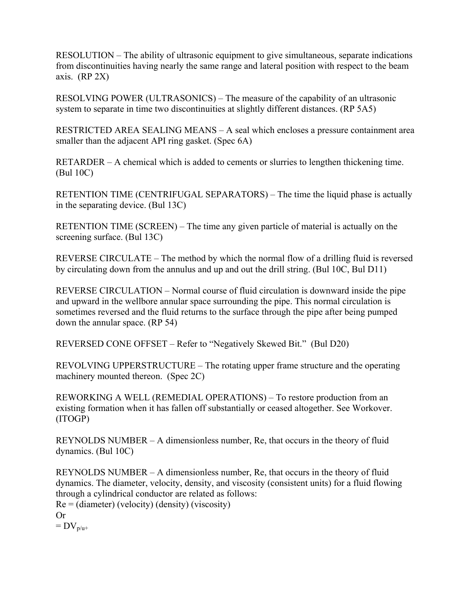RESOLUTION – The ability of ultrasonic equipment to give simultaneous, separate indications from discontinuities having nearly the same range and lateral position with respect to the beam axis. (RP 2X)

RESOLVING POWER (ULTRASONICS) – The measure of the capability of an ultrasonic system to separate in time two discontinuities at slightly different distances. (RP 5A5)

RESTRICTED AREA SEALING MEANS – A seal which encloses a pressure containment area smaller than the adjacent API ring gasket. (Spec 6A)

RETARDER – A chemical which is added to cements or slurries to lengthen thickening time. (Bul 10C)

RETENTION TIME (CENTRIFUGAL SEPARATORS) – The time the liquid phase is actually in the separating device. (Bul 13C)

RETENTION TIME (SCREEN) – The time any given particle of material is actually on the screening surface. (Bul 13C)

REVERSE CIRCULATE – The method by which the normal flow of a drilling fluid is reversed by circulating down from the annulus and up and out the drill string. (Bul 10C, Bul D11)

REVERSE CIRCULATION – Normal course of fluid circulation is downward inside the pipe and upward in the wellbore annular space surrounding the pipe. This normal circulation is sometimes reversed and the fluid returns to the surface through the pipe after being pumped down the annular space. (RP 54)

REVERSED CONE OFFSET – Refer to "Negatively Skewed Bit." (Bul D20)

REVOLVING UPPERSTRUCTURE – The rotating upper frame structure and the operating machinery mounted thereon. (Spec 2C)

REWORKING A WELL (REMEDIAL OPERATIONS) – To restore production from an existing formation when it has fallen off substantially or ceased altogether. See Workover. (ITOGP)

REYNOLDS NUMBER – A dimensionless number, Re, that occurs in the theory of fluid dynamics. (Bul 10C)

REYNOLDS NUMBER – A dimensionless number, Re, that occurs in the theory of fluid dynamics. The diameter, velocity, density, and viscosity (consistent units) for a fluid flowing through a cylindrical conductor are related as follows:

 $Re = (diameter)$  (velocity) (density) (viscosity) Or

 $= DV_{p/u^+}$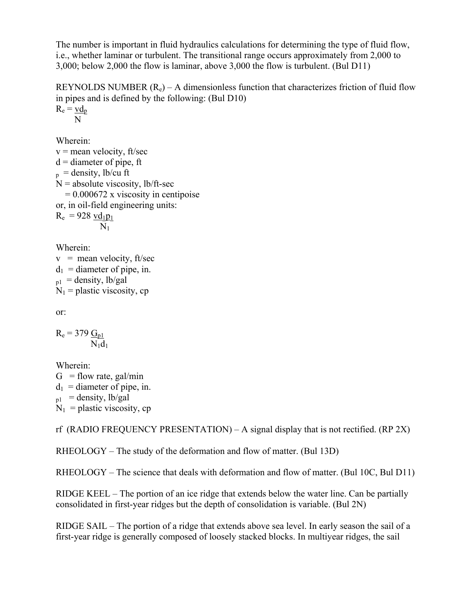The number is important in fluid hydraulics calculations for determining the type of fluid flow, i.e., whether laminar or turbulent. The transitional range occurs approximately from 2,000 to 3,000; below 2,000 the flow is laminar, above 3,000 the flow is turbulent. (Bul D11)

REYNOLDS NUMBER  $(R_e)$  – A dimensionless function that characterizes friction of fluid flow in pipes and is defined by the following: (Bul D10)  $R_e = \underline{vd}_p$ 

N

Wherein:

 $v =$  mean velocity, ft/sec  $d =$  diameter of pipe, ft  $_{p}$  = density, lb/cu ft  $N =$  absolute viscosity, lb/ft-sec  $= 0.000672$  x viscosity in centipoise or, in oil-field engineering units:  $R_e = 928 \text{ v}d_1p_1$  $N_1$ 

Wherein:

 $v =$  mean velocity, ft/sec  $d_1$  = diameter of pipe, in.  $_{\text{p1}}$  = density, lb/gal  $N_1$  = plastic viscosity, cp

or:

 $R_e = 379 \underline{G}_{p1}$  $N_1d_1$ 

Wherein:

 $G =$ flow rate, gal/min  $d_1$  = diameter of pipe, in.  $_{\text{p1}}$  = density, lb/gal  $N_1$  = plastic viscosity, cp

rf (RADIO FREQUENCY PRESENTATION) – A signal display that is not rectified. (RP 2X)

RHEOLOGY – The study of the deformation and flow of matter. (Bul 13D)

RHEOLOGY – The science that deals with deformation and flow of matter. (Bul 10C, Bul D11)

RIDGE KEEL – The portion of an ice ridge that extends below the water line. Can be partially consolidated in first-year ridges but the depth of consolidation is variable. (Bul 2N)

RIDGE SAIL – The portion of a ridge that extends above sea level. In early season the sail of a first-year ridge is generally composed of loosely stacked blocks. In multiyear ridges, the sail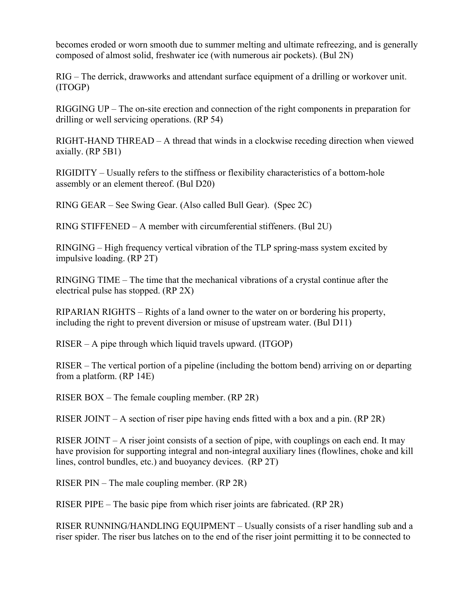becomes eroded or worn smooth due to summer melting and ultimate refreezing, and is generally composed of almost solid, freshwater ice (with numerous air pockets). (Bul 2N)

RIG – The derrick, drawworks and attendant surface equipment of a drilling or workover unit. (ITOGP)

RIGGING UP – The on-site erection and connection of the right components in preparation for drilling or well servicing operations. (RP 54)

RIGHT-HAND THREAD – A thread that winds in a clockwise receding direction when viewed axially. (RP 5B1)

RIGIDITY – Usually refers to the stiffness or flexibility characteristics of a bottom-hole assembly or an element thereof. (Bul D20)

RING GEAR – See Swing Gear. (Also called Bull Gear). (Spec 2C)

RING STIFFENED – A member with circumferential stiffeners. (Bul 2U)

RINGING – High frequency vertical vibration of the TLP spring-mass system excited by impulsive loading. (RP 2T)

RINGING TIME – The time that the mechanical vibrations of a crystal continue after the electrical pulse has stopped. (RP 2X)

RIPARIAN RIGHTS – Rights of a land owner to the water on or bordering his property, including the right to prevent diversion or misuse of upstream water. (Bul D11)

RISER – A pipe through which liquid travels upward. (ITGOP)

RISER – The vertical portion of a pipeline (including the bottom bend) arriving on or departing from a platform. (RP 14E)

RISER BOX – The female coupling member. (RP 2R)

RISER JOINT – A section of riser pipe having ends fitted with a box and a pin. (RP 2R)

RISER JOINT – A riser joint consists of a section of pipe, with couplings on each end. It may have provision for supporting integral and non-integral auxiliary lines (flowlines, choke and kill lines, control bundles, etc.) and buoyancy devices. (RP 2T)

RISER PIN – The male coupling member. (RP 2R)

RISER PIPE – The basic pipe from which riser joints are fabricated. (RP 2R)

RISER RUNNING/HANDLING EQUIPMENT – Usually consists of a riser handling sub and a riser spider. The riser bus latches on to the end of the riser joint permitting it to be connected to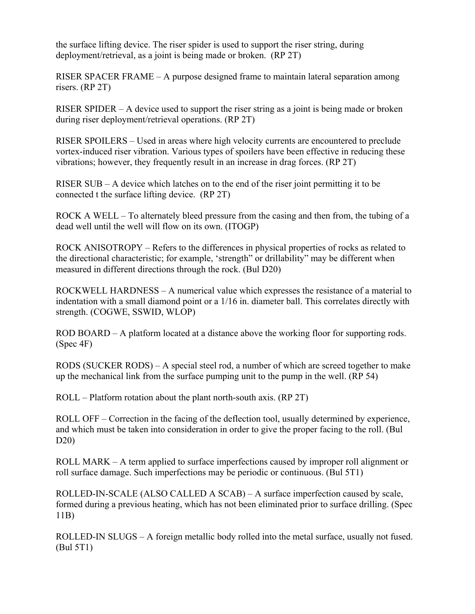the surface lifting device. The riser spider is used to support the riser string, during deployment/retrieval, as a joint is being made or broken. (RP 2T)

RISER SPACER FRAME – A purpose designed frame to maintain lateral separation among risers. (RP 2T)

RISER SPIDER – A device used to support the riser string as a joint is being made or broken during riser deployment/retrieval operations. (RP 2T)

RISER SPOILERS – Used in areas where high velocity currents are encountered to preclude vortex-induced riser vibration. Various types of spoilers have been effective in reducing these vibrations; however, they frequently result in an increase in drag forces. (RP 2T)

RISER SUB – A device which latches on to the end of the riser joint permitting it to be connected t the surface lifting device. (RP 2T)

ROCK A WELL – To alternately bleed pressure from the casing and then from, the tubing of a dead well until the well will flow on its own. (ITOGP)

ROCK ANISOTROPY – Refers to the differences in physical properties of rocks as related to the directional characteristic; for example, 'strength" or drillability" may be different when measured in different directions through the rock. (Bul D20)

ROCKWELL HARDNESS – A numerical value which expresses the resistance of a material to indentation with a small diamond point or a 1/16 in. diameter ball. This correlates directly with strength. (COGWE, SSWID, WLOP)

ROD BOARD – A platform located at a distance above the working floor for supporting rods. (Spec 4F)

RODS (SUCKER RODS) – A special steel rod, a number of which are screed together to make up the mechanical link from the surface pumping unit to the pump in the well. (RP 54)

ROLL – Platform rotation about the plant north-south axis. (RP 2T)

ROLL OFF – Correction in the facing of the deflection tool, usually determined by experience, and which must be taken into consideration in order to give the proper facing to the roll. (Bul D20)

ROLL MARK – A term applied to surface imperfections caused by improper roll alignment or roll surface damage. Such imperfections may be periodic or continuous. (Bul 5T1)

ROLLED-IN-SCALE (ALSO CALLED A SCAB) – A surface imperfection caused by scale, formed during a previous heating, which has not been eliminated prior to surface drilling. (Spec 11B)

ROLLED-IN SLUGS – A foreign metallic body rolled into the metal surface, usually not fused. (Bul 5T1)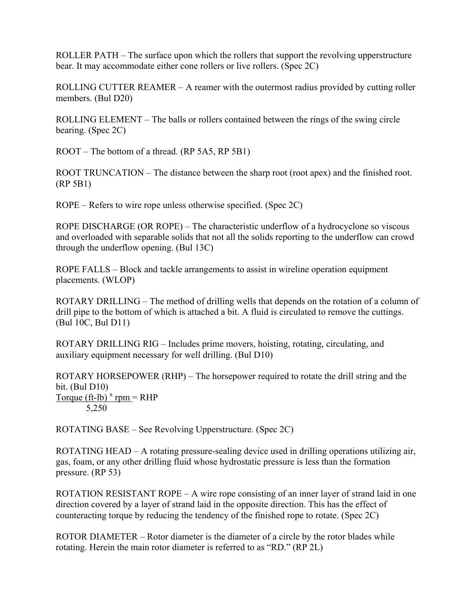ROLLER PATH – The surface upon which the rollers that support the revolving upperstructure bear. It may accommodate either cone rollers or live rollers. (Spec 2C)

ROLLING CUTTER REAMER – A reamer with the outermost radius provided by cutting roller members. (Bul D20)

ROLLING ELEMENT – The balls or rollers contained between the rings of the swing circle bearing. (Spec 2C)

ROOT – The bottom of a thread. (RP 5A5, RP 5B1)

ROOT TRUNCATION – The distance between the sharp root (root apex) and the finished root. (RP 5B1)

ROPE – Refers to wire rope unless otherwise specified. (Spec 2C)

ROPE DISCHARGE (OR ROPE) – The characteristic underflow of a hydrocyclone so viscous and overloaded with separable solids that not all the solids reporting to the underflow can crowd through the underflow opening. (Bul 13C)

ROPE FALLS – Block and tackle arrangements to assist in wireline operation equipment placements. (WLOP)

ROTARY DRILLING – The method of drilling wells that depends on the rotation of a column of drill pipe to the bottom of which is attached a bit. A fluid is circulated to remove the cuttings. (Bul 10C, Bul D11)

ROTARY DRILLING RIG – Includes prime movers, hoisting, rotating, circulating, and auxiliary equipment necessary for well drilling. (Bul D10)

ROTARY HORSEPOWER (RHP) – The horsepower required to rotate the drill string and the bit. (Bul D10) Torque  $(\text{ft-lb})^x$  rpm = RHP 5,250

ROTATING BASE – See Revolving Upperstructure. (Spec 2C)

ROTATING HEAD – A rotating pressure-sealing device used in drilling operations utilizing air, gas, foam, or any other drilling fluid whose hydrostatic pressure is less than the formation pressure. (RP 53)

ROTATION RESISTANT ROPE – A wire rope consisting of an inner layer of strand laid in one direction covered by a layer of strand laid in the opposite direction. This has the effect of counteracting torque by reducing the tendency of the finished rope to rotate. (Spec 2C)

ROTOR DIAMETER – Rotor diameter is the diameter of a circle by the rotor blades while rotating. Herein the main rotor diameter is referred to as "RD." (RP 2L)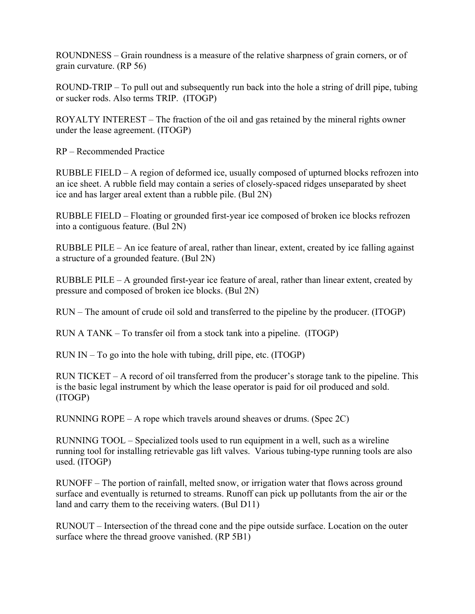ROUNDNESS – Grain roundness is a measure of the relative sharpness of grain corners, or of grain curvature. (RP 56)

ROUND-TRIP – To pull out and subsequently run back into the hole a string of drill pipe, tubing or sucker rods. Also terms TRIP. (ITOGP)

ROYALTY INTEREST – The fraction of the oil and gas retained by the mineral rights owner under the lease agreement. (ITOGP)

RP – Recommended Practice

RUBBLE FIELD – A region of deformed ice, usually composed of upturned blocks refrozen into an ice sheet. A rubble field may contain a series of closely-spaced ridges unseparated by sheet ice and has larger areal extent than a rubble pile. (Bul 2N)

RUBBLE FIELD – Floating or grounded first-year ice composed of broken ice blocks refrozen into a contiguous feature. (Bul 2N)

RUBBLE PILE – An ice feature of areal, rather than linear, extent, created by ice falling against a structure of a grounded feature. (Bul 2N)

RUBBLE PILE – A grounded first-year ice feature of areal, rather than linear extent, created by pressure and composed of broken ice blocks. (Bul 2N)

RUN – The amount of crude oil sold and transferred to the pipeline by the producer. (ITOGP)

RUN A TANK – To transfer oil from a stock tank into a pipeline. (ITOGP)

RUN IN – To go into the hole with tubing, drill pipe, etc. (ITOGP)

RUN TICKET – A record of oil transferred from the producer's storage tank to the pipeline. This is the basic legal instrument by which the lease operator is paid for oil produced and sold. (ITOGP)

RUNNING ROPE – A rope which travels around sheaves or drums. (Spec  $2C$ )

RUNNING TOOL – Specialized tools used to run equipment in a well, such as a wireline running tool for installing retrievable gas lift valves. Various tubing-type running tools are also used. (ITOGP)

RUNOFF – The portion of rainfall, melted snow, or irrigation water that flows across ground surface and eventually is returned to streams. Runoff can pick up pollutants from the air or the land and carry them to the receiving waters. (Bul D11)

RUNOUT – Intersection of the thread cone and the pipe outside surface. Location on the outer surface where the thread groove vanished. (RP 5B1)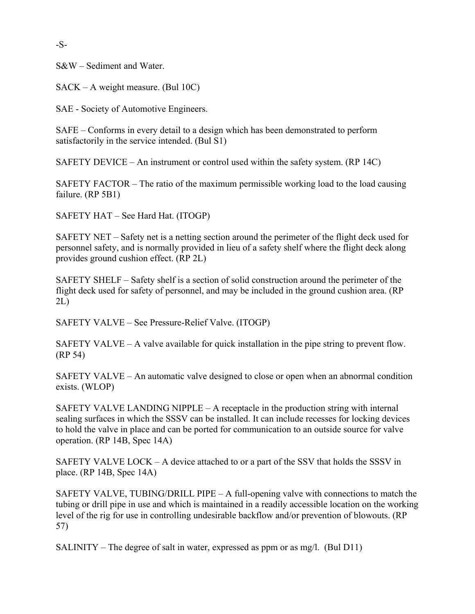-S-

S&W – Sediment and Water.

SACK – A weight measure. (Bul 10C)

SAE - Society of Automotive Engineers.

SAFE – Conforms in every detail to a design which has been demonstrated to perform satisfactorily in the service intended. (Bul S1)

SAFETY DEVICE – An instrument or control used within the safety system. (RP 14C)

SAFETY FACTOR – The ratio of the maximum permissible working load to the load causing failure. (RP 5B1)

SAFETY HAT – See Hard Hat. (ITOGP)

SAFETY NET – Safety net is a netting section around the perimeter of the flight deck used for personnel safety, and is normally provided in lieu of a safety shelf where the flight deck along provides ground cushion effect. (RP 2L)

SAFETY SHELF – Safety shelf is a section of solid construction around the perimeter of the flight deck used for safety of personnel, and may be included in the ground cushion area. (RP 2L)

SAFETY VALVE – See Pressure-Relief Valve. (ITOGP)

SAFETY VALVE – A valve available for quick installation in the pipe string to prevent flow. (RP 54)

SAFETY VALVE – An automatic valve designed to close or open when an abnormal condition exists. (WLOP)

SAFETY VALVE LANDING NIPPLE – A receptacle in the production string with internal sealing surfaces in which the SSSV can be installed. It can include recesses for locking devices to hold the valve in place and can be ported for communication to an outside source for valve operation. (RP 14B, Spec 14A)

SAFETY VALVE LOCK – A device attached to or a part of the SSV that holds the SSSV in place. (RP 14B, Spec 14A)

SAFETY VALVE, TUBING/DRILL PIPE – A full-opening valve with connections to match the tubing or drill pipe in use and which is maintained in a readily accessible location on the working level of the rig for use in controlling undesirable backflow and/or prevention of blowouts. (RP 57)

SALINITY – The degree of salt in water, expressed as ppm or as mg/l. (Bul D11)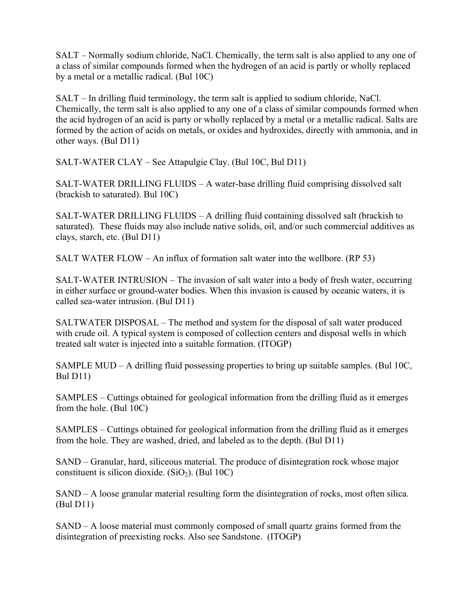SALT – Normally sodium chloride, NaCl. Chemically, the term salt is also applied to any one of a class of similar compounds formed when the hydrogen of an acid is partly or wholly replaced by a metal or a metallic radical. (Bul 10C)

SALT – In drilling fluid terminology, the term salt is applied to sodium chloride, NaCl. Chemically, the term salt is also applied to any one of a class of similar compounds formed when the acid hydrogen of an acid is party or wholly replaced by a metal or a metallic radical. Salts are formed by the action of acids on metals, or oxides and hydroxides, directly with ammonia, and in other ways. (Bul D11)

SALT-WATER CLAY – See Attapulgie Clay. (Bul 10C, Bul D11)

SALT-WATER DRILLING FLUIDS – A water-base drilling fluid comprising dissolved salt (brackish to saturated). Bul 10C)

SALT-WATER DRILLING FLUIDS – A drilling fluid containing dissolved salt (brackish to saturated). These fluids may also include native solids, oil, and/or such commercial additives as clays, starch, etc. (Bul D11)

SALT WATER FLOW – An influx of formation salt water into the wellbore. (RP 53)

SALT-WATER INTRUSION – The invasion of salt water into a body of fresh water, occurring in either surface or ground-water bodies. When this invasion is caused by oceanic waters, it is called sea-water intrusion. (Bul D11)

SALTWATER DISPOSAL – The method and system for the disposal of salt water produced with crude oil. A typical system is composed of collection centers and disposal wells in which treated salt water is injected into a suitable formation. (ITOGP)

SAMPLE MUD – A drilling fluid possessing properties to bring up suitable samples. (Bul 10C, Bul D11)

SAMPLES – Cuttings obtained for geological information from the drilling fluid as it emerges from the hole. (Bul 10C)

SAMPLES – Cuttings obtained for geological information from the drilling fluid as it emerges from the hole. They are washed, dried, and labeled as to the depth. (Bul D11)

SAND – Granular, hard, siliceous material. The produce of disintegration rock whose major constituent is silicon dioxide.  $(SiO<sub>2</sub>)$ . (Bul 10C)

SAND – A loose granular material resulting form the disintegration of rocks, most often silica. (Bul D11)

SAND – A loose material must commonly composed of small quartz grains formed from the disintegration of preexisting rocks. Also see Sandstone. (ITOGP)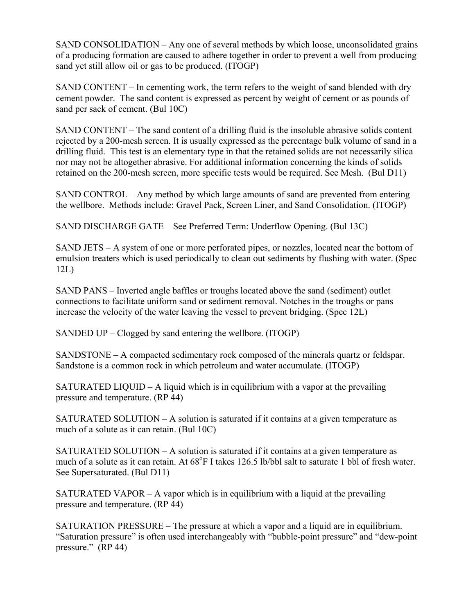SAND CONSOLIDATION – Any one of several methods by which loose, unconsolidated grains of a producing formation are caused to adhere together in order to prevent a well from producing sand yet still allow oil or gas to be produced. (ITOGP)

SAND CONTENT – In cementing work, the term refers to the weight of sand blended with dry cement powder. The sand content is expressed as percent by weight of cement or as pounds of sand per sack of cement. (Bul 10C)

SAND CONTENT – The sand content of a drilling fluid is the insoluble abrasive solids content rejected by a 200-mesh screen. It is usually expressed as the percentage bulk volume of sand in a drilling fluid. This test is an elementary type in that the retained solids are not necessarily silica nor may not be altogether abrasive. For additional information concerning the kinds of solids retained on the 200-mesh screen, more specific tests would be required. See Mesh. (Bul D11)

SAND CONTROL – Any method by which large amounts of sand are prevented from entering the wellbore. Methods include: Gravel Pack, Screen Liner, and Sand Consolidation. (ITOGP)

SAND DISCHARGE GATE – See Preferred Term: Underflow Opening. (Bul 13C)

SAND JETS – A system of one or more perforated pipes, or nozzles, located near the bottom of emulsion treaters which is used periodically to clean out sediments by flushing with water. (Spec 12L)

SAND PANS – Inverted angle baffles or troughs located above the sand (sediment) outlet connections to facilitate uniform sand or sediment removal. Notches in the troughs or pans increase the velocity of the water leaving the vessel to prevent bridging. (Spec 12L)

SANDED UP – Clogged by sand entering the wellbore. (ITOGP)

SANDSTONE – A compacted sedimentary rock composed of the minerals quartz or feldspar. Sandstone is a common rock in which petroleum and water accumulate. (ITOGP)

SATURATED LIQUID – A liquid which is in equilibrium with a vapor at the prevailing pressure and temperature. (RP 44)

SATURATED SOLUTION – A solution is saturated if it contains at a given temperature as much of a solute as it can retain. (Bul 10C)

SATURATED SOLUTION – A solution is saturated if it contains at a given temperature as much of a solute as it can retain. At 68°F I takes 126.5 lb/bbl salt to saturate 1 bbl of fresh water. See Supersaturated. (Bul D11)

SATURATED VAPOR – A vapor which is in equilibrium with a liquid at the prevailing pressure and temperature. (RP 44)

SATURATION PRESSURE – The pressure at which a vapor and a liquid are in equilibrium. "Saturation pressure" is often used interchangeably with "bubble-point pressure" and "dew-point pressure." (RP 44)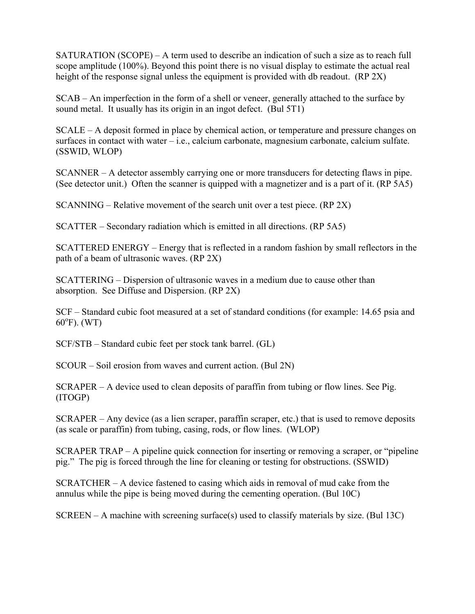SATURATION (SCOPE) – A term used to describe an indication of such a size as to reach full scope amplitude (100%). Beyond this point there is no visual display to estimate the actual real height of the response signal unless the equipment is provided with db readout. (RP 2X)

SCAB – An imperfection in the form of a shell or veneer, generally attached to the surface by sound metal. It usually has its origin in an ingot defect. (Bul 5T1)

SCALE – A deposit formed in place by chemical action, or temperature and pressure changes on surfaces in contact with water – i.e., calcium carbonate, magnesium carbonate, calcium sulfate. (SSWID, WLOP)

SCANNER – A detector assembly carrying one or more transducers for detecting flaws in pipe. (See detector unit.) Often the scanner is quipped with a magnetizer and is a part of it. (RP 5A5)

SCANNING – Relative movement of the search unit over a test piece. (RP 2X)

SCATTER – Secondary radiation which is emitted in all directions. (RP 5A5)

SCATTERED ENERGY – Energy that is reflected in a random fashion by small reflectors in the path of a beam of ultrasonic waves. (RP 2X)

SCATTERING – Dispersion of ultrasonic waves in a medium due to cause other than absorption. See Diffuse and Dispersion. (RP 2X)

SCF – Standard cubic foot measured at a set of standard conditions (for example: 14.65 psia and 60<sup>o</sup>F). (WT)

SCF/STB – Standard cubic feet per stock tank barrel. (GL)

SCOUR – Soil erosion from waves and current action. (Bul 2N)

SCRAPER – A device used to clean deposits of paraffin from tubing or flow lines. See Pig. (ITOGP)

SCRAPER – Any device (as a lien scraper, paraffin scraper, etc.) that is used to remove deposits (as scale or paraffin) from tubing, casing, rods, or flow lines. (WLOP)

SCRAPER TRAP – A pipeline quick connection for inserting or removing a scraper, or "pipeline pig." The pig is forced through the line for cleaning or testing for obstructions. (SSWID)

SCRATCHER – A device fastened to casing which aids in removal of mud cake from the annulus while the pipe is being moved during the cementing operation. (Bul 10C)

SCREEN – A machine with screening surface(s) used to classify materials by size. (Bul 13C)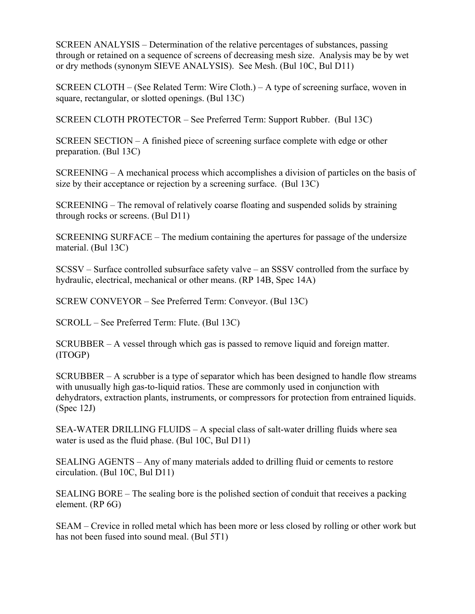SCREEN ANALYSIS – Determination of the relative percentages of substances, passing through or retained on a sequence of screens of decreasing mesh size. Analysis may be by wet or dry methods (synonym SIEVE ANALYSIS). See Mesh. (Bul 10C, Bul D11)

SCREEN CLOTH – (See Related Term: Wire Cloth.) – A type of screening surface, woven in square, rectangular, or slotted openings. (Bul 13C)

SCREEN CLOTH PROTECTOR – See Preferred Term: Support Rubber. (Bul 13C)

SCREEN SECTION – A finished piece of screening surface complete with edge or other preparation. (Bul 13C)

SCREENING – A mechanical process which accomplishes a division of particles on the basis of size by their acceptance or rejection by a screening surface. (Bul 13C)

SCREENING – The removal of relatively coarse floating and suspended solids by straining through rocks or screens. (Bul D11)

SCREENING SURFACE – The medium containing the apertures for passage of the undersize material. (Bul 13C)

SCSSV – Surface controlled subsurface safety valve – an SSSV controlled from the surface by hydraulic, electrical, mechanical or other means. (RP 14B, Spec 14A)

SCREW CONVEYOR – See Preferred Term: Conveyor. (Bul 13C)

SCROLL – See Preferred Term: Flute. (Bul 13C)

SCRUBBER – A vessel through which gas is passed to remove liquid and foreign matter. (ITOGP)

SCRUBBER – A scrubber is a type of separator which has been designed to handle flow streams with unusually high gas-to-liquid ratios. These are commonly used in conjunction with dehydrators, extraction plants, instruments, or compressors for protection from entrained liquids. (Spec 12J)

SEA-WATER DRILLING FLUIDS – A special class of salt-water drilling fluids where sea water is used as the fluid phase. (Bul 10C, Bul D11)

SEALING AGENTS – Any of many materials added to drilling fluid or cements to restore circulation. (Bul 10C, Bul D11)

SEALING BORE – The sealing bore is the polished section of conduit that receives a packing element. (RP 6G)

SEAM – Crevice in rolled metal which has been more or less closed by rolling or other work but has not been fused into sound meal. (Bul 5T1)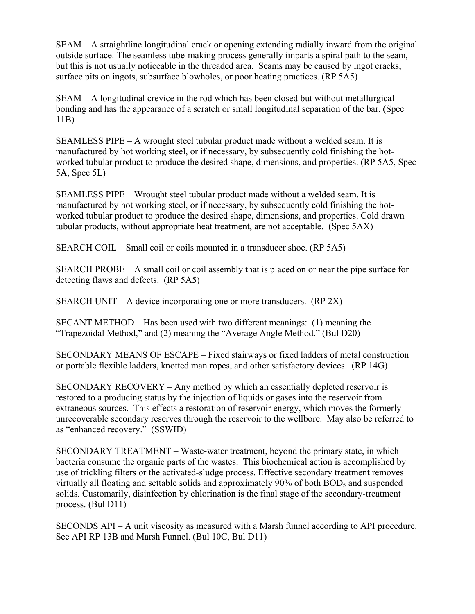SEAM – A straightline longitudinal crack or opening extending radially inward from the original outside surface. The seamless tube-making process generally imparts a spiral path to the seam, but this is not usually noticeable in the threaded area. Seams may be caused by ingot cracks, surface pits on ingots, subsurface blowholes, or poor heating practices. (RP 5A5)

SEAM – A longitudinal crevice in the rod which has been closed but without metallurgical bonding and has the appearance of a scratch or small longitudinal separation of the bar. (Spec 11B)

SEAMLESS PIPE – A wrought steel tubular product made without a welded seam. It is manufactured by hot working steel, or if necessary, by subsequently cold finishing the hotworked tubular product to produce the desired shape, dimensions, and properties. (RP 5A5, Spec 5A, Spec 5L)

SEAMLESS PIPE – Wrought steel tubular product made without a welded seam. It is manufactured by hot working steel, or if necessary, by subsequently cold finishing the hotworked tubular product to produce the desired shape, dimensions, and properties. Cold drawn tubular products, without appropriate heat treatment, are not acceptable. (Spec 5AX)

SEARCH COIL – Small coil or coils mounted in a transducer shoe. (RP 5A5)

SEARCH PROBE – A small coil or coil assembly that is placed on or near the pipe surface for detecting flaws and defects. (RP 5A5)

SEARCH UNIT – A device incorporating one or more transducers. (RP 2X)

SECANT METHOD – Has been used with two different meanings: (1) meaning the "Trapezoidal Method," and (2) meaning the "Average Angle Method." (Bul D20)

SECONDARY MEANS OF ESCAPE – Fixed stairways or fixed ladders of metal construction or portable flexible ladders, knotted man ropes, and other satisfactory devices. (RP 14G)

SECONDARY RECOVERY – Any method by which an essentially depleted reservoir is restored to a producing status by the injection of liquids or gases into the reservoir from extraneous sources. This effects a restoration of reservoir energy, which moves the formerly unrecoverable secondary reserves through the reservoir to the wellbore. May also be referred to as "enhanced recovery." (SSWID)

SECONDARY TREATMENT – Waste-water treatment, beyond the primary state, in which bacteria consume the organic parts of the wastes. This biochemical action is accomplished by use of trickling filters or the activated-sludge process. Effective secondary treatment removes virtually all floating and settable solids and approximately  $90\%$  of both BOD<sub>5</sub> and suspended solids. Customarily, disinfection by chlorination is the final stage of the secondary-treatment process. (Bul D11)

SECONDS API – A unit viscosity as measured with a Marsh funnel according to API procedure. See API RP 13B and Marsh Funnel. (Bul 10C, Bul D11)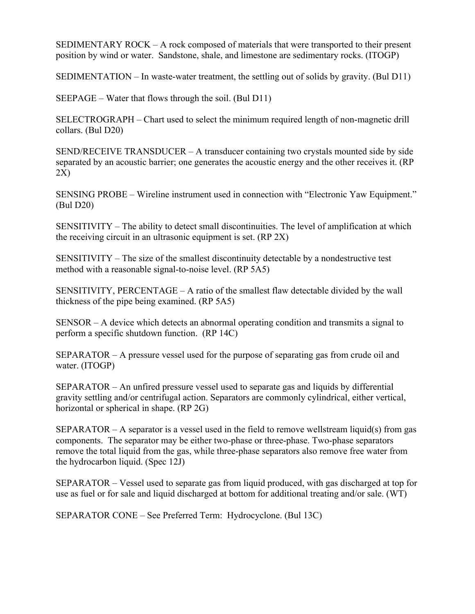SEDIMENTARY ROCK – A rock composed of materials that were transported to their present position by wind or water. Sandstone, shale, and limestone are sedimentary rocks. (ITOGP)

SEDIMENTATION – In waste-water treatment, the settling out of solids by gravity. (Bul D11)

SEEPAGE – Water that flows through the soil. (Bul D11)

SELECTROGRAPH – Chart used to select the minimum required length of non-magnetic drill collars. (Bul D20)

SEND/RECEIVE TRANSDUCER – A transducer containing two crystals mounted side by side separated by an acoustic barrier; one generates the acoustic energy and the other receives it. (RP 2X)

SENSING PROBE – Wireline instrument used in connection with "Electronic Yaw Equipment." (Bul D20)

SENSITIVITY – The ability to detect small discontinuities. The level of amplification at which the receiving circuit in an ultrasonic equipment is set. (RP 2X)

SENSITIVITY – The size of the smallest discontinuity detectable by a nondestructive test method with a reasonable signal-to-noise level. (RP 5A5)

SENSITIVITY, PERCENTAGE – A ratio of the smallest flaw detectable divided by the wall thickness of the pipe being examined. (RP 5A5)

SENSOR – A device which detects an abnormal operating condition and transmits a signal to perform a specific shutdown function. (RP 14C)

SEPARATOR – A pressure vessel used for the purpose of separating gas from crude oil and water. (ITOGP)

SEPARATOR – An unfired pressure vessel used to separate gas and liquids by differential gravity settling and/or centrifugal action. Separators are commonly cylindrical, either vertical, horizontal or spherical in shape. (RP 2G)

SEPARATOR – A separator is a vessel used in the field to remove wellstream liquid(s) from gas components. The separator may be either two-phase or three-phase. Two-phase separators remove the total liquid from the gas, while three-phase separators also remove free water from the hydrocarbon liquid. (Spec 12J)

SEPARATOR – Vessel used to separate gas from liquid produced, with gas discharged at top for use as fuel or for sale and liquid discharged at bottom for additional treating and/or sale. (WT)

SEPARATOR CONE – See Preferred Term: Hydrocyclone. (Bul 13C)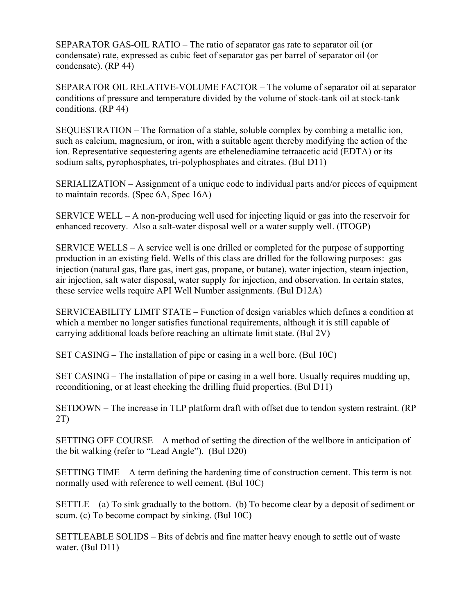SEPARATOR GAS-OIL RATIO – The ratio of separator gas rate to separator oil (or condensate) rate, expressed as cubic feet of separator gas per barrel of separator oil (or condensate). (RP 44)

SEPARATOR OIL RELATIVE-VOLUME FACTOR – The volume of separator oil at separator conditions of pressure and temperature divided by the volume of stock-tank oil at stock-tank conditions. (RP 44)

SEQUESTRATION – The formation of a stable, soluble complex by combing a metallic ion, such as calcium, magnesium, or iron, with a suitable agent thereby modifying the action of the ion. Representative sequestering agents are ethelenediamine tetraacetic acid (EDTA) or its sodium salts, pyrophosphates, tri-polyphosphates and citrates. (Bul D11)

SERIALIZATION – Assignment of a unique code to individual parts and/or pieces of equipment to maintain records. (Spec 6A, Spec 16A)

SERVICE WELL – A non-producing well used for injecting liquid or gas into the reservoir for enhanced recovery. Also a salt-water disposal well or a water supply well. (ITOGP)

SERVICE WELLS – A service well is one drilled or completed for the purpose of supporting production in an existing field. Wells of this class are drilled for the following purposes: gas injection (natural gas, flare gas, inert gas, propane, or butane), water injection, steam injection, air injection, salt water disposal, water supply for injection, and observation. In certain states, these service wells require API Well Number assignments. (Bul D12A)

SERVICEABILITY LIMIT STATE – Function of design variables which defines a condition at which a member no longer satisfies functional requirements, although it is still capable of carrying additional loads before reaching an ultimate limit state. (Bul 2V)

SET CASING – The installation of pipe or casing in a well bore. (Bul 10C)

SET CASING – The installation of pipe or casing in a well bore. Usually requires mudding up, reconditioning, or at least checking the drilling fluid properties. (Bul D11)

SETDOWN – The increase in TLP platform draft with offset due to tendon system restraint. (RP 2T)

SETTING OFF COURSE – A method of setting the direction of the wellbore in anticipation of the bit walking (refer to "Lead Angle"). (Bul D20)

SETTING TIME – A term defining the hardening time of construction cement. This term is not normally used with reference to well cement. (Bul 10C)

SETTLE – (a) To sink gradually to the bottom. (b) To become clear by a deposit of sediment or scum. (c) To become compact by sinking. (Bul 10C)

SETTLEABLE SOLIDS – Bits of debris and fine matter heavy enough to settle out of waste water. (Bul D11)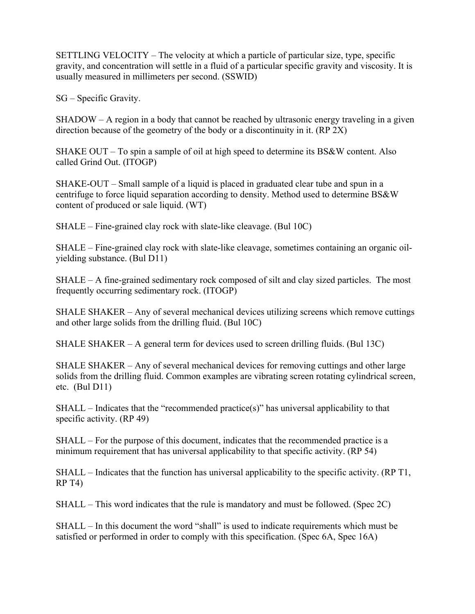SETTLING VELOCITY – The velocity at which a particle of particular size, type, specific gravity, and concentration will settle in a fluid of a particular specific gravity and viscosity. It is usually measured in millimeters per second. (SSWID)

SG – Specific Gravity.

SHADOW – A region in a body that cannot be reached by ultrasonic energy traveling in a given direction because of the geometry of the body or a discontinuity in it. (RP 2X)

SHAKE OUT – To spin a sample of oil at high speed to determine its BS&W content. Also called Grind Out. (ITOGP)

SHAKE-OUT – Small sample of a liquid is placed in graduated clear tube and spun in a centrifuge to force liquid separation according to density. Method used to determine BS&W content of produced or sale liquid. (WT)

SHALE – Fine-grained clay rock with slate-like cleavage. (Bul 10C)

SHALE – Fine-grained clay rock with slate-like cleavage, sometimes containing an organic oilyielding substance. (Bul D11)

SHALE – A fine-grained sedimentary rock composed of silt and clay sized particles. The most frequently occurring sedimentary rock. (ITOGP)

SHALE SHAKER – Any of several mechanical devices utilizing screens which remove cuttings and other large solids from the drilling fluid. (Bul 10C)

SHALE SHAKER – A general term for devices used to screen drilling fluids. (Bul 13C)

SHALE SHAKER – Any of several mechanical devices for removing cuttings and other large solids from the drilling fluid. Common examples are vibrating screen rotating cylindrical screen, etc. (Bul D11)

SHALL – Indicates that the "recommended practice(s)" has universal applicability to that specific activity. (RP 49)

SHALL – For the purpose of this document, indicates that the recommended practice is a minimum requirement that has universal applicability to that specific activity. (RP 54)

SHALL – Indicates that the function has universal applicability to the specific activity. (RP T1, RP T4)

SHALL – This word indicates that the rule is mandatory and must be followed. (Spec 2C)

SHALL – In this document the word "shall" is used to indicate requirements which must be satisfied or performed in order to comply with this specification. (Spec 6A, Spec 16A)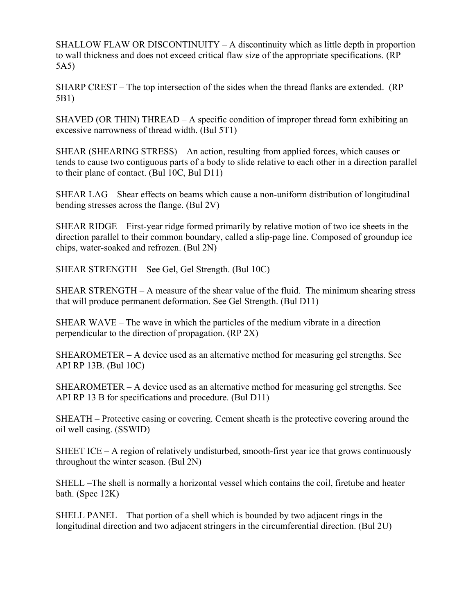SHALLOW FLAW OR DISCONTINUITY – A discontinuity which as little depth in proportion to wall thickness and does not exceed critical flaw size of the appropriate specifications. (RP 5A5)

SHARP CREST – The top intersection of the sides when the thread flanks are extended. (RP 5B1)

SHAVED (OR THIN) THREAD – A specific condition of improper thread form exhibiting an excessive narrowness of thread width. (Bul 5T1)

SHEAR (SHEARING STRESS) – An action, resulting from applied forces, which causes or tends to cause two contiguous parts of a body to slide relative to each other in a direction parallel to their plane of contact. (Bul 10C, Bul D11)

SHEAR LAG – Shear effects on beams which cause a non-uniform distribution of longitudinal bending stresses across the flange. (Bul 2V)

SHEAR RIDGE – First-year ridge formed primarily by relative motion of two ice sheets in the direction parallel to their common boundary, called a slip-page line. Composed of groundup ice chips, water-soaked and refrozen. (Bul 2N)

SHEAR STRENGTH – See Gel, Gel Strength. (Bul 10C)

SHEAR STRENGTH – A measure of the shear value of the fluid. The minimum shearing stress that will produce permanent deformation. See Gel Strength. (Bul D11)

SHEAR WAVE – The wave in which the particles of the medium vibrate in a direction perpendicular to the direction of propagation. (RP 2X)

SHEAROMETER – A device used as an alternative method for measuring gel strengths. See API RP 13B. (Bul 10C)

SHEAROMETER – A device used as an alternative method for measuring gel strengths. See API RP 13 B for specifications and procedure. (Bul D11)

SHEATH – Protective casing or covering. Cement sheath is the protective covering around the oil well casing. (SSWID)

SHEET ICE – A region of relatively undisturbed, smooth-first year ice that grows continuously throughout the winter season. (Bul 2N)

SHELL –The shell is normally a horizontal vessel which contains the coil, firetube and heater bath. (Spec 12K)

SHELL PANEL – That portion of a shell which is bounded by two adjacent rings in the longitudinal direction and two adjacent stringers in the circumferential direction. (Bul 2U)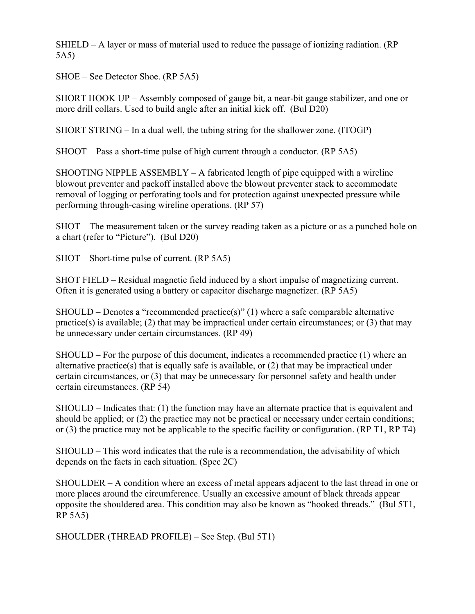SHIELD – A layer or mass of material used to reduce the passage of ionizing radiation. (RP 5A5)

SHOE – See Detector Shoe. (RP 5A5)

SHORT HOOK UP – Assembly composed of gauge bit, a near-bit gauge stabilizer, and one or more drill collars. Used to build angle after an initial kick off. (Bul D20)

SHORT STRING – In a dual well, the tubing string for the shallower zone. (ITOGP)

SHOOT – Pass a short-time pulse of high current through a conductor. (RP 5A5)

 $SHOOTING NIPPLE ASSEMBLY – A fabricated length of pipe equipped with a wireline$ blowout preventer and packoff installed above the blowout preventer stack to accommodate removal of logging or perforating tools and for protection against unexpected pressure while performing through-casing wireline operations. (RP 57)

SHOT – The measurement taken or the survey reading taken as a picture or as a punched hole on a chart (refer to "Picture"). (Bul D20)

SHOT – Short-time pulse of current. (RP 5A5)

SHOT FIELD – Residual magnetic field induced by a short impulse of magnetizing current. Often it is generated using a battery or capacitor discharge magnetizer. (RP 5A5)

SHOULD – Denotes a "recommended practice(s)" (1) where a safe comparable alternative practice(s) is available; (2) that may be impractical under certain circumstances; or (3) that may be unnecessary under certain circumstances. (RP 49)

SHOULD – For the purpose of this document, indicates a recommended practice (1) where an alternative practice(s) that is equally safe is available, or (2) that may be impractical under certain circumstances, or (3) that may be unnecessary for personnel safety and health under certain circumstances. (RP 54)

SHOULD – Indicates that: (1) the function may have an alternate practice that is equivalent and should be applied; or (2) the practice may not be practical or necessary under certain conditions; or (3) the practice may not be applicable to the specific facility or configuration. (RP T1, RP T4)

SHOULD – This word indicates that the rule is a recommendation, the advisability of which depends on the facts in each situation. (Spec 2C)

SHOULDER – A condition where an excess of metal appears adjacent to the last thread in one or more places around the circumference. Usually an excessive amount of black threads appear opposite the shouldered area. This condition may also be known as "hooked threads." (Bul 5T1, RP 5A5)

SHOULDER (THREAD PROFILE) – See Step. (Bul 5T1)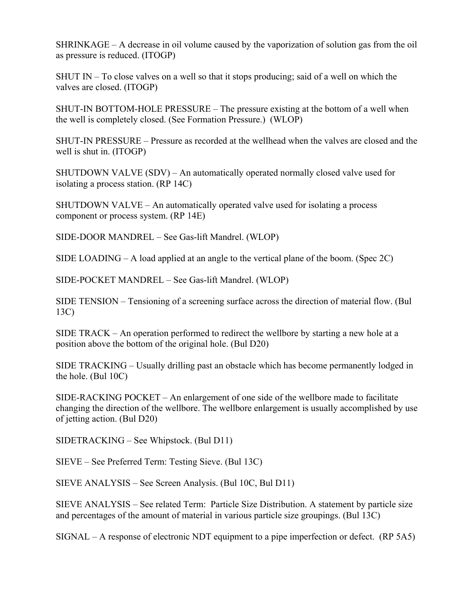SHRINKAGE – A decrease in oil volume caused by the vaporization of solution gas from the oil as pressure is reduced. (ITOGP)

SHUT IN – To close valves on a well so that it stops producing; said of a well on which the valves are closed. (ITOGP)

SHUT-IN BOTTOM-HOLE PRESSURE – The pressure existing at the bottom of a well when the well is completely closed. (See Formation Pressure.) (WLOP)

SHUT-IN PRESSURE – Pressure as recorded at the wellhead when the valves are closed and the well is shut in. (ITOGP)

SHUTDOWN VALVE (SDV) – An automatically operated normally closed valve used for isolating a process station. (RP 14C)

SHUTDOWN VALVE – An automatically operated valve used for isolating a process component or process system. (RP 14E)

SIDE-DOOR MANDREL – See Gas-lift Mandrel. (WLOP)

SIDE LOADING – A load applied at an angle to the vertical plane of the boom. (Spec 2C)

SIDE-POCKET MANDREL – See Gas-lift Mandrel. (WLOP)

SIDE TENSION – Tensioning of a screening surface across the direction of material flow. (Bul 13C)

SIDE TRACK – An operation performed to redirect the wellbore by starting a new hole at a position above the bottom of the original hole. (Bul D20)

SIDE TRACKING – Usually drilling past an obstacle which has become permanently lodged in the hole. (Bul 10C)

SIDE-RACKING POCKET – An enlargement of one side of the wellbore made to facilitate changing the direction of the wellbore. The wellbore enlargement is usually accomplished by use of jetting action. (Bul D20)

SIDETRACKING – See Whipstock. (Bul D11)

SIEVE – See Preferred Term: Testing Sieve. (Bul 13C)

SIEVE ANALYSIS – See Screen Analysis. (Bul 10C, Bul D11)

SIEVE ANALYSIS – See related Term: Particle Size Distribution. A statement by particle size and percentages of the amount of material in various particle size groupings. (Bul 13C)

SIGNAL – A response of electronic NDT equipment to a pipe imperfection or defect. (RP 5A5)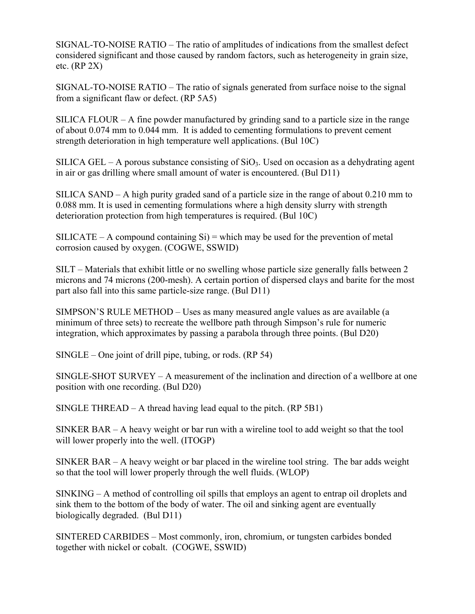SIGNAL-TO-NOISE RATIO – The ratio of amplitudes of indications from the smallest defect considered significant and those caused by random factors, such as heterogeneity in grain size, etc. (RP 2X)

SIGNAL-TO-NOISE RATIO – The ratio of signals generated from surface noise to the signal from a significant flaw or defect. (RP 5A5)

SILICA FLOUR – A fine powder manufactured by grinding sand to a particle size in the range of about 0.074 mm to 0.044 mm. It is added to cementing formulations to prevent cement strength deterioration in high temperature well applications. (Bul 10C)

SILICA GEL – A porous substance consisting of  $SiO<sub>3</sub>$ . Used on occasion as a dehydrating agent in air or gas drilling where small amount of water is encountered. (Bul D11)

SILICA SAND – A high purity graded sand of a particle size in the range of about 0.210 mm to 0.088 mm. It is used in cementing formulations where a high density slurry with strength deterioration protection from high temperatures is required. (Bul 10C)

 $SILICATE - A compound containing Si$  = which may be used for the prevention of metal corrosion caused by oxygen. (COGWE, SSWID)

SILT – Materials that exhibit little or no swelling whose particle size generally falls between 2 microns and 74 microns (200-mesh). A certain portion of dispersed clays and barite for the most part also fall into this same particle-size range. (Bul D11)

SIMPSON'S RULE METHOD – Uses as many measured angle values as are available (a minimum of three sets) to recreate the wellbore path through Simpson's rule for numeric integration, which approximates by passing a parabola through three points. (Bul D20)

 $SINGLE - One$  joint of drill pipe, tubing, or rods.  $(RP 54)$ 

SINGLE-SHOT SURVEY – A measurement of the inclination and direction of a wellbore at one position with one recording. (Bul D20)

SINGLE THREAD – A thread having lead equal to the pitch. (RP 5B1)

SINKER BAR – A heavy weight or bar run with a wireline tool to add weight so that the tool will lower properly into the well. (ITOGP)

SINKER BAR – A heavy weight or bar placed in the wireline tool string. The bar adds weight so that the tool will lower properly through the well fluids. (WLOP)

SINKING – A method of controlling oil spills that employs an agent to entrap oil droplets and sink them to the bottom of the body of water. The oil and sinking agent are eventually biologically degraded. (Bul D11)

SINTERED CARBIDES – Most commonly, iron, chromium, or tungsten carbides bonded together with nickel or cobalt. (COGWE, SSWID)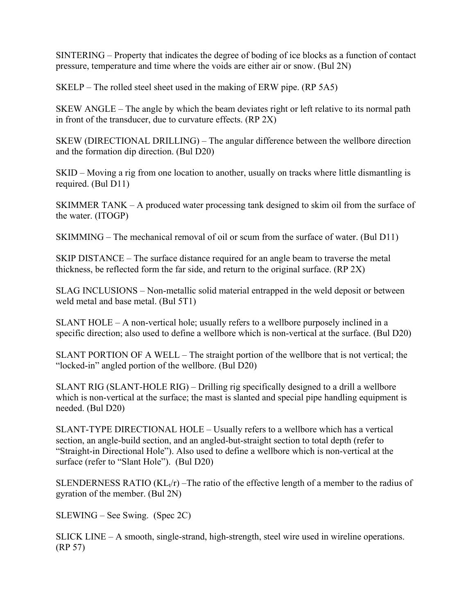SINTERING – Property that indicates the degree of boding of ice blocks as a function of contact pressure, temperature and time where the voids are either air or snow. (Bul 2N)

SKELP – The rolled steel sheet used in the making of ERW pipe. (RP 5A5)

SKEW ANGLE – The angle by which the beam deviates right or left relative to its normal path in front of the transducer, due to curvature effects. (RP 2X)

SKEW (DIRECTIONAL DRILLING) – The angular difference between the wellbore direction and the formation dip direction. (Bul D20)

SKID – Moving a rig from one location to another, usually on tracks where little dismantling is required. (Bul D11)

SKIMMER TANK – A produced water processing tank designed to skim oil from the surface of the water. (ITOGP)

SKIMMING – The mechanical removal of oil or scum from the surface of water. (Bul D11)

SKIP DISTANCE – The surface distance required for an angle beam to traverse the metal thickness, be reflected form the far side, and return to the original surface. (RP 2X)

SLAG INCLUSIONS – Non-metallic solid material entrapped in the weld deposit or between weld metal and base metal. (Bul 5T1)

SLANT HOLE – A non-vertical hole; usually refers to a wellbore purposely inclined in a specific direction; also used to define a wellbore which is non-vertical at the surface. (Bul D20)

SLANT PORTION OF A WELL – The straight portion of the wellbore that is not vertical; the "locked-in" angled portion of the wellbore. (Bul D20)

SLANT RIG (SLANT-HOLE RIG) – Drilling rig specifically designed to a drill a wellbore which is non-vertical at the surface; the mast is slanted and special pipe handling equipment is needed. (Bul D20)

SLANT-TYPE DIRECTIONAL HOLE – Usually refers to a wellbore which has a vertical section, an angle-build section, and an angled-but-straight section to total depth (refer to "Straight-in Directional Hole"). Also used to define a wellbore which is non-vertical at the surface (refer to "Slant Hole"). (Bul D20)

SLENDERNESS RATIO  $(KL_t/r)$  –The ratio of the effective length of a member to the radius of gyration of the member. (Bul 2N)

SLEWING – See Swing. (Spec 2C)

SLICK LINE – A smooth, single-strand, high-strength, steel wire used in wireline operations. (RP 57)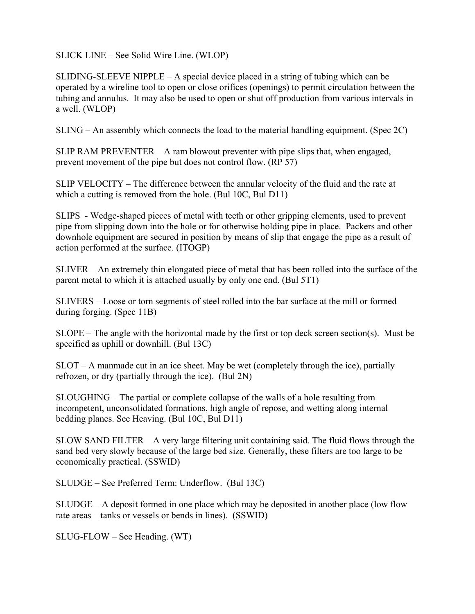SLICK LINE – See Solid Wire Line. (WLOP)

SLIDING-SLEEVE NIPPLE – A special device placed in a string of tubing which can be operated by a wireline tool to open or close orifices (openings) to permit circulation between the tubing and annulus. It may also be used to open or shut off production from various intervals in a well. (WLOP)

SLING – An assembly which connects the load to the material handling equipment. (Spec 2C)

SLIP RAM PREVENTER – A ram blowout preventer with pipe slips that, when engaged, prevent movement of the pipe but does not control flow. (RP 57)

SLIP VELOCITY – The difference between the annular velocity of the fluid and the rate at which a cutting is removed from the hole. (Bul 10C, Bul D11)

SLIPS - Wedge-shaped pieces of metal with teeth or other gripping elements, used to prevent pipe from slipping down into the hole or for otherwise holding pipe in place. Packers and other downhole equipment are secured in position by means of slip that engage the pipe as a result of action performed at the surface. (ITOGP)

SLIVER – An extremely thin elongated piece of metal that has been rolled into the surface of the parent metal to which it is attached usually by only one end. (Bul 5T1)

SLIVERS – Loose or torn segments of steel rolled into the bar surface at the mill or formed during forging. (Spec 11B)

SLOPE – The angle with the horizontal made by the first or top deck screen section(s). Must be specified as uphill or downhill. (Bul 13C)

SLOT – A manmade cut in an ice sheet. May be wet (completely through the ice), partially refrozen, or dry (partially through the ice). (Bul 2N)

SLOUGHING – The partial or complete collapse of the walls of a hole resulting from incompetent, unconsolidated formations, high angle of repose, and wetting along internal bedding planes. See Heaving. (Bul 10C, Bul D11)

SLOW SAND FILTER – A very large filtering unit containing said. The fluid flows through the sand bed very slowly because of the large bed size. Generally, these filters are too large to be economically practical. (SSWID)

SLUDGE – See Preferred Term: Underflow. (Bul 13C)

SLUDGE – A deposit formed in one place which may be deposited in another place (low flow rate areas – tanks or vessels or bends in lines). (SSWID)

SLUG-FLOW – See Heading. (WT)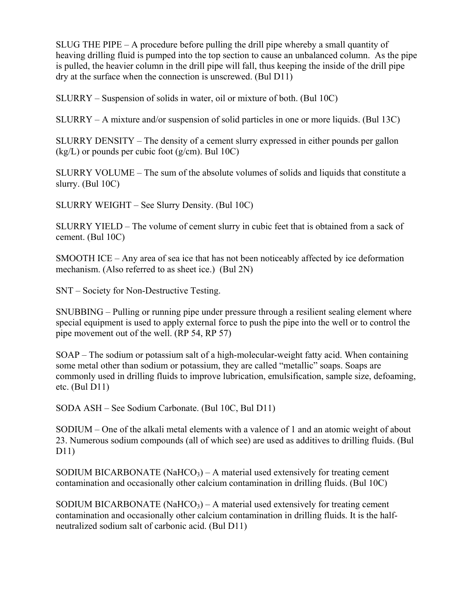SLUG THE PIPE  $-A$  procedure before pulling the drill pipe whereby a small quantity of heaving drilling fluid is pumped into the top section to cause an unbalanced column. As the pipe is pulled, the heavier column in the drill pipe will fall, thus keeping the inside of the drill pipe dry at the surface when the connection is unscrewed. (Bul D11)

SLURRY – Suspension of solids in water, oil or mixture of both. (Bul 10C)

SLURRY – A mixture and/or suspension of solid particles in one or more liquids. (Bul 13C)

SLURRY DENSITY – The density of a cement slurry expressed in either pounds per gallon  $(kg/L)$  or pounds per cubic foot  $(g/cm)$ . Bul 10C)

SLURRY VOLUME – The sum of the absolute volumes of solids and liquids that constitute a slurry. (Bul 10C)

SLURRY WEIGHT – See Slurry Density. (Bul 10C)

SLURRY YIELD – The volume of cement slurry in cubic feet that is obtained from a sack of cement. (Bul 10C)

SMOOTH ICE – Any area of sea ice that has not been noticeably affected by ice deformation mechanism. (Also referred to as sheet ice.) (Bul 2N)

SNT – Society for Non-Destructive Testing.

SNUBBING – Pulling or running pipe under pressure through a resilient sealing element where special equipment is used to apply external force to push the pipe into the well or to control the pipe movement out of the well. (RP 54, RP 57)

SOAP – The sodium or potassium salt of a high-molecular-weight fatty acid. When containing some metal other than sodium or potassium, they are called "metallic" soaps. Soaps are commonly used in drilling fluids to improve lubrication, emulsification, sample size, defoaming, etc. (Bul D11)

SODA ASH – See Sodium Carbonate. (Bul 10C, Bul D11)

SODIUM – One of the alkali metal elements with a valence of 1 and an atomic weight of about 23. Numerous sodium compounds (all of which see) are used as additives to drilling fluids. (Bul D11)

SODIUM BICARBONATE (NaHCO<sub>3</sub>) – A material used extensively for treating cement contamination and occasionally other calcium contamination in drilling fluids. (Bul 10C)

SODIUM BICARBONATE (NaHCO<sub>3</sub>) – A material used extensively for treating cement contamination and occasionally other calcium contamination in drilling fluids. It is the halfneutralized sodium salt of carbonic acid. (Bul D11)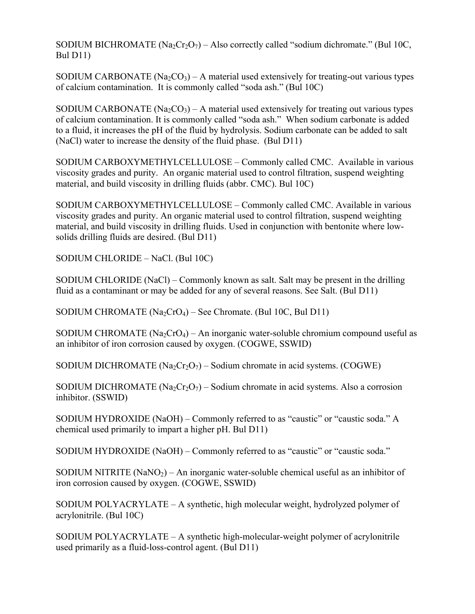SODIUM BICHROMATE (Na<sub>2</sub>Cr<sub>2</sub>O<sub>7</sub>) – Also correctly called "sodium dichromate." (Bul 10C, Bul D11)

SODIUM CARBONATE  $(Na_2CO_3) - A$  material used extensively for treating-out various types of calcium contamination. It is commonly called "soda ash." (Bul 10C)

SODIUM CARBONATE ( $Na_2CO_3$ ) – A material used extensively for treating out various types of calcium contamination. It is commonly called "soda ash." When sodium carbonate is added to a fluid, it increases the pH of the fluid by hydrolysis. Sodium carbonate can be added to salt (NaCl) water to increase the density of the fluid phase. (Bul D11)

SODIUM CARBOXYMETHYLCELLULOSE – Commonly called CMC. Available in various viscosity grades and purity. An organic material used to control filtration, suspend weighting material, and build viscosity in drilling fluids (abbr. CMC). Bul 10C)

SODIUM CARBOXYMETHYLCELLULOSE – Commonly called CMC. Available in various viscosity grades and purity. An organic material used to control filtration, suspend weighting material, and build viscosity in drilling fluids. Used in conjunction with bentonite where lowsolids drilling fluids are desired. (Bul D11)

SODIUM CHLORIDE – NaCl. (Bul 10C)

SODIUM CHLORIDE (NaCl) – Commonly known as salt. Salt may be present in the drilling fluid as a contaminant or may be added for any of several reasons. See Salt. (Bul D11)

SODIUM CHROMATE  $(Na_2CrO_4)$  – See Chromate. (Bul 10C, Bul D11)

SODIUM CHROMATE  $(Na_2CrO_4)$  – An inorganic water-soluble chromium compound useful as an inhibitor of iron corrosion caused by oxygen. (COGWE, SSWID)

SODIUM DICHROMATE ( $Na_2Cr_2O_7$ ) – Sodium chromate in acid systems. (COGWE)

SODIUM DICHROMATE (Na<sub>2</sub>Cr<sub>2</sub>O<sub>7</sub>) – Sodium chromate in acid systems. Also a corrosion inhibitor. (SSWID)

SODIUM HYDROXIDE (NaOH) – Commonly referred to as "caustic" or "caustic soda." A chemical used primarily to impart a higher pH. Bul D11)

SODIUM HYDROXIDE (NaOH) – Commonly referred to as "caustic" or "caustic soda."

SODIUM NITRITE  $(NaNO<sub>2</sub>) - An inorganic water-soluble chemical useful as an inhibitor of$ iron corrosion caused by oxygen. (COGWE, SSWID)

SODIUM POLYACRYLATE – A synthetic, high molecular weight, hydrolyzed polymer of acrylonitrile. (Bul 10C)

SODIUM POLYACRYLATE – A synthetic high-molecular-weight polymer of acrylonitrile used primarily as a fluid-loss-control agent. (Bul D11)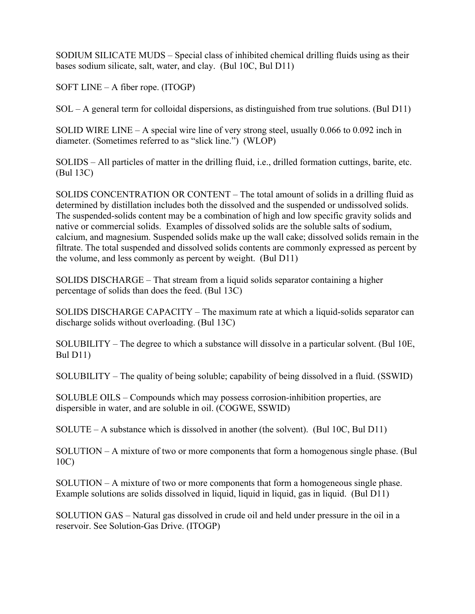SODIUM SILICATE MUDS – Special class of inhibited chemical drilling fluids using as their bases sodium silicate, salt, water, and clay. (Bul 10C, Bul D11)

SOFT LINE – A fiber rope. (ITOGP)

SOL – A general term for colloidal dispersions, as distinguished from true solutions. (Bul D11)

SOLID WIRE LINE – A special wire line of very strong steel, usually 0.066 to 0.092 inch in diameter. (Sometimes referred to as "slick line.") (WLOP)

SOLIDS – All particles of matter in the drilling fluid, i.e., drilled formation cuttings, barite, etc. (Bul 13C)

SOLIDS CONCENTRATION OR CONTENT – The total amount of solids in a drilling fluid as determined by distillation includes both the dissolved and the suspended or undissolved solids. The suspended-solids content may be a combination of high and low specific gravity solids and native or commercial solids. Examples of dissolved solids are the soluble salts of sodium, calcium, and magnesium. Suspended solids make up the wall cake; dissolved solids remain in the filtrate. The total suspended and dissolved solids contents are commonly expressed as percent by the volume, and less commonly as percent by weight. (Bul D11)

SOLIDS DISCHARGE – That stream from a liquid solids separator containing a higher percentage of solids than does the feed. (Bul 13C)

SOLIDS DISCHARGE CAPACITY – The maximum rate at which a liquid-solids separator can discharge solids without overloading. (Bul 13C)

SOLUBILITY – The degree to which a substance will dissolve in a particular solvent. (Bul 10E, Bul D11)

SOLUBILITY – The quality of being soluble; capability of being dissolved in a fluid. (SSWID)

SOLUBLE OILS – Compounds which may possess corrosion-inhibition properties, are dispersible in water, and are soluble in oil. (COGWE, SSWID)

SOLUTE – A substance which is dissolved in another (the solvent). (Bul 10C, Bul D11)

SOLUTION – A mixture of two or more components that form a homogenous single phase. (Bul 10C)

SOLUTION – A mixture of two or more components that form a homogeneous single phase. Example solutions are solids dissolved in liquid, liquid in liquid, gas in liquid. (Bul D11)

SOLUTION GAS – Natural gas dissolved in crude oil and held under pressure in the oil in a reservoir. See Solution-Gas Drive. (ITOGP)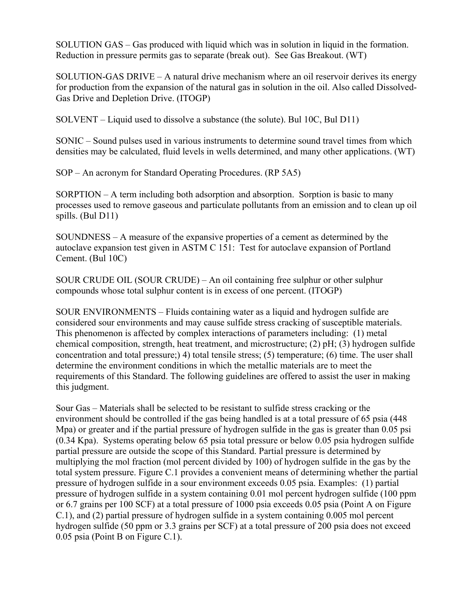SOLUTION GAS – Gas produced with liquid which was in solution in liquid in the formation. Reduction in pressure permits gas to separate (break out). See Gas Breakout. (WT)

SOLUTION-GAS DRIVE – A natural drive mechanism where an oil reservoir derives its energy for production from the expansion of the natural gas in solution in the oil. Also called Dissolved-Gas Drive and Depletion Drive. (ITOGP)

SOLVENT – Liquid used to dissolve a substance (the solute). Bul 10C, Bul D11)

SONIC – Sound pulses used in various instruments to determine sound travel times from which densities may be calculated, fluid levels in wells determined, and many other applications. (WT)

SOP – An acronym for Standard Operating Procedures. (RP 5A5)

SORPTION – A term including both adsorption and absorption. Sorption is basic to many processes used to remove gaseous and particulate pollutants from an emission and to clean up oil spills. (Bul D11)

SOUNDNESS – A measure of the expansive properties of a cement as determined by the autoclave expansion test given in ASTM C 151: Test for autoclave expansion of Portland Cement. (Bul 10C)

SOUR CRUDE OIL (SOUR CRUDE) – An oil containing free sulphur or other sulphur compounds whose total sulphur content is in excess of one percent. (ITOGP)

SOUR ENVIRONMENTS – Fluids containing water as a liquid and hydrogen sulfide are considered sour environments and may cause sulfide stress cracking of susceptible materials. This phenomenon is affected by complex interactions of parameters including: (1) metal chemical composition, strength, heat treatment, and microstructure; (2) pH; (3) hydrogen sulfide concentration and total pressure;) 4) total tensile stress; (5) temperature; (6) time. The user shall determine the environment conditions in which the metallic materials are to meet the requirements of this Standard. The following guidelines are offered to assist the user in making this judgment.

Sour Gas – Materials shall be selected to be resistant to sulfide stress cracking or the environment should be controlled if the gas being handled is at a total pressure of 65 psia (448 Mpa) or greater and if the partial pressure of hydrogen sulfide in the gas is greater than 0.05 psi (0.34 Kpa). Systems operating below 65 psia total pressure or below 0.05 psia hydrogen sulfide partial pressure are outside the scope of this Standard. Partial pressure is determined by multiplying the mol fraction (mol percent divided by 100) of hydrogen sulfide in the gas by the total system pressure. Figure C.1 provides a convenient means of determining whether the partial pressure of hydrogen sulfide in a sour environment exceeds 0.05 psia. Examples: (1) partial pressure of hydrogen sulfide in a system containing 0.01 mol percent hydrogen sulfide (100 ppm or 6.7 grains per 100 SCF) at a total pressure of 1000 psia exceeds 0.05 psia (Point A on Figure C.1), and (2) partial pressure of hydrogen sulfide in a system containing 0.005 mol percent hydrogen sulfide (50 ppm or 3.3 grains per SCF) at a total pressure of 200 psia does not exceed 0.05 psia (Point B on Figure C.1).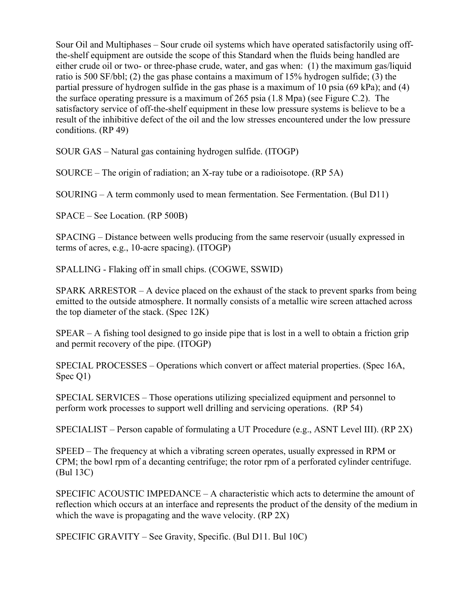Sour Oil and Multiphases – Sour crude oil systems which have operated satisfactorily using offthe-shelf equipment are outside the scope of this Standard when the fluids being handled are either crude oil or two- or three-phase crude, water, and gas when: (1) the maximum gas/liquid ratio is 500 SF/bbl; (2) the gas phase contains a maximum of 15% hydrogen sulfide; (3) the partial pressure of hydrogen sulfide in the gas phase is a maximum of 10 psia (69 kPa); and (4) the surface operating pressure is a maximum of 265 psia (1.8 Mpa) (see Figure C.2). The satisfactory service of off-the-shelf equipment in these low pressure systems is believe to be a result of the inhibitive defect of the oil and the low stresses encountered under the low pressure conditions. (RP 49)

SOUR GAS – Natural gas containing hydrogen sulfide. (ITOGP)

SOURCE – The origin of radiation; an X-ray tube or a radioisotope. (RP 5A)

SOURING – A term commonly used to mean fermentation. See Fermentation. (Bul D11)

SPACE – See Location. (RP 500B)

SPACING – Distance between wells producing from the same reservoir (usually expressed in terms of acres, e.g., 10-acre spacing). (ITOGP)

SPALLING - Flaking off in small chips. (COGWE, SSWID)

SPARK ARRESTOR – A device placed on the exhaust of the stack to prevent sparks from being emitted to the outside atmosphere. It normally consists of a metallic wire screen attached across the top diameter of the stack. (Spec 12K)

SPEAR – A fishing tool designed to go inside pipe that is lost in a well to obtain a friction grip and permit recovery of the pipe. (ITOGP)

SPECIAL PROCESSES – Operations which convert or affect material properties. (Spec 16A, Spec Q1)

SPECIAL SERVICES – Those operations utilizing specialized equipment and personnel to perform work processes to support well drilling and servicing operations. (RP 54)

SPECIALIST – Person capable of formulating a UT Procedure (e.g., ASNT Level III). (RP 2X)

SPEED – The frequency at which a vibrating screen operates, usually expressed in RPM or CPM; the bowl rpm of a decanting centrifuge; the rotor rpm of a perforated cylinder centrifuge. (Bul 13C)

SPECIFIC ACOUSTIC IMPEDANCE – A characteristic which acts to determine the amount of reflection which occurs at an interface and represents the product of the density of the medium in which the wave is propagating and the wave velocity. (RP 2X)

SPECIFIC GRAVITY – See Gravity, Specific. (Bul D11. Bul 10C)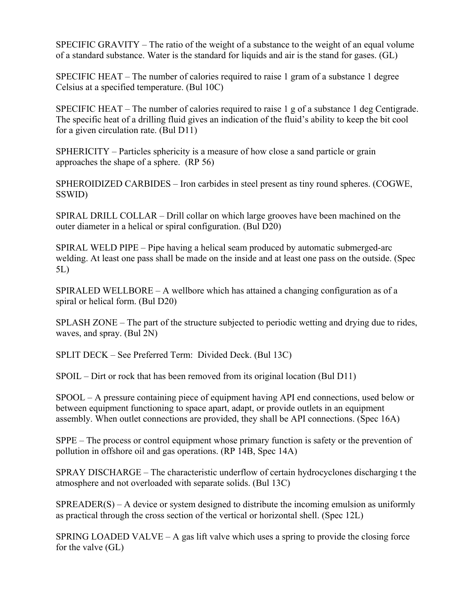SPECIFIC GRAVITY – The ratio of the weight of a substance to the weight of an equal volume of a standard substance. Water is the standard for liquids and air is the stand for gases. (GL)

SPECIFIC HEAT – The number of calories required to raise 1 gram of a substance 1 degree Celsius at a specified temperature. (Bul 10C)

SPECIFIC HEAT – The number of calories required to raise 1 g of a substance 1 deg Centigrade. The specific heat of a drilling fluid gives an indication of the fluid's ability to keep the bit cool for a given circulation rate. (Bul D11)

SPHERICITY – Particles sphericity is a measure of how close a sand particle or grain approaches the shape of a sphere. (RP 56)

SPHEROIDIZED CARBIDES – Iron carbides in steel present as tiny round spheres. (COGWE, SSWID)

SPIRAL DRILL COLLAR – Drill collar on which large grooves have been machined on the outer diameter in a helical or spiral configuration. (Bul D20)

SPIRAL WELD PIPE – Pipe having a helical seam produced by automatic submerged-arc welding. At least one pass shall be made on the inside and at least one pass on the outside. (Spec 5L)

SPIRALED WELLBORE – A wellbore which has attained a changing configuration as of a spiral or helical form. (Bul D20)

SPLASH ZONE – The part of the structure subjected to periodic wetting and drying due to rides, waves, and spray. (Bul 2N)

SPLIT DECK – See Preferred Term: Divided Deck. (Bul 13C)

SPOIL – Dirt or rock that has been removed from its original location (Bul D11)

SPOOL – A pressure containing piece of equipment having API end connections, used below or between equipment functioning to space apart, adapt, or provide outlets in an equipment assembly. When outlet connections are provided, they shall be API connections. (Spec 16A)

SPPE – The process or control equipment whose primary function is safety or the prevention of pollution in offshore oil and gas operations. (RP 14B, Spec 14A)

SPRAY DISCHARGE – The characteristic underflow of certain hydrocyclones discharging t the atmosphere and not overloaded with separate solids. (Bul 13C)

SPREADER(S) – A device or system designed to distribute the incoming emulsion as uniformly as practical through the cross section of the vertical or horizontal shell. (Spec 12L)

SPRING LOADED VALVE – A gas lift valve which uses a spring to provide the closing force for the valve (GL)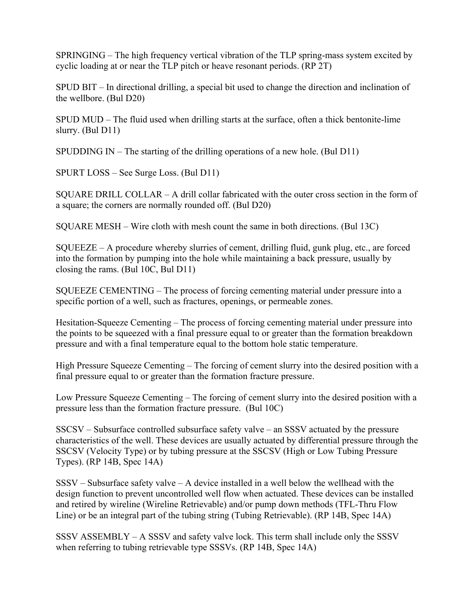SPRINGING – The high frequency vertical vibration of the TLP spring-mass system excited by cyclic loading at or near the TLP pitch or heave resonant periods. (RP 2T)

SPUD BIT – In directional drilling, a special bit used to change the direction and inclination of the wellbore. (Bul D20)

SPUD MUD – The fluid used when drilling starts at the surface, often a thick bentonite-lime slurry. (Bul D11)

SPUDDING IN – The starting of the drilling operations of a new hole. (Bul D11)

SPURT LOSS – See Surge Loss. (Bul D11)

SQUARE DRILL COLLAR – A drill collar fabricated with the outer cross section in the form of a square; the corners are normally rounded off. (Bul D20)

SQUARE MESH – Wire cloth with mesh count the same in both directions. (Bul 13C)

SQUEEZE – A procedure whereby slurries of cement, drilling fluid, gunk plug, etc., are forced into the formation by pumping into the hole while maintaining a back pressure, usually by closing the rams. (Bul 10C, Bul D11)

SQUEEZE CEMENTING – The process of forcing cementing material under pressure into a specific portion of a well, such as fractures, openings, or permeable zones.

Hesitation-Squeeze Cementing – The process of forcing cementing material under pressure into the points to be squeezed with a final pressure equal to or greater than the formation breakdown pressure and with a final temperature equal to the bottom hole static temperature.

High Pressure Squeeze Cementing – The forcing of cement slurry into the desired position with a final pressure equal to or greater than the formation fracture pressure.

Low Pressure Squeeze Cementing – The forcing of cement slurry into the desired position with a pressure less than the formation fracture pressure. (Bul 10C)

SSCSV – Subsurface controlled subsurface safety valve – an SSSV actuated by the pressure characteristics of the well. These devices are usually actuated by differential pressure through the SSCSV (Velocity Type) or by tubing pressure at the SSCSV (High or Low Tubing Pressure Types). (RP 14B, Spec 14A)

SSSV – Subsurface safety valve – A device installed in a well below the wellhead with the design function to prevent uncontrolled well flow when actuated. These devices can be installed and retired by wireline (Wireline Retrievable) and/or pump down methods (TFL-Thru Flow Line) or be an integral part of the tubing string (Tubing Retrievable). (RP 14B, Spec 14A)

SSSV ASSEMBLY – A SSSV and safety valve lock. This term shall include only the SSSV when referring to tubing retrievable type SSSVs. (RP 14B, Spec 14A)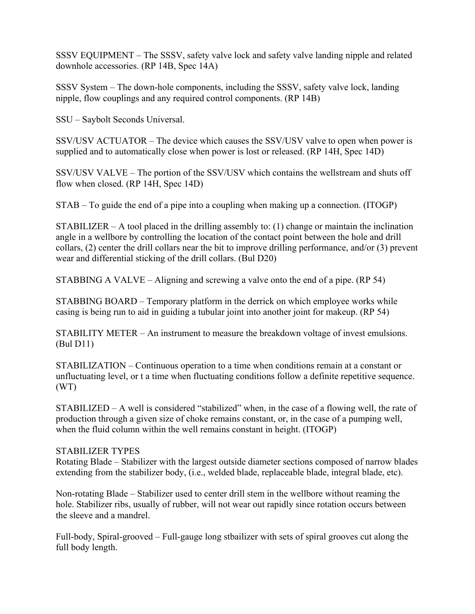SSSV EQUIPMENT – The SSSV, safety valve lock and safety valve landing nipple and related downhole accessories. (RP 14B, Spec 14A)

SSSV System – The down-hole components, including the SSSV, safety valve lock, landing nipple, flow couplings and any required control components. (RP 14B)

SSU – Saybolt Seconds Universal.

SSV/USV ACTUATOR – The device which causes the SSV/USV valve to open when power is supplied and to automatically close when power is lost or released. (RP 14H, Spec 14D)

SSV/USV VALVE – The portion of the SSV/USV which contains the wellstream and shuts off flow when closed. (RP 14H, Spec 14D)

STAB – To guide the end of a pipe into a coupling when making up a connection. (ITOGP)

STABILIZER – A tool placed in the drilling assembly to:  $(1)$  change or maintain the inclination angle in a wellbore by controlling the location of the contact point between the hole and drill collars, (2) center the drill collars near the bit to improve drilling performance, and/or (3) prevent wear and differential sticking of the drill collars. (Bul D20)

STABBING A VALVE – Aligning and screwing a valve onto the end of a pipe. (RP 54)

STABBING BOARD – Temporary platform in the derrick on which employee works while casing is being run to aid in guiding a tubular joint into another joint for makeup. (RP 54)

STABILITY METER – An instrument to measure the breakdown voltage of invest emulsions. (Bul D11)

STABILIZATION – Continuous operation to a time when conditions remain at a constant or unfluctuating level, or t a time when fluctuating conditions follow a definite repetitive sequence. (WT)

STABILIZED – A well is considered "stabilized" when, in the case of a flowing well, the rate of production through a given size of choke remains constant, or, in the case of a pumping well, when the fluid column within the well remains constant in height. (ITOGP)

## STABILIZER TYPES

Rotating Blade – Stabilizer with the largest outside diameter sections composed of narrow blades extending from the stabilizer body, (i.e., welded blade, replaceable blade, integral blade, etc).

Non-rotating Blade – Stabilizer used to center drill stem in the wellbore without reaming the hole. Stabilizer ribs, usually of rubber, will not wear out rapidly since rotation occurs between the sleeve and a mandrel.

Full-body, Spiral-grooved – Full-gauge long stbailizer with sets of spiral grooves cut along the full body length.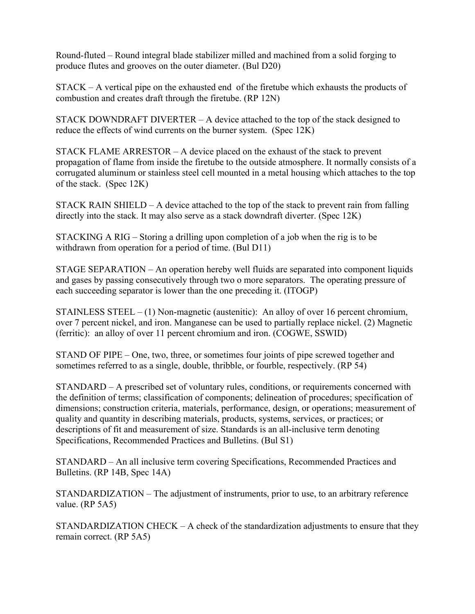Round-fluted – Round integral blade stabilizer milled and machined from a solid forging to produce flutes and grooves on the outer diameter. (Bul D20)

STACK – A vertical pipe on the exhausted end of the firetube which exhausts the products of combustion and creates draft through the firetube. (RP 12N)

STACK DOWNDRAFT DIVERTER – A device attached to the top of the stack designed to reduce the effects of wind currents on the burner system. (Spec 12K)

STACK FLAME ARRESTOR – A device placed on the exhaust of the stack to prevent propagation of flame from inside the firetube to the outside atmosphere. It normally consists of a corrugated aluminum or stainless steel cell mounted in a metal housing which attaches to the top of the stack. (Spec 12K)

STACK RAIN SHIELD – A device attached to the top of the stack to prevent rain from falling directly into the stack. It may also serve as a stack downdraft diverter. (Spec 12K)

STACKING A RIG – Storing a drilling upon completion of a job when the rig is to be withdrawn from operation for a period of time. (Bul D11)

STAGE SEPARATION – An operation hereby well fluids are separated into component liquids and gases by passing consecutively through two o more separators. The operating pressure of each succeeding separator is lower than the one preceding it. (ITOGP)

STAINLESS STEEL  $- (1)$  Non-magnetic (austenitic): An alloy of over 16 percent chromium, over 7 percent nickel, and iron. Manganese can be used to partially replace nickel. (2) Magnetic (ferritic): an alloy of over 11 percent chromium and iron. (COGWE, SSWID)

STAND OF PIPE – One, two, three, or sometimes four joints of pipe screwed together and sometimes referred to as a single, double, thribble, or fourble, respectively. (RP 54)

STANDARD – A prescribed set of voluntary rules, conditions, or requirements concerned with the definition of terms; classification of components; delineation of procedures; specification of dimensions; construction criteria, materials, performance, design, or operations; measurement of quality and quantity in describing materials, products, systems, services, or practices; or descriptions of fit and measurement of size. Standards is an all-inclusive term denoting Specifications, Recommended Practices and Bulletins. (Bul S1)

STANDARD – An all inclusive term covering Specifications, Recommended Practices and Bulletins. (RP 14B, Spec 14A)

STANDARDIZATION – The adjustment of instruments, prior to use, to an arbitrary reference value. (RP 5A5)

STANDARDIZATION CHECK – A check of the standardization adjustments to ensure that they remain correct. (RP 5A5)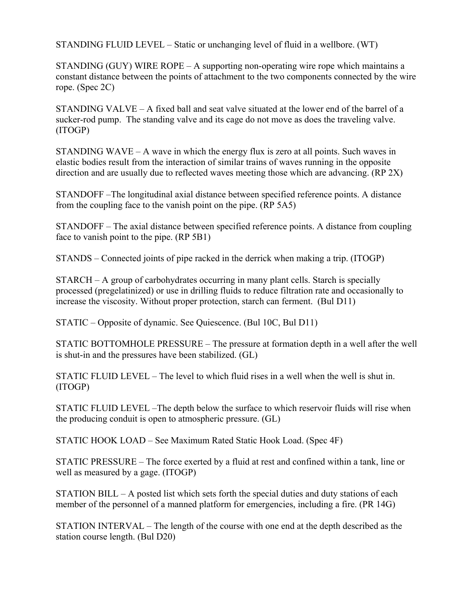STANDING FLUID LEVEL – Static or unchanging level of fluid in a wellbore. (WT)

STANDING (GUY) WIRE ROPE – A supporting non-operating wire rope which maintains a constant distance between the points of attachment to the two components connected by the wire rope. (Spec 2C)

STANDING VALVE – A fixed ball and seat valve situated at the lower end of the barrel of a sucker-rod pump. The standing valve and its cage do not move as does the traveling valve. (ITOGP)

STANDING WAVE – A wave in which the energy flux is zero at all points. Such waves in elastic bodies result from the interaction of similar trains of waves running in the opposite direction and are usually due to reflected waves meeting those which are advancing. (RP 2X)

STANDOFF –The longitudinal axial distance between specified reference points. A distance from the coupling face to the vanish point on the pipe. (RP 5A5)

STANDOFF – The axial distance between specified reference points. A distance from coupling face to vanish point to the pipe. (RP 5B1)

STANDS – Connected joints of pipe racked in the derrick when making a trip. (ITOGP)

STARCH – A group of carbohydrates occurring in many plant cells. Starch is specially processed (pregelatinized) or use in drilling fluids to reduce filtration rate and occasionally to increase the viscosity. Without proper protection, starch can ferment. (Bul D11)

STATIC – Opposite of dynamic. See Quiescence. (Bul 10C, Bul D11)

STATIC BOTTOMHOLE PRESSURE – The pressure at formation depth in a well after the well is shut-in and the pressures have been stabilized. (GL)

STATIC FLUID LEVEL – The level to which fluid rises in a well when the well is shut in. (ITOGP)

STATIC FLUID LEVEL –The depth below the surface to which reservoir fluids will rise when the producing conduit is open to atmospheric pressure. (GL)

STATIC HOOK LOAD – See Maximum Rated Static Hook Load. (Spec 4F)

STATIC PRESSURE – The force exerted by a fluid at rest and confined within a tank, line or well as measured by a gage. (ITOGP)

STATION BILL – A posted list which sets forth the special duties and duty stations of each member of the personnel of a manned platform for emergencies, including a fire. (PR 14G)

STATION INTERVAL – The length of the course with one end at the depth described as the station course length. (Bul D20)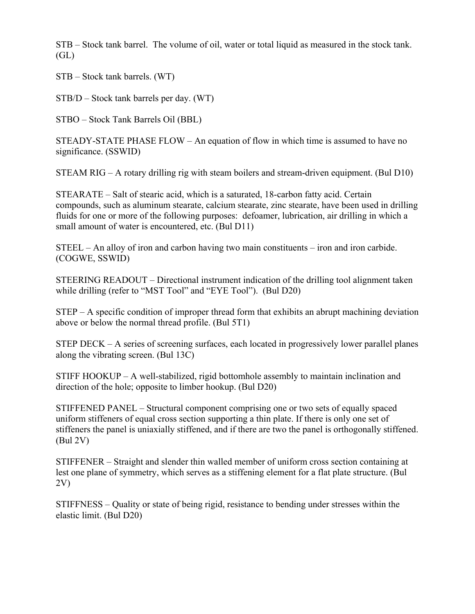STB – Stock tank barrel. The volume of oil, water or total liquid as measured in the stock tank. (GL)

STB – Stock tank barrels. (WT)

STB/D – Stock tank barrels per day. (WT)

STBO – Stock Tank Barrels Oil (BBL)

STEADY-STATE PHASE FLOW – An equation of flow in which time is assumed to have no significance. (SSWID)

STEAM RIG – A rotary drilling rig with steam boilers and stream-driven equipment. (Bul D10)

STEARATE – Salt of stearic acid, which is a saturated, 18-carbon fatty acid. Certain compounds, such as aluminum stearate, calcium stearate, zinc stearate, have been used in drilling fluids for one or more of the following purposes: defoamer, lubrication, air drilling in which a small amount of water is encountered, etc. (Bul D11)

STEEL – An alloy of iron and carbon having two main constituents – iron and iron carbide. (COGWE, SSWID)

STEERING READOUT – Directional instrument indication of the drilling tool alignment taken while drilling (refer to "MST Tool" and "EYE Tool"). (Bul D20)

STEP – A specific condition of improper thread form that exhibits an abrupt machining deviation above or below the normal thread profile. (Bul 5T1)

STEP DECK – A series of screening surfaces, each located in progressively lower parallel planes along the vibrating screen. (Bul 13C)

STIFF HOOKUP – A well-stabilized, rigid bottomhole assembly to maintain inclination and direction of the hole; opposite to limber hookup. (Bul D20)

STIFFENED PANEL – Structural component comprising one or two sets of equally spaced uniform stiffeners of equal cross section supporting a thin plate. If there is only one set of stiffeners the panel is uniaxially stiffened, and if there are two the panel is orthogonally stiffened. (Bul 2V)

STIFFENER – Straight and slender thin walled member of uniform cross section containing at lest one plane of symmetry, which serves as a stiffening element for a flat plate structure. (Bul 2V)

STIFFNESS – Quality or state of being rigid, resistance to bending under stresses within the elastic limit. (Bul D20)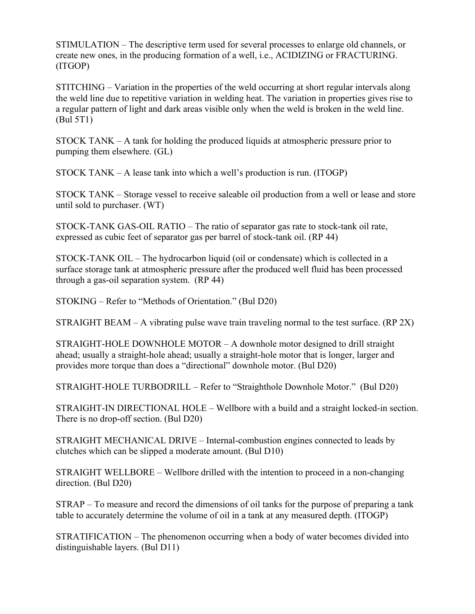STIMULATION – The descriptive term used for several processes to enlarge old channels, or create new ones, in the producing formation of a well, i.e., ACIDIZING or FRACTURING. (ITGOP)

STITCHING – Variation in the properties of the weld occurring at short regular intervals along the weld line due to repetitive variation in welding heat. The variation in properties gives rise to a regular pattern of light and dark areas visible only when the weld is broken in the weld line. (Bul 5T1)

STOCK TANK – A tank for holding the produced liquids at atmospheric pressure prior to pumping them elsewhere. (GL)

STOCK TANK – A lease tank into which a well's production is run. (ITOGP)

STOCK TANK – Storage vessel to receive saleable oil production from a well or lease and store until sold to purchaser. (WT)

STOCK-TANK GAS-OIL RATIO – The ratio of separator gas rate to stock-tank oil rate, expressed as cubic feet of separator gas per barrel of stock-tank oil. (RP 44)

STOCK-TANK OIL – The hydrocarbon liquid (oil or condensate) which is collected in a surface storage tank at atmospheric pressure after the produced well fluid has been processed through a gas-oil separation system. (RP 44)

STOKING – Refer to "Methods of Orientation." (Bul D20)

STRAIGHT BEAM – A vibrating pulse wave train traveling normal to the test surface. (RP 2X)

STRAIGHT-HOLE DOWNHOLE MOTOR – A downhole motor designed to drill straight ahead; usually a straight-hole ahead; usually a straight-hole motor that is longer, larger and provides more torque than does a "directional" downhole motor. (Bul D20)

STRAIGHT-HOLE TURBODRILL – Refer to "Straighthole Downhole Motor." (Bul D20)

STRAIGHT-IN DIRECTIONAL HOLE – Wellbore with a build and a straight locked-in section. There is no drop-off section. (Bul D20)

STRAIGHT MECHANICAL DRIVE – Internal-combustion engines connected to leads by clutches which can be slipped a moderate amount. (Bul D10)

STRAIGHT WELLBORE – Wellbore drilled with the intention to proceed in a non-changing direction. (Bul D20)

STRAP – To measure and record the dimensions of oil tanks for the purpose of preparing a tank table to accurately determine the volume of oil in a tank at any measured depth. (ITOGP)

STRATIFICATION – The phenomenon occurring when a body of water becomes divided into distinguishable layers. (Bul D11)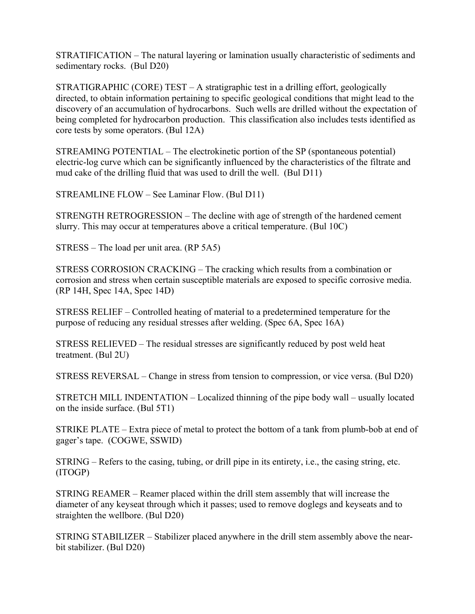STRATIFICATION – The natural layering or lamination usually characteristic of sediments and sedimentary rocks. (Bul D20)

STRATIGRAPHIC (CORE) TEST – A stratigraphic test in a drilling effort, geologically directed, to obtain information pertaining to specific geological conditions that might lead to the discovery of an accumulation of hydrocarbons. Such wells are drilled without the expectation of being completed for hydrocarbon production. This classification also includes tests identified as core tests by some operators. (Bul 12A)

STREAMING POTENTIAL – The electrokinetic portion of the SP (spontaneous potential) electric-log curve which can be significantly influenced by the characteristics of the filtrate and mud cake of the drilling fluid that was used to drill the well. (Bul D11)

STREAMLINE FLOW – See Laminar Flow. (Bul D11)

STRENGTH RETROGRESSION – The decline with age of strength of the hardened cement slurry. This may occur at temperatures above a critical temperature. (Bul 10C)

STRESS – The load per unit area. (RP 5A5)

STRESS CORROSION CRACKING – The cracking which results from a combination or corrosion and stress when certain susceptible materials are exposed to specific corrosive media. (RP 14H, Spec 14A, Spec 14D)

STRESS RELIEF – Controlled heating of material to a predetermined temperature for the purpose of reducing any residual stresses after welding. (Spec 6A, Spec 16A)

STRESS RELIEVED – The residual stresses are significantly reduced by post weld heat treatment. (Bul 2U)

STRESS REVERSAL – Change in stress from tension to compression, or vice versa. (Bul D20)

STRETCH MILL INDENTATION – Localized thinning of the pipe body wall – usually located on the inside surface. (Bul 5T1)

STRIKE PLATE – Extra piece of metal to protect the bottom of a tank from plumb-bob at end of gager's tape. (COGWE, SSWID)

STRING – Refers to the casing, tubing, or drill pipe in its entirety, i.e., the casing string, etc. (ITOGP)

STRING REAMER – Reamer placed within the drill stem assembly that will increase the diameter of any keyseat through which it passes; used to remove doglegs and keyseats and to straighten the wellbore. (Bul D20)

STRING STABILIZER – Stabilizer placed anywhere in the drill stem assembly above the nearbit stabilizer. (Bul D20)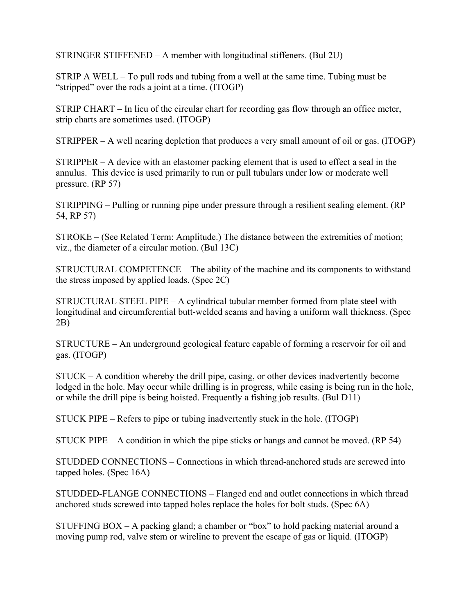STRINGER STIFFENED – A member with longitudinal stiffeners. (Bul 2U)

STRIP A WELL – To pull rods and tubing from a well at the same time. Tubing must be "stripped" over the rods a joint at a time. (ITOGP)

STRIP CHART – In lieu of the circular chart for recording gas flow through an office meter, strip charts are sometimes used. (ITOGP)

STRIPPER – A well nearing depletion that produces a very small amount of oil or gas. (ITOGP)

STRIPPER – A device with an elastomer packing element that is used to effect a seal in the annulus. This device is used primarily to run or pull tubulars under low or moderate well pressure. (RP 57)

STRIPPING – Pulling or running pipe under pressure through a resilient sealing element. (RP 54, RP 57)

STROKE – (See Related Term: Amplitude.) The distance between the extremities of motion; viz., the diameter of a circular motion. (Bul 13C)

STRUCTURAL COMPETENCE – The ability of the machine and its components to withstand the stress imposed by applied loads. (Spec 2C)

STRUCTURAL STEEL PIPE – A cylindrical tubular member formed from plate steel with longitudinal and circumferential butt-welded seams and having a uniform wall thickness. (Spec 2B)

STRUCTURE – An underground geological feature capable of forming a reservoir for oil and gas. (ITOGP)

STUCK – A condition whereby the drill pipe, casing, or other devices inadvertently become lodged in the hole. May occur while drilling is in progress, while casing is being run in the hole, or while the drill pipe is being hoisted. Frequently a fishing job results. (Bul D11)

STUCK PIPE – Refers to pipe or tubing inadvertently stuck in the hole. (ITOGP)

STUCK PIPE – A condition in which the pipe sticks or hangs and cannot be moved. (RP 54)

STUDDED CONNECTIONS – Connections in which thread-anchored studs are screwed into tapped holes. (Spec 16A)

STUDDED-FLANGE CONNECTIONS – Flanged end and outlet connections in which thread anchored studs screwed into tapped holes replace the holes for bolt studs. (Spec 6A)

STUFFING BOX – A packing gland; a chamber or "box" to hold packing material around a moving pump rod, valve stem or wireline to prevent the escape of gas or liquid. (ITOGP)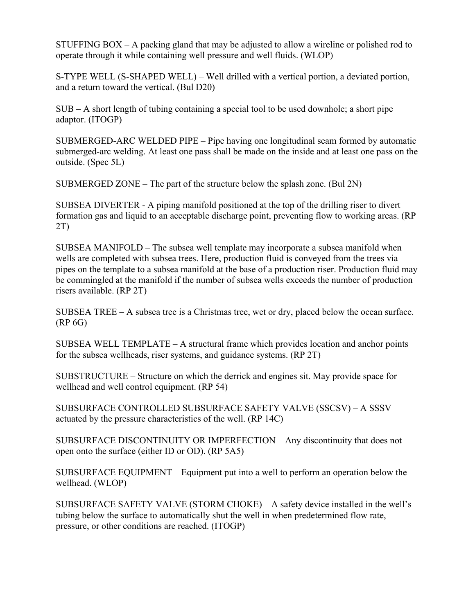STUFFING BOX – A packing gland that may be adjusted to allow a wireline or polished rod to operate through it while containing well pressure and well fluids. (WLOP)

S-TYPE WELL (S-SHAPED WELL) – Well drilled with a vertical portion, a deviated portion, and a return toward the vertical. (Bul D20)

 $SUB - A$  short length of tubing containing a special tool to be used downhole; a short pipe adaptor. (ITOGP)

SUBMERGED-ARC WELDED PIPE – Pipe having one longitudinal seam formed by automatic submerged-arc welding. At least one pass shall be made on the inside and at least one pass on the outside. (Spec 5L)

SUBMERGED ZONE – The part of the structure below the splash zone. (Bul 2N)

SUBSEA DIVERTER - A piping manifold positioned at the top of the drilling riser to divert formation gas and liquid to an acceptable discharge point, preventing flow to working areas. (RP 2T)

SUBSEA MANIFOLD – The subsea well template may incorporate a subsea manifold when wells are completed with subsea trees. Here, production fluid is conveyed from the trees via pipes on the template to a subsea manifold at the base of a production riser. Production fluid may be commingled at the manifold if the number of subsea wells exceeds the number of production risers available. (RP 2T)

SUBSEA TREE – A subsea tree is a Christmas tree, wet or dry, placed below the ocean surface. (RP 6G)

SUBSEA WELL TEMPLATE  $- A$  structural frame which provides location and anchor points for the subsea wellheads, riser systems, and guidance systems. (RP 2T)

SUBSTRUCTURE – Structure on which the derrick and engines sit. May provide space for wellhead and well control equipment. (RP 54)

SUBSURFACE CONTROLLED SUBSURFACE SAFETY VALVE (SSCSV) – A SSSV actuated by the pressure characteristics of the well. (RP 14C)

SUBSURFACE DISCONTINUITY OR IMPERFECTION – Any discontinuity that does not open onto the surface (either ID or OD). (RP 5A5)

SUBSURFACE EQUIPMENT – Equipment put into a well to perform an operation below the wellhead. (WLOP)

SUBSURFACE SAFETY VALVE (STORM CHOKE) – A safety device installed in the well's tubing below the surface to automatically shut the well in when predetermined flow rate, pressure, or other conditions are reached. (ITOGP)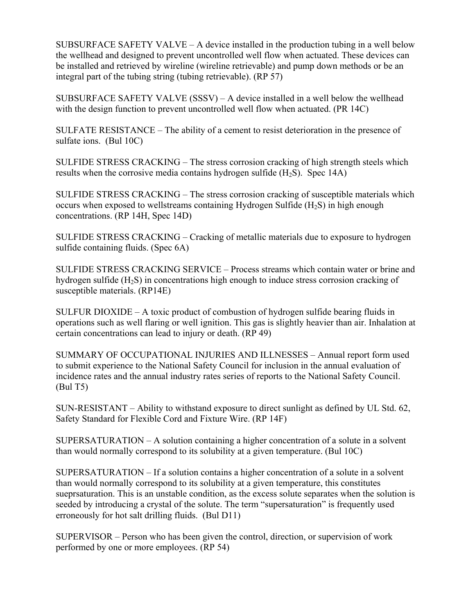SUBSURFACE SAFETY VALVE – A device installed in the production tubing in a well below the wellhead and designed to prevent uncontrolled well flow when actuated. These devices can be installed and retrieved by wireline (wireline retrievable) and pump down methods or be an integral part of the tubing string (tubing retrievable). (RP 57)

SUBSURFACE SAFETY VALVE (SSSV) – A device installed in a well below the wellhead with the design function to prevent uncontrolled well flow when actuated. (PR 14C)

SULFATE RESISTANCE – The ability of a cement to resist deterioration in the presence of sulfate ions. (Bul 10C)

SULFIDE STRESS CRACKING – The stress corrosion cracking of high strength steels which results when the corrosive media contains hydrogen sulfide  $(H_2S)$ . Spec 14A)

SULFIDE STRESS CRACKING – The stress corrosion cracking of susceptible materials which occurs when exposed to wellstreams containing Hydrogen Sulfide  $(H<sub>2</sub>S)$  in high enough concentrations. (RP 14H, Spec 14D)

SULFIDE STRESS CRACKING – Cracking of metallic materials due to exposure to hydrogen sulfide containing fluids. (Spec 6A)

SULFIDE STRESS CRACKING SERVICE – Process streams which contain water or brine and hydrogen sulfide (H2S) in concentrations high enough to induce stress corrosion cracking of susceptible materials. (RP14E)

SULFUR DIOXIDE – A toxic product of combustion of hydrogen sulfide bearing fluids in operations such as well flaring or well ignition. This gas is slightly heavier than air. Inhalation at certain concentrations can lead to injury or death. (RP 49)

SUMMARY OF OCCUPATIONAL INJURIES AND ILLNESSES – Annual report form used to submit experience to the National Safety Council for inclusion in the annual evaluation of incidence rates and the annual industry rates series of reports to the National Safety Council. (Bul T5)

SUN-RESISTANT – Ability to withstand exposure to direct sunlight as defined by UL Std. 62, Safety Standard for Flexible Cord and Fixture Wire. (RP 14F)

SUPERSATURATION – A solution containing a higher concentration of a solute in a solvent than would normally correspond to its solubility at a given temperature. (Bul 10C)

SUPERSATURATION – If a solution contains a higher concentration of a solute in a solvent than would normally correspond to its solubility at a given temperature, this constitutes sueprsaturation. This is an unstable condition, as the excess solute separates when the solution is seeded by introducing a crystal of the solute. The term "supersaturation" is frequently used erroneously for hot salt drilling fluids. (Bul D11)

SUPERVISOR – Person who has been given the control, direction, or supervision of work performed by one or more employees. (RP 54)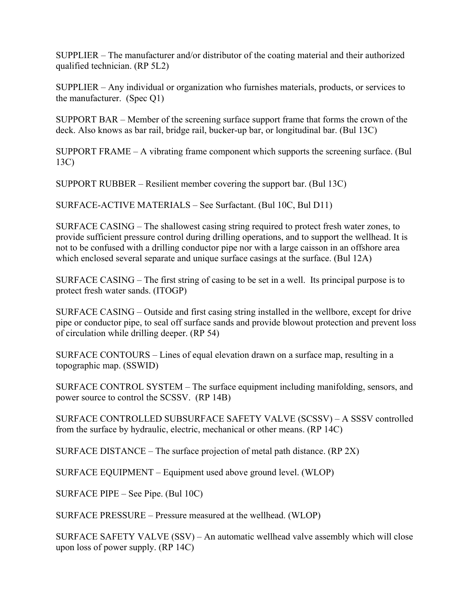SUPPLIER – The manufacturer and/or distributor of the coating material and their authorized qualified technician. (RP 5L2)

SUPPLIER – Any individual or organization who furnishes materials, products, or services to the manufacturer. (Spec Q1)

SUPPORT BAR – Member of the screening surface support frame that forms the crown of the deck. Also knows as bar rail, bridge rail, bucker-up bar, or longitudinal bar. (Bul 13C)

SUPPORT FRAME – A vibrating frame component which supports the screening surface. (Bul 13C)

SUPPORT RUBBER – Resilient member covering the support bar. (Bul 13C)

SURFACE-ACTIVE MATERIALS – See Surfactant. (Bul 10C, Bul D11)

SURFACE CASING – The shallowest casing string required to protect fresh water zones, to provide sufficient pressure control during drilling operations, and to support the wellhead. It is not to be confused with a drilling conductor pipe nor with a large caisson in an offshore area which enclosed several separate and unique surface casings at the surface. (Bul 12A)

SURFACE CASING – The first string of casing to be set in a well. Its principal purpose is to protect fresh water sands. (ITOGP)

SURFACE CASING – Outside and first casing string installed in the wellbore, except for drive pipe or conductor pipe, to seal off surface sands and provide blowout protection and prevent loss of circulation while drilling deeper. (RP 54)

SURFACE CONTOURS – Lines of equal elevation drawn on a surface map, resulting in a topographic map. (SSWID)

SURFACE CONTROL SYSTEM – The surface equipment including manifolding, sensors, and power source to control the SCSSV. (RP 14B)

SURFACE CONTROLLED SUBSURFACE SAFETY VALVE (SCSSV) – A SSSV controlled from the surface by hydraulic, electric, mechanical or other means. (RP 14C)

SURFACE DISTANCE – The surface projection of metal path distance. (RP 2X)

SURFACE EQUIPMENT – Equipment used above ground level. (WLOP)

SURFACE PIPE – See Pipe. (Bul 10C)

SURFACE PRESSURE – Pressure measured at the wellhead. (WLOP)

SURFACE SAFETY VALVE (SSV) – An automatic wellhead valve assembly which will close upon loss of power supply. (RP 14C)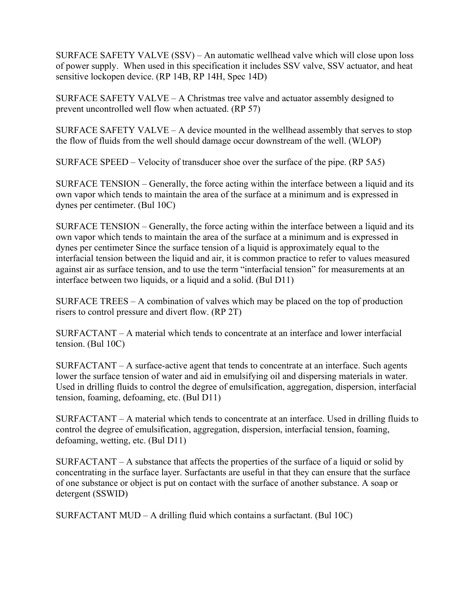SURFACE SAFETY VALVE (SSV) – An automatic wellhead valve which will close upon loss of power supply. When used in this specification it includes SSV valve, SSV actuator, and heat sensitive lockopen device. (RP 14B, RP 14H, Spec 14D)

SURFACE SAFETY VALVE – A Christmas tree valve and actuator assembly designed to prevent uncontrolled well flow when actuated. (RP 57)

SURFACE SAFETY VALVE – A device mounted in the wellhead assembly that serves to stop the flow of fluids from the well should damage occur downstream of the well. (WLOP)

SURFACE SPEED – Velocity of transducer shoe over the surface of the pipe. (RP 5A5)

SURFACE TENSION – Generally, the force acting within the interface between a liquid and its own vapor which tends to maintain the area of the surface at a minimum and is expressed in dynes per centimeter. (Bul 10C)

SURFACE TENSION – Generally, the force acting within the interface between a liquid and its own vapor which tends to maintain the area of the surface at a minimum and is expressed in dynes per centimeter Since the surface tension of a liquid is approximately equal to the interfacial tension between the liquid and air, it is common practice to refer to values measured against air as surface tension, and to use the term "interfacial tension" for measurements at an interface between two liquids, or a liquid and a solid. (Bul D11)

SURFACE TREES – A combination of valves which may be placed on the top of production risers to control pressure and divert flow. (RP 2T)

SURFACTANT – A material which tends to concentrate at an interface and lower interfacial tension. (Bul 10C)

SURFACTANT – A surface-active agent that tends to concentrate at an interface. Such agents lower the surface tension of water and aid in emulsifying oil and dispersing materials in water. Used in drilling fluids to control the degree of emulsification, aggregation, dispersion, interfacial tension, foaming, defoaming, etc. (Bul D11)

SURFACTANT – A material which tends to concentrate at an interface. Used in drilling fluids to control the degree of emulsification, aggregation, dispersion, interfacial tension, foaming, defoaming, wetting, etc. (Bul D11)

SURFACTANT – A substance that affects the properties of the surface of a liquid or solid by concentrating in the surface layer. Surfactants are useful in that they can ensure that the surface of one substance or object is put on contact with the surface of another substance. A soap or detergent (SSWID)

SURFACTANT MUD – A drilling fluid which contains a surfactant. (Bul 10C)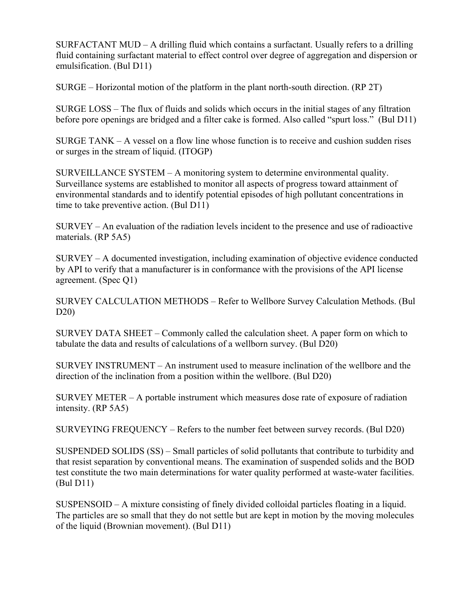SURFACTANT MUD – A drilling fluid which contains a surfactant. Usually refers to a drilling fluid containing surfactant material to effect control over degree of aggregation and dispersion or emulsification. (Bul D11)

SURGE – Horizontal motion of the platform in the plant north-south direction. (RP 2T)

SURGE LOSS – The flux of fluids and solids which occurs in the initial stages of any filtration before pore openings are bridged and a filter cake is formed. Also called "spurt loss." (Bul D11)

SURGE TANK – A vessel on a flow line whose function is to receive and cushion sudden rises or surges in the stream of liquid. (ITOGP)

SURVEILLANCE SYSTEM – A monitoring system to determine environmental quality. Surveillance systems are established to monitor all aspects of progress toward attainment of environmental standards and to identify potential episodes of high pollutant concentrations in time to take preventive action. (Bul D11)

SURVEY – An evaluation of the radiation levels incident to the presence and use of radioactive materials. (RP 5A5)

SURVEY – A documented investigation, including examination of objective evidence conducted by API to verify that a manufacturer is in conformance with the provisions of the API license agreement. (Spec Q1)

SURVEY CALCULATION METHODS – Refer to Wellbore Survey Calculation Methods. (Bul D20)

SURVEY DATA SHEET – Commonly called the calculation sheet. A paper form on which to tabulate the data and results of calculations of a wellborn survey. (Bul D20)

SURVEY INSTRUMENT – An instrument used to measure inclination of the wellbore and the direction of the inclination from a position within the wellbore. (Bul D20)

SURVEY METER – A portable instrument which measures dose rate of exposure of radiation intensity. (RP 5A5)

SURVEYING FREQUENCY – Refers to the number feet between survey records. (Bul D20)

SUSPENDED SOLIDS (SS) – Small particles of solid pollutants that contribute to turbidity and that resist separation by conventional means. The examination of suspended solids and the BOD test constitute the two main determinations for water quality performed at waste-water facilities. (Bul D11)

SUSPENSOID – A mixture consisting of finely divided colloidal particles floating in a liquid. The particles are so small that they do not settle but are kept in motion by the moving molecules of the liquid (Brownian movement). (Bul D11)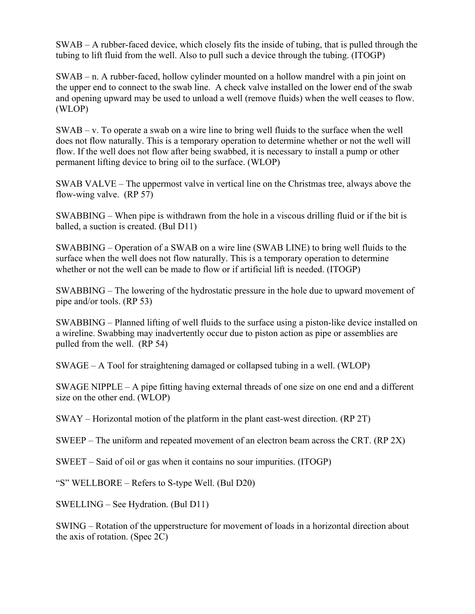SWAB – A rubber-faced device, which closely fits the inside of tubing, that is pulled through the tubing to lift fluid from the well. Also to pull such a device through the tubing. (ITOGP)

SWAB – n. A rubber-faced, hollow cylinder mounted on a hollow mandrel with a pin joint on the upper end to connect to the swab line. A check valve installed on the lower end of the swab and opening upward may be used to unload a well (remove fluids) when the well ceases to flow. (WLOP)

SWAB – v. To operate a swab on a wire line to bring well fluids to the surface when the well does not flow naturally. This is a temporary operation to determine whether or not the well will flow. If the well does not flow after being swabbed, it is necessary to install a pump or other permanent lifting device to bring oil to the surface. (WLOP)

SWAB VALVE – The uppermost valve in vertical line on the Christmas tree, always above the flow-wing valve. (RP 57)

SWABBING – When pipe is withdrawn from the hole in a viscous drilling fluid or if the bit is balled, a suction is created. (Bul D11)

SWABBING – Operation of a SWAB on a wire line (SWAB LINE) to bring well fluids to the surface when the well does not flow naturally. This is a temporary operation to determine whether or not the well can be made to flow or if artificial lift is needed. (ITOGP)

SWABBING – The lowering of the hydrostatic pressure in the hole due to upward movement of pipe and/or tools. (RP 53)

SWABBING – Planned lifting of well fluids to the surface using a piston-like device installed on a wireline. Swabbing may inadvertently occur due to piston action as pipe or assemblies are pulled from the well. (RP 54)

SWAGE – A Tool for straightening damaged or collapsed tubing in a well. (WLOP)

SWAGE NIPPLE – A pipe fitting having external threads of one size on one end and a different size on the other end. (WLOP)

SWAY – Horizontal motion of the platform in the plant east-west direction. (RP 2T)

SWEEP – The uniform and repeated movement of an electron beam across the CRT. (RP 2X)

SWEET – Said of oil or gas when it contains no sour impurities. (ITOGP)

"S" WELLBORE – Refers to S-type Well. (Bul D20)

SWELLING – See Hydration. (Bul D11)

SWING – Rotation of the upperstructure for movement of loads in a horizontal direction about the axis of rotation. (Spec 2C)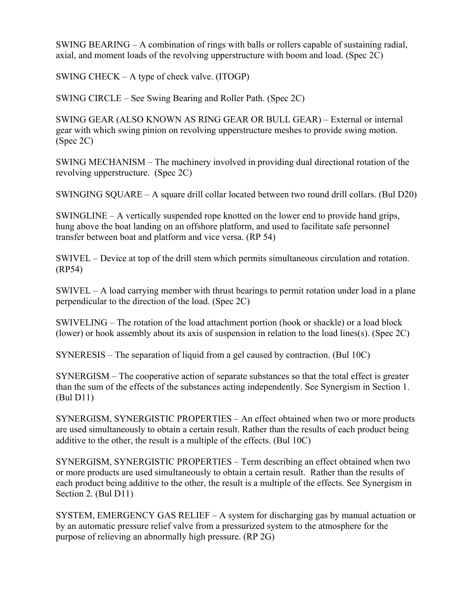SWING BEARING – A combination of rings with balls or rollers capable of sustaining radial, axial, and moment loads of the revolving upperstructure with boom and load. (Spec 2C)

SWING CHECK – A type of check valve. (ITOGP)

SWING CIRCLE – See Swing Bearing and Roller Path. (Spec 2C)

SWING GEAR (ALSO KNOWN AS RING GEAR OR BULL GEAR) – External or internal gear with which swing pinion on revolving upperstructure meshes to provide swing motion. (Spec 2C)

SWING MECHANISM – The machinery involved in providing dual directional rotation of the revolving upperstructure. (Spec 2C)

SWINGING SQUARE – A square drill collar located between two round drill collars. (Bul D20)

SWINGLINE – A vertically suspended rope knotted on the lower end to provide hand grips, hung above the boat landing on an offshore platform, and used to facilitate safe personnel transfer between boat and platform and vice versa. (RP 54)

SWIVEL – Device at top of the drill stem which permits simultaneous circulation and rotation. (RP54)

SWIVEL – A load carrying member with thrust bearings to permit rotation under load in a plane perpendicular to the direction of the load. (Spec 2C)

SWIVELING – The rotation of the load attachment portion (hook or shackle) or a load block (lower) or hook assembly about its axis of suspension in relation to the load lines(s). (Spec 2C)

SYNERESIS – The separation of liquid from a gel caused by contraction. (Bul 10C)

SYNERGISM – The cooperative action of separate substances so that the total effect is greater than the sum of the effects of the substances acting independently. See Synergism in Section 1. (Bul D11)

SYNERGISM, SYNERGISTIC PROPERTIES – An effect obtained when two or more products are used simultaneously to obtain a certain result. Rather than the results of each product being additive to the other, the result is a multiple of the effects. (Bul 10C)

SYNERGISM, SYNERGISTIC PROPERTIES – Term describing an effect obtained when two or more products are used simultaneously to obtain a certain result. Rather than the results of each product being additive to the other, the result is a multiple of the effects. See Synergism in Section 2. (Bul D11)

SYSTEM, EMERGENCY GAS RELIEF – A system for discharging gas by manual actuation or by an automatic pressure relief valve from a pressurized system to the atmosphere for the purpose of relieving an abnormally high pressure. (RP 2G)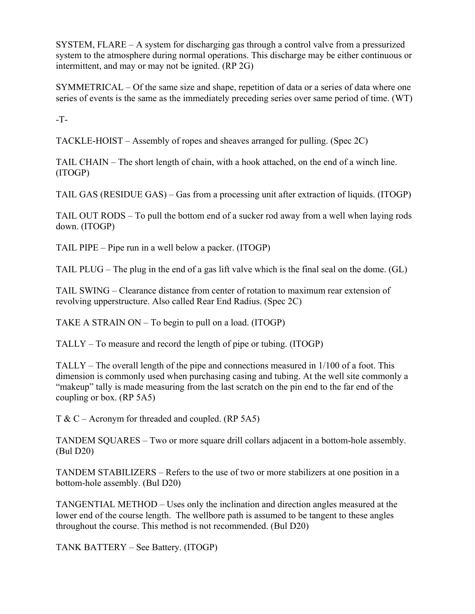SYSTEM, FLARE – A system for discharging gas through a control valve from a pressurized system to the atmosphere during normal operations. This discharge may be either continuous or intermittent, and may or may not be ignited. (RP 2G)

SYMMETRICAL – Of the same size and shape, repetition of data or a series of data where one series of events is the same as the immediately preceding series over same period of time. (WT)

-T-

TACKLE-HOIST – Assembly of ropes and sheaves arranged for pulling. (Spec 2C)

TAIL CHAIN – The short length of chain, with a hook attached, on the end of a winch line. (ITOGP)

TAIL GAS (RESIDUE GAS) – Gas from a processing unit after extraction of liquids. (ITOGP)

TAIL OUT RODS – To pull the bottom end of a sucker rod away from a well when laying rods down. (ITOGP)

TAIL PIPE – Pipe run in a well below a packer. (ITOGP)

TAIL PLUG – The plug in the end of a gas lift valve which is the final seal on the dome. (GL)

TAIL SWING – Clearance distance from center of rotation to maximum rear extension of revolving upperstructure. Also called Rear End Radius. (Spec 2C)

TAKE A STRAIN ON – To begin to pull on a load. (ITOGP)

TALLY – To measure and record the length of pipe or tubing. (ITOGP)

TALLY – The overall length of the pipe and connections measured in 1/100 of a foot. This dimension is commonly used when purchasing casing and tubing. At the well site commonly a "makeup" tally is made measuring from the last scratch on the pin end to the far end of the coupling or box. (RP 5A5)

T & C – Acronym for threaded and coupled. (RP 5A5)

TANDEM SQUARES – Two or more square drill collars adjacent in a bottom-hole assembly. (Bul D20)

TANDEM STABILIZERS – Refers to the use of two or more stabilizers at one position in a bottom-hole assembly. (Bul D20)

TANGENTIAL METHOD – Uses only the inclination and direction angles measured at the lower end of the course length. The wellbore path is assumed to be tangent to these angles throughout the course. This method is not recommended. (Bul D20)

TANK BATTERY – See Battery. (ITOGP)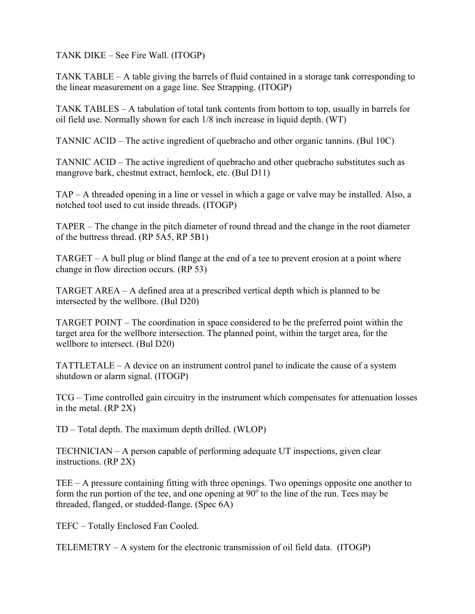TANK DIKE – See Fire Wall. (ITOGP)

TANK TABLE – A table giving the barrels of fluid contained in a storage tank corresponding to the linear measurement on a gage line. See Strapping. (ITOGP)

TANK TABLES – A tabulation of total tank contents from bottom to top, usually in barrels for oil field use. Normally shown for each 1/8 inch increase in liquid depth. (WT)

TANNIC ACID – The active ingredient of quebracho and other organic tannins. (Bul 10C)

TANNIC ACID – The active ingredient of quebracho and other quebracho substitutes such as mangrove bark, chestnut extract, hemlock, etc. (Bul D11)

TAP – A threaded opening in a line or vessel in which a gage or valve may be installed. Also, a notched tool used to cut inside threads. (ITOGP)

TAPER – The change in the pitch diameter of round thread and the change in the root diameter of the buttress thread. (RP 5A5, RP 5B1)

TARGET – A bull plug or blind flange at the end of a tee to prevent erosion at a point where change in flow direction occurs. (RP 53)

TARGET AREA – A defined area at a prescribed vertical depth which is planned to be intersected by the wellbore. (Bul D20)

TARGET POINT – The coordination in space considered to be the preferred point within the target area for the wellbore intersection. The planned point, within the target area, for the wellbore to intersect. (Bul D20)

TATTLETALE – A device on an instrument control panel to indicate the cause of a system shutdown or alarm signal. (ITOGP)

TCG – Time controlled gain circuitry in the instrument which compensates for attenuation losses in the metal. (RP 2X)

TD – Total depth. The maximum depth drilled. (WLOP)

TECHNICIAN – A person capable of performing adequate UT inspections, given clear instructions. (RP 2X)

TEE – A pressure containing fitting with three openings. Two openings opposite one another to form the run portion of the tee, and one opening at  $90^\circ$  to the line of the run. Tees may be threaded, flanged, or studded-flange. (Spec 6A)

TEFC – Totally Enclosed Fan Cooled.

TELEMETRY – A system for the electronic transmission of oil field data. (ITOGP)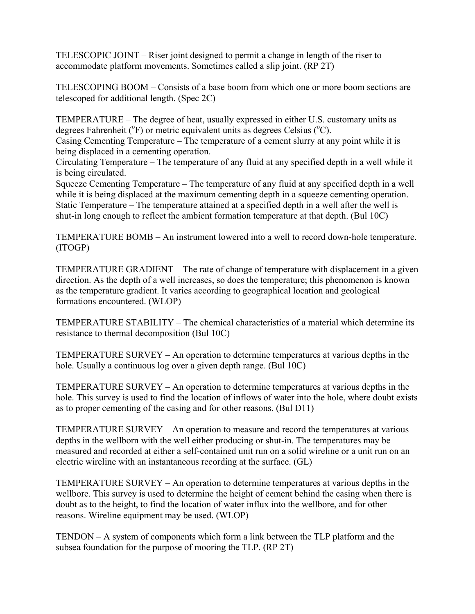TELESCOPIC JOINT – Riser joint designed to permit a change in length of the riser to accommodate platform movements. Sometimes called a slip joint. (RP 2T)

TELESCOPING BOOM – Consists of a base boom from which one or more boom sections are telescoped for additional length. (Spec 2C)

TEMPERATURE – The degree of heat, usually expressed in either U.S. customary units as degrees Fahrenheit ( ${}^{\circ}$ F) or metric equivalent units as degrees Celsius ( ${}^{\circ}$ C).

Casing Cementing Temperature – The temperature of a cement slurry at any point while it is being displaced in a cementing operation.

Circulating Temperature – The temperature of any fluid at any specified depth in a well while it is being circulated.

Squeeze Cementing Temperature – The temperature of any fluid at any specified depth in a well while it is being displaced at the maximum cementing depth in a squeeze cementing operation. Static Temperature – The temperature attained at a specified depth in a well after the well is shut-in long enough to reflect the ambient formation temperature at that depth. (Bul 10C)

TEMPERATURE BOMB – An instrument lowered into a well to record down-hole temperature. (ITOGP)

TEMPERATURE GRADIENT – The rate of change of temperature with displacement in a given direction. As the depth of a well increases, so does the temperature; this phenomenon is known as the temperature gradient. It varies according to geographical location and geological formations encountered. (WLOP)

TEMPERATURE STABILITY – The chemical characteristics of a material which determine its resistance to thermal decomposition (Bul 10C)

TEMPERATURE SURVEY – An operation to determine temperatures at various depths in the hole. Usually a continuous log over a given depth range. (Bul 10C)

TEMPERATURE SURVEY – An operation to determine temperatures at various depths in the hole. This survey is used to find the location of inflows of water into the hole, where doubt exists as to proper cementing of the casing and for other reasons. (Bul D11)

TEMPERATURE SURVEY – An operation to measure and record the temperatures at various depths in the wellborn with the well either producing or shut-in. The temperatures may be measured and recorded at either a self-contained unit run on a solid wireline or a unit run on an electric wireline with an instantaneous recording at the surface. (GL)

TEMPERATURE SURVEY – An operation to determine temperatures at various depths in the wellbore. This survey is used to determine the height of cement behind the casing when there is doubt as to the height, to find the location of water influx into the wellbore, and for other reasons. Wireline equipment may be used. (WLOP)

TENDON – A system of components which form a link between the TLP platform and the subsea foundation for the purpose of mooring the TLP. (RP 2T)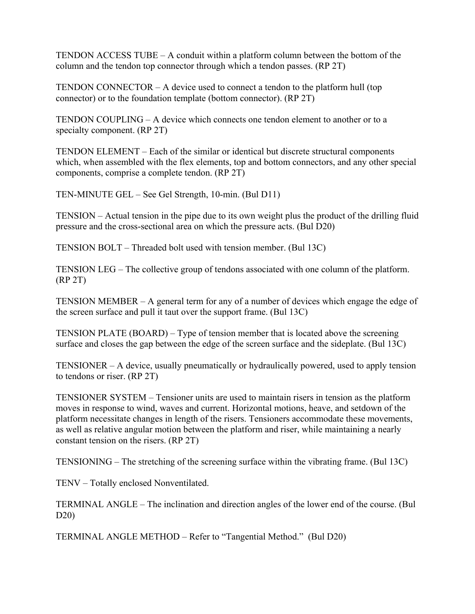TENDON ACCESS TUBE – A conduit within a platform column between the bottom of the column and the tendon top connector through which a tendon passes. (RP 2T)

TENDON CONNECTOR – A device used to connect a tendon to the platform hull (top connector) or to the foundation template (bottom connector). (RP 2T)

TENDON COUPLING – A device which connects one tendon element to another or to a specialty component. (RP 2T)

TENDON ELEMENT – Each of the similar or identical but discrete structural components which, when assembled with the flex elements, top and bottom connectors, and any other special components, comprise a complete tendon. (RP 2T)

TEN-MINUTE GEL – See Gel Strength, 10-min. (Bul D11)

TENSION – Actual tension in the pipe due to its own weight plus the product of the drilling fluid pressure and the cross-sectional area on which the pressure acts. (Bul D20)

TENSION BOLT – Threaded bolt used with tension member. (Bul 13C)

TENSION LEG – The collective group of tendons associated with one column of the platform. (RP 2T)

TENSION MEMBER – A general term for any of a number of devices which engage the edge of the screen surface and pull it taut over the support frame. (Bul 13C)

TENSION PLATE (BOARD) – Type of tension member that is located above the screening surface and closes the gap between the edge of the screen surface and the sideplate. (Bul 13C)

TENSIONER – A device, usually pneumatically or hydraulically powered, used to apply tension to tendons or riser. (RP 2T)

TENSIONER SYSTEM – Tensioner units are used to maintain risers in tension as the platform moves in response to wind, waves and current. Horizontal motions, heave, and setdown of the platform necessitate changes in length of the risers. Tensioners accommodate these movements, as well as relative angular motion between the platform and riser, while maintaining a nearly constant tension on the risers. (RP 2T)

TENSIONING – The stretching of the screening surface within the vibrating frame. (Bul 13C)

TENV – Totally enclosed Nonventilated.

TERMINAL ANGLE – The inclination and direction angles of the lower end of the course. (Bul D20)

TERMINAL ANGLE METHOD – Refer to "Tangential Method." (Bul D20)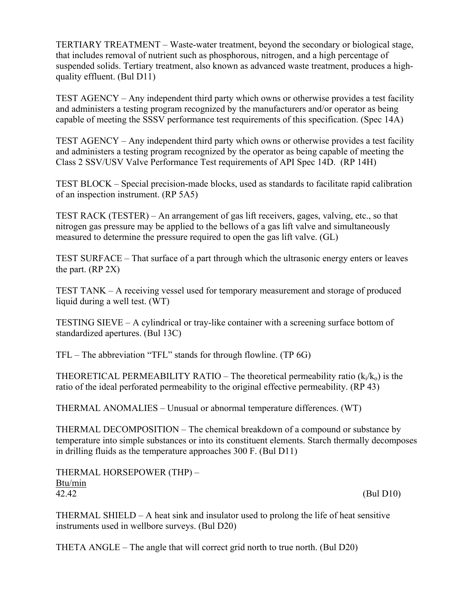TERTIARY TREATMENT – Waste-water treatment, beyond the secondary or biological stage, that includes removal of nutrient such as phosphorous, nitrogen, and a high percentage of suspended solids. Tertiary treatment, also known as advanced waste treatment, produces a highquality effluent. (Bul D11)

TEST AGENCY – Any independent third party which owns or otherwise provides a test facility and administers a testing program recognized by the manufacturers and/or operator as being capable of meeting the SSSV performance test requirements of this specification. (Spec 14A)

TEST AGENCY – Any independent third party which owns or otherwise provides a test facility and administers a testing program recognized by the operator as being capable of meeting the Class 2 SSV/USV Valve Performance Test requirements of API Spec 14D. (RP 14H)

TEST BLOCK – Special precision-made blocks, used as standards to facilitate rapid calibration of an inspection instrument. (RP 5A5)

TEST RACK (TESTER) – An arrangement of gas lift receivers, gages, valving, etc., so that nitrogen gas pressure may be applied to the bellows of a gas lift valve and simultaneously measured to determine the pressure required to open the gas lift valve. (GL)

TEST SURFACE – That surface of a part through which the ultrasonic energy enters or leaves the part.  $(RP 2X)$ 

TEST TANK – A receiving vessel used for temporary measurement and storage of produced liquid during a well test. (WT)

TESTING SIEVE – A cylindrical or tray-like container with a screening surface bottom of standardized apertures. (Bul 13C)

TFL – The abbreviation "TFL" stands for through flowline. (TP 6G)

THEORETICAL PERMEABILITY RATIO – The theoretical permeability ratio  $(k_i/k_0)$  is the ratio of the ideal perforated permeability to the original effective permeability. (RP 43)

THERMAL ANOMALIES – Unusual or abnormal temperature differences. (WT)

THERMAL DECOMPOSITION – The chemical breakdown of a compound or substance by temperature into simple substances or into its constituent elements. Starch thermally decomposes in drilling fluids as the temperature approaches 300 F. (Bul D11)

THERMAL HORSEPOWER (THP) – Btu/min 42.42 (Bul D10)

THERMAL SHIELD – A heat sink and insulator used to prolong the life of heat sensitive instruments used in wellbore surveys. (Bul D20)

THETA ANGLE – The angle that will correct grid north to true north. (Bul D20)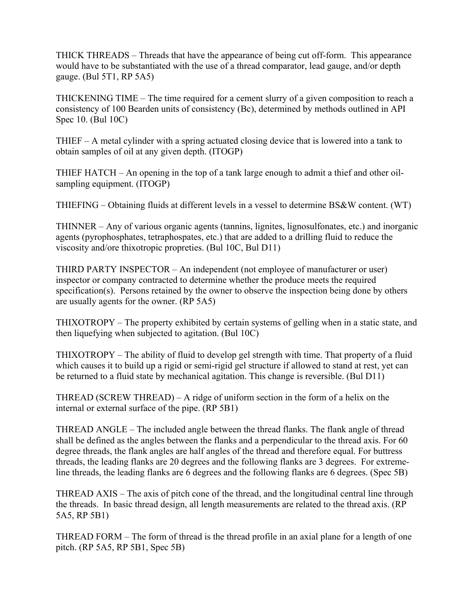THICK THREADS – Threads that have the appearance of being cut off-form. This appearance would have to be substantiated with the use of a thread comparator, lead gauge, and/or depth gauge. (Bul 5T1, RP 5A5)

THICKENING TIME – The time required for a cement slurry of a given composition to reach a consistency of 100 Bearden units of consistency (Bc), determined by methods outlined in API Spec 10. (Bul 10C)

THIEF – A metal cylinder with a spring actuated closing device that is lowered into a tank to obtain samples of oil at any given depth. (ITOGP)

THIEF HATCH – An opening in the top of a tank large enough to admit a thief and other oilsampling equipment. (ITOGP)

THIEFING – Obtaining fluids at different levels in a vessel to determine BS&W content. (WT)

THINNER – Any of various organic agents (tannins, lignites, lignosulfonates, etc.) and inorganic agents (pyrophosphates, tetraphospates, etc.) that are added to a drilling fluid to reduce the viscosity and/ore thixotropic propreties. (Bul 10C, Bul D11)

THIRD PARTY INSPECTOR – An independent (not employee of manufacturer or user) inspector or company contracted to determine whether the produce meets the required specification(s). Persons retained by the owner to observe the inspection being done by others are usually agents for the owner. (RP 5A5)

THIXOTROPY – The property exhibited by certain systems of gelling when in a static state, and then liquefying when subjected to agitation. (Bul 10C)

THIXOTROPY – The ability of fluid to develop gel strength with time. That property of a fluid which causes it to build up a rigid or semi-rigid gel structure if allowed to stand at rest, yet can be returned to a fluid state by mechanical agitation. This change is reversible. (Bul D11)

THREAD (SCREW THREAD) – A ridge of uniform section in the form of a helix on the internal or external surface of the pipe. (RP 5B1)

THREAD ANGLE – The included angle between the thread flanks. The flank angle of thread shall be defined as the angles between the flanks and a perpendicular to the thread axis. For 60 degree threads, the flank angles are half angles of the thread and therefore equal. For buttress threads, the leading flanks are 20 degrees and the following flanks are 3 degrees. For extremeline threads, the leading flanks are 6 degrees and the following flanks are 6 degrees. (Spec 5B)

THREAD AXIS – The axis of pitch cone of the thread, and the longitudinal central line through the threads. In basic thread design, all length measurements are related to the thread axis. (RP 5A5, RP 5B1)

THREAD FORM – The form of thread is the thread profile in an axial plane for a length of one pitch. (RP 5A5, RP 5B1, Spec 5B)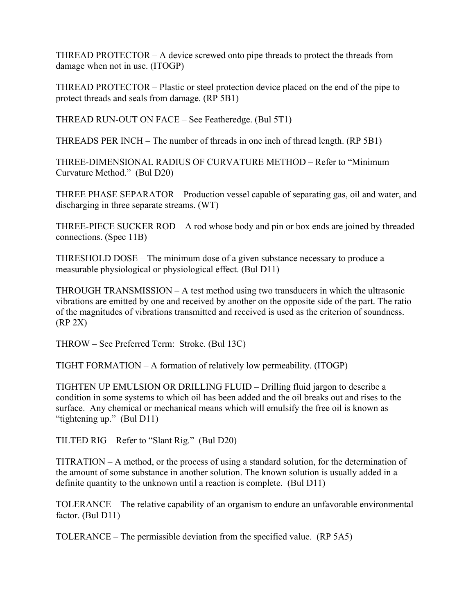THREAD PROTECTOR – A device screwed onto pipe threads to protect the threads from damage when not in use. (ITOGP)

THREAD PROTECTOR – Plastic or steel protection device placed on the end of the pipe to protect threads and seals from damage. (RP 5B1)

THREAD RUN-OUT ON FACE – See Featheredge. (Bul 5T1)

THREADS PER INCH – The number of threads in one inch of thread length. (RP 5B1)

THREE-DIMENSIONAL RADIUS OF CURVATURE METHOD – Refer to "Minimum Curvature Method." (Bul D20)

THREE PHASE SEPARATOR – Production vessel capable of separating gas, oil and water, and discharging in three separate streams. (WT)

THREE-PIECE SUCKER ROD – A rod whose body and pin or box ends are joined by threaded connections. (Spec 11B)

THRESHOLD DOSE – The minimum dose of a given substance necessary to produce a measurable physiological or physiological effect. (Bul D11)

THROUGH TRANSMISSION – A test method using two transducers in which the ultrasonic vibrations are emitted by one and received by another on the opposite side of the part. The ratio of the magnitudes of vibrations transmitted and received is used as the criterion of soundness. (RP 2X)

THROW – See Preferred Term: Stroke. (Bul 13C)

TIGHT FORMATION – A formation of relatively low permeability. (ITOGP)

TIGHTEN UP EMULSION OR DRILLING FLUID – Drilling fluid jargon to describe a condition in some systems to which oil has been added and the oil breaks out and rises to the surface. Any chemical or mechanical means which will emulsify the free oil is known as "tightening up." (Bul D11)

TILTED RIG – Refer to "Slant Rig." (Bul D20)

TITRATION – A method, or the process of using a standard solution, for the determination of the amount of some substance in another solution. The known solution is usually added in a definite quantity to the unknown until a reaction is complete. (Bul D11)

TOLERANCE – The relative capability of an organism to endure an unfavorable environmental factor. (Bul D11)

TOLERANCE – The permissible deviation from the specified value. (RP 5A5)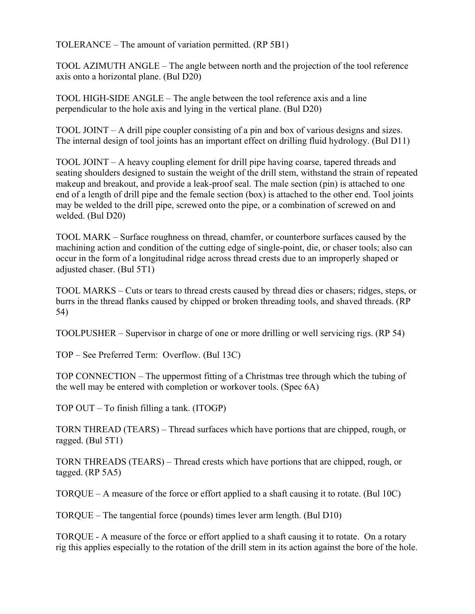TOLERANCE – The amount of variation permitted. (RP 5B1)

TOOL AZIMUTH ANGLE – The angle between north and the projection of the tool reference axis onto a horizontal plane. (Bul D20)

TOOL HIGH-SIDE ANGLE – The angle between the tool reference axis and a line perpendicular to the hole axis and lying in the vertical plane. (Bul D20)

TOOL JOINT – A drill pipe coupler consisting of a pin and box of various designs and sizes. The internal design of tool joints has an important effect on drilling fluid hydrology. (Bul D11)

TOOL JOINT – A heavy coupling element for drill pipe having coarse, tapered threads and seating shoulders designed to sustain the weight of the drill stem, withstand the strain of repeated makeup and breakout, and provide a leak-proof seal. The male section (pin) is attached to one end of a length of drill pipe and the female section (box) is attached to the other end. Tool joints may be welded to the drill pipe, screwed onto the pipe, or a combination of screwed on and welded. (Bul D20)

TOOL MARK – Surface roughness on thread, chamfer, or counterbore surfaces caused by the machining action and condition of the cutting edge of single-point, die, or chaser tools; also can occur in the form of a longitudinal ridge across thread crests due to an improperly shaped or adjusted chaser. (Bul 5T1)

TOOL MARKS – Cuts or tears to thread crests caused by thread dies or chasers; ridges, steps, or burrs in the thread flanks caused by chipped or broken threading tools, and shaved threads. (RP 54)

TOOLPUSHER – Supervisor in charge of one or more drilling or well servicing rigs. (RP 54)

TOP – See Preferred Term: Overflow. (Bul 13C)

TOP CONNECTION – The uppermost fitting of a Christmas tree through which the tubing of the well may be entered with completion or workover tools. (Spec 6A)

TOP OUT – To finish filling a tank. (ITOGP)

TORN THREAD (TEARS) – Thread surfaces which have portions that are chipped, rough, or ragged. (Bul 5T1)

TORN THREADS (TEARS) – Thread crests which have portions that are chipped, rough, or tagged. (RP 5A5)

TOROUE – A measure of the force or effort applied to a shaft causing it to rotate. (Bul 10C)

TORQUE – The tangential force (pounds) times lever arm length. (Bul D10)

TORQUE - A measure of the force or effort applied to a shaft causing it to rotate. On a rotary rig this applies especially to the rotation of the drill stem in its action against the bore of the hole.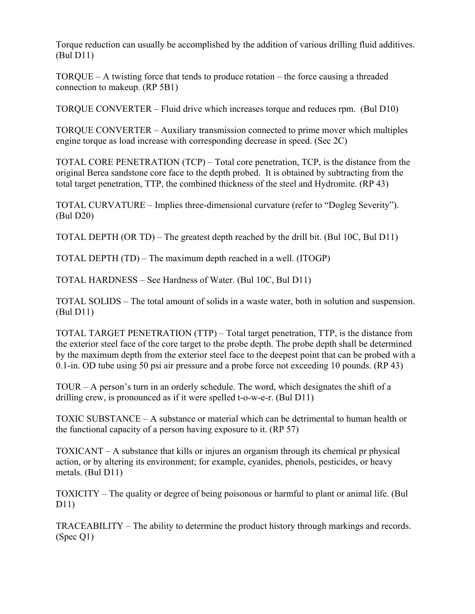Torque reduction can usually be accomplished by the addition of various drilling fluid additives. (Bul D11)

TORQUE – A twisting force that tends to produce rotation – the force causing a threaded connection to makeup. (RP 5B1)

TORQUE CONVERTER – Fluid drive which increases torque and reduces rpm. (Bul D10)

TORQUE CONVERTER – Auxiliary transmission connected to prime mover which multiples engine torque as load increase with corresponding decrease in speed. (Sec 2C)

TOTAL CORE PENETRATION (TCP) – Total core penetration, TCP, is the distance from the original Berea sandstone core face to the depth probed. It is obtained by subtracting from the total target penetration, TTP, the combined thickness of the steel and Hydromite. (RP 43)

TOTAL CURVATURE – Implies three-dimensional curvature (refer to "Dogleg Severity"). (Bul D20)

TOTAL DEPTH (OR TD) – The greatest depth reached by the drill bit. (Bul 10C, Bul D11)

TOTAL DEPTH (TD) – The maximum depth reached in a well. (ITOGP)

TOTAL HARDNESS – See Hardness of Water. (Bul 10C, Bul D11)

TOTAL SOLIDS – The total amount of solids in a waste water, both in solution and suspension. (Bul D11)

TOTAL TARGET PENETRATION (TTP) – Total target penetration, TTP, is the distance from the exterior steel face of the core target to the probe depth. The probe depth shall be determined by the maximum depth from the exterior steel face to the deepest point that can be probed with a 0.1-in. OD tube using 50 psi air pressure and a probe force not exceeding 10 pounds. (RP 43)

TOUR – A person's turn in an orderly schedule. The word, which designates the shift of a drilling crew, is pronounced as if it were spelled t-o-w-e-r. (Bul D11)

TOXIC SUBSTANCE – A substance or material which can be detrimental to human health or the functional capacity of a person having exposure to it. (RP 57)

TOXICANT – A substance that kills or injures an organism through its chemical pr physical action, or by altering its environment; for example, cyanides, phenols, pesticides, or heavy metals. (Bul D11)

TOXICITY – The quality or degree of being poisonous or harmful to plant or animal life. (Bul D11)

TRACEABILITY – The ability to determine the product history through markings and records. (Spec Q1)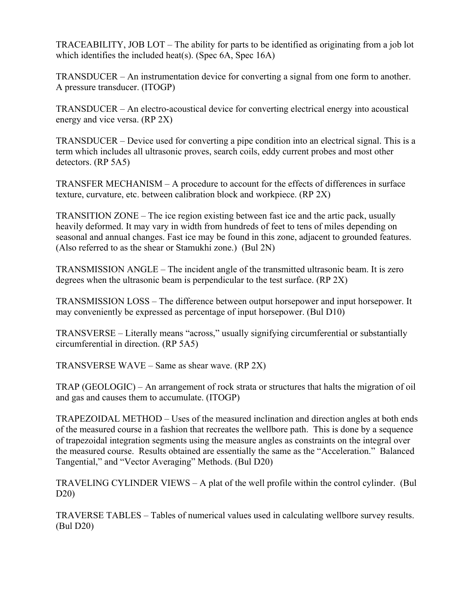TRACEABILITY, JOB LOT – The ability for parts to be identified as originating from a job lot which identifies the included heat(s). (Spec 6A, Spec 16A)

TRANSDUCER – An instrumentation device for converting a signal from one form to another. A pressure transducer. (ITOGP)

TRANSDUCER – An electro-acoustical device for converting electrical energy into acoustical energy and vice versa. (RP 2X)

TRANSDUCER – Device used for converting a pipe condition into an electrical signal. This is a term which includes all ultrasonic proves, search coils, eddy current probes and most other detectors. (RP 5A5)

TRANSFER MECHANISM – A procedure to account for the effects of differences in surface texture, curvature, etc. between calibration block and workpiece. (RP 2X)

TRANSITION ZONE – The ice region existing between fast ice and the artic pack, usually heavily deformed. It may vary in width from hundreds of feet to tens of miles depending on seasonal and annual changes. Fast ice may be found in this zone, adjacent to grounded features. (Also referred to as the shear or Stamukhi zone.) (Bul 2N)

TRANSMISSION ANGLE – The incident angle of the transmitted ultrasonic beam. It is zero degrees when the ultrasonic beam is perpendicular to the test surface. (RP 2X)

TRANSMISSION LOSS – The difference between output horsepower and input horsepower. It may conveniently be expressed as percentage of input horsepower. (Bul D10)

TRANSVERSE – Literally means "across," usually signifying circumferential or substantially circumferential in direction. (RP 5A5)

TRANSVERSE WAVE – Same as shear wave. (RP 2X)

TRAP (GEOLOGIC) – An arrangement of rock strata or structures that halts the migration of oil and gas and causes them to accumulate. (ITOGP)

TRAPEZOIDAL METHOD – Uses of the measured inclination and direction angles at both ends of the measured course in a fashion that recreates the wellbore path. This is done by a sequence of trapezoidal integration segments using the measure angles as constraints on the integral over the measured course. Results obtained are essentially the same as the "Acceleration." Balanced Tangential," and "Vector Averaging" Methods. (Bul D20)

TRAVELING CYLINDER VIEWS – A plat of the well profile within the control cylinder. (Bul D20)

TRAVERSE TABLES – Tables of numerical values used in calculating wellbore survey results. (Bul D20)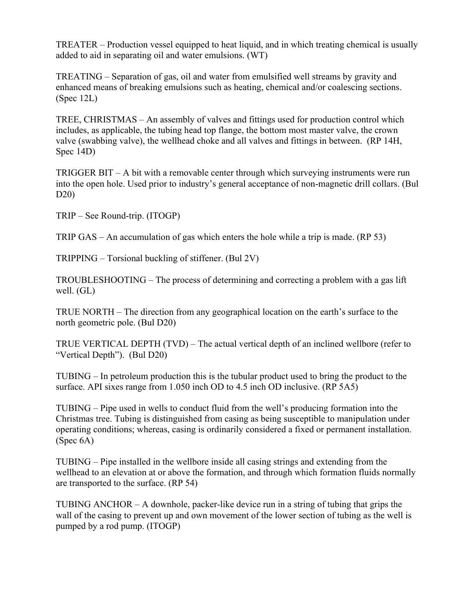TREATER – Production vessel equipped to heat liquid, and in which treating chemical is usually added to aid in separating oil and water emulsions. (WT)

TREATING – Separation of gas, oil and water from emulsified well streams by gravity and enhanced means of breaking emulsions such as heating, chemical and/or coalescing sections. (Spec 12L)

TREE, CHRISTMAS – An assembly of valves and fittings used for production control which includes, as applicable, the tubing head top flange, the bottom most master valve, the crown valve (swabbing valve), the wellhead choke and all valves and fittings in between. (RP 14H, Spec 14D)

TRIGGER BIT – A bit with a removable center through which surveying instruments were run into the open hole. Used prior to industry's general acceptance of non-magnetic drill collars. (Bul D20)

TRIP – See Round-trip. (ITOGP)

TRIP GAS – An accumulation of gas which enters the hole while a trip is made. (RP 53)

TRIPPING – Torsional buckling of stiffener. (Bul 2V)

TROUBLESHOOTING – The process of determining and correcting a problem with a gas lift well. (GL)

TRUE NORTH – The direction from any geographical location on the earth's surface to the north geometric pole. (Bul D20)

TRUE VERTICAL DEPTH (TVD) – The actual vertical depth of an inclined wellbore (refer to "Vertical Depth"). (Bul D20)

TUBING – In petroleum production this is the tubular product used to bring the product to the surface. API sixes range from 1.050 inch OD to 4.5 inch OD inclusive. (RP 5A5)

TUBING – Pipe used in wells to conduct fluid from the well's producing formation into the Christmas tree. Tubing is distinguished from casing as being susceptible to manipulation under operating conditions; whereas, casing is ordinarily considered a fixed or permanent installation. (Spec 6A)

TUBING – Pipe installed in the wellbore inside all casing strings and extending from the wellhead to an elevation at or above the formation, and through which formation fluids normally are transported to the surface. (RP 54)

TUBING ANCHOR – A downhole, packer-like device run in a string of tubing that grips the wall of the casing to prevent up and own movement of the lower section of tubing as the well is pumped by a rod pump. (ITOGP)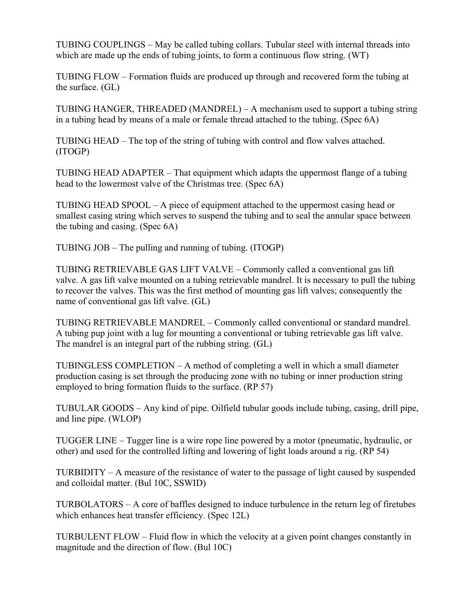TUBING COUPLINGS – May be called tubing collars. Tubular steel with internal threads into which are made up the ends of tubing joints, to form a continuous flow string. (WT)

TUBING FLOW – Formation fluids are produced up through and recovered form the tubing at the surface. (GL)

TUBING HANGER, THREADED (MANDREL) – A mechanism used to support a tubing string in a tubing head by means of a male or female thread attached to the tubing. (Spec 6A)

TUBING HEAD – The top of the string of tubing with control and flow valves attached. (ITOGP)

TUBING HEAD ADAPTER – That equipment which adapts the uppermost flange of a tubing head to the lowermost valve of the Christmas tree. (Spec 6A)

TUBING HEAD SPOOL – A piece of equipment attached to the uppermost casing head or smallest casing string which serves to suspend the tubing and to seal the annular space between the tubing and casing. (Spec 6A)

TUBING JOB – The pulling and running of tubing. (ITOGP)

TUBING RETRIEVABLE GAS LIFT VALVE – Commonly called a conventional gas lift valve. A gas lift valve mounted on a tubing retrievable mandrel. It is necessary to pull the tubing to recover the valves. This was the first method of mounting gas lift valves; consequently the name of conventional gas lift valve. (GL)

TUBING RETRIEVABLE MANDREL – Commonly called conventional or standard mandrel. A tubing pup joint with a lug for mounting a conventional or tubing retrievable gas lift valve. The mandrel is an integral part of the rubbing string. (GL)

TUBINGLESS COMPLETION – A method of completing a well in which a small diameter production casing is set through the producing zone with no tubing or inner production string employed to bring formation fluids to the surface. (RP 57)

TUBULAR GOODS – Any kind of pipe. Oilfield tubular goods include tubing, casing, drill pipe, and line pipe. (WLOP)

TUGGER LINE – Tugger line is a wire rope line powered by a motor (pneumatic, hydraulic, or other) and used for the controlled lifting and lowering of light loads around a rig. (RP 54)

TURBIDITY – A measure of the resistance of water to the passage of light caused by suspended and colloidal matter. (Bul 10C, SSWID)

TURBOLATORS – A core of baffles designed to induce turbulence in the return leg of firetubes which enhances heat transfer efficiency. (Spec 12L)

TURBULENT FLOW – Fluid flow in which the velocity at a given point changes constantly in magnitude and the direction of flow. (Bul 10C)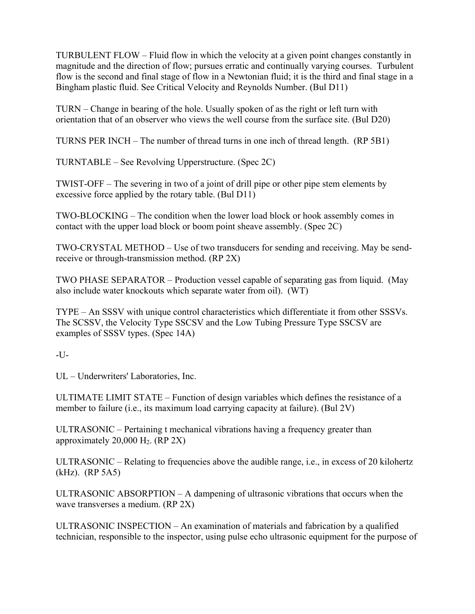TURBULENT FLOW – Fluid flow in which the velocity at a given point changes constantly in magnitude and the direction of flow; pursues erratic and continually varying courses. Turbulent flow is the second and final stage of flow in a Newtonian fluid; it is the third and final stage in a Bingham plastic fluid. See Critical Velocity and Reynolds Number. (Bul D11)

TURN – Change in bearing of the hole. Usually spoken of as the right or left turn with orientation that of an observer who views the well course from the surface site. (Bul D20)

TURNS PER INCH – The number of thread turns in one inch of thread length. (RP 5B1)

TURNTABLE – See Revolving Upperstructure. (Spec 2C)

TWIST-OFF – The severing in two of a joint of drill pipe or other pipe stem elements by excessive force applied by the rotary table. (Bul D11)

TWO-BLOCKING – The condition when the lower load block or hook assembly comes in contact with the upper load block or boom point sheave assembly. (Spec 2C)

TWO-CRYSTAL METHOD – Use of two transducers for sending and receiving. May be sendreceive or through-transmission method. (RP 2X)

TWO PHASE SEPARATOR – Production vessel capable of separating gas from liquid. (May also include water knockouts which separate water from oil). (WT)

TYPE – An SSSV with unique control characteristics which differentiate it from other SSSVs. The SCSSV, the Velocity Type SSCSV and the Low Tubing Pressure Type SSCSV are examples of SSSV types. (Spec 14A)

 $-II-$ 

UL – Underwriters' Laboratories, Inc.

ULTIMATE LIMIT STATE – Function of design variables which defines the resistance of a member to failure (i.e., its maximum load carrying capacity at failure). (Bul 2V)

ULTRASONIC – Pertaining t mechanical vibrations having a frequency greater than approximately  $20,000$  H<sub>2</sub>. (RP 2X)

ULTRASONIC – Relating to frequencies above the audible range, i.e., in excess of 20 kilohertz (kHz). (RP 5A5)

ULTRASONIC ABSORPTION – A dampening of ultrasonic vibrations that occurs when the wave transverses a medium. (RP 2X)

ULTRASONIC INSPECTION – An examination of materials and fabrication by a qualified technician, responsible to the inspector, using pulse echo ultrasonic equipment for the purpose of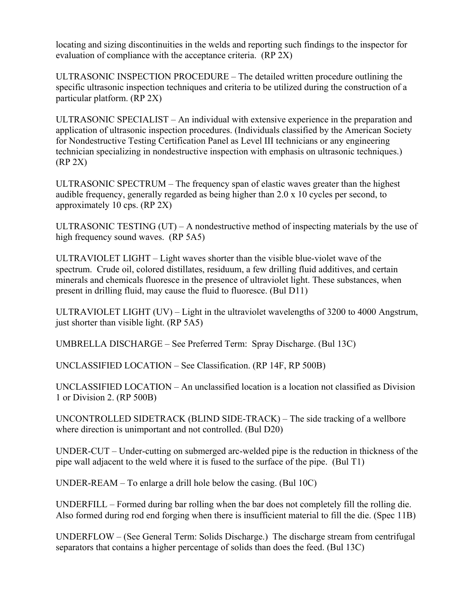locating and sizing discontinuities in the welds and reporting such findings to the inspector for evaluation of compliance with the acceptance criteria. (RP 2X)

ULTRASONIC INSPECTION PROCEDURE – The detailed written procedure outlining the specific ultrasonic inspection techniques and criteria to be utilized during the construction of a particular platform. (RP 2X)

ULTRASONIC SPECIALIST – An individual with extensive experience in the preparation and application of ultrasonic inspection procedures. (Individuals classified by the American Society for Nondestructive Testing Certification Panel as Level III technicians or any engineering technician specializing in nondestructive inspection with emphasis on ultrasonic techniques.) (RP 2X)

ULTRASONIC SPECTRUM – The frequency span of elastic waves greater than the highest audible frequency, generally regarded as being higher than 2.0 x 10 cycles per second, to approximately 10 cps. (RP 2X)

ULTRASONIC TESTING  $(UT) - A$  nondestructive method of inspecting materials by the use of high frequency sound waves. (RP 5A5)

ULTRAVIOLET LIGHT – Light waves shorter than the visible blue-violet wave of the spectrum. Crude oil, colored distillates, residuum, a few drilling fluid additives, and certain minerals and chemicals fluoresce in the presence of ultraviolet light. These substances, when present in drilling fluid, may cause the fluid to fluoresce. (Bul D11)

ULTRAVIOLET LIGHT (UV) – Light in the ultraviolet wavelengths of 3200 to 4000 Angstrum, just shorter than visible light. (RP 5A5)

UMBRELLA DISCHARGE – See Preferred Term: Spray Discharge. (Bul 13C)

UNCLASSIFIED LOCATION – See Classification. (RP 14F, RP 500B)

UNCLASSIFIED LOCATION – An unclassified location is a location not classified as Division 1 or Division 2. (RP 500B)

UNCONTROLLED SIDETRACK (BLIND SIDE-TRACK) – The side tracking of a wellbore where direction is unimportant and not controlled. (Bul D20)

UNDER-CUT – Under-cutting on submerged arc-welded pipe is the reduction in thickness of the pipe wall adjacent to the weld where it is fused to the surface of the pipe. (Bul T1)

UNDER-REAM – To enlarge a drill hole below the casing. (Bul 10C)

UNDERFILL – Formed during bar rolling when the bar does not completely fill the rolling die. Also formed during rod end forging when there is insufficient material to fill the die. (Spec 11B)

UNDERFLOW – (See General Term: Solids Discharge.) The discharge stream from centrifugal separators that contains a higher percentage of solids than does the feed. (Bul 13C)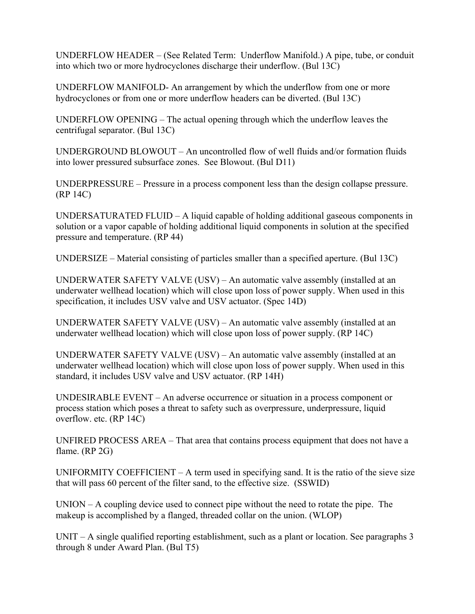UNDERFLOW HEADER – (See Related Term: Underflow Manifold.) A pipe, tube, or conduit into which two or more hydrocyclones discharge their underflow. (Bul 13C)

UNDERFLOW MANIFOLD- An arrangement by which the underflow from one or more hydrocyclones or from one or more underflow headers can be diverted. (Bul 13C)

UNDERFLOW OPENING – The actual opening through which the underflow leaves the centrifugal separator. (Bul 13C)

UNDERGROUND BLOWOUT – An uncontrolled flow of well fluids and/or formation fluids into lower pressured subsurface zones. See Blowout. (Bul D11)

UNDERPRESSURE – Pressure in a process component less than the design collapse pressure. (RP 14C)

UNDERSATURATED FLUID – A liquid capable of holding additional gaseous components in solution or a vapor capable of holding additional liquid components in solution at the specified pressure and temperature. (RP 44)

UNDERSIZE – Material consisting of particles smaller than a specified aperture. (Bul 13C)

UNDERWATER SAFETY VALVE (USV) – An automatic valve assembly (installed at an underwater wellhead location) which will close upon loss of power supply. When used in this specification, it includes USV valve and USV actuator. (Spec 14D)

UNDERWATER SAFETY VALVE (USV) – An automatic valve assembly (installed at an underwater wellhead location) which will close upon loss of power supply. (RP 14C)

UNDERWATER SAFETY VALVE (USV) – An automatic valve assembly (installed at an underwater wellhead location) which will close upon loss of power supply. When used in this standard, it includes USV valve and USV actuator. (RP 14H)

UNDESIRABLE EVENT – An adverse occurrence or situation in a process component or process station which poses a threat to safety such as overpressure, underpressure, liquid overflow. etc. (RP 14C)

UNFIRED PROCESS AREA – That area that contains process equipment that does not have a flame. (RP 2G)

UNIFORMITY COEFFICIENT – A term used in specifying sand. It is the ratio of the sieve size that will pass 60 percent of the filter sand, to the effective size. (SSWID)

UNION – A coupling device used to connect pipe without the need to rotate the pipe. The makeup is accomplished by a flanged, threaded collar on the union. (WLOP)

UNIT – A single qualified reporting establishment, such as a plant or location. See paragraphs 3 through 8 under Award Plan. (Bul T5)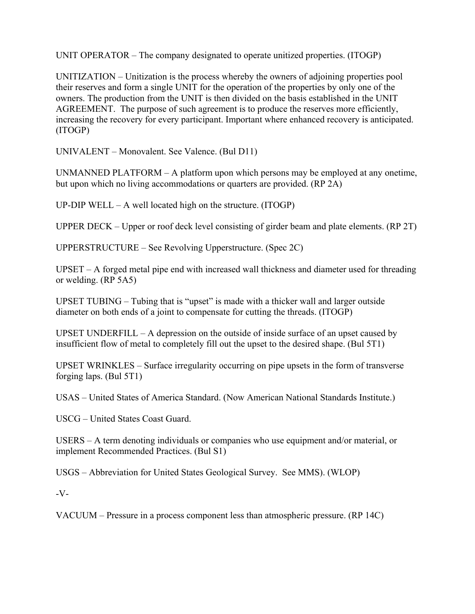UNIT OPERATOR – The company designated to operate unitized properties. (ITOGP)

UNITIZATION – Unitization is the process whereby the owners of adjoining properties pool their reserves and form a single UNIT for the operation of the properties by only one of the owners. The production from the UNIT is then divided on the basis established in the UNIT AGREEMENT. The purpose of such agreement is to produce the reserves more efficiently, increasing the recovery for every participant. Important where enhanced recovery is anticipated. (ITOGP)

UNIVALENT – Monovalent. See Valence. (Bul D11)

UNMANNED PLATFORM – A platform upon which persons may be employed at any onetime, but upon which no living accommodations or quarters are provided. (RP 2A)

UP-DIP WELL – A well located high on the structure. (ITOGP)

UPPER DECK – Upper or roof deck level consisting of girder beam and plate elements. (RP 2T)

UPPERSTRUCTURE – See Revolving Upperstructure. (Spec 2C)

UPSET – A forged metal pipe end with increased wall thickness and diameter used for threading or welding. (RP 5A5)

UPSET TUBING – Tubing that is "upset" is made with a thicker wall and larger outside diameter on both ends of a joint to compensate for cutting the threads. (ITOGP)

UPSET UNDERFILL – A depression on the outside of inside surface of an upset caused by insufficient flow of metal to completely fill out the upset to the desired shape. (Bul 5T1)

UPSET WRINKLES – Surface irregularity occurring on pipe upsets in the form of transverse forging laps. (Bul 5T1)

USAS – United States of America Standard. (Now American National Standards Institute.)

USCG – United States Coast Guard.

USERS – A term denoting individuals or companies who use equipment and/or material, or implement Recommended Practices. (Bul S1)

USGS – Abbreviation for United States Geological Survey. See MMS). (WLOP)

-V-

VACUUM – Pressure in a process component less than atmospheric pressure. (RP 14C)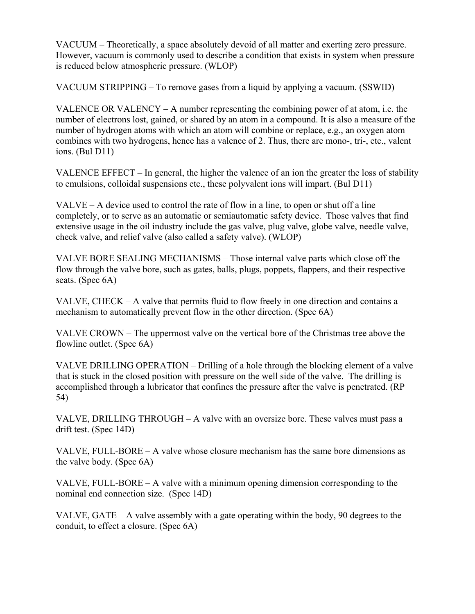VACUUM – Theoretically, a space absolutely devoid of all matter and exerting zero pressure. However, vacuum is commonly used to describe a condition that exists in system when pressure is reduced below atmospheric pressure. (WLOP)

VACUUM STRIPPING – To remove gases from a liquid by applying a vacuum. (SSWID)

VALENCE OR VALENCY – A number representing the combining power of at atom, i.e. the number of electrons lost, gained, or shared by an atom in a compound. It is also a measure of the number of hydrogen atoms with which an atom will combine or replace, e.g., an oxygen atom combines with two hydrogens, hence has a valence of 2. Thus, there are mono-, tri-, etc., valent ions. (Bul D11)

VALENCE EFFECT – In general, the higher the valence of an ion the greater the loss of stability to emulsions, colloidal suspensions etc., these polyvalent ions will impart. (Bul D11)

VALVE – A device used to control the rate of flow in a line, to open or shut off a line completely, or to serve as an automatic or semiautomatic safety device. Those valves that find extensive usage in the oil industry include the gas valve, plug valve, globe valve, needle valve, check valve, and relief valve (also called a safety valve). (WLOP)

VALVE BORE SEALING MECHANISMS – Those internal valve parts which close off the flow through the valve bore, such as gates, balls, plugs, poppets, flappers, and their respective seats. (Spec 6A)

VALVE, CHECK – A valve that permits fluid to flow freely in one direction and contains a mechanism to automatically prevent flow in the other direction. (Spec 6A)

VALVE CROWN – The uppermost valve on the vertical bore of the Christmas tree above the flowline outlet. (Spec 6A)

VALVE DRILLING OPERATION – Drilling of a hole through the blocking element of a valve that is stuck in the closed position with pressure on the well side of the valve. The drilling is accomplished through a lubricator that confines the pressure after the valve is penetrated. (RP 54)

VALVE, DRILLING THROUGH – A valve with an oversize bore. These valves must pass a drift test. (Spec 14D)

VALVE, FULL-BORE – A valve whose closure mechanism has the same bore dimensions as the valve body. (Spec 6A)

VALVE, FULL-BORE – A valve with a minimum opening dimension corresponding to the nominal end connection size. (Spec 14D)

VALVE, GATE – A valve assembly with a gate operating within the body, 90 degrees to the conduit, to effect a closure. (Spec 6A)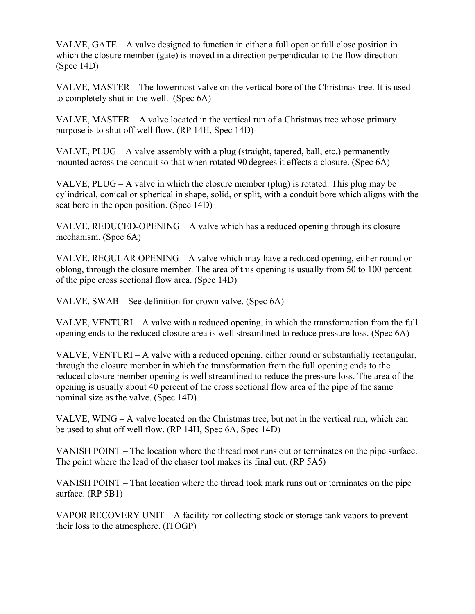VALVE, GATE – A valve designed to function in either a full open or full close position in which the closure member (gate) is moved in a direction perpendicular to the flow direction (Spec 14D)

VALVE, MASTER – The lowermost valve on the vertical bore of the Christmas tree. It is used to completely shut in the well. (Spec 6A)

VALVE, MASTER – A valve located in the vertical run of a Christmas tree whose primary purpose is to shut off well flow. (RP 14H, Spec 14D)

VALVE, PLUG – A valve assembly with a plug (straight, tapered, ball, etc.) permanently mounted across the conduit so that when rotated 90 degrees it effects a closure. (Spec 6A)

VALVE, PLUG – A valve in which the closure member (plug) is rotated. This plug may be cylindrical, conical or spherical in shape, solid, or split, with a conduit bore which aligns with the seat bore in the open position. (Spec 14D)

VALVE, REDUCED-OPENING – A valve which has a reduced opening through its closure mechanism. (Spec 6A)

VALVE, REGULAR OPENING – A valve which may have a reduced opening, either round or oblong, through the closure member. The area of this opening is usually from 50 to 100 percent of the pipe cross sectional flow area. (Spec 14D)

VALVE, SWAB – See definition for crown valve. (Spec 6A)

VALVE, VENTURI – A valve with a reduced opening, in which the transformation from the full opening ends to the reduced closure area is well streamlined to reduce pressure loss. (Spec 6A)

VALVE, VENTURI – A valve with a reduced opening, either round or substantially rectangular, through the closure member in which the transformation from the full opening ends to the reduced closure member opening is well streamlined to reduce the pressure loss. The area of the opening is usually about 40 percent of the cross sectional flow area of the pipe of the same nominal size as the valve. (Spec 14D)

VALVE, WING – A valve located on the Christmas tree, but not in the vertical run, which can be used to shut off well flow. (RP 14H, Spec 6A, Spec 14D)

VANISH POINT – The location where the thread root runs out or terminates on the pipe surface. The point where the lead of the chaser tool makes its final cut. (RP 5A5)

VANISH POINT – That location where the thread took mark runs out or terminates on the pipe surface. (RP 5B1)

VAPOR RECOVERY UNIT – A facility for collecting stock or storage tank vapors to prevent their loss to the atmosphere. (ITOGP)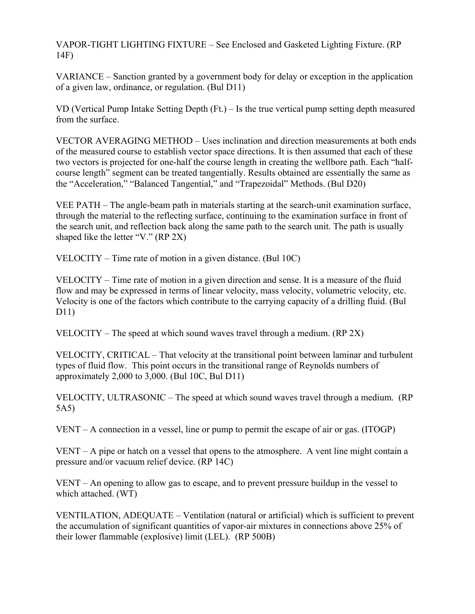VAPOR-TIGHT LIGHTING FIXTURE – See Enclosed and Gasketed Lighting Fixture. (RP 14F)

VARIANCE – Sanction granted by a government body for delay or exception in the application of a given law, ordinance, or regulation. (Bul D11)

VD (Vertical Pump Intake Setting Depth (Ft.) – Is the true vertical pump setting depth measured from the surface.

VECTOR AVERAGING METHOD – Uses inclination and direction measurements at both ends of the measured course to establish vector space directions. It is then assumed that each of these two vectors is projected for one-half the course length in creating the wellbore path. Each "halfcourse length" segment can be treated tangentially. Results obtained are essentially the same as the "Acceleration," "Balanced Tangential," and "Trapezoidal" Methods. (Bul D20)

VEE PATH – The angle-beam path in materials starting at the search-unit examination surface, through the material to the reflecting surface, continuing to the examination surface in front of the search unit, and reflection back along the same path to the search unit. The path is usually shaped like the letter "V." (RP 2X)

VELOCITY – Time rate of motion in a given distance. (Bul 10C)

VELOCITY – Time rate of motion in a given direction and sense. It is a measure of the fluid flow and may be expressed in terms of linear velocity, mass velocity, volumetric velocity, etc. Velocity is one of the factors which contribute to the carrying capacity of a drilling fluid. (Bul D11)

VELOCITY – The speed at which sound waves travel through a medium. (RP  $2X$ )

VELOCITY, CRITICAL – That velocity at the transitional point between laminar and turbulent types of fluid flow. This point occurs in the transitional range of Reynolds numbers of approximately 2,000 to 3,000. (Bul 10C, Bul D11)

VELOCITY, ULTRASONIC – The speed at which sound waves travel through a medium. (RP 5A5)

VENT – A connection in a vessel, line or pump to permit the escape of air or gas. (ITOGP)

VENT – A pipe or hatch on a vessel that opens to the atmosphere. A vent line might contain a pressure and/or vacuum relief device. (RP 14C)

VENT – An opening to allow gas to escape, and to prevent pressure buildup in the vessel to which attached. (WT)

VENTILATION, ADEQUATE – Ventilation (natural or artificial) which is sufficient to prevent the accumulation of significant quantities of vapor-air mixtures in connections above 25% of their lower flammable (explosive) limit (LEL). (RP 500B)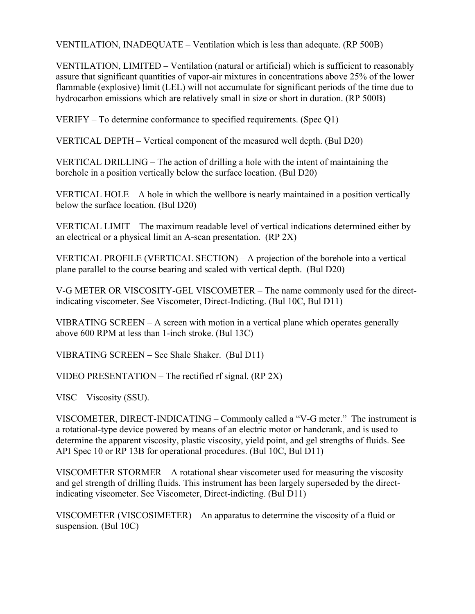VENTILATION, INADEQUATE – Ventilation which is less than adequate. (RP 500B)

VENTILATION, LIMITED – Ventilation (natural or artificial) which is sufficient to reasonably assure that significant quantities of vapor-air mixtures in concentrations above 25% of the lower flammable (explosive) limit (LEL) will not accumulate for significant periods of the time due to hydrocarbon emissions which are relatively small in size or short in duration. (RP 500B)

VERIFY – To determine conformance to specified requirements. (Spec Q1)

VERTICAL DEPTH – Vertical component of the measured well depth. (Bul D20)

VERTICAL DRILLING – The action of drilling a hole with the intent of maintaining the borehole in a position vertically below the surface location. (Bul D20)

VERTICAL HOLE – A hole in which the wellbore is nearly maintained in a position vertically below the surface location. (Bul D20)

VERTICAL LIMIT – The maximum readable level of vertical indications determined either by an electrical or a physical limit an A-scan presentation. (RP 2X)

VERTICAL PROFILE (VERTICAL SECTION) – A projection of the borehole into a vertical plane parallel to the course bearing and scaled with vertical depth. (Bul D20)

V-G METER OR VISCOSITY-GEL VISCOMETER – The name commonly used for the directindicating viscometer. See Viscometer, Direct-Indicting. (Bul 10C, Bul D11)

VIBRATING SCREEN – A screen with motion in a vertical plane which operates generally above 600 RPM at less than 1-inch stroke. (Bul 13C)

VIBRATING SCREEN – See Shale Shaker. (Bul D11)

VIDEO PRESENTATION – The rectified rf signal. (RP 2X)

VISC – Viscosity (SSU).

VISCOMETER, DIRECT-INDICATING – Commonly called a "V-G meter." The instrument is a rotational-type device powered by means of an electric motor or handcrank, and is used to determine the apparent viscosity, plastic viscosity, yield point, and gel strengths of fluids. See API Spec 10 or RP 13B for operational procedures. (Bul 10C, Bul D11)

VISCOMETER STORMER – A rotational shear viscometer used for measuring the viscosity and gel strength of drilling fluids. This instrument has been largely superseded by the directindicating viscometer. See Viscometer, Direct-indicting. (Bul D11)

VISCOMETER (VISCOSIMETER) – An apparatus to determine the viscosity of a fluid or suspension. (Bul 10C)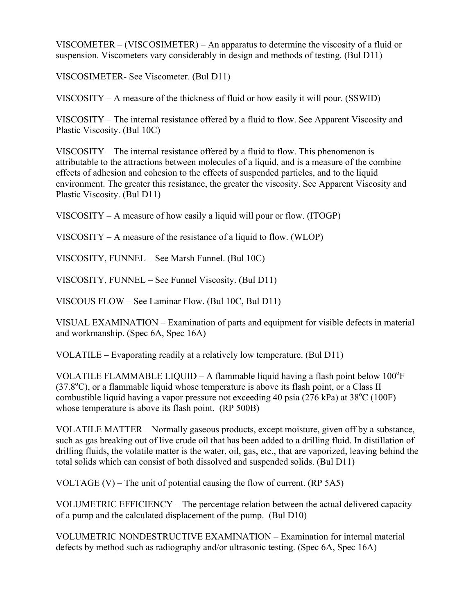VISCOMETER – (VISCOSIMETER) – An apparatus to determine the viscosity of a fluid or suspension. Viscometers vary considerably in design and methods of testing. (Bul D11)

VISCOSIMETER- See Viscometer. (Bul D11)

VISCOSITY – A measure of the thickness of fluid or how easily it will pour. (SSWID)

VISCOSITY – The internal resistance offered by a fluid to flow. See Apparent Viscosity and Plastic Viscosity. (Bul 10C)

VISCOSITY – The internal resistance offered by a fluid to flow. This phenomenon is attributable to the attractions between molecules of a liquid, and is a measure of the combine effects of adhesion and cohesion to the effects of suspended particles, and to the liquid environment. The greater this resistance, the greater the viscosity. See Apparent Viscosity and Plastic Viscosity. (Bul D11)

VISCOSITY – A measure of how easily a liquid will pour or flow. (ITOGP)

VISCOSITY – A measure of the resistance of a liquid to flow. (WLOP)

VISCOSITY, FUNNEL – See Marsh Funnel. (Bul 10C)

VISCOSITY, FUNNEL – See Funnel Viscosity. (Bul D11)

VISCOUS FLOW – See Laminar Flow. (Bul 10C, Bul D11)

VISUAL EXAMINATION – Examination of parts and equipment for visible defects in material and workmanship. (Spec 6A, Spec 16A)

VOLATILE – Evaporating readily at a relatively low temperature. (Bul D11)

VOLATILE FLAMMABLE LIQUID - A flammable liquid having a flash point below  $100^{\circ}$ F  $(37.8<sup>o</sup>C)$ , or a flammable liquid whose temperature is above its flash point, or a Class II combustible liquid having a vapor pressure not exceeding 40 psia  $(276 \text{ kPa})$  at  $38^{\circ}$ C  $(100F)$ whose temperature is above its flash point. (RP 500B)

VOLATILE MATTER – Normally gaseous products, except moisture, given off by a substance, such as gas breaking out of live crude oil that has been added to a drilling fluid. In distillation of drilling fluids, the volatile matter is the water, oil, gas, etc., that are vaporized, leaving behind the total solids which can consist of both dissolved and suspended solids. (Bul D11)

VOLTAGE (V) – The unit of potential causing the flow of current. (RP 5A5)

VOLUMETRIC EFFICIENCY – The percentage relation between the actual delivered capacity of a pump and the calculated displacement of the pump. (Bul D10)

VOLUMETRIC NONDESTRUCTIVE EXAMINATION – Examination for internal material defects by method such as radiography and/or ultrasonic testing. (Spec 6A, Spec 16A)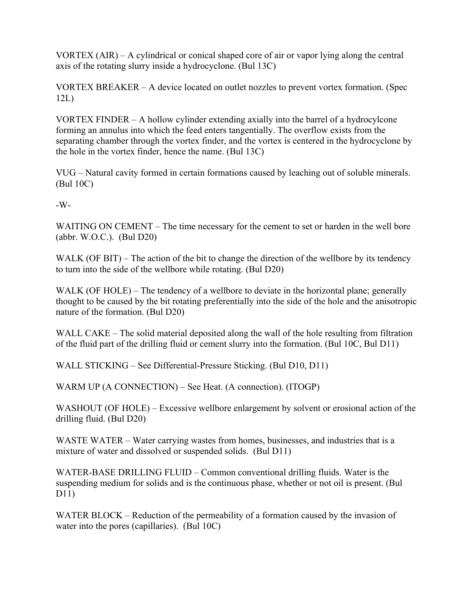VORTEX (AIR) – A cylindrical or conical shaped core of air or vapor lying along the central axis of the rotating slurry inside a hydrocyclone. (Bul 13C)

VORTEX BREAKER – A device located on outlet nozzles to prevent vortex formation. (Spec 12L)

VORTEX FINDER – A hollow cylinder extending axially into the barrel of a hydrocylcone forming an annulus into which the feed enters tangentially. The overflow exists from the separating chamber through the vortex finder, and the vortex is centered in the hydrocyclone by the hole in the vortex finder, hence the name. (Bul 13C)

VUG – Natural cavity formed in certain formations caused by leaching out of soluble minerals. (Bul 10C)

-W-

WAITING ON CEMENT – The time necessary for the cement to set or harden in the well bore (abbr. W.O.C.). (Bul D20)

WALK (OF BIT) – The action of the bit to change the direction of the wellbore by its tendency to turn into the side of the wellbore while rotating. (Bul D20)

WALK (OF HOLE) – The tendency of a wellbore to deviate in the horizontal plane; generally thought to be caused by the bit rotating preferentially into the side of the hole and the anisotropic nature of the formation. (Bul D20)

WALL CAKE – The solid material deposited along the wall of the hole resulting from filtration of the fluid part of the drilling fluid or cement slurry into the formation. (Bul 10C, Bul D11)

WALL STICKING – See Differential-Pressure Sticking. (Bul D10, D11)

WARM UP (A CONNECTION) – See Heat. (A connection). (ITOGP)

WASHOUT (OF HOLE) – Excessive wellbore enlargement by solvent or erosional action of the drilling fluid. (Bul D20)

WASTE WATER – Water carrying wastes from homes, businesses, and industries that is a mixture of water and dissolved or suspended solids. (Bul D11)

WATER-BASE DRILLING FLUID – Common conventional drilling fluids. Water is the suspending medium for solids and is the continuous phase, whether or not oil is present. (Bul D11)

WATER BLOCK – Reduction of the permeability of a formation caused by the invasion of water into the pores (capillaries). (Bul 10C)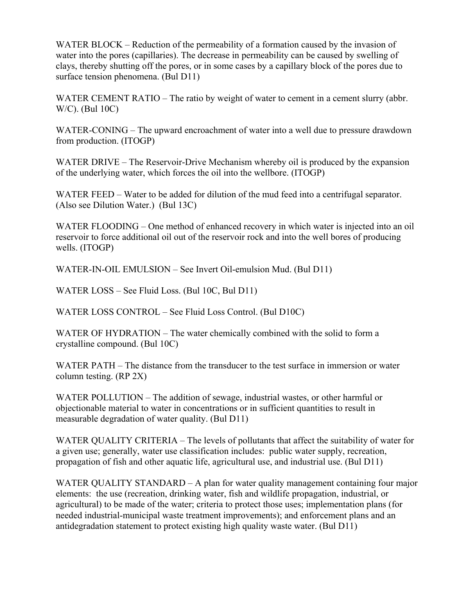WATER BLOCK – Reduction of the permeability of a formation caused by the invasion of water into the pores (capillaries). The decrease in permeability can be caused by swelling of clays, thereby shutting off the pores, or in some cases by a capillary block of the pores due to surface tension phenomena. (Bul D11)

WATER CEMENT RATIO – The ratio by weight of water to cement in a cement slurry (abbr. W/C). (Bul 10C)

WATER-CONING – The upward encroachment of water into a well due to pressure drawdown from production. (ITOGP)

WATER DRIVE – The Reservoir-Drive Mechanism whereby oil is produced by the expansion of the underlying water, which forces the oil into the wellbore. (ITOGP)

WATER FEED – Water to be added for dilution of the mud feed into a centrifugal separator. (Also see Dilution Water.) (Bul 13C)

WATER FLOODING – One method of enhanced recovery in which water is injected into an oil reservoir to force additional oil out of the reservoir rock and into the well bores of producing wells. (ITOGP)

WATER-IN-OIL EMULSION – See Invert Oil-emulsion Mud. (Bul D11)

WATER LOSS – See Fluid Loss. (Bul 10C, Bul D11)

WATER LOSS CONTROL – See Fluid Loss Control. (Bul D10C)

WATER OF HYDRATION – The water chemically combined with the solid to form a crystalline compound. (Bul 10C)

WATER PATH – The distance from the transducer to the test surface in immersion or water column testing. (RP 2X)

WATER POLLUTION – The addition of sewage, industrial wastes, or other harmful or objectionable material to water in concentrations or in sufficient quantities to result in measurable degradation of water quality. (Bul D11)

WATER QUALITY CRITERIA – The levels of pollutants that affect the suitability of water for a given use; generally, water use classification includes: public water supply, recreation, propagation of fish and other aquatic life, agricultural use, and industrial use. (Bul D11)

WATER OUALITY STANDARD – A plan for water quality management containing four major elements: the use (recreation, drinking water, fish and wildlife propagation, industrial, or agricultural) to be made of the water; criteria to protect those uses; implementation plans (for needed industrial-municipal waste treatment improvements); and enforcement plans and an antidegradation statement to protect existing high quality waste water. (Bul D11)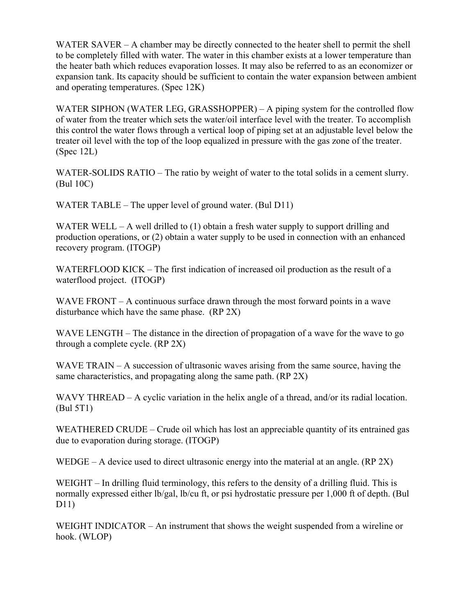WATER SAVER – A chamber may be directly connected to the heater shell to permit the shell to be completely filled with water. The water in this chamber exists at a lower temperature than the heater bath which reduces evaporation losses. It may also be referred to as an economizer or expansion tank. Its capacity should be sufficient to contain the water expansion between ambient and operating temperatures. (Spec 12K)

WATER SIPHON (WATER LEG, GRASSHOPPER) – A piping system for the controlled flow of water from the treater which sets the water/oil interface level with the treater. To accomplish this control the water flows through a vertical loop of piping set at an adjustable level below the treater oil level with the top of the loop equalized in pressure with the gas zone of the treater. (Spec 12L)

WATER-SOLIDS RATIO – The ratio by weight of water to the total solids in a cement slurry. (Bul 10C)

WATER TABLE – The upper level of ground water. (Bul D11)

WATER WELL – A well drilled to  $(1)$  obtain a fresh water supply to support drilling and production operations, or (2) obtain a water supply to be used in connection with an enhanced recovery program. (ITOGP)

WATERFLOOD KICK – The first indication of increased oil production as the result of a waterflood project. (ITOGP)

WAVE FRONT – A continuous surface drawn through the most forward points in a wave disturbance which have the same phase. (RP 2X)

WAVE LENGTH – The distance in the direction of propagation of a wave for the wave to go through a complete cycle. (RP 2X)

WAVE TRAIN – A succession of ultrasonic waves arising from the same source, having the same characteristics, and propagating along the same path. (RP 2X)

WAVY THREAD – A cyclic variation in the helix angle of a thread, and/or its radial location. (Bul 5T1)

WEATHERED CRUDE – Crude oil which has lost an appreciable quantity of its entrained gas due to evaporation during storage. (ITOGP)

WEDGE – A device used to direct ultrasonic energy into the material at an angle. (RP 2X)

WEIGHT – In drilling fluid terminology, this refers to the density of a drilling fluid. This is normally expressed either lb/gal, lb/cu ft, or psi hydrostatic pressure per 1,000 ft of depth. (Bul D11)

WEIGHT INDICATOR – An instrument that shows the weight suspended from a wireline or hook. (WLOP)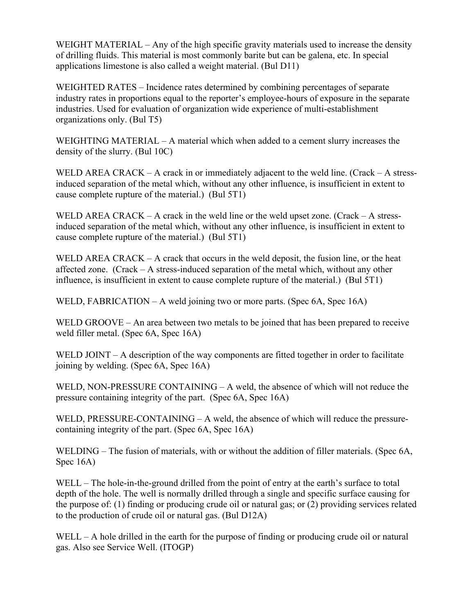WEIGHT MATERIAL – Any of the high specific gravity materials used to increase the density of drilling fluids. This material is most commonly barite but can be galena, etc. In special applications limestone is also called a weight material. (Bul D11)

WEIGHTED RATES – Incidence rates determined by combining percentages of separate industry rates in proportions equal to the reporter's employee-hours of exposure in the separate industries. Used for evaluation of organization wide experience of multi-establishment organizations only. (Bul T5)

WEIGHTING MATERIAL – A material which when added to a cement slurry increases the density of the slurry. (Bul 10C)

WELD AREA CRACK – A crack in or immediately adjacent to the weld line. (Crack – A stressinduced separation of the metal which, without any other influence, is insufficient in extent to cause complete rupture of the material.) (Bul 5T1)

WELD AREA CRACK – A crack in the weld line or the weld upset zone. (Crack – A stressinduced separation of the metal which, without any other influence, is insufficient in extent to cause complete rupture of the material.) (Bul 5T1)

WELD AREA CRACK – A crack that occurs in the weld deposit, the fusion line, or the heat affected zone. (Crack – A stress-induced separation of the metal which, without any other influence, is insufficient in extent to cause complete rupture of the material.) (Bul 5T1)

WELD, FABRICATION – A weld joining two or more parts. (Spec 6A, Spec 16A)

WELD GROOVE – An area between two metals to be joined that has been prepared to receive weld filler metal. (Spec 6A, Spec 16A)

WELD JOINT – A description of the way components are fitted together in order to facilitate joining by welding. (Spec 6A, Spec 16A)

WELD, NON-PRESSURE CONTAINING – A weld, the absence of which will not reduce the pressure containing integrity of the part. (Spec 6A, Spec 16A)

WELD, PRESSURE-CONTAINING – A weld, the absence of which will reduce the pressurecontaining integrity of the part. (Spec 6A, Spec 16A)

WELDING – The fusion of materials, with or without the addition of filler materials. (Spec 6A, Spec 16A)

WELL – The hole-in-the-ground drilled from the point of entry at the earth's surface to total depth of the hole. The well is normally drilled through a single and specific surface causing for the purpose of: (1) finding or producing crude oil or natural gas; or (2) providing services related to the production of crude oil or natural gas. (Bul D12A)

WELL – A hole drilled in the earth for the purpose of finding or producing crude oil or natural gas. Also see Service Well. (ITOGP)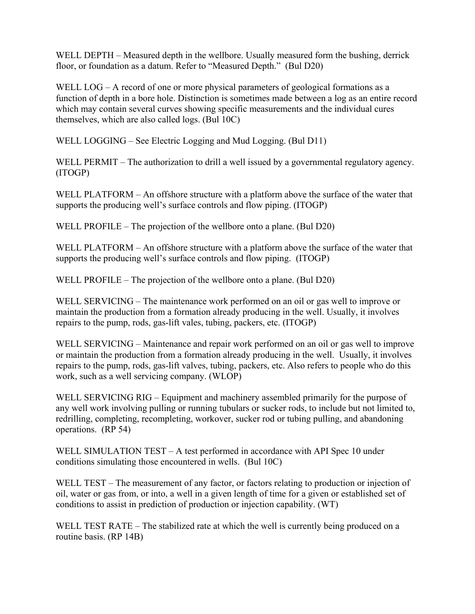WELL DEPTH – Measured depth in the wellbore. Usually measured form the bushing, derrick floor, or foundation as a datum. Refer to "Measured Depth." (Bul D20)

WELL LOG – A record of one or more physical parameters of geological formations as a function of depth in a bore hole. Distinction is sometimes made between a log as an entire record which may contain several curves showing specific measurements and the individual cures themselves, which are also called logs. (Bul 10C)

WELL LOGGING – See Electric Logging and Mud Logging. (Bul D11)

WELL PERMIT – The authorization to drill a well issued by a governmental regulatory agency. (ITOGP)

WELL PLATFORM – An offshore structure with a platform above the surface of the water that supports the producing well's surface controls and flow piping. (ITOGP)

WELL PROFILE – The projection of the wellbore onto a plane. (Bul D20)

WELL PLATFORM – An offshore structure with a platform above the surface of the water that supports the producing well's surface controls and flow piping. (ITOGP)

WELL PROFILE – The projection of the wellbore onto a plane. (Bul D20)

WELL SERVICING – The maintenance work performed on an oil or gas well to improve or maintain the production from a formation already producing in the well. Usually, it involves repairs to the pump, rods, gas-lift vales, tubing, packers, etc. (ITOGP)

WELL SERVICING – Maintenance and repair work performed on an oil or gas well to improve or maintain the production from a formation already producing in the well. Usually, it involves repairs to the pump, rods, gas-lift valves, tubing, packers, etc. Also refers to people who do this work, such as a well servicing company. (WLOP)

WELL SERVICING RIG – Equipment and machinery assembled primarily for the purpose of any well work involving pulling or running tubulars or sucker rods, to include but not limited to, redrilling, completing, recompleting, workover, sucker rod or tubing pulling, and abandoning operations. (RP 54)

WELL SIMULATION TEST – A test performed in accordance with API Spec 10 under conditions simulating those encountered in wells. (Bul 10C)

WELL TEST – The measurement of any factor, or factors relating to production or injection of oil, water or gas from, or into, a well in a given length of time for a given or established set of conditions to assist in prediction of production or injection capability. (WT)

WELL TEST RATE – The stabilized rate at which the well is currently being produced on a routine basis. (RP 14B)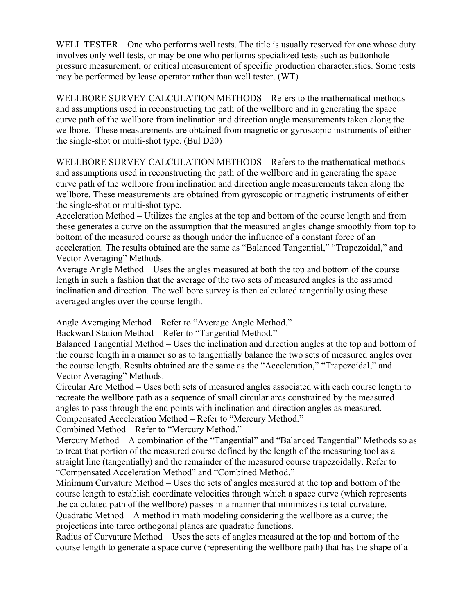WELL TESTER – One who performs well tests. The title is usually reserved for one whose duty involves only well tests, or may be one who performs specialized tests such as buttonhole pressure measurement, or critical measurement of specific production characteristics. Some tests may be performed by lease operator rather than well tester. (WT)

WELLBORE SURVEY CALCULATION METHODS – Refers to the mathematical methods and assumptions used in reconstructing the path of the wellbore and in generating the space curve path of the wellbore from inclination and direction angle measurements taken along the wellbore. These measurements are obtained from magnetic or gyroscopic instruments of either the single-shot or multi-shot type. (Bul D20)

WELLBORE SURVEY CALCULATION METHODS – Refers to the mathematical methods and assumptions used in reconstructing the path of the wellbore and in generating the space curve path of the wellbore from inclination and direction angle measurements taken along the wellbore. These measurements are obtained from gyroscopic or magnetic instruments of either the single-shot or multi-shot type.

Acceleration Method – Utilizes the angles at the top and bottom of the course length and from these generates a curve on the assumption that the measured angles change smoothly from top to bottom of the measured course as though under the influence of a constant force of an acceleration. The results obtained are the same as "Balanced Tangential," "Trapezoidal," and Vector Averaging" Methods.

Average Angle Method – Uses the angles measured at both the top and bottom of the course length in such a fashion that the average of the two sets of measured angles is the assumed inclination and direction. The well bore survey is then calculated tangentially using these averaged angles over the course length.

Angle Averaging Method – Refer to "Average Angle Method."

Backward Station Method – Refer to "Tangential Method."

Balanced Tangential Method – Uses the inclination and direction angles at the top and bottom of the course length in a manner so as to tangentially balance the two sets of measured angles over the course length. Results obtained are the same as the "Acceleration," "Trapezoidal," and Vector Averaging" Methods.

Circular Arc Method – Uses both sets of measured angles associated with each course length to recreate the wellbore path as a sequence of small circular arcs constrained by the measured angles to pass through the end points with inclination and direction angles as measured. Compensated Acceleration Method – Refer to "Mercury Method."

Combined Method – Refer to "Mercury Method."

Mercury Method – A combination of the "Tangential" and "Balanced Tangential" Methods so as to treat that portion of the measured course defined by the length of the measuring tool as a straight line (tangentially) and the remainder of the measured course trapezoidally. Refer to "Compensated Acceleration Method" and "Combined Method."

Minimum Curvature Method – Uses the sets of angles measured at the top and bottom of the course length to establish coordinate velocities through which a space curve (which represents the calculated path of the wellbore) passes in a manner that minimizes its total curvature. Quadratic Method – A method in math modeling considering the wellbore as a curve; the

projections into three orthogonal planes are quadratic functions.

Radius of Curvature Method – Uses the sets of angles measured at the top and bottom of the course length to generate a space curve (representing the wellbore path) that has the shape of a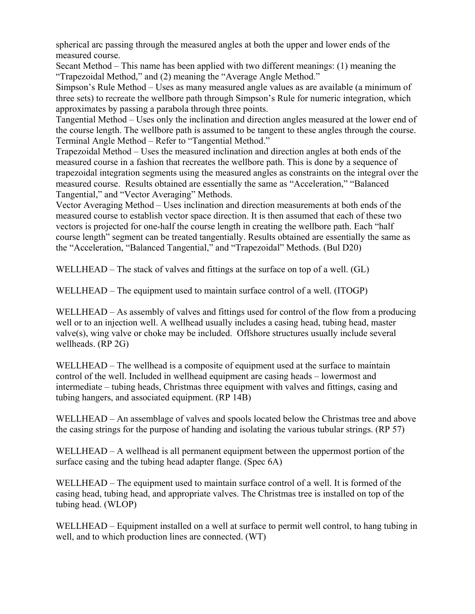spherical arc passing through the measured angles at both the upper and lower ends of the measured course.

Secant Method – This name has been applied with two different meanings: (1) meaning the "Trapezoidal Method," and (2) meaning the "Average Angle Method."

Simpson's Rule Method – Uses as many measured angle values as are available (a minimum of three sets) to recreate the wellbore path through Simpson's Rule for numeric integration, which approximates by passing a parabola through three points.

Tangential Method – Uses only the inclination and direction angles measured at the lower end of the course length. The wellbore path is assumed to be tangent to these angles through the course. Terminal Angle Method – Refer to "Tangential Method."

Trapezoidal Method – Uses the measured inclination and direction angles at both ends of the measured course in a fashion that recreates the wellbore path. This is done by a sequence of trapezoidal integration segments using the measured angles as constraints on the integral over the measured course. Results obtained are essentially the same as "Acceleration," "Balanced Tangential," and "Vector Averaging" Methods.

Vector Averaging Method – Uses inclination and direction measurements at both ends of the measured course to establish vector space direction. It is then assumed that each of these two vectors is projected for one-half the course length in creating the wellbore path. Each "half course length" segment can be treated tangentially. Results obtained are essentially the same as the "Acceleration, "Balanced Tangential," and "Trapezoidal" Methods. (Bul D20)

WELLHEAD – The stack of valves and fittings at the surface on top of a well. (GL)

WELLHEAD – The equipment used to maintain surface control of a well. (ITOGP)

WELLHEAD – As assembly of valves and fittings used for control of the flow from a producing well or to an injection well. A wellhead usually includes a casing head, tubing head, master valve(s), wing valve or choke may be included. Offshore structures usually include several wellheads. (RP 2G)

WELLHEAD – The wellhead is a composite of equipment used at the surface to maintain control of the well. Included in wellhead equipment are casing heads – lowermost and intermediate – tubing heads, Christmas three equipment with valves and fittings, casing and tubing hangers, and associated equipment. (RP 14B)

WELLHEAD – An assemblage of valves and spools located below the Christmas tree and above the casing strings for the purpose of handing and isolating the various tubular strings. (RP 57)

WELLHEAD – A wellhead is all permanent equipment between the uppermost portion of the surface casing and the tubing head adapter flange. (Spec 6A)

WELLHEAD – The equipment used to maintain surface control of a well. It is formed of the casing head, tubing head, and appropriate valves. The Christmas tree is installed on top of the tubing head. (WLOP)

WELLHEAD – Equipment installed on a well at surface to permit well control, to hang tubing in well, and to which production lines are connected. (WT)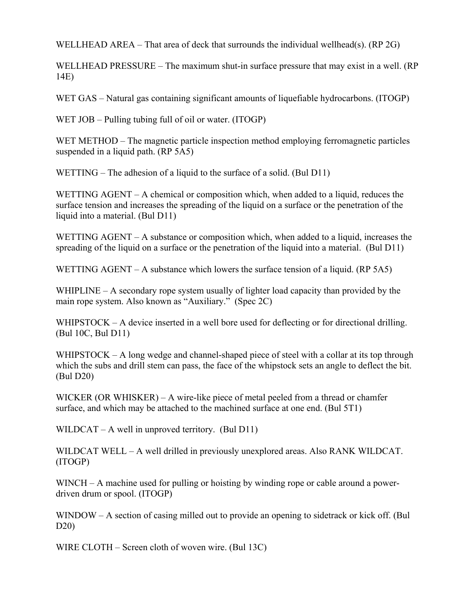WELLHEAD AREA – That area of deck that surrounds the individual wellhead(s). (RP  $2G$ )

WELLHEAD PRESSURE – The maximum shut-in surface pressure that may exist in a well. (RP 14E)

WET GAS – Natural gas containing significant amounts of liquefiable hydrocarbons. (ITOGP)

WET JOB – Pulling tubing full of oil or water. (ITOGP)

WET METHOD – The magnetic particle inspection method employing ferromagnetic particles suspended in a liquid path. (RP 5A5)

WETTING – The adhesion of a liquid to the surface of a solid. (Bul D11)

WETTING AGENT – A chemical or composition which, when added to a liquid, reduces the surface tension and increases the spreading of the liquid on a surface or the penetration of the liquid into a material. (Bul D11)

WETTING AGENT – A substance or composition which, when added to a liquid, increases the spreading of the liquid on a surface or the penetration of the liquid into a material. (Bul D11)

WETTING AGENT – A substance which lowers the surface tension of a liquid. (RP 5A5)

WHIPLINE – A secondary rope system usually of lighter load capacity than provided by the main rope system. Also known as "Auxiliary." (Spec 2C)

WHIPSTOCK – A device inserted in a well bore used for deflecting or for directional drilling. (Bul 10C, Bul D11)

WHIPSTOCK – A long wedge and channel-shaped piece of steel with a collar at its top through which the subs and drill stem can pass, the face of the whipstock sets an angle to deflect the bit. (Bul D20)

WICKER (OR WHISKER) – A wire-like piece of metal peeled from a thread or chamfer surface, and which may be attached to the machined surface at one end. (Bul 5T1)

WILDCAT – A well in unproved territory. (Bul D11)

WILDCAT WELL – A well drilled in previously unexplored areas. Also RANK WILDCAT. (ITOGP)

WINCH – A machine used for pulling or hoisting by winding rope or cable around a powerdriven drum or spool. (ITOGP)

WINDOW – A section of casing milled out to provide an opening to sidetrack or kick off. (Bul D20)

WIRE CLOTH – Screen cloth of woven wire. (Bul 13C)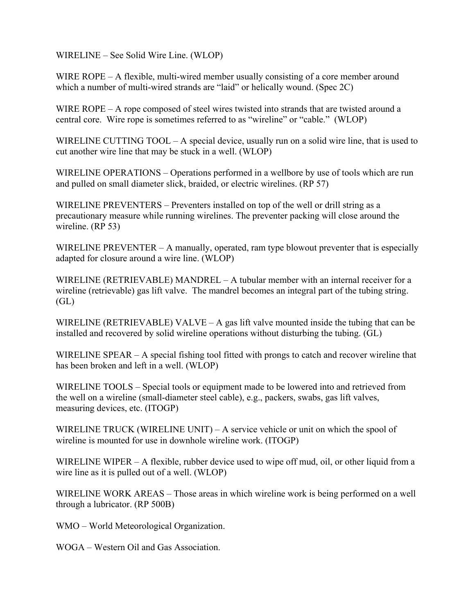WIRELINE – See Solid Wire Line. (WLOP)

WIRE ROPE – A flexible, multi-wired member usually consisting of a core member around which a number of multi-wired strands are "laid" or helically wound. (Spec 2C)

WIRE ROPE – A rope composed of steel wires twisted into strands that are twisted around a central core. Wire rope is sometimes referred to as "wireline" or "cable." (WLOP)

WIRELINE CUTTING TOOL – A special device, usually run on a solid wire line, that is used to cut another wire line that may be stuck in a well. (WLOP)

WIRELINE OPERATIONS – Operations performed in a wellbore by use of tools which are run and pulled on small diameter slick, braided, or electric wirelines. (RP 57)

WIRELINE PREVENTERS – Preventers installed on top of the well or drill string as a precautionary measure while running wirelines. The preventer packing will close around the wireline. (RP 53)

WIRELINE PREVENTER – A manually, operated, ram type blowout preventer that is especially adapted for closure around a wire line. (WLOP)

WIRELINE (RETRIEVABLE) MANDREL – A tubular member with an internal receiver for a wireline (retrievable) gas lift valve. The mandrel becomes an integral part of the tubing string. (GL)

WIRELINE (RETRIEVABLE) VALVE – A gas lift valve mounted inside the tubing that can be installed and recovered by solid wireline operations without disturbing the tubing. (GL)

WIRELINE SPEAR – A special fishing tool fitted with prongs to catch and recover wireline that has been broken and left in a well. (WLOP)

WIRELINE TOOLS – Special tools or equipment made to be lowered into and retrieved from the well on a wireline (small-diameter steel cable), e.g., packers, swabs, gas lift valves, measuring devices, etc. (ITOGP)

WIRELINE TRUCK (WIRELINE UNIT) – A service vehicle or unit on which the spool of wireline is mounted for use in downhole wireline work. (ITOGP)

WIRELINE WIPER – A flexible, rubber device used to wipe off mud, oil, or other liquid from a wire line as it is pulled out of a well. (WLOP)

WIRELINE WORK AREAS – Those areas in which wireline work is being performed on a well through a lubricator. (RP 500B)

WMO – World Meteorological Organization.

WOGA – Western Oil and Gas Association.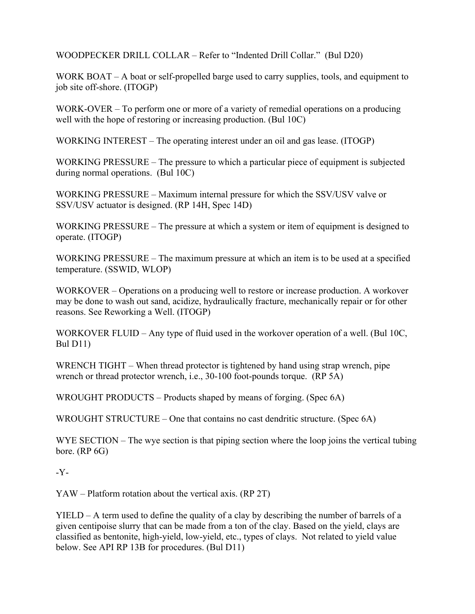WOODPECKER DRILL COLLAR – Refer to "Indented Drill Collar." (Bul D20)

WORK BOAT – A boat or self-propelled barge used to carry supplies, tools, and equipment to job site off-shore. (ITOGP)

WORK-OVER – To perform one or more of a variety of remedial operations on a producing well with the hope of restoring or increasing production. (Bul 10C)

WORKING INTEREST – The operating interest under an oil and gas lease. (ITOGP)

WORKING PRESSURE – The pressure to which a particular piece of equipment is subjected during normal operations. (Bul 10C)

WORKING PRESSURE – Maximum internal pressure for which the SSV/USV valve or SSV/USV actuator is designed. (RP 14H, Spec 14D)

WORKING PRESSURE – The pressure at which a system or item of equipment is designed to operate. (ITOGP)

WORKING PRESSURE – The maximum pressure at which an item is to be used at a specified temperature. (SSWID, WLOP)

WORKOVER – Operations on a producing well to restore or increase production. A workover may be done to wash out sand, acidize, hydraulically fracture, mechanically repair or for other reasons. See Reworking a Well. (ITOGP)

WORKOVER FLUID – Any type of fluid used in the workover operation of a well. (Bul 10C, Bul D11)

WRENCH TIGHT – When thread protector is tightened by hand using strap wrench, pipe wrench or thread protector wrench, i.e., 30-100 foot-pounds torque. (RP 5A)

WROUGHT PRODUCTS – Products shaped by means of forging. (Spec 6A)

WROUGHT STRUCTURE – One that contains no cast dendritic structure. (Spec 6A)

WYE SECTION – The wye section is that piping section where the loop joins the vertical tubing bore. (RP 6G)

-Y-

YAW – Platform rotation about the vertical axis. (RP 2T)

YIELD – A term used to define the quality of a clay by describing the number of barrels of a given centipoise slurry that can be made from a ton of the clay. Based on the yield, clays are classified as bentonite, high-yield, low-yield, etc., types of clays. Not related to yield value below. See API RP 13B for procedures. (Bul D11)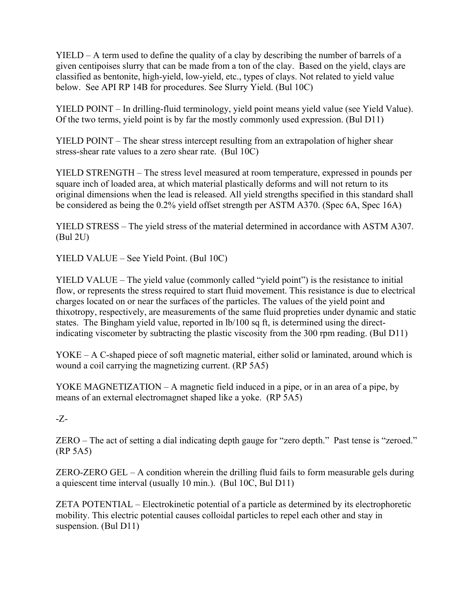YIELD – A term used to define the quality of a clay by describing the number of barrels of a given centipoises slurry that can be made from a ton of the clay. Based on the yield, clays are classified as bentonite, high-yield, low-yield, etc., types of clays. Not related to yield value below. See API RP 14B for procedures. See Slurry Yield. (Bul 10C)

YIELD POINT – In drilling-fluid terminology, yield point means yield value (see Yield Value). Of the two terms, yield point is by far the mostly commonly used expression. (Bul D11)

YIELD POINT – The shear stress intercept resulting from an extrapolation of higher shear stress-shear rate values to a zero shear rate. (Bul 10C)

YIELD STRENGTH – The stress level measured at room temperature, expressed in pounds per square inch of loaded area, at which material plastically deforms and will not return to its original dimensions when the lead is released. All yield strengths specified in this standard shall be considered as being the 0.2% yield offset strength per ASTM A370. (Spec 6A, Spec 16A)

YIELD STRESS – The yield stress of the material determined in accordance with ASTM A307. (Bul 2U)

YIELD VALUE – See Yield Point. (Bul 10C)

YIELD VALUE – The yield value (commonly called "yield point") is the resistance to initial flow, or represents the stress required to start fluid movement. This resistance is due to electrical charges located on or near the surfaces of the particles. The values of the yield point and thixotropy, respectively, are measurements of the same fluid propreties under dynamic and static states. The Bingham yield value, reported in lb/100 sq ft, is determined using the directindicating viscometer by subtracting the plastic viscosity from the 300 rpm reading. (Bul D11)

YOKE – A C-shaped piece of soft magnetic material, either solid or laminated, around which is wound a coil carrying the magnetizing current. (RP 5A5)

YOKE MAGNETIZATION – A magnetic field induced in a pipe, or in an area of a pipe, by means of an external electromagnet shaped like a yoke. (RP 5A5)

-Z-

ZERO – The act of setting a dial indicating depth gauge for "zero depth." Past tense is "zeroed." (RP 5A5)

ZERO-ZERO GEL – A condition wherein the drilling fluid fails to form measurable gels during a quiescent time interval (usually 10 min.). (Bul 10C, Bul D11)

ZETA POTENTIAL – Electrokinetic potential of a particle as determined by its electrophoretic mobility. This electric potential causes colloidal particles to repel each other and stay in suspension. (Bul D11)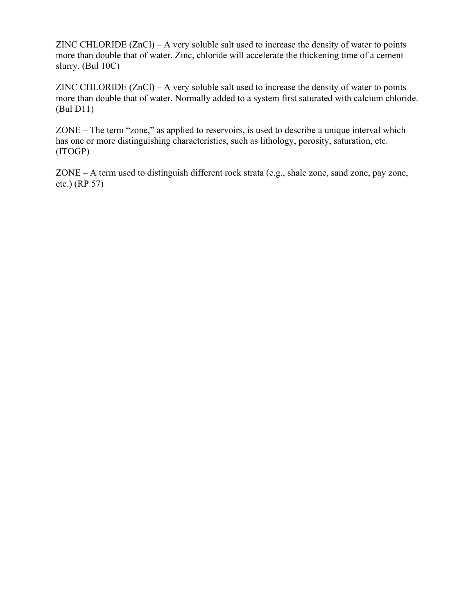ZINC CHLORIDE  $(ZnCl) - A$  very soluble salt used to increase the density of water to points more than double that of water. Zinc, chloride will accelerate the thickening time of a cement slurry. (Bul 10C)

ZINC CHLORIDE  $(ZnCl) - A$  very soluble salt used to increase the density of water to points more than double that of water. Normally added to a system first saturated with calcium chloride. (Bul D11)

ZONE – The term "zone," as applied to reservoirs, is used to describe a unique interval which has one or more distinguishing characteristics, such as lithology, porosity, saturation, etc. (ITOGP)

ZONE – A term used to distinguish different rock strata (e.g., shale zone, sand zone, pay zone, etc.) (RP 57)